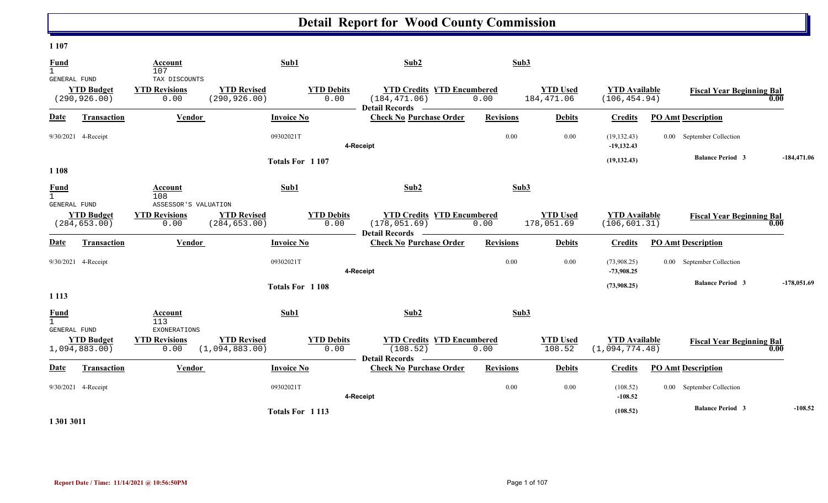#### **1 107**

| <b>Fund</b><br>$\mathbf{1}$                 |                                    | Account<br>107                                |                                      | Sub1                      | Sub2                                                                        | Sub3             |                               |                                        |                                  |               |
|---------------------------------------------|------------------------------------|-----------------------------------------------|--------------------------------------|---------------------------|-----------------------------------------------------------------------------|------------------|-------------------------------|----------------------------------------|----------------------------------|---------------|
| GENERAL FUND                                | <b>YTD Budget</b><br>(290, 926.00) | TAX DISCOUNTS<br><b>YTD Revisions</b><br>0.00 | <b>YTD Revised</b><br>(290, 926.00)  | <b>YTD Debits</b><br>0.00 | <b>YTD Credits YTD Encumbered</b><br>(184, 471.06)<br><b>Detail Records</b> | 0.00             | <b>YTD</b> Used<br>184,471.06 | <b>YTD Available</b><br>(106, 454.94)  | <b>Fiscal Year Beginning Bal</b> | 0.00          |
| Date                                        | <b>Transaction</b>                 | Vendor                                        |                                      | <b>Invoice No</b>         | <b>Check No Purchase Order</b>                                              | <b>Revisions</b> | <b>Debits</b>                 | <b>Credits</b>                         | <b>PO Amt Description</b>        |               |
|                                             | 9/30/2021 4-Receipt                |                                               |                                      | 09302021T                 | 4-Receipt                                                                   | 0.00             | 0.00                          | (19, 132.43)<br>$-19,132.43$           | 0.00 September Collection        |               |
| 1 1 0 8                                     |                                    |                                               |                                      | Totals For 1107           |                                                                             |                  |                               | (19, 132.43)                           | <b>Balance Period 3</b>          | $-184,471.06$ |
| <b>Fund</b><br>$\mathbf{1}$<br>GENERAL FUND |                                    | Account<br>108<br>ASSESSOR'S VALUATION        |                                      | Sub1                      | Sub2                                                                        | Sub3             |                               |                                        |                                  |               |
|                                             | <b>YTD Budget</b><br>(284, 653.00) | <b>YTD Revisions</b><br>0.00                  | <b>YTD Revised</b><br>(284, 653.00)  | <b>YTD Debits</b><br>0.00 | <b>YTD Credits YTD Encumbered</b><br>(178, 051.69)<br>Detail Records —      | 0.00             | <b>YTD</b> Used<br>178,051.69 | <b>YTD Available</b><br>(106, 601.31)  | <b>Fiscal Year Beginning Bal</b> | 0.00          |
| Date                                        | Transaction                        | Vendor                                        |                                      | <b>Invoice No</b>         | <b>Check No Purchase Order</b>                                              | <b>Revisions</b> | <b>Debits</b>                 | <b>Credits</b>                         | <b>PO Amt Description</b>        |               |
|                                             | 9/30/2021 4-Receipt                |                                               |                                      | 09302021T                 | 4-Receipt                                                                   | 0.00             | 0.00                          | (73,908.25)<br>$-73,908.25$            | 0.00 September Collection        |               |
| 1 1 1 3                                     |                                    |                                               |                                      | Totals For 1108           |                                                                             |                  |                               | (73,908.25)                            | <b>Balance Period 3</b>          | $-178,051.69$ |
| <b>Fund</b><br>$\mathbf{1}$<br>GENERAL FUND |                                    | Account<br>113<br>EXONERATIONS                |                                      | Sub1                      | Sub2                                                                        | Sub3             |                               |                                        |                                  |               |
|                                             | <b>YTD Budget</b><br>1,094,883.00) | <b>YTD Revisions</b><br>0.00                  | <b>YTD Revised</b><br>(1,094,883.00) | <b>YTD Debits</b><br>0.00 | <b>YTD Credits YTD Encumbered</b><br>(108.52)<br><b>Detail Records</b>      | 0.00             | <b>YTD Used</b><br>108.52     | <b>YTD Available</b><br>(1,094,774.48) | <b>Fiscal Year Beginning Bal</b> | 0.00          |
| Date                                        | Transaction                        | Vendor                                        |                                      | <b>Invoice No</b>         | <b>Check No Purchase Order</b>                                              | <b>Revisions</b> | <b>Debits</b>                 | <b>Credits</b>                         | <b>PO Amt Description</b>        |               |
|                                             | 9/30/2021 4-Receipt                |                                               |                                      | 09302021T                 | 4-Receipt                                                                   | 0.00             | 0.00                          | (108.52)<br>$-108.52$                  | 0.00 September Collection        |               |
|                                             |                                    |                                               |                                      | Totals For 1113           |                                                                             |                  |                               | (108.52)                               | <b>Balance Period 3</b>          | $-108.52$     |

**1 301 3011**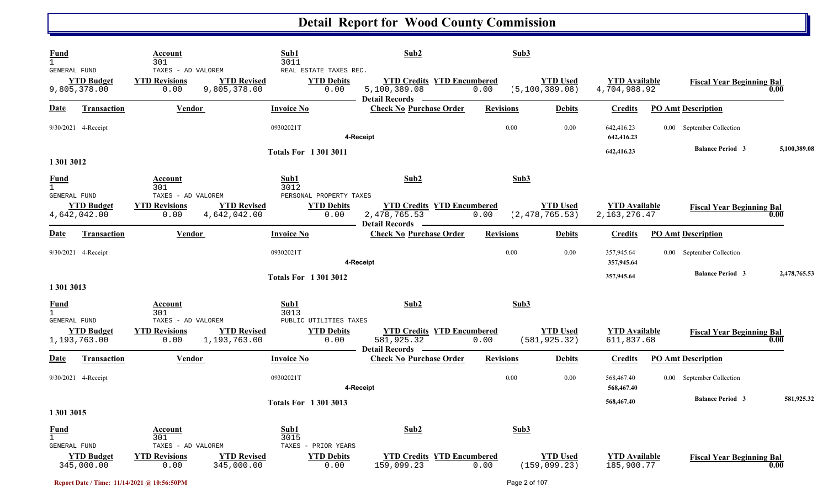| <b>Fund</b><br>$\mathbf{1}$<br><b>GENERAL FUND</b> |                                   | Account<br>301<br>TAXES - AD VALOREM               |                                    | Sub1<br>3011<br>REAL ESTATE TAXES REC.              | Sub2                                                                       | Sub3             |                                     |                                         |                                  |              |
|----------------------------------------------------|-----------------------------------|----------------------------------------------------|------------------------------------|-----------------------------------------------------|----------------------------------------------------------------------------|------------------|-------------------------------------|-----------------------------------------|----------------------------------|--------------|
|                                                    | <b>YTD Budget</b><br>9,805,378.00 | <b>YTD Revisions</b><br>0.00                       | <b>YTD Revised</b><br>9,805,378.00 | <b>YTD Debits</b><br>0.00                           | <b>YTD Credits YTD Encumbered</b><br>5,100,389.08<br><b>Detail Records</b> | 0.00             | <b>YTD Used</b><br>(5, 100, 389.08) | <b>YTD Available</b><br>4,704,988.92    | <b>Fiscal Year Beginning Bal</b> | 0.00         |
| Date                                               | <b>Transaction</b>                | <b>Vendor</b>                                      |                                    | <b>Invoice No</b>                                   | <b>Check No Purchase Order</b>                                             | <b>Revisions</b> | <b>Debits</b>                       | <b>Credits</b>                          | <b>PO Amt Description</b>        |              |
|                                                    | 9/30/2021 4-Receipt               |                                                    |                                    | 09302021T                                           | 4-Receipt                                                                  | 0.00             | 0.00                                | 642,416.23<br>642,416.23                | 0.00 September Collection        |              |
| 1 301 3012                                         |                                   |                                                    |                                    | <b>Totals For 13013011</b>                          |                                                                            |                  |                                     | 642,416.23                              | <b>Balance Period 3</b>          | 5,100,389.08 |
| <b>Fund</b><br>$\mathbf{1}$<br>GENERAL FUND        |                                   | Account<br>301<br>TAXES - AD VALOREM               |                                    | Sub1<br>3012<br>PERSONAL PROPERTY TAXES             | Sub2                                                                       | Sub3             |                                     |                                         |                                  |              |
|                                                    | <b>YTD Budget</b><br>4,642,042.00 | <b>YTD Revisions</b><br>0.00                       | <b>YTD Revised</b><br>4,642,042.00 | <b>YTD Debits</b><br>0.00                           | <b>YTD Credits YTD Encumbered</b><br>2,478,765.53<br><b>Detail Records</b> | 0.00             | <b>YTD Used</b><br>(2, 478, 765.53) | <b>YTD</b> Available<br>2, 163, 276. 47 | <b>Fiscal Year Beginning Bal</b> | 0.00         |
| Date                                               | <b>Transaction</b>                | <b>Vendor</b>                                      |                                    | <b>Invoice No</b>                                   | <b>Check No Purchase Order</b>                                             | <b>Revisions</b> | <b>Debits</b>                       | <b>Credits</b>                          | <b>PO Amt Description</b>        |              |
|                                                    | 9/30/2021 4-Receipt               |                                                    |                                    | 09302021T                                           | 4-Receipt                                                                  | 0.00             | 0.00                                | 357,945.64<br>357,945.64                | 0.00 September Collection        |              |
| 1 301 3013                                         |                                   |                                                    |                                    | <b>Totals For 13013012</b>                          |                                                                            |                  |                                     | 357,945.64                              | <b>Balance Period 3</b>          | 2,478,765.53 |
| <b>Fund</b><br>$\mathbf{1}$                        |                                   | Account<br>301                                     |                                    | Sub1<br>3013                                        | Sub2                                                                       | Sub3             |                                     |                                         |                                  |              |
| GENERAL FUND                                       | <b>YTD Budget</b><br>1,193,763.00 | TAXES - AD VALOREM<br><b>YTD Revisions</b><br>0.00 | <b>YTD Revised</b><br>1,193,763.00 | PUBLIC UTILITIES TAXES<br><b>YTD Debits</b><br>0.00 | <b>YTD Credits YTD Encumbered</b><br>581,925.32<br><b>Detail Records</b>   | 0.00             | <b>YTD Used</b><br>(581, 925.32)    | <b>YTD Available</b><br>611,837.68      | <b>Fiscal Year Beginning Bal</b> | 0.00         |
| <u>Date</u>                                        | <b>Transaction</b>                | <b>Vendor</b>                                      |                                    | <b>Invoice No</b>                                   | <b>Check No Purchase Order</b>                                             | <b>Revisions</b> | <b>Debits</b>                       | <b>Credits</b>                          | <b>PO Amt Description</b>        |              |
|                                                    | 9/30/2021 4-Receipt               |                                                    |                                    | 09302021T                                           | 4-Receipt                                                                  | 0.00             | 0.00                                | 568,467.40<br>568,467.40                | 0.00 September Collection        |              |
| 1 301 3015                                         |                                   |                                                    |                                    | <b>Totals For 13013013</b>                          |                                                                            |                  |                                     | 568,467.40                              | <b>Balance Period 3</b>          | 581,925.32   |
| <b>Fund</b><br>$\mathbf{1}$                        |                                   | <b>Account</b><br>301                              |                                    | Sub1<br>3015                                        | Sub2                                                                       | Sub3             |                                     |                                         |                                  |              |
| GENERAL FUND                                       | <b>YTD Budget</b><br>345,000.00   | TAXES - AD VALOREM<br><b>YTD Revisions</b><br>0.00 | <b>YTD Revised</b><br>345,000.00   | TAXES - PRIOR YEARS<br><b>YTD Debits</b><br>0.00    | <b>YTD Credits YTD Encumbered</b><br>159,099.23                            | 0.00             | <b>YTD Used</b><br>(159, 099.23)    | <b>YTD Available</b><br>185,900.77      | <b>Fiscal Year Beginning Bal</b> | 0.00         |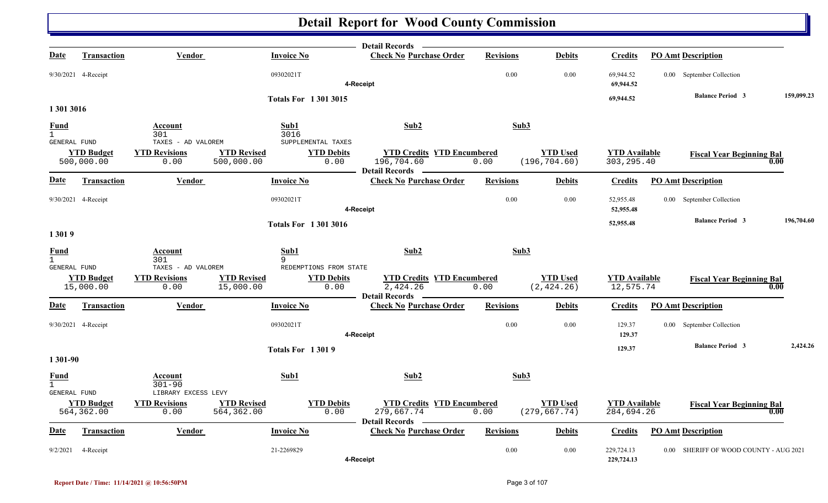|                                             |                                 |                                                     |                                  |                                                 | <b>Detail Records</b>                                                    |                  |                                  |                                     |                                        |            |
|---------------------------------------------|---------------------------------|-----------------------------------------------------|----------------------------------|-------------------------------------------------|--------------------------------------------------------------------------|------------------|----------------------------------|-------------------------------------|----------------------------------------|------------|
| <u>Date</u>                                 | <b>Transaction</b>              | Vendor                                              |                                  | <b>Invoice No</b>                               | <b>Check No Purchase Order</b>                                           | <b>Revisions</b> | <b>Debits</b>                    | <b>Credits</b>                      | <b>PO Amt Description</b>              |            |
|                                             | 9/30/2021 4-Receipt             |                                                     |                                  | 09302021T                                       | 4-Receipt                                                                | $0.00\,$         | 0.00                             | 69,944.52<br>69,944.52              | 0.00 September Collection              |            |
|                                             |                                 |                                                     |                                  | <b>Totals For 13013015</b>                      |                                                                          |                  |                                  | 69,944.52                           | <b>Balance Period 3</b>                | 159,099.23 |
| 1 301 3016                                  |                                 |                                                     |                                  |                                                 |                                                                          |                  |                                  |                                     |                                        |            |
| <b>Fund</b><br>$\overline{1}$               |                                 | Account<br>301                                      |                                  | Sub1<br>3016                                    | Sub2                                                                     | Sub3             |                                  |                                     |                                        |            |
| GENERAL FUND                                | <b>YTD Budget</b><br>500,000.00 | TAXES - AD VALOREM<br><b>YTD Revisions</b><br>0.00  | <b>YTD Revised</b><br>500,000.00 | SUPPLEMENTAL TAXES<br><b>YTD Debits</b><br>0.00 | <b>YTD Credits YTD Encumbered</b><br>196,704.60<br>Detail Records —      | 0.00             | <b>YTD Used</b><br>(196, 704.60) | <b>YTD Available</b><br>303, 295.40 | <b>Fiscal Year Beginning Bal</b>       | 0.00       |
| <u>Date</u>                                 | <b>Transaction</b>              | Vendor                                              |                                  | <b>Invoice No</b>                               | <b>Check No Purchase Order</b>                                           | <b>Revisions</b> | <b>Debits</b>                    | <b>Credits</b>                      | <b>PO Amt Description</b>              |            |
|                                             | 9/30/2021 4-Receipt             |                                                     |                                  | 09302021T                                       | 4-Receipt                                                                | 0.00             | 0.00                             | 52,955.48<br>52,955.48              | 0.00 September Collection              |            |
| 13019                                       |                                 |                                                     |                                  | <b>Totals For 13013016</b>                      |                                                                          |                  |                                  | 52,955.48                           | <b>Balance Period 3</b>                | 196,704.60 |
| <b>Fund</b><br>$\mathbf{1}$<br>GENERAL FUND |                                 | Account<br>301<br>TAXES - AD VALOREM                | 9                                | Sub1<br>REDEMPTIONS FROM STATE                  | Sub2                                                                     | Sub3             |                                  |                                     |                                        |            |
|                                             | <b>YTD Budget</b><br>15,000.00  | <b>YTD Revisions</b><br>0.00                        | <b>YTD Revised</b><br>15,000.00  | <b>YTD Debits</b><br>0.00                       | <b>YTD Credits YTD Encumbered</b><br>2,424.26<br><b>Detail Records</b>   | 0.00             | <b>YTD Used</b><br>(2, 424.26)   | <b>YTD</b> Available<br>12,575.74   | <b>Fiscal Year Beginning Bal</b>       | 0.00       |
| Date                                        | <b>Transaction</b>              | Vendor                                              |                                  | <b>Invoice No</b>                               | <b>Check No Purchase Order</b>                                           | <b>Revisions</b> | <b>Debits</b>                    | Credits                             | <b>PO Amt Description</b>              |            |
|                                             | 9/30/2021 4-Receipt             |                                                     |                                  | 09302021T                                       | 4-Receipt                                                                | 0.00             | 0.00                             | 129.37<br>129.37                    | 0.00 September Collection              |            |
| 1 301-90                                    |                                 |                                                     |                                  | <b>Totals For 13019</b>                         |                                                                          |                  |                                  | 129.37                              | <b>Balance Period 3</b>                | 2,424.26   |
| <b>Fund</b><br>$\mathbf{1}$                 |                                 | Account<br>$301 - 90$                               |                                  | Sub1                                            | Sub2                                                                     | Sub3             |                                  |                                     |                                        |            |
| <b>GENERAL FUND</b>                         | <b>YTD Budget</b><br>564,362.00 | LIBRARY EXCESS LEVY<br><b>YTD Revisions</b><br>0.00 | <b>YTD Revised</b><br>564,362.00 | <b>YTD Debits</b><br>0.00                       | <b>YTD Credits YTD Encumbered</b><br>279,667.74<br><b>Detail Records</b> | 0.00             | <b>YTD Used</b><br>(279, 667.74) | <b>YTD Available</b><br>284,694.26  | <b>Fiscal Year Beginning Bal</b>       | 0.00       |
| Date                                        | <b>Transaction</b>              | Vendor                                              |                                  | <b>Invoice No</b>                               | <b>Check No Purchase Order</b>                                           | <b>Revisions</b> | <b>Debits</b>                    | <b>Credits</b>                      | <b>PO Amt Description</b>              |            |
| 9/2/2021                                    | 4-Receipt                       |                                                     |                                  | 21-2269829                                      | 4-Receipt                                                                | 0.00             | 0.00                             | 229,724.13<br>229,724.13            | 0.00 SHERIFF OF WOOD COUNTY - AUG 2021 |            |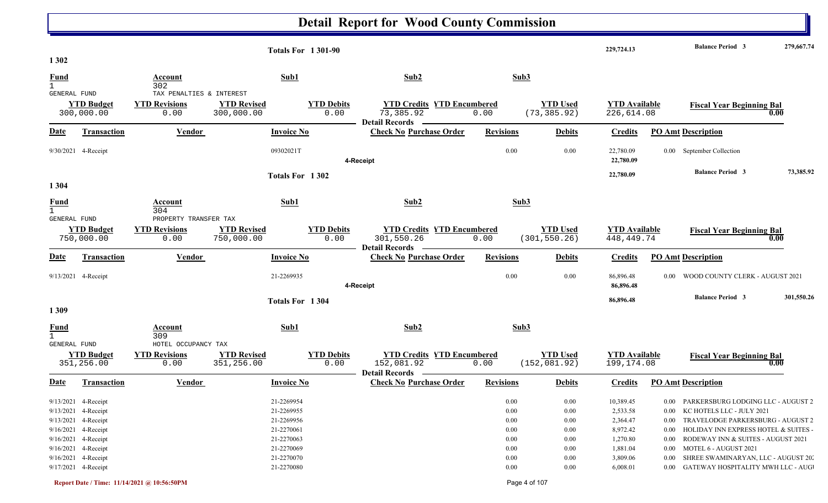|                                                 |                                                          | <b>Totals For 1301-90</b>                                     |                                                                          |                  |                                  | 229,724.13                           | <b>Balance Period 3</b><br>279,667.74           |
|-------------------------------------------------|----------------------------------------------------------|---------------------------------------------------------------|--------------------------------------------------------------------------|------------------|----------------------------------|--------------------------------------|-------------------------------------------------|
| 1 3 0 2                                         |                                                          |                                                               |                                                                          |                  |                                  |                                      |                                                 |
| <b>Fund</b>                                     | Account<br>302                                           | Sub1                                                          | Sub2                                                                     | Sub3             |                                  |                                      |                                                 |
| GENERAL FUND<br><b>YTD Budget</b><br>300,000.00 | TAX PENALTIES & INTEREST<br><b>YTD Revisions</b><br>0.00 | <b>YTD Revised</b><br><b>YTD Debits</b><br>300,000.00<br>0.00 | <b>YTD Credits YTD Encumbered</b><br>73,385.92<br><b>Detail Records</b>  | 0.00             | <b>YTD Used</b><br>(73, 385.92)  | <b>YTD Available</b><br>226,614.08   | <b>Fiscal Year Beginning Bal</b><br>0.00        |
| <b>Date</b><br>Transaction                      | Vendor                                                   | <b>Invoice No</b>                                             | <b>Check No Purchase Order</b>                                           | <b>Revisions</b> | <b>Debits</b>                    | <b>Credits</b>                       | <b>PO Amt Description</b>                       |
| 9/30/2021 4-Receipt                             |                                                          | 09302021T                                                     | 4-Receipt                                                                | 0.00             | 0.00                             | 22,780.09<br>22,780.09               | 0.00 September Collection                       |
|                                                 |                                                          | Totals For 1302                                               |                                                                          |                  |                                  | 22,780.09                            | <b>Balance Period 3</b><br>73,385.92            |
| 1 3 0 4                                         |                                                          |                                                               |                                                                          |                  |                                  |                                      |                                                 |
| <u>Fund</u>                                     | <b>Account</b><br>304                                    | Sub1                                                          | Sub2                                                                     | Sub3             |                                  |                                      |                                                 |
| GENERAL FUND<br><b>YTD Budget</b><br>750,000.00 | PROPERTY TRANSFER TAX<br><b>YTD Revisions</b><br>0.00    | <b>YTD Revised</b><br><b>YTD Debits</b><br>0.00<br>750,000.00 | <b>YTD Credits YTD Encumbered</b><br>301,550.26<br><b>Detail Records</b> | 0.00             | <b>YTD Used</b><br>(301, 550.26) | <b>YTD Available</b><br>448, 449. 74 | <b>Fiscal Year Beginning Bal</b><br>0.00        |
| Transaction<br><u>Date</u>                      | <b>Vendor</b>                                            | <b>Invoice No</b>                                             | <b>Check No Purchase Order</b>                                           | <b>Revisions</b> | <b>Debits</b>                    | <b>Credits</b>                       | <b>PO Amt Description</b>                       |
| 9/13/2021 4-Receipt                             |                                                          | 21-2269935                                                    | 4-Receipt                                                                | 0.00             | 0.00                             | 86,896.48<br>86,896.48               | WOOD COUNTY CLERK - AUGUST 2021<br>$0.00\,$     |
|                                                 |                                                          | Totals For 1304                                               |                                                                          |                  |                                  | 86,896.48                            | <b>Balance Period 3</b><br>301,550.26           |
| 1 3 0 9                                         |                                                          |                                                               |                                                                          |                  |                                  |                                      |                                                 |
| <b>Fund</b><br>$\mathbf{1}$<br>GENERAL FUND     | Account<br>309<br>HOTEL OCCUPANCY TAX                    | Sub1                                                          | Sub2                                                                     | Sub3             |                                  |                                      |                                                 |
| <b>YTD Budget</b><br>351,256.00                 | <b>YTD Revisions</b><br>0.00                             | <b>YTD Revised</b><br><b>YTD Debits</b><br>351,256.00<br>0.00 | <b>YTD Credits YTD Encumbered</b><br>152,081.92<br><b>Detail Records</b> | 0.00             | <b>YTD Used</b><br>(152, 081.92) | <b>YTD</b> Available<br>199,174.08   | <b>Fiscal Year Beginning Bal</b><br>0.00        |
| Date<br><b>Transaction</b>                      | <b>Vendor</b>                                            | <b>Invoice No</b>                                             | <b>Check No Purchase Order</b>                                           | <b>Revisions</b> | <b>Debits</b>                    | <b>Credits</b>                       | <b>PO Amt Description</b>                       |
| 9/13/2021 4-Receipt                             |                                                          | 21-2269954                                                    |                                                                          | $0.00\,$         | 0.00                             | 10,389.45                            | 0.00 PARKERSBURG LODGING LLC - AUGUST 2         |
| 9/13/2021 4-Receipt                             |                                                          | 21-2269955                                                    |                                                                          | $0.00\,$         | 0.00                             | 2,533.58                             | 0.00 KC HOTELS LLC - JULY 2021                  |
| 9/13/2021 4-Receipt                             |                                                          | 21-2269956                                                    |                                                                          | $0.00\,$         | 0.00                             | 2,364.47                             | 0.00 TRAVELODGE PARKERSBURG - AUGUST 2          |
| 9/16/2021 4-Receipt                             |                                                          | 21-2270061                                                    |                                                                          | $0.00\,$         | 0.00                             | 8,972.42                             | 0.00 HOLIDAY INN EXPRESS HOTEL & SUITES -       |
| 9/16/2021 4-Receipt                             |                                                          | 21-2270063                                                    |                                                                          | $0.00\,$         | 0.00                             | 1,270.80                             | 0.00 RODEWAY INN & SUITES - AUGUST 2021         |
| 9/16/2021 4-Receipt                             |                                                          | 21-2270069                                                    |                                                                          | $0.00\,$         | 0.00                             | 1,881.04                             | 0.00 MOTEL 6 - AUGUST 2021                      |
| 9/16/2021 4-Receipt                             |                                                          | 21-2270070                                                    |                                                                          | $0.00\,$         | 0.00                             | 3,809.06                             | SHREE SWAMINARYAN, LLC - AUGUST 20.<br>$0.00\,$ |
| 9/17/2021 4-Receipt                             |                                                          | 21-2270080                                                    |                                                                          | 0.00             | 0.00                             | 6,008.01                             | 0.00 GATEWAY HOSPITALITY MWH LLC - AUG          |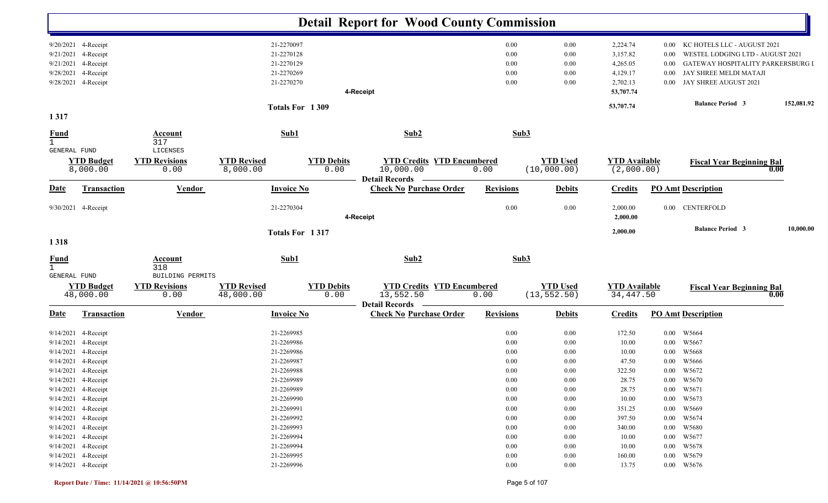|                                                    |                                                                                                                                                                                                                                                    |                                                  |                                                                                                                                                                      |                           | <b>Detail Report for Wood County Commission</b>                         |                                                                                                  |                                                                                                  |                                                                                                              |                                                          |                                                                                                                                                                |            |
|----------------------------------------------------|----------------------------------------------------------------------------------------------------------------------------------------------------------------------------------------------------------------------------------------------------|--------------------------------------------------|----------------------------------------------------------------------------------------------------------------------------------------------------------------------|---------------------------|-------------------------------------------------------------------------|--------------------------------------------------------------------------------------------------|--------------------------------------------------------------------------------------------------|--------------------------------------------------------------------------------------------------------------|----------------------------------------------------------|----------------------------------------------------------------------------------------------------------------------------------------------------------------|------------|
| 9/21/2021<br>9/21/2021<br>9/28/2021<br>9/28/2021   | 9/20/2021 4-Receipt<br>4-Receipt<br>4-Receipt<br>4-Receipt<br>4-Receipt                                                                                                                                                                            |                                                  | 21-2270097<br>21-2270128<br>21-2270129<br>21-2270269<br>21-2270270                                                                                                   |                           | 4-Receipt                                                               | 0.00<br>0.00<br>0.00<br>0.00<br>0.00                                                             | 0.00<br>0.00<br>0.00<br>0.00<br>0.00                                                             | 2,224.74<br>3,157.82<br>4,265.05<br>4,129.17<br>2,702.13<br>53,707.74                                        | $0.00\,$<br>$0.00\,$<br>$0.00\,$<br>$0.00\,$<br>$0.00\,$ | KC HOTELS LLC - AUGUST 2021<br>WESTEL LODGING LTD - AUGUST 2021<br>GATEWAY HOSPITALITY PARKERSBURG I<br>JAY SHREE MELDI MATAJI<br>JAY SHREE AUGUST 2021        |            |
| 1317                                               |                                                                                                                                                                                                                                                    |                                                  |                                                                                                                                                                      | Totals For 1309           |                                                                         |                                                                                                  |                                                                                                  | 53,707.74                                                                                                    |                                                          | <b>Balance Period 3</b>                                                                                                                                        | 152,081.92 |
| <b>Fund</b><br>$\mathbf{1}$<br><b>GENERAL FUND</b> |                                                                                                                                                                                                                                                    | <b>Account</b><br>317<br>LICENSES                | Sub1                                                                                                                                                                 |                           | Sub2                                                                    |                                                                                                  | Sub3                                                                                             |                                                                                                              |                                                          |                                                                                                                                                                |            |
|                                                    | <b>YTD Budget</b><br>8,000.00                                                                                                                                                                                                                      | <b>YTD Revisions</b><br>0.00                     | <b>YTD Revised</b><br>8,000.00                                                                                                                                       | <b>YTD Debits</b><br>0.00 | <b>YTD Credits YTD Encumbered</b><br>10,000.00<br><b>Detail Records</b> | 0.00                                                                                             | <b>YTD Used</b><br>(10,000.00)                                                                   | <b>YTD Available</b><br>(2,000.00)                                                                           |                                                          | <b>Fiscal Year Beginning Bal</b>                                                                                                                               | 0.00       |
| <b>Date</b>                                        | <b>Transaction</b>                                                                                                                                                                                                                                 | <b>Vendor</b>                                    | <b>Invoice No</b>                                                                                                                                                    |                           | <b>Check No Purchase Order</b>                                          | <b>Revisions</b>                                                                                 | <b>Debits</b>                                                                                    | <b>Credits</b>                                                                                               |                                                          | <b>PO Amt Description</b>                                                                                                                                      |            |
|                                                    | 9/30/2021 4-Receipt                                                                                                                                                                                                                                |                                                  | 21-2270304                                                                                                                                                           |                           | 4-Receipt                                                               | 0.00                                                                                             | 0.00                                                                                             | 2,000.00<br>2,000.00                                                                                         | $0.00\,$                                                 | CENTERFOLD                                                                                                                                                     |            |
| 1318                                               |                                                                                                                                                                                                                                                    |                                                  |                                                                                                                                                                      | Totals For 1317           |                                                                         |                                                                                                  |                                                                                                  | 2,000.00                                                                                                     |                                                          | <b>Balance Period 3</b>                                                                                                                                        | 10,000.00  |
| <b>Fund</b><br>$\mathbf{1}$                        |                                                                                                                                                                                                                                                    | <b>Account</b><br>318                            | Sub1                                                                                                                                                                 |                           | Sub2                                                                    |                                                                                                  | Sub3                                                                                             |                                                                                                              |                                                          |                                                                                                                                                                |            |
| GENERAL FUND                                       | <b>YTD Budget</b><br>48,000.00                                                                                                                                                                                                                     | BUILDING PERMITS<br><b>YTD Revisions</b><br>0.00 | <b>YTD Revised</b><br>48,000.00                                                                                                                                      | <b>YTD Debits</b><br>0.00 | <b>YTD Credits YTD Encumbered</b><br>13,552.50<br><b>Detail Records</b> | 0.00                                                                                             | <b>YTD Used</b><br>(13, 552.50)                                                                  | <b>YTD</b> Available<br>34, 447.50                                                                           |                                                          | <b>Fiscal Year Beginning Bal</b>                                                                                                                               | 0.00       |
| <b>Date</b>                                        | Transaction                                                                                                                                                                                                                                        | <b>Vendor</b>                                    | <b>Invoice No</b>                                                                                                                                                    |                           | <b>Check No Purchase Order</b>                                          | <b>Revisions</b>                                                                                 | <b>Debits</b>                                                                                    | <b>Credits</b>                                                                                               |                                                          | <b>PO Amt Description</b>                                                                                                                                      |            |
| 9/14/2021<br>9/14/2021<br>9/14/2021                | 4-Receipt<br>4-Receipt<br>4-Receipt<br>9/14/2021 4-Receipt<br>9/14/2021 4-Receipt<br>9/14/2021 4-Receipt<br>9/14/2021 4-Receipt<br>9/14/2021 4-Receipt<br>9/14/2021 4-Receipt<br>9/14/2021 4-Receipt<br>9/14/2021 4-Receipt<br>9/14/2021 4-Receipt |                                                  | 21-2269986<br>21-2269986<br>21-2269987<br>21-2269988<br>21-2269989<br>21-2269989<br>21-2269990<br>21-2269991<br>21-2269992<br>21-2269993<br>21-2269994<br>21-2269994 |                           |                                                                         | 0.00<br>0.00<br>0.00<br>0.00<br>$0.00\,$<br>0.00<br>0.00<br>0.00<br>0.00<br>0.00<br>0.00<br>0.00 | 0.00<br>0.00<br>0.00<br>0.00<br>$0.00\,$<br>0.00<br>0.00<br>0.00<br>0.00<br>0.00<br>0.00<br>0.00 | 10.00<br>10.00<br>47.50<br>322.50<br>28.75<br>28.75<br>10.00<br>351.25<br>397.50<br>340.00<br>10.00<br>10.00 | $0.00\,$<br>$0.00\,$<br>$0.00\,$                         | W5667<br>W5668<br>W5666<br>0.00 W5672<br>$0.00\quad$ W5670<br>0.00 W5671<br>0.00 W5673<br>0.00 W5669<br>0.00 W5674<br>$0.00$ W5680<br>0.00 W5677<br>0.00 W5678 |            |
|                                                    | 9/14/2021 4-Receipt<br>9/14/2021 4-Receipt                                                                                                                                                                                                         |                                                  | 21-2269995<br>21-2269996                                                                                                                                             |                           |                                                                         | 0.00<br>0.00                                                                                     | 0.00<br>$0.00\,$                                                                                 | 160.00<br>13.75                                                                                              |                                                          | 0.00 W5679<br>0.00 W5676                                                                                                                                       |            |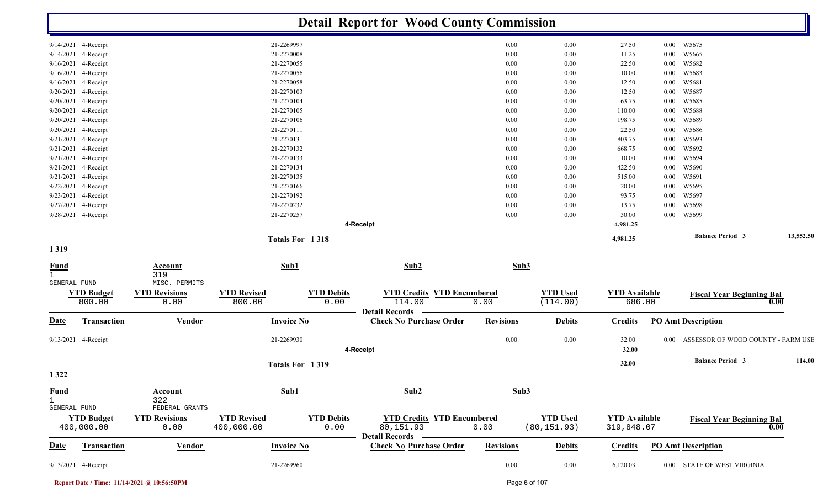|                                             |                                               |                                  |                           | <b>Detail Report for Wood County Commission</b>                    |                  |                                 |                                    |                                                |           |
|---------------------------------------------|-----------------------------------------------|----------------------------------|---------------------------|--------------------------------------------------------------------|------------------|---------------------------------|------------------------------------|------------------------------------------------|-----------|
| 9/14/2021 4-Receipt                         |                                               | 21-2269997                       |                           |                                                                    | 0.00             | 0.00                            | 27.50                              | W5675<br>$0.00\,$                              |           |
| 4-Receipt<br>9/14/2021                      |                                               | 21-2270008                       |                           |                                                                    | 0.00             | 0.00                            | 11.25                              | W5665<br>$0.00\,$                              |           |
| 9/16/2021<br>4-Receipt                      |                                               | 21-2270055                       |                           |                                                                    | 0.00             | 0.00                            | 22.50                              | W5682<br>0.00                                  |           |
| 9/16/2021<br>4-Receipt                      |                                               | 21-2270056                       |                           |                                                                    | 0.00             | 0.00                            | 10.00                              | W5683<br>0.00                                  |           |
| 4-Receipt<br>9/16/2021                      |                                               | 21-2270058                       |                           |                                                                    | 0.00             | 0.00                            | 12.50                              | W5681<br>0.00                                  |           |
| 4-Receipt<br>9/20/2021                      |                                               | 21-2270103                       |                           |                                                                    | 0.00             | 0.00                            | 12.50                              | W5687<br>0.00                                  |           |
| 9/20/2021<br>4-Receipt                      |                                               | 21-2270104                       |                           |                                                                    | 0.00             | 0.00                            | 63.75                              | W5685<br>0.00                                  |           |
| 9/20/2021<br>4-Receipt                      |                                               | 21-2270105                       |                           |                                                                    | 0.00             | 0.00                            | 110.00                             | W5688<br>0.00                                  |           |
| 9/20/2021 4-Receipt                         |                                               | 21-2270106                       |                           |                                                                    | 0.00             | 0.00                            | 198.75                             | 0.00<br>W5689                                  |           |
| 9/20/2021 4-Receipt                         |                                               | 21-2270111                       |                           |                                                                    | 0.00             | 0.00                            | 22.50                              | W5686<br>$0.00\,$                              |           |
| 9/21/2021 4-Receipt                         |                                               | 21-2270131                       |                           |                                                                    | 0.00             | 0.00                            | 803.75                             | W5693<br>$0.00\,$                              |           |
| 9/21/2021 4-Receipt                         |                                               | 21-2270132                       |                           |                                                                    | 0.00             | 0.00                            | 668.75                             | W5692<br>$0.00\,$                              |           |
| 9/21/2021<br>4-Receipt                      |                                               | 21-2270133                       |                           |                                                                    | 0.00             | 0.00                            | 10.00                              | $0.00\,$<br>W5694                              |           |
| 9/21/2021<br>4-Receipt                      |                                               | 21-2270134                       |                           |                                                                    | 0.00             | 0.00                            | 422.50                             | 0.00<br>W5690                                  |           |
| 9/21/2021<br>4-Receipt                      |                                               | 21-2270135                       |                           |                                                                    | 0.00             | 0.00                            | 515.00                             | 0.00<br>W5691                                  |           |
| 9/22/2021<br>4-Receipt                      |                                               | 21-2270166                       |                           |                                                                    | 0.00             | 0.00                            | 20.00                              | W5695<br>0.00                                  |           |
| 9/23/2021<br>4-Receipt                      |                                               | 21-2270192                       |                           |                                                                    | 0.00             | 0.00                            | 93.75                              | W5697<br>0.00                                  |           |
| 4-Receipt<br>9/27/2021                      |                                               | 21-2270232                       |                           |                                                                    | 0.00             | 0.00                            | 13.75                              | W5698<br>0.00                                  |           |
| 9/28/2021 4-Receipt                         |                                               | 21-2270257                       |                           |                                                                    | 0.00             | 0.00                            | 30.00                              | W5699<br>$0.00\,$                              |           |
|                                             |                                               |                                  |                           | 4-Receipt                                                          |                  |                                 | 4,981.25<br>4,981.25               | <b>Balance Period 3</b>                        | 13,552.50 |
| 1319                                        |                                               | Totals For 1318                  |                           |                                                                    |                  |                                 |                                    |                                                |           |
| <b>Fund</b><br>$\mathbf{1}$                 | <b>Account</b><br>319                         | Sub1                             |                           | Sub2                                                               | Sub3             |                                 |                                    |                                                |           |
| GENERAL FUND<br><b>YTD Budget</b><br>800.00 | MISC. PERMITS<br><b>YTD Revisions</b><br>0.00 | <b>YTD Revised</b><br>800.00     | <b>YTD Debits</b><br>0.00 | <b>YTD Credits YTD Encumbered</b><br>114.00                        | 0.00             | <b>YTD</b> Used<br>(114.00)     | <b>YTD Available</b><br>686.00     | <b>Fiscal Year Beginning Bal</b>               | 0.00      |
| <u>Date</u><br><b>Transaction</b>           | <b>Vendor</b>                                 | <b>Invoice No</b>                |                           | <b>Detail Records</b><br><b>Check No Purchase Order</b>            | <b>Revisions</b> | <b>Debits</b>                   | <b>Credits</b>                     | <b>PO Amt Description</b>                      |           |
| 9/13/2021 4-Receipt                         |                                               | 21-2269930                       |                           | 4-Receipt                                                          | 0.00             | 0.00                            | 32.00<br>32.00                     | ASSESSOR OF WOOD COUNTY - FARM USE<br>$0.00\,$ |           |
| 1322                                        |                                               | Totals For 1319                  |                           |                                                                    |                  |                                 | 32.00                              | <b>Balance Period 3</b>                        | 114.00    |
| <b>Fund</b><br>$\mathbf{1}$<br>GENERAL FUND | Account<br>322<br>FEDERAL GRANTS              | Sub1                             |                           | Sub2                                                               | Sub3             |                                 |                                    |                                                |           |
| <b>YTD Budget</b><br>400,000.00             | <b>YTD Revisions</b><br>0.00                  | <b>YTD Revised</b><br>400,000.00 | <b>YTD Debits</b><br>0.00 | <b>YTD Credits YTD Encumbered</b><br>80,151.93<br>Detail Records — | 0.00             | <b>YTD Used</b><br>(80, 151.93) | <b>YTD Available</b><br>319,848.07 | <b>Fiscal Year Beginning Bal</b>               | 0.00      |
| <b>Transaction</b><br>Date                  | <b>Vendor</b>                                 | <b>Invoice No</b>                |                           | <b>Check No Purchase Order</b>                                     | <b>Revisions</b> | <b>Debits</b>                   | <b>Credits</b>                     | <b>PO Amt Description</b>                      |           |
| 9/13/2021 4-Receipt                         |                                               | 21-2269960                       |                           |                                                                    | $0.00\,$         | $0.00\,$                        | 6,120.03                           | 0.00 STATE OF WEST VIRGINIA                    |           |

**Report Date / Time: 11/14/2021 @ 10:56:50PM** Page 6 of 107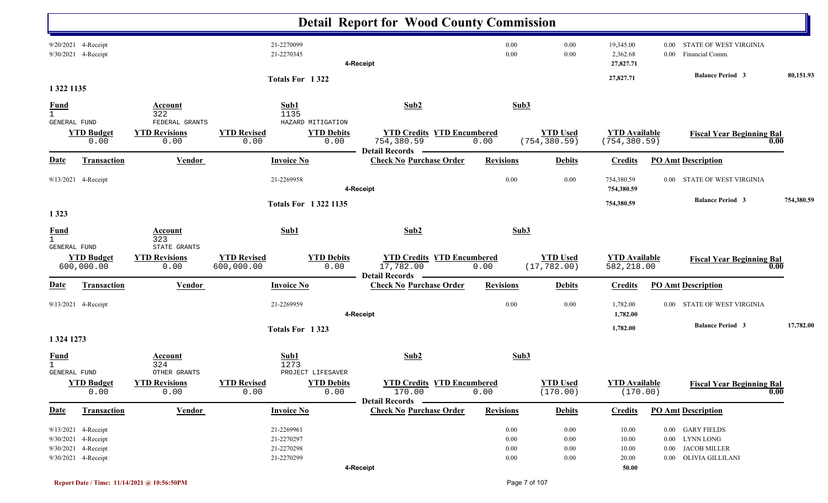|                                             |                                                                                          |                                              |                                                      |                            | <b>Detail Report for Wood County Commission</b>                          |                              |                                  |                                       |              |                                                                                    |            |
|---------------------------------------------|------------------------------------------------------------------------------------------|----------------------------------------------|------------------------------------------------------|----------------------------|--------------------------------------------------------------------------|------------------------------|----------------------------------|---------------------------------------|--------------|------------------------------------------------------------------------------------|------------|
|                                             | 9/20/2021 4-Receipt<br>9/30/2021 4-Receipt                                               |                                              | 21-2270099<br>21-2270345                             |                            | 4-Receipt                                                                | 0.00<br>0.00                 | 0.00<br>0.00                     | 19,345.00<br>2,362.68<br>27,827.71    | 0.00<br>0.00 | STATE OF WEST VIRGINIA<br>Financial Comm.                                          |            |
|                                             |                                                                                          |                                              |                                                      | Totals For 1322            |                                                                          |                              |                                  | 27,827.71                             |              | <b>Balance Period 3</b>                                                            | 80,151.93  |
| 1 322 1135                                  |                                                                                          |                                              |                                                      |                            |                                                                          |                              |                                  |                                       |              |                                                                                    |            |
| <b>Fund</b><br>$\mathbf{1}$<br>GENERAL FUND |                                                                                          | Account<br>322<br>FEDERAL GRANTS             | Sub1<br>1135                                         | HAZARD MITIGATION          | Sub2                                                                     |                              | Sub3                             |                                       |              |                                                                                    |            |
|                                             | <b>YTD Budget</b><br>0.00                                                                | <b>YTD Revisions</b><br>0.00                 | <b>YTD Revised</b><br>0.00                           | <b>YTD Debits</b><br>0.00  | <b>YTD Credits YTD Encumbered</b><br>754,380.59<br><b>Detail Records</b> | 0.00                         | <b>YTD Used</b><br>(754, 380.59) | <b>YTD Available</b><br>(754, 380.59) |              | <b>Fiscal Year Beginning Bal</b>                                                   | 0.00       |
| <b>Date</b>                                 | <b>Transaction</b>                                                                       | <b>Vendor</b>                                | <b>Invoice No</b>                                    |                            | <b>Check No Purchase Order</b>                                           | <b>Revisions</b>             | <b>Debits</b>                    | <b>Credits</b>                        |              | <b>PO Amt Description</b>                                                          |            |
|                                             | 9/13/2021 4-Receipt                                                                      |                                              | 21-2269958                                           |                            | 4-Receipt                                                                | 0.00                         | 0.00                             | 754,380.59<br>754,380.59              | $0.00\,$     | STATE OF WEST VIRGINIA                                                             |            |
| 1 3 2 3                                     |                                                                                          |                                              |                                                      | <b>Totals For 13221135</b> |                                                                          |                              |                                  | 754,380.59                            |              | <b>Balance Period 3</b>                                                            | 754,380.59 |
| <b>Fund</b><br>$\mathbf{1}$                 |                                                                                          | <b>Account</b><br>323                        | Sub1                                                 |                            | Sub2                                                                     |                              | Sub3                             |                                       |              |                                                                                    |            |
| GENERAL FUND                                | <b>YTD Budget</b><br>600,000.00                                                          | STATE GRANTS<br><b>YTD Revisions</b><br>0.00 | <b>YTD Revised</b><br>600,000.00                     | <b>YTD Debits</b><br>0.00  | <b>YTD Credits YTD Encumbered</b><br>17,782.00<br><b>Detail Records</b>  | 0.00                         | <b>YTD Used</b><br>(17, 782.00)  | <b>YTD</b> Available<br>582,218.00    |              | <b>Fiscal Year Beginning Bal</b>                                                   | 0.00       |
| <u>Date</u>                                 | Transaction                                                                              | Vendor                                       | <b>Invoice No</b>                                    |                            | <b>Check No Purchase Order</b>                                           | <b>Revisions</b>             | <b>Debits</b>                    | <b>Credits</b>                        |              | <b>PO Amt Description</b>                                                          |            |
|                                             | 9/13/2021 4-Receipt                                                                      |                                              | 21-2269959                                           |                            | 4-Receipt                                                                | 0.00                         | 0.00                             | 1,782.00<br>1,782.00                  | $0.00\,$     | STATE OF WEST VIRGINIA                                                             |            |
| 1 324 1273                                  |                                                                                          |                                              |                                                      | Totals For 1323            |                                                                          |                              |                                  | 1,782.00                              |              | <b>Balance Period 3</b>                                                            | 17,782.00  |
| $\frac{Fund}{1}$<br><b>GENERAL FUND</b>     |                                                                                          | <b>Account</b><br>324<br>OTHER GRANTS        | Sub1<br>1273                                         | PROJECT LIFESAVER          | Sub2                                                                     |                              | Sub3                             |                                       |              |                                                                                    |            |
|                                             | <b>YTD Budget</b><br>0.00                                                                | <b>YTD Revisions</b><br>0.00                 | <b>YTD Revised</b><br>0.00                           | <b>YTD Debits</b><br>0.00  | <b>YTD Credits YTD Encumbered</b><br>170.00<br>Detail Records —          | 0.00                         | <b>YTD Used</b><br>(170.00)      | <b>YTD</b> Available<br>(170.00)      |              | <b>Fiscal Year Beginning Bal</b>                                                   | 0.00       |
| <b>Date</b>                                 | <b>Transaction</b>                                                                       | <b>Vendor</b>                                | <b>Invoice No</b>                                    |                            | <b>Check No Purchase Order</b>                                           | <b>Revisions</b>             | <b>Debits</b>                    | <b>Credits</b>                        |              | <b>PO Amt Description</b>                                                          |            |
|                                             | 9/13/2021 4-Receipt<br>9/30/2021 4-Receipt<br>9/30/2021 4-Receipt<br>9/30/2021 4-Receipt |                                              | 21-2269961<br>21-2270297<br>21-2270298<br>21-2270299 |                            |                                                                          | 0.00<br>0.00<br>0.00<br>0.00 | 0.00<br>0.00<br>0.00<br>0.00     | 10.00<br>10.00<br>10.00<br>20.00      | $0.00\,$     | 0.00 GARY FIELDS<br>0.00 LYNN LONG<br><b>JACOB MILLER</b><br>0.00 OLIVIA GILLILANI |            |
|                                             |                                                                                          |                                              |                                                      |                            | 4-Receipt                                                                |                              |                                  | 50.00                                 |              |                                                                                    |            |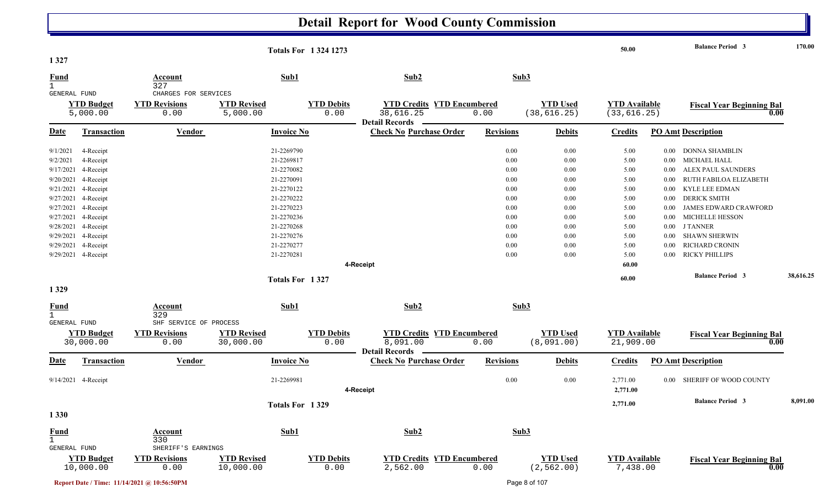|                                     |                                |                              |                                 | <b>Totals For 13241273</b> |                                                                        |                  |                               | 50.00                             |          | <b>Balance Period 3</b>                  | 170.00    |
|-------------------------------------|--------------------------------|------------------------------|---------------------------------|----------------------------|------------------------------------------------------------------------|------------------|-------------------------------|-----------------------------------|----------|------------------------------------------|-----------|
| 1327                                |                                |                              |                                 |                            |                                                                        |                  |                               |                                   |          |                                          |           |
| <b>Fund</b>                         |                                | <b>Account</b>               | Sub1                            |                            | Sub2                                                                   |                  | Sub3                          |                                   |          |                                          |           |
| $\mathbf{1}$<br><b>GENERAL FUND</b> |                                | 327<br>CHARGES FOR SERVICES  |                                 |                            |                                                                        |                  |                               |                                   |          |                                          |           |
|                                     | <b>YTD Budget</b>              | <b>YTD Revisions</b>         | <b>YTD Revised</b>              | <b>YTD Debits</b>          | <b>YTD Credits YTD Encumbered</b>                                      |                  | <b>YTD Used</b>               | <b>YTD Available</b>              |          | <b>Fiscal Year Beginning Bal</b>         |           |
|                                     | 5,000.00                       | 0.00                         | 5,000.00                        | 0.00                       | 38,616.25                                                              | 0.00             | (38, 616.25)                  | (33, 616.25)                      |          | 0.00                                     |           |
|                                     |                                |                              |                                 |                            | <b>Detail Records</b>                                                  |                  |                               |                                   |          |                                          |           |
| <u>Date</u>                         | <b>Transaction</b>             | Vendor                       | <b>Invoice No</b>               |                            | <b>Check No Purchase Order</b>                                         | <b>Revisions</b> | <b>Debits</b>                 | <b>Credits</b>                    |          | <b>PO Amt Description</b>                |           |
| 9/1/2021                            | 4-Receipt                      |                              | 21-2269790                      |                            |                                                                        | 0.00             | 0.00                          | 5.00                              | $0.00\,$ | DONNA SHAMBLIN                           |           |
| 9/2/2021                            | 4-Receipt                      |                              | 21-2269817                      |                            |                                                                        | 0.00             | 0.00                          | 5.00                              | $0.00\,$ | MICHAEL HALL                             |           |
| 9/17/2021                           | 4-Receipt                      |                              | 21-2270082                      |                            |                                                                        | 0.00             | 0.00                          | 5.00                              | 0.00     | ALEX PAUL SAUNDERS                       |           |
|                                     | 9/20/2021 4-Receipt            |                              | 21-2270091                      |                            |                                                                        | 0.00             | 0.00                          | 5.00                              | 0.00     | RUTH FABILOA ELIZABETH                   |           |
| 9/21/2021                           | 4-Receipt                      |                              | 21-2270122                      |                            |                                                                        | 0.00             | 0.00                          | 5.00                              | 0.00     | KYLE LEE EDMAN                           |           |
|                                     | 9/27/2021 4-Receipt            |                              | 21-2270222                      |                            |                                                                        | 0.00             | 0.00                          | 5.00                              | 0.00     | <b>DERICK SMITH</b>                      |           |
|                                     | 9/27/2021 4-Receipt            |                              | 21-2270223                      |                            |                                                                        | 0.00             | 0.00                          | 5.00                              | 0.00     | JAMES EDWARD CRAWFORD                    |           |
|                                     | 9/27/2021 4-Receipt            |                              | 21-2270236                      |                            |                                                                        | 0.00             | 0.00                          | 5.00                              | 0.00     | <b>MICHELLE HESSON</b>                   |           |
|                                     | 9/28/2021 4-Receipt            |                              | 21-2270268                      |                            |                                                                        | 0.00             | 0.00                          | 5.00                              | 0.00     | <b>J TANNER</b>                          |           |
|                                     | 9/29/2021 4-Receipt            |                              | 21-2270276                      |                            |                                                                        | 0.00             | 0.00                          | 5.00                              | 0.00     | <b>SHAWN SHERWIN</b>                     |           |
|                                     | 9/29/2021 4-Receipt            |                              | 21-2270277                      |                            |                                                                        | 0.00             | 0.00                          | 5.00                              | 0.00     | <b>RICHARD CRONIN</b>                    |           |
|                                     | 9/29/2021 4-Receipt            |                              | 21-2270281                      |                            |                                                                        | 0.00             | 0.00                          | 5.00                              | $0.00\,$ | <b>RICKY PHILLIPS</b>                    |           |
|                                     |                                |                              |                                 |                            | 4-Receipt                                                              |                  |                               | 60.00                             |          |                                          |           |
|                                     |                                |                              | Totals For 1327                 |                            |                                                                        |                  |                               | 60.00                             |          | <b>Balance Period 3</b>                  | 38,616.25 |
| 1329                                |                                |                              |                                 |                            |                                                                        |                  |                               |                                   |          |                                          |           |
| $rac{\text{Fund}}{1}$               |                                | <b>Account</b><br>329        | Sub1                            |                            | Sub2                                                                   |                  | Sub3                          |                                   |          |                                          |           |
| GENERAL FUND                        |                                | SHF SERVICE OF PROCESS       |                                 |                            |                                                                        |                  |                               |                                   |          |                                          |           |
|                                     | <b>YTD Budget</b><br>30,000.00 | <b>YTD Revisions</b><br>0.00 | <b>YTD Revised</b><br>30,000.00 | <b>YTD Debits</b><br>0.00  | <b>YTD Credits YTD Encumbered</b><br>8,091.00<br><b>Detail Records</b> | 0.00             | <b>YTD Used</b><br>(8,091.00) | <b>YTD Available</b><br>21,909.00 |          | <b>Fiscal Year Beginning Bal</b><br>0.00 |           |
| <u>Date</u>                         | <b>Transaction</b>             | <b>Vendor</b>                | <b>Invoice No</b>               |                            | <b>Check No Purchase Order</b>                                         | <b>Revisions</b> | <b>Debits</b>                 | <b>Credits</b>                    |          | <b>PO Amt Description</b>                |           |
|                                     | 9/14/2021 4-Receipt            |                              | 21-2269981                      |                            |                                                                        | 0.00             | 0.00                          | 2,771.00                          | 0.00     | SHERIFF OF WOOD COUNTY                   |           |
|                                     |                                |                              |                                 |                            | 4-Receipt                                                              |                  |                               | 2,771.00                          |          |                                          |           |
|                                     |                                |                              | Totals For 1329                 |                            |                                                                        |                  |                               | 2,771.00                          |          | <b>Balance Period 3</b>                  | 8,091.00  |
| 1 3 3 0                             |                                |                              |                                 |                            |                                                                        |                  |                               |                                   |          |                                          |           |
| <b>Fund</b>                         |                                | <b>Account</b>               | Sub1                            |                            | Sub2                                                                   |                  | Sub3                          |                                   |          |                                          |           |
| $\mathbf{1}$                        |                                | 330<br>SHERIFF'S EARNINGS    |                                 |                            |                                                                        |                  |                               |                                   |          |                                          |           |
| <b>GENERAL FUND</b>                 | <b>YTD Budget</b>              | <b>YTD Revisions</b>         | <b>YTD Revised</b>              | <b>YTD Debits</b>          | <b>YTD Credits YTD Encumbered</b>                                      |                  | <b>YTD Used</b>               | <b>YTD Available</b>              |          | <b>Fiscal Year Beginning Bal</b>         |           |
|                                     | 10,000.00                      | 0.00                         | 10,000.00                       | 0.00                       | 2,562.00                                                               | 0.00             | (2, 562.00)                   | 7,438.00                          |          | 0.00                                     |           |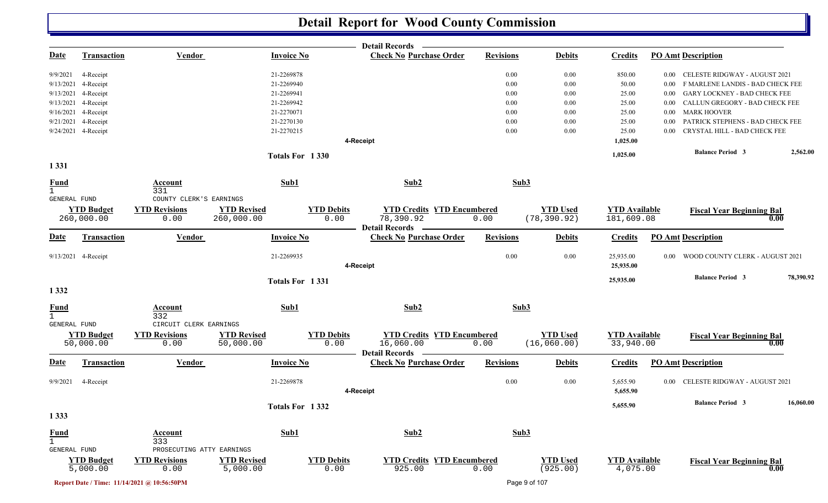|                              |                                |                                             |                                 |                           | Detail Records —                                   |                       |                                 |                                   |                                           |           |
|------------------------------|--------------------------------|---------------------------------------------|---------------------------------|---------------------------|----------------------------------------------------|-----------------------|---------------------------------|-----------------------------------|-------------------------------------------|-----------|
| <b>Date</b>                  | <b>Transaction</b>             | <b>Vendor</b>                               | <b>Invoice No</b>               |                           | <b>Check No Purchase Order</b>                     | <b>Revisions</b>      | <b>Debits</b>                   | <b>Credits</b>                    | <b>PO Amt Description</b>                 |           |
| 9/9/2021                     | 4-Receipt                      |                                             | 21-2269878                      |                           |                                                    | 0.00                  | 0.00                            | 850.00                            | CELESTE RIDGWAY - AUGUST 2021<br>$0.00\,$ |           |
| 9/13/2021                    | 4-Receipt                      |                                             | 21-2269940                      |                           |                                                    | 0.00                  | 0.00                            | 50.00                             | F MARLENE LANDIS - BAD CHECK FEE<br>0.00  |           |
| 9/13/2021                    | 4-Receipt                      |                                             | 21-2269941                      |                           |                                                    | 0.00                  | 0.00                            | 25.00                             | GARY LOCKNEY - BAD CHECK FEE<br>$0.00\,$  |           |
| 9/13/2021                    | 4-Receipt                      |                                             | 21-2269942                      |                           |                                                    | 0.00                  | 0.00                            | 25.00                             | CALLUN GREGORY - BAD CHECK FEE<br>0.00    |           |
| 9/16/2021                    | 4-Receipt                      |                                             | 21-2270071                      |                           |                                                    | 0.00                  | 0.00                            | 25.00                             | <b>MARK HOOVER</b><br>$0.00\,$            |           |
| 9/21/2021                    | 4-Receipt                      |                                             | 21-2270130                      |                           |                                                    | 0.00                  | 0.00                            | 25.00                             | PATRICK STEPHENS - BAD CHECK FEE<br>0.00  |           |
|                              | 9/24/2021 4-Receipt            |                                             | 21-2270215                      |                           |                                                    | 0.00                  | 0.00                            | 25.00                             | CRYSTAL HILL - BAD CHECK FEE<br>$0.00\,$  |           |
|                              |                                |                                             |                                 | 4-Receipt                 |                                                    |                       |                                 | 1,025.00                          |                                           |           |
|                              |                                |                                             | Totals For 1330                 |                           |                                                    |                       |                                 | 1,025.00                          | <b>Balance Period 3</b>                   | 2,562.00  |
| 1 3 3 1                      |                                |                                             |                                 |                           |                                                    |                       |                                 |                                   |                                           |           |
| <b>Fund</b><br>1             |                                | Account<br>331                              | Sub1                            |                           | Sub2                                               | Sub3                  |                                 |                                   |                                           |           |
| GENERAL FUND                 |                                | COUNTY CLERK'S EARNINGS                     |                                 |                           |                                                    |                       |                                 |                                   |                                           |           |
|                              | <b>YTD Budget</b>              | <b>YTD Revisions</b>                        | <b>YTD Revised</b>              | <b>YTD Debits</b>         | <b>YTD Credits YTD Encumbered</b>                  |                       | <b>YTD Used</b>                 | <b>YTD</b> Available              | <b>Fiscal Year Beginning Bal</b>          |           |
|                              | 260,000.00                     | 0.00                                        | 260,000.00                      | 0.00                      | 78,390.92<br><b>Detail Records</b>                 | 0.00                  | (78, 390.92)                    | 181,609.08                        |                                           | 0.00      |
| <u>Date</u>                  | <b>Transaction</b>             | <b>Vendor</b>                               | <b>Invoice No</b>               |                           | <b>Check No Purchase Order</b>                     | <b>Revisions</b>      | <b>Debits</b>                   | <b>Credits</b>                    | <b>PO Amt Description</b>                 |           |
|                              | 9/13/2021 4-Receipt            |                                             | 21-2269935                      |                           |                                                    | 0.00                  | 0.00                            | 25,935.00                         | WOOD COUNTY CLERK - AUGUST 2021<br>0.00   |           |
|                              |                                |                                             |                                 | 4-Receipt                 |                                                    |                       |                                 | 25,935.00                         |                                           |           |
|                              |                                |                                             | Totals For 1331                 |                           |                                                    |                       |                                 | 25,935.00                         | <b>Balance Period 3</b>                   | 78,390.92 |
| 1 3 3 2                      |                                |                                             |                                 |                           |                                                    |                       |                                 |                                   |                                           |           |
| <b>Fund</b>                  |                                | Account<br>332                              | Sub1                            |                           | Sub2                                               | Sub3                  |                                 |                                   |                                           |           |
| GENERAL FUND                 |                                | CIRCUIT CLERK EARNINGS                      |                                 |                           |                                                    |                       |                                 |                                   |                                           |           |
|                              | <b>YTD Budget</b><br>50,000.00 | <b>YTD Revisions</b><br>0.00                | <b>YTD Revised</b><br>50,000.00 | <b>YTD Debits</b><br>0.00 | <b>YTD Credits YTD Encumbered</b><br>16,060.00     | 0.00                  | <b>YTD Used</b><br>(16, 060.00) | <b>YTD Available</b><br>33,940.00 | <b>Fiscal Year Beginning Bal</b>          | 0.00      |
| <b>Date</b>                  | <b>Transaction</b>             | Vendor                                      | <b>Invoice No</b>               |                           | Detail Records -<br><b>Check No Purchase Order</b> | <b>Revisions</b>      | <b>Debits</b>                   | <b>Credits</b>                    | <b>PO Amt Description</b>                 |           |
| 9/9/2021                     | 4-Receipt                      |                                             | 21-2269878                      |                           |                                                    | 0.00                  | 0.00                            | 5,655.90                          | 0.00 CELESTE RIDGWAY - AUGUST 2021        |           |
|                              |                                |                                             |                                 | 4-Receipt                 |                                                    |                       |                                 | 5,655.90                          |                                           |           |
|                              |                                |                                             | Totals For 1332                 |                           |                                                    |                       |                                 | 5,655.90                          | <b>Balance Period 3</b>                   | 16,060.00 |
| 1 3 3 3                      |                                |                                             |                                 |                           |                                                    |                       |                                 |                                   |                                           |           |
| <b>Fund</b>                  |                                | <b>Account</b>                              | Sub1                            |                           | Sub2                                               | Sub3                  |                                 |                                   |                                           |           |
| $\mathbf{1}$<br>GENERAL FUND |                                | 333<br>PROSECUTING ATTY EARNINGS            |                                 |                           |                                                    |                       |                                 |                                   |                                           |           |
|                              | <b>YTD Budget</b>              | <b>YTD Revisions</b>                        | <b>YTD Revised</b>              | <b>YTD Debits</b>         | <b>YTD Credits</b>                                 | <b>YTD Encumbered</b> | <b>YTD Used</b>                 | <b>YTD Available</b>              |                                           |           |
|                              | 5,000.00                       | 0.00                                        | 5,000.00                        | 0.00                      | 925.00                                             | 0.00                  | (925.00)                        | 4,075.00                          | <b>Fiscal Year Beginning Bal</b>          | 0.00      |
|                              |                                | Report Date / Time: 11/14/2021 @ 10:56:50PM |                                 |                           |                                                    |                       | Page 9 of 107                   |                                   |                                           |           |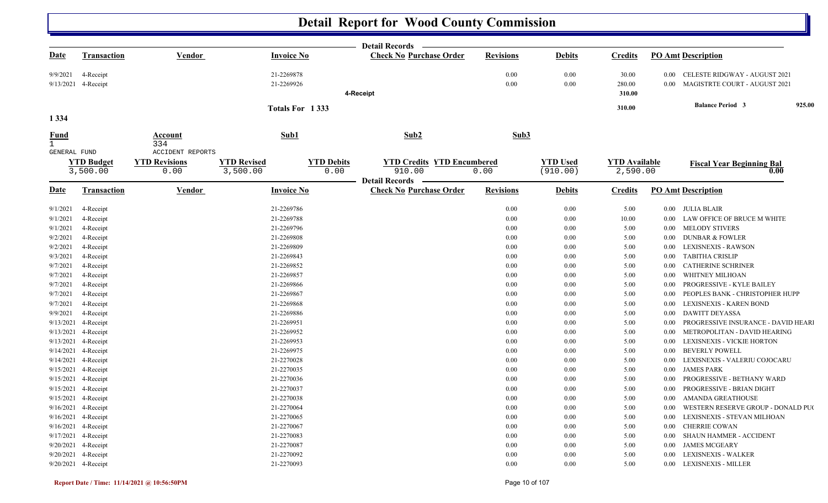|                             |                                  |                              |                                |                           | <b>Detail Records</b>                                   |                  |                             |                                  |                      |                                                                |        |
|-----------------------------|----------------------------------|------------------------------|--------------------------------|---------------------------|---------------------------------------------------------|------------------|-----------------------------|----------------------------------|----------------------|----------------------------------------------------------------|--------|
| <u>Date</u>                 | <b>Transaction</b>               | <b>Vendor</b>                | <b>Invoice No</b>              |                           | <b>Check No Purchase Order</b>                          | <b>Revisions</b> | <b>Debits</b>               | <b>Credits</b>                   |                      | <b>PO Amt Description</b>                                      |        |
| 9/9/2021                    | 4-Receipt<br>9/13/2021 4-Receipt |                              | 21-2269878<br>21-2269926       |                           | 4-Receipt                                               | 0.00<br>0.00     | 0.00<br>0.00                | 30.00<br>280.00<br>310.00        | $0.00\,$<br>$0.00\,$ | CELESTE RIDGWAY - AUGUST 2021<br>MAGISTRTE COURT - AUGUST 2021 |        |
|                             |                                  |                              |                                |                           |                                                         |                  |                             | 310.00                           |                      | <b>Balance Period 3</b>                                        | 925.00 |
| 1 3 3 4                     |                                  |                              | Totals For 1333                |                           |                                                         |                  |                             |                                  |                      |                                                                |        |
| <u>Fund</u><br>$\mathbf{1}$ |                                  | Account<br>334               | Sub1                           |                           | Sub2                                                    | Sub3             |                             |                                  |                      |                                                                |        |
| GENERAL FUND                |                                  | <b>ACCIDENT REPORTS</b>      |                                |                           |                                                         |                  |                             |                                  |                      |                                                                |        |
|                             | <b>YTD Budget</b><br>3,500.00    | <b>YTD Revisions</b><br>0.00 | <b>YTD Revised</b><br>3,500.00 | <b>YTD Debits</b><br>0.00 | <b>YTD Credits YTD Encumbered</b><br>910.00             | 0.00             | <b>YTD Used</b><br>(910.00) | <b>YTD Available</b><br>2,590.00 |                      | <b>Fiscal Year Beginning Bal</b><br>0.00                       |        |
| <u>Date</u>                 | <u>Transaction</u>               | <b>Vendor</b>                | <b>Invoice No</b>              |                           | <b>Detail Records</b><br><b>Check No Purchase Order</b> | <b>Revisions</b> | <b>Debits</b>               | <b>Credits</b>                   |                      | <b>PO Amt Description</b>                                      |        |
| 9/1/2021                    | 4-Receipt                        |                              | 21-2269786                     |                           |                                                         | 0.00             | 0.00                        | 5.00                             |                      | 0.00 JULIA BLAIR                                               |        |
| 9/1/2021                    | 4-Receipt                        |                              | 21-2269788                     |                           |                                                         | 0.00             | 0.00                        | 10.00                            | $0.00\,$             | LAW OFFICE OF BRUCE M WHITE                                    |        |
| 9/1/2021                    | 4-Receipt                        |                              | 21-2269796                     |                           |                                                         | 0.00             | 0.00                        | 5.00                             | $0.00\,$             | <b>MELODY STIVERS</b>                                          |        |
| 9/2/2021                    | 4-Receipt                        |                              | 21-2269808                     |                           |                                                         | 0.00             | 0.00                        | 5.00                             |                      | 0.00 DUNBAR & FOWLER                                           |        |
| 9/2/2021                    | 4-Receipt                        |                              | 21-2269809                     |                           |                                                         | 0.00             | 0.00                        | 5.00                             | $0.00\,$             | <b>LEXISNEXIS - RAWSON</b>                                     |        |
| 9/3/2021                    | 4-Receipt                        |                              | 21-2269843                     |                           |                                                         | 0.00             | 0.00                        | 5.00                             | $0.00\,$             | TABITHA CRISLIP                                                |        |
| 9/7/2021                    | 4-Receipt                        |                              | 21-2269852                     |                           |                                                         | 0.00             | 0.00                        | 5.00                             | $0.00\,$             | <b>CATHERINE SCHRINER</b>                                      |        |
| 9/7/2021                    | 4-Receipt                        |                              | 21-2269857                     |                           |                                                         | 0.00             | 0.00                        | 5.00                             | 0.00                 | WHITNEY MILHOAN                                                |        |
| 9/7/2021                    | 4-Receipt                        |                              | 21-2269866                     |                           |                                                         | 0.00             | 0.00                        | 5.00                             | $0.00\,$             | PROGRESSIVE - KYLE BAILEY                                      |        |
| 9/7/2021                    | 4-Receipt                        |                              | 21-2269867                     |                           |                                                         | 0.00             | 0.00                        | 5.00                             | $0.00\,$             | PEOPLES BANK - CHRISTOPHER HUPP                                |        |
| 9/7/2021                    | 4-Receipt                        |                              | 21-2269868                     |                           |                                                         | 0.00             | 0.00                        | 5.00                             | $0.00\,$             | LEXISNEXIS - KAREN BOND                                        |        |
| 9/9/2021                    | 4-Receipt                        |                              | 21-2269886                     |                           |                                                         | 0.00             | 0.00                        | 5.00                             | $0.00\,$             | <b>DAWITT DEYASSA</b>                                          |        |
| 9/13/2021                   | 4-Receipt                        |                              | 21-2269951                     |                           |                                                         | 0.00             | 0.00                        | 5.00                             | $0.00\,$             | PROGRESSIVE INSURANCE - DAVID HEARI                            |        |
| 9/13/2021                   | 4-Receipt                        |                              | 21-2269952                     |                           |                                                         | 0.00             | 0.00                        | 5.00                             | 0.00                 | METROPOLITAN - DAVID HEARING                                   |        |
|                             | 9/13/2021 4-Receipt              |                              | 21-2269953                     |                           |                                                         | 0.00             | 0.00                        | 5.00                             | 0.00                 | LEXISNEXIS - VICKIE HORTON                                     |        |
| 9/14/2021                   | 4-Receipt                        |                              | 21-2269975                     |                           |                                                         | 0.00             | 0.00                        | 5.00                             | $0.00\,$             | <b>BEVERLY POWELL</b>                                          |        |
| 9/14/2021                   | 4-Receipt                        |                              | 21-2270028                     |                           |                                                         | 0.00             | 0.00                        | 5.00                             | $0.00\,$             | LEXISNEXIS - VALERIU COJOCARU                                  |        |
|                             | 9/15/2021 4-Receipt              |                              | 21-2270035                     |                           |                                                         | 0.00             | 0.00                        | 5.00                             | $0.00\,$             | <b>JAMES PARK</b>                                              |        |
| 9/15/2021                   | 4-Receipt                        |                              | 21-2270036                     |                           |                                                         | 0.00             | 0.00                        | 5.00                             | 0.00                 | PROGRESSIVE - BETHANY WARD                                     |        |
| 9/15/2021                   | 4-Receipt                        |                              | 21-2270037                     |                           |                                                         | 0.00             | 0.00                        | 5.00                             | $0.00\,$             | PROGRESSIVE - BRIAN DIGHT                                      |        |
| 9/15/2021                   | 4-Receipt                        |                              | 21-2270038                     |                           |                                                         | 0.00             | 0.00                        | 5.00                             | $0.00\,$             | AMANDA GREATHOUSE                                              |        |
|                             | 9/16/2021 4-Receipt              |                              | 21-2270064                     |                           |                                                         | 0.00             | 0.00                        | 5.00                             | 0.00                 | WESTERN RESERVE GROUP - DONALD PU                              |        |
|                             | 9/16/2021 4-Receipt              |                              | 21-2270065                     |                           |                                                         | 0.00<br>$0.00\,$ | 0.00<br>0.00                | 5.00                             | $0.00\,$             | LEXISNEXIS - STEVAN MILHOAN                                    |        |
| 9/17/2021                   | 9/16/2021 4-Receipt<br>4-Receipt |                              | 21-2270067<br>21-2270083       |                           |                                                         | 0.00             | 0.00                        | 5.00<br>5.00                     | $0.00\,$<br>$0.00\,$ | CHERRIE COWAN<br>SHAUN HAMMER - ACCIDENT                       |        |
|                             | 9/20/2021 4-Receipt              |                              | 21-2270087                     |                           |                                                         | 0.00             | 0.00                        | 5.00                             | $0.00\,$             | <b>JAMES MCGEARY</b>                                           |        |
|                             | 9/20/2021 4-Receipt              |                              | 21-2270092                     |                           |                                                         | 0.00             | 0.00                        | 5.00                             | $0.00\,$             | LEXISNEXIS - WALKER                                            |        |
|                             | 9/20/2021 4-Receipt              |                              | 21-2270093                     |                           |                                                         | 0.00             | 0.00                        | 5.00                             |                      | 0.00 LEXISNEXIS - MILLER                                       |        |
|                             |                                  |                              |                                |                           |                                                         |                  |                             |                                  |                      |                                                                |        |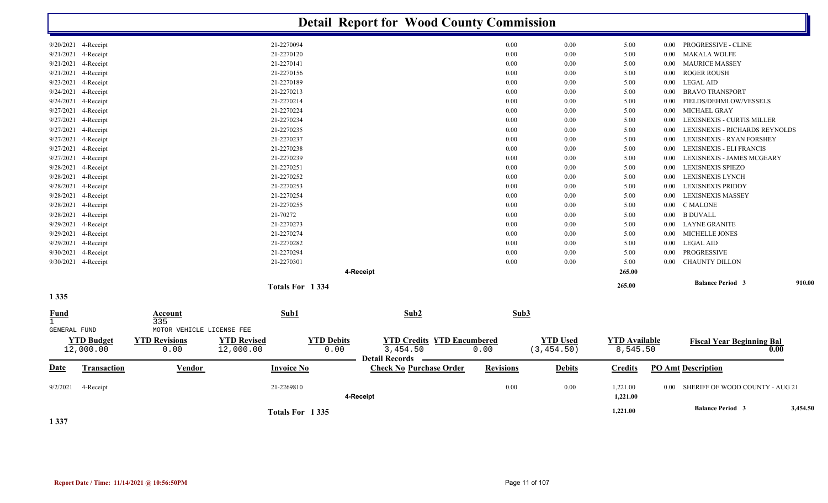|                                   |                                  |                                 | <b>Detail Report for Wood County Commission</b>    |                                   |                  |                 |                                  |          |                                          |          |
|-----------------------------------|----------------------------------|---------------------------------|----------------------------------------------------|-----------------------------------|------------------|-----------------|----------------------------------|----------|------------------------------------------|----------|
| 9/20/2021 4-Receipt               |                                  | 21-2270094                      |                                                    |                                   | 0.00             | 0.00            | 5.00                             | $0.00\,$ | PROGRESSIVE - CLINE                      |          |
| 9/21/2021<br>4-Receipt            |                                  | 21-2270120                      |                                                    |                                   | 0.00             | 0.00            | 5.00                             | 0.00     | <b>MAKALA WOLFE</b>                      |          |
| 9/21/2021<br>4-Receipt            |                                  | 21-2270141                      |                                                    |                                   | 0.00             | 0.00            | 5.00                             | 0.00     | <b>MAURICE MASSEY</b>                    |          |
| 9/21/2021<br>4-Receipt            |                                  | 21-2270156                      |                                                    |                                   | 0.00             | 0.00            | 5.00                             | 0.00     | <b>ROGER ROUSH</b>                       |          |
| 9/23/2021<br>4-Receipt            |                                  | 21-2270189                      |                                                    |                                   | 0.00             | 0.00            | 5.00                             | $0.00\,$ | <b>LEGAL AID</b>                         |          |
| 9/24/2021<br>4-Receipt            |                                  | 21-2270213                      |                                                    |                                   | 0.00             | 0.00            | 5.00                             | 0.00     | <b>BRAVO TRANSPORT</b>                   |          |
| 9/24/2021<br>4-Receipt            |                                  | 21-2270214                      |                                                    |                                   | 0.00             | 0.00            | 5.00                             | 0.00     | FIELDS/DEHMLOW/VESSELS                   |          |
| 9/27/2021<br>4-Receipt            |                                  | 21-2270224                      |                                                    |                                   | 0.00             | 0.00            | 5.00                             | $0.00\,$ | <b>MICHAEL GRAY</b>                      |          |
| 9/27/2021<br>4-Receipt            |                                  | 21-2270234                      |                                                    |                                   | 0.00             | 0.00            | 5.00                             | 0.00     | LEXISNEXIS - CURTIS MILLER               |          |
| 9/27/2021<br>4-Receipt            |                                  | 21-2270235                      |                                                    |                                   | 0.00             | 0.00            | 5.00                             | 0.00     | LEXISNEXIS - RICHARDS REYNOLDS           |          |
| 9/27/2021<br>4-Receipt            |                                  | 21-2270237                      |                                                    |                                   | 0.00             | 0.00            | 5.00                             | 0.00     | LEXISNEXIS - RYAN FORSHEY                |          |
| 9/27/2021<br>4-Receipt            |                                  | 21-2270238                      |                                                    |                                   | 0.00             | 0.00            | 5.00                             | 0.00     | LEXISNEXIS - ELI FRANCIS                 |          |
| 9/27/2021<br>4-Receipt            |                                  | 21-2270239                      |                                                    |                                   | 0.00             | 0.00            | 5.00                             | 0.00     | LEXISNEXIS - JAMES MCGEARY               |          |
| 9/28/2021<br>4-Receipt            |                                  | 21-2270251                      |                                                    |                                   | 0.00             | 0.00            | 5.00                             | 0.00     | LEXISNEXIS SPIEZO                        |          |
| 9/28/2021<br>4-Receipt            |                                  | 21-2270252                      |                                                    |                                   | 0.00             | 0.00            | 5.00                             | 0.00     | LEXISNEXIS LYNCH                         |          |
| 9/28/2021<br>4-Receipt            |                                  | 21-2270253                      |                                                    |                                   | 0.00             | 0.00            | 5.00                             | 0.00     | LEXISNEXIS PRIDDY                        |          |
| 9/28/2021<br>4-Receipt            |                                  | 21-2270254                      |                                                    |                                   | 0.00             | 0.00            | 5.00                             | 0.00     | <b>LEXISNEXIS MASSEY</b>                 |          |
| 9/28/2021<br>4-Receipt            |                                  | 21-2270255                      |                                                    |                                   | 0.00             | 0.00            | 5.00                             | 0.00     | C MALONE                                 |          |
| 9/28/2021<br>4-Receipt            |                                  | 21-70272                        |                                                    |                                   | 0.00             | 0.00            | 5.00                             | $0.00\,$ | <b>B DUVALL</b>                          |          |
| 9/29/2021<br>4-Receipt            |                                  | 21-2270273                      |                                                    |                                   | 0.00             | 0.00            | 5.00                             | $0.00\,$ | LAYNE GRANITE                            |          |
| 9/29/2021<br>4-Receipt            |                                  | 21-2270274                      |                                                    |                                   | 0.00             | 0.00            | 5.00                             | 0.00     | <b>MICHELLE JONES</b>                    |          |
| 4-Receipt<br>9/29/2021            |                                  | 21-2270282                      |                                                    |                                   | 0.00             | 0.00            | 5.00                             | 0.00     | <b>LEGAL AID</b>                         |          |
| 4-Receipt<br>9/30/2021            |                                  | 21-2270294                      |                                                    |                                   | 0.00             | 0.00            | 5.00                             | 0.00     | PROGRESSIVE                              |          |
| 9/30/2021 4-Receipt               |                                  | 21-2270301                      |                                                    |                                   | 0.00             | 0.00            | 5.00                             | 0.00     | <b>CHAUNTY DILLON</b>                    |          |
|                                   |                                  |                                 | 4-Receipt                                          |                                   |                  |                 | 265.00                           |          |                                          |          |
|                                   |                                  | Totals For 1334                 |                                                    |                                   |                  |                 | 265.00                           |          | <b>Balance Period 3</b>                  | 910.00   |
| 1 3 3 5                           |                                  |                                 |                                                    |                                   |                  |                 |                                  |          |                                          |          |
| <b>Fund</b>                       | Account                          | Sub1                            |                                                    | Sub2                              | Sub3             |                 |                                  |          |                                          |          |
| $\mathbf{1}$<br>GENERAL FUND      | 335<br>MOTOR VEHICLE LICENSE FEE |                                 |                                                    |                                   |                  |                 |                                  |          |                                          |          |
|                                   | <b>YTD Revisions</b>             |                                 |                                                    | <b>YTD Credits YTD Encumbered</b> |                  | <b>YTD Used</b> |                                  |          |                                          |          |
| <b>YTD Budget</b><br>12,000.00    | 0.00                             | <b>YTD Revised</b><br>12,000.00 | <b>YTD Debits</b><br>0.00<br><b>Detail Records</b> | 3,454.50                          | 0.00             | (3, 454.50)     | <b>YTD</b> Available<br>8,545.50 |          | <b>Fiscal Year Beginning Bal</b><br>0.00 |          |
| <b>Transaction</b><br><b>Date</b> | <b>Vendor</b>                    | <b>Invoice No</b>               |                                                    | <b>Check No Purchase Order</b>    | <b>Revisions</b> | <b>Debits</b>   | <b>Credits</b>                   |          | <b>PO Amt Description</b>                |          |
| 9/2/2021<br>4-Receipt             |                                  | 21-2269810                      | 4-Receipt                                          |                                   | 0.00             | 0.00            | 1,221.00<br>1,221.00             |          | 0.00 SHERIFF OF WOOD COUNTY - AUG 21     |          |
|                                   |                                  | Totals For 1335                 |                                                    |                                   |                  |                 | 1,221.00                         |          | <b>Balance Period 3</b>                  | 3,454.50 |

**1 337**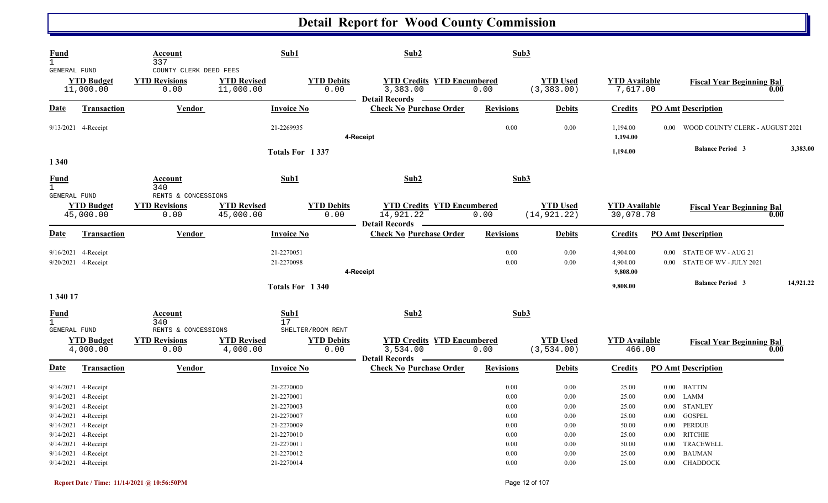| <b>Fund</b><br>$\mathbf{1}$<br>GENERAL FUND        |                                                                                          | Account<br>337<br>COUNTY CLERK DEED FEES            | Sub1                                                 |                                                | Sub2                                                                    | Sub3                                         |                                              |                                   |                                                                |           |
|----------------------------------------------------|------------------------------------------------------------------------------------------|-----------------------------------------------------|------------------------------------------------------|------------------------------------------------|-------------------------------------------------------------------------|----------------------------------------------|----------------------------------------------|-----------------------------------|----------------------------------------------------------------|-----------|
|                                                    | <b>YTD Budget</b><br>11,000.00                                                           | <b>YTD Revisions</b><br>0.00                        | <b>YTD Revised</b><br>11,000.00                      | <b>YTD Debits</b><br>0.00                      | <b>YTD Credits YTD Encumbered</b><br>3,383.00<br>Detail Records -       | 0.00                                         | <b>YTD Used</b><br>(3, 383.00)               | <b>YTD</b> Available<br>7,617.00  | <b>Fiscal Year Beginning Bal</b>                               | 0.00      |
| Date                                               | <b>Transaction</b>                                                                       | <b>Vendor</b>                                       | <b>Invoice No</b>                                    |                                                | <b>Check No Purchase Order</b>                                          | <b>Revisions</b>                             | <b>Debits</b>                                | <b>Credits</b>                    | <b>PO Amt Description</b>                                      |           |
|                                                    | 9/13/2021 4-Receipt                                                                      |                                                     | 21-2269935                                           |                                                | 4-Receipt                                                               | $0.00\,$                                     | 0.00                                         | 1,194.00<br>1,194.00              | WOOD COUNTY CLERK - AUGUST 2021<br>0.00                        |           |
|                                                    |                                                                                          |                                                     |                                                      | Totals For 1337                                |                                                                         |                                              |                                              | 1,194.00                          | <b>Balance Period 3</b>                                        | 3,383.00  |
| 1 3 4 0                                            |                                                                                          |                                                     |                                                      |                                                |                                                                         |                                              |                                              |                                   |                                                                |           |
| <b>Fund</b><br>$\mathbf{1}$<br><b>GENERAL FUND</b> |                                                                                          | Account<br>340<br>RENTS & CONCESSIONS               | Sub1                                                 |                                                | Sub2                                                                    | Sub3                                         |                                              |                                   |                                                                |           |
|                                                    | <b>YTD Budget</b><br>45,000.00                                                           | <b>YTD Revisions</b><br>0.00                        | <b>YTD Revised</b><br>45,000.00                      | <b>YTD Debits</b><br>0.00                      | <b>YTD Credits YTD Encumbered</b><br>14,921.22                          | 0.00                                         | <b>YTD Used</b><br>(14, 921.22)              | <b>YTD</b> Available<br>30,078.78 | <b>Fiscal Year Beginning Bal</b>                               | 0.00      |
| <u>Date</u>                                        | Transaction                                                                              | Vendor                                              | <b>Invoice No</b>                                    |                                                | Detail Records —<br><b>Check No Purchase Order</b>                      | <b>Revisions</b>                             | <b>Debits</b>                                | <b>Credits</b>                    | <b>PO Amt Description</b>                                      |           |
|                                                    | 9/16/2021 4-Receipt<br>9/20/2021 4-Receipt                                               |                                                     | 21-2270051<br>21-2270098                             |                                                | 4-Receipt                                                               | 0.00<br>$0.00\,$                             | 0.00<br>0.00                                 | 4,904.00<br>4,904.00<br>9,808.00  | 0.00 STATE OF WV - AUG 21<br>0.00 STATE OF WV - JULY 2021      |           |
|                                                    |                                                                                          |                                                     |                                                      | Totals For 1340                                |                                                                         |                                              |                                              | 9,808.00                          | <b>Balance Period 3</b>                                        | 14,921.22 |
| 1 340 17                                           |                                                                                          |                                                     |                                                      |                                                |                                                                         |                                              |                                              |                                   |                                                                |           |
| <u>Fund</u><br>$\mathbf{1}$                        |                                                                                          | <b>Account</b><br>340                               | Sub1<br>17                                           |                                                | Sub2                                                                    | Sub3                                         |                                              |                                   |                                                                |           |
| <b>GENERAL FUND</b>                                | <b>YTD Budget</b><br>4,000.00                                                            | RENTS & CONCESSIONS<br><b>YTD Revisions</b><br>0.00 | <b>YTD Revised</b><br>4,000.00                       | SHELTER/ROOM RENT<br><b>YTD Debits</b><br>0.00 | <b>YTD Credits YTD Encumbered</b><br>3, 534.00<br><b>Detail Records</b> | 0.00                                         | <b>YTD Used</b><br>(3, 534.00)               | <b>YTD Available</b><br>466.00    | <b>Fiscal Year Beginning Bal</b>                               | 0.00      |
| <b>Date</b>                                        | <b>Transaction</b>                                                                       | <b>Vendor</b>                                       | <b>Invoice No</b>                                    |                                                | <b>Check No Purchase Order</b>                                          | <b>Revisions</b>                             | <b>Debits</b>                                | <b>Credits</b>                    | <b>PO Amt Description</b>                                      |           |
|                                                    | 9/14/2021 4-Receipt<br>9/14/2021 4-Receipt<br>9/14/2021 4-Receipt<br>9/14/2021 4-Receipt |                                                     | 21-2270000<br>21-2270001<br>21-2270003<br>21-2270007 |                                                |                                                                         | 0.00<br>$0.00\,$<br>$0.00\,$<br>$0.00\,$     | 0.00<br>$0.00\,$<br>$0.00\,$<br>$0.00\,$     | 25.00<br>25.00<br>25.00<br>25.00  | 0.00 BATTIN<br>$0.00$ LAMM<br>0.00 STANLEY<br>0.00 GOSPEL      |           |
|                                                    | 9/14/2021 4-Receipt<br>9/14/2021 4-Receipt<br>9/14/2021 4-Receipt<br>9/14/2021 4-Receipt |                                                     | 21-2270009<br>21-2270010<br>21-2270011<br>21-2270012 |                                                |                                                                         | $0.00\,$<br>$0.00\,$<br>$0.00\,$<br>$0.00\,$ | $0.00\,$<br>$0.00\,$<br>$0.00\,$<br>$0.00\,$ | 50.00<br>25.00<br>50.00<br>25.00  | 0.00 PERDUE<br>0.00 RITCHIE<br>0.00 TRACEWELL<br>$0.00$ BAUMAN |           |
|                                                    | 9/14/2021 4-Receipt                                                                      |                                                     | 21-2270014                                           |                                                |                                                                         | $0.00\,$                                     | $0.00\,$                                     | 25.00                             | $0.00$ CHADDOCK                                                |           |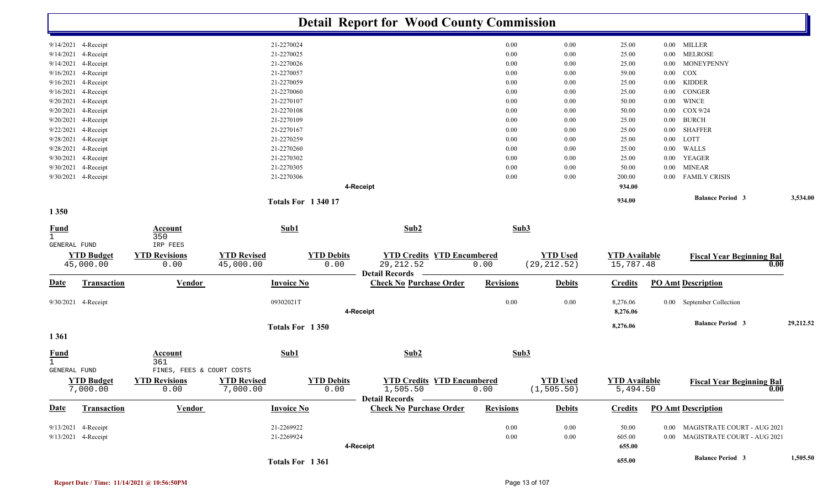|                               |                               |                              |                                |                           | <b>Detail Report for Wood County Commission</b>    |                  |                                |                                  |          |                                          |           |
|-------------------------------|-------------------------------|------------------------------|--------------------------------|---------------------------|----------------------------------------------------|------------------|--------------------------------|----------------------------------|----------|------------------------------------------|-----------|
|                               | 9/14/2021 4-Receipt           |                              | 21-2270024                     |                           |                                                    | 0.00             | 0.00                           | 25.00                            |          | 0.00 MILLER                              |           |
|                               | 9/14/2021 4-Receipt           |                              | 21-2270025                     |                           |                                                    | 0.00             | 0.00                           | 25.00                            | $0.00\,$ | <b>MELROSE</b>                           |           |
|                               | 9/14/2021 4-Receipt           |                              | 21-2270026                     |                           |                                                    | 0.00             | 0.00                           | 25.00                            | $0.00\,$ | MONEYPENNY                               |           |
|                               | 9/16/2021 4-Receipt           |                              | 21-2270057                     |                           |                                                    | 0.00             | 0.00                           | 59.00                            | $0.00\,$ | COX                                      |           |
|                               | 9/16/2021 4-Receipt           |                              | 21-2270059                     |                           |                                                    | 0.00             | 0.00                           | 25.00                            | $0.00\,$ | <b>KIDDER</b>                            |           |
|                               | 9/16/2021 4-Receipt           |                              | 21-2270060                     |                           |                                                    | 0.00             | 0.00                           | 25.00                            | $0.00\,$ | CONGER                                   |           |
|                               | 9/20/2021 4-Receipt           |                              | 21-2270107                     |                           |                                                    | 0.00             | 0.00                           | 50.00                            |          | $0.00$ WINCE                             |           |
|                               | 9/20/2021 4-Receipt           |                              | 21-2270108                     |                           |                                                    | 0.00             | 0.00                           | 50.00                            |          | $0.00$ COX 9/24                          |           |
|                               | 9/20/2021 4-Receipt           |                              | 21-2270109                     |                           |                                                    | 0.00             | 0.00                           | 25.00                            |          | $0.00$ $\,$ BURCH                        |           |
|                               | 9/22/2021 4-Receipt           |                              | 21-2270167                     |                           |                                                    | $0.00\,$         | 0.00                           | 25.00                            | $0.00\,$ | <b>SHAFFER</b>                           |           |
|                               | 9/28/2021 4-Receipt           |                              | 21-2270259                     |                           |                                                    | 0.00             | 0.00                           | 25.00                            |          | $0.00$ LOTT                              |           |
|                               | 9/28/2021 4-Receipt           |                              | 21-2270260                     |                           |                                                    | 0.00             | 0.00                           | 25.00                            | $0.00\,$ | WALLS                                    |           |
|                               | 9/30/2021 4-Receipt           |                              | 21-2270302                     |                           |                                                    | 0.00             | 0.00                           | 25.00                            | $0.00\,$ | YEAGER                                   |           |
|                               | 9/30/2021 4-Receipt           |                              | 21-2270305                     |                           |                                                    | 0.00             | 0.00                           | 50.00                            | $0.00\,$ | <b>MINEAR</b>                            |           |
|                               | 9/30/2021 4-Receipt           |                              | 21-2270306                     |                           |                                                    | 0.00             | 0.00                           | 200.00                           | $0.00\,$ | <b>FAMILY CRISIS</b>                     |           |
|                               |                               |                              |                                |                           | 4-Receipt                                          |                  |                                | 934.00                           |          |                                          |           |
|                               |                               |                              |                                |                           |                                                    |                  |                                | 934.00                           |          | <b>Balance Period 3</b>                  | 3,534.00  |
| 1 3 5 0                       |                               |                              | <b>Totals For 134017</b>       |                           |                                                    |                  |                                |                                  |          |                                          |           |
| <b>Fund</b><br>$\overline{1}$ |                               | <b>Account</b><br>350        | Sub1                           |                           | Sub2                                               | Sub3             |                                |                                  |          |                                          |           |
| GENERAL FUND                  |                               | IRP FEES                     |                                |                           |                                                    |                  |                                |                                  |          |                                          |           |
|                               | <b>YTD Budget</b>             | <b>YTD Revisions</b>         | <b>YTD Revised</b>             | <b>YTD Debits</b>         | <b>YTD Credits YTD Encumbered</b>                  |                  | <b>YTD Used</b>                | <b>YTD</b> Available             |          |                                          |           |
|                               | 45,000.00                     | 0.00                         | 45,000.00                      | 0.00                      | 29, 212.52<br><b>Detail Records</b>                | 0.00             | (29, 212.52)                   | 15,787.48                        |          | <b>Fiscal Year Beginning Bal</b><br>0.00 |           |
| <u>Date</u>                   | <b>Transaction</b>            | <b>Vendor</b>                | <b>Invoice No</b>              |                           | <b>Check No Purchase Order</b>                     | <b>Revisions</b> | <b>Debits</b>                  | <b>Credits</b>                   |          | <b>PO Amt Description</b>                |           |
|                               | 9/30/2021 4-Receipt           |                              | 09302021T                      |                           | 4-Receipt                                          | 0.00             | 0.00                           | 8,276.06<br>8,276.06             |          | 0.00 September Collection                |           |
|                               |                               |                              |                                |                           |                                                    |                  |                                |                                  |          |                                          |           |
| 1 3 6 1                       |                               |                              | Totals For 1350                |                           |                                                    |                  |                                | 8,276.06                         |          | <b>Balance Period 3</b>                  | 29,212.52 |
| <u>Fund</u><br>$\mathbf{1}$   |                               | Account<br>361               | Sub1                           |                           | Sub2                                               | Sub3             |                                |                                  |          |                                          |           |
| GENERAL FUND                  |                               | FINES, FEES & COURT COSTS    |                                |                           |                                                    |                  |                                |                                  |          |                                          |           |
|                               | <b>YTD Budget</b><br>7,000.00 | <b>YTD Revisions</b><br>0.00 | <b>YTD Revised</b><br>7,000.00 | <b>YTD Debits</b><br>0.00 | <b>YTD Credits YTD Encumbered</b><br>1,505.50      | 0.00             | <b>YTD Used</b><br>(1, 505.50) | <b>YTD</b> Available<br>5,494.50 |          | <b>Fiscal Year Beginning Bal</b><br>0.00 |           |
| <b>Date</b>                   | Transaction                   | <b>Vendor</b>                | <b>Invoice No</b>              |                           | Detail Records –<br><b>Check No Purchase Order</b> | <b>Revisions</b> | <b>Debits</b>                  | <b>Credits</b>                   |          | <b>PO Amt Description</b>                |           |
|                               |                               |                              |                                |                           |                                                    |                  |                                |                                  |          |                                          |           |
|                               | 9/13/2021 4-Receipt           |                              | 21-2269922                     |                           |                                                    | $0.00\,$         | $0.00\,$                       | 50.00                            |          | 0.00 MAGISTRATE COURT - AUG 2021         |           |
|                               | 9/13/2021 4-Receipt           |                              | 21-2269924                     |                           |                                                    | $0.00\,$         | 0.00                           | 605.00                           |          | 0.00 MAGISTRATE COURT - AUG 2021         |           |
|                               |                               |                              |                                |                           | 4-Receipt                                          |                  |                                | 655.00                           |          |                                          |           |
|                               |                               |                              | Totals For 1361                |                           |                                                    |                  |                                | 655.00                           |          | <b>Balance Period 3</b>                  | 1,505.50  |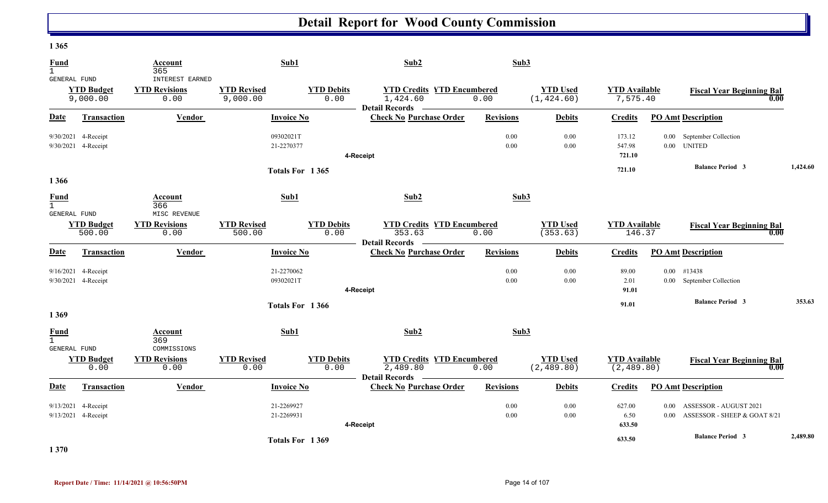| $1 \cup 0 \cup$                             |                               |                                             |                                |                           |                                                                      |                  |                                |                                     |                                                                                |          |
|---------------------------------------------|-------------------------------|---------------------------------------------|--------------------------------|---------------------------|----------------------------------------------------------------------|------------------|--------------------------------|-------------------------------------|--------------------------------------------------------------------------------|----------|
| <b>Fund</b><br>$\mathbf{1}$                 |                               | Account<br>365                              | Sub1                           |                           | Sub2                                                                 | Sub3             |                                |                                     |                                                                                |          |
| GENERAL FUND                                |                               | INTEREST EARNED                             |                                |                           |                                                                      |                  |                                |                                     |                                                                                |          |
|                                             | <b>YTD Budget</b><br>9,000.00 | <b>YTD Revisions</b><br>0.00                | <b>YTD Revised</b><br>9,000.00 | <b>YTD Debits</b><br>0.00 | <b>YTD Credits YTD Encumbered</b><br>1,424.60                        | 0.00             | <b>YTD Used</b><br>(1, 424.60) | <b>YTD Available</b><br>7,575.40    | <b>Fiscal Year Beginning Bal</b><br>0.00                                       |          |
| <b>Date</b>                                 | Transaction                   | Vendor                                      | <b>Invoice No</b>              |                           | Detail Records ______<br><b>Check No Purchase Order</b>              | <b>Revisions</b> | <b>Debits</b>                  | <b>Credits</b>                      | <b>PO Amt Description</b>                                                      |          |
| 9/30/2021 4-Receipt<br>9/30/2021 4-Receipt  |                               |                                             | 09302021T<br>21-2270377        |                           | 4-Receipt                                                            | 0.00<br>$0.00\,$ | 0.00<br>$0.00\,$               | 173.12<br>547.98<br>721.10          | September Collection<br>$0.00\,$<br>0.00 UNITED                                |          |
|                                             |                               |                                             |                                |                           |                                                                      |                  |                                |                                     | <b>Balance Period 3</b>                                                        | 1,424.60 |
| 1 3 6 6                                     |                               |                                             | Totals For 1365                |                           |                                                                      |                  |                                | 721.10                              |                                                                                |          |
| <b>Fund</b><br>$\mathbf{1}$<br>GENERAL FUND |                               | Account<br>366<br>MISC REVENUE              | Sub1                           |                           | Sub2                                                                 | Sub3             |                                |                                     |                                                                                |          |
|                                             | <b>YTD Budget</b><br>500.00   | <b>YTD Revisions</b><br>0.00                | <b>YTD Revised</b><br>500.00   | <b>YTD Debits</b><br>0.00 | <b>YTD Credits YTD Encumbered</b><br>353.63<br><b>Detail Records</b> | 0.00             | <b>YTD Used</b><br>(353.63)    | <b>YTD Available</b><br>146.37      | <b>Fiscal Year Beginning Bal</b><br>0.00                                       |          |
| Date                                        | Transaction                   | Vendor                                      | <b>Invoice No</b>              |                           | <b>Check No Purchase Order</b>                                       | <b>Revisions</b> | <b>Debits</b>                  | <b>Credits</b>                      | <b>PO Amt Description</b>                                                      |          |
| 9/16/2021 4-Receipt<br>9/30/2021 4-Receipt  |                               |                                             | 21-2270062<br>09302021T        |                           | 4-Receipt                                                            | 0.00<br>0.00     | $0.00\,$<br>0.00               | 89.00<br>2.01<br>91.01              | #13438<br>$0.00\,$<br>0.00 September Collection                                |          |
|                                             |                               |                                             |                                |                           |                                                                      |                  |                                |                                     | <b>Balance Period 3</b>                                                        | 353.63   |
| 1 3 6 9                                     |                               |                                             | Totals For 1366                |                           |                                                                      |                  |                                | 91.01                               |                                                                                |          |
| <b>Fund</b><br>$\mathbf{1}$                 |                               | Account<br>369                              | Sub1                           |                           | Sub2                                                                 | Sub3             |                                |                                     |                                                                                |          |
| <b>GENERAL FUND</b>                         | <b>YTD Budget</b><br>0.00     | COMMISSIONS<br><b>YTD Revisions</b><br>0.00 | <b>YTD Revised</b><br>0.00     | <b>YTD Debits</b><br>0.00 | <b>YTD Credits YTD Encumbered</b><br>2,489.80<br>Detail Records —    | 0.00             | <b>YTD Used</b><br>(2, 489.80) | <b>YTD Available</b><br>(2, 489.80) | <b>Fiscal Year Beginning Bal</b><br>0.00                                       |          |
| Date                                        | <b>Transaction</b>            | Vendor                                      | <b>Invoice No</b>              |                           | <b>Check No Purchase Order</b>                                       | <b>Revisions</b> | <b>Debits</b>                  | <b>Credits</b>                      | <b>PO Amt Description</b>                                                      |          |
| 9/13/2021 4-Receipt<br>9/13/2021 4-Receipt  |                               |                                             | 21-2269927<br>21-2269931       |                           | 4-Receipt                                                            | $0.00\,$<br>0.00 | $0.00\,$<br>$0.00\,$           | 627.00<br>6.50<br>633.50            | ASSESSOR - AUGUST 2021<br>$0.00\,$<br>ASSESSOR - SHEEP & GOAT 8/21<br>$0.00 -$ |          |
|                                             |                               |                                             | Totals For 1369                |                           |                                                                      |                  |                                | 633.50                              | <b>Balance Period 3</b>                                                        | 2,489.80 |

**1 370**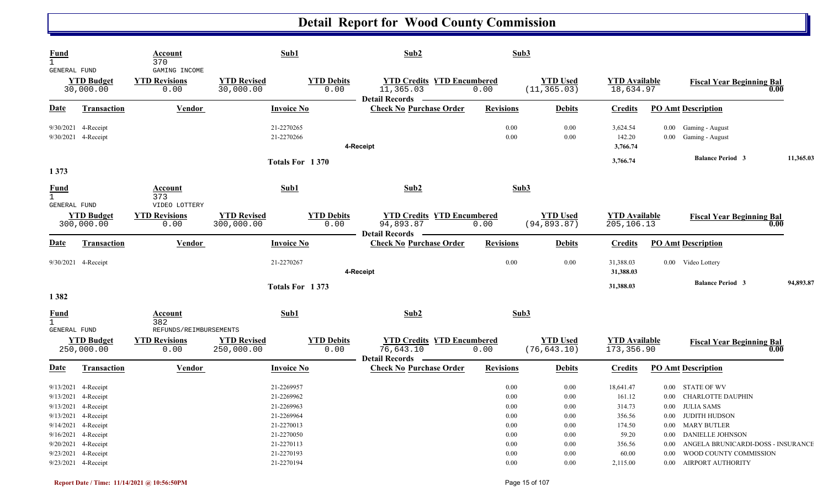| <b>Fund</b><br>$\mathbf{1}$<br>GENERAL FUND |                                                                                                                                                                                      | Account<br>370<br>GAMING INCOME                        |                                  | Sub1                                                                                                         | Sub2                                                                    | Sub3                                                                         |                                                                  |                                                                               |                                                                                                                                                                                                            |           |
|---------------------------------------------|--------------------------------------------------------------------------------------------------------------------------------------------------------------------------------------|--------------------------------------------------------|----------------------------------|--------------------------------------------------------------------------------------------------------------|-------------------------------------------------------------------------|------------------------------------------------------------------------------|------------------------------------------------------------------|-------------------------------------------------------------------------------|------------------------------------------------------------------------------------------------------------------------------------------------------------------------------------------------------------|-----------|
|                                             | <b>YTD Budget</b><br>30,000.00                                                                                                                                                       | <b>YTD Revisions</b><br>0.00                           | <b>YTD Revised</b><br>30,000.00  | <b>YTD Debits</b><br>0.00                                                                                    | <b>YTD Credits YTD Encumbered</b><br>11,365.03<br><b>Detail Records</b> | 0.00                                                                         | <b>YTD Used</b><br>(11, 365.03)                                  | <b>YTD Available</b><br>18,634.97                                             | <b>Fiscal Year Beginning Bal</b>                                                                                                                                                                           | 0.00      |
| <u>Date</u>                                 | <b>Transaction</b>                                                                                                                                                                   | <b>Vendor</b>                                          |                                  | <b>Invoice No</b>                                                                                            | <b>Check No Purchase Order</b>                                          | <b>Revisions</b>                                                             | <b>Debits</b>                                                    | <b>Credits</b>                                                                | <b>PO Amt Description</b>                                                                                                                                                                                  |           |
|                                             | 9/30/2021 4-Receipt<br>9/30/2021 4-Receipt                                                                                                                                           |                                                        |                                  | 21-2270265<br>21-2270266                                                                                     | 4-Receipt                                                               | 0.00<br>0.00                                                                 | 0.00<br>0.00                                                     | 3,624.54<br>142.20<br>3,766.74                                                | 0.00 Gaming - August<br>Gaming - August<br>$0.00\,$                                                                                                                                                        |           |
|                                             |                                                                                                                                                                                      |                                                        |                                  | Totals For 1370                                                                                              |                                                                         |                                                                              |                                                                  | 3,766.74                                                                      | <b>Balance Period 3</b>                                                                                                                                                                                    | 11,365.03 |
| 1 3 7 3                                     |                                                                                                                                                                                      |                                                        |                                  |                                                                                                              |                                                                         |                                                                              |                                                                  |                                                                               |                                                                                                                                                                                                            |           |
| <b>Fund</b><br>$\mathbf{1}$<br>GENERAL FUND |                                                                                                                                                                                      | Account<br>373<br>VIDEO LOTTERY                        |                                  | Sub1                                                                                                         | Sub2                                                                    | Sub3                                                                         |                                                                  |                                                                               |                                                                                                                                                                                                            |           |
|                                             | <b>YTD Budget</b><br>300,000.00                                                                                                                                                      | <b>YTD Revisions</b><br>0.00                           | <b>YTD Revised</b><br>300,000.00 | <b>YTD Debits</b><br>0.00                                                                                    | <b>YTD Credits YTD Encumbered</b><br>94,893.87<br>Detail Records —      | 0.00                                                                         | <b>YTD Used</b><br>(94, 893.87)                                  | <b>YTD Available</b><br>205, 106. 13                                          | <b>Fiscal Year Beginning Bal</b>                                                                                                                                                                           | 0.00      |
| <b>Date</b>                                 | <b>Transaction</b>                                                                                                                                                                   | <b>Vendor</b>                                          |                                  | <b>Invoice No</b>                                                                                            | <b>Check No Purchase Order</b>                                          | <b>Revisions</b>                                                             | <b>Debits</b>                                                    | <b>Credits</b>                                                                | <b>PO Amt Description</b>                                                                                                                                                                                  |           |
|                                             | 9/30/2021 4-Receipt                                                                                                                                                                  |                                                        |                                  | 21-2270267                                                                                                   | 4-Receipt                                                               | 0.00                                                                         | 0.00                                                             | 31,388.03<br>31,388.03                                                        | 0.00 Video Lottery                                                                                                                                                                                         |           |
|                                             |                                                                                                                                                                                      |                                                        |                                  | Totals For 1373                                                                                              |                                                                         |                                                                              |                                                                  | 31,388.03                                                                     | <b>Balance Period 3</b>                                                                                                                                                                                    | 94,893.87 |
| 1382                                        |                                                                                                                                                                                      |                                                        |                                  |                                                                                                              |                                                                         |                                                                              |                                                                  |                                                                               |                                                                                                                                                                                                            |           |
| <b>Fund</b>                                 |                                                                                                                                                                                      | Account<br>382                                         |                                  | Sub1                                                                                                         | Sub2                                                                    | Sub3                                                                         |                                                                  |                                                                               |                                                                                                                                                                                                            |           |
| GENERAL FUND                                | <b>YTD Budget</b><br>250,000.00                                                                                                                                                      | REFUNDS/REIMBURSEMENTS<br><b>YTD Revisions</b><br>0.00 | <b>YTD Revised</b><br>250,000.00 | <b>YTD Debits</b><br>0.00                                                                                    | <b>YTD Credits YTD Encumbered</b><br>76,643.10<br><b>Detail Records</b> | 0.00                                                                         | <b>YTD Used</b><br>(76, 643.10)                                  | <b>YTD Available</b><br>173,356.90                                            | <b>Fiscal Year Beginning Bal</b>                                                                                                                                                                           | 0.00      |
| <b>Date</b>                                 | <b>Transaction</b>                                                                                                                                                                   | <b>Vendor</b>                                          |                                  | <b>Invoice No</b>                                                                                            | <b>Check No Purchase Order</b>                                          | <b>Revisions</b>                                                             | <b>Debits</b>                                                    | <b>Credits</b>                                                                | <b>PO Amt Description</b>                                                                                                                                                                                  |           |
|                                             | 9/13/2021 4-Receipt<br>9/13/2021 4-Receipt<br>9/13/2021 4-Receipt<br>9/13/2021 4-Receipt<br>9/14/2021 4-Receipt<br>9/16/2021 4-Receipt<br>9/20/2021 4-Receipt<br>9/23/2021 4-Receipt |                                                        |                                  | 21-2269957<br>21-2269962<br>21-2269963<br>21-2269964<br>21-2270013<br>21-2270050<br>21-2270113<br>21-2270193 |                                                                         | 0.00<br>0.00<br>$0.00\,$<br>0.00<br>0.00<br>$0.00\,$<br>$0.00\,$<br>$0.00\,$ | 0.00<br>0.00<br>$0.00\,$<br>0.00<br>0.00<br>0.00<br>0.00<br>0.00 | 18,641.47<br>161.12<br>314.73<br>356.56<br>174.50<br>59.20<br>356.56<br>60.00 | 0.00 STATE OF WV<br>0.00 CHARLOTTE DAUPHIN<br>0.00 JULIA SAMS<br>0.00 JUDITH HUDSON<br>0.00 MARY BUTLER<br>0.00 DANIELLE JOHNSON<br>0.00 ANGELA BRUNICARDI-DOSS - INSURANCE<br>0.00 WOOD COUNTY COMMISSION |           |
|                                             | 9/23/2021 4-Receipt                                                                                                                                                                  |                                                        |                                  | 21-2270194                                                                                                   |                                                                         | $0.00\,$                                                                     | $0.00\,$                                                         | 2,115.00                                                                      | 0.00 AIRPORT AUTHORITY                                                                                                                                                                                     |           |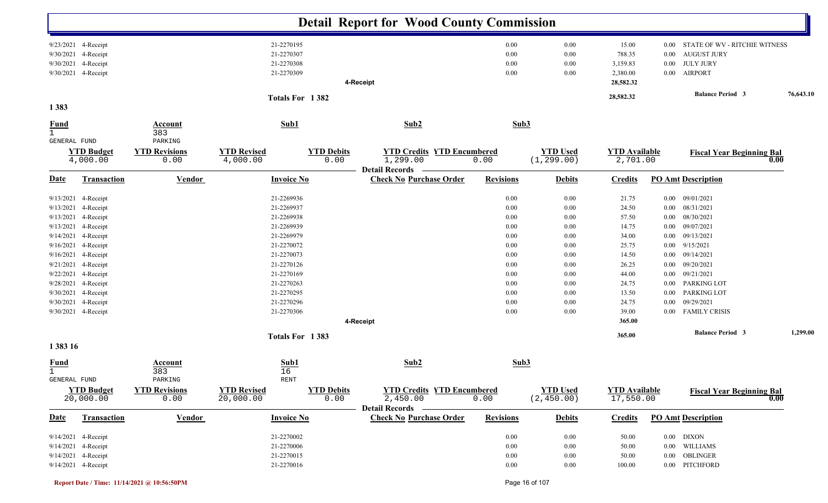|                                                                                                                                             |                                                                                                                                                                                           |                                                                  |                                                                                                                                                                                                       |                           | <b>Detail Report for Wood County Commission</b>                        |                                                                                                      |                                                                                                      |                                                                                                                                       |                                                                                                                                      |                                                                                                                                                                                                                        |           |
|---------------------------------------------------------------------------------------------------------------------------------------------|-------------------------------------------------------------------------------------------------------------------------------------------------------------------------------------------|------------------------------------------------------------------|-------------------------------------------------------------------------------------------------------------------------------------------------------------------------------------------------------|---------------------------|------------------------------------------------------------------------|------------------------------------------------------------------------------------------------------|------------------------------------------------------------------------------------------------------|---------------------------------------------------------------------------------------------------------------------------------------|--------------------------------------------------------------------------------------------------------------------------------------|------------------------------------------------------------------------------------------------------------------------------------------------------------------------------------------------------------------------|-----------|
| 9/30/2021<br>9/30/2021                                                                                                                      | 9/23/2021 4-Receipt<br>4-Receipt<br>4-Receipt<br>9/30/2021 4-Receipt                                                                                                                      |                                                                  | 21-2270195<br>21-2270307<br>21-2270308<br>21-2270309                                                                                                                                                  |                           | 4-Receipt                                                              | 0.00<br>0.00<br>0.00<br>0.00                                                                         | 0.00<br>0.00<br>0.00<br>0.00                                                                         | 15.00<br>788.35<br>3,159.83<br>2,380.00<br>28,582.32                                                                                  | $0.00\,$<br>0.00<br>0.00<br>$0.00\,$                                                                                                 | STATE OF WV - RITCHIE WITNESS<br><b>AUGUST JURY</b><br><b>JULY JURY</b><br><b>AIRPORT</b>                                                                                                                              |           |
| 1383                                                                                                                                        |                                                                                                                                                                                           |                                                                  | Totals For 1382                                                                                                                                                                                       |                           |                                                                        |                                                                                                      |                                                                                                      | 28,582.32                                                                                                                             |                                                                                                                                      | <b>Balance Period 3</b>                                                                                                                                                                                                | 76,643.10 |
| <b>Fund</b><br>$\mathbf{1}$                                                                                                                 |                                                                                                                                                                                           | <b>Account</b><br>383                                            | Sub1                                                                                                                                                                                                  |                           | Sub2                                                                   | Sub3                                                                                                 |                                                                                                      |                                                                                                                                       |                                                                                                                                      |                                                                                                                                                                                                                        |           |
| GENERAL FUND                                                                                                                                | <b>YTD Budget</b><br>4,000.00                                                                                                                                                             | PARKING<br><b>YTD Revisions</b><br>0.00                          | <b>YTD Revised</b><br>4,000.00                                                                                                                                                                        | <b>YTD Debits</b><br>0.00 | <b>YTD Credits YTD Encumbered</b><br>1,299.00<br><b>Detail Records</b> | 0.00                                                                                                 | <b>YTD Used</b><br>(1, 299.00)                                                                       | <b>YTD Available</b><br>2,701.00                                                                                                      |                                                                                                                                      | <b>Fiscal Year Beginning Bal</b>                                                                                                                                                                                       | 0.00      |
| <u>Date</u>                                                                                                                                 | Transaction                                                                                                                                                                               | <b>Vendor</b>                                                    | <b>Invoice No</b>                                                                                                                                                                                     |                           | <b>Check No Purchase Order</b>                                         | <b>Revisions</b>                                                                                     | <b>Debits</b>                                                                                        | <b>Credits</b>                                                                                                                        |                                                                                                                                      | <b>PO Amt Description</b>                                                                                                                                                                                              |           |
| 9/13/2021<br>9/13/2021<br>9/13/2021<br>9/13/2021<br>9/14/2021<br>9/16/2021<br>9/16/2021<br>9/21/2021<br>9/22/2021<br>9/28/2021<br>9/30/2021 | 4-Receipt<br>4-Receipt<br>4-Receipt<br>4-Receipt<br>4-Receipt<br>4-Receipt<br>4-Receipt<br>4-Receipt<br>4-Receipt<br>4-Receipt<br>9/30/2021 4-Receipt<br>4-Receipt<br>9/30/2021 4-Receipt |                                                                  | 21-2269936<br>21-2269937<br>21-2269938<br>21-2269939<br>21-2269979<br>21-2270072<br>21-2270073<br>21-2270126<br>21-2270169<br>21-2270263<br>21-2270295<br>21-2270296<br>21-2270306<br>Totals For 1383 |                           | 4-Receipt                                                              | 0.00<br>0.00<br>0.00<br>0.00<br>0.00<br>0.00<br>0.00<br>0.00<br>0.00<br>0.00<br>0.00<br>0.00<br>0.00 | 0.00<br>0.00<br>0.00<br>0.00<br>0.00<br>0.00<br>0.00<br>0.00<br>0.00<br>0.00<br>0.00<br>0.00<br>0.00 | 21.75<br>24.50<br>57.50<br>14.75<br>34.00<br>25.75<br>14.50<br>26.25<br>44.00<br>24.75<br>13.50<br>24.75<br>39.00<br>365.00<br>365.00 | $0.00\,$<br>$0.00\,$<br>$0.00\,$<br>0.00<br>0.00<br>$0.00\,$<br>$0.00\,$<br>$0.00\,$<br>$0.00\,$<br>$0.00\,$<br>$0.00\,$<br>$0.00\,$ | 09/01/2021<br>08/31/2021<br>08/30/2021<br>09/07/2021<br>09/13/2021<br>9/15/2021<br>09/14/2021<br>09/20/2021<br>09/21/2021<br>PARKING LOT<br>PARKING LOT<br>09/29/2021<br>0.00 FAMILY CRISIS<br><b>Balance Period 3</b> | 1,299.00  |
| 1 3 8 3 1 6<br><b>Fund</b><br>$\mathbf{1}$<br>GENERAL FUND                                                                                  | <b>YTD Budget</b><br>20,000.00                                                                                                                                                            | <b>Account</b><br>383<br>PARKING<br><b>YTD Revisions</b><br>0.00 | Sub1<br>16<br>RENT<br><b>YTD Revised</b><br>20,000.00                                                                                                                                                 | <b>YTD Debits</b><br>0.00 | Sub2<br><b>YTD Credits YTD Encumbered</b><br>2,450.00                  | Sub3<br>0.00                                                                                         | <b>YTD Used</b><br>(2, 450.00)                                                                       | <b>YTD Available</b><br>17,550.00                                                                                                     |                                                                                                                                      | <b>Fiscal Year Beginning Bal</b>                                                                                                                                                                                       | 0.00      |
| <b>Date</b>                                                                                                                                 | <b>Transaction</b>                                                                                                                                                                        | <b>Vendor</b>                                                    | <b>Invoice No</b>                                                                                                                                                                                     |                           | Detail Records –<br><b>Check No Purchase Order</b>                     | <b>Revisions</b>                                                                                     | <b>Debits</b>                                                                                        | <b>Credits</b>                                                                                                                        |                                                                                                                                      | <b>PO Amt Description</b>                                                                                                                                                                                              |           |
|                                                                                                                                             | 9/14/2021 4-Receipt<br>9/14/2021 4-Receipt<br>9/14/2021 4-Receipt<br>9/14/2021 4-Receipt                                                                                                  |                                                                  | 21-2270002<br>21-2270006<br>21-2270015<br>21-2270016                                                                                                                                                  |                           |                                                                        | $0.00\,$<br>0.00<br>0.00<br>$0.00\,$                                                                 | $0.00\,$<br>$0.00\,$<br>$0.00\,$<br>$0.00\,$                                                         | 50.00<br>50.00<br>50.00<br>100.00                                                                                                     |                                                                                                                                      | $0.00$ $\,$ DIXON $\,$<br>0.00 WILLIAMS<br>0.00 OBLINGER<br>0.00 PITCHFORD                                                                                                                                             |           |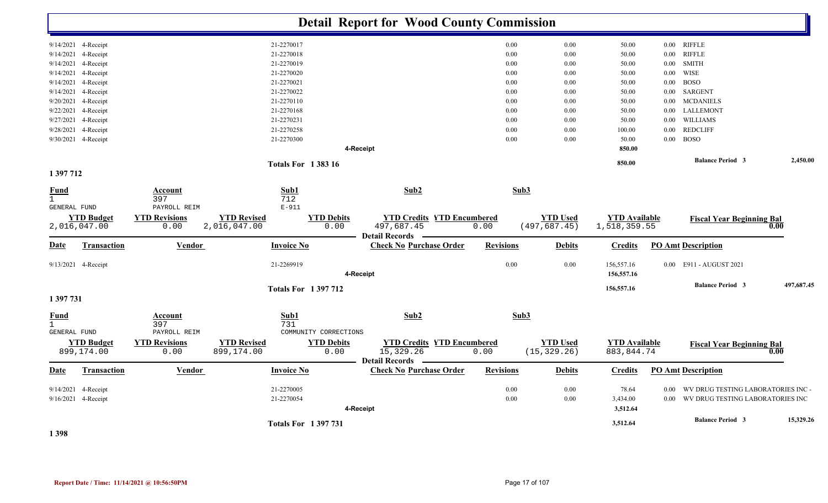|                                             |                                   |                                |                                    |                           | <b>Detail Report for Wood County Commission</b> |                                           |          |                                  |                                      |          |                                       |            |
|---------------------------------------------|-----------------------------------|--------------------------------|------------------------------------|---------------------------|-------------------------------------------------|-------------------------------------------|----------|----------------------------------|--------------------------------------|----------|---------------------------------------|------------|
|                                             | 9/14/2021 4-Receipt               |                                | 21-2270017                         |                           |                                                 |                                           | $0.00\,$ | 0.00                             | 50.00                                |          | 0.00 RIFFLE                           |            |
|                                             | 9/14/2021 4-Receipt               |                                | 21-2270018                         |                           |                                                 |                                           | 0.00     | 0.00                             | 50.00                                | $0.00\,$ | <b>RIFFLE</b>                         |            |
|                                             | 9/14/2021 4-Receipt               |                                | 21-2270019                         |                           |                                                 |                                           | 0.00     | 0.00                             | 50.00                                |          | $0.00$ SMITH                          |            |
| 9/14/2021                                   | 4-Receipt                         |                                | 21-2270020                         |                           |                                                 |                                           | 0.00     | 0.00                             | 50.00                                | $0.00\,$ | WISE                                  |            |
| 9/14/2021                                   | 4-Receipt                         |                                | 21-2270021                         |                           |                                                 |                                           | 0.00     | $0.00\,$                         | 50.00                                | $0.00\,$ | <b>BOSO</b>                           |            |
|                                             | 9/14/2021 4-Receipt               |                                | 21-2270022                         |                           |                                                 |                                           | 0.00     | 0.00                             | 50.00                                |          | 0.00 SARGENT                          |            |
| 9/20/2021                                   | 4-Receipt                         |                                | 21-2270110                         |                           |                                                 |                                           | 0.00     | 0.00                             | 50.00                                | $0.00\,$ | <b>MCDANIELS</b>                      |            |
| 9/22/2021                                   | 4-Receipt                         |                                | 21-2270168                         |                           |                                                 |                                           | 0.00     | 0.00                             | 50.00                                | $0.00\,$ | LALLEMONT                             |            |
|                                             | 9/27/2021 4-Receipt               |                                | 21-2270231                         |                           |                                                 |                                           | 0.00     | 0.00                             | 50.00                                | $0.00\,$ | WILLIAMS                              |            |
| 9/28/2021                                   | 4-Receipt                         |                                | 21-2270258                         |                           |                                                 |                                           | $0.00\,$ | $0.00\,$                         | 100.00                               | $0.00\,$ | <b>REDCLIFF</b>                       |            |
|                                             | 9/30/2021 4-Receipt               |                                | 21-2270300                         |                           |                                                 |                                           | 0.00     | 0.00                             | 50.00                                |          | $0.00$ BOSO                           |            |
|                                             |                                   |                                |                                    | 4-Receipt                 |                                                 |                                           |          |                                  | 850.00                               |          |                                       |            |
|                                             |                                   |                                | <b>Totals For 138316</b>           |                           |                                                 |                                           |          |                                  | 850.00                               |          | <b>Balance Period 3</b>               | 2,450.00   |
| 1 397 712                                   |                                   |                                |                                    |                           |                                                 |                                           |          |                                  |                                      |          |                                       |            |
| <b>Fund</b><br>$\mathbf{1}$<br>GENERAL FUND |                                   | Account<br>397<br>PAYROLL REIM | Sub1<br>712<br>$E - 911$           |                           | Sub2                                            |                                           | Sub3     |                                  |                                      |          |                                       |            |
|                                             | <b>YTD Budget</b><br>2,016,047.00 | <b>YTD Revisions</b><br>0.00   | <b>YTD Revised</b><br>2,016,047.00 | <b>YTD Debits</b><br>0.00 | 497,687.45<br>Detail Records —                  | <b>YTD Credits YTD Encumbered</b><br>0.00 |          | <b>YTD Used</b><br>(497, 687.45) | <b>YTD Available</b><br>1,518,359.55 |          | <b>Fiscal Year Beginning Bal</b>      | 0.00       |
| Date                                        | Transaction                       | <b>Vendor</b>                  | <b>Invoice No</b>                  |                           | <b>Check No Purchase Order</b>                  | <b>Revisions</b>                          |          | <b>Debits</b>                    | <b>Credits</b>                       |          | <b>PO Amt Description</b>             |            |
|                                             | 9/13/2021 4-Receipt               |                                | 21-2269919                         | 4-Receipt                 |                                                 |                                           | $0.00\,$ | 0.00                             | 156,557.16<br>156,557.16             |          | 0.00 E911 - AUGUST 2021               |            |
|                                             |                                   |                                | <b>Totals For 1397712</b>          |                           |                                                 |                                           |          |                                  | 156,557.16                           |          | <b>Balance Period 3</b>               | 497,687.45 |
| 1 397 731                                   |                                   |                                |                                    |                           |                                                 |                                           |          |                                  |                                      |          |                                       |            |
| $rac{\text{Fund}}{1}$                       |                                   | Account<br>397                 | Sub1<br>731                        |                           | Sub2                                            |                                           | Sub3     |                                  |                                      |          |                                       |            |
| GENERAL FUND                                |                                   | PAYROLL REIM                   |                                    | COMMUNITY CORRECTIONS     |                                                 |                                           |          |                                  |                                      |          |                                       |            |
|                                             | <b>YTD Budget</b><br>899,174.00   | <b>YTD Revisions</b><br>0.00   | <b>YTD Revised</b><br>899,174.00   | <b>YTD Debits</b><br>0.00 | 15,329.26<br><b>Detail Records</b>              | <b>YTD Credits YTD Encumbered</b><br>0.00 |          | <b>YTD Used</b><br>(15, 329.26)  | <b>YTD Available</b><br>883, 844.74  |          | <b>Fiscal Year Beginning Bal</b>      | 0.00       |
| <u>Date</u>                                 | Transaction                       | Vendor                         | <b>Invoice No</b>                  |                           | <b>Check No Purchase Order</b>                  | <b>Revisions</b>                          |          | <b>Debits</b>                    | <b>Credits</b>                       |          | <b>PO Amt Description</b>             |            |
|                                             | 9/14/2021 4-Receipt               |                                | 21-2270005                         |                           |                                                 |                                           | $0.00\,$ | $0.00\,$                         | 78.64                                | $0.00\,$ | WV DRUG TESTING LABORATORIES INC -    |            |
|                                             | 9/16/2021 4-Receipt               |                                | 21-2270054                         |                           |                                                 |                                           | $0.00\,$ | 0.00                             | 3,434.00                             |          | 0.00 WV DRUG TESTING LABORATORIES INC |            |
|                                             |                                   |                                |                                    | 4-Receipt                 |                                                 |                                           |          |                                  | 3,512.64                             |          |                                       |            |
|                                             |                                   |                                | <b>Totals For 1397731</b>          |                           |                                                 |                                           |          |                                  | 3,512.64                             |          | <b>Balance Period 3</b>               | 15,329.26  |
|                                             |                                   |                                |                                    |                           |                                                 |                                           |          |                                  |                                      |          |                                       |            |

**1 398**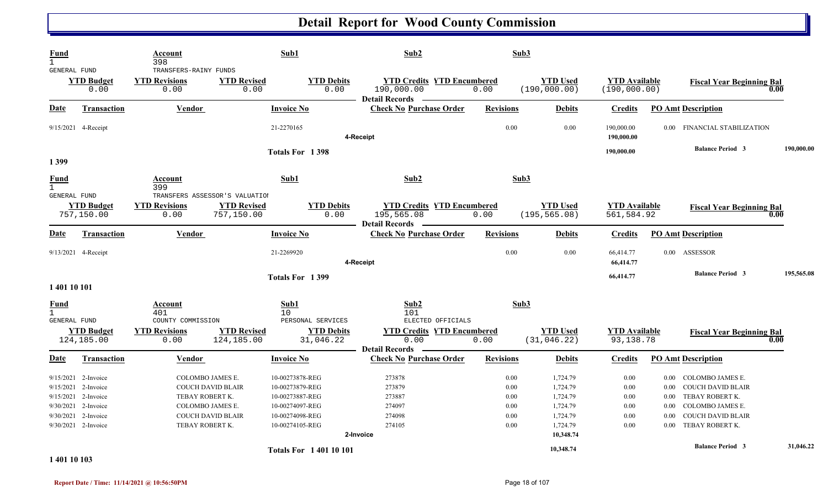| Fund                                             |                                                                                                  | Account                                                                                                                            |                                  | Sub1                                                                                                           | Sub2                                                                  |                                           | Sub3                                         |                                                                                   |                                              |                                                                  |                                                                                                                             |            |
|--------------------------------------------------|--------------------------------------------------------------------------------------------------|------------------------------------------------------------------------------------------------------------------------------------|----------------------------------|----------------------------------------------------------------------------------------------------------------|-----------------------------------------------------------------------|-------------------------------------------|----------------------------------------------|-----------------------------------------------------------------------------------|----------------------------------------------|------------------------------------------------------------------|-----------------------------------------------------------------------------------------------------------------------------|------------|
| $\mathbf{1}$<br>GENERAL FUND                     | <b>YTD Budget</b><br>0.00                                                                        | 398<br>TRANSFERS-RAINY FUNDS<br><b>YTD Revisions</b><br>0.00                                                                       | <b>YTD Revised</b><br>0.00       | <b>YTD Debits</b><br>0.00                                                                                      | 190,000.00                                                            | <b>YTD Credits YTD Encumbered</b><br>0.00 | (190, 000.00)                                | <b>YTD Used</b>                                                                   | <b>YTD Available</b><br>(190, 000.00)        |                                                                  | <b>Fiscal Year Beginning Bal</b>                                                                                            | 0.00       |
| <b>Date</b>                                      | <b>Transaction</b>                                                                               | Vendor                                                                                                                             |                                  | <b>Invoice No</b>                                                                                              | <b>Detail Records</b><br><b>Check No Purchase Order</b>               | <b>Revisions</b>                          |                                              | <b>Debits</b>                                                                     | <b>Credits</b>                               |                                                                  | <b>PO Amt Description</b>                                                                                                   |            |
|                                                  | 9/15/2021 4-Receipt                                                                              |                                                                                                                                    |                                  | 21-2270165                                                                                                     | 4-Receipt                                                             |                                           | 0.00                                         | 0.00                                                                              | 190,000.00<br>190,000.00                     | $0.00 -$                                                         | FINANCIAL STABILIZATION                                                                                                     |            |
| 1399                                             |                                                                                                  |                                                                                                                                    |                                  | Totals For 1398                                                                                                |                                                                       |                                           |                                              |                                                                                   | 190,000.00                                   |                                                                  | <b>Balance Period 3</b>                                                                                                     | 190,000.00 |
| Fund<br>$\mathbf{1}$                             |                                                                                                  | Account<br>399                                                                                                                     |                                  | Sub1                                                                                                           | Sub2                                                                  |                                           | Sub3                                         |                                                                                   |                                              |                                                                  |                                                                                                                             |            |
| GENERAL FUND                                     | <b>YTD Budget</b><br>757,150.00                                                                  | TRANSFERS ASSESSOR'S VALUATION<br><b>YTD Revisions</b><br>0.00                                                                     | <b>YTD Revised</b><br>757,150.00 | <b>YTD Debits</b><br>0.00                                                                                      | 195,565.08<br>Detail Records —                                        | <b>YTD Credits YTD Encumbered</b><br>0.00 | (195, 565.08)                                | <b>YTD</b> Used                                                                   | <b>YTD Available</b><br>561,584.92           |                                                                  | <b>Fiscal Year Beginning Bal</b>                                                                                            | 0.00       |
| <u>Date</u>                                      | <b>Transaction</b>                                                                               | Vendor                                                                                                                             |                                  | <b>Invoice No</b>                                                                                              | <b>Check No Purchase Order</b>                                        | <b>Revisions</b>                          |                                              | <b>Debits</b>                                                                     | <b>Credits</b>                               |                                                                  | <b>PO Amt Description</b>                                                                                                   |            |
|                                                  | 9/13/2021 4-Receipt                                                                              |                                                                                                                                    |                                  | 21-2269920                                                                                                     | 4-Receipt                                                             |                                           | 0.00                                         | 0.00                                                                              | 66,414.77<br>66,414.77                       |                                                                  | 0.00 ASSESSOR                                                                                                               |            |
| 1 401 10 101                                     |                                                                                                  |                                                                                                                                    |                                  | Totals For 1399                                                                                                |                                                                       |                                           |                                              |                                                                                   | 66,414.77                                    |                                                                  | <b>Balance Period 3</b>                                                                                                     | 195,565.08 |
| Fund<br>$\mathbf{1}$<br><b>GENERAL FUND</b>      |                                                                                                  | Account<br>401<br>COUNTY COMMISSION                                                                                                |                                  | Sub1<br>10 <sup>°</sup><br>PERSONAL SERVICES                                                                   | Sub2<br>101                                                           | ELECTED OFFICIALS                         | Sub3                                         |                                                                                   |                                              |                                                                  |                                                                                                                             |            |
|                                                  | <b>YTD Budget</b><br>124,185.00                                                                  | <b>YTD Revisions</b><br>0.00                                                                                                       | <b>YTD Revised</b><br>124,185.00 | <b>YTD Debits</b><br>31,046.22                                                                                 | 0.00<br><b>Detail Records</b>                                         | <b>YTD Credits YTD Encumbered</b><br>0.00 |                                              | <b>YTD Used</b><br>(31, 046.22)                                                   | <b>YTD Available</b><br>93,138.78            |                                                                  | <b>Fiscal Year Beginning Bal</b>                                                                                            | 0.00       |
| Date                                             | <b>Transaction</b>                                                                               | Vendor                                                                                                                             |                                  | Invoice No                                                                                                     | <b>Check No Purchase Order</b>                                        | <b>Revisions</b>                          |                                              | <b>Debits</b>                                                                     | <b>Credits</b>                               |                                                                  | <b>PO Amt Description</b>                                                                                                   |            |
| 9/15/2021<br>9/15/2021<br>9/30/2021<br>9/30/2021 | $9/15/2021$ 2-Invoice<br>2-Invoice<br>2-Invoice<br>2-Invoice<br>2-Invoice<br>9/30/2021 2-Invoice | COLOMBO JAMES E.<br><b>COUCH DAVID BLAIR</b><br>TEBAY ROBERT K.<br>COLOMBO JAMES E.<br><b>COUCH DAVID BLAIR</b><br>TEBAY ROBERT K. |                                  | 10-00273878-REG<br>10-00273879-REG<br>10-00273887-REG<br>10-00274097-REG<br>10-00274098-REG<br>10-00274105-REG | 273878<br>273879<br>273887<br>274097<br>274098<br>274105<br>2-Invoice |                                           | 0.00<br>0.00<br>0.00<br>0.00<br>0.00<br>0.00 | 1,724.79<br>1,724.79<br>1,724.79<br>1,724.79<br>1,724.79<br>1,724.79<br>10,348.74 | 0.00<br>0.00<br>0.00<br>0.00<br>0.00<br>0.00 | $0.00\,$<br>$0.00\,$<br>$0.00\,$<br>$0.00\,$<br>0.00<br>$0.00 -$ | COLOMBO JAMES E.<br>COUCH DAVID BLAIR<br>TEBAY ROBERT K.<br>COLOMBO JAMES E.<br><b>COUCH DAVID BLAIR</b><br>TEBAY ROBERT K. |            |
|                                                  |                                                                                                  |                                                                                                                                    |                                  | <b>Totals For 140110101</b>                                                                                    |                                                                       |                                           |                                              | 10,348.74                                                                         |                                              |                                                                  | <b>Balance Period 3</b>                                                                                                     | 31,046.22  |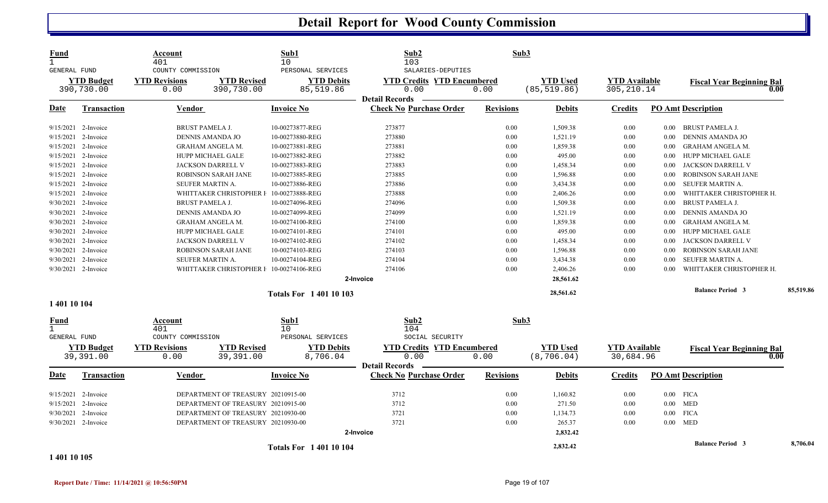| <b>Fund</b><br>$\mathbf{1}$<br><b>GENERAL FUND</b> |                                 | Account<br>401<br>COUNTY COMMISSION |                                         | Sub1<br>10<br>PERSONAL SERVICES |                               | Sub2<br>103<br>SALARIES-DEPUTIES                        | Sub3             |                                 |                                     |          |                                  |      |           |
|----------------------------------------------------|---------------------------------|-------------------------------------|-----------------------------------------|---------------------------------|-------------------------------|---------------------------------------------------------|------------------|---------------------------------|-------------------------------------|----------|----------------------------------|------|-----------|
|                                                    | <b>YTD Budget</b><br>390,730.00 | <b>YTD Revisions</b><br>0.00        | <b>YTD Revised</b><br>390,730.00        | 85,519.86                       | <b>YTD Debits</b>             | <b>YTD Credits YTD Encumbered</b><br>0.00               | 0.00             | <b>YTD Used</b><br>(85, 519.86) | <b>YTD Available</b><br>305, 210.14 |          | <b>Fiscal Year Beginning Bal</b> | 0.00 |           |
| Date                                               | Transaction                     | Vendor                              |                                         | Invoice No                      |                               | <b>Detail Records</b><br><b>Check No Purchase Order</b> | <b>Revisions</b> | <b>Debits</b>                   | <b>Credits</b>                      |          | <b>PO Amt Description</b>        |      |           |
|                                                    | 9/15/2021 2-Invoice             |                                     | <b>BRUST PAMELA J.</b>                  | 10-00273877-REG                 |                               | 273877                                                  | 0.00             | 1,509.38                        | 0.00                                | $0.00\,$ | <b>BRUST PAMELA J.</b>           |      |           |
|                                                    | 9/15/2021 2-Invoice             |                                     | <b>DENNIS AMANDA JO</b>                 | 10-00273880-REG                 |                               | 273880                                                  | 0.00             | 1,521.19                        | 0.00                                | 0.00     | DENNIS AMANDA JO                 |      |           |
|                                                    | 9/15/2021 2-Invoice             |                                     | <b>GRAHAM ANGELA M.</b>                 | 10-00273881-REG                 |                               | 273881                                                  | 0.00             | 1,859.38                        | 0.00                                | 0.00     | <b>GRAHAM ANGELA M.</b>          |      |           |
|                                                    | 9/15/2021 2-Invoice             |                                     | HUPP MICHAEL GALE                       | 10-00273882-REG                 |                               | 273882                                                  | 0.00             | 495.00                          | 0.00                                | 0.00     | HUPP MICHAEL GALE                |      |           |
| 9/15/2021                                          | 2-Invoice                       |                                     | <b>JACKSON DARRELL V</b>                | 10-00273883-REG                 |                               | 273883                                                  | 0.00             | 1,458.34                        | 0.00                                | 0.00     | JACKSON DARRELL V                |      |           |
|                                                    | 9/15/2021 2-Invoice             |                                     | <b>ROBINSON SARAH JANE</b>              | 10-00273885-REG                 |                               | 273885                                                  | 0.00             | 1,596.88                        | 0.00                                | 0.00     | ROBINSON SARAH JANE              |      |           |
|                                                    | $9/15/2021$ 2-Invoice           |                                     | <b>SEUFER MARTIN A.</b>                 | 10-00273886-REG                 |                               | 273886                                                  | 0.00             | 3,434.38                        | 0.00                                | 0.00     | SEUFER MARTIN A.                 |      |           |
|                                                    | 9/15/2021 2-Invoice             |                                     | WHITTAKER CHRISTOPHER I 10-00273888-REG |                                 |                               | 273888                                                  | 0.00             | 2,406.26                        | 0.00                                | 0.00     | WHITTAKER CHRISTOPHER H.         |      |           |
| 9/30/2021                                          | 2-Invoice                       |                                     | <b>BRUST PAMELA J.</b>                  | 10-00274096-REG                 |                               | 274096                                                  | 0.00             | 1,509.38                        | 0.00                                | 0.00     | <b>BRUST PAMELA J.</b>           |      |           |
|                                                    | 9/30/2021 2-Invoice             |                                     | <b>DENNIS AMANDA JO</b>                 | 10-00274099-REG                 |                               | 274099                                                  | 0.00             | 1,521.19                        | 0.00                                | 0.00     | DENNIS AMANDA JO                 |      |           |
|                                                    | $9/30/2021$ 2-Invoice           |                                     | <b>GRAHAM ANGELA M.</b>                 | 10-00274100-REG                 |                               | 274100                                                  | 0.00             | 1,859.38                        | 0.00                                | 0.00     | <b>GRAHAM ANGELA M.</b>          |      |           |
|                                                    | 9/30/2021 2-Invoice             |                                     | HUPP MICHAEL GALE                       | 10-00274101-REG                 |                               | 274101                                                  | 0.00             | 495.00                          | 0.00                                | 0.00     | HUPP MICHAEL GALE                |      |           |
|                                                    | 9/30/2021 2-Invoice             |                                     | JACKSON DARRELL V                       | 10-00274102-REG                 |                               | 274102                                                  | 0.00             | 1,458.34                        | 0.00                                | 0.00     | JACKSON DARRELL V                |      |           |
|                                                    | 9/30/2021 2-Invoice             |                                     | ROBINSON SARAH JANE                     | 10-00274103-REG                 |                               | 274103                                                  | 0.00             | 1,596.88                        | 0.00                                | 0.00     | ROBINSON SARAH JANE              |      |           |
|                                                    | 9/30/2021 2-Invoice             |                                     | SEUFER MARTIN A.                        | 10-00274104-REG                 |                               | 274104                                                  | 0.00             | 3,434.38                        | 0.00                                | 0.00     | SEUFER MARTIN A.                 |      |           |
|                                                    | 9/30/2021 2-Invoice             |                                     | WHITTAKER CHRISTOPHER F 10-00274106-REG |                                 |                               | 274106                                                  | 0.00             | 2,406.26                        | 0.00                                | 0.00     | WHITTAKER CHRISTOPHER H.         |      |           |
|                                                    |                                 |                                     |                                         |                                 | 2-Invoice                     |                                                         |                  | 28,561.62                       |                                     |          |                                  |      |           |
|                                                    |                                 |                                     |                                         | <b>Totals For 140110103</b>     |                               |                                                         |                  | 28,561.62                       |                                     |          | <b>Balance Period 3</b>          |      | 85,519.86 |
| 1 401 10 104                                       |                                 |                                     |                                         |                                 |                               |                                                         |                  |                                 |                                     |          |                                  |      |           |
| <u>Fund</u><br>$\mathbf{1}$                        |                                 | Account<br>401                      |                                         | Sub1<br>10                      |                               | Sub2<br>104                                             | Sub3             |                                 |                                     |          |                                  |      |           |
| GENERAL FUND                                       |                                 | COUNTY COMMISSION                   |                                         | PERSONAL SERVICES               |                               | SOCIAL SECURITY                                         |                  |                                 |                                     |          |                                  |      |           |
|                                                    | <b>YTD Budget</b><br>39,391.00  | <b>YTD Revisions</b><br>0.00        | <b>YTD Revised</b><br>39,391.00         |                                 | <b>YTD Debits</b><br>8,706.04 | <b>YTD Credits YTD Encumbered</b><br>0.00               | 0.00             | <b>YTD Used</b><br>(8, 706.04)  | <b>YTD</b> Available<br>30,684.96   |          | <b>Fiscal Year Beginning Bal</b> | 0.00 |           |
|                                                    |                                 |                                     |                                         |                                 |                               | <b>Detail Records</b>                                   |                  |                                 |                                     |          |                                  |      |           |
| Date                                               | <b>Transaction</b>              | Vendor                              |                                         | <b>Invoice No</b>               |                               | <b>Check No Purchase Order</b>                          | <b>Revisions</b> | <b>Debits</b>                   | <b>Credits</b>                      |          | <b>PO Amt Description</b>        |      |           |
|                                                    | 9/15/2021 2-Invoice             |                                     | DEPARTMENT OF TREASURY 20210915-00      |                                 |                               | 3712                                                    | 0.00             | 1,160.82                        | 0.00                                |          | $0.00$ FICA                      |      |           |
|                                                    | 9/15/2021 2-Invoice             |                                     | DEPARTMENT OF TREASURY 20210915-00      |                                 |                               | 3712                                                    | 0.00             | 271.50                          | 0.00                                |          | $0.00$ MED                       |      |           |
| 9/30/2021                                          | 2-Invoice                       |                                     | DEPARTMENT OF TREASURY 20210930-00      |                                 |                               | 3721                                                    | 0.00             | 1,134.73                        | 0.00                                |          | $0.00$ FICA                      |      |           |
|                                                    | 9/30/2021 2-Invoice             |                                     | DEPARTMENT OF TREASURY 20210930-00      |                                 |                               | 3721                                                    | 0.00             | 265.37                          | 0.00                                |          | $0.00$ MED                       |      |           |
|                                                    |                                 |                                     |                                         |                                 | 2-Invoice                     |                                                         |                  | 2,832.42                        |                                     |          |                                  |      |           |
|                                                    |                                 |                                     |                                         |                                 |                               |                                                         |                  |                                 |                                     |          | <b>Balance Period 3</b>          |      | 8,706.04  |
| 1.0110100                                          |                                 |                                     |                                         | <b>Totals For 140110104</b>     |                               |                                                         |                  | 2,832.42                        |                                     |          |                                  |      |           |

**1 401 10 105**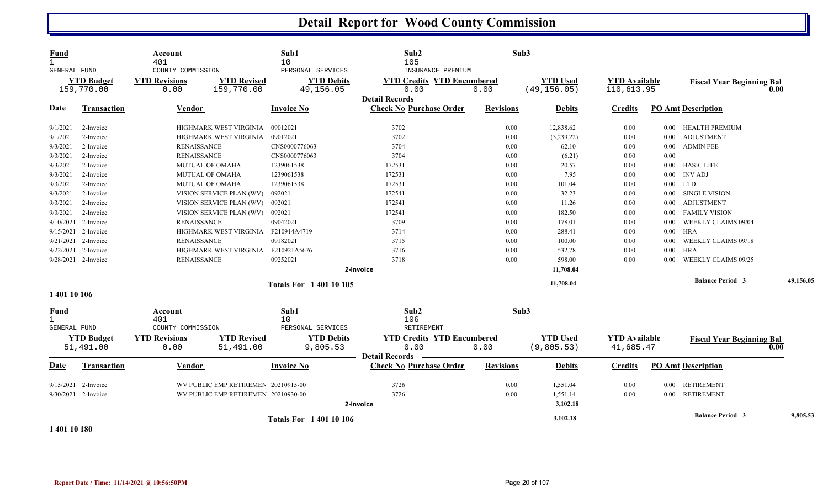| <b>Fund</b><br><b>GENERAL FUND</b>                 |                                 | Account<br>401<br>COUNTY COMMISSION |                                     | Sub1<br>10<br>PERSONAL SERVICES | Sub2<br>105<br>INSURANCE PREMIUM                                   | Sub3             |                                 |                                    |          |                                  |           |
|----------------------------------------------------|---------------------------------|-------------------------------------|-------------------------------------|---------------------------------|--------------------------------------------------------------------|------------------|---------------------------------|------------------------------------|----------|----------------------------------|-----------|
|                                                    | <b>YTD Budget</b><br>159,770.00 | <b>YTD Revisions</b><br>0.00        | <b>YTD Revised</b><br>159,770.00    | <b>YTD Debits</b><br>49,156.05  | <b>YTD Credits YTD Encumbered</b><br>0.00<br><b>Detail Records</b> | 0.00             | <b>YTD Used</b><br>(49, 156.05) | <b>YTD Available</b><br>110,613.95 |          | <b>Fiscal Year Beginning Bal</b> | 0.00      |
| <u>Date</u>                                        | <b>Transaction</b>              | <b>Vendor</b>                       |                                     | <b>Invoice No</b>               | <b>Check No Purchase Order</b>                                     | <b>Revisions</b> | <b>Debits</b>                   | <b>Credits</b>                     |          | <b>PO Amt Description</b>        |           |
| 9/1/2021                                           | 2-Invoice                       |                                     | HIGHMARK WEST VIRGINIA              | 09012021                        | 3702                                                               | 0.00             | 12,838.62                       | 0.00                               | $0.00\,$ | HEALTH PREMIUM                   |           |
| 9/1/2021                                           | 2-Invoice                       |                                     | HIGHMARK WEST VIRGINIA              | 09012021                        | 3702                                                               | 0.00             | (3,239.22)                      | 0.00                               | $0.00\,$ | ADJUSTMENT                       |           |
| 9/3/2021                                           | 2-Invoice                       | <b>RENAISSANCE</b>                  |                                     | CNS0000776063                   | 3704                                                               | 0.00             | 62.10                           | 0.00                               | $0.00\,$ | <b>ADMIN FEE</b>                 |           |
| 9/3/2021                                           | 2-Invoice                       | <b>RENAISSANCE</b>                  |                                     | CNS0000776063                   | 3704                                                               | 0.00             | (6.21)                          | 0.00                               | 0.00     |                                  |           |
| 9/3/2021                                           | 2-Invoice                       |                                     | <b>MUTUAL OF OMAHA</b>              | 1239061538                      | 172531                                                             | 0.00             | 20.57                           | 0.00                               | $0.00\,$ | <b>BASIC LIFE</b>                |           |
| 9/3/2021                                           | 2-Invoice                       |                                     | MUTUAL OF OMAHA                     | 1239061538                      | 172531                                                             | 0.00             | 7.95                            | 0.00                               |          | $0.00$ INV ADJ                   |           |
| 9/3/2021                                           | 2-Invoice                       |                                     | <b>MUTUAL OF OMAHA</b>              | 1239061538                      | 172531                                                             | 0.00             | 101.04                          | 0.00                               |          | $0.00$ LTD                       |           |
| 9/3/2021                                           | 2-Invoice                       |                                     | VISION SERVICE PLAN (WV)            | 092021                          | 172541                                                             | 0.00             | 32.23                           | 0.00                               | $0.00\,$ | SINGLE VISION                    |           |
| 9/3/2021                                           | 2-Invoice                       |                                     | VISION SERVICE PLAN (WV)            | 092021                          | 172541                                                             | 0.00             | 11.26                           | 0.00                               | 0.00     | <b>ADJUSTMENT</b>                |           |
| 9/3/2021                                           | 2-Invoice                       |                                     | VISION SERVICE PLAN (WV)            | 092021                          | 172541                                                             | 0.00             | 182.50                          | 0.00                               | $0.00\,$ | <b>FAMILY VISION</b>             |           |
|                                                    | 9/10/2021 2-Invoice             | <b>RENAISSANCE</b>                  |                                     | 09042021                        | 3709                                                               | 0.00             | 178.01                          | 0.00                               | $0.00\,$ | <b>WEEKLY CLAIMS 09/04</b>       |           |
|                                                    | 9/15/2021 2-Invoice             |                                     | HIGHMARK WEST VIRGINIA              | F210914A4719                    | 3714                                                               | 0.00             | 288.41                          | 0.00                               | $0.00\,$ | <b>HRA</b>                       |           |
|                                                    | 9/21/2021 2-Invoice             | <b>RENAISSANCE</b>                  |                                     | 09182021                        | 3715                                                               | 0.00             | 100.00                          | 0.00                               | 0.00     | WEEKLY CLAIMS 09/18              |           |
|                                                    | $9/22/2021$ 2-Invoice           |                                     | HIGHMARK WEST VIRGINIA              | F210921A5676                    | 3716                                                               | 0.00             | 532.78                          | 0.00                               | $0.00\,$ | <b>HRA</b>                       |           |
|                                                    | 9/28/2021 2-Invoice             | <b>RENAISSANCE</b>                  |                                     | 09252021                        | 3718                                                               | 0.00             | 598.00                          | 0.00                               | 0.00     | WEEKLY CLAIMS 09/25              |           |
|                                                    |                                 |                                     |                                     |                                 | 2-Invoice                                                          |                  | 11,708.04                       |                                    |          |                                  |           |
|                                                    |                                 |                                     |                                     | <b>Totals For 140110105</b>     |                                                                    |                  | 11,708.04                       |                                    |          | <b>Balance Period 3</b>          | 49,156.05 |
| 1 401 10 106                                       |                                 |                                     |                                     |                                 |                                                                    |                  |                                 |                                    |          |                                  |           |
| <b>Fund</b><br>$\mathbf{1}$<br><b>GENERAL FUND</b> |                                 | Account<br>401<br>COUNTY COMMISSION |                                     | Sub1<br>10<br>PERSONAL SERVICES | Sub2<br>106<br>RETIREMENT                                          | Sub3             |                                 |                                    |          |                                  |           |
|                                                    | <b>YTD Budget</b><br>51,491.00  | <b>YTD Revisions</b><br>0.00        | <b>YTD Revised</b><br>51,491.00     | <b>YTD Debits</b><br>9,805.53   | <b>YTD Credits YTD Encumbered</b><br>0.00<br><b>Detail Records</b> | 0.00             | <b>YTD Used</b><br>(9,805.53)   | <b>YTD Available</b><br>41,685.47  |          | <b>Fiscal Year Beginning Bal</b> | 0.00      |
| Date                                               | Transaction                     | Vendor                              |                                     | <b>Invoice No</b>               | <b>Check No Purchase Order</b>                                     | <b>Revisions</b> | <b>Debits</b>                   | <b>Credits</b>                     |          | <b>PO Amt Description</b>        |           |
|                                                    | 9/15/2021 2-Invoice             |                                     | WV PUBLIC EMP RETIREMEN 20210915-00 |                                 | 3726                                                               | 0.00             | 1,551.04                        | 0.00                               | $0.00\,$ | RETIREMENT                       |           |
|                                                    | 9/30/2021 2-Invoice             |                                     | WV PUBLIC EMP RETIREMEN 20210930-00 |                                 | 3726                                                               | 0.00             | 1,551.14                        | 0.00                               |          | 0.00 RETIREMENT                  |           |
|                                                    |                                 |                                     |                                     |                                 | 2-Invoice                                                          |                  | 3,102.18                        |                                    |          |                                  |           |
|                                                    |                                 |                                     |                                     | <b>Totals For 140110106</b>     |                                                                    |                  | 3,102.18                        |                                    |          | <b>Balance Period 3</b>          | 9,805.53  |

**1 401 10 180**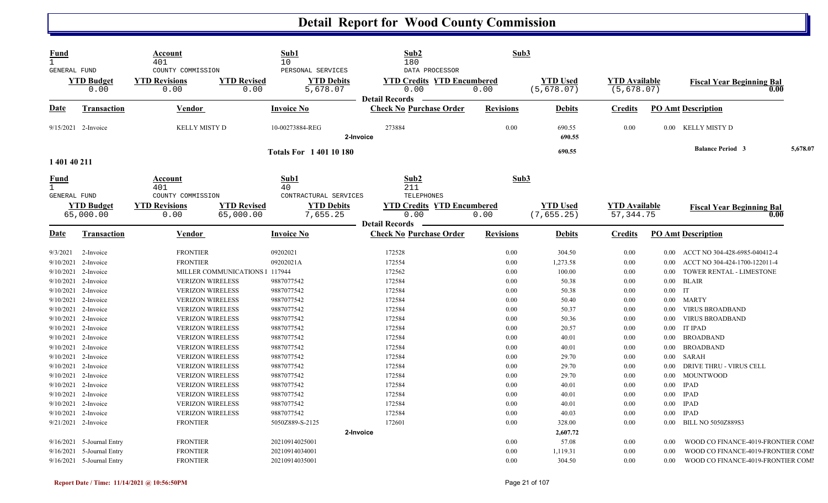| Fund<br>$\mathbf{1}$<br>GENERAL FUND |                                     | Account<br>401<br>COUNTY COMMISSION |                                | Sub1<br>10<br>PERSONAL SERVICES                                                           | Sub2<br>180<br>DATA PROCESSOR                                      | Sub3                                      |                                |                                     |              |                                                           |          |
|--------------------------------------|-------------------------------------|-------------------------------------|--------------------------------|-------------------------------------------------------------------------------------------|--------------------------------------------------------------------|-------------------------------------------|--------------------------------|-------------------------------------|--------------|-----------------------------------------------------------|----------|
|                                      | <b>YTD Budget</b><br>0.00           | <b>YTD Revisions</b><br>0.00        | <b>YTD Revised</b><br>0.00     | <b>YTD Debits</b><br>5,678.07                                                             | <b>YTD Credits YTD Encumbered</b><br>0.00<br><b>Detail Records</b> | 0.00                                      | <b>YTD Used</b><br>(5,678.07)  | <b>YTD Available</b><br>(5, 678.07) |              | <b>Fiscal Year Beginning Bal</b><br>0.00                  |          |
| Date                                 | <b>Transaction</b>                  | <b>Vendor</b>                       |                                | <b>Invoice No</b>                                                                         | <b>Check No Purchase Order</b>                                     | <b>Revisions</b>                          | <b>Debits</b>                  | <b>Credits</b>                      |              | <b>PO Amt Description</b>                                 |          |
|                                      | 9/15/2021 2-Invoice                 | KELLY MISTY D                       |                                | 10-00273884-REG                                                                           | 273884<br>2-Invoice                                                | 0.00                                      | 690.55<br>690.55               | 0.00                                |              | 0.00 KELLY MISTY D                                        |          |
| 1 401 40 211                         |                                     |                                     |                                | <b>Totals For 140110180</b>                                                               |                                                                    |                                           | 690.55                         |                                     |              | <b>Balance Period 3</b>                                   | 5,678.07 |
| <b>Fund</b><br>$\mathbf{1}$          | Account<br>401<br>COUNTY COMMISSION |                                     |                                | Sub1<br>40                                                                                | Sub2<br>211<br>TELEPHONES                                          | Sub3                                      |                                |                                     |              |                                                           |          |
| GENERAL FUND                         | <b>YTD Budget</b><br>65,000.00      | <b>YTD Revisions</b><br>0.00        |                                | CONTRACTURAL SERVICES<br><b>YTD Revised</b><br><b>YTD Debits</b><br>65,000.00<br>7,655.25 |                                                                    | <b>YTD Credits YTD Encumbered</b><br>0.00 | <b>YTD Used</b><br>(7, 655.25) | <b>YTD Available</b><br>57, 344. 75 |              | <b>Fiscal Year Beginning Bal</b><br>0.00                  |          |
| <b>Date</b>                          | Transaction                         | <b>Vendor</b>                       |                                | <b>Invoice No</b>                                                                         | <b>Detail Records</b><br><b>Check No Purchase Order</b>            | <b>Revisions</b>                          | <b>Debits</b>                  | <b>Credits</b>                      |              | <b>PO Amt Description</b>                                 |          |
| 9/3/2021                             | 2-Invoice                           | <b>FRONTIER</b>                     |                                | 09202021                                                                                  | 172528                                                             | 0.00                                      | 304.50                         | 0.00                                | 0.00         | ACCT NO 304-428-6985-040412-4                             |          |
| 9/10/2021<br>9/10/2021               | 2-Invoice<br>2-Invoice              | <b>FRONTIER</b>                     | MILLER COMMUNICATIONS 1 117944 | 09202021A                                                                                 | 172554<br>172562                                                   | 0.00<br>0.00                              | 1,273.58<br>100.00             | $0.00\,$<br>$0.00\,$                | 0.00<br>0.00 | ACCT NO 304-424-1700-122011-4<br>TOWER RENTAL - LIMESTONE |          |
| 9/10/2021                            | 2-Invoice                           |                                     | <b>VERIZON WIRELESS</b>        | 9887077542                                                                                | 172584                                                             | 0.00                                      | 50.38                          | $0.00\,$                            | $0.00\,$     | <b>BLAIR</b>                                              |          |
| 9/10/2021                            | 2-Invoice                           |                                     | <b>VERIZON WIRELESS</b>        | 9887077542                                                                                | 172584                                                             | 0.00                                      | 50.38                          | $0.00\,$                            | $0.00$ IT    |                                                           |          |
| 9/10/2021                            | 2-Invoice                           |                                     | <b>VERIZON WIRELESS</b>        | 9887077542                                                                                | 172584                                                             | 0.00                                      | 50.40                          | $0.00\,$                            | $0.00\,$     | <b>MARTY</b>                                              |          |
| 9/10/2021                            | 2-Invoice                           |                                     | <b>VERIZON WIRELESS</b>        | 9887077542                                                                                | 172584                                                             | 0.00                                      | 50.37                          | $0.00\,$                            | $0.00\,$     | <b>VIRUS BROADBAND</b>                                    |          |
| 9/10/2021                            | 2-Invoice                           |                                     | <b>VERIZON WIRELESS</b>        | 9887077542                                                                                | 172584                                                             | 0.00                                      | 50.36                          | $0.00\,$                            | $0.00\,$     | <b>VIRUS BROADBAND</b>                                    |          |
| 9/10/2021                            | 2-Invoice                           |                                     | <b>VERIZON WIRELESS</b>        | 9887077542                                                                                | 172584                                                             | 0.00                                      | 20.57                          | 0.00                                | 0.00         | <b>IT IPAD</b>                                            |          |
| 9/10/2021                            | 2-Invoice                           |                                     | <b>VERIZON WIRELESS</b>        | 9887077542                                                                                | 172584                                                             | 0.00                                      | 40.01                          | $0.00\,$                            | 0.00         | <b>BROADBAND</b>                                          |          |
| 9/10/2021                            | 2-Invoice                           |                                     | <b>VERIZON WIRELESS</b>        | 9887077542                                                                                | 172584                                                             | 0.00                                      | 40.01                          | $0.00\,$                            | $0.00\,$     | <b>BROADBAND</b>                                          |          |
| 9/10/2021                            | 2-Invoice                           |                                     | <b>VERIZON WIRELESS</b>        | 9887077542                                                                                | 172584                                                             | 0.00                                      | 29.70                          | $0.00\,$                            | 0.00         | <b>SARAH</b>                                              |          |
| 9/10/2021                            | 2-Invoice                           |                                     | <b>VERIZON WIRELESS</b>        | 9887077542                                                                                | 172584                                                             | 0.00                                      | 29.70                          | $0.00\,$                            | 0.00         | DRIVE THRU - VIRUS CELL                                   |          |
| 9/10/2021                            | 2-Invoice                           |                                     | <b>VERIZON WIRELESS</b>        | 9887077542                                                                                | 172584                                                             | 0.00                                      | 29.70                          | $0.00\,$                            | $0.00\,$     | <b>MOUNTWOOD</b>                                          |          |
| 9/10/2021                            | 2-Invoice                           |                                     | <b>VERIZON WIRELESS</b>        | 9887077542                                                                                | 172584                                                             | 0.00                                      | 40.01                          | $0.00\,$                            | 0.00         | <b>IPAD</b>                                               |          |
| 9/10/2021                            | 2-Invoice                           |                                     | <b>VERIZON WIRELESS</b>        | 9887077542                                                                                | 172584                                                             | 0.00                                      | 40.01                          | $0.00\,$                            | $0.00\,$     | <b>IPAD</b>                                               |          |
| 9/10/2021                            | 2-Invoice                           |                                     | <b>VERIZON WIRELESS</b>        | 9887077542                                                                                | 172584                                                             | 0.00                                      | 40.01                          | $0.00\,$                            | $0.00\,$     | <b>IPAD</b>                                               |          |
| 9/10/2021                            | 2-Invoice                           |                                     | <b>VERIZON WIRELESS</b>        | 9887077542                                                                                | 172584                                                             | 0.00                                      | 40.03                          | 0.00                                | 0.00         | <b>IPAD</b>                                               |          |
|                                      | 9/21/2021 2-Invoice                 | <b>FRONTIER</b>                     |                                | 5050Z889-S-2125                                                                           | 172601                                                             | 0.00                                      | 328.00                         | 0.00                                | $0.00\,$     | <b>BILL NO 5050Z889S3</b>                                 |          |
|                                      |                                     |                                     |                                |                                                                                           | 2-Invoice                                                          |                                           | 2,607.72                       |                                     |              |                                                           |          |
| 9/16/2021                            | 5-Journal Entry                     | <b>FRONTIER</b>                     |                                | 20210914025001                                                                            |                                                                    | 0.00                                      | 57.08                          | $0.00\,$                            | 0.00         | WOOD CO FINANCE-4019-FRONTIER COMI                        |          |
| 9/16/2021                            | 5-Journal Entry                     | <b>FRONTIER</b>                     |                                | 20210914034001                                                                            |                                                                    | 0.00                                      | 1,119.31                       | $0.00\,$                            | 0.00         | WOOD CO FINANCE-4019-FRONTIER COMI                        |          |
|                                      | 9/16/2021 5-Journal Entry           | <b>FRONTIER</b>                     |                                | 20210914035001                                                                            |                                                                    | 0.00                                      | 304.50                         | $0.00\,$                            | 0.00         | WOOD CO FINANCE-4019-FRONTIER COMI                        |          |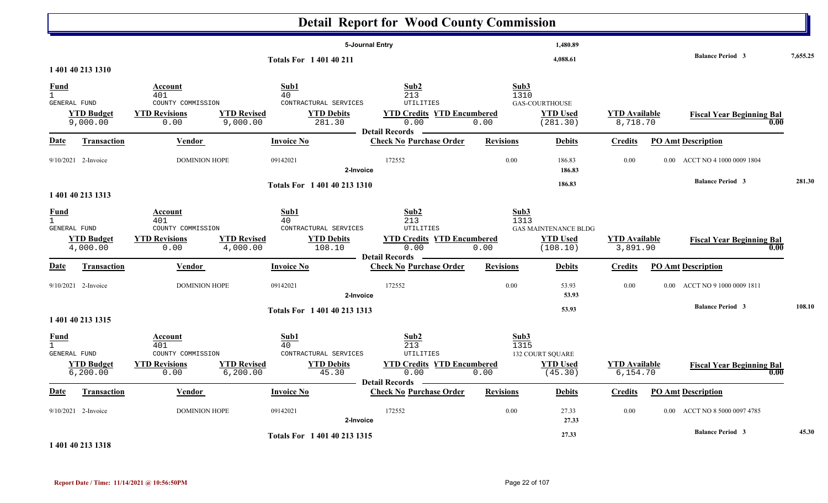|                             |                                |                                                                                                              |                                                                    | <b>Detail Report for Wood County Commission</b>                                                       |                      |                                                            |                                  |                                          |          |
|-----------------------------|--------------------------------|--------------------------------------------------------------------------------------------------------------|--------------------------------------------------------------------|-------------------------------------------------------------------------------------------------------|----------------------|------------------------------------------------------------|----------------------------------|------------------------------------------|----------|
|                             | 1 401 40 213 1310              |                                                                                                              | <b>Totals For 1 401 40 211</b>                                     | 5-Journal Entry                                                                                       |                      | 1,480.89<br>4,088.61                                       |                                  | <b>Balance Period 3</b>                  | 7,655.25 |
| <b>Fund</b><br>GENERAL FUND | <b>YTD Budget</b><br>9,000.00  | <b>Account</b><br>401<br>COUNTY COMMISSION<br><b>YTD Revised</b><br><b>YTD Revisions</b><br>0.00<br>9,000.00 | Sub1<br>40<br>CONTRACTURAL SERVICES<br><b>YTD Debits</b><br>281.30 | Sub2<br>213<br><b>UTILITIES</b><br><b>YTD Credits YTD Encumbered</b><br>0.00<br><b>Detail Records</b> | Sub3<br>1310<br>0.00 | GAS-COURTHOUSE<br><b>YTD Used</b><br>(281.30)              | <b>YTD Available</b><br>8,718.70 | <b>Fiscal Year Beginning Bal</b><br>0.00 |          |
| <b>Date</b>                 | <b>Transaction</b>             | <b>Vendor</b>                                                                                                | <b>Invoice No</b>                                                  | <b>Check No Purchase Order</b>                                                                        | <b>Revisions</b>     | <b>Debits</b>                                              | <b>Credits</b>                   | <b>PO Amt Description</b>                |          |
|                             | 9/10/2021 2-Invoice            | <b>DOMINION HOPE</b>                                                                                         | 09142021                                                           | 172552<br>2-Invoice                                                                                   | 0.00                 | 186.83<br>186.83                                           | 0.00                             | ACCT NO 4 1000 0009 1804<br>$0.00\,$     |          |
|                             | 1 401 40 213 1313              |                                                                                                              | Totals For 1 401 40 213 1310                                       |                                                                                                       |                      | 186.83                                                     |                                  | <b>Balance Period 3</b>                  | 281.30   |
| <u>Fund</u><br>GENERAL FUND | <b>YTD Budget</b><br>4,000.00  | Account<br>401<br>COUNTY COMMISSION<br><b>YTD Revisions</b><br><b>YTD Revised</b><br>4,000.00<br>0.00        | Sub1<br>40<br>CONTRACTURAL SERVICES<br><b>YTD Debits</b><br>108.10 | Sub2<br>213<br>UTILITIES<br><b>YTD Credits YTD Encumbered</b><br>0.00                                 | Sub3<br>1313<br>0.00 | <b>GAS MAINTENANCE BLDG</b><br><b>YTD Used</b><br>(108.10) | <b>YTD</b> Available<br>3,891.90 | <b>Fiscal Year Beginning Bal</b><br>0.00 |          |
| <u>Date</u>                 | <b>Transaction</b>             | <b>Vendor</b>                                                                                                | <b>Invoice No</b>                                                  | <b>Detail Records</b><br><b>Check No Purchase Order</b>                                               | <b>Revisions</b>     | <b>Debits</b>                                              | <b>Credits</b>                   | <b>PO Amt Description</b>                |          |
|                             | $9/10/2021$ 2-Invoice          | <b>DOMINION HOPE</b>                                                                                         | 09142021                                                           | 172552<br>2-Invoice                                                                                   | 0.00                 | 53.93<br>53.93                                             | 0.00                             | ACCT NO 9 1000 0009 1811<br>$0.00\,$     |          |
|                             | 1 401 40 213 1315              |                                                                                                              | Totals For 1 401 40 213 1313                                       |                                                                                                       |                      | 53.93                                                      |                                  | <b>Balance Period 3</b>                  | 108.10   |
| <b>Fund</b><br>GENERAL FUND | <b>YTD Budget</b><br>6, 200.00 | Account<br>401<br>COUNTY COMMISSION<br><b>YTD Revisions</b><br><b>YTD Revised</b><br>0.00<br>6, 200.00       | Sub1<br>40<br>CONTRACTURAL SERVICES<br><b>YTD Debits</b><br>45.30  | Sub2<br>213<br>UTILITIES<br><b>YTD Credits YTD Encumbered</b><br>0.00<br>Detail Records —             | Sub3<br>1315<br>0.00 | 132 COURT SQUARE<br><b>YTD Used</b><br>(45.30)             | <b>YTD Available</b><br>6,154.70 | <b>Fiscal Year Beginning Bal</b><br>0.00 |          |
| <u>Date</u>                 | <b>Transaction</b>             | Vendor                                                                                                       | <b>Invoice No</b>                                                  | <b>Check No Purchase Order</b>                                                                        | <b>Revisions</b>     | <b>Debits</b>                                              | <b>Credits</b>                   | <b>PO Amt Description</b>                |          |
|                             | 9/10/2021 2-Invoice            | <b>DOMINION HOPE</b>                                                                                         | 09142021                                                           | 172552<br>2-Invoice                                                                                   | 0.00                 | 27.33<br>27.33                                             | 0.00                             | 0.00 ACCT NO 8 5000 0097 4785            |          |
|                             | 1 401 40 213 1318              |                                                                                                              | Totals For 1 401 40 213 1315                                       |                                                                                                       |                      | 27.33                                                      |                                  | <b>Balance Period 3</b>                  | 45.30    |

**Report Date / Time: 11/14/2021 @ 10:56:50PM** Page 22 of 107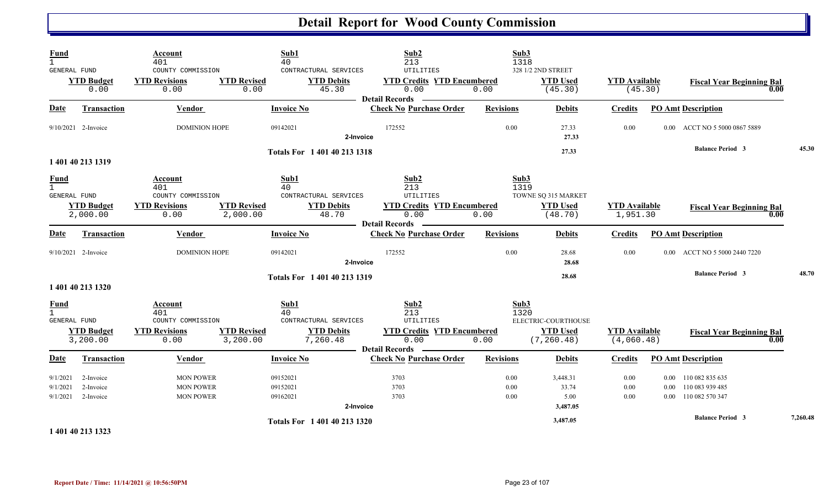| Fund<br>$\mathbf{1}$                               |                                     | Account<br>401                                                      | Sub1<br>40                                   |                                                        | Sub2<br>213                                                                               | Sub3<br>1318             |                                                       |                                    |                |                                                                 |      |          |
|----------------------------------------------------|-------------------------------------|---------------------------------------------------------------------|----------------------------------------------|--------------------------------------------------------|-------------------------------------------------------------------------------------------|--------------------------|-------------------------------------------------------|------------------------------------|----------------|-----------------------------------------------------------------|------|----------|
| GENERAL FUND                                       | <b>YTD Budget</b><br>0.00           | COUNTY COMMISSION<br><b>YTD Revisions</b><br>0.00                   | <b>YTD Revised</b><br>0.00                   | CONTRACTURAL SERVICES<br><b>YTD Debits</b><br>45.30    | UTILITIES<br><b>YTD Credits YTD Encumbered</b><br>0.00<br>- Detail Records -              | 0.00                     | 328 1/2 2ND STREET<br><b>YTD</b> Used<br>(45.30)      | <b>YTD</b> Available<br>(45.30)    |                | <b>Fiscal Year Beginning Bal</b>                                | 0.00 |          |
| Date                                               | <b>Transaction</b>                  | Vendor                                                              | <b>Invoice No</b>                            |                                                        | <b>Check No Purchase Order</b>                                                            | <b>Revisions</b>         | <b>Debits</b>                                         | <b>Credits</b>                     |                | <b>PO Amt Description</b>                                       |      |          |
|                                                    | $9/10/2021$ 2-Invoice               | <b>DOMINION HOPE</b>                                                | 09142021                                     | 2-Invoice                                              | 172552                                                                                    | 0.00                     | 27.33<br>27.33                                        | 0.00                               | $0.00^{\circ}$ | ACCT NO 5 5000 0867 5889                                        |      |          |
|                                                    | 1 401 40 213 1319                   |                                                                     |                                              | Totals For 1 401 40 213 1318                           |                                                                                           |                          | 27.33                                                 |                                    |                | <b>Balance Period 3</b>                                         |      | 45.30    |
| <b>Fund</b><br>$\mathbf{1}$<br>GENERAL FUND        | <b>YTD Budget</b><br>2,000.00       | Account<br>401<br>COUNTY COMMISSION<br><b>YTD Revisions</b><br>0.00 | Sub1<br>40<br><b>YTD Revised</b><br>2,000.00 | CONTRACTURAL SERVICES<br><b>YTD Debits</b><br>48.70    | Sub2<br>213<br>UTILITIES<br><b>YTD Credits YTD Encumbered</b><br>0.00<br>Detail Records — | Sub3<br>1319<br>0.00     | TOWNE SQ 315 MARKET<br><b>YTD Used</b><br>(48.70)     | <b>YTD Available</b><br>1,951.30   |                | <b>Fiscal Year Beginning Bal</b>                                | 0.00 |          |
| <b>Date</b>                                        | Transaction                         | Vendor                                                              | <b>Invoice No</b>                            |                                                        | <b>Check No Purchase Order</b>                                                            | <b>Revisions</b>         | <b>Debits</b>                                         | <b>Credits</b>                     |                | <b>PO Amt Description</b>                                       |      |          |
|                                                    | 9/10/2021 2-Invoice                 | <b>DOMINION HOPE</b>                                                | 09142021                                     | 2-Invoice                                              | 172552                                                                                    | 0.00                     | 28.68<br>28.68                                        | 0.00                               |                | 0.00 ACCT NO 5 5000 2440 7220                                   |      |          |
|                                                    | 1 401 40 213 1320                   |                                                                     |                                              | Totals For 1 401 40 213 1319                           |                                                                                           |                          | 28.68                                                 |                                    |                | <b>Balance Period 3</b>                                         |      | 48.70    |
| <b>Fund</b><br>$\mathbf{1}$<br><b>GENERAL FUND</b> | <b>YTD Budget</b><br>3,200.00       | Account<br>401<br>COUNTY COMMISSION<br><b>YTD Revisions</b><br>0.00 | Sub1<br>40<br><b>YTD Revised</b><br>3,200.00 | CONTRACTURAL SERVICES<br><b>YTD Debits</b><br>7,260.48 | Sub2<br>213<br>UTILITIES<br><b>YTD Credits YTD Encumbered</b><br>0.00                     | Sub3<br>1320<br>0.00     | ELECTRIC-COURTHOUSE<br><b>YTD</b> Used<br>(7, 260.48) | <b>YTD Available</b><br>(4,060.48) |                | <b>Fiscal Year Beginning Bal</b>                                | 0.00 |          |
| <b>Date</b>                                        | <b>Transaction</b>                  | <b>Vendor</b>                                                       | <b>Invoice No</b>                            | Detail Records                                         | $\overline{\phantom{a}}$<br><b>Check No Purchase Order</b>                                | <b>Revisions</b>         | <b>Debits</b>                                         | <b>Credits</b>                     |                | <b>PO Amt Description</b>                                       |      |          |
| 9/1/2021<br>9/1/2021<br>9/1/2021                   | 2-Invoice<br>2-Invoice<br>2-Invoice | <b>MON POWER</b><br><b>MON POWER</b><br><b>MON POWER</b>            | 09152021<br>09152021<br>09162021             | 2-Invoice                                              | 3703<br>3703<br>3703                                                                      | 0.00<br>0.00<br>$0.00\,$ | 3,448.31<br>33.74<br>5.00<br>3,487.05                 | $0.00\,$<br>0.00<br>0.00           | 0.00           | 0.00 110 082 835 635<br>110 083 939 485<br>0.00 110 082 570 347 |      |          |
|                                                    | 1 401 40 213 1323                   |                                                                     |                                              | Totals For 1 401 40 213 1320                           |                                                                                           |                          | 3,487.05                                              |                                    |                | <b>Balance Period 3</b>                                         |      | 7,260.48 |

**Report Date / Time: 11/14/2021 @ 10:56:50PM** Page 23 of 107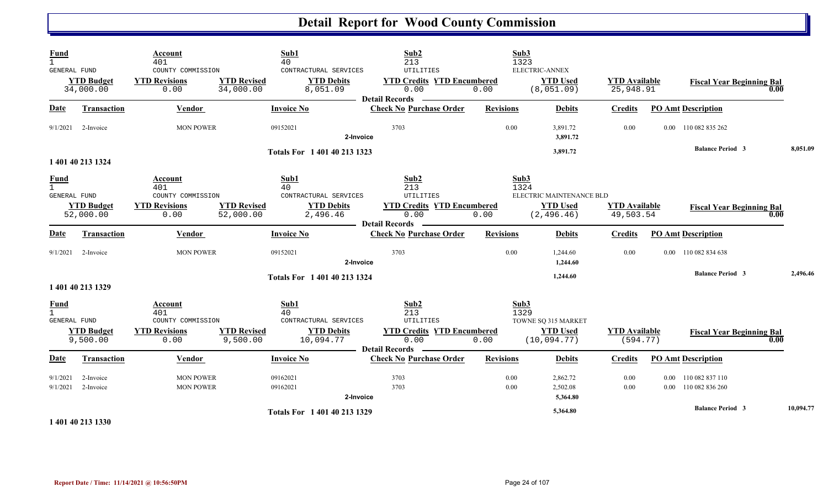| Fund<br>$\mathbf{1}$<br>GENERAL FUND               | <b>YTD Budget</b><br>34,000.00 | Account<br>401<br>COUNTY COMMISSION<br><b>YTD Revisions</b><br>0.00 | <b>YTD Revised</b><br>34,000.00 | Sub1<br>40<br>CONTRACTURAL SERVICES<br><b>YTD Debits</b><br>8,051.09 | Sub <sub>2</sub><br>213<br><b>UTILITIES</b><br><b>YTD Credits YTD Encumbered</b><br>0.00 | Sub3<br>0.00     | 1323<br>ELECTRIC-ANNEX<br><b>YTD</b> Used<br>(8,051.09) | <b>YTD</b> Available<br>25,948.91 |                        | <b>Fiscal Year Beginning Bal</b><br>0.00 |           |
|----------------------------------------------------|--------------------------------|---------------------------------------------------------------------|---------------------------------|----------------------------------------------------------------------|------------------------------------------------------------------------------------------|------------------|---------------------------------------------------------|-----------------------------------|------------------------|------------------------------------------|-----------|
| Date                                               | <b>Transaction</b>             | Vendor                                                              |                                 | <b>Invoice No</b>                                                    | <b>Detail Records</b><br><b>Check No Purchase Order</b>                                  | <b>Revisions</b> | <b>Debits</b>                                           | <b>Credits</b>                    |                        | <b>PO Amt Description</b>                |           |
| 9/1/2021                                           | 2-Invoice                      | <b>MON POWER</b>                                                    |                                 | 09152021<br>2-Invoice                                                | 3703                                                                                     | 0.00             | 3,891.72<br>3,891.72                                    | 0.00                              |                        | 0.00 110 082 835 262                     |           |
|                                                    |                                |                                                                     |                                 | Totals For 1 401 40 213 1323                                         |                                                                                          |                  | 3,891.72                                                |                                   |                        | <b>Balance Period 3</b>                  | 8,051.09  |
|                                                    | 1 401 40 213 1324              |                                                                     |                                 |                                                                      |                                                                                          |                  |                                                         |                                   |                        |                                          |           |
| <u>Fund</u><br>$\mathbf{1}$<br><b>GENERAL FUND</b> |                                | Account<br>401<br>COUNTY COMMISSION                                 |                                 | Sub1<br>40<br>CONTRACTURAL SERVICES                                  | Sub2<br>213<br>UTILITIES                                                                 | Sub3             | 1324<br>ELECTRIC MAINTENANCE BLD                        |                                   |                        |                                          |           |
|                                                    | <b>YTD Budget</b><br>52,000.00 | <b>YTD Revisions</b><br>0.00                                        | <b>YTD Revised</b><br>52,000.00 | <b>YTD Debits</b><br>2,496.46                                        | <b>YTD Credits YTD Encumbered</b><br>0.00                                                | 0.00             | <b>YTD</b> Used<br>(2, 496.46)                          | <b>YTD Available</b><br>49,503.54 |                        | <b>Fiscal Year Beginning Bal</b><br>0.00 |           |
|                                                    |                                |                                                                     |                                 |                                                                      | <b>Detail Records</b>                                                                    |                  |                                                         |                                   |                        |                                          |           |
| Date                                               | Transaction                    | Vendor                                                              |                                 | <b>Invoice No</b>                                                    | <b>Check No Purchase Order</b>                                                           | <b>Revisions</b> | <b>Debits</b>                                           | <b>Credits</b>                    |                        | <b>PO Amt Description</b>                |           |
|                                                    | $9/1/2021$ 2-Invoice           | <b>MON POWER</b>                                                    |                                 | 09152021<br>2-Invoice                                                | 3703                                                                                     | 0.00             | 1,244.60<br>1,244.60                                    | 0.00                              | $0.00\,$               | 110 082 834 638                          |           |
|                                                    |                                |                                                                     |                                 | Totals For 1 401 40 213 1324                                         |                                                                                          |                  | 1,244.60                                                |                                   |                        | <b>Balance Period 3</b>                  | 2,496.46  |
|                                                    | 1 401 40 213 1329              |                                                                     |                                 |                                                                      |                                                                                          |                  |                                                         |                                   |                        |                                          |           |
| $\frac{Fund}{1}$<br>GENERAL FUND                   |                                | Account<br>401<br>COUNTY COMMISSION                                 |                                 | Sub1<br>40<br>CONTRACTURAL SERVICES                                  | Sub <sub>2</sub><br>213<br><b>UTILITIES</b>                                              | Sub3             | 1329<br>TOWNE SQ 315 MARKET                             |                                   |                        |                                          |           |
|                                                    | <b>YTD Budget</b><br>9,500.00  | <b>YTD Revisions</b><br>0.00                                        | <b>YTD Revised</b><br>9,500.00  | <b>YTD Debits</b><br>10,094.77                                       | <b>YTD Credits YTD Encumbered</b><br>0.00<br><b>Detail Records</b>                       | 0.00             | <b>YTD</b> Used<br>(10, 094.77)                         | <b>YTD</b> Available<br>(594.77)  |                        | <b>Fiscal Year Beginning Bal</b><br>0.00 |           |
| Date                                               | <b>Transaction</b>             | Vendor                                                              |                                 | <b>Invoice No</b>                                                    | <b>Check No Purchase Order</b>                                                           | <b>Revisions</b> | <b>Debits</b>                                           | <b>Credits</b>                    |                        | <b>PO Amt Description</b>                |           |
| 9/1/2021<br>9/1/2021                               | 2-Invoice<br>2-Invoice         | <b>MON POWER</b><br><b>MON POWER</b>                                |                                 | 09162021<br>09162021<br>2-Invoice                                    | 3703<br>3703                                                                             | 0.00<br>0.00     | 2,862.72<br>2,502.08<br>5,364.80                        | 0.00<br>0.00                      | 0.00<br>$0.00^{\circ}$ | 110 082 837 110<br>110 082 836 260       |           |
|                                                    | مستون سيستمر بالمتورات         |                                                                     |                                 | Totals For 1 401 40 213 1329                                         |                                                                                          |                  | 5,364.80                                                |                                   |                        | <b>Balance Period 3</b>                  | 10,094.77 |

**1 401 40 213 1330**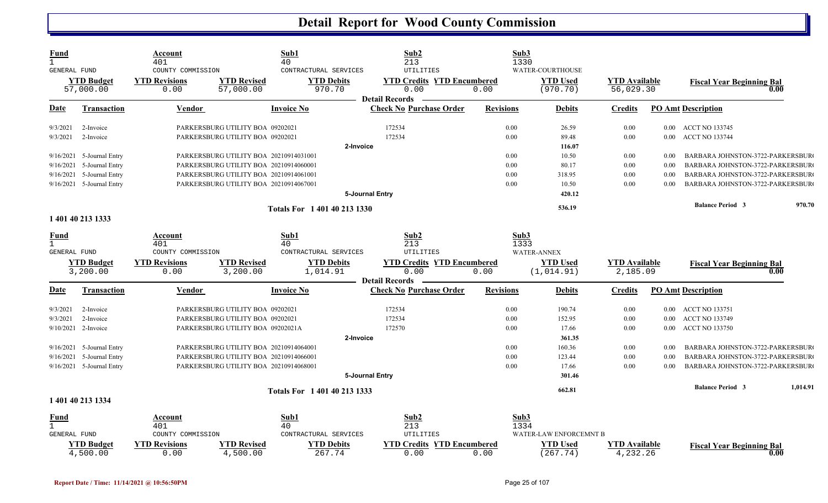| Fund<br>GENERAL FUND |                               | Account<br>401<br>COUNTY COMMISSION |                                        | Sub1<br>40<br>CONTRACTURAL SERVICES | Sub2<br>213<br>UTILITIES                  |                  | Sub3<br>1330<br>WATER-COURTHOUSE |                                  |          |                                  |          |
|----------------------|-------------------------------|-------------------------------------|----------------------------------------|-------------------------------------|-------------------------------------------|------------------|----------------------------------|----------------------------------|----------|----------------------------------|----------|
|                      | <b>YTD Budget</b>             | <b>YTD Revisions</b>                | <b>YTD Revised</b>                     | <b>YTD Debits</b>                   | <b>YTD Credits YTD Encumbered</b>         |                  | <b>YTD Used</b>                  | <b>YTD Available</b>             |          | <b>Fiscal Year Beginning Bal</b> |          |
|                      | 57,000.00                     | 0.00                                | 57,000.00                              | 970.70                              | 0.00<br><b>Detail Records</b>             | 0.00             | (970.70)                         | 56,029.30                        |          |                                  | 0.00     |
| <u>Date</u>          | <b>Transaction</b>            | Vendor                              |                                        | <b>Invoice No</b>                   | <b>Check No Purchase Order</b>            | <b>Revisions</b> | Debits                           | <b>Credits</b>                   |          | <b>PO Amt Description</b>        |          |
| 9/3/2021             | 2-Invoice                     |                                     | PARKERSBURG UTILITY BOA 09202021       |                                     | 172534                                    | 0.00             | 26.59                            | 0.00                             |          | 0.00 ACCT NO 133745              |          |
| 9/3/2021             | 2-Invoice                     |                                     | PARKERSBURG UTILITY BOA 09202021       |                                     | 172534                                    | 0.00             | 89.48                            | 0.00                             | $0.00\,$ | <b>ACCT NO 133744</b>            |          |
|                      |                               |                                     |                                        |                                     | 2-Invoice                                 |                  | 116.07                           |                                  |          |                                  |          |
|                      | 9/16/2021 5-Journal Entry     |                                     | PARKERSBURG UTILITY BOA 20210914031001 |                                     |                                           | 0.00             | 10.50                            | 0.00                             | 0.00     | BARBARA JOHNSTON-3722-PARKERSBUR |          |
| 9/16/2021            | 5-Journal Entry               |                                     | PARKERSBURG UTILITY BOA 20210914060001 |                                     |                                           | 0.00             | 80.17                            | 0.00                             | 0.00     | BARBARA JOHNSTON-3722-PARKERSBUR |          |
|                      | 9/16/2021 5-Journal Entry     |                                     | PARKERSBURG UTILITY BOA 20210914061001 |                                     |                                           | 0.00             | 318.95                           | 0.00                             | 0.00     | BARBARA JOHNSTON-3722-PARKERSBUR |          |
|                      | 9/16/2021 5-Journal Entry     |                                     | PARKERSBURG UTILITY BOA 20210914067001 |                                     |                                           | 0.00             | 10.50                            | 0.00                             | 0.00     | BARBARA JOHNSTON-3722-PARKERSBUR |          |
|                      |                               |                                     |                                        |                                     | 5-Journal Entry                           |                  | 420.12                           |                                  |          |                                  |          |
|                      |                               |                                     |                                        | Totals For 1 401 40 213 1330        |                                           |                  | 536.19                           |                                  |          | <b>Balance Period 3</b>          | 970.70   |
|                      | 1 401 40 213 1333             |                                     |                                        |                                     |                                           |                  |                                  |                                  |          |                                  |          |
| <u>Fund</u>          |                               | Account                             |                                        | Sub1                                | Sub2                                      |                  | Sub3                             |                                  |          |                                  |          |
| GENERAL FUND         |                               | 401<br>COUNTY COMMISSION            |                                        | 40<br>CONTRACTURAL SERVICES         | 213<br>UTILITIES                          |                  | 1333<br><b>WATER-ANNEX</b>       |                                  |          |                                  |          |
|                      | <b>YTD Budget</b>             | <b>YTD Revisions</b>                | <b>YTD Revised</b>                     | <b>YTD Debits</b>                   | <b>YTD Credits YTD Encumbered</b>         |                  | <b>YTD Used</b>                  | <b>YTD Available</b>             |          |                                  |          |
|                      | 3,200.00                      | 0.00                                | 3,200.00                               | 1,014.91                            | 0.00                                      | 0.00             | (1, 014.91)                      | 2,185.09                         |          | <b>Fiscal Year Beginning Bal</b> | 0.00     |
|                      |                               |                                     |                                        |                                     | <b>Detail Records</b>                     |                  |                                  |                                  |          |                                  |          |
| Date                 | <b>Transaction</b>            | <b>Vendor</b>                       |                                        | <b>Invoice No</b>                   | <b>Check No Purchase Order</b>            | <b>Revisions</b> | <b>Debits</b>                    | <b>Credits</b>                   |          | <b>PO Amt Description</b>        |          |
| 9/3/2021             | 2-Invoice                     |                                     | PARKERSBURG UTILITY BOA 09202021       |                                     | 172534                                    | 0.00             | 190.74                           | 0.00                             | $0.00\,$ | ACCT NO 133751                   |          |
| 9/3/2021             | 2-Invoice                     |                                     | PARKERSBURG UTILITY BOA 09202021       |                                     | 172534                                    | 0.00             | 152.95                           | 0.00                             | $0.00\,$ | <b>ACCT NO 133749</b>            |          |
|                      | 9/10/2021 2-Invoice           |                                     | PARKERSBURG UTILITY BOA 09202021A      |                                     | 172570                                    | 0.00             | 17.66                            | 0.00                             |          | 0.00 ACCT NO 133750              |          |
|                      |                               |                                     |                                        |                                     | 2-Invoice                                 |                  | 361.35                           |                                  |          |                                  |          |
| 9/16/2021            | 5-Journal Entry               |                                     | PARKERSBURG UTILITY BOA 20210914064001 |                                     |                                           | 0.00             | 160.36                           | 0.00                             | 0.00     | BARBARA JOHNSTON-3722-PARKERSBUR |          |
| 9/16/2021            | 5-Journal Entry               |                                     | PARKERSBURG UTILITY BOA 20210914066001 |                                     |                                           | 0.00             | 123.44                           | 0.00                             | 0.00     | BARBARA JOHNSTON-3722-PARKERSBUR |          |
|                      | 9/16/2021 5-Journal Entry     |                                     | PARKERSBURG UTILITY BOA 20210914068001 |                                     |                                           | 0.00             | 17.66                            | 0.00                             | 0.00     | BARBARA JOHNSTON-3722-PARKERSBUR |          |
|                      |                               |                                     |                                        |                                     | 5-Journal Entry                           |                  | 301.46                           |                                  |          |                                  |          |
|                      |                               |                                     |                                        | Totals For 1 401 40 213 1333        |                                           |                  | 662.81                           |                                  |          | <b>Balance Period 3</b>          | 1,014.91 |
|                      | 1 401 40 213 1334             |                                     |                                        |                                     |                                           |                  |                                  |                                  |          |                                  |          |
| Fund                 |                               | <b>Account</b>                      |                                        | Sub1                                | Sub2                                      |                  | Sub3                             |                                  |          |                                  |          |
|                      |                               | 401                                 |                                        | 40                                  | 213                                       |                  | 1334                             |                                  |          |                                  |          |
| <b>GENERAL FUND</b>  |                               | COUNTY COMMISSION                   |                                        | CONTRACTURAL SERVICES               | UTILITIES                                 |                  | WATER-LAW ENFORCEMNT B           |                                  |          |                                  |          |
|                      | <b>YTD Budget</b><br>4,500.00 | <b>YTD Revisions</b><br>0.00        | <b>YTD Revised</b><br>4,500.00         | <b>YTD Debits</b><br>267.74         | <b>YTD Credits YTD Encumbered</b><br>0.00 | 0.00             | <b>YTD</b> Used<br>(267.74)      | <b>YTD Available</b><br>4,232.26 |          | <b>Fiscal Year Beginning Bal</b> | 0.00     |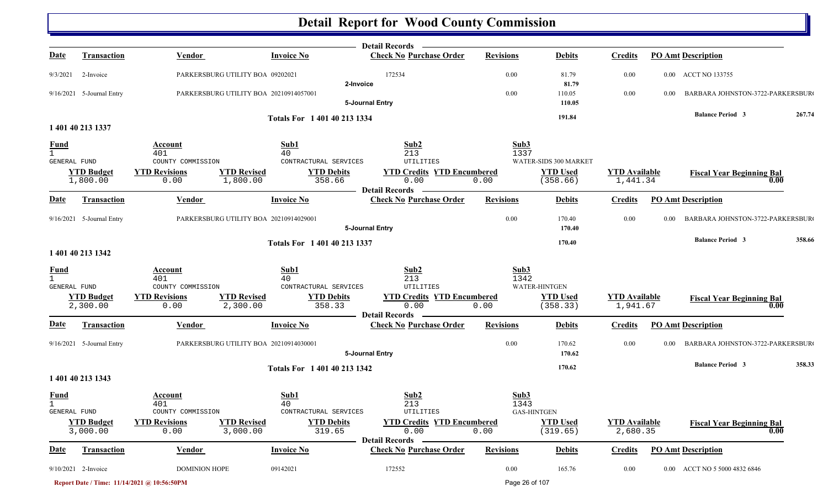|                              |                               |                                             |                                |                              | <b>Detail Records</b>                                   |                  |                             |                                  |      |                                          |        |
|------------------------------|-------------------------------|---------------------------------------------|--------------------------------|------------------------------|---------------------------------------------------------|------------------|-----------------------------|----------------------------------|------|------------------------------------------|--------|
| <u>Date</u>                  | <b>Transaction</b>            | <b>Vendor</b>                               |                                | <b>Invoice No</b>            | <b>Check No Purchase Order</b>                          | <b>Revisions</b> | <b>Debits</b>               | <b>Credits</b>                   |      | <b>PO Amt Description</b>                |        |
| 9/3/2021                     | 2-Invoice                     | PARKERSBURG UTILITY BOA 09202021            |                                | 2-Invoice                    | 172534                                                  | $0.00\,$         | 81.79<br>81.79              | 0.00                             |      | 0.00 ACCT NO 133755                      |        |
|                              | $9/16/2021$ 5-Journal Entry   | PARKERSBURG UTILITY BOA 20210914057001      |                                |                              |                                                         | $0.00\,$         | 110.05                      | $0.00\,$                         | 0.00 | BARBARA JOHNSTON-3722-PARKERSBUR         |        |
|                              |                               |                                             |                                |                              | 5-Journal Entry                                         |                  | 110.05                      |                                  |      | <b>Balance Period 3</b>                  | 267.74 |
|                              | 1 401 40 213 1337             |                                             |                                | Totals For 1 401 40 213 1334 |                                                         |                  | 191.84                      |                                  |      |                                          |        |
| <u>Fund</u>                  |                               | <b>Account</b>                              |                                | Sub1                         | Sub2                                                    | Sub3             |                             |                                  |      |                                          |        |
| $\mathbf{1}$                 |                               | 401                                         |                                | 40                           | 213                                                     | 1337             |                             |                                  |      |                                          |        |
| GENERAL FUND                 |                               | COUNTY COMMISSION                           |                                | CONTRACTURAL SERVICES        | UTILITIES                                               |                  | WATER-SIDS 300 MARKET       |                                  |      |                                          |        |
|                              | <b>YTD Budget</b><br>1,800.00 | <b>YTD Revisions</b><br>0.00                | <b>YTD Revised</b><br>1,800.00 | <b>YTD Debits</b><br>358.66  | <b>YTD Credits YTD Encumbered</b><br>0.00               | 0.00             | <b>YTD Used</b><br>(358.66) | <b>YTD Available</b><br>1,441.34 |      | <b>Fiscal Year Beginning Bal</b><br>0.00 |        |
| <b>Date</b>                  | Transaction                   | Vendor                                      |                                | <b>Invoice No</b>            | <b>Detail Records</b><br><b>Check No Purchase Order</b> | <b>Revisions</b> | <b>Debits</b>               | <b>Credits</b>                   |      | <b>PO Amt Description</b>                |        |
|                              | 9/16/2021 5-Journal Entry     | PARKERSBURG UTILITY BOA 20210914029001      |                                |                              | 5-Journal Entry                                         | 0.00             | 170.40<br>170.40            | 0.00                             | 0.00 | BARBARA JOHNSTON-3722-PARKERSBUR         |        |
|                              |                               |                                             |                                |                              |                                                         |                  | 170.40                      |                                  |      | <b>Balance Period 3</b>                  | 358.66 |
|                              | 1 401 40 213 1342             |                                             |                                | Totals For 1 401 40 213 1337 |                                                         |                  |                             |                                  |      |                                          |        |
| <b>Fund</b>                  |                               | Account                                     |                                | Sub1                         | Sub2                                                    | Sub3             |                             |                                  |      |                                          |        |
| $\mathbf{1}$<br>GENERAL FUND |                               | 401<br>COUNTY COMMISSION                    |                                | 40<br>CONTRACTURAL SERVICES  | 213<br>UTILITIES                                        | 1342             | WATER-HINTGEN               |                                  |      |                                          |        |
|                              | <b>YTD Budget</b>             | <b>YTD Revisions</b>                        | <b>YTD Revised</b>             | <b>YTD Debits</b>            | <b>YTD Credits YTD Encumbered</b>                       |                  | <b>YTD Used</b>             | <b>YTD Available</b>             |      | <b>Fiscal Year Beginning Bal</b>         |        |
|                              | 2,300.00                      | 0.00                                        | 2,300.00                       | 358.33                       | 0.00<br><b>Detail Records</b>                           | 0.00             | (358.33)                    | 1,941.67                         |      | 0.00                                     |        |
| <u>Date</u>                  | <b>Transaction</b>            | <b>Vendor</b>                               |                                | <b>Invoice No</b>            | <b>Check No Purchase Order</b>                          | <b>Revisions</b> | <b>Debits</b>               | <b>Credits</b>                   |      | <b>PO Amt Description</b>                |        |
|                              | 9/16/2021 5-Journal Entry     | PARKERSBURG UTILITY BOA 20210914030001      |                                |                              | 5-Journal Entry                                         | $0.00\,$         | 170.62<br>170.62            | $0.00\,$                         | 0.00 | BARBARA JOHNSTON-3722-PARKERSBUR         |        |
|                              |                               |                                             |                                | Totals For 1 401 40 213 1342 |                                                         |                  | 170.62                      |                                  |      | <b>Balance Period 3</b>                  | 358.33 |
|                              | 1 401 40 213 1343             |                                             |                                |                              |                                                         |                  |                             |                                  |      |                                          |        |
| <b>Fund</b><br>$\mathbf{1}$  |                               | <b>Account</b><br>401                       |                                | Sub1<br>40                   | Sub2<br>213                                             | Sub3<br>1343     |                             |                                  |      |                                          |        |
| GENERAL FUND                 |                               | COUNTY COMMISSION                           |                                | CONTRACTURAL SERVICES        | UTILITIES                                               |                  | GAS-HINTGEN                 |                                  |      |                                          |        |
|                              | <b>YTD Budget</b><br>3,000.00 | <b>YTD Revisions</b><br>0.00                | <b>YTD Revised</b><br>3,000.00 | <b>YTD Debits</b><br>319.65  | <b>YTD Credits YTD Encumbered</b><br>0.00               | 0.00             | <b>YTD</b> Used<br>(319.65) | <b>YTD Available</b><br>2,680.35 |      | <b>Fiscal Year Beginning Bal</b><br>0.00 |        |
| <b>Date</b>                  | Transaction                   | Vendor                                      |                                | <b>Invoice No</b>            | <b>Detail Records</b><br><b>Check No Purchase Order</b> | <b>Revisions</b> | <b>Debits</b>               | <b>Credits</b>                   |      | <b>PO Amt Description</b>                |        |
|                              | 9/10/2021 2-Invoice           | DOMINION HOPE                               |                                | 09142021                     | 172552                                                  | $0.00\,$         | 165.76                      | 0.00                             |      | 0.00 ACCT NO 5 5000 4832 6846            |        |
|                              |                               | Report Date / Time: 11/14/2021 @ 10:56:50PM |                                |                              |                                                         | Page 26 of 107   |                             |                                  |      |                                          |        |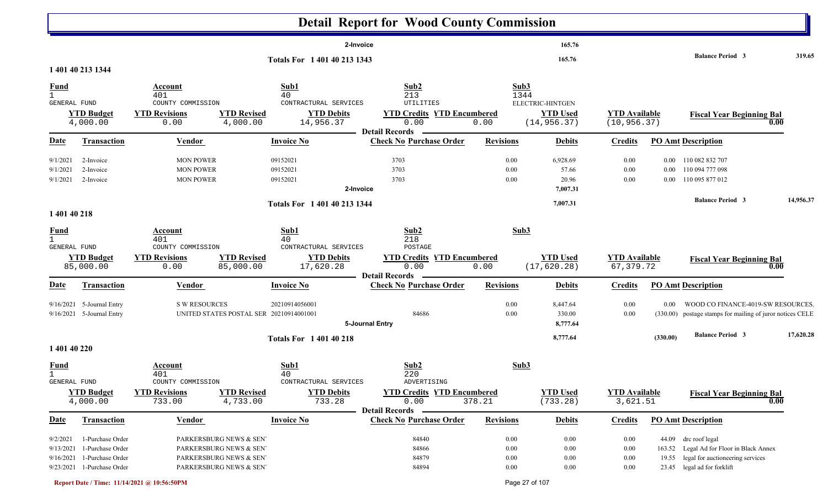|                             |                                |                                           |                                         |                                            | <b>Detail Report for Wood County Commission</b>                    |                  |                                 |                                      |          |                                                           |                     |
|-----------------------------|--------------------------------|-------------------------------------------|-----------------------------------------|--------------------------------------------|--------------------------------------------------------------------|------------------|---------------------------------|--------------------------------------|----------|-----------------------------------------------------------|---------------------|
|                             |                                |                                           |                                         | 2-Invoice                                  |                                                                    |                  | 165.76                          |                                      |          |                                                           |                     |
|                             | 1 401 40 213 1344              |                                           |                                         | Totals For 1 401 40 213 1343               |                                                                    |                  | 165.76                          |                                      |          | <b>Balance Period 3</b>                                   | 319.65              |
|                             |                                |                                           | Sub1                                    |                                            | Sub2                                                               | Sub3             |                                 |                                      |          |                                                           |                     |
| <b>Fund</b><br>$\mathbf{1}$ |                                | Account<br>401                            | 40                                      |                                            | 213                                                                | 1344             |                                 |                                      |          |                                                           |                     |
| GENERAL FUND                |                                | COUNTY COMMISSION                         |                                         | CONTRACTURAL SERVICES                      | UTILITIES                                                          |                  | <b>ELECTRIC-HINTGEN</b>         |                                      |          |                                                           |                     |
|                             | <b>YTD Budget</b><br>4,000.00  | <b>YTD Revisions</b><br>0.00              | <b>YTD Revised</b><br>4,000.00          | <b>YTD Debits</b><br>14,956.37             | <b>YTD Credits YTD Encumbered</b><br>0.00                          | 0.00             | <b>YTD Used</b><br>(14, 956.37) | <b>YTD Available</b><br>(10, 956.37) |          | <b>Fiscal Year Beginning Bal</b>                          | $\boldsymbol{0.00}$ |
|                             |                                |                                           |                                         |                                            | <b>Detail Records</b>                                              |                  |                                 |                                      |          |                                                           |                     |
| <u>Date</u>                 | <b>Transaction</b>             | <b>Vendor</b>                             | <b>Invoice No</b>                       |                                            | <b>Check No Purchase Order</b>                                     | <b>Revisions</b> | <b>Debits</b>                   | <b>Credits</b>                       |          | <b>PO Amt Description</b>                                 |                     |
| 9/1/2021                    | 2-Invoice                      | <b>MON POWER</b>                          | 09152021                                |                                            | 3703                                                               | 0.00             | 6,928.69                        | 0.00                                 | $0.00\,$ | 110 082 832 707                                           |                     |
| 9/1/2021                    | 2-Invoice                      | <b>MON POWER</b>                          | 09152021                                |                                            | 3703                                                               | 0.00             | 57.66                           | 0.00                                 | $0.00\,$ | 110 094 777 098                                           |                     |
| 9/1/2021                    | 2-Invoice                      | <b>MON POWER</b>                          | 09152021                                |                                            | 3703                                                               | 0.00             | 20.96                           | $0.00\,$                             | $0.00\,$ | 110 095 877 012                                           |                     |
|                             |                                |                                           |                                         | 2-Invoice                                  |                                                                    |                  | 7,007.31                        |                                      |          |                                                           |                     |
|                             |                                |                                           |                                         | Totals For 1 401 40 213 1344               |                                                                    |                  | 7,007.31                        |                                      |          | <b>Balance Period 3</b>                                   | 14,956.37           |
| 1 401 40 218                |                                |                                           |                                         |                                            |                                                                    |                  |                                 |                                      |          |                                                           |                     |
| <u>Fund</u><br>$\mathbf{1}$ |                                | Account<br>401                            | Sub1<br>40                              |                                            | Sub2<br>218                                                        | Sub3             |                                 |                                      |          |                                                           |                     |
| GENERAL FUND                |                                | COUNTY COMMISSION                         |                                         | CONTRACTURAL SERVICES                      | POSTAGE                                                            |                  |                                 |                                      |          |                                                           |                     |
|                             | <b>YTD Budget</b><br>85,000.00 | <b>YTD Revisions</b><br>0.00              | <b>YTD Revised</b><br>85,000.00         | <b>YTD Debits</b><br>17,620.28             | <b>YTD Credits YTD Encumbered</b><br>0.00<br><b>Detail Records</b> | 0.00             | <b>YTD Used</b><br>(17, 620.28) | <b>YTD Available</b><br>67,379.72    |          | <b>Fiscal Year Beginning Bal</b>                          | 0.00                |
| Date                        | Transaction                    | Vendor                                    | <b>Invoice No</b>                       |                                            | <b>Check No Purchase Order</b>                                     | <b>Revisions</b> | <b>Debits</b>                   | <b>Credits</b>                       |          | <b>PO Amt Description</b>                                 |                     |
|                             | 9/16/2021 5-Journal Entry      | <b>S W RESOURCES</b>                      | 20210914056001                          |                                            |                                                                    | 0.00             | 8,447.64                        | 0.00                                 | 0.00     | WOOD CO FINANCE-4019-SW RESOURCES                         |                     |
|                             | 9/16/2021 5-Journal Entry      |                                           | UNITED STATES POSTAL SER 20210914001001 |                                            | 84686                                                              | 0.00             | 330.00                          | 0.00                                 |          | (330.00) postage stamps for mailing of juror notices CELE |                     |
|                             |                                |                                           |                                         | 5-Journal Entry                            |                                                                    |                  | 8,777.64                        |                                      |          |                                                           |                     |
|                             |                                |                                           |                                         | <b>Totals For 140140218</b>                |                                                                    |                  | 8,777.64                        |                                      | (330.00) | <b>Balance Period 3</b>                                   | 17,620.28           |
| 1 401 40 220                |                                |                                           |                                         |                                            |                                                                    |                  |                                 |                                      |          |                                                           |                     |
| <u>Fund</u>                 |                                | Account                                   | Sub1                                    |                                            | Sub2                                                               | Sub3             |                                 |                                      |          |                                                           |                     |
| $\mathbf{1}$                |                                | 401                                       | 40                                      |                                            | 220                                                                |                  |                                 |                                      |          |                                                           |                     |
| GENERAL FUND                | <b>YTD Budget</b>              | COUNTY COMMISSION<br><b>YTD Revisions</b> | <b>YTD Revised</b>                      | CONTRACTURAL SERVICES<br><b>YTD Debits</b> | ADVERTISING<br><b>YTD Credits YTD Encumbered</b>                   |                  | <b>YTD Used</b>                 | <b>YTD Available</b>                 |          |                                                           |                     |
|                             | 4,000.00                       | 733.00                                    | 4,733.00                                | 733.28                                     | 0.00                                                               | 378.21           | (733.28)                        | 3,621.51                             |          | <b>Fiscal Year Beginning Bal</b>                          | 0.00                |
|                             |                                |                                           |                                         |                                            | <b>Detail Records</b>                                              |                  |                                 |                                      |          |                                                           |                     |
| <b>Date</b>                 | Transaction                    | Vendor                                    | <b>Invoice No</b>                       |                                            | <b>Check No Purchase Order</b>                                     | <b>Revisions</b> | <b>Debits</b>                   | <b>Credits</b>                       |          | <b>PO Amt Description</b>                                 |                     |
| 9/2/2021                    | 1-Purchase Order               | PARKERSBURG NEWS & SEN'                   |                                         |                                            | 84840                                                              | 0.00             | 0.00                            | $0.00\,$                             |          | 44.09 drc roof legal                                      |                     |
| 9/13/2021                   | 1-Purchase Order               | PARKERSBURG NEWS & SEN'                   |                                         |                                            | 84866                                                              | 0.00             | $0.00\,$                        | $0.00\,$                             |          | 163.52 Legal Ad for Floor in Black Annex                  |                     |
|                             | 9/16/2021 1-Purchase Order     | PARKERSBURG NEWS & SEN                    |                                         |                                            | 84879                                                              | 0.00             | 0.00                            | $0.00\,$                             |          | 19.55 legal for auctioneering services                    |                     |
|                             | 9/23/2021 1-Purchase Order     | PARKERSBURG NEWS & SEN'                   |                                         |                                            | 84894                                                              | $0.00\,$         | $0.00\,$                        | $0.00\,$                             |          | 23.45 legal ad for forklift                               |                     |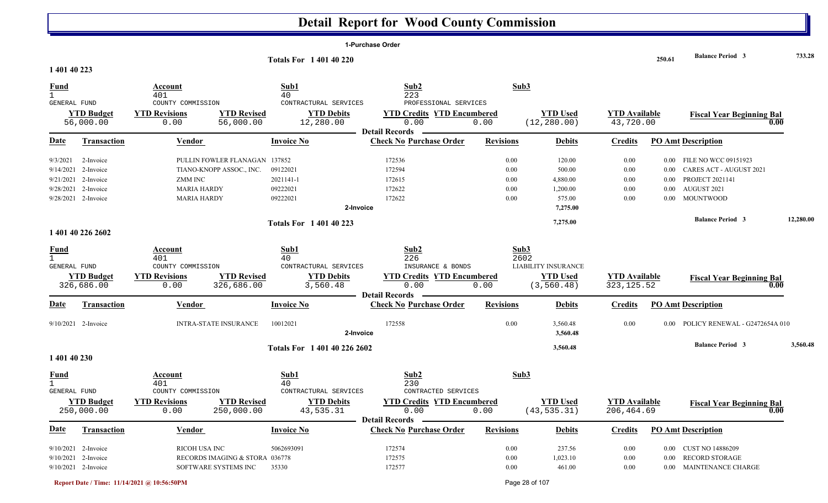| <b>Balance Period 3</b><br>250.61<br><b>Totals For 140140220</b><br>1 401 40 223<br>Sub2<br>Sub3<br>Fund<br>Sub1<br>Account<br>401<br>40<br>223<br>PROFESSIONAL SERVICES<br>GENERAL FUND<br>COUNTY COMMISSION<br>CONTRACTURAL SERVICES<br><b>YTD Revisions</b><br><b>YTD Revised</b><br><b>YTD Debits</b><br><b>YTD Credits YTD Encumbered</b><br><b>YTD Used</b><br><b>YTD Budget</b><br><b>YTD Available</b><br><b>Fiscal Year Beginning Bal</b><br>(12, 280.00)<br>56,000.00<br>0.00<br>56,000.00<br>12,280.00<br>0.00<br>0.00<br>43,720.00<br>0.00<br><b>Detail Records</b><br><b>Check No Purchase Order</b><br><b>Date</b><br><b>PO Amt Description</b><br><b>Transaction</b><br><b>Vendor</b><br><b>Invoice No</b><br><b>Revisions</b><br><b>Debits</b><br><b>Credits</b><br>9/3/2021<br>PULLIN FOWLER FLANAGAN 137852<br>172536<br>0.00<br>120.00<br>0.00<br>2-Invoice<br>FILE NO WCC 09151923<br>$0.00\,$<br>172594<br>9/14/2021 2-Invoice<br>TIANO-KNOPP ASSOC., INC.<br>09122021<br>0.00<br>500.00<br>0.00<br>CARES ACT - AUGUST 2021<br>0.00<br>2021141-1<br>4,880.00<br><b>PROJECT 2021141</b><br>9/21/2021<br>2-Invoice<br><b>ZMM INC</b><br>172615<br>0.00<br>0.00<br>0.00<br>9/28/2021 2-Invoice<br>09222021<br>172622<br>AUGUST 2021<br><b>MARIA HARDY</b><br>1,200.00<br>0.00<br>0.00<br>0.00<br>09222021<br>172622<br>9/28/2021 2-Invoice<br>0.00<br>575.00<br><b>MOUNTWOOD</b><br><b>MARIA HARDY</b><br>0.00<br>$0.00\,$<br>7,275.00<br>2-Invoice<br><b>Balance Period 3</b><br>7,275.00<br><b>Totals For 140140223</b><br>1 401 40 226 2602<br>Sub2<br>Sub3<br>Sub1<br>Fund<br>Account<br>401<br>40<br>226<br>2602<br>GENERAL FUND<br>COUNTY COMMISSION<br>CONTRACTURAL SERVICES<br>INSURANCE & BONDS<br><b>LIABILITY INSURANCE</b><br><b>YTD Revisions</b><br><b>YTD Revised</b><br><b>YTD Debits</b><br><b>YTD Used</b><br><b>YTD Budget</b><br><b>YTD Credits YTD Encumbered</b><br><b>YTD</b> Available<br><b>Fiscal Year Beginning Bal</b><br>326,686.00<br>0.00<br>326,686.00<br>3,560.48<br>0.00<br>(3, 560.48)<br>323, 125.52<br>0.00<br>0.00<br><b>Detail Records</b><br><b>Date</b><br><b>Invoice No</b><br><b>Check No Purchase Order</b><br><b>Revisions</b><br><b>Transaction</b><br><b>Vendor</b><br><b>Debits</b><br><b>Credits</b><br><b>PO Amt Description</b><br>9/10/2021 2-Invoice<br><b>INTRA-STATE INSURANCE</b><br>10012021<br>172558<br>0.00<br>3,560.48<br>0.00<br>POLICY RENEWAL - G2472654A 010<br>$0.00 -$<br>3,560.48<br>2-Invoice<br><b>Balance Period 3</b><br>3,560.48<br>Totals For 1 401 40 226 2602<br>1 401 40 230<br>Sub2<br>Sub3<br><b>Fund</b><br>Sub1<br>Account<br>401<br>40<br>230<br>GENERAL FUND<br>COUNTY COMMISSION<br>CONTRACTURAL SERVICES<br>CONTRACTED SERVICES<br><b>YTD Debits</b><br><b>YTD Budget</b><br><b>YTD Revisions</b><br><b>YTD Revised</b><br><b>YTD Credits YTD Encumbered</b><br><b>YTD Used</b><br><b>YTD</b> Available<br><b>Fiscal Year Beginning Bal</b><br>0.00<br>250,000.00<br>250,000.00<br>43,535.31<br>(43, 535.31)<br>206, 464.69<br>0.00<br>0.00<br>0.00<br><b>Detail Records</b><br><b>Date</b><br><b>Check No Purchase Order</b><br><b>PO Amt Description</b><br><b>Vendor</b><br><b>Invoice No</b><br><b>Revisions</b><br><b>Debits</b><br><b>Transaction</b><br><b>Credits</b> |  |  | 1-Purchase Order |  |  |           |
|--------------------------------------------------------------------------------------------------------------------------------------------------------------------------------------------------------------------------------------------------------------------------------------------------------------------------------------------------------------------------------------------------------------------------------------------------------------------------------------------------------------------------------------------------------------------------------------------------------------------------------------------------------------------------------------------------------------------------------------------------------------------------------------------------------------------------------------------------------------------------------------------------------------------------------------------------------------------------------------------------------------------------------------------------------------------------------------------------------------------------------------------------------------------------------------------------------------------------------------------------------------------------------------------------------------------------------------------------------------------------------------------------------------------------------------------------------------------------------------------------------------------------------------------------------------------------------------------------------------------------------------------------------------------------------------------------------------------------------------------------------------------------------------------------------------------------------------------------------------------------------------------------------------------------------------------------------------------------------------------------------------------------------------------------------------------------------------------------------------------------------------------------------------------------------------------------------------------------------------------------------------------------------------------------------------------------------------------------------------------------------------------------------------------------------------------------------------------------------------------------------------------------------------------------------------------------------------------------------------------------------------------------------------------------------------------------------------------------------------------------------------------------------------------------------------------------------------------------------------------------------------------------------------------------------------------------------------------------------------------------------------------------------------------------------------------------------------------------------------------------------------------------------------------------------------------------------------------------------------------------------------------------------------|--|--|------------------|--|--|-----------|
|                                                                                                                                                                                                                                                                                                                                                                                                                                                                                                                                                                                                                                                                                                                                                                                                                                                                                                                                                                                                                                                                                                                                                                                                                                                                                                                                                                                                                                                                                                                                                                                                                                                                                                                                                                                                                                                                                                                                                                                                                                                                                                                                                                                                                                                                                                                                                                                                                                                                                                                                                                                                                                                                                                                                                                                                                                                                                                                                                                                                                                                                                                                                                                                                                                                                                      |  |  |                  |  |  | 733.28    |
|                                                                                                                                                                                                                                                                                                                                                                                                                                                                                                                                                                                                                                                                                                                                                                                                                                                                                                                                                                                                                                                                                                                                                                                                                                                                                                                                                                                                                                                                                                                                                                                                                                                                                                                                                                                                                                                                                                                                                                                                                                                                                                                                                                                                                                                                                                                                                                                                                                                                                                                                                                                                                                                                                                                                                                                                                                                                                                                                                                                                                                                                                                                                                                                                                                                                                      |  |  |                  |  |  |           |
|                                                                                                                                                                                                                                                                                                                                                                                                                                                                                                                                                                                                                                                                                                                                                                                                                                                                                                                                                                                                                                                                                                                                                                                                                                                                                                                                                                                                                                                                                                                                                                                                                                                                                                                                                                                                                                                                                                                                                                                                                                                                                                                                                                                                                                                                                                                                                                                                                                                                                                                                                                                                                                                                                                                                                                                                                                                                                                                                                                                                                                                                                                                                                                                                                                                                                      |  |  |                  |  |  |           |
|                                                                                                                                                                                                                                                                                                                                                                                                                                                                                                                                                                                                                                                                                                                                                                                                                                                                                                                                                                                                                                                                                                                                                                                                                                                                                                                                                                                                                                                                                                                                                                                                                                                                                                                                                                                                                                                                                                                                                                                                                                                                                                                                                                                                                                                                                                                                                                                                                                                                                                                                                                                                                                                                                                                                                                                                                                                                                                                                                                                                                                                                                                                                                                                                                                                                                      |  |  |                  |  |  |           |
|                                                                                                                                                                                                                                                                                                                                                                                                                                                                                                                                                                                                                                                                                                                                                                                                                                                                                                                                                                                                                                                                                                                                                                                                                                                                                                                                                                                                                                                                                                                                                                                                                                                                                                                                                                                                                                                                                                                                                                                                                                                                                                                                                                                                                                                                                                                                                                                                                                                                                                                                                                                                                                                                                                                                                                                                                                                                                                                                                                                                                                                                                                                                                                                                                                                                                      |  |  |                  |  |  |           |
|                                                                                                                                                                                                                                                                                                                                                                                                                                                                                                                                                                                                                                                                                                                                                                                                                                                                                                                                                                                                                                                                                                                                                                                                                                                                                                                                                                                                                                                                                                                                                                                                                                                                                                                                                                                                                                                                                                                                                                                                                                                                                                                                                                                                                                                                                                                                                                                                                                                                                                                                                                                                                                                                                                                                                                                                                                                                                                                                                                                                                                                                                                                                                                                                                                                                                      |  |  |                  |  |  |           |
|                                                                                                                                                                                                                                                                                                                                                                                                                                                                                                                                                                                                                                                                                                                                                                                                                                                                                                                                                                                                                                                                                                                                                                                                                                                                                                                                                                                                                                                                                                                                                                                                                                                                                                                                                                                                                                                                                                                                                                                                                                                                                                                                                                                                                                                                                                                                                                                                                                                                                                                                                                                                                                                                                                                                                                                                                                                                                                                                                                                                                                                                                                                                                                                                                                                                                      |  |  |                  |  |  |           |
|                                                                                                                                                                                                                                                                                                                                                                                                                                                                                                                                                                                                                                                                                                                                                                                                                                                                                                                                                                                                                                                                                                                                                                                                                                                                                                                                                                                                                                                                                                                                                                                                                                                                                                                                                                                                                                                                                                                                                                                                                                                                                                                                                                                                                                                                                                                                                                                                                                                                                                                                                                                                                                                                                                                                                                                                                                                                                                                                                                                                                                                                                                                                                                                                                                                                                      |  |  |                  |  |  |           |
|                                                                                                                                                                                                                                                                                                                                                                                                                                                                                                                                                                                                                                                                                                                                                                                                                                                                                                                                                                                                                                                                                                                                                                                                                                                                                                                                                                                                                                                                                                                                                                                                                                                                                                                                                                                                                                                                                                                                                                                                                                                                                                                                                                                                                                                                                                                                                                                                                                                                                                                                                                                                                                                                                                                                                                                                                                                                                                                                                                                                                                                                                                                                                                                                                                                                                      |  |  |                  |  |  |           |
|                                                                                                                                                                                                                                                                                                                                                                                                                                                                                                                                                                                                                                                                                                                                                                                                                                                                                                                                                                                                                                                                                                                                                                                                                                                                                                                                                                                                                                                                                                                                                                                                                                                                                                                                                                                                                                                                                                                                                                                                                                                                                                                                                                                                                                                                                                                                                                                                                                                                                                                                                                                                                                                                                                                                                                                                                                                                                                                                                                                                                                                                                                                                                                                                                                                                                      |  |  |                  |  |  |           |
|                                                                                                                                                                                                                                                                                                                                                                                                                                                                                                                                                                                                                                                                                                                                                                                                                                                                                                                                                                                                                                                                                                                                                                                                                                                                                                                                                                                                                                                                                                                                                                                                                                                                                                                                                                                                                                                                                                                                                                                                                                                                                                                                                                                                                                                                                                                                                                                                                                                                                                                                                                                                                                                                                                                                                                                                                                                                                                                                                                                                                                                                                                                                                                                                                                                                                      |  |  |                  |  |  |           |
|                                                                                                                                                                                                                                                                                                                                                                                                                                                                                                                                                                                                                                                                                                                                                                                                                                                                                                                                                                                                                                                                                                                                                                                                                                                                                                                                                                                                                                                                                                                                                                                                                                                                                                                                                                                                                                                                                                                                                                                                                                                                                                                                                                                                                                                                                                                                                                                                                                                                                                                                                                                                                                                                                                                                                                                                                                                                                                                                                                                                                                                                                                                                                                                                                                                                                      |  |  |                  |  |  |           |
|                                                                                                                                                                                                                                                                                                                                                                                                                                                                                                                                                                                                                                                                                                                                                                                                                                                                                                                                                                                                                                                                                                                                                                                                                                                                                                                                                                                                                                                                                                                                                                                                                                                                                                                                                                                                                                                                                                                                                                                                                                                                                                                                                                                                                                                                                                                                                                                                                                                                                                                                                                                                                                                                                                                                                                                                                                                                                                                                                                                                                                                                                                                                                                                                                                                                                      |  |  |                  |  |  | 12,280.00 |
|                                                                                                                                                                                                                                                                                                                                                                                                                                                                                                                                                                                                                                                                                                                                                                                                                                                                                                                                                                                                                                                                                                                                                                                                                                                                                                                                                                                                                                                                                                                                                                                                                                                                                                                                                                                                                                                                                                                                                                                                                                                                                                                                                                                                                                                                                                                                                                                                                                                                                                                                                                                                                                                                                                                                                                                                                                                                                                                                                                                                                                                                                                                                                                                                                                                                                      |  |  |                  |  |  |           |
|                                                                                                                                                                                                                                                                                                                                                                                                                                                                                                                                                                                                                                                                                                                                                                                                                                                                                                                                                                                                                                                                                                                                                                                                                                                                                                                                                                                                                                                                                                                                                                                                                                                                                                                                                                                                                                                                                                                                                                                                                                                                                                                                                                                                                                                                                                                                                                                                                                                                                                                                                                                                                                                                                                                                                                                                                                                                                                                                                                                                                                                                                                                                                                                                                                                                                      |  |  |                  |  |  |           |
|                                                                                                                                                                                                                                                                                                                                                                                                                                                                                                                                                                                                                                                                                                                                                                                                                                                                                                                                                                                                                                                                                                                                                                                                                                                                                                                                                                                                                                                                                                                                                                                                                                                                                                                                                                                                                                                                                                                                                                                                                                                                                                                                                                                                                                                                                                                                                                                                                                                                                                                                                                                                                                                                                                                                                                                                                                                                                                                                                                                                                                                                                                                                                                                                                                                                                      |  |  |                  |  |  |           |
|                                                                                                                                                                                                                                                                                                                                                                                                                                                                                                                                                                                                                                                                                                                                                                                                                                                                                                                                                                                                                                                                                                                                                                                                                                                                                                                                                                                                                                                                                                                                                                                                                                                                                                                                                                                                                                                                                                                                                                                                                                                                                                                                                                                                                                                                                                                                                                                                                                                                                                                                                                                                                                                                                                                                                                                                                                                                                                                                                                                                                                                                                                                                                                                                                                                                                      |  |  |                  |  |  |           |
|                                                                                                                                                                                                                                                                                                                                                                                                                                                                                                                                                                                                                                                                                                                                                                                                                                                                                                                                                                                                                                                                                                                                                                                                                                                                                                                                                                                                                                                                                                                                                                                                                                                                                                                                                                                                                                                                                                                                                                                                                                                                                                                                                                                                                                                                                                                                                                                                                                                                                                                                                                                                                                                                                                                                                                                                                                                                                                                                                                                                                                                                                                                                                                                                                                                                                      |  |  |                  |  |  |           |
|                                                                                                                                                                                                                                                                                                                                                                                                                                                                                                                                                                                                                                                                                                                                                                                                                                                                                                                                                                                                                                                                                                                                                                                                                                                                                                                                                                                                                                                                                                                                                                                                                                                                                                                                                                                                                                                                                                                                                                                                                                                                                                                                                                                                                                                                                                                                                                                                                                                                                                                                                                                                                                                                                                                                                                                                                                                                                                                                                                                                                                                                                                                                                                                                                                                                                      |  |  |                  |  |  |           |
|                                                                                                                                                                                                                                                                                                                                                                                                                                                                                                                                                                                                                                                                                                                                                                                                                                                                                                                                                                                                                                                                                                                                                                                                                                                                                                                                                                                                                                                                                                                                                                                                                                                                                                                                                                                                                                                                                                                                                                                                                                                                                                                                                                                                                                                                                                                                                                                                                                                                                                                                                                                                                                                                                                                                                                                                                                                                                                                                                                                                                                                                                                                                                                                                                                                                                      |  |  |                  |  |  |           |
|                                                                                                                                                                                                                                                                                                                                                                                                                                                                                                                                                                                                                                                                                                                                                                                                                                                                                                                                                                                                                                                                                                                                                                                                                                                                                                                                                                                                                                                                                                                                                                                                                                                                                                                                                                                                                                                                                                                                                                                                                                                                                                                                                                                                                                                                                                                                                                                                                                                                                                                                                                                                                                                                                                                                                                                                                                                                                                                                                                                                                                                                                                                                                                                                                                                                                      |  |  |                  |  |  |           |
|                                                                                                                                                                                                                                                                                                                                                                                                                                                                                                                                                                                                                                                                                                                                                                                                                                                                                                                                                                                                                                                                                                                                                                                                                                                                                                                                                                                                                                                                                                                                                                                                                                                                                                                                                                                                                                                                                                                                                                                                                                                                                                                                                                                                                                                                                                                                                                                                                                                                                                                                                                                                                                                                                                                                                                                                                                                                                                                                                                                                                                                                                                                                                                                                                                                                                      |  |  |                  |  |  | 3,560.48  |
|                                                                                                                                                                                                                                                                                                                                                                                                                                                                                                                                                                                                                                                                                                                                                                                                                                                                                                                                                                                                                                                                                                                                                                                                                                                                                                                                                                                                                                                                                                                                                                                                                                                                                                                                                                                                                                                                                                                                                                                                                                                                                                                                                                                                                                                                                                                                                                                                                                                                                                                                                                                                                                                                                                                                                                                                                                                                                                                                                                                                                                                                                                                                                                                                                                                                                      |  |  |                  |  |  |           |
|                                                                                                                                                                                                                                                                                                                                                                                                                                                                                                                                                                                                                                                                                                                                                                                                                                                                                                                                                                                                                                                                                                                                                                                                                                                                                                                                                                                                                                                                                                                                                                                                                                                                                                                                                                                                                                                                                                                                                                                                                                                                                                                                                                                                                                                                                                                                                                                                                                                                                                                                                                                                                                                                                                                                                                                                                                                                                                                                                                                                                                                                                                                                                                                                                                                                                      |  |  |                  |  |  |           |
|                                                                                                                                                                                                                                                                                                                                                                                                                                                                                                                                                                                                                                                                                                                                                                                                                                                                                                                                                                                                                                                                                                                                                                                                                                                                                                                                                                                                                                                                                                                                                                                                                                                                                                                                                                                                                                                                                                                                                                                                                                                                                                                                                                                                                                                                                                                                                                                                                                                                                                                                                                                                                                                                                                                                                                                                                                                                                                                                                                                                                                                                                                                                                                                                                                                                                      |  |  |                  |  |  |           |
|                                                                                                                                                                                                                                                                                                                                                                                                                                                                                                                                                                                                                                                                                                                                                                                                                                                                                                                                                                                                                                                                                                                                                                                                                                                                                                                                                                                                                                                                                                                                                                                                                                                                                                                                                                                                                                                                                                                                                                                                                                                                                                                                                                                                                                                                                                                                                                                                                                                                                                                                                                                                                                                                                                                                                                                                                                                                                                                                                                                                                                                                                                                                                                                                                                                                                      |  |  |                  |  |  |           |
|                                                                                                                                                                                                                                                                                                                                                                                                                                                                                                                                                                                                                                                                                                                                                                                                                                                                                                                                                                                                                                                                                                                                                                                                                                                                                                                                                                                                                                                                                                                                                                                                                                                                                                                                                                                                                                                                                                                                                                                                                                                                                                                                                                                                                                                                                                                                                                                                                                                                                                                                                                                                                                                                                                                                                                                                                                                                                                                                                                                                                                                                                                                                                                                                                                                                                      |  |  |                  |  |  |           |
|                                                                                                                                                                                                                                                                                                                                                                                                                                                                                                                                                                                                                                                                                                                                                                                                                                                                                                                                                                                                                                                                                                                                                                                                                                                                                                                                                                                                                                                                                                                                                                                                                                                                                                                                                                                                                                                                                                                                                                                                                                                                                                                                                                                                                                                                                                                                                                                                                                                                                                                                                                                                                                                                                                                                                                                                                                                                                                                                                                                                                                                                                                                                                                                                                                                                                      |  |  |                  |  |  |           |
|                                                                                                                                                                                                                                                                                                                                                                                                                                                                                                                                                                                                                                                                                                                                                                                                                                                                                                                                                                                                                                                                                                                                                                                                                                                                                                                                                                                                                                                                                                                                                                                                                                                                                                                                                                                                                                                                                                                                                                                                                                                                                                                                                                                                                                                                                                                                                                                                                                                                                                                                                                                                                                                                                                                                                                                                                                                                                                                                                                                                                                                                                                                                                                                                                                                                                      |  |  |                  |  |  |           |

2-Invoice 5062693091 0.00 RICOH USA INC 172574 237.56 0.00 0.00 CUST NO 14886209

2-Invoice 35330 200 272577 0.00 461.00 0.00 0.00 0.00 MAINTENANCE CHARGE SYSTEMS INC 35330 172577 0.000 0.00 0.00 0.00 MAINTENANCE CHARGE

1 2-Invoice RECORDS IMAGING & STORA 036778

9/10/2021 2-Invoice

9/10/2021 2-Invoice

9/10/2021 2-Invoice

172575 0.00 1,023.10 0.00 0.00 RECORD STORAGE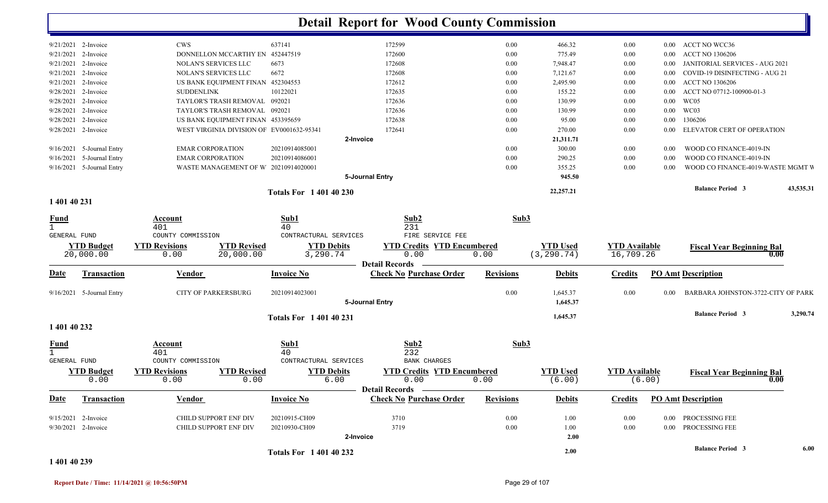|                                                    |                                |                                                   |                                   |                                                    | <b>Detail Report for Wood County Commission</b>                    |                  |                                |                                   |          |                                    |           |
|----------------------------------------------------|--------------------------------|---------------------------------------------------|-----------------------------------|----------------------------------------------------|--------------------------------------------------------------------|------------------|--------------------------------|-----------------------------------|----------|------------------------------------|-----------|
|                                                    | 9/21/2021 2-Invoice            | <b>CWS</b>                                        |                                   | 637141                                             | 172599                                                             | 0.00             | 466.32                         | $0.00\,$                          |          | 0.00 ACCT NO WCC36                 |           |
|                                                    | 9/21/2021 2-Invoice            |                                                   | DONNELLON MCCARTHY EN 452447519   |                                                    | 172600                                                             | 0.00             | 775.49                         | $0.00\,$                          | $0.00\,$ | <b>ACCT NO 1306206</b>             |           |
|                                                    | 9/21/2021 2-Invoice            | NOLAN'S SERVICES LLC                              |                                   | 6673                                               | 172608                                                             | $0.00\,$         | 7,948.47                       | $0.00\,$                          | $0.00\,$ | JANITORIAL SERVICES - AUG 2021     |           |
|                                                    | 9/21/2021 2-Invoice            | NOLAN'S SERVICES LLC                              |                                   | 6672                                               | 172608                                                             | $0.00\,$         | 7,121.67                       | $0.00\,$                          | $0.00\,$ | COVID-19 DISINFECTING - AUG 21     |           |
|                                                    | $9/21/2021$ 2-Invoice          |                                                   | US BANK EQUIPMENT FINAN 452304553 |                                                    | 172612                                                             | $0.00\,$         | 2,495.90                       | $0.00\,$                          | $0.00\,$ | <b>ACCT NO 1306206</b>             |           |
| 9/28/2021                                          | 2-Invoice                      | <b>SUDDENLINK</b>                                 |                                   | 10122021                                           | 172635                                                             | $0.00\,$         | 155.22                         | $0.00\,$                          | $0.00\,$ | ACCT NO 07712-100900-01-3          |           |
| 9/28/2021                                          | 2-Invoice                      |                                                   | TAYLOR'S TRASH REMOVAL 092021     |                                                    | 172636                                                             | 0.00             | 130.99                         | 0.00                              | $0.00\,$ | WC05                               |           |
| 9/28/2021                                          | 2-Invoice                      |                                                   | TAYLOR'S TRASH REMOVAL 092021     |                                                    | 172636                                                             | 0.00             | 130.99                         | 0.00                              | $0.00\,$ | WC03                               |           |
| 9/28/2021                                          | 2-Invoice                      |                                                   | US BANK EQUIPMENT FINAN 453395659 |                                                    | 172638                                                             | 0.00             | 95.00                          | $0.00\,$                          | $0.00\,$ | 1306206                            |           |
|                                                    | 9/28/2021 2-Invoice            |                                                   |                                   | WEST VIRGINIA DIVISION OF EV0001632-95341          | 172641                                                             | 0.00             | 270.00                         | 0.00                              | $0.00\,$ | ELEVATOR CERT OF OPERATION         |           |
|                                                    |                                |                                                   |                                   |                                                    | 2-Invoice                                                          |                  | 21,311.71                      |                                   |          |                                    |           |
|                                                    | 9/16/2021 5-Journal Entry      | <b>EMAR CORPORATION</b>                           |                                   | 20210914085001                                     |                                                                    | $0.00\,$         | 300.00                         | $0.00\,$                          | 0.00     | WOOD CO FINANCE-4019-IN            |           |
| 9/16/2021                                          | 5-Journal Entry                | <b>EMAR CORPORATION</b>                           |                                   | 20210914086001                                     |                                                                    | 0.00             | 290.25                         | $0.00\,$                          | 0.00     | WOOD CO FINANCE-4019-IN            |           |
|                                                    | 9/16/2021 5-Journal Entry      |                                                   |                                   | WASTE MANAGEMENT OF W 20210914020001               |                                                                    | 0.00             | 355.25                         | $0.00\,$                          | 0.00     | WOOD CO FINANCE-4019-WASTE MGMT V  |           |
|                                                    |                                |                                                   |                                   |                                                    | 5-Journal Entry                                                    |                  | 945.50                         |                                   |          |                                    |           |
|                                                    |                                |                                                   |                                   | <b>Totals For 1 401 40 230</b>                     |                                                                    |                  | 22,257.21                      |                                   |          | <b>Balance Period 3</b>            | 43,535.31 |
| 1 401 40 231                                       |                                |                                                   |                                   |                                                    |                                                                    |                  |                                |                                   |          |                                    |           |
| <u>Fund</u><br>$\mathbf{1}$<br><b>GENERAL FUND</b> |                                | <b>Account</b><br>401<br>COUNTY COMMISSION        |                                   | Sub1<br>40<br>CONTRACTURAL SERVICES                | Sub2<br>231<br>FIRE SERVICE FEE                                    | Sub3             |                                |                                   |          |                                    |           |
|                                                    | <b>YTD Budget</b><br>20,000.00 | <b>YTD Revisions</b><br>0.00                      | <b>YTD Revised</b><br>20,000.00   | <b>YTD Debits</b><br>3,290.74                      | <b>YTD Credits YTD Encumbered</b><br>0.00<br><b>Detail Records</b> | 0.00             | <b>YTD Used</b><br>(3, 290.74) | <b>YTD Available</b><br>16,709.26 |          | <b>Fiscal Year Beginning Bal</b>   | 0.00      |
| <b>Date</b>                                        | <b>Transaction</b>             | Vendor                                            |                                   | <b>Invoice No</b>                                  | <b>Check No Purchase Order</b>                                     | <b>Revisions</b> | <b>Debits</b>                  | <b>Credits</b>                    |          | <b>PO Amt Description</b>          |           |
|                                                    | 9/16/2021 5-Journal Entry      | <b>CITY OF PARKERSBURG</b>                        |                                   | 20210914023001                                     | 5-Journal Entry                                                    | 0.00             | 1,645.37<br>1,645.37           | $0.00\,$                          | 0.00     | BARBARA JOHNSTON-3722-CITY OF PARK |           |
| 1 401 40 232                                       |                                |                                                   |                                   | <b>Totals For 1 401 40 231</b>                     |                                                                    |                  | 1,645.37                       |                                   |          | <b>Balance Period 3</b>            | 3,290.74  |
| $rac{\text{Fund}}{1}$                              |                                | Account<br>401                                    |                                   | Sub1<br>40                                         | Sub2<br>232                                                        | Sub3             |                                |                                   |          |                                    |           |
| <b>GENERAL FUND</b>                                | <b>YTD Budget</b><br>0.00      | COUNTY COMMISSION<br><b>YTD Revisions</b><br>0.00 | <b>YTD Revised</b><br>0.00        | CONTRACTURAL SERVICES<br><b>YTD Debits</b><br>6.00 | <b>BANK CHARGES</b><br><b>YTD Credits YTD Encumbered</b><br>0.00   | 0.00             | <b>YTD Used</b><br>(6.00)      | <b>YTD Available</b>              | (6.00)   | <b>Fiscal Year Beginning Bal</b>   | 0.00      |
| <b>Date</b>                                        | Transaction                    | Vendor                                            |                                   | <b>Invoice No</b>                                  | Detail Records –<br><b>Check No Purchase Order</b>                 | <b>Revisions</b> | <b>Debits</b>                  | <b>Credits</b>                    |          | <b>PO Amt Description</b>          |           |
|                                                    | 9/15/2021 2-Invoice            | CHILD SUPPORT ENF DIV                             |                                   | 20210915-CH09                                      | 3710                                                               | $0.00\,$         | 1.00                           | $0.00\,$                          |          | 0.00 PROCESSING FEE                |           |
|                                                    | 9/30/2021 2-Invoice            | CHILD SUPPORT ENF DIV                             |                                   | 20210930-CH09                                      | 3719                                                               | 0.00             | 1.00                           | $0.00\,$                          |          | 0.00 PROCESSING FEE                |           |
|                                                    |                                |                                                   |                                   |                                                    | 2-Invoice                                                          |                  | 2.00                           |                                   |          |                                    |           |
|                                                    |                                |                                                   |                                   | <b>Totals For 140140232</b>                        |                                                                    |                  | 2.00                           |                                   |          | <b>Balance Period 3</b>            | 6.00      |

#### **1 401 40 239**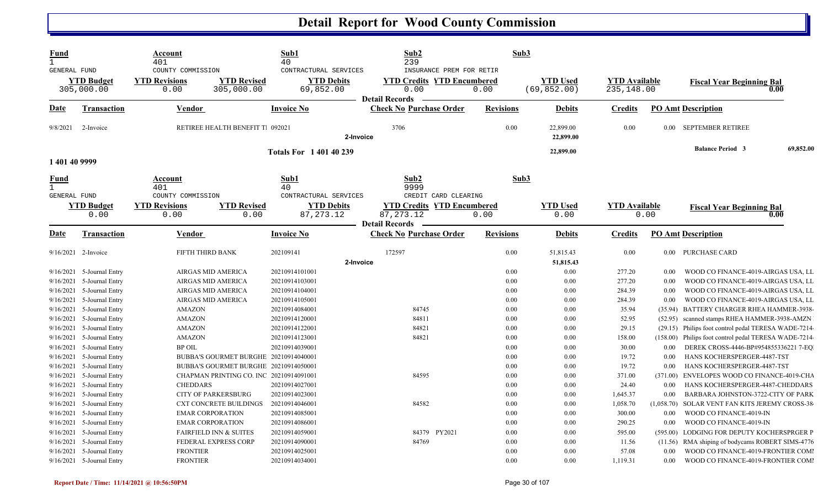| <b>Fund</b><br><b>GENERAL FUND</b>               |                                                                                    | Account<br>401<br>COUNTY COMMISSION                                                     |                                                                                | Sub1<br>40<br>CONTRACTURAL SERVICES                                  | Sub2<br>239<br>INSURANCE PREM FOR RETIR                                  | Sub3                         |                                 |                                        |                                        |                                                                                                                                                          |           |
|--------------------------------------------------|------------------------------------------------------------------------------------|-----------------------------------------------------------------------------------------|--------------------------------------------------------------------------------|----------------------------------------------------------------------|--------------------------------------------------------------------------|------------------------------|---------------------------------|----------------------------------------|----------------------------------------|----------------------------------------------------------------------------------------------------------------------------------------------------------|-----------|
|                                                  | <b>YTD Budget</b><br>305,000.00                                                    | <b>YTD Revisions</b><br>0.00                                                            | <b>YTD Revised</b><br>305,000.00                                               | <b>YTD Debits</b><br>69,852.00                                       | <b>YTD Credits YTD Encumbered</b><br>0.00<br><b>Detail Records</b>       | 0.00                         | <b>YTD Used</b><br>(69, 852.00) | <b>YTD Available</b><br>235,148.00     |                                        | <b>Fiscal Year Beginning Bal</b><br>0.00                                                                                                                 |           |
| Date                                             | <b>Transaction</b>                                                                 | Vendor                                                                                  |                                                                                | <b>Invoice No</b>                                                    | <b>Check No Purchase Order</b>                                           | <b>Revisions</b>             | <b>Debits</b>                   | <b>Credits</b>                         |                                        | <b>PO Amt Description</b>                                                                                                                                |           |
| 9/8/2021                                         | 2-Invoice                                                                          |                                                                                         | RETIREE HEALTH BENEFIT T. 092021                                               | 2-Invoice                                                            | 3706                                                                     | 0.00                         | 22,899.00<br>22,899.00          | 0.00                                   |                                        | 0.00 SEPTEMBER RETIREE                                                                                                                                   |           |
| 1 401 40 9999                                    |                                                                                    |                                                                                         |                                                                                | <b>Totals For 140140239</b>                                          |                                                                          |                              | 22,899.00                       |                                        |                                        | <b>Balance Period 3</b>                                                                                                                                  | 69,852.00 |
| <u>Fund</u><br>$\mathbf{1}$                      |                                                                                    | Account<br>401                                                                          |                                                                                | Sub1<br>40                                                           | Sub2<br>9999                                                             | Sub3                         |                                 |                                        |                                        |                                                                                                                                                          |           |
| GENERAL FUND                                     | <b>YTD Budget</b><br>0.00                                                          | COUNTY COMMISSION<br><b>YTD Revisions</b><br>0.00                                       | <b>YTD Revised</b><br>0.00                                                     | CONTRACTURAL SERVICES<br><b>YTD Debits</b><br>87, 273. 12            | CREDIT CARD CLEARING<br><b>YTD Credits YTD Encumbered</b><br>87, 273. 12 | 0.00                         | <b>YTD</b> Used<br>0.00         | <b>YTD</b> Available                   | 0.00                                   | <b>Fiscal Year Beginning Bal</b><br>0.00                                                                                                                 |           |
| Date                                             | <b>Transaction</b>                                                                 | Vendor                                                                                  |                                                                                | <b>Invoice No</b>                                                    | <b>Detail Records</b><br><b>Check No Purchase Order</b>                  | <b>Revisions</b>             | <b>Debits</b>                   | <b>Credits</b>                         |                                        | <b>PO Amt Description</b>                                                                                                                                |           |
| $9/16/2021$ 2-Invoice                            |                                                                                    | FIFTH THIRD BANK                                                                        |                                                                                | 202109141<br>2-Invoice                                               | 172597                                                                   | 0.00                         | 51,815.43<br>51,815.43          | 0.00                                   |                                        | 0.00 PURCHASE CARD                                                                                                                                       |           |
| 9/16/2021<br>9/16/2021<br>9/16/2021              | 5-Journal Entry<br>5-Journal Entry<br>9/16/2021 5-Journal Entry<br>5-Journal Entry | AIRGAS MID AMERICA<br>AIRGAS MID AMERICA<br>AIRGAS MID AMERICA<br>AIRGAS MID AMERICA    |                                                                                | 20210914101001<br>20210914103001<br>20210914104001<br>20210914105001 |                                                                          | 0.00<br>0.00<br>0.00<br>0.00 | 0.00<br>0.00<br>0.00<br>0.00    | 277.20<br>277.20<br>284.39<br>284.39   | 0.00<br>0.00<br>0.00<br>0.00           | WOOD CO FINANCE-4019-AIRGAS USA, LL<br>WOOD CO FINANCE-4019-AIRGAS USA, LL<br>WOOD CO FINANCE-4019-AIRGAS USA, LL<br>WOOD CO FINANCE-4019-AIRGAS USA, LL |           |
| 9/16/2021<br>9/16/2021<br>9/16/2021              | 5-Journal Entry<br>5-Journal Entry<br>5-Journal Entry                              | <b>AMAZON</b><br><b>AMAZON</b><br><b>AMAZON</b>                                         |                                                                                | 20210914084001<br>20210914120001<br>20210914122001                   | 84745<br>84811<br>84821                                                  | 0.00<br>0.00<br>0.00         | 0.00<br>0.00<br>0.00            | 35.94<br>52.95<br>29.15                | (52.95)                                | (35.94) BATTERY CHARGER RHEA HAMMER-3938-<br>scanned stamps RHEA HAMMER-3938-AMZN<br>(29.15) Philips foot control pedal TERESA WADE-7214                 |           |
| 9/16/2021<br>9/16/2021<br>9/16/2021<br>9/16/2021 | 5-Journal Entry<br>5-Journal Entry<br>5-Journal Entry<br>5-Journal Entry           | <b>AMAZON</b><br><b>BP OIL</b>                                                          | BUBBA'S GOURMET BURGHE 20210914040001<br>BUBBA'S GOURMET BURGHE 20210914050001 | 20210914123001<br>20210914039001                                     | 84821                                                                    | 0.00<br>0.00<br>0.00<br>0.00 | 0.00<br>0.00<br>0.00<br>0.00    | 158.00<br>30.00<br>19.72<br>19.72      | (158.00)<br>0.00<br>0.00<br>0.00       | Philips foot control pedal TERESA WADE-7214<br>DEREK CROSS-4446-BP#954855336221 7-EQ<br>HANS KOCHERSPERGER-4487-TST<br>HANS KOCHERSPERGER-4487-TST       |           |
| 9/16/2021<br>9/16/2021<br>9/16/2021              | 5-Journal Entry<br>5-Journal Entry<br>5-Journal Entry                              | <b>CHEDDARS</b><br><b>CITY OF PARKERSBURG</b>                                           | CHAPMAN PRINTING CO. INC 20210914091001                                        | 20210914027001<br>20210914023001                                     | 84595<br>84582                                                           | 0.00<br>0.00<br>0.00<br>0.00 | 0.00<br>0.00<br>0.00<br>0.00    | 371.00<br>24.40<br>1,645.37            | (371.00)<br>0.00<br>0.00<br>(1,058.70) | ENVELOPES WOOD CO FINANCE-4019-CHA<br>HANS KOCHERSPERGER-4487-CHEDDARS<br>BARBARA JOHNSTON-3722-CITY OF PARK                                             |           |
| 9/16/2021<br>9/16/2021<br>9/16/2021<br>9/16/2021 | 5-Journal Entry<br>5-Journal Entry<br>5-Journal Entry<br>5-Journal Entry           | <b>EMAR CORPORATION</b><br><b>EMAR CORPORATION</b><br><b>FAIRFIELD INN &amp; SUITES</b> | <b>CXT CONCRETE BUILDINGS</b>                                                  | 20210914046001<br>20210914085001<br>20210914086001<br>20210914059001 | 84379 PY2021                                                             | 0.00<br>0.00<br>0.00         | 0.00<br>0.00<br>0.00            | 1,058.70<br>300.00<br>290.25<br>595.00 | 0.00<br>0.00                           | SOLAR VENT FAN KITS JEREMY CROSS-38<br>WOOD CO FINANCE-4019-IN<br>WOOD CO FINANCE-4019-IN<br>(595.00) LODGING FOR DEPUTY KOCHERSPRGER P                  |           |
| 9/16/2021<br>9/16/2021                           | 5-Journal Entry<br>5-Journal Entry<br>9/16/2021 5-Journal Entry                    | <b>FEDERAL EXPRESS CORP</b><br><b>FRONTIER</b><br><b>FRONTIER</b>                       |                                                                                | 20210914090001<br>20210914025001<br>20210914034001                   | 84769                                                                    | 0.00<br>0.00<br>0.00         | 0.00<br>0.00<br>0.00            | 11.56<br>57.08<br>1,119.31             | 0.00<br>0.00                           | (11.56) RMA shiping of bodycams ROBERT SIMS-4776<br>WOOD CO FINANCE-4019-FRONTIER COMI<br>WOOD CO FINANCE-4019-FRONTIER COMI                             |           |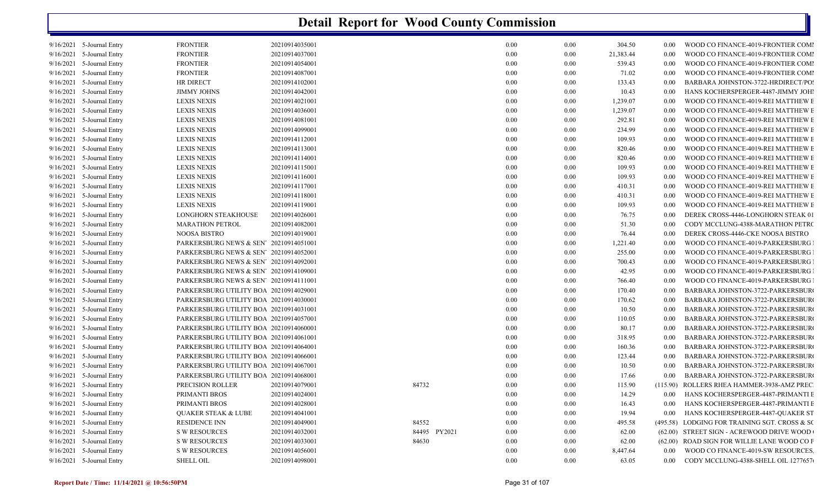|           | 9/16/2021 5-Journal Entry   | <b>FRONTIER</b>                                    | 20210914035001 |              | 0.00 | 0.00 | 304.50    | 0.00     | WOOD CO FINANCE-4019-FRONTIER COMI            |
|-----------|-----------------------------|----------------------------------------------------|----------------|--------------|------|------|-----------|----------|-----------------------------------------------|
|           | 9/16/2021 5-Journal Entry   | <b>FRONTIER</b>                                    | 20210914037001 |              | 0.00 | 0.00 | 21,383.44 | 0.00     | WOOD CO FINANCE-4019-FRONTIER COMI            |
|           | $9/16/2021$ 5-Journal Entry | <b>FRONTIER</b>                                    | 20210914054001 |              | 0.00 | 0.00 | 539.43    | 0.00     | WOOD CO FINANCE-4019-FRONTIER COMI            |
|           | 9/16/2021 5-Journal Entry   | <b>FRONTIER</b>                                    | 20210914087001 |              | 0.00 | 0.00 | 71.02     | 0.00     | WOOD CO FINANCE-4019-FRONTIER COMI            |
|           | 9/16/2021 5-Journal Entry   | <b>HR DIRECT</b>                                   | 20210914102001 |              | 0.00 | 0.00 | 133.43    | 0.00     | BARBARA JOHNSTON-3722-HRDIRECT/PO:            |
|           | $9/16/2021$ 5-Journal Entry | <b>JIMMY JOHNS</b>                                 | 20210914042001 |              | 0.00 | 0.00 | 10.43     | 0.00     | HANS KOCHERSPERGER-4487-JIMMY JOHI            |
|           | 9/16/2021 5-Journal Entry   | LEXIS NEXIS                                        | 20210914021001 |              | 0.00 | 0.00 | 1,239.07  | 0.00     | WOOD CO FINANCE-4019-REI MATTHEW E            |
| 9/16/2021 | 5-Journal Entry             | <b>LEXIS NEXIS</b>                                 | 20210914036001 |              | 0.00 | 0.00 | 1,239.07  | 0.00     | WOOD CO FINANCE-4019-REI MATTHEW E            |
|           | 9/16/2021 5-Journal Entry   | <b>LEXIS NEXIS</b>                                 | 20210914081001 |              | 0.00 | 0.00 | 292.81    | 0.00     | WOOD CO FINANCE-4019-REI MATTHEW E            |
|           | 9/16/2021 5-Journal Entry   | <b>LEXIS NEXIS</b>                                 | 20210914099001 |              | 0.00 | 0.00 | 234.99    | 0.00     | WOOD CO FINANCE-4019-REI MATTHEW E            |
| 9/16/2021 | 5-Journal Entry             | <b>LEXIS NEXIS</b>                                 | 20210914112001 |              | 0.00 | 0.00 | 109.93    | 0.00     | WOOD CO FINANCE-4019-REI MATTHEW E            |
|           | 9/16/2021 5-Journal Entry   | <b>LEXIS NEXIS</b>                                 | 20210914113001 |              | 0.00 | 0.00 | 820.46    | 0.00     | WOOD CO FINANCE-4019-REI MATTHEW E            |
| 9/16/2021 | 5-Journal Entry             | LEXIS NEXIS                                        | 20210914114001 |              | 0.00 | 0.00 | 820.46    | 0.00     | WOOD CO FINANCE-4019-REI MATTHEW E            |
| 9/16/2021 | 5-Journal Entry             | <b>LEXIS NEXIS</b>                                 | 20210914115001 |              | 0.00 | 0.00 | 109.93    | 0.00     | WOOD CO FINANCE-4019-REI MATTHEW E            |
|           | 9/16/2021 5-Journal Entry   | <b>LEXIS NEXIS</b>                                 | 20210914116001 |              | 0.00 | 0.00 | 109.93    | 0.00     | WOOD CO FINANCE-4019-REI MATTHEW E            |
| 9/16/2021 | 5-Journal Entry             | <b>LEXIS NEXIS</b>                                 | 20210914117001 |              | 0.00 | 0.00 | 410.31    | 0.00     | WOOD CO FINANCE-4019-REI MATTHEW E            |
|           | $9/16/2021$ 5-Journal Entry | <b>LEXIS NEXIS</b>                                 | 20210914118001 |              | 0.00 | 0.00 | 410.31    | 0.00     | WOOD CO FINANCE-4019-REI MATTHEW E            |
|           | 9/16/2021 5-Journal Entry   | <b>LEXIS NEXIS</b>                                 | 20210914119001 |              | 0.00 | 0.00 | 109.93    | 0.00     | WOOD CO FINANCE-4019-REI MATTHEW E            |
| 9/16/2021 | 5-Journal Entry             | LONGHORN STEAKHOUSE                                | 20210914026001 |              | 0.00 | 0.00 | 76.75     | 0.00     | DEREK CROSS-4446-LONGHORN STEAK 01            |
|           | $9/16/2021$ 5-Journal Entry | <b>MARATHON PETROL</b>                             | 20210914082001 |              | 0.00 | 0.00 | 51.30     | 0.00     | CODY MCCLUNG-4388-MARATHON PETRO              |
|           | 9/16/2021 5-Journal Entry   | NOOSA BISTRO                                       | 20210914019001 |              | 0.00 | 0.00 | 76.44     | 0.00     | DEREK CROSS-4446-CKE NOOSA BISTRO             |
| 9/16/2021 | 5-Journal Entry             | PARKERSBURG NEWS & SEN <sup>7</sup> 20210914051001 |                |              | 0.00 | 0.00 | 1,221.40  | 0.00     | WOOD CO FINANCE-4019-PARKERSBURG              |
|           | 9/16/2021 5-Journal Entry   | PARKERSBURG NEWS & SEN' 20210914052001             |                |              | 0.00 | 0.00 | 255.00    | 0.00     | WOOD CO FINANCE-4019-PARKERSBURG              |
|           | 9/16/2021 5-Journal Entry   | PARKERSBURG NEWS & SEN' 20210914092001             |                |              | 0.00 | 0.00 | 700.43    | 0.00     | WOOD CO FINANCE-4019-PARKERSBURG              |
| 9/16/2021 | 5-Journal Entry             | PARKERSBURG NEWS & SEN <sup>7</sup> 20210914109001 |                |              | 0.00 | 0.00 | 42.95     | 0.00     | WOOD CO FINANCE-4019-PARKERSBURG              |
|           | 9/16/2021 5-Journal Entry   | PARKERSBURG NEWS & SEN' 20210914111001             |                |              | 0.00 | 0.00 | 766.40    | 0.00     | WOOD CO FINANCE-4019-PARKERSBURG              |
|           | 9/16/2021 5-Journal Entry   | PARKERSBURG UTILITY BOA 20210914029001             |                |              | 0.00 | 0.00 | 170.40    | 0.00     | BARBARA JOHNSTON-3722-PARKERSBUR              |
| 9/16/2021 | 5-Journal Entry             | PARKERSBURG UTILITY BOA 20210914030001             |                |              | 0.00 | 0.00 | 170.62    | 0.00     | BARBARA JOHNSTON-3722-PARKERSBUR              |
|           | 9/16/2021 5-Journal Entry   | PARKERSBURG UTILITY BOA 20210914031001             |                |              | 0.00 | 0.00 | 10.50     | 0.00     | BARBARA JOHNSTON-3722-PARKERSBUR              |
|           | 9/16/2021 5-Journal Entry   | PARKERSBURG UTILITY BOA 20210914057001             |                |              | 0.00 | 0.00 | 110.05    | 0.00     | BARBARA JOHNSTON-3722-PARKERSBUR              |
|           | $9/16/2021$ 5-Journal Entry | PARKERSBURG UTILITY BOA 20210914060001             |                |              | 0.00 | 0.00 | 80.17     | 0.00     | BARBARA JOHNSTON-3722-PARKERSBUR              |
|           | 9/16/2021 5-Journal Entry   | PARKERSBURG UTILITY BOA 20210914061001             |                |              | 0.00 | 0.00 | 318.95    | 0.00     | BARBARA JOHNSTON-3722-PARKERSBUR              |
|           | 9/16/2021 5-Journal Entry   | PARKERSBURG UTILITY BOA 20210914064001             |                |              | 0.00 | 0.00 | 160.36    | 0.00     | BARBARA JOHNSTON-3722-PARKERSBUR              |
|           | $9/16/2021$ 5-Journal Entry | PARKERSBURG UTILITY BOA 20210914066001             |                |              | 0.00 | 0.00 | 123.44    | 0.00     | BARBARA JOHNSTON-3722-PARKERSBUR              |
|           | 9/16/2021 5-Journal Entry   | PARKERSBURG UTILITY BOA 20210914067001             |                |              | 0.00 | 0.00 | 10.50     | 0.00     | BARBARA JOHNSTON-3722-PARKERSBUR              |
| 9/16/2021 | 5-Journal Entry             | PARKERSBURG UTILITY BOA 20210914068001             |                |              | 0.00 | 0.00 | 17.66     | 0.00     | BARBARA JOHNSTON-3722-PARKERSBUR              |
|           | 9/16/2021 5-Journal Entry   | PRECISION ROLLER                                   | 20210914079001 | 84732        | 0.00 | 0.00 | 115.90    | (115.90) | ROLLERS RHEA HAMMER-3938-AMZ PREC             |
|           | 9/16/2021 5-Journal Entry   | PRIMANTI BROS                                      | 20210914024001 |              | 0.00 | 0.00 | 14.29     | 0.00     | HANS KOCHERSPERGER-4487-PRIMANTI E            |
| 9/16/2021 | 5-Journal Entry             | PRIMANTI BROS                                      | 20210914028001 |              | 0.00 | 0.00 | 16.43     | 0.00     | HANS KOCHERSPERGER-4487-PRIMANTI E            |
|           | 9/16/2021 5-Journal Entry   | <b>QUAKER STEAK &amp; LUBE</b>                     | 20210914041001 |              | 0.00 | 0.00 | 19.94     | 0.00     | HANS KOCHERSPERGER-4487-QUAKER ST             |
|           | 9/16/2021 5-Journal Entry   | <b>RESIDENCE INN</b>                               | 20210914049001 | 84552        | 0.00 | 0.00 | 495.58    |          | (495.58) LODGING FOR TRAINING SGT. CROSS & SO |
| 9/16/2021 | 5-Journal Entry             | <b>S W RESOURCES</b>                               | 20210914032001 | 84495 PY2021 | 0.00 | 0.00 | 62.00     |          | (62.00) STREET SIGN - ACREWOOD DRIVE WOOD     |
|           | 9/16/2021 5-Journal Entry   | S W RESOURCES                                      | 20210914033001 | 84630        | 0.00 | 0.00 | 62.00     |          | (62.00) ROAD SIGN FOR WILLIE LANE WOOD CO F   |
|           | 9/16/2021 5-Journal Entry   | <b>S W RESOURCES</b>                               | 20210914056001 |              | 0.00 | 0.00 | 8,447.64  | $0.00\,$ | WOOD CO FINANCE-4019-SW RESOURCES.            |
|           | $9/16/2021$ 5-Journal Entry | <b>SHELL OIL</b>                                   | 20210914098001 |              | 0.00 | 0.00 | 63.05     | 0.00     | CODY MCCLUNG-4388-SHELL OIL 1277657           |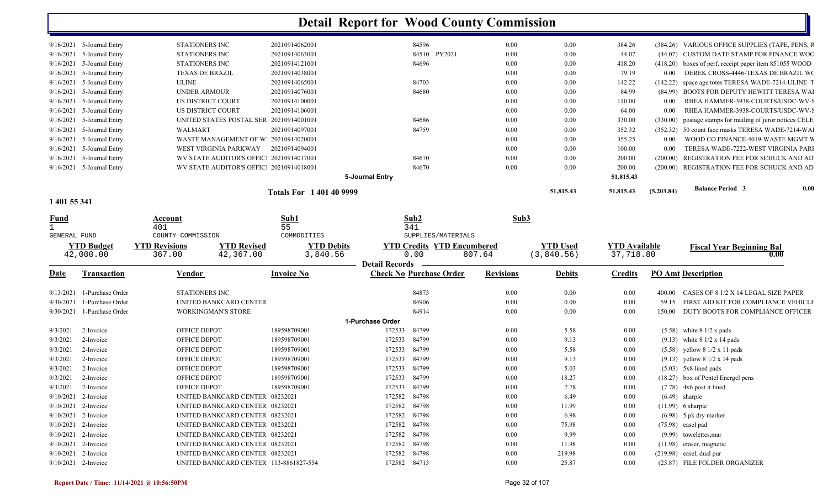| 1 401 55 341 |                             |                                         |                          |                 |        |      |           |           |            |                                                           |      |
|--------------|-----------------------------|-----------------------------------------|--------------------------|-----------------|--------|------|-----------|-----------|------------|-----------------------------------------------------------|------|
|              |                             |                                         | Totals For 1 401 40 9999 |                 |        |      | 51,815.43 | 51,815.43 | (5,203.84) | <b>Balance Period 3</b>                                   | 0.00 |
|              |                             |                                         |                          | 5-Journal Entry |        |      |           | 51,815.43 |            |                                                           |      |
| 9/16/2021    | 5-Journal Entry             | WV STATE AUDITOR'S OFFIC 20210914018001 |                          | 84670           |        | 0.00 | 0.00      | 200.00    |            | (200.00) REGISTRATION FEE FOR SCHUCK AND AD               |      |
| 9/16/2021    | 5-Journal Entry             | WV STATE AUDITOR'S OFFIC 20210914017001 |                          | 84670           |        | 0.00 | 0.00      | 200.00    |            | (200.00) REGISTRATION FEE FOR SCHUCK AND AD               |      |
| 9/16/2021    | 5-Journal Entry             | WEST VIRGINIA PARKWAY                   | 20210914094001           |                 |        | 0.00 | 0.00      | 100.00    | 0.00       | TERESA WADE-7222-WEST VIRGINIA PARI                       |      |
| 9/16/2021    | 5-Journal Entry             | WASTE MANAGEMENT OF W 20210914020001    |                          |                 |        | 0.00 | 0.00      | 355.25    | 0.00       | WOOD CO FINANCE-4019-WASTE MGMT V                         |      |
| 9/16/2021    | 5-Journal Entry             | WALMART                                 | 20210914097001           | 84759           |        | 0.00 | 0.00      | 352.32    |            | (352.32) 50 count face masks TERESA WADE-7214-WA          |      |
| 9/16/2021    | 5-Journal Entry             | UNITED STATES POSTAL SER 20210914001001 |                          | 84686           |        | 0.00 | 0.00      | 330.00    |            | (330.00) postage stamps for mailing of juror notices CELE |      |
| 9/16/2021    | 5-Journal Entry             | US DISTRICT COURT                       | 20210914106001           |                 |        | 0.00 | 0.00      | 64.00     | 0.00       | RHEA HAMMER-3938-COURTS/USDC-WV-S                         |      |
| 9/16/2021    | 5-Journal Entry             | US DISTRICT COURT                       | 20210914100001           |                 |        | 0.00 | 0.00      | 110.00    | 0.00       | RHEA HAMMER-3938-COURTS/USDC-WV-S                         |      |
| 9/16/2021    | 5-Journal Entry             | UNDER ARMOUR                            | 20210914076001           | 84680           |        | 0.00 | 0.00      | 84.99     |            | (84.99) BOOTS FOR DEPUTY HEWITT TERESA WAI                |      |
| 9/16/2021    | 5-Journal Entry             | <b>ULINE</b>                            | 20210914065001           | 84703           |        | 0.00 | 0.00      | 142.22    |            | (142.22) space age totes TERESA WADE-7214-ULINE T         |      |
| 9/16/2021    | 5-Journal Entry             | <b>TEXAS DE BRAZIL</b>                  | 20210914038001           |                 |        | 0.00 | 0.00      | 79.19     | 0.00       | DEREK CROSS-4446-TEXAS DE BRAZIL WC                       |      |
| 9/16/2021    | 5-Journal Entry             | STATIONERS INC                          | 20210914121001           | 84696           |        | 0.00 | 0.00      | 418.20    |            | $(418.20)$ boxes of perf. receipt paper item 851055 WOOD  |      |
| 9/16/2021    | 5-Journal Entry             | STATIONERS INC                          | 20210914063001           | 84510           | PY2021 | 0.00 | 0.00      | 44.07     |            | (44.07) CUSTOM DATE STAMP FOR FINANCE WOC                 |      |
|              | $9/16/2021$ 5-Journal Entry | STATIONERS INC                          | 20210914062001           | 84596           |        | 0.00 | 0.00      | 384.26    |            | (384.26) VARIOUS OFFICE SUPPLIES (TAPE, PENS, F           |      |

| <b>Fund</b>         |                                | Account<br>401                 |                                        | Sub1<br>55        |                                                        | Sub2<br>341                               | Sub3             |                               |                                   |        |                                                |
|---------------------|--------------------------------|--------------------------------|----------------------------------------|-------------------|--------------------------------------------------------|-------------------------------------------|------------------|-------------------------------|-----------------------------------|--------|------------------------------------------------|
| <b>GENERAL FUND</b> |                                | COUNTY COMMISSION              |                                        | COMMODITIES       |                                                        | SUPPLIES/MATERIALS                        |                  |                               |                                   |        |                                                |
|                     | <b>YTD Budget</b><br>42,000.00 | <b>YTD Revisions</b><br>367.00 | <b>YTD Revised</b><br>42,367.00        |                   | <b>YTD Debits</b><br>3,840.56<br><b>Detail Records</b> | <b>YTD Credits YTD Encumbered</b><br>0.00 | 807.64           | <b>YTD</b> Used<br>(3,840.56) | <b>YTD Available</b><br>37,718.80 |        | <b>Fiscal Year Beginning Bal</b><br>0.00       |
| <b>Date</b>         | <b>Transaction</b>             | Vendor                         |                                        | <b>Invoice No</b> |                                                        | <b>Check No Purchase Order</b>            | <b>Revisions</b> | <b>Debits</b>                 | <b>Credits</b>                    |        | <b>PO Amt Description</b>                      |
| 9/13/2021           | 1-Purchase Order               | STATIONERS INC                 |                                        |                   |                                                        | 84873                                     | 0.00             | 0.00                          | 0.00                              | 400.00 | CASES OF 8 1/2 X 14 LEGAL SIZE PAPER           |
| 9/30/2021           | 1-Purchase Order               |                                | UNITED BANKCARD CENTER                 |                   |                                                        | 84906                                     | 0.00             | 0.00                          | 0.00                              | 59.15  | FIRST AID KIT FOR COMPLIANCE VEHICLE           |
| 9/30/2021           | 1-Purchase Order               | <b>WORKINGMAN'S STORE</b>      |                                        |                   |                                                        | 84914                                     | 0.00             | 0.00                          | 0.00                              | 150.00 | DUTY BOOTS FOR COMPLIANCE OFFICER              |
|                     |                                |                                |                                        |                   | 1-Purchase Order                                       |                                           |                  |                               |                                   |        |                                                |
| 9/3/2021            | 2-Invoice                      | <b>OFFICE DEPOT</b>            |                                        | 189598709001      | 172533                                                 | 84799                                     | 0.00             | 5.58                          | 0.00                              |        | $(5.58)$ white 8 1/2 x pads                    |
| 9/3/2021            | 2-Invoice                      | <b>OFFICE DEPOT</b>            |                                        | 189598709001      | 172533                                                 | 84799                                     | 0.00             | 9.13                          | 0.00                              |        | $(9.13)$ white 8 1/2 x 14 pads                 |
| 9/3/2021            | 2-Invoice                      | <b>OFFICE DEPOT</b>            |                                        | 189598709001      | 172533                                                 | 84799                                     | 0.00             | 5.58                          | 0.00                              |        | $(5.58)$ yellow $8 \frac{1}{2} \times 11$ pads |
| 9/3/2021            | 2-Invoice                      | <b>OFFICE DEPOT</b>            |                                        | 189598709001      | 172533                                                 | 84799                                     | 0.00             | 9.13                          | 0.00                              |        | $(9.13)$ yellow $8 \frac{1}{2} \times 14$ pads |
| 9/3/2021            | 2-Invoice                      | <b>OFFICE DEPOT</b>            |                                        | 189598709001      | 172533                                                 | 84799                                     | 0.00             | 5.03                          | 0.00                              |        | $(5.03)$ 5x8 lined pads                        |
| 9/3/2021            | 2-Invoice                      | <b>OFFICE DEPOT</b>            |                                        | 189598709001      | 172533                                                 | 84799                                     | 0.00             | 18.27                         | 0.00                              |        | (18.27) box of Pentel Energel pens             |
| 9/3/2021            | 2-Invoice                      | <b>OFFICE DEPOT</b>            |                                        | 189598709001      | 172533                                                 | 84799                                     | 0.00             | 7.78                          | 0.00                              |        | $(7.78)$ 4x6 post it lined                     |
| 9/10/2021           | 2-Invoice                      |                                | UNITED BANKCARD CENTER 08232021        |                   | 172582                                                 | 84798                                     | 0.00             | 6.49                          | 0.00                              |        | $(6.49)$ sharpie                               |
| 9/10/2021           | 2-Invoice                      |                                | UNITED BANKCARD CENTER 08232021        |                   | 172582                                                 | 84798                                     | 0.00             | 11.99                         | 0.00                              |        | $(11.99)$ 6 sharpie                            |
| 9/10/2021           | 2-Invoice                      |                                | UNITED BANKCARD CENTER 08232021        |                   | 172582                                                 | 84798                                     | 0.00             | 6.98                          | 0.00                              |        | $(6.98)$ 5 pk dry marker                       |
| 9/10/2021           | 2-Invoice                      |                                | UNITED BANKCARD CENTER 08232021        |                   | 172582                                                 | 84798                                     | 0.00             | 75.98                         | 0.00                              |        | $(75.98)$ easel pad                            |
| 9/10/2021           | 2-Invoice                      |                                | UNITED BANKCARD CENTER 08232021        |                   | 172582                                                 | 84798                                     | 0.00             | 9.99                          | 0.00                              |        | (9.99) towelettes, mar                         |
| 9/10/2021           | 2-Invoice                      |                                | UNITED BANKCARD CENTER 08232021        |                   | 172582                                                 | 84798                                     | $0.00\,$         | 11.98                         | 0.00                              |        | $(11.98)$ eraser, magnetic                     |
| 9/10/2021           | 2-Invoice                      |                                | UNITED BANKCARD CENTER 08232021        |                   | 172582                                                 | 84798                                     | 0.00             | 219.98                        | 0.00                              |        | $(219.98)$ easel, dual pur                     |
| 9/10/2021 2-Invoice |                                |                                | UNITED BANKCARD CENTER 113-8861827-554 |                   | 172582                                                 | 84713                                     | 0.00             | 25.87                         | 0.00                              |        | (25.87) FILE FOLDER ORGANIZER                  |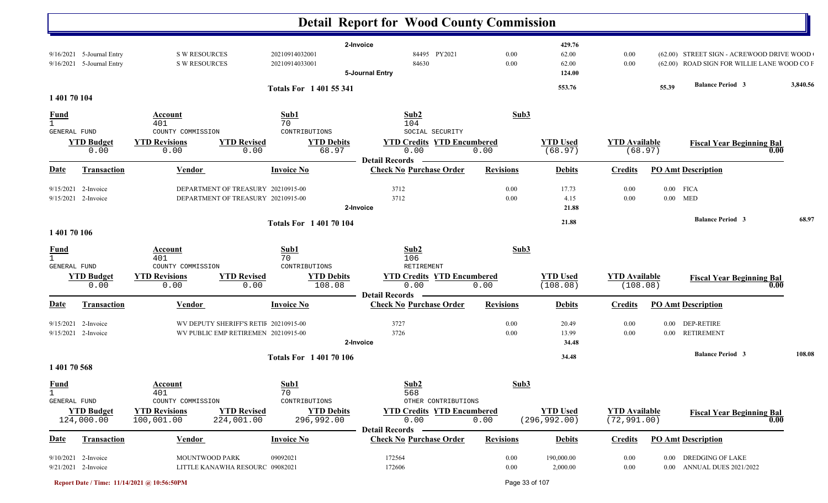|                                             |                                                        |                                                   |                                                                              | <b>Detail Report for Wood County Commission</b>                    |                  |                                    |                                      |          |                                                                                          |          |
|---------------------------------------------|--------------------------------------------------------|---------------------------------------------------|------------------------------------------------------------------------------|--------------------------------------------------------------------|------------------|------------------------------------|--------------------------------------|----------|------------------------------------------------------------------------------------------|----------|
|                                             | 9/16/2021 5-Journal Entry<br>9/16/2021 5-Journal Entry | <b>S W RESOURCES</b><br><b>S W RESOURCES</b>      | 20210914032001<br>20210914033001                                             | 2-Invoice<br>84495 PY2021<br>84630<br>5-Journal Entry              | 0.00<br>0.00     | 429.76<br>62.00<br>62.00<br>124.00 | 0.00<br>0.00                         |          | (62.00) STREET SIGN - ACREWOOD DRIVE WOOD<br>(62.00) ROAD SIGN FOR WILLIE LANE WOOD CO F |          |
| 1 401 70 104                                |                                                        |                                                   | <b>Totals For 140155341</b>                                                  |                                                                    |                  | 553.76                             |                                      | 55.39    | <b>Balance Period 3</b>                                                                  | 3,840.56 |
| <u>Fund</u>                                 |                                                        | Account                                           | Sub1                                                                         | Sub2                                                               | Sub3             |                                    |                                      |          |                                                                                          |          |
| $\mathbf{1}$<br><b>GENERAL FUND</b>         |                                                        | 401<br>COUNTY COMMISSION                          | 70<br>CONTRIBUTIONS                                                          | 104<br>SOCIAL SECURITY                                             |                  |                                    |                                      |          |                                                                                          |          |
|                                             | <b>YTD Budget</b><br>0.00                              | <b>YTD Revisions</b><br>0.00                      | <b>YTD Revised</b><br><b>YTD Debits</b><br>68.97<br>0.00                     | <b>YTD Credits YTD Encumbered</b><br>0.00<br><b>Detail Records</b> | 0.00             | <b>YTD Used</b><br>(68.97)         | <b>YTD Available</b>                 | (68.97)  | <b>Fiscal Year Beginning Bal</b><br>0.00                                                 |          |
| <u>Date</u>                                 | <b>Transaction</b>                                     | <b>Vendor</b>                                     | <b>Invoice No</b>                                                            | <b>Check No Purchase Order</b>                                     | <b>Revisions</b> | <b>Debits</b>                      | <b>Credits</b>                       |          | <b>PO Amt Description</b>                                                                |          |
|                                             | $9/15/2021$ 2-Invoice<br>9/15/2021 2-Invoice           |                                                   | DEPARTMENT OF TREASURY 20210915-00<br>DEPARTMENT OF TREASURY 20210915-00     | 3712<br>3712<br>2-Invoice                                          | 0.00<br>0.00     | 17.73<br>4.15<br>21.88             | 0.00<br>0.00                         | $0.00\,$ | $0.00$ FICA<br>MED                                                                       |          |
|                                             |                                                        |                                                   | <b>Totals For 140170104</b>                                                  |                                                                    |                  | 21.88                              |                                      |          | <b>Balance Period 3</b>                                                                  | 68.97    |
| 1 401 70 106                                |                                                        |                                                   |                                                                              |                                                                    |                  |                                    |                                      |          |                                                                                          |          |
| <b>Fund</b><br>$\mathbf{1}$<br>GENERAL FUND |                                                        | Account<br>401<br>COUNTY COMMISSION               | Sub1<br>70<br>CONTRIBUTIONS                                                  | Sub2<br>106<br>RETIREMENT                                          | Sub3             |                                    |                                      |          |                                                                                          |          |
|                                             | <b>YTD Budget</b><br>0.00                              | <b>YTD Revisions</b><br>0.00                      | <b>YTD Revised</b><br><b>YTD Debits</b><br>0.00<br>108.08                    | <b>YTD Credits YTD Encumbered</b><br>0.00<br><b>Detail Records</b> | 0.00             | <b>YTD Used</b><br>(108.08)        | <b>YTD Available</b><br>(108.08)     |          | <b>Fiscal Year Beginning Bal</b><br>0.00                                                 |          |
| Date                                        | <b>Transaction</b>                                     | <b>Vendor</b>                                     | <b>Invoice No</b>                                                            | <b>Check No Purchase Order</b>                                     | <b>Revisions</b> | <b>Debits</b>                      | <b>Credits</b>                       |          | <b>PO Amt Description</b>                                                                |          |
|                                             | $9/15/2021$ 2-Invoice<br>9/15/2021 2-Invoice           |                                                   | WV DEPUTY SHERIFF'S RETII 20210915-00<br>WV PUBLIC EMP RETIREMEN 20210915-00 | 3727<br>3726<br>2-Invoice                                          | 0.00<br>0.00     | 20.49<br>13.99<br>34.48            | 0.00<br>0.00                         |          | 0.00 DEP-RETIRE<br>0.00 RETIREMENT                                                       |          |
|                                             |                                                        |                                                   | <b>Totals For 140170106</b>                                                  |                                                                    |                  | 34.48                              |                                      |          | <b>Balance Period 3</b>                                                                  | 108.08   |
| 140170568                                   |                                                        |                                                   |                                                                              |                                                                    |                  |                                    |                                      |          |                                                                                          |          |
| <b>Fund</b><br>$\mathbf{1}$<br>GENERAL FUND |                                                        | <b>Account</b><br>401<br>COUNTY COMMISSION        | Sub1<br>70<br>CONTRIBUTIONS                                                  | Sub2<br>568<br>OTHER CONTRIBUTIONS                                 | Sub3             |                                    |                                      |          |                                                                                          |          |
|                                             | <b>YTD Budget</b><br>124,000.00                        | <b>YTD Revisions</b><br>100,001.00<br>224,001.00  | <b>YTD Revised</b><br><b>YTD Debits</b><br>296,992.00                        | <b>YTD Credits YTD Encumbered</b><br>0.00<br><b>Detail Records</b> | 0.00             | <b>YTD Used</b><br>(296, 992.00)   | <b>YTD Available</b><br>(72, 991.00) |          | <b>Fiscal Year Beginning Bal</b><br>0.00                                                 |          |
| <b>Date</b>                                 | <b>Transaction</b>                                     | <b>Vendor</b>                                     | <b>Invoice No</b>                                                            | <b>Check No Purchase Order</b>                                     | <b>Revisions</b> | <b>Debits</b>                      | <b>Credits</b>                       |          | <b>PO Amt Description</b>                                                                |          |
|                                             | 9/10/2021 2-Invoice<br>9/21/2021 2-Invoice             | MOUNTWOOD PARK<br>LITTLE KANAWHA RESOURC 09082021 | 09092021                                                                     | 172564<br>172606                                                   | 0.00<br>0.00     | 190,000.00<br>2,000.00             | 0.00<br>0.00                         |          | 0.00 DREDGING OF LAKE<br>0.00 ANNUAL DUES 2021/2022                                      |          |

**Report Date / Time: 11/14/2021 @ 10:56:50PM** Page 33 of 107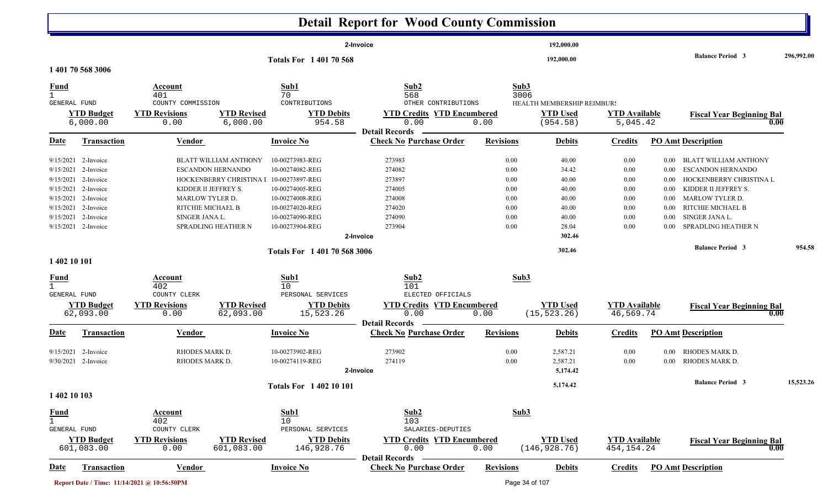|                                |                               |                                             |                                         |                                | <b>Detail Report for Wood County Commission</b>         |                  |                             |                                  |          |                                          |            |
|--------------------------------|-------------------------------|---------------------------------------------|-----------------------------------------|--------------------------------|---------------------------------------------------------|------------------|-----------------------------|----------------------------------|----------|------------------------------------------|------------|
|                                |                               |                                             |                                         |                                | 2-Invoice                                               |                  | 192,000.00                  |                                  |          |                                          |            |
| 1 401 70 568 3006              |                               |                                             |                                         | <b>Totals For 140170568</b>    |                                                         |                  | 192,000.00                  |                                  |          | <b>Balance Period 3</b>                  | 296,992.00 |
|                                |                               |                                             |                                         |                                |                                                         |                  |                             |                                  |          |                                          |            |
| <b>Fund</b>                    |                               | Account                                     |                                         | Sub1                           | Sub2                                                    |                  | Sub3                        |                                  |          |                                          |            |
| $\mathbf{1}$                   |                               | 401                                         |                                         | 70                             | 568                                                     |                  | 3006                        |                                  |          |                                          |            |
| GENERAL FUND                   |                               | COUNTY COMMISSION                           |                                         | CONTRIBUTIONS                  | OTHER CONTRIBUTIONS                                     |                  | HEALTH MEMBERSHIP REIMBUR!  |                                  |          |                                          |            |
|                                | <b>YTD Budget</b><br>6,000.00 | <b>YTD Revisions</b><br>0.00                | <b>YTD Revised</b><br>6,000.00          | <b>YTD Debits</b><br>954.58    | <b>YTD Credits YTD Encumbered</b><br>0.00               | 0.00             | <b>YTD Used</b><br>(954.58) | <b>YTD Available</b><br>5,045.42 |          | <b>Fiscal Year Beginning Bal</b><br>0.00 |            |
| <u>Date</u>                    | <b>Transaction</b>            | <b>Vendor</b>                               |                                         | <b>Invoice No</b>              | <b>Detail Records</b><br><b>Check No Purchase Order</b> | <b>Revisions</b> | <b>Debits</b>               | <b>Credits</b>                   |          | <b>PO Amt Description</b>                |            |
| 9/15/2021                      | 2-Invoice                     |                                             | <b>BLATT WILLIAM ANTHONY</b>            | 10-00273983-REG                | 273983                                                  | 0.00             | 40.00                       | 0.00                             | 0.00     | BLATT WILLIAM ANTHONY                    |            |
| 9/15/2021                      | 2-Invoice                     |                                             | <b>ESCANDON HERNANDO</b>                | 10-00274082-REG                | 274082                                                  | 0.00             | 34.42                       | 0.00                             | 0.00     | <b>ESCANDON HERNANDO</b>                 |            |
| 9/15/2021                      | 2-Invoice                     |                                             | HOCKENBERRY CHRISTINA I 10-00273897-REG |                                | 273897                                                  | 0.00             | 40.00                       | 0.00                             | 0.00     | HOCKENBERRY CHRISTINA L                  |            |
| 9/15/2021                      | 2-Invoice                     |                                             | KIDDER II JEFFREY S.                    | 10-00274005-REG                | 274005                                                  | 0.00             | 40.00                       | 0.00                             | 0.00     | KIDDER II JEFFREY S.                     |            |
| 9/15/2021                      | 2-Invoice                     |                                             | <b>MARLOW TYLER D.</b>                  | 10-00274008-REG                | 274008                                                  | 0.00             | 40.00                       | 0.00                             | 0.00     | <b>MARLOW TYLER D.</b>                   |            |
| 9/15/2021 2-Invoice            |                               |                                             | RITCHIE MICHAEL B                       | 10-00274020-REG                | 274020                                                  | 0.00             | 40.00                       | 0.00                             | 0.00     | RITCHIE MICHAEL B                        |            |
| 9/15/2021 2-Invoice            |                               | SINGER JANA L.                              |                                         | 10-00274090-REG                | 274090                                                  | 0.00             | 40.00                       | 0.00                             | 0.00     | SINGER JANA L.                           |            |
| 9/15/2021 2-Invoice            |                               |                                             | SPRADLING HEATHER N                     | 10-00273904-REG                | 273904                                                  | 0.00             | 28.04                       | 0.00                             | 0.00     | <b>SPRADLING HEATHER N</b>               |            |
|                                |                               |                                             |                                         |                                | 2-Invoice                                               |                  | 302.46                      |                                  |          |                                          |            |
| 1 402 10 101                   |                               |                                             |                                         | Totals For 1 401 70 568 3006   |                                                         |                  | 302.46                      |                                  |          | <b>Balance Period 3</b>                  | 954.58     |
|                                |                               | Account                                     |                                         | Sub1                           | Sub2                                                    |                  | Sub3                        |                                  |          |                                          |            |
| <b>Fund</b><br>$\mathbf{1}$    |                               | 402                                         |                                         | 10                             | 101                                                     |                  |                             |                                  |          |                                          |            |
| GENERAL FUND                   |                               | COUNTY CLERK                                |                                         | PERSONAL SERVICES              | ELECTED OFFICIALS                                       |                  |                             |                                  |          |                                          |            |
|                                | <b>YTD Budget</b>             | <b>YTD Revisions</b>                        | <b>YTD Revised</b>                      | <b>YTD Debits</b>              | <b>YTD Credits YTD Encumbered</b>                       |                  | <b>YTD Used</b>             | <b>YTD Available</b>             |          | <b>Fiscal Year Beginning Bal</b>         |            |
|                                | 62,093.00                     | 0.00                                        | 62,093.00                               | 15,523.26                      | 0.00                                                    | 0.00             | (15, 523.26)                | 46,569.74                        |          | 0.00                                     |            |
|                                |                               |                                             |                                         |                                | <b>Detail Records</b>                                   |                  |                             |                                  |          |                                          |            |
| Date                           | <b>Transaction</b>            | <b>Vendor</b>                               |                                         | <b>Invoice No</b>              | <b>Check No Purchase Order</b>                          | <b>Revisions</b> | <b>Debits</b>               | <b>Credits</b>                   |          | <b>PO Amt Description</b>                |            |
| 9/15/2021                      | 2-Invoice                     | RHODES MARK D.                              |                                         | 10-00273902-REG                | 273902                                                  | 0.00             | 2,587.21                    | 0.00                             | $0.00\,$ | RHODES MARK D.                           |            |
| $9/30/2021$ 2-Invoice          |                               | RHODES MARK D.                              |                                         | 10-00274119-REG                | 274119                                                  | 0.00             | 2,587.21                    | 0.00                             | $0.00\,$ | RHODES MARK D.                           |            |
|                                |                               |                                             |                                         |                                | 2-Invoice                                               |                  | 5,174.42                    |                                  |          |                                          |            |
|                                |                               |                                             |                                         | <b>Totals For 1 402 10 101</b> |                                                         |                  | 5,174.42                    |                                  |          | <b>Balance Period 3</b>                  | 15,523.26  |
| 1 402 10 103                   |                               |                                             |                                         |                                |                                                         |                  |                             |                                  |          |                                          |            |
| <b>Fund</b>                    |                               | <b>Account</b>                              |                                         | Sub1                           | Sub2                                                    |                  | Sub3                        |                                  |          |                                          |            |
| $\overline{1}$<br>GENERAL FUND |                               | 402<br>COUNTY CLERK                         |                                         | 10<br>PERSONAL SERVICES        | 103<br>SALARIES-DEPUTIES                                |                  |                             |                                  |          |                                          |            |
|                                | <b>YTD Budget</b>             | <b>YTD Revisions</b>                        | <b>YTD Revised</b>                      | <b>YTD Debits</b>              | <b>YTD Credits YTD Encumbered</b>                       |                  | <b>YTD Used</b>             | <b>YTD Available</b>             |          | <b>Fiscal Year Beginning Bal</b>         |            |
| 601,083.00                     |                               | 0.00                                        | 601,083.00                              | 146,928.76                     | 0.00                                                    | 0.00             | (146, 928.76)               | 454, 154. 24                     |          |                                          | 0.00       |
| <u>Date</u>                    | <b>Transaction</b>            | <b>Vendor</b>                               |                                         | <b>Invoice No</b>              | <b>Detail Records</b><br><b>Check No Purchase Order</b> | <b>Revisions</b> | <b>Debits</b>               | <b>Credits</b>                   |          | <b>PO Amt Description</b>                |            |
|                                |                               |                                             |                                         |                                |                                                         |                  |                             |                                  |          |                                          |            |
|                                |                               | Report Date / Time: 11/14/2021 @ 10:56:50PM |                                         |                                |                                                         |                  | Page 34 of 107              |                                  |          |                                          |            |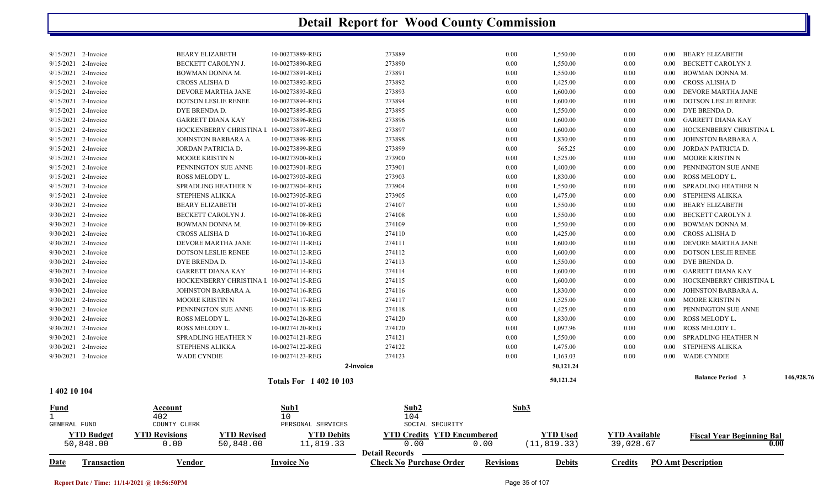| 1,550.00<br>$9/15/2021$ 2-Invoice<br><b>BEARY ELIZABETH</b><br>10-00273889-REG<br>273889<br>0.00<br>0.00<br>BEARY ELIZABETH<br>$0.00\,$<br>9/15/2021<br>10-00273890-REG<br>273890<br>1,550.00<br>BECKETT CAROLYN J.<br>BECKETT CAROLYN J.<br>0.00<br>0.00<br>0.00<br>2-Invoice<br>9/15/2021 2-Invoice<br>BOWMAN DONNA M.<br>10-00273891-REG<br>273891<br>0.00<br>1,550.00<br>BOWMAN DONNA M.<br>0.00<br>$0.00\,$<br>9/15/2021 2-Invoice<br>10-00273892-REG<br>273892<br>0.00<br>1,425.00<br>CROSS ALISHA D<br>0.00<br>$0.00\,$<br>CROSS ALISHA D<br>273893<br>9/15/2021 2-Invoice<br>DEVORE MARTHA JANE<br>10-00273893-REG<br>0.00<br>1,600.00<br>0.00<br>DEVORE MARTHA JANE<br>0.00<br>9/15/2021 2-Invoice<br>DOTSON LESLIE RENEE<br>10-00273894-REG<br>273894<br>0.00<br>1,600.00<br>DOTSON LESLIE RENEE<br>0.00<br>0.00<br>9/15/2021 2-Invoice<br>DYE BRENDA D.<br>10-00273895-REG<br>273895<br>0.00<br>1,550.00<br>0.00<br>DYE BRENDA D.<br>$0.00\,$<br>9/15/2021<br>10-00273896-REG<br>273896<br>1,600.00<br><b>GARRETT DIANA KAY</b><br>2-Invoice<br><b>GARRETT DIANA KAY</b><br>0.00<br>0.00<br>$0.00\,$<br>9/15/2021<br>2-Invoice<br>10-00273897-REG<br>273897<br>0.00<br>1,600.00<br>HOCKENBERRY CHRISTINA L<br>HOCKENBERRY CHRISTINA I<br>0.00<br>0.00<br>9/15/2021 2-Invoice<br>10-00273898-REG<br>273898<br>0.00<br>1,830.00<br>JOHNSTON BARBARA A.<br>JOHNSTON BARBARA A.<br>0.00<br>0.00<br>9/15/2021 2-Invoice<br>10-00273899-REG<br>273899<br>565.25<br>JORDAN PATRICIA D.<br>JORDAN PATRICIA D.<br>0.00<br>0.00<br>0.00<br>9/15/2021<br>2-Invoice<br>MOORE KRISTIN N<br>10-00273900-REG<br>273900<br>0.00<br>1,525.00<br>0.00<br>MOORE KRISTIN N<br>$0.00\,$<br>9/15/2021 2-Invoice<br>10-00273901-REG<br>273901<br>0.00<br>1,400.00<br>PENNINGTON SUE ANNE<br>PENNINGTON SUE ANNE<br>0.00<br>0.00<br>9/15/2021 2-Invoice<br>10-00273903-REG<br>273903<br>ROSS MELODY L.<br>ROSS MELODY L.<br>0.00<br>1,830.00<br>0.00<br>0.00<br>273904<br>9/15/2021<br>2-Invoice<br>SPRADLING HEATHER N<br>10-00273904-REG<br>0.00<br>1,550.00<br>0.00<br>SPRADLING HEATHER N<br>$0.00\,$<br>9/15/2021 2-Invoice<br>10-00273905-REG<br>273905<br>0.00<br>1,475.00<br>STEPHENS ALIKKA<br><b>STEPHENS ALIKKA</b><br>0.00<br>$0.00\,$<br>9/30/2021 2-Invoice<br><b>BEARY ELIZABETH</b><br>10-00274107-REG<br>274107<br>0.00<br>1,550.00<br>0.00<br>0.00<br><b>BEARY ELIZABETH</b><br>9/30/2021 2-Invoice<br>274108<br>1,550.00<br>BECKETT CAROLYN J.<br>10-00274108-REG<br>0.00<br>0.00<br>BECKETT CAROLYN J.<br>0.00<br>9/30/2021 2-Invoice<br>BOWMAN DONNA M.<br>10-00274109-REG<br>274109<br>0.00<br>1,550.00<br>BOWMAN DONNA M.<br>0.00<br>0.00<br>9/30/2021 2-Invoice<br>10-00274110-REG<br>274110<br>0.00<br>1,425.00<br>CROSS ALISHA D<br>CROSS ALISHA D<br>0.00<br>$0.00\,$<br>9/30/2021 2-Invoice<br>274111<br>1,600.00<br>DEVORE MARTHA JANE<br>10-00274111-REG<br>0.00<br>0.00<br>DEVORE MARTHA JANE<br>0.00<br>9/30/2021 2-Invoice<br><b>DOTSON LESLIE RENEE</b><br>10-00274112-REG<br>274112<br>0.00<br>1,600.00<br><b>DOTSON LESLIE RENEE</b><br>0.00<br>0.00<br>9/30/2021 2-Invoice<br>DYE BRENDA D.<br>10-00274113-REG<br>274113<br>0.00<br>1,550.00<br>0.00<br>DYE BRENDA D.<br>$0.00\,$<br>274114<br>9/30/2021 2-Invoice<br><b>GARRETT DIANA KAY</b><br>10-00274114-REG<br>0.00<br>1,600.00<br>0.00<br>GARRETT DIANA KAY<br>$0.00\,$<br>9/30/2021 2-Invoice<br>10-00274115-REG<br>274115<br>0.00<br>1,600.00<br>HOCKENBERRY CHRISTINA L<br>HOCKENBERRY CHRISTINA I<br>0.00<br>0.00<br>9/30/2021 2-Invoice<br>10-00274116-REG<br>274116<br>0.00<br>1,830.00<br>JOHNSTON BARBARA A.<br>JOHNSTON BARBARA A.<br>0.00<br>0.00<br>274117<br>1,525.00<br>MOORE KRISTIN N<br>9/30/2021 2-Invoice<br><b>MOORE KRISTIN N</b><br>10-00274117-REG<br>0.00<br>0.00<br>$0.00\,$<br>9/30/2021 2-Invoice<br>PENNINGTON SUE ANNE<br>10-00274118-REG<br>274118<br>0.00<br>1,425.00<br>0.00<br>PENNINGTON SUE ANNE<br>0.00<br>9/30/2021 2-Invoice<br>ROSS MELODY L.<br>10-00274120-REG<br>274120<br>0.00<br>1,830.00<br>ROSS MELODY L.<br>0.00<br>0.00<br>9/30/2021 2-Invoice<br>274120<br>1,097.96<br>ROSS MELODY L.<br>ROSS MELODY L.<br>10-00274120-REG<br>0.00<br>0.00<br>0.00<br>274121<br>9/30/2021<br>2-Invoice<br>SPRADLING HEATHER N<br>10-00274121-REG<br>0.00<br>1,550.00<br>0.00<br>SPRADLING HEATHER N<br>0.00<br>9/30/2021 2-Invoice<br><b>STEPHENS ALIKKA</b><br>10-00274122-REG<br>274122<br>0.00<br>1,475.00<br>0.00<br>STEPHENS ALIKKA<br>0.00<br>274123<br>9/30/2021 2-Invoice<br>0.00<br><b>WADE CYNDIE</b><br><b>WADE CYNDIE</b><br>10-00274123-REG<br>1,163.03<br>0.00<br>0.00<br>50,121.24<br>2-Invoice<br><b>Balance Period 3</b><br>146,928.76<br>50,121.24<br><b>Totals For 140210103</b><br>1 402 10 104<br>Sub2<br>Sub3<br>Sub1<br>Account<br><u>Fund</u><br>$\mathbf{1}$<br>402<br>10<br>104<br>PERSONAL SERVICES<br>SOCIAL SECURITY<br><b>GENERAL FUND</b><br>COUNTY CLERK<br><b>YTD Revised</b><br><b>YTD Credits YTD Encumbered</b><br><b>YTD Available</b><br><b>YTD Budget</b><br><b>YTD Revisions</b><br><b>YTD Debits</b><br><b>YTD</b> Used<br><b>Fiscal Year Beginning Bal</b><br>0.00<br>50,848.00<br>11,819.33<br>(11, 819.33)<br>39,028.67<br>0.00<br>50,848.00<br>0.00<br>0.00<br><b>Detail Records</b> | Date | <b>Transaction</b> | <b>Vendor</b> | <b>Invoice No</b> | <b>Check No Purchase Order</b> | <b>Revisions</b> | <b>Debits</b> | <b>Credits</b> | <b>PO Amt Description</b> |  |
|--------------------------------------------------------------------------------------------------------------------------------------------------------------------------------------------------------------------------------------------------------------------------------------------------------------------------------------------------------------------------------------------------------------------------------------------------------------------------------------------------------------------------------------------------------------------------------------------------------------------------------------------------------------------------------------------------------------------------------------------------------------------------------------------------------------------------------------------------------------------------------------------------------------------------------------------------------------------------------------------------------------------------------------------------------------------------------------------------------------------------------------------------------------------------------------------------------------------------------------------------------------------------------------------------------------------------------------------------------------------------------------------------------------------------------------------------------------------------------------------------------------------------------------------------------------------------------------------------------------------------------------------------------------------------------------------------------------------------------------------------------------------------------------------------------------------------------------------------------------------------------------------------------------------------------------------------------------------------------------------------------------------------------------------------------------------------------------------------------------------------------------------------------------------------------------------------------------------------------------------------------------------------------------------------------------------------------------------------------------------------------------------------------------------------------------------------------------------------------------------------------------------------------------------------------------------------------------------------------------------------------------------------------------------------------------------------------------------------------------------------------------------------------------------------------------------------------------------------------------------------------------------------------------------------------------------------------------------------------------------------------------------------------------------------------------------------------------------------------------------------------------------------------------------------------------------------------------------------------------------------------------------------------------------------------------------------------------------------------------------------------------------------------------------------------------------------------------------------------------------------------------------------------------------------------------------------------------------------------------------------------------------------------------------------------------------------------------------------------------------------------------------------------------------------------------------------------------------------------------------------------------------------------------------------------------------------------------------------------------------------------------------------------------------------------------------------------------------------------------------------------------------------------------------------------------------------------------------------------------------------------------------------------------------------------------------------------------------------------------------------------------------------------------------------------------------------------------------------------------------------------------------------------------------------------------------------------------------------------------------------------------------------------------------------------------------------------------------------------------------------------------------------------------------------------------------------------------------------------------------------------------------------------------------------------------------------------------------------------------------------------------------------------------------------------------------------------------------------------------------------------------------------------------------------------------------------------------------------------------------------|------|--------------------|---------------|-------------------|--------------------------------|------------------|---------------|----------------|---------------------------|--|
|                                                                                                                                                                                                                                                                                                                                                                                                                                                                                                                                                                                                                                                                                                                                                                                                                                                                                                                                                                                                                                                                                                                                                                                                                                                                                                                                                                                                                                                                                                                                                                                                                                                                                                                                                                                                                                                                                                                                                                                                                                                                                                                                                                                                                                                                                                                                                                                                                                                                                                                                                                                                                                                                                                                                                                                                                                                                                                                                                                                                                                                                                                                                                                                                                                                                                                                                                                                                                                                                                                                                                                                                                                                                                                                                                                                                                                                                                                                                                                                                                                                                                                                                                                                                                                                                                                                                                                                                                                                                                                                                                                                                                                                                                                                                                                                                                                                                                                                                                                                                                                                                                                                                                                                                                                                  |      |                    |               |                   |                                |                  |               |                |                           |  |
|                                                                                                                                                                                                                                                                                                                                                                                                                                                                                                                                                                                                                                                                                                                                                                                                                                                                                                                                                                                                                                                                                                                                                                                                                                                                                                                                                                                                                                                                                                                                                                                                                                                                                                                                                                                                                                                                                                                                                                                                                                                                                                                                                                                                                                                                                                                                                                                                                                                                                                                                                                                                                                                                                                                                                                                                                                                                                                                                                                                                                                                                                                                                                                                                                                                                                                                                                                                                                                                                                                                                                                                                                                                                                                                                                                                                                                                                                                                                                                                                                                                                                                                                                                                                                                                                                                                                                                                                                                                                                                                                                                                                                                                                                                                                                                                                                                                                                                                                                                                                                                                                                                                                                                                                                                                  |      |                    |               |                   |                                |                  |               |                |                           |  |
|                                                                                                                                                                                                                                                                                                                                                                                                                                                                                                                                                                                                                                                                                                                                                                                                                                                                                                                                                                                                                                                                                                                                                                                                                                                                                                                                                                                                                                                                                                                                                                                                                                                                                                                                                                                                                                                                                                                                                                                                                                                                                                                                                                                                                                                                                                                                                                                                                                                                                                                                                                                                                                                                                                                                                                                                                                                                                                                                                                                                                                                                                                                                                                                                                                                                                                                                                                                                                                                                                                                                                                                                                                                                                                                                                                                                                                                                                                                                                                                                                                                                                                                                                                                                                                                                                                                                                                                                                                                                                                                                                                                                                                                                                                                                                                                                                                                                                                                                                                                                                                                                                                                                                                                                                                                  |      |                    |               |                   |                                |                  |               |                |                           |  |
|                                                                                                                                                                                                                                                                                                                                                                                                                                                                                                                                                                                                                                                                                                                                                                                                                                                                                                                                                                                                                                                                                                                                                                                                                                                                                                                                                                                                                                                                                                                                                                                                                                                                                                                                                                                                                                                                                                                                                                                                                                                                                                                                                                                                                                                                                                                                                                                                                                                                                                                                                                                                                                                                                                                                                                                                                                                                                                                                                                                                                                                                                                                                                                                                                                                                                                                                                                                                                                                                                                                                                                                                                                                                                                                                                                                                                                                                                                                                                                                                                                                                                                                                                                                                                                                                                                                                                                                                                                                                                                                                                                                                                                                                                                                                                                                                                                                                                                                                                                                                                                                                                                                                                                                                                                                  |      |                    |               |                   |                                |                  |               |                |                           |  |
|                                                                                                                                                                                                                                                                                                                                                                                                                                                                                                                                                                                                                                                                                                                                                                                                                                                                                                                                                                                                                                                                                                                                                                                                                                                                                                                                                                                                                                                                                                                                                                                                                                                                                                                                                                                                                                                                                                                                                                                                                                                                                                                                                                                                                                                                                                                                                                                                                                                                                                                                                                                                                                                                                                                                                                                                                                                                                                                                                                                                                                                                                                                                                                                                                                                                                                                                                                                                                                                                                                                                                                                                                                                                                                                                                                                                                                                                                                                                                                                                                                                                                                                                                                                                                                                                                                                                                                                                                                                                                                                                                                                                                                                                                                                                                                                                                                                                                                                                                                                                                                                                                                                                                                                                                                                  |      |                    |               |                   |                                |                  |               |                |                           |  |
|                                                                                                                                                                                                                                                                                                                                                                                                                                                                                                                                                                                                                                                                                                                                                                                                                                                                                                                                                                                                                                                                                                                                                                                                                                                                                                                                                                                                                                                                                                                                                                                                                                                                                                                                                                                                                                                                                                                                                                                                                                                                                                                                                                                                                                                                                                                                                                                                                                                                                                                                                                                                                                                                                                                                                                                                                                                                                                                                                                                                                                                                                                                                                                                                                                                                                                                                                                                                                                                                                                                                                                                                                                                                                                                                                                                                                                                                                                                                                                                                                                                                                                                                                                                                                                                                                                                                                                                                                                                                                                                                                                                                                                                                                                                                                                                                                                                                                                                                                                                                                                                                                                                                                                                                                                                  |      |                    |               |                   |                                |                  |               |                |                           |  |
|                                                                                                                                                                                                                                                                                                                                                                                                                                                                                                                                                                                                                                                                                                                                                                                                                                                                                                                                                                                                                                                                                                                                                                                                                                                                                                                                                                                                                                                                                                                                                                                                                                                                                                                                                                                                                                                                                                                                                                                                                                                                                                                                                                                                                                                                                                                                                                                                                                                                                                                                                                                                                                                                                                                                                                                                                                                                                                                                                                                                                                                                                                                                                                                                                                                                                                                                                                                                                                                                                                                                                                                                                                                                                                                                                                                                                                                                                                                                                                                                                                                                                                                                                                                                                                                                                                                                                                                                                                                                                                                                                                                                                                                                                                                                                                                                                                                                                                                                                                                                                                                                                                                                                                                                                                                  |      |                    |               |                   |                                |                  |               |                |                           |  |
|                                                                                                                                                                                                                                                                                                                                                                                                                                                                                                                                                                                                                                                                                                                                                                                                                                                                                                                                                                                                                                                                                                                                                                                                                                                                                                                                                                                                                                                                                                                                                                                                                                                                                                                                                                                                                                                                                                                                                                                                                                                                                                                                                                                                                                                                                                                                                                                                                                                                                                                                                                                                                                                                                                                                                                                                                                                                                                                                                                                                                                                                                                                                                                                                                                                                                                                                                                                                                                                                                                                                                                                                                                                                                                                                                                                                                                                                                                                                                                                                                                                                                                                                                                                                                                                                                                                                                                                                                                                                                                                                                                                                                                                                                                                                                                                                                                                                                                                                                                                                                                                                                                                                                                                                                                                  |      |                    |               |                   |                                |                  |               |                |                           |  |
|                                                                                                                                                                                                                                                                                                                                                                                                                                                                                                                                                                                                                                                                                                                                                                                                                                                                                                                                                                                                                                                                                                                                                                                                                                                                                                                                                                                                                                                                                                                                                                                                                                                                                                                                                                                                                                                                                                                                                                                                                                                                                                                                                                                                                                                                                                                                                                                                                                                                                                                                                                                                                                                                                                                                                                                                                                                                                                                                                                                                                                                                                                                                                                                                                                                                                                                                                                                                                                                                                                                                                                                                                                                                                                                                                                                                                                                                                                                                                                                                                                                                                                                                                                                                                                                                                                                                                                                                                                                                                                                                                                                                                                                                                                                                                                                                                                                                                                                                                                                                                                                                                                                                                                                                                                                  |      |                    |               |                   |                                |                  |               |                |                           |  |
|                                                                                                                                                                                                                                                                                                                                                                                                                                                                                                                                                                                                                                                                                                                                                                                                                                                                                                                                                                                                                                                                                                                                                                                                                                                                                                                                                                                                                                                                                                                                                                                                                                                                                                                                                                                                                                                                                                                                                                                                                                                                                                                                                                                                                                                                                                                                                                                                                                                                                                                                                                                                                                                                                                                                                                                                                                                                                                                                                                                                                                                                                                                                                                                                                                                                                                                                                                                                                                                                                                                                                                                                                                                                                                                                                                                                                                                                                                                                                                                                                                                                                                                                                                                                                                                                                                                                                                                                                                                                                                                                                                                                                                                                                                                                                                                                                                                                                                                                                                                                                                                                                                                                                                                                                                                  |      |                    |               |                   |                                |                  |               |                |                           |  |
|                                                                                                                                                                                                                                                                                                                                                                                                                                                                                                                                                                                                                                                                                                                                                                                                                                                                                                                                                                                                                                                                                                                                                                                                                                                                                                                                                                                                                                                                                                                                                                                                                                                                                                                                                                                                                                                                                                                                                                                                                                                                                                                                                                                                                                                                                                                                                                                                                                                                                                                                                                                                                                                                                                                                                                                                                                                                                                                                                                                                                                                                                                                                                                                                                                                                                                                                                                                                                                                                                                                                                                                                                                                                                                                                                                                                                                                                                                                                                                                                                                                                                                                                                                                                                                                                                                                                                                                                                                                                                                                                                                                                                                                                                                                                                                                                                                                                                                                                                                                                                                                                                                                                                                                                                                                  |      |                    |               |                   |                                |                  |               |                |                           |  |
|                                                                                                                                                                                                                                                                                                                                                                                                                                                                                                                                                                                                                                                                                                                                                                                                                                                                                                                                                                                                                                                                                                                                                                                                                                                                                                                                                                                                                                                                                                                                                                                                                                                                                                                                                                                                                                                                                                                                                                                                                                                                                                                                                                                                                                                                                                                                                                                                                                                                                                                                                                                                                                                                                                                                                                                                                                                                                                                                                                                                                                                                                                                                                                                                                                                                                                                                                                                                                                                                                                                                                                                                                                                                                                                                                                                                                                                                                                                                                                                                                                                                                                                                                                                                                                                                                                                                                                                                                                                                                                                                                                                                                                                                                                                                                                                                                                                                                                                                                                                                                                                                                                                                                                                                                                                  |      |                    |               |                   |                                |                  |               |                |                           |  |
|                                                                                                                                                                                                                                                                                                                                                                                                                                                                                                                                                                                                                                                                                                                                                                                                                                                                                                                                                                                                                                                                                                                                                                                                                                                                                                                                                                                                                                                                                                                                                                                                                                                                                                                                                                                                                                                                                                                                                                                                                                                                                                                                                                                                                                                                                                                                                                                                                                                                                                                                                                                                                                                                                                                                                                                                                                                                                                                                                                                                                                                                                                                                                                                                                                                                                                                                                                                                                                                                                                                                                                                                                                                                                                                                                                                                                                                                                                                                                                                                                                                                                                                                                                                                                                                                                                                                                                                                                                                                                                                                                                                                                                                                                                                                                                                                                                                                                                                                                                                                                                                                                                                                                                                                                                                  |      |                    |               |                   |                                |                  |               |                |                           |  |
|                                                                                                                                                                                                                                                                                                                                                                                                                                                                                                                                                                                                                                                                                                                                                                                                                                                                                                                                                                                                                                                                                                                                                                                                                                                                                                                                                                                                                                                                                                                                                                                                                                                                                                                                                                                                                                                                                                                                                                                                                                                                                                                                                                                                                                                                                                                                                                                                                                                                                                                                                                                                                                                                                                                                                                                                                                                                                                                                                                                                                                                                                                                                                                                                                                                                                                                                                                                                                                                                                                                                                                                                                                                                                                                                                                                                                                                                                                                                                                                                                                                                                                                                                                                                                                                                                                                                                                                                                                                                                                                                                                                                                                                                                                                                                                                                                                                                                                                                                                                                                                                                                                                                                                                                                                                  |      |                    |               |                   |                                |                  |               |                |                           |  |
|                                                                                                                                                                                                                                                                                                                                                                                                                                                                                                                                                                                                                                                                                                                                                                                                                                                                                                                                                                                                                                                                                                                                                                                                                                                                                                                                                                                                                                                                                                                                                                                                                                                                                                                                                                                                                                                                                                                                                                                                                                                                                                                                                                                                                                                                                                                                                                                                                                                                                                                                                                                                                                                                                                                                                                                                                                                                                                                                                                                                                                                                                                                                                                                                                                                                                                                                                                                                                                                                                                                                                                                                                                                                                                                                                                                                                                                                                                                                                                                                                                                                                                                                                                                                                                                                                                                                                                                                                                                                                                                                                                                                                                                                                                                                                                                                                                                                                                                                                                                                                                                                                                                                                                                                                                                  |      |                    |               |                   |                                |                  |               |                |                           |  |
|                                                                                                                                                                                                                                                                                                                                                                                                                                                                                                                                                                                                                                                                                                                                                                                                                                                                                                                                                                                                                                                                                                                                                                                                                                                                                                                                                                                                                                                                                                                                                                                                                                                                                                                                                                                                                                                                                                                                                                                                                                                                                                                                                                                                                                                                                                                                                                                                                                                                                                                                                                                                                                                                                                                                                                                                                                                                                                                                                                                                                                                                                                                                                                                                                                                                                                                                                                                                                                                                                                                                                                                                                                                                                                                                                                                                                                                                                                                                                                                                                                                                                                                                                                                                                                                                                                                                                                                                                                                                                                                                                                                                                                                                                                                                                                                                                                                                                                                                                                                                                                                                                                                                                                                                                                                  |      |                    |               |                   |                                |                  |               |                |                           |  |
|                                                                                                                                                                                                                                                                                                                                                                                                                                                                                                                                                                                                                                                                                                                                                                                                                                                                                                                                                                                                                                                                                                                                                                                                                                                                                                                                                                                                                                                                                                                                                                                                                                                                                                                                                                                                                                                                                                                                                                                                                                                                                                                                                                                                                                                                                                                                                                                                                                                                                                                                                                                                                                                                                                                                                                                                                                                                                                                                                                                                                                                                                                                                                                                                                                                                                                                                                                                                                                                                                                                                                                                                                                                                                                                                                                                                                                                                                                                                                                                                                                                                                                                                                                                                                                                                                                                                                                                                                                                                                                                                                                                                                                                                                                                                                                                                                                                                                                                                                                                                                                                                                                                                                                                                                                                  |      |                    |               |                   |                                |                  |               |                |                           |  |
|                                                                                                                                                                                                                                                                                                                                                                                                                                                                                                                                                                                                                                                                                                                                                                                                                                                                                                                                                                                                                                                                                                                                                                                                                                                                                                                                                                                                                                                                                                                                                                                                                                                                                                                                                                                                                                                                                                                                                                                                                                                                                                                                                                                                                                                                                                                                                                                                                                                                                                                                                                                                                                                                                                                                                                                                                                                                                                                                                                                                                                                                                                                                                                                                                                                                                                                                                                                                                                                                                                                                                                                                                                                                                                                                                                                                                                                                                                                                                                                                                                                                                                                                                                                                                                                                                                                                                                                                                                                                                                                                                                                                                                                                                                                                                                                                                                                                                                                                                                                                                                                                                                                                                                                                                                                  |      |                    |               |                   |                                |                  |               |                |                           |  |
|                                                                                                                                                                                                                                                                                                                                                                                                                                                                                                                                                                                                                                                                                                                                                                                                                                                                                                                                                                                                                                                                                                                                                                                                                                                                                                                                                                                                                                                                                                                                                                                                                                                                                                                                                                                                                                                                                                                                                                                                                                                                                                                                                                                                                                                                                                                                                                                                                                                                                                                                                                                                                                                                                                                                                                                                                                                                                                                                                                                                                                                                                                                                                                                                                                                                                                                                                                                                                                                                                                                                                                                                                                                                                                                                                                                                                                                                                                                                                                                                                                                                                                                                                                                                                                                                                                                                                                                                                                                                                                                                                                                                                                                                                                                                                                                                                                                                                                                                                                                                                                                                                                                                                                                                                                                  |      |                    |               |                   |                                |                  |               |                |                           |  |
|                                                                                                                                                                                                                                                                                                                                                                                                                                                                                                                                                                                                                                                                                                                                                                                                                                                                                                                                                                                                                                                                                                                                                                                                                                                                                                                                                                                                                                                                                                                                                                                                                                                                                                                                                                                                                                                                                                                                                                                                                                                                                                                                                                                                                                                                                                                                                                                                                                                                                                                                                                                                                                                                                                                                                                                                                                                                                                                                                                                                                                                                                                                                                                                                                                                                                                                                                                                                                                                                                                                                                                                                                                                                                                                                                                                                                                                                                                                                                                                                                                                                                                                                                                                                                                                                                                                                                                                                                                                                                                                                                                                                                                                                                                                                                                                                                                                                                                                                                                                                                                                                                                                                                                                                                                                  |      |                    |               |                   |                                |                  |               |                |                           |  |
|                                                                                                                                                                                                                                                                                                                                                                                                                                                                                                                                                                                                                                                                                                                                                                                                                                                                                                                                                                                                                                                                                                                                                                                                                                                                                                                                                                                                                                                                                                                                                                                                                                                                                                                                                                                                                                                                                                                                                                                                                                                                                                                                                                                                                                                                                                                                                                                                                                                                                                                                                                                                                                                                                                                                                                                                                                                                                                                                                                                                                                                                                                                                                                                                                                                                                                                                                                                                                                                                                                                                                                                                                                                                                                                                                                                                                                                                                                                                                                                                                                                                                                                                                                                                                                                                                                                                                                                                                                                                                                                                                                                                                                                                                                                                                                                                                                                                                                                                                                                                                                                                                                                                                                                                                                                  |      |                    |               |                   |                                |                  |               |                |                           |  |
|                                                                                                                                                                                                                                                                                                                                                                                                                                                                                                                                                                                                                                                                                                                                                                                                                                                                                                                                                                                                                                                                                                                                                                                                                                                                                                                                                                                                                                                                                                                                                                                                                                                                                                                                                                                                                                                                                                                                                                                                                                                                                                                                                                                                                                                                                                                                                                                                                                                                                                                                                                                                                                                                                                                                                                                                                                                                                                                                                                                                                                                                                                                                                                                                                                                                                                                                                                                                                                                                                                                                                                                                                                                                                                                                                                                                                                                                                                                                                                                                                                                                                                                                                                                                                                                                                                                                                                                                                                                                                                                                                                                                                                                                                                                                                                                                                                                                                                                                                                                                                                                                                                                                                                                                                                                  |      |                    |               |                   |                                |                  |               |                |                           |  |
|                                                                                                                                                                                                                                                                                                                                                                                                                                                                                                                                                                                                                                                                                                                                                                                                                                                                                                                                                                                                                                                                                                                                                                                                                                                                                                                                                                                                                                                                                                                                                                                                                                                                                                                                                                                                                                                                                                                                                                                                                                                                                                                                                                                                                                                                                                                                                                                                                                                                                                                                                                                                                                                                                                                                                                                                                                                                                                                                                                                                                                                                                                                                                                                                                                                                                                                                                                                                                                                                                                                                                                                                                                                                                                                                                                                                                                                                                                                                                                                                                                                                                                                                                                                                                                                                                                                                                                                                                                                                                                                                                                                                                                                                                                                                                                                                                                                                                                                                                                                                                                                                                                                                                                                                                                                  |      |                    |               |                   |                                |                  |               |                |                           |  |
|                                                                                                                                                                                                                                                                                                                                                                                                                                                                                                                                                                                                                                                                                                                                                                                                                                                                                                                                                                                                                                                                                                                                                                                                                                                                                                                                                                                                                                                                                                                                                                                                                                                                                                                                                                                                                                                                                                                                                                                                                                                                                                                                                                                                                                                                                                                                                                                                                                                                                                                                                                                                                                                                                                                                                                                                                                                                                                                                                                                                                                                                                                                                                                                                                                                                                                                                                                                                                                                                                                                                                                                                                                                                                                                                                                                                                                                                                                                                                                                                                                                                                                                                                                                                                                                                                                                                                                                                                                                                                                                                                                                                                                                                                                                                                                                                                                                                                                                                                                                                                                                                                                                                                                                                                                                  |      |                    |               |                   |                                |                  |               |                |                           |  |
|                                                                                                                                                                                                                                                                                                                                                                                                                                                                                                                                                                                                                                                                                                                                                                                                                                                                                                                                                                                                                                                                                                                                                                                                                                                                                                                                                                                                                                                                                                                                                                                                                                                                                                                                                                                                                                                                                                                                                                                                                                                                                                                                                                                                                                                                                                                                                                                                                                                                                                                                                                                                                                                                                                                                                                                                                                                                                                                                                                                                                                                                                                                                                                                                                                                                                                                                                                                                                                                                                                                                                                                                                                                                                                                                                                                                                                                                                                                                                                                                                                                                                                                                                                                                                                                                                                                                                                                                                                                                                                                                                                                                                                                                                                                                                                                                                                                                                                                                                                                                                                                                                                                                                                                                                                                  |      |                    |               |                   |                                |                  |               |                |                           |  |
|                                                                                                                                                                                                                                                                                                                                                                                                                                                                                                                                                                                                                                                                                                                                                                                                                                                                                                                                                                                                                                                                                                                                                                                                                                                                                                                                                                                                                                                                                                                                                                                                                                                                                                                                                                                                                                                                                                                                                                                                                                                                                                                                                                                                                                                                                                                                                                                                                                                                                                                                                                                                                                                                                                                                                                                                                                                                                                                                                                                                                                                                                                                                                                                                                                                                                                                                                                                                                                                                                                                                                                                                                                                                                                                                                                                                                                                                                                                                                                                                                                                                                                                                                                                                                                                                                                                                                                                                                                                                                                                                                                                                                                                                                                                                                                                                                                                                                                                                                                                                                                                                                                                                                                                                                                                  |      |                    |               |                   |                                |                  |               |                |                           |  |
|                                                                                                                                                                                                                                                                                                                                                                                                                                                                                                                                                                                                                                                                                                                                                                                                                                                                                                                                                                                                                                                                                                                                                                                                                                                                                                                                                                                                                                                                                                                                                                                                                                                                                                                                                                                                                                                                                                                                                                                                                                                                                                                                                                                                                                                                                                                                                                                                                                                                                                                                                                                                                                                                                                                                                                                                                                                                                                                                                                                                                                                                                                                                                                                                                                                                                                                                                                                                                                                                                                                                                                                                                                                                                                                                                                                                                                                                                                                                                                                                                                                                                                                                                                                                                                                                                                                                                                                                                                                                                                                                                                                                                                                                                                                                                                                                                                                                                                                                                                                                                                                                                                                                                                                                                                                  |      |                    |               |                   |                                |                  |               |                |                           |  |
|                                                                                                                                                                                                                                                                                                                                                                                                                                                                                                                                                                                                                                                                                                                                                                                                                                                                                                                                                                                                                                                                                                                                                                                                                                                                                                                                                                                                                                                                                                                                                                                                                                                                                                                                                                                                                                                                                                                                                                                                                                                                                                                                                                                                                                                                                                                                                                                                                                                                                                                                                                                                                                                                                                                                                                                                                                                                                                                                                                                                                                                                                                                                                                                                                                                                                                                                                                                                                                                                                                                                                                                                                                                                                                                                                                                                                                                                                                                                                                                                                                                                                                                                                                                                                                                                                                                                                                                                                                                                                                                                                                                                                                                                                                                                                                                                                                                                                                                                                                                                                                                                                                                                                                                                                                                  |      |                    |               |                   |                                |                  |               |                |                           |  |
|                                                                                                                                                                                                                                                                                                                                                                                                                                                                                                                                                                                                                                                                                                                                                                                                                                                                                                                                                                                                                                                                                                                                                                                                                                                                                                                                                                                                                                                                                                                                                                                                                                                                                                                                                                                                                                                                                                                                                                                                                                                                                                                                                                                                                                                                                                                                                                                                                                                                                                                                                                                                                                                                                                                                                                                                                                                                                                                                                                                                                                                                                                                                                                                                                                                                                                                                                                                                                                                                                                                                                                                                                                                                                                                                                                                                                                                                                                                                                                                                                                                                                                                                                                                                                                                                                                                                                                                                                                                                                                                                                                                                                                                                                                                                                                                                                                                                                                                                                                                                                                                                                                                                                                                                                                                  |      |                    |               |                   |                                |                  |               |                |                           |  |
|                                                                                                                                                                                                                                                                                                                                                                                                                                                                                                                                                                                                                                                                                                                                                                                                                                                                                                                                                                                                                                                                                                                                                                                                                                                                                                                                                                                                                                                                                                                                                                                                                                                                                                                                                                                                                                                                                                                                                                                                                                                                                                                                                                                                                                                                                                                                                                                                                                                                                                                                                                                                                                                                                                                                                                                                                                                                                                                                                                                                                                                                                                                                                                                                                                                                                                                                                                                                                                                                                                                                                                                                                                                                                                                                                                                                                                                                                                                                                                                                                                                                                                                                                                                                                                                                                                                                                                                                                                                                                                                                                                                                                                                                                                                                                                                                                                                                                                                                                                                                                                                                                                                                                                                                                                                  |      |                    |               |                   |                                |                  |               |                |                           |  |
|                                                                                                                                                                                                                                                                                                                                                                                                                                                                                                                                                                                                                                                                                                                                                                                                                                                                                                                                                                                                                                                                                                                                                                                                                                                                                                                                                                                                                                                                                                                                                                                                                                                                                                                                                                                                                                                                                                                                                                                                                                                                                                                                                                                                                                                                                                                                                                                                                                                                                                                                                                                                                                                                                                                                                                                                                                                                                                                                                                                                                                                                                                                                                                                                                                                                                                                                                                                                                                                                                                                                                                                                                                                                                                                                                                                                                                                                                                                                                                                                                                                                                                                                                                                                                                                                                                                                                                                                                                                                                                                                                                                                                                                                                                                                                                                                                                                                                                                                                                                                                                                                                                                                                                                                                                                  |      |                    |               |                   |                                |                  |               |                |                           |  |
|                                                                                                                                                                                                                                                                                                                                                                                                                                                                                                                                                                                                                                                                                                                                                                                                                                                                                                                                                                                                                                                                                                                                                                                                                                                                                                                                                                                                                                                                                                                                                                                                                                                                                                                                                                                                                                                                                                                                                                                                                                                                                                                                                                                                                                                                                                                                                                                                                                                                                                                                                                                                                                                                                                                                                                                                                                                                                                                                                                                                                                                                                                                                                                                                                                                                                                                                                                                                                                                                                                                                                                                                                                                                                                                                                                                                                                                                                                                                                                                                                                                                                                                                                                                                                                                                                                                                                                                                                                                                                                                                                                                                                                                                                                                                                                                                                                                                                                                                                                                                                                                                                                                                                                                                                                                  |      |                    |               |                   |                                |                  |               |                |                           |  |
|                                                                                                                                                                                                                                                                                                                                                                                                                                                                                                                                                                                                                                                                                                                                                                                                                                                                                                                                                                                                                                                                                                                                                                                                                                                                                                                                                                                                                                                                                                                                                                                                                                                                                                                                                                                                                                                                                                                                                                                                                                                                                                                                                                                                                                                                                                                                                                                                                                                                                                                                                                                                                                                                                                                                                                                                                                                                                                                                                                                                                                                                                                                                                                                                                                                                                                                                                                                                                                                                                                                                                                                                                                                                                                                                                                                                                                                                                                                                                                                                                                                                                                                                                                                                                                                                                                                                                                                                                                                                                                                                                                                                                                                                                                                                                                                                                                                                                                                                                                                                                                                                                                                                                                                                                                                  |      |                    |               |                   |                                |                  |               |                |                           |  |
|                                                                                                                                                                                                                                                                                                                                                                                                                                                                                                                                                                                                                                                                                                                                                                                                                                                                                                                                                                                                                                                                                                                                                                                                                                                                                                                                                                                                                                                                                                                                                                                                                                                                                                                                                                                                                                                                                                                                                                                                                                                                                                                                                                                                                                                                                                                                                                                                                                                                                                                                                                                                                                                                                                                                                                                                                                                                                                                                                                                                                                                                                                                                                                                                                                                                                                                                                                                                                                                                                                                                                                                                                                                                                                                                                                                                                                                                                                                                                                                                                                                                                                                                                                                                                                                                                                                                                                                                                                                                                                                                                                                                                                                                                                                                                                                                                                                                                                                                                                                                                                                                                                                                                                                                                                                  |      |                    |               |                   |                                |                  |               |                |                           |  |
|                                                                                                                                                                                                                                                                                                                                                                                                                                                                                                                                                                                                                                                                                                                                                                                                                                                                                                                                                                                                                                                                                                                                                                                                                                                                                                                                                                                                                                                                                                                                                                                                                                                                                                                                                                                                                                                                                                                                                                                                                                                                                                                                                                                                                                                                                                                                                                                                                                                                                                                                                                                                                                                                                                                                                                                                                                                                                                                                                                                                                                                                                                                                                                                                                                                                                                                                                                                                                                                                                                                                                                                                                                                                                                                                                                                                                                                                                                                                                                                                                                                                                                                                                                                                                                                                                                                                                                                                                                                                                                                                                                                                                                                                                                                                                                                                                                                                                                                                                                                                                                                                                                                                                                                                                                                  |      |                    |               |                   |                                |                  |               |                |                           |  |
|                                                                                                                                                                                                                                                                                                                                                                                                                                                                                                                                                                                                                                                                                                                                                                                                                                                                                                                                                                                                                                                                                                                                                                                                                                                                                                                                                                                                                                                                                                                                                                                                                                                                                                                                                                                                                                                                                                                                                                                                                                                                                                                                                                                                                                                                                                                                                                                                                                                                                                                                                                                                                                                                                                                                                                                                                                                                                                                                                                                                                                                                                                                                                                                                                                                                                                                                                                                                                                                                                                                                                                                                                                                                                                                                                                                                                                                                                                                                                                                                                                                                                                                                                                                                                                                                                                                                                                                                                                                                                                                                                                                                                                                                                                                                                                                                                                                                                                                                                                                                                                                                                                                                                                                                                                                  |      |                    |               |                   |                                |                  |               |                |                           |  |
|                                                                                                                                                                                                                                                                                                                                                                                                                                                                                                                                                                                                                                                                                                                                                                                                                                                                                                                                                                                                                                                                                                                                                                                                                                                                                                                                                                                                                                                                                                                                                                                                                                                                                                                                                                                                                                                                                                                                                                                                                                                                                                                                                                                                                                                                                                                                                                                                                                                                                                                                                                                                                                                                                                                                                                                                                                                                                                                                                                                                                                                                                                                                                                                                                                                                                                                                                                                                                                                                                                                                                                                                                                                                                                                                                                                                                                                                                                                                                                                                                                                                                                                                                                                                                                                                                                                                                                                                                                                                                                                                                                                                                                                                                                                                                                                                                                                                                                                                                                                                                                                                                                                                                                                                                                                  |      |                    |               |                   |                                |                  |               |                |                           |  |

**Report Date / Time: 11/14/2021 @ 10:56:50PM** Page 35 of 107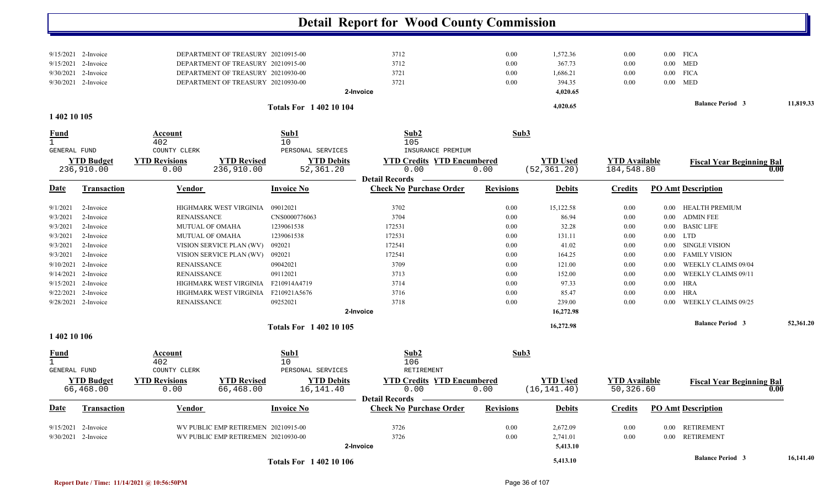|                             |                                            |                                |                                                                                  |                                 | <b>Detail Report for Wood County Commission</b>    |                  |                                 |                                    |                         |                                  |           |
|-----------------------------|--------------------------------------------|--------------------------------|----------------------------------------------------------------------------------|---------------------------------|----------------------------------------------------|------------------|---------------------------------|------------------------------------|-------------------------|----------------------------------|-----------|
| 9/15/2021 2-Invoice         |                                            |                                | DEPARTMENT OF TREASURY 20210915-00<br>3712<br>DEPARTMENT OF TREASURY 20210915-00 |                                 | 3712                                               | 0.00<br>0.00     | 1,572.36<br>367.73              | 0.00<br>0.00                       |                         | $0.00$ FICA<br>$0.00$ MED        |           |
|                             | 9/15/2021 2-Invoice<br>9/30/2021 2-Invoice |                                | DEPARTMENT OF TREASURY 20210930-00                                               |                                 | 3721                                               | 0.00             | 1,686.21                        | 0.00                               |                         | $0.00$ FICA                      |           |
|                             | 9/30/2021 2-Invoice                        |                                | DEPARTMENT OF TREASURY 20210930-00                                               |                                 | 3721                                               | 0.00             | 394.35                          | 0.00                               |                         | $0.00$ MED                       |           |
|                             |                                            |                                |                                                                                  |                                 | 2-Invoice                                          |                  | 4,020.65                        |                                    |                         |                                  |           |
|                             |                                            |                                |                                                                                  |                                 |                                                    |                  |                                 |                                    |                         | <b>Balance Period 3</b>          | 11,819.33 |
| 1 402 10 105                |                                            |                                |                                                                                  | <b>Totals For 140210104</b>     |                                                    |                  | 4,020.65                        |                                    |                         |                                  |           |
| <u>Fund</u><br>$\mathbf{1}$ |                                            | Account<br>402                 |                                                                                  | Sub1<br>10                      | Sub2<br>105                                        | Sub3             |                                 |                                    |                         |                                  |           |
| <b>GENERAL FUND</b>         |                                            | COUNTY CLERK                   |                                                                                  | PERSONAL SERVICES               | INSURANCE PREMIUM                                  |                  |                                 |                                    |                         |                                  |           |
|                             | <b>YTD Budget</b><br>236,910.00            | <b>YTD Revisions</b><br>0.00   | <b>YTD Revised</b><br>236,910.00                                                 | <b>YTD Debits</b><br>52,361.20  | <b>YTD Credits YTD Encumbered</b><br>0.00          | 0.00             | <b>YTD Used</b><br>(52, 361.20) | <b>YTD Available</b><br>184,548.80 |                         | <b>Fiscal Year Beginning Bal</b> | 0.00      |
|                             |                                            |                                |                                                                                  |                                 | <b>Detail Records</b>                              |                  |                                 |                                    |                         |                                  |           |
| Date                        | <b>Transaction</b>                         | Vendor                         |                                                                                  | <b>Invoice No</b>               | <b>Check No Purchase Order</b>                     | <b>Revisions</b> | <b>Debits</b>                   | <b>Credits</b>                     |                         | <b>PO Amt Description</b>        |           |
| 9/1/2021                    | 2-Invoice                                  |                                | HIGHMARK WEST VIRGINIA                                                           | 09012021                        | 3702                                               | 0.00             | 15,122.58                       | 0.00                               | $0.00\,$                | <b>HEALTH PREMIUM</b>            |           |
| 9/3/2021                    | 2-Invoice                                  | <b>RENAISSANCE</b>             |                                                                                  | CNS0000776063                   | 3704                                               | 0.00             | 86.94                           | 0.00                               | $0.00\,$                | <b>ADMIN FEE</b>                 |           |
| 9/3/2021                    | 2-Invoice                                  | MUTUAL OF OMAHA                |                                                                                  | 1239061538                      | 172531                                             | 0.00             | 32.28                           | 0.00                               | $0.00\,$                | <b>BASIC LIFE</b>                |           |
| 9/3/2021                    | 2-Invoice                                  | MUTUAL OF OMAHA                |                                                                                  | 1239061538                      | 172531                                             | 0.00             | 131.11                          | 0.00                               | $0.00\,$                | <b>LTD</b>                       |           |
| 9/3/2021                    | 2-Invoice                                  |                                | VISION SERVICE PLAN (WV)                                                         | 092021                          | 172541                                             | 0.00             | 41.02                           | $0.00\,$                           | $0.00\,$                | <b>SINGLE VISION</b>             |           |
| 9/3/2021                    | 2-Invoice                                  |                                | VISION SERVICE PLAN (WV)                                                         | 092021                          | 172541                                             | 0.00             | 164.25                          | $0.00\,$                           | $0.00\,$                | <b>FAMILY VISION</b>             |           |
| 9/10/2021                   | 2-Invoice                                  | <b>RENAISSANCE</b>             |                                                                                  | 09042021                        | 3709                                               | 0.00             | 121.00                          | 0.00                               | 0.00                    | WEEKLY CLAIMS 09/04              |           |
|                             | $9/14/2021$ 2-Invoice                      | <b>RENAISSANCE</b>             |                                                                                  | 09112021                        | 3713                                               | 0.00             | 152.00                          | $0.00\,$                           | 0.00                    | WEEKLY CLAIMS 09/11              |           |
|                             | $9/15/2021$ 2-Invoice                      |                                | HIGHMARK WEST VIRGINIA                                                           | F210914A4719                    | 3714                                               | 0.00             | 97.33                           | 0.00                               | $0.00\,$                | <b>HRA</b>                       |           |
| 9/22/2021                   | 2-Invoice                                  |                                | HIGHMARK WEST VIRGINIA                                                           | F210921A5676                    | 3716                                               | 0.00             | 85.47                           | 0.00                               | 0.00                    | <b>HRA</b>                       |           |
|                             | 9/28/2021 2-Invoice                        | <b>RENAISSANCE</b>             |                                                                                  | 09252021                        | 3718                                               | 0.00             | 239.00                          | 0.00                               | 0.00                    | WEEKLY CLAIMS 09/25              |           |
|                             |                                            |                                |                                                                                  |                                 | 2-Invoice                                          |                  | 16,272.98                       |                                    |                         |                                  |           |
|                             |                                            | <b>Totals For 1 402 10 105</b> |                                                                                  |                                 |                                                    | 16,272.98        |                                 |                                    | <b>Balance Period 3</b> | 52,361.20                        |           |
| 1 402 10 106                |                                            |                                |                                                                                  |                                 |                                                    |                  |                                 |                                    |                         |                                  |           |
| <u>Fund</u><br>$\mathbf{1}$ |                                            | <b>Account</b><br>402          |                                                                                  | Sub1<br>10<br>PERSONAL SERVICES | Sub2<br>106                                        | Sub3             |                                 |                                    |                         |                                  |           |
| <b>GENERAL FUND</b>         |                                            | COUNTY CLERK                   |                                                                                  |                                 | RETIREMENT                                         |                  |                                 |                                    |                         |                                  |           |
|                             | <b>YTD Budget</b><br>66,468.00             | <b>YTD Revisions</b><br>0.00   | <b>YTD Revised</b><br>66,468.00                                                  | <b>YTD Debits</b><br>16,141.40  | <b>YTD Credits YTD Encumbered</b><br>0.00          | 0.00             | <b>YTD Used</b><br>(16, 141.40) | <b>YTD Available</b><br>50,326.60  |                         | <b>Fiscal Year Beginning Bal</b> | 0.00      |
| <b>Date</b>                 | <b>Transaction</b>                         | Vendor                         |                                                                                  | <b>Invoice No</b>               | Detail Records —<br><b>Check No Purchase Order</b> | <b>Revisions</b> | <b>Debits</b>                   | <b>Credits</b>                     |                         | <b>PO Amt Description</b>        |           |
|                             |                                            |                                |                                                                                  |                                 |                                                    |                  |                                 |                                    |                         |                                  |           |
|                             | $9/15/2021$ 2-Invoice                      |                                | WV PUBLIC EMP RETIREMEN 20210915-00                                              |                                 | 3726                                               | 0.00             | 2,672.09                        | $0.00\,$                           |                         | 0.00 RETIREMENT                  |           |
|                             | 9/30/2021 2-Invoice                        |                                | WV PUBLIC EMP RETIREMEN 20210930-00                                              |                                 | 3726<br>2-Invoice                                  | $0.00\,$         | 2,741.01<br>5,413.10            | 0.00                               |                         | 0.00 RETIREMENT                  |           |
|                             |                                            |                                |                                                                                  | <b>Totals For 1 402 10 106</b>  |                                                    |                  | 5,413.10                        |                                    |                         | <b>Balance Period 3</b>          | 16,141.40 |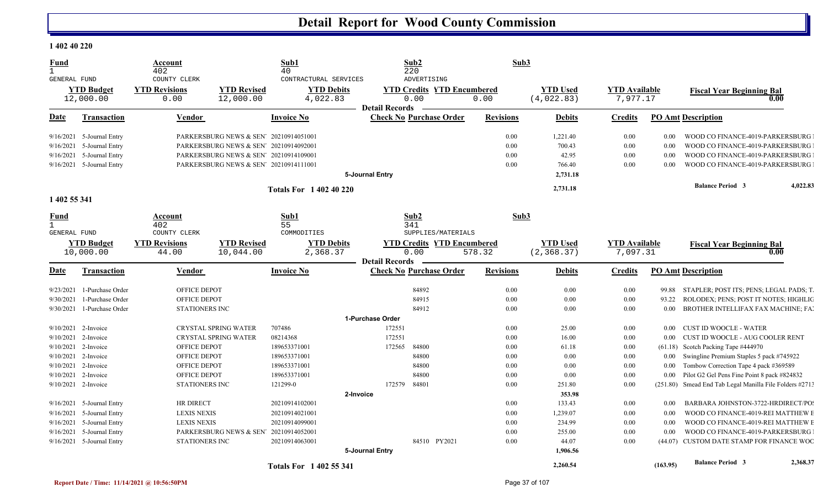#### **1 402 40 220**

| <b>Fund</b><br>$\mathbf{1}$  |                           | Account<br>402                |                                        | Sub1<br>40                     |                       | Sub2                                      | Sub3             |                                |                                  |          |                                                         |          |
|------------------------------|---------------------------|-------------------------------|----------------------------------------|--------------------------------|-----------------------|-------------------------------------------|------------------|--------------------------------|----------------------------------|----------|---------------------------------------------------------|----------|
| <b>GENERAL FUND</b>          |                           | COUNTY CLERK                  |                                        | CONTRACTURAL SERVICES          |                       | 220<br>ADVERTISING                        |                  |                                |                                  |          |                                                         |          |
|                              | <b>YTD Budget</b>         | <b>YTD Revisions</b>          | <b>YTD Revised</b>                     | <b>YTD Debits</b>              |                       | <b>YTD Credits YTD Encumbered</b>         |                  | <b>YTD</b> Used                | <b>YTD Available</b>             |          | <b>Fiscal Year Beginning Bal</b>                        |          |
|                              | 12,000.00                 | 0.00                          | 12,000.00                              | 4,022.83                       |                       | 0.00                                      | 0.00             | (4,022.83)                     | 7,977.17                         |          | 0.00                                                    |          |
|                              |                           |                               |                                        |                                | <b>Detail Records</b> |                                           |                  |                                |                                  |          |                                                         |          |
| Date                         | Transaction               | <b>Vendor</b>                 |                                        | <b>Invoice No</b>              |                       | <b>Check No Purchase Order</b>            | <b>Revisions</b> | <b>Debits</b>                  | <b>Credits</b>                   |          | <b>PO Amt Description</b>                               |          |
| 9/16/2021                    | 5-Journal Entry           |                               | PARKERSBURG NEWS & SEN' 20210914051001 |                                |                       |                                           | 0.00             | 1,221.40                       | 0.00                             | 0.00     | WOOD CO FINANCE-4019-PARKERSBURG                        |          |
| 9/16/2021                    | 5-Journal Entry           |                               | PARKERSBURG NEWS & SEN' 20210914092001 |                                |                       |                                           | 0.00             | 700.43                         | $0.00\,$                         | 0.00     | WOOD CO FINANCE-4019-PARKERSBURG                        |          |
| 9/16/2021                    | 5-Journal Entry           |                               | PARKERSBURG NEWS & SEN 20210914109001  |                                |                       |                                           | 0.00             | 42.95                          | 0.00                             | 0.00     | WOOD CO FINANCE-4019-PARKERSBURG                        |          |
| 9/16/2021                    | 5-Journal Entry           |                               | PARKERSBURG NEWS & SEN' 20210914111001 |                                |                       |                                           | 0.00             | 766.40                         | 0.00                             | 0.00     | WOOD CO FINANCE-4019-PARKERSBURG                        |          |
|                              |                           |                               |                                        |                                | 5-Journal Entry       |                                           |                  | 2,731.18                       |                                  |          |                                                         |          |
|                              |                           |                               |                                        | <b>Totals For 1 402 40 220</b> |                       |                                           |                  | 2,731.18                       |                                  |          | <b>Balance Period 3</b>                                 | 4,022.83 |
| 1 402 55 341                 |                           |                               |                                        |                                |                       |                                           |                  |                                |                                  |          |                                                         |          |
| Fund                         |                           | Account                       |                                        | Sub1                           |                       | Sub2                                      | Sub3             |                                |                                  |          |                                                         |          |
| $\mathbf{1}$<br>GENERAL FUND |                           | 402<br>COUNTY CLERK           |                                        | 55<br>COMMODITIES              |                       | 341<br>SUPPLIES/MATERIALS                 |                  |                                |                                  |          |                                                         |          |
|                              | <b>YTD Budget</b>         |                               | <b>YTD Revised</b>                     |                                |                       |                                           |                  |                                |                                  |          |                                                         |          |
|                              | 10,000.00                 | <b>YTD Revisions</b><br>44.00 | 10,044.00                              | <b>YTD Debits</b><br>2,368.37  |                       | <b>YTD Credits YTD Encumbered</b><br>0.00 | 578.32           | <b>YTD Used</b><br>(2, 368.37) | <b>YTD</b> Available<br>7,097.31 |          | <b>Fiscal Year Beginning Bal</b><br>0.00                |          |
|                              |                           |                               |                                        |                                | <b>Detail Records</b> |                                           |                  |                                |                                  |          |                                                         |          |
|                              |                           |                               |                                        |                                |                       |                                           |                  |                                |                                  |          |                                                         |          |
| Date                         | Transaction               | <b>Vendor</b>                 |                                        | <b>Invoice No</b>              |                       | <b>Check No Purchase Order</b>            | <b>Revisions</b> | <b>Debits</b>                  | <b>Credits</b>                   |          | <b>PO Amt Description</b>                               |          |
| 9/23/2021                    | 1-Purchase Order          | OFFICE DEPOT                  |                                        |                                |                       | 84892                                     | 0.00             | 0.00                           | 0.00                             | 99.88    | STAPLER; POST ITS; PENS; LEGAL PADS; T                  |          |
| 9/30/2021                    | 1-Purchase Order          | OFFICE DEPOT                  |                                        |                                |                       | 84915                                     | 0.00             | 0.00                           | $0.00\,$                         | 93.22    | ROLODEX; PENS; POST IT NOTES; HIGHLIC                   |          |
| 9/30/2021                    | 1-Purchase Order          | STATIONERS INC                |                                        |                                |                       | 84912                                     | 0.00             | 0.00                           | 0.00                             | $0.00\,$ | BROTHER INTELLIFAX FAX MACHINE; FAI                     |          |
|                              |                           |                               |                                        |                                | 1-Purchase Order      |                                           |                  |                                |                                  |          |                                                         |          |
| 9/10/2021                    | 2-Invoice                 |                               | <b>CRYSTAL SPRING WATER</b>            | 707486                         | 172551                |                                           | 0.00             | 25.00                          | 0.00                             | 0.00     | <b>CUST ID WOOCLE - WATER</b>                           |          |
| 9/10/2021                    | 2-Invoice                 |                               | CRYSTAL SPRING WATER                   | 08214368                       | 172551                |                                           | 0.00             | 16.00                          | $0.00\,$                         | 0.00     | CUST ID WOOCLE - AUG COOLER RENT                        |          |
| 9/10/2021                    | 2-Invoice                 | OFFICE DEPOT                  |                                        | 189653371001                   | 172565                | 84800                                     | 0.00             | 61.18                          | 0.00                             |          | (61.18) Scotch Packing Tape #444970                     |          |
| 9/10/2021                    | 2-Invoice                 | OFFICE DEPOT                  |                                        | 189653371001                   |                       | 84800                                     | 0.00             | 0.00                           | $0.00\,$                         | $0.00\,$ | Swingline Premium Staples 5 pack #745922                |          |
| 9/10/2021                    | 2-Invoice                 | OFFICE DEPOT                  |                                        | 189653371001                   |                       | 84800                                     | 0.00             | 0.00                           | 0.00                             | 0.00     | Tombow Correction Tape 4 pack #369589                   |          |
| 9/10/2021                    | 2-Invoice                 | OFFICE DEPOT                  |                                        | 189653371001                   |                       | 84800                                     | 0.00             | 0.00                           | 0.00                             | 0.00     | Pilot G2 Gel Pens Fine Point 8 pack #824832             |          |
|                              | $9/10/2021$ 2-Invoice     | STATIONERS INC                |                                        | 121299-0                       | 172579                | 84801                                     | 0.00             | 251.80                         | 0.00                             |          | (251.80) Smead End Tab Legal Manilla File Folders #2713 |          |
|                              |                           |                               |                                        | 2-Invoice                      |                       |                                           |                  | 353.98                         |                                  |          |                                                         |          |
| 9/16/2021                    | 5-Journal Entry           | HR DIRECT                     |                                        | 20210914102001                 |                       |                                           | 0.00             | 133.43                         | 0.00                             | 0.00     | BARBARA JOHNSTON-3722-HRDIRECT/PO                       |          |
| 9/16/2021                    | 5-Journal Entry           | <b>LEXIS NEXIS</b>            |                                        | 20210914021001                 |                       |                                           | 0.00             | 1,239.07                       | $0.00\,$                         | 0.00     | WOOD CO FINANCE-4019-REI MATTHEW E                      |          |
| 9/16/2021                    | 5-Journal Entry           | <b>LEXIS NEXIS</b>            |                                        | 20210914099001                 |                       |                                           | 0.00             | 234.99                         | $0.00\,$                         | 0.00     | WOOD CO FINANCE-4019-REI MATTHEW E                      |          |
| 9/16/2021                    | 5-Journal Entry           |                               | PARKERSBURG NEWS & SEN' 20210914052001 |                                |                       |                                           | 0.00             | 255.00                         | 0.00                             | 0.00     | WOOD CO FINANCE-4019-PARKERSBURG                        |          |
|                              | 9/16/2021 5-Journal Entry | STATIONERS INC                |                                        | 20210914063001                 |                       | 84510 PY2021                              | 0.00             | 44.07                          | 0.00                             |          | (44.07) CUSTOM DATE STAMP FOR FINANCE WOC               |          |
|                              |                           |                               |                                        |                                | 5-Journal Entry       |                                           |                  | 1,906.56                       |                                  |          | <b>Balance Period 3</b>                                 | 2,368.37 |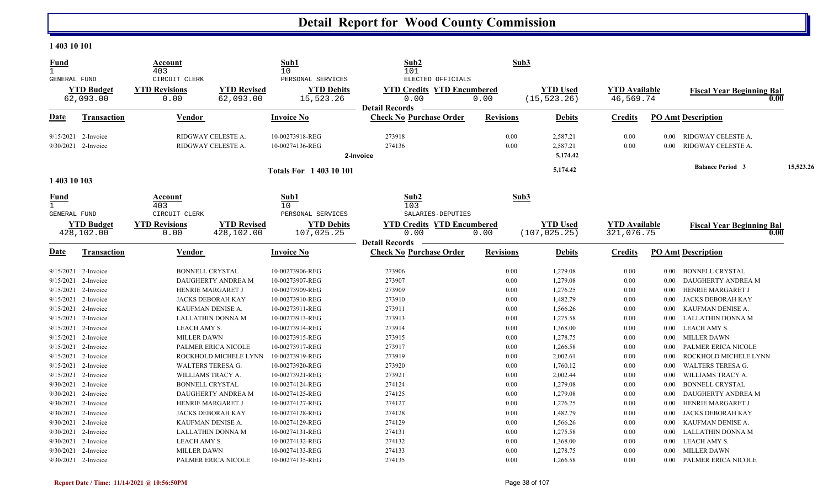#### **1 403 10 101**

| Fund                |                       | Account<br>403           |                            | Sub1<br>10                  | Sub2<br>101                                             | Sub3             |                 |                      |          |                                  |           |
|---------------------|-----------------------|--------------------------|----------------------------|-----------------------------|---------------------------------------------------------|------------------|-----------------|----------------------|----------|----------------------------------|-----------|
| GENERAL FUND        |                       | CIRCUIT CLERK            |                            | PERSONAL SERVICES           | ELECTED OFFICIALS                                       |                  |                 |                      |          |                                  |           |
|                     | <b>YTD Budget</b>     | <b>YTD Revisions</b>     | <b>YTD Revised</b>         | <b>YTD Debits</b>           | <b>YTD Credits YTD Encumbered</b>                       |                  | <b>YTD Used</b> | <b>YTD</b> Available |          | <b>Fiscal Year Beginning Bal</b> |           |
|                     | 62,093.00             | 0.00                     | 62,093.00                  | 15,523.26                   | 0.00                                                    | 0.00             | (15, 523.26)    | 46,569.74            |          | 0.00                             |           |
| Date                | <b>Transaction</b>    | Vendor                   |                            | <b>Invoice No</b>           | <b>Detail Records</b><br><b>Check No Purchase Order</b> | <b>Revisions</b> | <b>Debits</b>   | <b>Credits</b>       |          | <b>PO Amt Description</b>        |           |
|                     |                       |                          |                            |                             |                                                         |                  |                 |                      |          |                                  |           |
|                     | 9/15/2021 2-Invoice   | RIDGWAY CELESTE A.       |                            | 10-00273918-REG             | 273918                                                  | 0.00             | 2,587.21        | 0.00                 | $0.00\,$ | RIDGWAY CELESTE A.               |           |
|                     | $9/30/2021$ 2-Invoice | RIDGWAY CELESTE A.       |                            | 10-00274136-REG             | 274136                                                  | 0.00             | 2,587.21        | 0.00                 | 0.00     | RIDGWAY CELESTE A.               |           |
|                     |                       |                          |                            |                             | 2-Invoice                                               |                  | 5,174.42        |                      |          |                                  |           |
|                     |                       |                          |                            | <b>Totals For 140310101</b> |                                                         |                  | 5,174.42        |                      |          | <b>Balance Period 3</b>          | 15,523.26 |
| 1 403 10 103        |                       |                          |                            |                             |                                                         |                  |                 |                      |          |                                  |           |
| <b>Fund</b>         |                       | Account                  |                            | Sub1                        | Sub2                                                    | Sub3             |                 |                      |          |                                  |           |
| $\mathbf{1}$        |                       | 403                      |                            | 10                          | 103                                                     |                  |                 |                      |          |                                  |           |
| <b>GENERAL FUND</b> |                       | CIRCUIT CLERK            |                            | PERSONAL SERVICES           | SALARIES-DEPUTIES                                       |                  |                 |                      |          |                                  |           |
|                     | <b>YTD Budget</b>     | <b>YTD Revisions</b>     | <b>YTD Revised</b>         | <b>YTD Debits</b>           | <b>YTD Credits YTD Encumbered</b>                       |                  | <b>YTD Used</b> | <b>YTD Available</b> |          | <b>Fiscal Year Beginning Bal</b> |           |
|                     | 428,102.00            | 0.00                     | 428,102.00                 | 107,025.25                  | 0.00                                                    | 0.00             | (107, 025.25)   | 321,076.75           |          | 0.00                             |           |
|                     |                       |                          |                            |                             | <b>Detail Records</b>                                   |                  |                 |                      |          |                                  |           |
| Date                | <b>Transaction</b>    | Vendor                   |                            | <b>Invoice No</b>           | <b>Check No Purchase Order</b>                          | <b>Revisions</b> | <b>Debits</b>   | <b>Credits</b>       |          | <b>PO Amt Description</b>        |           |
|                     | 9/15/2021 2-Invoice   | <b>BONNELL CRYSTAL</b>   |                            | 10-00273906-REG             | 273906                                                  | 0.00             | 1,279.08        | 0.00                 | $0.00\,$ | BONNELL CRYSTAL                  |           |
| 9/15/2021           | 2-Invoice             |                          | DAUGHERTY ANDREA M         | 10-00273907-REG             | 273907                                                  | 0.00             | 1,279.08        | 0.00                 | 0.00     | DAUGHERTY ANDREA M               |           |
| 9/15/2021           | 2-Invoice             | HENRIE MARGARET J        |                            | 10-00273909-REG             | 273909                                                  | 0.00             | 1,276.25        | 0.00                 | 0.00     | HENRIE MARGARET J                |           |
| 9/15/2021           | 2-Invoice             | JACKS DEBORAH KAY        |                            | 10-00273910-REG             | 273910                                                  | 0.00             | 1,482.79        | 0.00                 | 0.00     | JACKS DEBORAH KAY                |           |
| 9/15/2021           | 2-Invoice             | KAUFMAN DENISE A.        |                            | 10-00273911-REG             | 273911                                                  | 0.00             | 1,566.26        | 0.00                 | $0.00\,$ | KAUFMAN DENISE A.                |           |
| 9/15/2021           | 2-Invoice             | LALLATHIN DONNA M        |                            | 10-00273913-REG             | 273913                                                  | 0.00             | 1,275.58        | 0.00                 | $0.00\,$ | LALLATHIN DONNA M                |           |
| 9/15/2021           | 2-Invoice             | LEACH AMY S.             |                            | 10-00273914-REG             | 273914                                                  | 0.00             | 1,368.00        | 0.00                 | $0.00\,$ | LEACH AMY S.                     |           |
|                     | 9/15/2021 2-Invoice   | <b>MILLER DAWN</b>       |                            | 10-00273915-REG             | 273915                                                  | 0.00             | 1,278.75        | 0.00                 | $0.00\,$ | <b>MILLER DAWN</b>               |           |
| 9/15/2021           | 2-Invoice             |                          | <b>PALMER ERICA NICOLE</b> | 10-00273917-REG             | 273917                                                  | 0.00             | 1,266.58        | 0.00                 | $0.00\,$ | PALMER ERICA NICOLE              |           |
| 9/15/2021           | 2-Invoice             |                          | ROCKHOLD MICHELE LYNN      | 10-00273919-REG             | 273919                                                  | 0.00             | 2,002.61        | 0.00                 | 0.00     | ROCKHOLD MICHELE LYNN            |           |
| 9/15/2021           | 2-Invoice             | <b>WALTERS TERESA G.</b> |                            | 10-00273920-REG             | 273920                                                  | 0.00             | 1,760.12        | 0.00                 | 0.00     | <b>WALTERS TERESA G.</b>         |           |
|                     | 9/15/2021 2-Invoice   | WILLIAMS TRACY A.        |                            | 10-00273921-REG             | 273921                                                  | 0.00             | 2,002.44        | 0.00                 | 0.00     | WILLIAMS TRACY A.                |           |
| 9/30/2021           | 2-Invoice             | <b>BONNELL CRYSTAL</b>   |                            | 10-00274124-REG             | 274124                                                  | 0.00             | 1,279.08        | 0.00                 | 0.00     | <b>BONNELL CRYSTAL</b>           |           |
|                     | 9/30/2021 2-Invoice   |                          | DAUGHERTY ANDREA M         | 10-00274125-REG             | 274125                                                  | 0.00             | 1,279.08        | 0.00                 | 0.00     | DAUGHERTY ANDREA M               |           |
|                     | 9/30/2021 2-Invoice   | HENRIE MARGARET J        |                            | 10-00274127-REG             | 274127                                                  | 0.00             | 1,276.25        | 0.00                 | 0.00     | HENRIE MARGARET J                |           |
|                     | 9/30/2021 2-Invoice   | JACKS DEBORAH KAY        |                            | 10-00274128-REG             | 274128                                                  | 0.00             | 1,482.79        | 0.00                 | 0.00     | JACKS DEBORAH KAY                |           |
|                     | 9/30/2021 2-Invoice   | KAUFMAN DENISE A.        |                            | 10-00274129-REG             | 274129                                                  | 0.00             | 1,566.26        | 0.00                 | 0.00     | KAUFMAN DENISE A.                |           |
| 9/30/2021           | 2-Invoice             | LALLATHIN DONNA M        |                            | 10-00274131-REG             | 274131                                                  | 0.00             | 1,275.58        | 0.00                 | 0.00     | LALLATHIN DONNA M                |           |
|                     | $9/30/2021$ 2-Invoice | <b>LEACH AMY S.</b>      |                            | 10-00274132-REG             | 274132                                                  | 0.00             | 1,368.00        | 0.00                 | $0.00\,$ | LEACH AMY S.                     |           |
|                     | 9/30/2021 2-Invoice   | <b>MILLER DAWN</b>       |                            | 10-00274133-REG             | 274133                                                  | 0.00             | 1,278.75        | 0.00                 | $0.00\,$ | <b>MILLER DAWN</b>               |           |
|                     | 9/30/2021 2-Invoice   |                          | PALMER ERICA NICOLE        | 10-00274135-REG             | 274135                                                  | 0.00             | 1,266.58        | 0.00                 | $0.00\,$ | PALMER ERICA NICOLE              |           |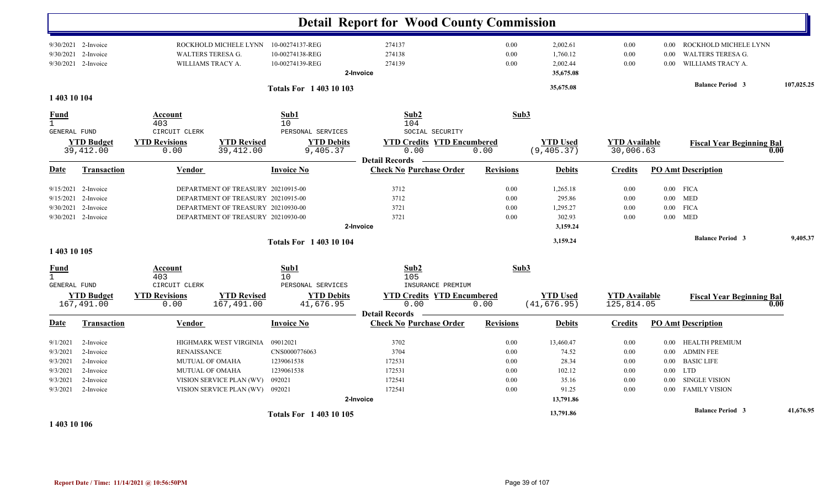|                                                                      |                                                                            |                                                          |                                                                                                                                                      |                                                                 | <b>Detail Report for Wood County Commission</b>                    |                                              |                                                                      |                                              |                                                      |                                                                                                                            |      |            |
|----------------------------------------------------------------------|----------------------------------------------------------------------------|----------------------------------------------------------|------------------------------------------------------------------------------------------------------------------------------------------------------|-----------------------------------------------------------------|--------------------------------------------------------------------|----------------------------------------------|----------------------------------------------------------------------|----------------------------------------------|------------------------------------------------------|----------------------------------------------------------------------------------------------------------------------------|------|------------|
|                                                                      | $9/30/2021$ 2-Invoice<br>9/30/2021 2-Invoice<br>9/30/2021 2-Invoice        | WILLIAMS TRACY A.                                        | ROCKHOLD MICHELE LYNN 10-00274137-REG<br>WALTERS TERESA G.                                                                                           | 10-00274138-REG<br>10-00274139-REG                              | 274137<br>274138<br>274139<br>2-Invoice                            | $0.00\,$<br>0.00<br>0.00                     | 2,002.61<br>1,760.12<br>2,002.44<br>35,675.08                        | 0.00<br>0.00<br>0.00                         | $0.00\,$<br>0.00                                     | 0.00 ROCKHOLD MICHELE LYNN<br>WALTERS TERESA G.<br>WILLIAMS TRACY A.                                                       |      |            |
| 1 403 10 104                                                         |                                                                            |                                                          |                                                                                                                                                      | <b>Totals For 1 403 10 103</b>                                  |                                                                    |                                              | 35,675.08                                                            |                                              |                                                      | <b>Balance Period 3</b>                                                                                                    |      | 107,025.25 |
| <b>Fund</b><br>1<br><b>GENERAL FUND</b>                              |                                                                            | Account<br>403<br>CIRCUIT CLERK                          |                                                                                                                                                      | Sub1<br>10<br>PERSONAL SERVICES                                 | Sub2<br>104<br>SOCIAL SECURITY                                     | Sub3                                         |                                                                      |                                              |                                                      |                                                                                                                            |      |            |
|                                                                      | <b>YTD Budget</b><br>39,412.00                                             | <b>YTD Revisions</b><br>0.00                             | <b>YTD Revised</b><br>39, 412.00                                                                                                                     | <b>YTD Debits</b><br>9,405.37                                   | <b>YTD Credits YTD Encumbered</b><br>0.00<br><b>Detail Records</b> | 0.00                                         | <b>YTD Used</b><br>(9, 405.37)                                       | <b>YTD Available</b><br>30,006.63            |                                                      | <b>Fiscal Year Beginning Bal</b>                                                                                           | 0.00 |            |
| Date                                                                 | <b>Transaction</b>                                                         | <b>Vendor</b>                                            |                                                                                                                                                      | <b>Invoice No</b>                                               | <b>Check No Purchase Order</b>                                     | <b>Revisions</b>                             | <b>Debits</b>                                                        | <b>Credits</b>                               |                                                      | <b>PO Amt Description</b>                                                                                                  |      |            |
| 9/15/2021<br>9/30/2021                                               | $9/15/2021$ 2-Invoice<br>2-Invoice<br>2-Invoice<br>9/30/2021 2-Invoice     |                                                          | DEPARTMENT OF TREASURY 20210915-00<br>DEPARTMENT OF TREASURY 20210915-00<br>DEPARTMENT OF TREASURY 20210930-00<br>DEPARTMENT OF TREASURY 20210930-00 |                                                                 | 3712<br>3712<br>3721<br>3721<br>2-Invoice                          | 0.00<br>0.00<br>0.00<br>0.00                 | 1,265.18<br>295.86<br>1,295.27<br>302.93<br>3,159.24                 | 0.00<br>0.00<br>0.00<br>0.00                 | $0.00\,$<br>$0.00\,$                                 | $0.00$ FICA<br>$0.00$ MED<br><b>FICA</b><br>MED                                                                            |      |            |
| 1 403 10 105                                                         |                                                                            |                                                          |                                                                                                                                                      | <b>Totals For 140310104</b>                                     |                                                                    |                                              | 3,159.24                                                             |                                              |                                                      | <b>Balance Period 3</b>                                                                                                    |      | 9,405.37   |
| <b>Fund</b><br>$\mathbf{1}$<br>GENERAL FUND                          |                                                                            | Account<br>403<br>CIRCUIT CLERK                          |                                                                                                                                                      | Sub1<br>10<br>PERSONAL SERVICES                                 | Sub2<br>105<br>INSURANCE PREMIUM                                   | Sub3                                         |                                                                      |                                              |                                                      |                                                                                                                            |      |            |
|                                                                      | <b>YTD Budget</b><br>167,491.00                                            | <b>YTD Revisions</b><br>0.00                             | <b>YTD Revised</b><br>167,491.00                                                                                                                     | <b>YTD Debits</b><br>41,676.95                                  | <b>YTD Credits YTD Encumbered</b><br>0.00<br><b>Detail Records</b> | 0.00                                         | <b>YTD Used</b><br>(41, 676.95)                                      | <b>YTD Available</b><br>125,814.05           |                                                      | <b>Fiscal Year Beginning Bal</b>                                                                                           | 0.00 |            |
| Date                                                                 | <b>Transaction</b>                                                         | Vendor                                                   |                                                                                                                                                      | <b>Invoice No</b>                                               | <b>Check No Purchase Order</b>                                     | <b>Revisions</b>                             | <b>Debits</b>                                                        | <b>Credits</b>                               |                                                      | <b>PO Amt Description</b>                                                                                                  |      |            |
| 9/1/2021<br>9/3/2021<br>9/3/2021<br>9/3/2021<br>9/3/2021<br>9/3/2021 | 2-Invoice<br>2-Invoice<br>2-Invoice<br>2-Invoice<br>2-Invoice<br>2-Invoice | <b>RENAISSANCE</b><br>MUTUAL OF OMAHA<br>MUTUAL OF OMAHA | HIGHMARK WEST VIRGINIA<br>VISION SERVICE PLAN (WV)<br>VISION SERVICE PLAN (WV) 092021                                                                | 09012021<br>CNS0000776063<br>1239061538<br>1239061538<br>092021 | 3702<br>3704<br>172531<br>172531<br>172541<br>172541<br>2-Invoice  | 0.00<br>0.00<br>0.00<br>0.00<br>0.00<br>0.00 | 13,460.47<br>74.52<br>28.34<br>102.12<br>35.16<br>91.25<br>13,791.86 | 0.00<br>0.00<br>0.00<br>0.00<br>0.00<br>0.00 | $0.00\,$<br>$0.00\,$<br>$0.00\,$<br>$0.00\,$<br>0.00 | 0.00 HEALTH PREMIUM<br><b>ADMIN FEE</b><br><b>BASIC LIFE</b><br><b>LTD</b><br><b>SINGLE VISION</b><br><b>FAMILY VISION</b> |      |            |
| .                                                                    |                                                                            |                                                          |                                                                                                                                                      | Totals For 1 403 10 105                                         |                                                                    |                                              | 13,791.86                                                            |                                              |                                                      | <b>Balance Period 3</b>                                                                                                    |      | 41,676.95  |

**1 403 10 106**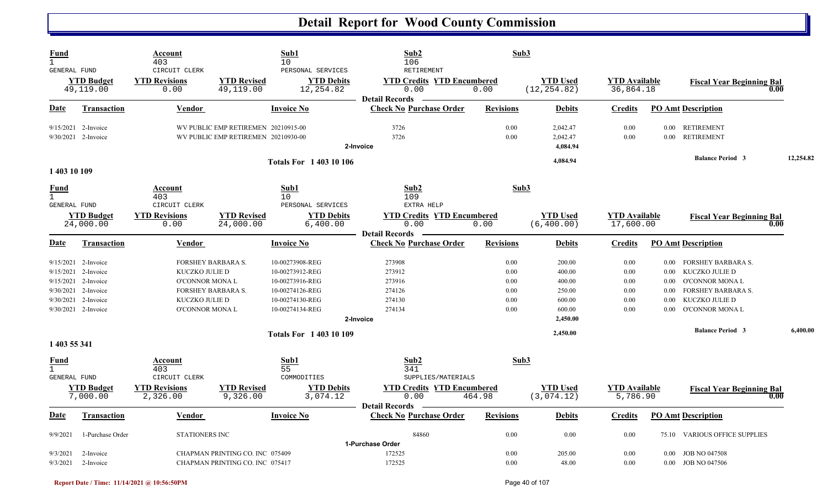| <b>Fund</b><br>$\mathbf{1}$                        |                                                                                                                                        | Account<br>403                                                         |                                                                            | Sub1<br>10                                                                                                     | Sub2<br>106                                                           | Sub3                                         |                                                                      |                                              |                                      |                                                                                                                                |           |
|----------------------------------------------------|----------------------------------------------------------------------------------------------------------------------------------------|------------------------------------------------------------------------|----------------------------------------------------------------------------|----------------------------------------------------------------------------------------------------------------|-----------------------------------------------------------------------|----------------------------------------------|----------------------------------------------------------------------|----------------------------------------------|--------------------------------------|--------------------------------------------------------------------------------------------------------------------------------|-----------|
| GENERAL FUND                                       | <b>YTD Budget</b><br>49,119.00                                                                                                         | CIRCUIT CLERK<br><b>YTD Revisions</b><br>0.00                          | <b>YTD Revised</b><br>49,119.00                                            | PERSONAL SERVICES<br><b>YTD Debits</b><br>12,254.82                                                            | RETIREMENT<br><b>YTD Credits YTD Encumbered</b><br>0.00               | 0.00                                         | <b>YTD Used</b><br>(12, 254.82)                                      | <b>YTD Available</b><br>36,864.18            |                                      | <b>Fiscal Year Beginning Bal</b><br>0.00                                                                                       |           |
| Date                                               | <b>Transaction</b>                                                                                                                     | Vendor                                                                 |                                                                            | <b>Invoice No</b>                                                                                              | <b>Detail Records</b><br><b>Check No Purchase Order</b>               | <b>Revisions</b>                             | <b>Debits</b>                                                        | <b>Credits</b>                               |                                      | <b>PO Amt Description</b>                                                                                                      |           |
|                                                    | 9/15/2021 2-Invoice<br>9/30/2021 2-Invoice                                                                                             |                                                                        | WV PUBLIC EMP RETIREMEN 20210915-00<br>WV PUBLIC EMP RETIREMEN 20210930-00 |                                                                                                                | 3726<br>3726<br>2-Invoice                                             | 0.00<br>0.00                                 | 2,042.47<br>2,042.47<br>4,084.94                                     | 0.00<br>0.00                                 | $0.00\,$                             | 0.00 RETIREMENT<br>RETIREMENT                                                                                                  |           |
| 1 403 10 109                                       |                                                                                                                                        |                                                                        |                                                                            | <b>Totals For 1 403 10 106</b>                                                                                 |                                                                       |                                              | 4,084.94                                                             |                                              |                                      | <b>Balance Period 3</b>                                                                                                        | 12,254.82 |
| <b>Fund</b><br>$\mathbf{1}$<br>GENERAL FUND        |                                                                                                                                        | Account<br>403<br>CIRCUIT CLERK                                        |                                                                            | Sub1<br>10<br>PERSONAL SERVICES                                                                                | Sub2<br>109<br>EXTRA HELP                                             | Sub3                                         |                                                                      |                                              |                                      |                                                                                                                                |           |
|                                                    | <b>YTD Budget</b><br>24,000.00                                                                                                         | <b>YTD Revisions</b><br>0.00                                           | <b>YTD Revised</b><br>24,000.00                                            | <b>YTD Debits</b><br>6,400.00                                                                                  | <b>YTD Credits YTD Encumbered</b><br>0.00<br><b>Detail Records</b>    | 0.00                                         | <b>YTD</b> Used<br>(6, 400.00)                                       | <b>YTD</b> Available<br>17,600.00            |                                      | <b>Fiscal Year Beginning Bal</b><br>0.00                                                                                       |           |
| Date                                               | <b>Transaction</b>                                                                                                                     | <b>Vendor</b>                                                          |                                                                            | <b>Invoice No</b>                                                                                              | <b>Check No Purchase Order</b>                                        | <b>Revisions</b>                             | <b>Debits</b>                                                        | <b>Credits</b>                               |                                      | <b>PO Amt Description</b>                                                                                                      |           |
|                                                    | 9/15/2021 2-Invoice<br>9/15/2021 2-Invoice<br>9/15/2021 2-Invoice<br>9/30/2021 2-Invoice<br>9/30/2021 2-Invoice<br>9/30/2021 2-Invoice | KUCZKO JULIE D<br>O'CONNOR MONA L<br>KUCZKO JULIE D<br>O'CONNOR MONA L | <b>FORSHEY BARBARA S.</b><br>FORSHEY BARBARA S.                            | 10-00273908-REG<br>10-00273912-REG<br>10-00273916-REG<br>10-00274126-REG<br>10-00274130-REG<br>10-00274134-REG | 273908<br>273912<br>273916<br>274126<br>274130<br>274134<br>2-Invoice | 0.00<br>0.00<br>0.00<br>0.00<br>0.00<br>0.00 | 200.00<br>400.00<br>400.00<br>250.00<br>600.00<br>600.00<br>2,450.00 | 0.00<br>0.00<br>0.00<br>0.00<br>0.00<br>0.00 | 0.00<br>0.00<br>0.00<br>0.00<br>0.00 | 0.00 FORSHEY BARBARA S.<br>KUCZKO JULIE D<br>O'CONNOR MONA L<br><b>FORSHEY BARBARA S.</b><br>KUCZKO JULIE D<br>O'CONNOR MONA L |           |
| 1 403 55 341                                       |                                                                                                                                        |                                                                        |                                                                            | <b>Totals For 140310109</b>                                                                                    |                                                                       |                                              | 2,450.00                                                             |                                              |                                      | <b>Balance Period 3</b>                                                                                                        | 6,400.00  |
| <u>Fund</u><br>$\mathbf{1}$<br><b>GENERAL FUND</b> |                                                                                                                                        | Account<br>403<br>CIRCUIT CLERK                                        |                                                                            | Sub1<br>55<br>COMMODITIES                                                                                      | Sub2<br>341<br>SUPPLIES/MATERIALS                                     | Sub3                                         |                                                                      |                                              |                                      |                                                                                                                                |           |
|                                                    | <b>YTD Budget</b><br>7,000.00                                                                                                          | <b>YTD Revisions</b><br>2,326.00                                       | <b>YTD Revised</b><br>9,326.00                                             | <b>YTD Debits</b><br>3,074.12                                                                                  | <b>YTD Credits YTD Encumbered</b><br>0.00<br><b>Detail Records</b>    | 464.98                                       | <b>YTD Used</b><br>(3,074.12)                                        | <b>YTD Available</b><br>5,786.90             |                                      | <b>Fiscal Year Beginning Bal</b><br>0.00                                                                                       |           |
| <u>Date</u>                                        | <b>Transaction</b>                                                                                                                     | <b>Vendor</b>                                                          |                                                                            | <b>Invoice No</b>                                                                                              | <b>Check No Purchase Order</b>                                        | <b>Revisions</b>                             | <b>Debits</b>                                                        | <b>Credits</b>                               |                                      | <b>PO Amt Description</b>                                                                                                      |           |
| 9/9/2021                                           | 1-Purchase Order                                                                                                                       | <b>STATIONERS INC</b>                                                  |                                                                            |                                                                                                                | 84860<br>1-Purchase Order                                             | 0.00                                         | 0.00                                                                 | 0.00                                         |                                      | 75.10 VARIOUS OFFICE SUPPLIES                                                                                                  |           |
| 9/3/2021                                           | 2-Invoice<br>$9/3/2021$ 2-Invoice                                                                                                      |                                                                        | CHAPMAN PRINTING CO. INC 075409<br>CHAPMAN PRINTING CO. INC 075417         |                                                                                                                | 172525<br>172525                                                      | 0.00<br>0.00                                 | 205.00<br>48.00                                                      | 0.00<br>0.00                                 |                                      | 0.00 JOB NO 047508<br>0.00 JOB NO 047506                                                                                       |           |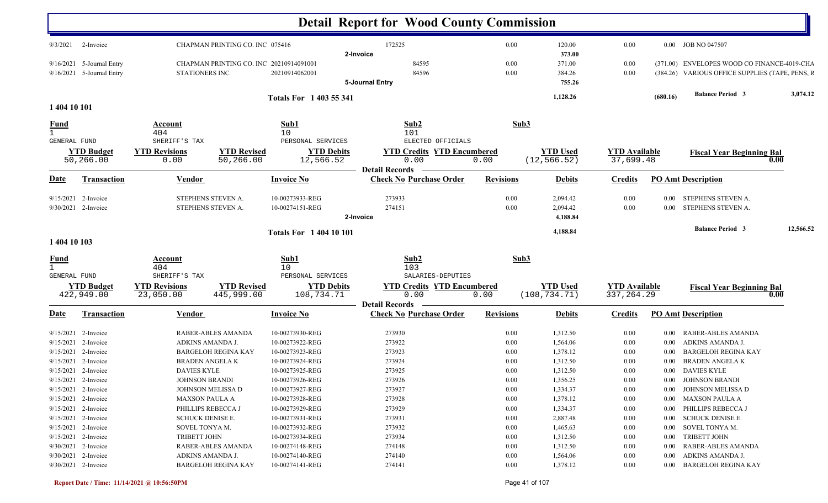|                             |                                                                       |                                                                        |                                                  |                                                       | <b>Detail Report for Wood County Commission</b>                                         |                                  |                                  |                                     |                      |                                                                                                |           |
|-----------------------------|-----------------------------------------------------------------------|------------------------------------------------------------------------|--------------------------------------------------|-------------------------------------------------------|-----------------------------------------------------------------------------------------|----------------------------------|----------------------------------|-------------------------------------|----------------------|------------------------------------------------------------------------------------------------|-----------|
| 9/3/2021                    | 2-Invoice                                                             |                                                                        | CHAPMAN PRINTING CO. INC 075416                  |                                                       | 172525<br>2-Invoice                                                                     | $0.00\,$                         | 120.00<br>373.00                 | 0.00                                |                      | 0.00 JOB NO 047507                                                                             |           |
|                             | 9/16/2021 5-Journal Entry<br>9/16/2021 5-Journal Entry                | STATIONERS INC                                                         | CHAPMAN PRINTING CO. INC 20210914091001          | 20210914062001                                        | 84595<br>84596<br>5-Journal Entry                                                       | 0.00<br>$0.00\,$                 | 371.00<br>384.26<br>755.26       | 0.00<br>0.00                        |                      | (371.00) ENVELOPES WOOD CO FINANCE-4019-CHA<br>(384.26) VARIOUS OFFICE SUPPLIES (TAPE, PENS, F |           |
|                             |                                                                       |                                                                        |                                                  | Totals For 1 403 55 341                               |                                                                                         |                                  | 1,128.26                         |                                     | (680.16)             | <b>Balance Period 3</b>                                                                        | 3,074.12  |
| 1 404 10 101                |                                                                       |                                                                        |                                                  |                                                       |                                                                                         |                                  |                                  |                                     |                      |                                                                                                |           |
| <b>Fund</b><br>GENERAL FUND |                                                                       | Account<br>404<br>SHERIFF'S TAX                                        |                                                  | Sub1<br>10<br>PERSONAL SERVICES                       | Sub2<br>101<br>ELECTED OFFICIALS                                                        | Sub3                             |                                  |                                     |                      |                                                                                                |           |
|                             | <b>YTD Budget</b><br>50,266.00                                        | <b>YTD Revisions</b><br>0.00                                           | <b>YTD Revised</b><br>50,266.00                  | <b>YTD Debits</b><br>12,566.52                        | <b>YTD Credits YTD Encumbered</b><br>0.00                                               | 0.00                             | <b>YTD Used</b><br>(12, 566.52)  | <b>YTD</b> Available<br>37,699.48   |                      | <b>Fiscal Year Beginning Bal</b><br>0.00                                                       |           |
| Date                        | Transaction                                                           | <b>Vendor</b>                                                          |                                                  | <b>Invoice No</b>                                     | <b>Detail Records</b><br><b>Check No Purchase Order</b>                                 | <b>Revisions</b>                 | <b>Debits</b>                    | <b>Credits</b>                      |                      | <b>PO Amt Description</b>                                                                      |           |
| 9/15/2021                   | 2-Invoice<br>9/30/2021 2-Invoice                                      |                                                                        | STEPHENS STEVEN A.<br>STEPHENS STEVEN A.         | 10-00273933-REG<br>10-00274151-REG                    | 273933<br>274151<br>2-Invoice                                                           | 0.00<br>0.00                     | 2,094.42<br>2,094.42<br>4,188.84 | 0.00<br>0.00                        | $0.00\,$<br>$0.00\,$ | STEPHENS STEVEN A.<br>STEPHENS STEVEN A.                                                       |           |
| 1 404 10 103                |                                                                       |                                                                        |                                                  | <b>Totals For 1 404 10 101</b>                        |                                                                                         |                                  | 4,188.84                         |                                     |                      | <b>Balance Period 3</b>                                                                        | 12,566.52 |
| <u>Fund</u><br>$\mathbf{1}$ |                                                                       | <b>Account</b><br>404                                                  |                                                  | Sub1<br>10                                            | Sub2<br>103                                                                             | Sub3                             |                                  |                                     |                      |                                                                                                |           |
| GENERAL FUND                | <b>YTD Budget</b><br>422,949.00                                       | SHERIFF'S TAX<br><b>YTD Revisions</b><br>23,050.00                     | <b>YTD Revised</b><br>445,999.00                 | PERSONAL SERVICES<br><b>YTD Debits</b><br>108,734.71  | SALARIES-DEPUTIES<br><b>YTD Credits YTD Encumbered</b><br>0.00<br><b>Detail Records</b> | 0.00                             | <b>YTD Used</b><br>(108, 734.71) | <b>YTD</b> Available<br>337, 264.29 |                      | <b>Fiscal Year Beginning Bal</b><br>0.00                                                       |           |
| <u>Date</u>                 | <b>Transaction</b>                                                    | <b>Vendor</b>                                                          |                                                  | <b>Invoice No</b>                                     | <b>Check No Purchase Order</b>                                                          | <b>Revisions</b>                 | <b>Debits</b>                    | <b>Credits</b>                      |                      | <b>PO Amt Description</b>                                                                      |           |
| 9/15/2021<br>9/15/2021      | 2-Invoice<br>2-Invoice                                                | ADKINS AMANDA J.                                                       | RABER-ABLES AMANDA                               | 10-00273930-REG<br>10-00273922-REG                    | 273930<br>273922                                                                        | 0.00<br>0.00                     | 1,312.50<br>1,564.06             | 0.00<br>$0.00\,$                    | $0.00\,$<br>$0.00\,$ | <b>RABER-ABLES AMANDA</b><br>ADKINS AMANDA J.                                                  |           |
| 9/15/2021                   | 2-Invoice                                                             |                                                                        | <b>BARGELOH REGINA KAY</b>                       | 10-00273923-REG                                       | 273923                                                                                  | 0.00                             | 1,378.12                         | 0.00                                | 0.00                 | <b>BARGELOH REGINA KAY</b>                                                                     |           |
| 9/15/2021                   | 2-Invoice<br>$9/15/2021$ 2-Invoice                                    | <b>BRADEN ANGELAK</b><br><b>DAVIES KYLE</b>                            |                                                  | 10-00273924-REG<br>10-00273925-REG                    | 273924<br>273925                                                                        | 0.00<br>0.00                     | 1,312.50<br>1,312.50             | 0.00<br>0.00                        | $0.00\,$<br>$0.00\,$ | <b>BRADEN ANGELA K</b><br>DAVIES KYLE                                                          |           |
|                             | 9/15/2021 2-Invoice<br>$9/15/2021$ 2-Invoice                          | <b>JOHNSON BRANDI</b>                                                  | JOHNSON MELISSA D                                | 10-00273926-REG<br>10-00273927-REG                    | 273926<br>273927                                                                        | $0.00\,$<br>0.00                 | 1,356.25<br>1,334.37             | 0.00<br>$0.00\,$                    |                      | 0.00 JOHNSON BRANDI<br>0.00 JOHNSON MELISSA D                                                  |           |
|                             | $9/15/2021$ 2-Invoice<br>9/15/2021 2-Invoice<br>$9/15/2021$ 2-Invoice | <b>MAXSON PAULA A</b><br>PHILLIPS REBECCA J<br><b>SCHUCK DENISE E.</b> |                                                  | 10-00273928-REG<br>10-00273929-REG<br>10-00273931-REG | 273928<br>273929<br>273931                                                              | $0.00\,$<br>$0.00\,$<br>0.00     | 1,378.12<br>1,334.37<br>2,887.48 | $0.00\,$<br>$0.00\,$<br>$0.00\,$    |                      | 0.00 MAXSON PAULA A<br>0.00 PHILLIPS REBECCA J<br>0.00 SCHUCK DENISE E.                        |           |
|                             | $9/15/2021$ 2-Invoice<br>9/15/2021 2-Invoice                          | SOVEL TONYA M.<br>TRIBETT JOHN                                         |                                                  | 10-00273932-REG<br>10-00273934-REG                    | 273932<br>273934                                                                        | $0.00\,$<br>$0.00\,$             | 1,465.63<br>1,312.50             | $0.00\,$<br>$0.00\,$                |                      | 0.00 SOVEL TONYA M.<br>0.00 TRIBETT JOHN                                                       |           |
|                             | 9/30/2021 2-Invoice<br>$9/30/2021$ 2-Invoice<br>9/30/2021 2-Invoice   | ADKINS AMANDA J.                                                       | RABER-ABLES AMANDA<br><b>BARGELOH REGINA KAY</b> | 10-00274148-REG<br>10-00274140-REG<br>10-00274141-REG | 274148<br>274140<br>274141                                                              | $0.00\,$<br>$0.00\,$<br>$0.00\,$ | 1,312.50<br>1,564.06<br>1,378.12 | $0.00\,$<br>$0.00\,$<br>$0.00\,$    |                      | 0.00 RABER-ABLES AMANDA<br>0.00 ADKINS AMANDA J.<br>0.00 BARGELOH REGINA KAY                   |           |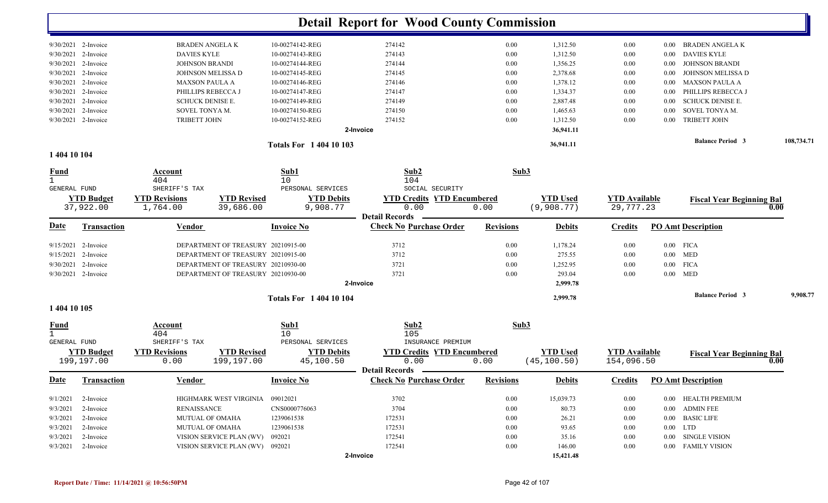|                                             |                       |                          |                                         | <b>Detail Report for Wood County Commission</b>         |                  |                 |                      |          |                                   |            |
|---------------------------------------------|-----------------------|--------------------------|-----------------------------------------|---------------------------------------------------------|------------------|-----------------|----------------------|----------|-----------------------------------|------------|
|                                             | 9/30/2021 2-Invoice   | <b>BRADEN ANGELA K</b>   | 10-00274142-REG                         | 274142                                                  | 0.00             | 1,312.50        | 0.00                 | $0.00\,$ | BRADEN ANGELA K                   |            |
|                                             | 9/30/2021 2-Invoice   | <b>DAVIES KYLE</b>       | 10-00274143-REG                         | 274143                                                  | 0.00             | 1,312.50        | 0.00                 | $0.00\,$ | <b>DAVIES KYLE</b>                |            |
|                                             | $9/30/2021$ 2-Invoice | <b>JOHNSON BRANDI</b>    | 10-00274144-REG                         | 274144                                                  | 0.00             | 1,356.25        | 0.00                 | 0.00     | <b>JOHNSON BRANDI</b>             |            |
|                                             | 9/30/2021 2-Invoice   | JOHNSON MELISSA D        | 10-00274145-REG                         | 274145                                                  | 0.00             | 2,378.68        | 0.00                 | 0.00     | JOHNSON MELISSA D                 |            |
|                                             | 9/30/2021 2-Invoice   | <b>MAXSON PAULA A</b>    | 10-00274146-REG                         | 274146                                                  | 0.00             | 1,378.12        | 0.00                 | $0.00\,$ | <b>MAXSON PAULA A</b>             |            |
|                                             | 9/30/2021 2-Invoice   | PHILLIPS REBECCA J       | 10-00274147-REG                         | 274147                                                  | 0.00             | 1,334.37        | 0.00                 | 0.00     | PHILLIPS REBECCA J                |            |
|                                             | 9/30/2021 2-Invoice   | <b>SCHUCK DENISE E.</b>  | 10-00274149-REG                         | 274149                                                  | 0.00             | 2,887.48        | 0.00                 | $0.00\,$ | SCHUCK DENISE E.                  |            |
|                                             | 9/30/2021 2-Invoice   | SOVEL TONYA M.           | 10-00274150-REG                         | 274150                                                  | 0.00             | 1,465.63        | 0.00                 | 0.00     | SOVEL TONYA M.                    |            |
|                                             | 9/30/2021 2-Invoice   | <b>TRIBETT JOHN</b>      | 10-00274152-REG                         | 274152                                                  | 0.00             | 1,312.50        | 0.00                 | 0.00     | <b>TRIBETT JOHN</b>               |            |
|                                             |                       |                          |                                         | 2-Invoice                                               |                  | 36,941.11       |                      |          |                                   |            |
| 1 404 10 104                                |                       |                          | <b>Totals For 1 404 10 103</b>          |                                                         |                  | 36,941.11       |                      |          | <b>Balance Period 3</b>           | 108,734.71 |
|                                             |                       | Account                  | Sub1                                    | Sub2                                                    | Sub3             |                 |                      |          |                                   |            |
| <u>Fund</u><br>$\mathbf{1}$<br>GENERAL FUND |                       | 404<br>SHERIFF'S TAX     | 10<br>PERSONAL SERVICES                 | 104<br>SOCIAL SECURITY                                  |                  |                 |                      |          |                                   |            |
|                                             | <b>YTD Budget</b>     | <b>YTD Revisions</b>     | <b>YTD Revised</b><br><b>YTD Debits</b> | <b>YTD Credits YTD Encumbered</b>                       |                  | <b>YTD Used</b> | <b>YTD Available</b> |          | <b>Fiscal Year Beginning Bal</b>  |            |
|                                             | 37,922.00             | 1,764.00                 | 9,908.77<br>39,686.00                   | 0.00                                                    | 0.00             | (9,908.77)      | 29,777.23            |          |                                   | 0.00       |
| <u>Date</u>                                 | <b>Transaction</b>    | <b>Vendor</b>            | <b>Invoice No</b>                       | <b>Detail Records</b><br><b>Check No Purchase Order</b> | <b>Revisions</b> | <b>Debits</b>   | <b>Credits</b>       |          | <b>PO Amt Description</b>         |            |
|                                             | $9/15/2021$ 2-Invoice |                          | DEPARTMENT OF TREASURY 20210915-00      | 3712                                                    | 0.00             | 1,178.24        | 0.00                 |          | $0.00$ FICA                       |            |
|                                             | 9/15/2021 2-Invoice   |                          | DEPARTMENT OF TREASURY 20210915-00      | 3712                                                    | 0.00             | 275.55          | 0.00                 |          | $0.00$ MED                        |            |
|                                             | 9/30/2021 2-Invoice   |                          | DEPARTMENT OF TREASURY 20210930-00      | 3721                                                    | 0.00             | 1,252.95        | 0.00                 |          | $0.00$ FICA                       |            |
|                                             | 9/30/2021 2-Invoice   |                          | DEPARTMENT OF TREASURY 20210930-00      | 3721                                                    | 0.00             | 293.04          | 0.00                 |          | $0.00$ MED                        |            |
|                                             |                       |                          |                                         | 2-Invoice                                               |                  | 2,999.78        |                      |          |                                   |            |
|                                             |                       |                          | <b>Totals For 1 404 10 104</b>          |                                                         |                  | 2,999.78        |                      |          | <b>Balance Period 3</b>           | 9,908.77   |
| 1 404 10 105                                |                       |                          |                                         |                                                         |                  |                 |                      |          |                                   |            |
| <u>Fund</u><br>$\mathbf{1}$                 |                       | <b>Account</b><br>404    | Sub1<br>10                              | Sub <sub>2</sub><br>105                                 | Sub3             |                 |                      |          |                                   |            |
| GENERAL FUND                                |                       | SHERIFF'S TAX            | PERSONAL SERVICES                       | INSURANCE PREMIUM                                       |                  |                 |                      |          |                                   |            |
|                                             | <b>YTD Budget</b>     | <b>YTD Revisions</b>     | <b>YTD Revised</b><br><b>YTD Debits</b> | <b>YTD Credits YTD Encumbered</b>                       |                  | <b>YTD Used</b> | <b>YTD</b> Available |          | <b>Fiscal Year Beginning Bal</b>  |            |
|                                             | 199,197.00            | 0.00                     | 199,197.00<br>45,100.50                 | 0.00<br><b>Detail Records</b>                           | 0.00             | (45, 100.50)    | 154,096.50           |          |                                   | 0.00       |
| <b>Date</b>                                 | <b>Transaction</b>    | <b>Vendor</b>            | <b>Invoice No</b>                       | <b>Check No Purchase Order</b>                          | <b>Revisions</b> | <b>Debits</b>   |                      |          | <b>Credits</b> PO Amt Description |            |
| 9/1/2021                                    | 2-Invoice             | HIGHMARK WEST VIRGINIA   | 09012021                                | 3702                                                    | 0.00             | 15,039.73       | 0.00                 |          | 0.00 HEALTH PREMIUM               |            |
| 9/3/2021                                    | 2-Invoice             | <b>RENAISSANCE</b>       | CNS0000776063                           | 3704                                                    | 0.00             | 80.73           | 0.00                 | $0.00\,$ | <b>ADMIN FEE</b>                  |            |
| 9/3/2021                                    | 2-Invoice             | <b>MUTUAL OF OMAHA</b>   | 1239061538                              | 172531                                                  | 0.00             | 26.21           | 0.00                 |          | 0.00 BASIC LIFE                   |            |
| 9/3/2021                                    | 2-Invoice             | <b>MUTUAL OF OMAHA</b>   | 1239061538                              | 172531                                                  | 0.00             | 93.65           | 0.00                 |          | $0.00$ LTD                        |            |
| 9/3/2021                                    | 2-Invoice             | VISION SERVICE PLAN (WV) | 092021                                  | 172541                                                  | 0.00             | 35.16           | 0.00                 |          | $0.00$ $\,$ SINGLE VISION         |            |
| 9/3/2021                                    | 2-Invoice             |                          | VISION SERVICE PLAN (WV) 092021         | 172541                                                  | 0.00             | 146.00          | 0.00                 |          | 0.00 FAMILY VISION                |            |
|                                             |                       |                          |                                         | 2-Invoice                                               |                  | 15,421.48       |                      |          |                                   |            |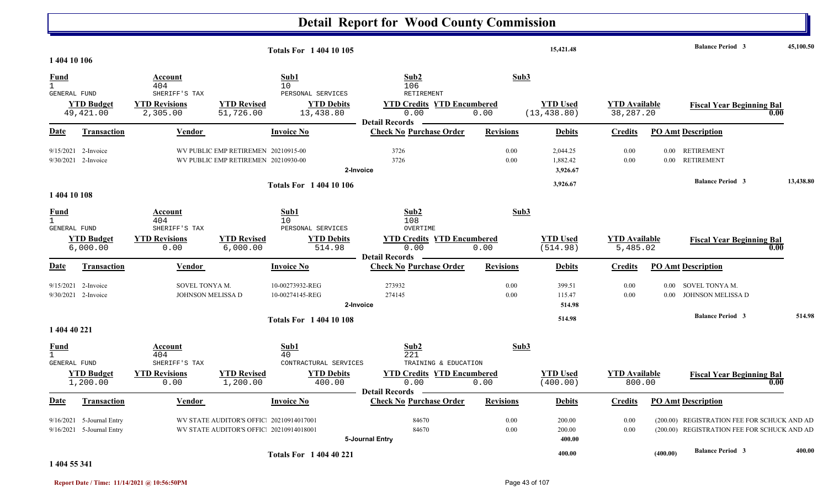|                                             |                                                          |                                                   |                                                                                     | <b>Totals For 140410105</b>                         |                                                                                  |                  | 15,421.48                        |                                   |                  | <b>Balance Period 3</b>                                                                    | 45,100.50 |
|---------------------------------------------|----------------------------------------------------------|---------------------------------------------------|-------------------------------------------------------------------------------------|-----------------------------------------------------|----------------------------------------------------------------------------------|------------------|----------------------------------|-----------------------------------|------------------|--------------------------------------------------------------------------------------------|-----------|
| 1 404 10 106<br><b>Fund</b><br>$\mathbf{1}$ |                                                          | <b>Account</b><br>404                             |                                                                                     | Sub1<br>10 <sup>°</sup>                             | Sub2<br>106                                                                      | Sub3             |                                  |                                   |                  |                                                                                            |           |
| GENERAL FUND                                | <b>YTD Budget</b><br>49, 421.00                          | SHERIFF'S TAX<br><b>YTD Revisions</b><br>2,305.00 | <b>YTD Revised</b><br>51,726.00                                                     | PERSONAL SERVICES<br><b>YTD Debits</b><br>13,438.80 | RETIREMENT<br><b>YTD Credits YTD Encumbered</b><br>0.00<br><b>Detail Records</b> | 0.00             | <b>YTD Used</b><br>(13, 438.80)  | <b>YTD Available</b><br>38,287.20 |                  | <b>Fiscal Year Beginning Bal</b><br>0.00                                                   |           |
| <u>Date</u>                                 | Transaction                                              | Vendor                                            |                                                                                     | <b>Invoice No</b>                                   | <b>Check No Purchase Order</b>                                                   | <b>Revisions</b> | <b>Debits</b>                    | Credits                           |                  | <b>PO Amt Description</b>                                                                  |           |
|                                             | 9/15/2021 2-Invoice<br>9/30/2021 2-Invoice               |                                                   | WV PUBLIC EMP RETIREMEN 20210915-00<br>WV PUBLIC EMP RETIREMEN 20210930-00          | 2-Invoice                                           | 3726<br>3726                                                                     | 0.00<br>0.00     | 2,044.25<br>1,882.42<br>3,926.67 | 0.00<br>0.00                      | 0.00             | <b>RETIREMENT</b><br>0.00 RETIREMENT                                                       |           |
| 1 404 10 108                                |                                                          |                                                   |                                                                                     | <b>Totals For 1 404 10 106</b>                      |                                                                                  |                  | 3,926.67                         |                                   |                  | <b>Balance Period 3</b>                                                                    | 13,438.80 |
| <b>Fund</b><br>$\mathbf{1}$<br>GENERAL FUND |                                                          | Account<br>404<br>SHERIFF'S TAX                   |                                                                                     | Sub1<br>10 <sup>°</sup><br>PERSONAL SERVICES        | Sub2<br>108<br>OVERTIME                                                          | Sub3             |                                  |                                   |                  |                                                                                            |           |
|                                             | <b>YTD Budget</b><br>6,000.00                            | <b>YTD Revisions</b><br>0.00                      | <b>YTD Revised</b><br>6,000.00                                                      | <b>YTD Debits</b><br>514.98                         | <b>YTD Credits YTD Encumbered</b><br>0.00                                        | 0.00             | <b>YTD Used</b><br>(514.98)      | <b>YTD Available</b><br>5,485.02  |                  | <b>Fiscal Year Beginning Bal</b><br>0.00                                                   |           |
| Date                                        | Transaction                                              | Vendor                                            |                                                                                     | <b>Invoice No</b>                                   | <b>Detail Records</b><br><b>Check No Purchase Order</b>                          | <b>Revisions</b> | <b>Debits</b>                    | <b>Credits</b>                    |                  | <b>PO Amt Description</b>                                                                  |           |
|                                             | 9/15/2021 2-Invoice<br>$9/30/2021$ 2-Invoice             | SOVEL TONYA M.<br>JOHNSON MELISSA D               |                                                                                     | 10-00273932-REG<br>10-00274145-REG<br>2-Invoice     | 273932<br>274145                                                                 | 0.00<br>0.00     | 399.51<br>115.47<br>514.98       | 0.00<br>0.00                      | $0.00\,$<br>0.00 | SOVEL TONYA M.<br>JOHNSON MELISSA D                                                        |           |
| 1 404 40 221                                |                                                          |                                                   |                                                                                     | <b>Totals For 140410108</b>                         |                                                                                  |                  | 514.98                           |                                   |                  | <b>Balance Period 3</b>                                                                    | 514.98    |
| <b>Fund</b><br>$\mathbf{1}$<br>GENERAL FUND |                                                          | Account<br>404<br>SHERIFF'S TAX                   |                                                                                     | Sub1<br>40<br>CONTRACTURAL SERVICES                 | Sub2<br>221<br>TRAINING & EDUCATION                                              | Sub3             |                                  |                                   |                  |                                                                                            |           |
|                                             | <b>YTD Budget</b><br>1,200.00                            | <b>YTD Revisions</b><br>0.00                      | <b>YTD Revised</b><br>1,200.00                                                      | <b>YTD Debits</b><br>400.00                         | <b>YTD Credits YTD Encumbered</b><br>0.00<br><b>Detail Records</b>               | 0.00             | <b>YTD</b> Used<br>(400.00)      | <b>YTD</b> Available<br>800.00    |                  | <b>Fiscal Year Beginning Bal</b><br>0.00                                                   |           |
| Date                                        | Transaction                                              | <b>Vendor</b>                                     |                                                                                     | <b>Invoice No</b>                                   | <b>Check No Purchase Order</b>                                                   | <b>Revisions</b> | <b>Debits</b>                    | <b>Credits</b>                    |                  | <b>PO Amt Description</b>                                                                  |           |
|                                             | 9/16/2021 5-Journal Entry<br>$9/16/2021$ 5-Journal Entry |                                                   | WV STATE AUDITOR'S OFFIC: 20210914017001<br>WV STATE AUDITOR'S OFFIC 20210914018001 |                                                     | 84670<br>84670<br>5-Journal Entry                                                | 0.00<br>0.00     | 200.00<br>200.00<br>400.00       | 0.00<br>0.00                      |                  | (200.00) REGISTRATION FEE FOR SCHUCK AND AD<br>(200.00) REGISTRATION FEE FOR SCHUCK AND AD |           |
|                                             |                                                          |                                                   |                                                                                     | <b>Totals For 1 404 40 221</b>                      |                                                                                  |                  | 400.00                           |                                   | (400.00)         | <b>Balance Period 3</b>                                                                    | 400.00    |

**1 404 55 341**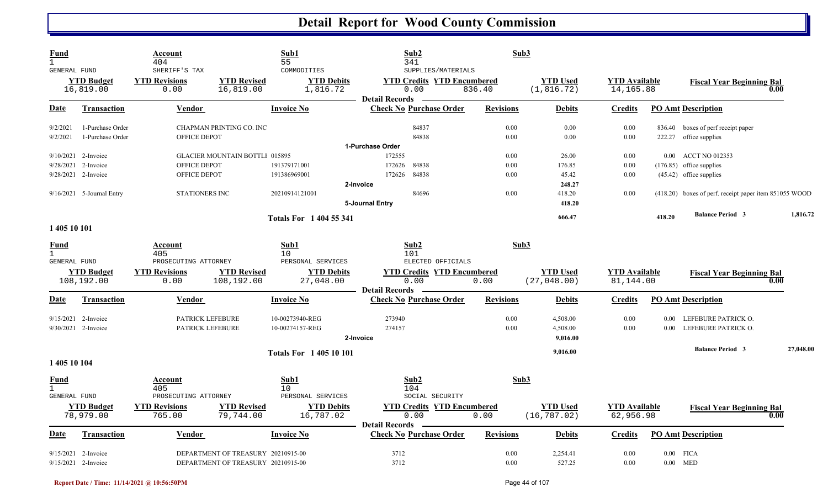| <b>Fund</b><br>$\mathbf{1}$<br>GENERAL FUND        |                                      | Account<br>404<br>SHERIFF'S TAX        |                                       | Sub1<br>55<br>COMMODITIES       | Sub2<br>341<br>SUPPLIES/MATERIALS                                  | Sub3             |                                 |                                   |        |                                                              |           |
|----------------------------------------------------|--------------------------------------|----------------------------------------|---------------------------------------|---------------------------------|--------------------------------------------------------------------|------------------|---------------------------------|-----------------------------------|--------|--------------------------------------------------------------|-----------|
|                                                    | <b>YTD Budget</b><br>16,819.00       | <b>YTD Revisions</b><br>0.00           | <b>YTD Revised</b><br>16,819.00       | <b>YTD Debits</b><br>1,816.72   | <b>YTD Credits YTD Encumbered</b><br>0.00<br><b>Detail Records</b> | 836.40           | <b>YTD Used</b><br>(1, 816.72)  | <b>YTD Available</b><br>14,165.88 |        | <b>Fiscal Year Beginning Bal</b>                             | 0.00      |
| Date                                               | <b>Transaction</b>                   | <b>Vendor</b>                          |                                       | <b>Invoice No</b>               | <b>Check No Purchase Order</b>                                     | <b>Revisions</b> | <b>Debits</b>                   | <b>Credits</b>                    |        | <b>PO Amt Description</b>                                    |           |
| 9/2/2021<br>9/2/2021                               | 1-Purchase Order<br>1-Purchase Order | OFFICE DEPOT                           | CHAPMAN PRINTING CO. INC              |                                 | 84837<br>84838                                                     | 0.00<br>0.00     | 0.00<br>0.00                    | 0.00<br>0.00                      |        | 836.40 boxes of perf receipt paper<br>222.27 office supplies |           |
|                                                    |                                      |                                        |                                       |                                 | 1-Purchase Order                                                   |                  |                                 |                                   |        |                                                              |           |
|                                                    | 9/10/2021 2-Invoice                  |                                        | <b>GLACIER MOUNTAIN BOTTLI 015895</b> |                                 | 172555                                                             | 0.00             | 26.00                           | 0.00                              |        | 0.00 ACCT NO 012353                                          |           |
|                                                    | 9/28/2021 2-Invoice                  | OFFICE DEPOT                           |                                       | 191379171001                    | 172626<br>84838                                                    | 0.00             | 176.85                          | 0.00                              |        | $(176.85)$ office supplies                                   |           |
|                                                    | 9/28/2021 2-Invoice                  | OFFICE DEPOT                           |                                       | 191386969001                    | 172626<br>84838                                                    | 0.00             | 45.42                           | 0.00                              |        | (45.42) office supplies                                      |           |
|                                                    | 9/16/2021 5-Journal Entry            | STATIONERS INC                         |                                       | 20210914121001                  | 2-Invoice<br>84696                                                 | 0.00             | 248.27<br>418.20                | 0.00                              |        | (418.20) boxes of perf. receipt paper item 851055 WOOD       |           |
|                                                    |                                      |                                        |                                       |                                 | 5-Journal Entry                                                    |                  | 418.20                          |                                   |        | <b>Balance Period 3</b>                                      | 1,816.72  |
| 1 405 10 101                                       |                                      |                                        |                                       | <b>Totals For 1404 55 341</b>   |                                                                    |                  | 666.47                          |                                   | 418.20 |                                                              |           |
| <u>Fund</u><br>$\mathbf{1}$<br>GENERAL FUND        |                                      | Account<br>405<br>PROSECUTING ATTORNEY |                                       | Sub1<br>10<br>PERSONAL SERVICES | Sub2<br>101<br>ELECTED OFFICIALS                                   | Sub3             |                                 |                                   |        |                                                              |           |
|                                                    | <b>YTD Budget</b><br>108,192.00      | <b>YTD Revisions</b><br>0.00           | <b>YTD Revised</b><br>108,192.00      | <b>YTD Debits</b><br>27,048.00  | <b>YTD Credits YTD Encumbered</b><br>0.00<br><b>Detail Records</b> | 0.00             | <b>YTD Used</b><br>(27, 048.00) | <b>YTD Available</b><br>81,144.00 |        | <b>Fiscal Year Beginning Bal</b>                             | 0.00      |
| Date                                               | <b>Transaction</b>                   | Vendor                                 |                                       | <b>Invoice No</b>               | <b>Check No Purchase Order</b>                                     | <b>Revisions</b> | <b>Debits</b>                   | <b>Credits</b>                    |        | <b>PO Amt Description</b>                                    |           |
|                                                    | 9/15/2021 2-Invoice                  | PATRICK LEFEBURE                       |                                       | 10-00273940-REG                 | 273940                                                             | 0.00             | 4,508.00                        | 0.00                              |        | 0.00 LEFEBURE PATRICK O.                                     |           |
|                                                    | $9/30/2021$ 2-Invoice                | PATRICK LEFEBURE                       |                                       | 10-00274157-REG                 | 274157<br>2-Invoice                                                | 0.00             | 4,508.00<br>9,016.00            | 0.00                              | 0.00   | LEFEBURE PATRICK O.                                          |           |
|                                                    |                                      |                                        |                                       | <b>Totals For 140510101</b>     |                                                                    |                  | 9,016.00                        |                                   |        | <b>Balance Period 3</b>                                      | 27,048.00 |
| 1 405 10 104                                       |                                      |                                        |                                       |                                 |                                                                    |                  |                                 |                                   |        |                                                              |           |
| <b>Fund</b><br>$\mathbf{1}$<br><b>GENERAL FUND</b> |                                      | Account<br>405<br>PROSECUTING ATTORNEY |                                       | Sub1<br>10<br>PERSONAL SERVICES | Sub2<br>104<br>SOCIAL SECURITY                                     | Sub3             |                                 |                                   |        |                                                              |           |
|                                                    | <b>YTD Budget</b><br>78,979.00       | <b>YTD Revisions</b><br>765.00         | <b>YTD Revised</b><br>79,744.00       | <b>YTD Debits</b><br>16,787.02  | <b>YTD Credits YTD Encumbered</b><br>0.00<br><b>Detail Records</b> | 0.00             | <b>YTD Used</b><br>(16, 787.02) | <b>YTD Available</b><br>62,956.98 |        | <b>Fiscal Year Beginning Bal</b>                             | 0.00      |
| Date                                               | Transaction                          | Vendor                                 |                                       | <b>Invoice No</b>               | <b>Check No Purchase Order</b>                                     | <b>Revisions</b> | <b>Debits</b>                   | <b>Credits</b>                    |        | <b>PO Amt Description</b>                                    |           |
|                                                    | 9/15/2021 2-Invoice                  |                                        | DEPARTMENT OF TREASURY 20210915-00    |                                 | 3712                                                               | 0.00             | 2,254.41                        | 0.00                              |        | $0.00$ FICA                                                  |           |
|                                                    | 9/15/2021 2-Invoice                  |                                        | DEPARTMENT OF TREASURY 20210915-00    |                                 | 3712                                                               | 0.00             | 527.25                          | 0.00                              |        | $0.00$ MED                                                   |           |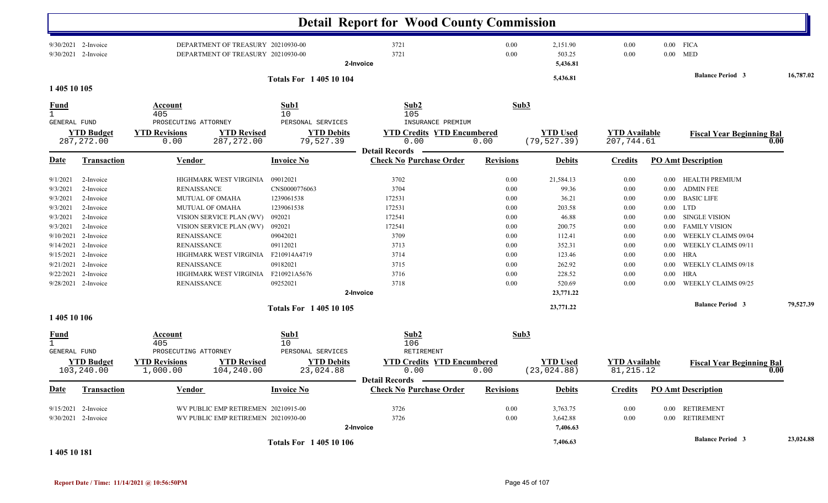|                                                                                                                                                         |                                                                                                                                                                              |                                                                                                                                                                                                                                                                                                   |                                                                                                                                                                                                  | <b>Detail Report for Wood County Commission</b>                                                                           |                                                                                                      |                                                                                                                                                |                                                                                              |                                                                                                              |                                                                                                                                                                                                                                                                                 |           |
|---------------------------------------------------------------------------------------------------------------------------------------------------------|------------------------------------------------------------------------------------------------------------------------------------------------------------------------------|---------------------------------------------------------------------------------------------------------------------------------------------------------------------------------------------------------------------------------------------------------------------------------------------------|--------------------------------------------------------------------------------------------------------------------------------------------------------------------------------------------------|---------------------------------------------------------------------------------------------------------------------------|------------------------------------------------------------------------------------------------------|------------------------------------------------------------------------------------------------------------------------------------------------|----------------------------------------------------------------------------------------------|--------------------------------------------------------------------------------------------------------------|---------------------------------------------------------------------------------------------------------------------------------------------------------------------------------------------------------------------------------------------------------------------------------|-----------|
|                                                                                                                                                         | 9/30/2021 2-Invoice<br>9/30/2021 2-Invoice                                                                                                                                   |                                                                                                                                                                                                                                                                                                   | DEPARTMENT OF TREASURY 20210930-00<br>DEPARTMENT OF TREASURY 20210930-00                                                                                                                         | 3721<br>3721<br>2-Invoice                                                                                                 | 0.00<br>0.00                                                                                         | 2,151.90<br>503.25<br>5,436.81                                                                                                                 | 0.00<br>0.00                                                                                 | $0.00\,$                                                                                                     | $0.00$ FICA<br><b>MED</b>                                                                                                                                                                                                                                                       |           |
|                                                                                                                                                         |                                                                                                                                                                              |                                                                                                                                                                                                                                                                                                   | <b>Totals For 140510104</b>                                                                                                                                                                      |                                                                                                                           |                                                                                                      | 5,436.81                                                                                                                                       |                                                                                              |                                                                                                              | <b>Balance Period 3</b>                                                                                                                                                                                                                                                         | 16,787.02 |
| 1 405 10 105                                                                                                                                            |                                                                                                                                                                              |                                                                                                                                                                                                                                                                                                   |                                                                                                                                                                                                  |                                                                                                                           |                                                                                                      |                                                                                                                                                |                                                                                              |                                                                                                              |                                                                                                                                                                                                                                                                                 |           |
| <u>Fund</u><br><b>GENERAL FUND</b>                                                                                                                      |                                                                                                                                                                              | Account<br>405<br>PROSECUTING ATTORNEY                                                                                                                                                                                                                                                            | Sub1<br>10<br>PERSONAL SERVICES                                                                                                                                                                  | Sub2<br>105<br>INSURANCE PREMIUM                                                                                          | Sub3                                                                                                 |                                                                                                                                                |                                                                                              |                                                                                                              |                                                                                                                                                                                                                                                                                 |           |
|                                                                                                                                                         | <b>YTD Budget</b><br>287, 272.00                                                                                                                                             | <b>YTD Revisions</b><br>0.00                                                                                                                                                                                                                                                                      | <b>YTD Revised</b><br><b>YTD Debits</b><br>287, 272.00<br>79,527.39                                                                                                                              | <b>YTD Credits YTD Encumbered</b><br>0.00                                                                                 | 0.00                                                                                                 | <b>YTD Used</b><br>(79, 527.39)                                                                                                                | <b>YTD</b> Available<br>207,744.61                                                           |                                                                                                              | <b>Fiscal Year Beginning Bal</b>                                                                                                                                                                                                                                                | 0.00      |
| <b>Date</b>                                                                                                                                             | <b>Transaction</b>                                                                                                                                                           | Vendor                                                                                                                                                                                                                                                                                            | <b>Invoice No</b>                                                                                                                                                                                | <b>Detail Records</b><br><b>Check No Purchase Order</b>                                                                   | <b>Revisions</b>                                                                                     | <b>Debits</b>                                                                                                                                  | <b>Credits</b>                                                                               |                                                                                                              | <b>PO Amt Description</b>                                                                                                                                                                                                                                                       |           |
| 9/1/2021<br>9/3/2021<br>9/3/2021<br>9/3/2021<br>9/3/2021<br>9/3/2021<br>9/10/2021<br>9/14/2021<br>9/15/2021<br>9/21/2021<br>1 405 10 106<br><b>Fund</b> | 2-Invoice<br>2-Invoice<br>2-Invoice<br>2-Invoice<br>2-Invoice<br>2-Invoice<br>2-Invoice<br>2-Invoice<br>2-Invoice<br>2-Invoice<br>9/22/2021 2-Invoice<br>9/28/2021 2-Invoice | HIGHMARK WEST VIRGINIA<br><b>RENAISSANCE</b><br>MUTUAL OF OMAHA<br>MUTUAL OF OMAHA<br>VISION SERVICE PLAN (WV)<br>VISION SERVICE PLAN (WV)<br><b>RENAISSANCE</b><br><b>RENAISSANCE</b><br>HIGHMARK WEST VIRGINIA<br><b>RENAISSANCE</b><br>HIGHMARK WEST VIRGINIA<br><b>RENAISSANCE</b><br>Account | 09012021<br>CNS0000776063<br>1239061538<br>1239061538<br>092021<br>092021<br>09042021<br>09112021<br>F210914A4719<br>09182021<br>F210921A5676<br>09252021<br><b>Totals For 140510105</b><br>Sub1 | 3702<br>3704<br>172531<br>172531<br>172541<br>172541<br>3709<br>3713<br>3714<br>3715<br>3716<br>3718<br>2-Invoice<br>Sub2 | 0.00<br>0.00<br>0.00<br>0.00<br>0.00<br>0.00<br>0.00<br>0.00<br>0.00<br>0.00<br>0.00<br>0.00<br>Sub3 | 21,584.13<br>99.36<br>36.21<br>203.58<br>46.88<br>200.75<br>112.41<br>352.31<br>123.46<br>262.92<br>228.52<br>520.69<br>23,771.22<br>23,771.22 | 0.00<br>0.00<br>0.00<br>0.00<br>0.00<br>0.00<br>0.00<br>0.00<br>0.00<br>0.00<br>0.00<br>0.00 | $0.00\,$<br>$0.00\,$<br>$0.00\,$<br>$0.00\,$<br>0.00<br>0.00<br>0.00<br>0.00<br>0.00<br>0.00<br>0.00<br>0.00 | <b>HEALTH PREMIUM</b><br><b>ADMIN FEE</b><br><b>BASIC LIFE</b><br><b>LTD</b><br><b>SINGLE VISION</b><br><b>FAMILY VISION</b><br>WEEKLY CLAIMS 09/04<br>WEEKLY CLAIMS 09/11<br><b>HRA</b><br>WEEKLY CLAIMS 09/18<br><b>HRA</b><br>WEEKLY CLAIMS 09/25<br><b>Balance Period 3</b> | 79,527.39 |
| $\mathbf{1}$<br><b>GENERAL FUND</b>                                                                                                                     | <b>YTD Budget</b><br>103,240.00                                                                                                                                              | 405<br>PROSECUTING ATTORNEY<br><b>YTD Revisions</b><br>1,000.00                                                                                                                                                                                                                                   | 10<br>PERSONAL SERVICES<br><b>YTD Revised</b><br><b>YTD Debits</b><br>23,024.88<br>104,240.00                                                                                                    | 106<br>RETIREMENT<br><b>YTD Credits YTD Encumbered</b><br>0.00                                                            | 0.00                                                                                                 | <b>YTD</b> Used<br>(23, 024.88)                                                                                                                | <b>YTD Available</b><br>81, 215.12                                                           |                                                                                                              | <b>Fiscal Year Beginning Bal</b>                                                                                                                                                                                                                                                | 0.00      |
| <b>Date</b>                                                                                                                                             | <b>Transaction</b>                                                                                                                                                           | <b>Vendor</b>                                                                                                                                                                                                                                                                                     | <b>Invoice No</b>                                                                                                                                                                                | Detail Records -<br><b>Check No Purchase Order</b>                                                                        | <b>Revisions</b>                                                                                     | <b>Debits</b>                                                                                                                                  | <b>Credits</b>                                                                               |                                                                                                              | <b>PO Amt Description</b>                                                                                                                                                                                                                                                       |           |
|                                                                                                                                                         | $9/15/2021$ 2-Invoice<br>9/30/2021 2-Invoice                                                                                                                                 |                                                                                                                                                                                                                                                                                                   | WV PUBLIC EMP RETIREMEN 20210915-00<br>WV PUBLIC EMP RETIREMEN 20210930-00                                                                                                                       | 3726<br>3726<br>2-Invoice                                                                                                 | 0.00<br>0.00                                                                                         | 3,763.75<br>3,642.88<br>7,406.63                                                                                                               | 0.00<br>0.00                                                                                 | $0.00\,$                                                                                                     | 0.00 RETIREMENT<br><b>RETIREMENT</b>                                                                                                                                                                                                                                            |           |
| 1 405 10 181                                                                                                                                            |                                                                                                                                                                              |                                                                                                                                                                                                                                                                                                   | <b>Totals For 140510106</b>                                                                                                                                                                      |                                                                                                                           |                                                                                                      | 7,406.63                                                                                                                                       |                                                                                              |                                                                                                              | <b>Balance Period 3</b>                                                                                                                                                                                                                                                         | 23,024.88 |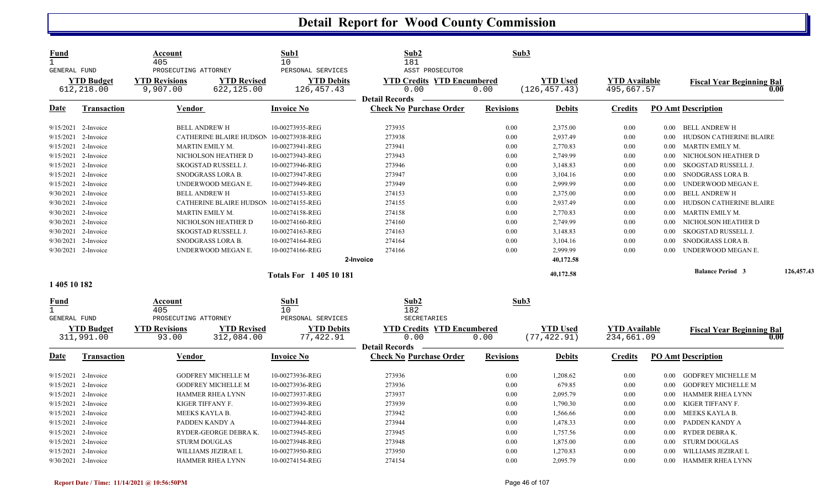| Fund<br>$\mathbf{1}$<br><b>GENERAL FUND</b> |                                 | Account<br>405<br>PROSECUTING ATTORNEY |                                         | Sub1<br>10<br>PERSONAL SERVICES | Sub2<br>181<br>ASST PROSECUTOR                                     | Sub3             |                                  |                                    |          |                                  |            |
|---------------------------------------------|---------------------------------|----------------------------------------|-----------------------------------------|---------------------------------|--------------------------------------------------------------------|------------------|----------------------------------|------------------------------------|----------|----------------------------------|------------|
|                                             | <b>YTD Budget</b><br>612,218.00 | <b>YTD Revisions</b><br>9,907.00       | <b>YTD Revised</b><br>622,125.00        | <b>YTD Debits</b><br>126,457.43 | <b>YTD Credits YTD Encumbered</b><br>0.00<br><b>Detail Records</b> | 0.00             | <b>YTD Used</b><br>(126, 457.43) | <b>YTD Available</b><br>495,667.57 |          | <b>Fiscal Year Beginning Bal</b> | 0.00       |
| Date                                        | <b>Transaction</b>              | Vendor                                 |                                         | <b>Invoice No</b>               | <b>Check No Purchase Order</b>                                     | <b>Revisions</b> | <b>Debits</b>                    | <b>Credits</b>                     |          | <b>PO Amt Description</b>        |            |
|                                             | $9/15/2021$ 2-Invoice           |                                        | <b>BELL ANDREW H</b>                    | 10-00273935-REG                 | 273935                                                             | 0.00             | 2,375.00                         | 0.00                               |          | 0.00 BELL ANDREW H               |            |
|                                             | $9/15/2021$ 2-Invoice           |                                        | CATHERINE BLAIRE HUDSON 10-00273938-REG |                                 | 273938                                                             | 0.00             | 2,937.49                         | 0.00                               | $0.00\,$ | HUDSON CATHERINE BLAIRE          |            |
| 9/15/2021                                   | 2-Invoice                       |                                        | MARTIN EMILY M.                         | 10-00273941-REG                 | 273941                                                             | 0.00             | 2,770.83                         | 0.00                               | 0.00     | <b>MARTIN EMILY M.</b>           |            |
|                                             | 9/15/2021 2-Invoice             |                                        | NICHOLSON HEATHER D                     | 10-00273943-REG                 | 273943                                                             | 0.00             | 2,749.99                         | 0.00                               | $0.00\,$ | NICHOLSON HEATHER D              |            |
|                                             | 9/15/2021 2-Invoice             |                                        | SKOGSTAD RUSSELL J.                     | 10-00273946-REG                 | 273946                                                             | 0.00             | 3,148.83                         | 0.00                               | $0.00\,$ | SKOGSTAD RUSSELL J.              |            |
|                                             | 9/15/2021 2-Invoice             |                                        | SNODGRASS LORA B.                       | 10-00273947-REG                 | 273947                                                             | 0.00             | 3,104.16                         | 0.00                               | 0.00     | SNODGRASS LORA B.                |            |
|                                             | 9/15/2021 2-Invoice             |                                        | UNDERWOOD MEGAN E.                      | 10-00273949-REG                 | 273949                                                             | 0.00             | 2,999.99                         | 0.00                               | $0.00\,$ | UNDERWOOD MEGAN E.               |            |
|                                             | 9/30/2021 2-Invoice             |                                        | <b>BELL ANDREW H</b>                    | 10-00274153-REG                 | 274153                                                             | 0.00             | 2,375.00                         | 0.00                               | 0.00     | BELL ANDREW H                    |            |
|                                             | 9/30/2021 2-Invoice             |                                        | CATHERINE BLAIRE HUDSON 10-00274155-REG |                                 | 274155                                                             | 0.00             | 2,937.49                         | 0.00                               | 0.00     | HUDSON CATHERINE BLAIRE          |            |
|                                             | 9/30/2021 2-Invoice             |                                        | MARTIN EMILY M.                         | 10-00274158-REG                 | 274158                                                             | 0.00             | 2,770.83                         | 0.00                               | 0.00     | MARTIN EMILY M.                  |            |
|                                             | 9/30/2021 2-Invoice             |                                        | NICHOLSON HEATHER D                     | 10-00274160-REG                 | 274160                                                             | 0.00             | 2,749.99                         | 0.00                               | $0.00\,$ | NICHOLSON HEATHER D              |            |
|                                             | 9/30/2021 2-Invoice             |                                        | SKOGSTAD RUSSELL J.                     | 10-00274163-REG                 | 274163                                                             | 0.00             | 3,148.83                         | 0.00                               | 0.00     | SKOGSTAD RUSSELL J.              |            |
|                                             | 9/30/2021 2-Invoice             |                                        | SNODGRASS LORA B.                       | 10-00274164-REG                 | 274164                                                             | 0.00             | 3,104.16                         | 0.00                               | $0.00\,$ | SNODGRASS LORA B.                |            |
|                                             | 9/30/2021 2-Invoice             |                                        | UNDERWOOD MEGAN E.                      | 10-00274166-REG                 | 274166                                                             | 0.00             | 2,999.99                         | 0.00                               | 0.00     | UNDERWOOD MEGAN E.               |            |
|                                             |                                 |                                        |                                         |                                 | 2-Invoice                                                          |                  | 40,172.58                        |                                    |          |                                  |            |
|                                             |                                 |                                        |                                         | <b>Totals For 140510181</b>     |                                                                    |                  | 40,172.58                        |                                    |          | <b>Balance Period 3</b>          | 126,457.43 |
| 1 405 10 182                                |                                 |                                        |                                         |                                 |                                                                    |                  |                                  |                                    |          |                                  |            |
| <u>Fund</u><br>$\mathbf{1}$<br>GENERAL FUND |                                 | Account<br>405<br>PROSECUTING ATTORNEY |                                         | Sub1<br>10<br>PERSONAL SERVICES | Sub2<br>182<br>SECRETARIES                                         | Sub3             |                                  |                                    |          |                                  |            |
|                                             | <b>YTD Budget</b><br>311,991.00 | <b>YTD Revisions</b><br>93.00          | <b>YTD Revised</b><br>312,084.00        | <b>YTD Debits</b><br>77,422.91  | <b>YTD Credits YTD Encumbered</b><br>0.00                          | 0.00             | <b>YTD Used</b><br>(77, 422.91)  | <b>YTD</b> Available<br>234,661.09 |          | <b>Fiscal Year Beginning Bal</b> | 0.00       |
| Date                                        | <b>Transaction</b>              | <b>Vendor</b>                          |                                         | <b>Invoice No</b>               | <b>Detail Records</b><br><b>Check No Purchase Order</b>            | <b>Revisions</b> | <b>Debits</b>                    | <b>Credits</b>                     |          | <b>PO Amt Description</b>        |            |
|                                             | 9/15/2021 2-Invoice             |                                        | <b>GODFREY MICHELLE M</b>               | 10-00273936-REG                 | 273936                                                             | 0.00             | 1,208.62                         | $0.00\,$                           | $0.00\,$ | <b>GODFREY MICHELLE M</b>        |            |
|                                             | 9/15/2021 2-Invoice             |                                        | <b>GODFREY MICHELLE M</b>               | 10-00273936-REG                 | 273936                                                             | 0.00             | 679.85                           | 0.00                               | $0.00\,$ | <b>GODFREY MICHELLE M</b>        |            |
|                                             | 9/15/2021 2-Invoice             |                                        | <b>HAMMER RHEA LYNN</b>                 | 10-00273937-REG                 | 273937                                                             | 0.00             | 2,095.79                         | 0.00                               | 0.00     | <b>HAMMER RHEA LYNN</b>          |            |
|                                             | 9/15/2021 2-Invoice             |                                        | KIGER TIFFANY F.                        | 10-00273939-REG                 | 273939                                                             | 0.00             | 1,790.30                         | 0.00                               | $0.00\,$ | KIGER TIFFANY F.                 |            |
|                                             | 9/15/2021 2-Invoice             |                                        | MEEKS KAYLA B.                          | 10-00273942-REG                 | 273942                                                             | 0.00             | 1,566.66                         | 0.00                               | $0.00\,$ | MEEKS KAYLA B.                   |            |
|                                             | 9/15/2021 2-Invoice             |                                        | PADDEN KANDY A                          | 10-00273944-REG                 | 273944                                                             | 0.00             | 1,478.33                         | 0.00                               | 0.00     | PADDEN KANDY A                   |            |
|                                             | 9/15/2021 2-Invoice             |                                        | RYDER-GEORGE DEBRAK.                    | 10-00273945-REG                 | 273945                                                             | 0.00             | 1,757.56                         | 0.00                               | 0.00     | RYDER DEBRA K.                   |            |
|                                             | 9/15/2021 2-Invoice             |                                        | <b>STURM DOUGLAS</b>                    | 10-00273948-REG                 | 273948                                                             | 0.00             | 1,875.00                         | 0.00                               | $0.00\,$ | STURM DOUGLAS                    |            |
|                                             | 9/15/2021 2-Invoice             |                                        | WILLIAMS JEZIRAE L                      | 10-00273950-REG                 | 273950                                                             | 0.00             | 1,270.83                         | 0.00                               | 0.00     | WILLIAMS JEZIRAE L               |            |
|                                             | 9/30/2021 2-Invoice             |                                        | <b>HAMMER RHEA LYNN</b>                 | 10-00274154-REG                 | 274154                                                             | 0.00             | 2,095.79                         | 0.00                               | $0.00\,$ | HAMMER RHEA LYNN                 |            |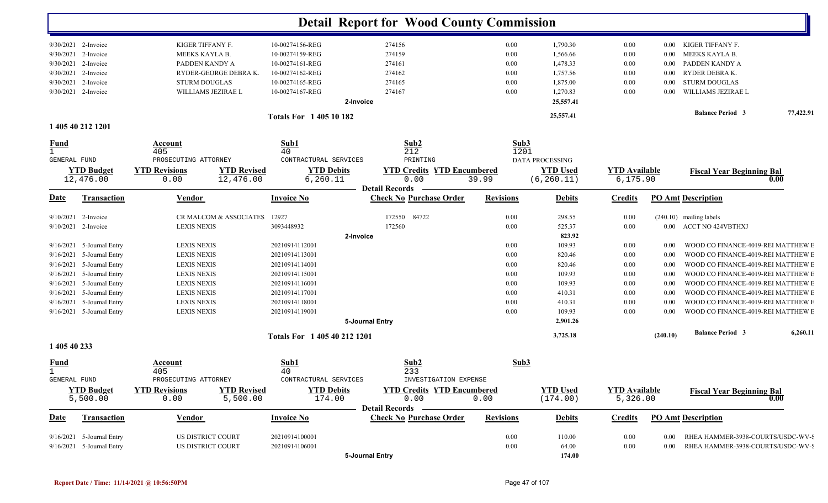|                              |                           |                                            |                              | <b>Detail Report for Wood County Commission</b> |                  |                 |                                   |          |                                    |           |
|------------------------------|---------------------------|--------------------------------------------|------------------------------|-------------------------------------------------|------------------|-----------------|-----------------------------------|----------|------------------------------------|-----------|
|                              | 9/30/2021 2-Invoice       | KIGER TIFFANY F.                           | 10-00274156-REG              | 274156                                          | 0.00             | 1,790.30        | 0.00                              |          | 0.00 KIGER TIFFANY F.              |           |
| 9/30/2021                    | 2-Invoice                 | MEEKS KAYLA B.                             | 10-00274159-REG              | 274159                                          | 0.00             | 1,566.66        | 0.00                              | $0.00\,$ | MEEKS KAYLA B.                     |           |
| 9/30/2021                    | 2-Invoice                 | PADDEN KANDY A                             | 10-00274161-REG              | 274161                                          | 0.00             | 1,478.33        | $0.00\,$                          | $0.00\,$ | PADDEN KANDY A                     |           |
| 9/30/2021                    | 2-Invoice                 | RYDER-GEORGE DEBRAK.                       | 10-00274162-REG              | 274162                                          | 0.00             | 1,757.56        | $0.00\,$                          | $0.00\,$ | RYDER DEBRA K.                     |           |
| 9/30/2021                    | 2-Invoice                 | <b>STURM DOUGLAS</b>                       | 10-00274165-REG              | 274165                                          | 0.00             | 1,875.00        | $0.00\,$                          | $0.00\,$ | <b>STURM DOUGLAS</b>               |           |
|                              | 9/30/2021 2-Invoice       | WILLIAMS JEZIRAE L                         | 10-00274167-REG              | 274167                                          | 0.00             | 1,270.83        | 0.00                              | $0.00\,$ | WILLIAMS JEZIRAE L                 |           |
|                              |                           |                                            | 2-Invoice                    |                                                 |                  | 25,557.41       |                                   |          |                                    |           |
|                              | 1 405 40 212 1201         |                                            | <b>Totals For 140510182</b>  |                                                 |                  | 25,557.41       |                                   |          | <b>Balance Period 3</b>            | 77,422.91 |
|                              |                           |                                            |                              |                                                 |                  |                 |                                   |          |                                    |           |
| <u>Fund</u>                  |                           | Account                                    | Sub1                         | Sub2                                            | Sub3             |                 |                                   |          |                                    |           |
| $\mathbf{1}$<br>GENERAL FUND |                           | 405<br>PROSECUTING ATTORNEY                | 40<br>CONTRACTURAL SERVICES  | 212<br>PRINTING                                 | 1201             | DATA PROCESSING |                                   |          |                                    |           |
|                              | <b>YTD Budget</b>         | <b>YTD Revised</b><br><b>YTD Revisions</b> | <b>YTD Debits</b>            | <b>YTD Credits YTD Encumbered</b>               |                  | <b>YTD Used</b> |                                   |          |                                    |           |
|                              | 12,476.00                 | 12,476.00<br>0.00                          | 6, 260.11                    | 0.00                                            | 39.99            | (6, 260.11)     | <b>YTD Available</b><br>6, 175.90 |          | <b>Fiscal Year Beginning Bal</b>   | 0.00      |
|                              |                           |                                            |                              | <b>Detail Records</b>                           |                  |                 |                                   |          |                                    |           |
| <u>Date</u>                  | <b>Transaction</b>        | <b>Vendor</b>                              | <b>Invoice No</b>            | <b>Check No Purchase Order</b>                  | <b>Revisions</b> | <b>Debits</b>   | <b>Credits</b>                    |          | <b>PO Amt Description</b>          |           |
|                              | 9/10/2021 2-Invoice       | CR MALCOM & ASSOCIATES                     | 12927                        | 172550 84722                                    | 0.00             | 298.55          | 0.00                              |          | (240.10) mailing labels            |           |
|                              | 9/10/2021 2-Invoice       | <b>LEXIS NEXIS</b>                         | 3093448932                   | 172560                                          | 0.00             | 525.37          | 0.00                              |          | 0.00 ACCT NO 424VBTHXJ             |           |
|                              |                           |                                            | 2-Invoice                    |                                                 |                  | 823.92          |                                   |          |                                    |           |
| 9/16/2021                    | 5-Journal Entry           | <b>LEXIS NEXIS</b>                         | 20210914112001               |                                                 | 0.00             | 109.93          | $0.00\,$                          | $0.00\,$ | WOOD CO FINANCE-4019-REI MATTHEW E |           |
| 9/16/2021                    | 5-Journal Entry           | <b>LEXIS NEXIS</b>                         | 20210914113001               |                                                 | 0.00             | 820.46          | $0.00\,$                          | 0.00     | WOOD CO FINANCE-4019-REI MATTHEW E |           |
| 9/16/2021                    | 5-Journal Entry           | <b>LEXIS NEXIS</b>                         | 20210914114001               |                                                 | 0.00             | 820.46          | $0.00\,$                          | 0.00     | WOOD CO FINANCE-4019-REI MATTHEW E |           |
| 9/16/2021                    | 5-Journal Entry           | <b>LEXIS NEXIS</b>                         | 20210914115001               |                                                 | 0.00             | 109.93          | $0.00\,$                          | 0.00     | WOOD CO FINANCE-4019-REI MATTHEW I |           |
| 9/16/2021                    | 5-Journal Entry           | <b>LEXIS NEXIS</b>                         | 20210914116001               |                                                 | 0.00             | 109.93          | $0.00\,$                          | 0.00     | WOOD CO FINANCE-4019-REI MATTHEW I |           |
| 9/16/2021                    | 5-Journal Entry           | <b>LEXIS NEXIS</b>                         | 20210914117001               |                                                 | 0.00             | 410.31          | $0.00\,$                          | 0.00     | WOOD CO FINANCE-4019-REI MATTHEW E |           |
| 9/16/2021                    | 5-Journal Entry           | <b>LEXIS NEXIS</b>                         | 20210914118001               |                                                 | 0.00             | 410.31          | $0.00\,$                          | 0.00     | WOOD CO FINANCE-4019-REI MATTHEW E |           |
|                              | 9/16/2021 5-Journal Entry | <b>LEXIS NEXIS</b>                         | 20210914119001               |                                                 | 0.00             | 109.93          | $0.00\,$                          | 0.00     | WOOD CO FINANCE-4019-REI MATTHEW E |           |
|                              |                           |                                            |                              | 5-Journal Entry                                 |                  | 2,901.26        |                                   |          |                                    |           |
| 1 405 40 233                 |                           |                                            | Totals For 1 405 40 212 1201 |                                                 |                  | 3,725.18        |                                   | (240.10) | <b>Balance Period 3</b>            | 6,260.11  |
| <u>Fund</u>                  |                           | Account                                    | Sub1                         | Sub2                                            | Sub3             |                 |                                   |          |                                    |           |
| $\mathbf{1}$                 |                           | 405                                        | 40                           | 233                                             |                  |                 |                                   |          |                                    |           |
| <b>GENERAL FUND</b>          |                           | PROSECUTING ATTORNEY                       | CONTRACTURAL SERVICES        | INVESTIGATION EXPENSE                           |                  |                 |                                   |          |                                    |           |
|                              | <b>YTD Budget</b>         | <b>YTD Revisions</b><br><b>YTD Revised</b> | <b>YTD Debits</b>            | <b>YTD Credits YTD Encumbered</b>               |                  | <b>YTD Used</b> | <b>YTD Available</b>              |          | <b>Fiscal Year Beginning Bal</b>   |           |
|                              | 5,500.00                  | 5,500.00<br>0.00                           | 174.00                       | 0.00                                            | 0.00             | (174.00)        | 5,326.00                          |          |                                    | 0.00      |
|                              |                           |                                            |                              | <b>Detail Records</b>                           |                  |                 |                                   |          |                                    |           |
| Date                         | <b>Transaction</b>        | <b>Vendor</b>                              | <b>Invoice No</b>            | <b>Check No Purchase Order</b>                  | <b>Revisions</b> | <b>Debits</b>   | <b>Credits</b>                    |          | <b>PO Amt Description</b>          |           |
|                              | 9/16/2021 5-Journal Entry | US DISTRICT COURT                          | 20210914100001               |                                                 | 0.00             | 110.00          | $0.00\,$                          | 0.00     | RHEA HAMMER-3938-COURTS/USDC-WV-9  |           |
|                              | 9/16/2021 5-Journal Entry | US DISTRICT COURT                          | 20210914106001               |                                                 | 0.00             | 64.00           | $0.00\,$                          | $0.00\,$ | RHEA HAMMER-3938-COURTS/USDC-WV-9  |           |
|                              |                           |                                            |                              | 5-Journal Entry                                 |                  | 174.00          |                                   |          |                                    |           |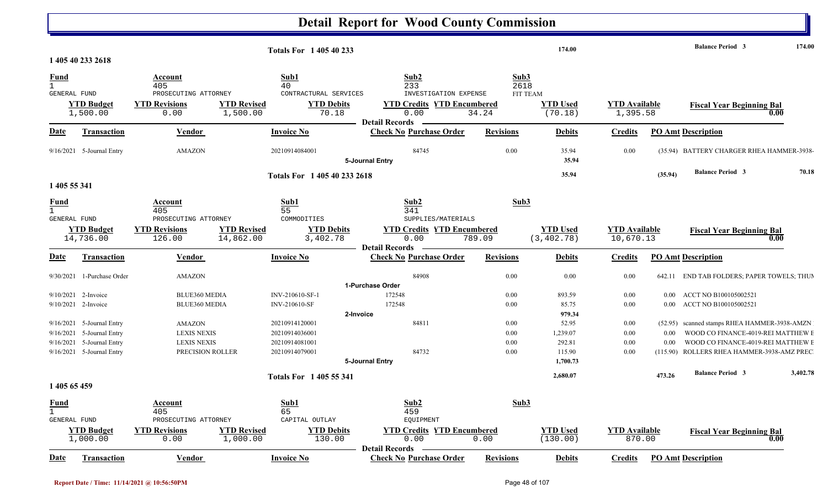#### **Detail Report for Wood County Commission 174.00 Balance Period 174.00 <sup>3</sup> Totals For 1 405 40 233 1 405 40 233 2618**1 405 40 233 2618 **Fund Account Sub1 Sub2 Sub3** GENERAL FUND PROSECUTING ATTORNEY CONTRACTURAL SERVICES INVESTIGATION EXPENSE 1,500.00 0.00 1,500.00 70.18 0.00 34.24 1,395.58 (70.18) **YTD Budget YTD Revisions YTD Revised YTD Debits YTD Credits YTD Encumbered YTD Used YTD Available Fiscal Year Beginning Bal 0.00**FIT TEAM**Date Vendor Invoice NoTransaction Purchase Order Revisions Debits Credits PO Amt Description Detail Records**Vendor **Invoice No** 9/16/2021 5-Journal Entry AMAZON 20210914084001 84745 84745 0.00 35.94 0.00 (35.94) BATTERY CHARGER RHEA HAMMER-3938-**5-Journal Entry 35.94 35.94 (35.94) Balance Period 70.18 <sup>3</sup> Totals For 1 405 40 233 26181 405 55 341** 1 405 55 341 **Fund Account Sub1 Sub2 Sub3** GENERAL FUND PROSECUTING ATTORNEY COMMODITIES SUPPLIES/MATERIALS 14,736.00 126.00 14,862.00 3,402.78 0.00 789.09 (3,402.78) 10,670.13 **YTD Budget YTD Revisions YTD Revised YTD Debits YTD Credits YTD Encumbered<u>YTD Used</u><br>**  $\begin{array}{ccc}\n & \text{YTD Used} \\
& \text{10,670.13}\n\end{array}$  **Fiscal Year Beginning Bal**  $\begin{array}{ccc}\n & \text{9.00}\n\end{array}$ **Date Vendor Invoice NoTransaction Purchase Order Revisions Debits Credits PO Amt Description Detail Records**Vendor **Invoice No** 9/30/2021 1-Purchase Order AMAZON 84908 0.00 0.00 0.00 642.11 END TAB FOLDERS; PAPER TOWELS; THU M**1-Purchase Order**9/10/20212-Invoice BLUE360 MEDIA INV-210610-SF-1 172548 0.00 893.59 0.00 0.00 ACCT NO B100105002521 9/10/2021 2-Invoice 2-BLUE360 MEDIA 1NV-210610-SF 172548 172548 0.00 85.75 0.00 0.00 ACCT NO B100105002521 **2-Invoice 979.34** 9/16/2021 5-Journal Entry 20210914120001 84811 0.00 AMAZON 52.95 0.00 ) (52.95 scanned stamps RHEA HAMMER-3938-AMZN 9/16/2021 5-Journal Entry 5-Journal Entry 20210914036001 0.00 LEXIS NEXIS 1,239.07 0.00 0.00 WOOD CO FINANCE-4019-REI MATTHEW B9/16/2021 5-Journal Entry 5-Journal Entry 20210914081001 0.00 LEXIS NEXIS 292.81 0.00 0.00 WOOD CO FINANCE-4019-REI MATTHEW B9/16/2021 5-Journal Entry 5-Journal Entry 20210914079001 84732 0.00 PRECISION ROLLER 115.90 0.00 ) (115.90 ROLLERS RHEA HAMMER-3938-AMZ PRECI **5-Journal Entry 1,700.73 2,680.07 473.26 Balance Period 3,402.78 <sup>3</sup> Totals For 1 405 55 341 1 405 65 459**  1 405 65 459 **Fund Account Sub1 Sub2 Sub3** GENERAL FUND PROSECUTING ATTORNEY CAPITAL OUTLAY EQUIPMENT **YTD Budget YTD Revisions YTD Revised YTD Debits YTD Credits YTD Encumbered<u>YTD Used</u> <b>YTD Available Fiscal Year Beginning Bal**

|      | .000.00    | .00     | . 000 . 00 | 130.OO    | .∪∪<br><b>il Records</b><br>Detail                                                         | . . 00           | ≺⊣<br>1. JU . U | `<br>$\cdot$<br>.                                   | 0.1 |
|------|------------|---------|------------|-----------|--------------------------------------------------------------------------------------------|------------------|-----------------|-----------------------------------------------------|-----|
| Date | ransaction | V endor |            | Invoice N | $\mathbf{r}$<br>$C$ heck<br>e Order<br>$11 - 22$<br>$-2$ . The second state $\sim$<br>спях | <b>Revisions</b> | <b>Debits</b>   | $\cdots$<br>PO<br><b>Amt Description</b><br>redits_ |     |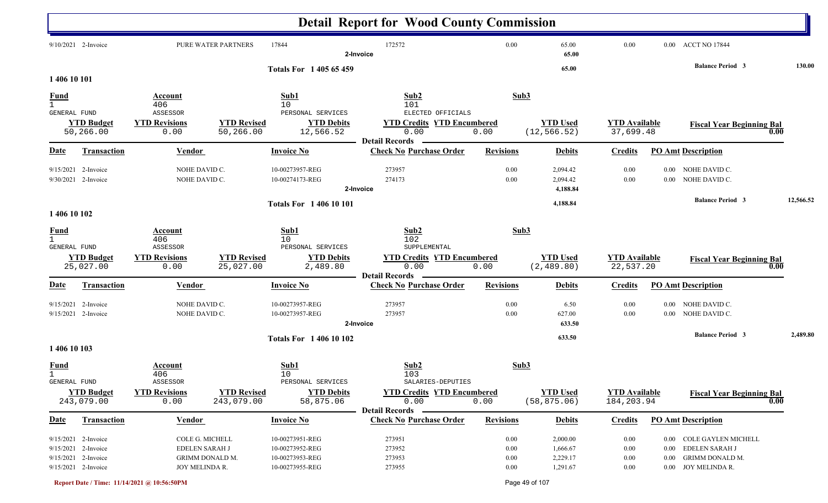|                                             |                                                                                          |                                                                        |                                  |                                                                          | <b>Detail Report for Wood County Commission</b>                                         |                                  |                                              |                                    |                                  |                                                                                               |           |
|---------------------------------------------|------------------------------------------------------------------------------------------|------------------------------------------------------------------------|----------------------------------|--------------------------------------------------------------------------|-----------------------------------------------------------------------------------------|----------------------------------|----------------------------------------------|------------------------------------|----------------------------------|-----------------------------------------------------------------------------------------------|-----------|
|                                             | 9/10/2021 2-Invoice                                                                      | PURE WATER PARTNERS                                                    |                                  | 17844                                                                    | 172572<br>2-Invoice                                                                     | 0.00                             | 65.00<br>65.00                               | 0.00                               |                                  | 0.00 ACCT NO 17844                                                                            |           |
| 1 406 10 101                                |                                                                                          |                                                                        |                                  | <b>Totals For 140565459</b>                                              |                                                                                         |                                  | 65.00                                        |                                    |                                  | <b>Balance Period 3</b>                                                                       | 130.00    |
| <b>Fund</b><br>GENERAL FUND                 | <b>YTD Budget</b>                                                                        | Account<br>406<br>ASSESSOR<br><b>YTD Revisions</b>                     | <b>YTD Revised</b>               | Sub1<br>10<br>PERSONAL SERVICES<br><b>YTD Debits</b>                     | Sub2<br>101<br>ELECTED OFFICIALS<br><b>YTD Credits YTD Encumbered</b>                   | Sub3                             | <b>YTD Used</b>                              | <b>YTD</b> Available               |                                  | <b>Fiscal Year Beginning Bal</b>                                                              |           |
|                                             | 50,266.00                                                                                | 0.00                                                                   | 50,266.00                        | 12,566.52                                                                | 0.00<br><b>Detail Records</b>                                                           | 0.00                             | (12, 566.52)                                 | 37,699.48                          |                                  | 0.00                                                                                          |           |
| <b>Date</b>                                 | Transaction                                                                              | <b>Vendor</b>                                                          |                                  | <b>Invoice No</b>                                                        | <b>Check No Purchase Order</b>                                                          | <b>Revisions</b>                 | <b>Debits</b>                                | <b>Credits</b>                     |                                  | <b>PO Amt Description</b>                                                                     |           |
|                                             | 9/15/2021 2-Invoice<br>9/30/2021 2-Invoice                                               | NOHE DAVID C.<br>NOHE DAVID C.                                         |                                  | 10-00273957-REG<br>10-00274173-REG                                       | 273957<br>274173<br>2-Invoice                                                           | 0.00<br>0.00                     | 2,094.42<br>2,094.42<br>4,188.84             | 0.00<br>0.00                       |                                  | 0.00 NOHE DAVID C.<br>0.00 NOHE DAVID C.                                                      |           |
| 1 406 10 102                                |                                                                                          |                                                                        |                                  | <b>Totals For 140610101</b>                                              |                                                                                         |                                  | 4,188.84                                     |                                    |                                  | <b>Balance Period 3</b>                                                                       | 12,566.52 |
| <u>Fund</u><br>$\mathbf{1}$<br>GENERAL FUND |                                                                                          | Account<br>406<br>ASSESSOR                                             |                                  | Sub1<br>10<br>PERSONAL SERVICES                                          | Sub2<br>102<br>SUPPLEMENTAL                                                             | Sub3                             |                                              |                                    |                                  |                                                                                               |           |
|                                             | <b>YTD Budget</b><br>25,027.00                                                           | <b>YTD Revisions</b><br>0.00                                           | <b>YTD Revised</b><br>25,027.00  | <b>YTD Debits</b><br>2,489.80                                            | <b>YTD Credits YTD Encumbered</b><br>0.00<br><b>Detail Records</b>                      | 0.00                             | <b>YTD Used</b><br>(2, 489.80)               | <b>YTD Available</b><br>22,537.20  |                                  | <b>Fiscal Year Beginning Bal</b><br>0.00                                                      |           |
| <u>Date</u>                                 | <b>Transaction</b>                                                                       | Vendor                                                                 |                                  | <b>Invoice No</b>                                                        | <b>Check No Purchase Order</b>                                                          | <b>Revisions</b>                 | <b>Debits</b>                                | <b>Credits</b>                     |                                  | <b>PO Amt Description</b>                                                                     |           |
|                                             | 9/15/2021 2-Invoice<br>9/15/2021 2-Invoice                                               | NOHE DAVID C.<br>NOHE DAVID C.                                         |                                  | 10-00273957-REG<br>10-00273957-REG                                       | 273957<br>273957<br>2-Invoice                                                           | 0.00<br>0.00                     | 6.50<br>627.00<br>633.50                     | 0.00<br>0.00                       | $0.00\,$<br>$0.00\,$             | NOHE DAVID C.<br>NOHE DAVID C.                                                                |           |
| 1 406 10 103                                |                                                                                          |                                                                        |                                  | <b>Totals For 140610102</b>                                              |                                                                                         |                                  | 633.50                                       |                                    |                                  | <b>Balance Period 3</b>                                                                       | 2,489.80  |
| <u>Fund</u><br>$\mathbf{1}$                 |                                                                                          | Account<br>406                                                         |                                  | Sub1<br>10                                                               | Sub2<br>103                                                                             | Sub3                             |                                              |                                    |                                  |                                                                                               |           |
| GENERAL FUND                                | <b>YTD Budget</b><br>243,079.00                                                          | ASSESSOR<br><b>YTD Revisions</b><br>0.00                               | <b>YTD Revised</b><br>243,079.00 | PERSONAL SERVICES<br><b>YTD Debits</b><br>58,875.06                      | SALARIES-DEPUTIES<br><b>YTD Credits YTD Encumbered</b><br>0.00<br><b>Detail Records</b> | 0.00                             | <b>YTD Used</b><br>(58, 875.06)              | <b>YTD Available</b><br>184,203.94 |                                  | <b>Fiscal Year Beginning Bal</b><br>0.00                                                      |           |
| <b>Date</b>                                 | Transaction                                                                              | <b>Vendor</b>                                                          |                                  | <b>Invoice No</b>                                                        | <b>Check No Purchase Order</b>                                                          | <b>Revisions</b>                 | <b>Debits</b>                                | <b>Credits</b>                     |                                  | <b>PO Amt Description</b>                                                                     |           |
|                                             | 9/15/2021 2-Invoice<br>9/15/2021 2-Invoice<br>9/15/2021 2-Invoice<br>9/15/2021 2-Invoice | COLE G. MICHELL<br>EDELEN SARAH J<br>GRIMM DONALD M.<br>JOY MELINDA R. |                                  | 10-00273951-REG<br>10-00273952-REG<br>10-00273953-REG<br>10-00273955-REG | 273951<br>273952<br>273953<br>273955                                                    | 0.00<br>0.00<br>0.00<br>$0.00\,$ | 2,000.00<br>1,666.67<br>2,229.17<br>1,291.67 | 0.00<br>0.00<br>0.00<br>$0.00\,$   | $0.00\,$<br>$0.00\,$<br>$0.00\,$ | <b>COLE GAYLEN MICHELL</b><br>EDELEN SARAH J<br><b>GRIMM DONALD M.</b><br>0.00 JOY MELINDA R. |           |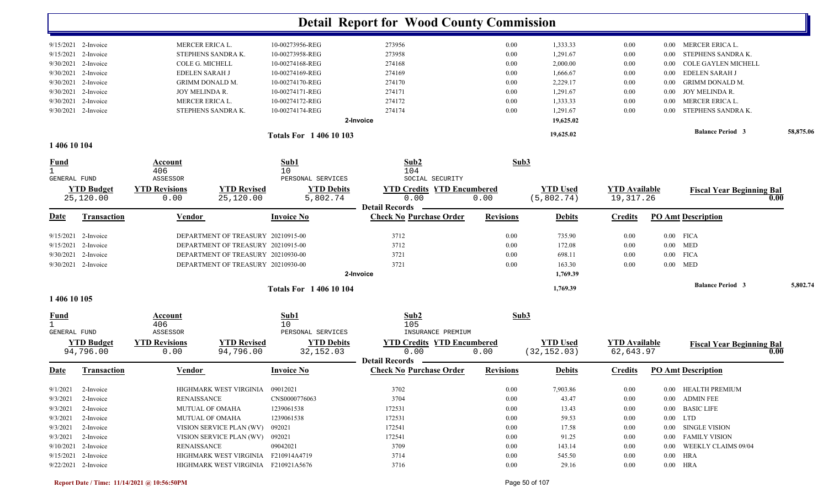|                              |                       |                        |                                     |                             | <b>Detail Report for Wood County Commission</b> |                  |                 |                      |          |                                          |           |
|------------------------------|-----------------------|------------------------|-------------------------------------|-----------------------------|-------------------------------------------------|------------------|-----------------|----------------------|----------|------------------------------------------|-----------|
|                              | 9/15/2021 2-Invoice   | MERCER ERICA L.        |                                     | 10-00273956-REG             | 273956                                          | 0.00             | 1,333.33        | 0.00                 | 0.00     | MERCER ERICA L.                          |           |
| 9/15/2021                    | 2-Invoice             | STEPHENS SANDRA K.     |                                     | 10-00273958-REG             | 273958                                          | 0.00             | 1,291.67        | 0.00                 | 0.00     | STEPHENS SANDRA K.                       |           |
| 9/30/2021                    | 2-Invoice             | COLE G. MICHELL        |                                     | 10-00274168-REG             | 274168                                          | 0.00             | 2,000.00        | 0.00                 | 0.00     | <b>COLE GAYLEN MICHELL</b>               |           |
| 9/30/2021                    | 2-Invoice             | <b>EDELEN SARAH J</b>  |                                     | 10-00274169-REG             | 274169                                          | 0.00             | 1,666.67        | 0.00                 | 0.00     | <b>EDELEN SARAH J</b>                    |           |
| 9/30/2021                    | 2-Invoice             | <b>GRIMM DONALD M.</b> |                                     | 10-00274170-REG             | 274170                                          | 0.00             | 2,229.17        | 0.00                 | 0.00     | <b>GRIMM DONALD M.</b>                   |           |
| 9/30/2021                    | 2-Invoice             | JOY MELINDA R.         |                                     | 10-00274171-REG             | 274171                                          | 0.00             | 1,291.67        | 0.00                 | $0.00\,$ | JOY MELINDA R.                           |           |
| 9/30/2021                    | 2-Invoice             | MERCER ERICA L         |                                     | 10-00274172-REG             | 274172                                          | 0.00             | 1,333.33        | 0.00                 | 0.00     | MERCER ERICA L.                          |           |
|                              | 9/30/2021 2-Invoice   | STEPHENS SANDRA K.     |                                     | 10-00274174-REG             | 274174                                          | 0.00             | 1,291.67        | 0.00                 | 0.00     | STEPHENS SANDRA K.                       |           |
|                              |                       |                        |                                     |                             | 2-Invoice                                       |                  | 19,625.02       |                      |          |                                          |           |
|                              |                       |                        |                                     | <b>Totals For 140610103</b> |                                                 |                  | 19,625.02       |                      |          | <b>Balance Period 3</b>                  | 58,875.06 |
| 1 406 10 104                 |                       |                        |                                     |                             |                                                 |                  |                 |                      |          |                                          |           |
| <u>Fund</u>                  |                       | Account                |                                     | Sub1                        | Sub2                                            | Sub3             |                 |                      |          |                                          |           |
| $\mathbf{1}$                 |                       | 406                    |                                     | 10                          | 104                                             |                  |                 |                      |          |                                          |           |
| <b>GENERAL FUND</b>          |                       | ASSESSOR               |                                     | PERSONAL SERVICES           | SOCIAL SECURITY                                 |                  |                 |                      |          |                                          |           |
|                              | <b>YTD Budget</b>     | <b>YTD Revisions</b>   | <b>YTD Revised</b>                  | <b>YTD Debits</b>           | <b>YTD Credits YTD Encumbered</b>               |                  | <b>YTD Used</b> | <b>YTD Available</b> |          | <b>Fiscal Year Beginning Bal</b>         |           |
|                              | 25,120.00             | 0.00                   | 25,120.00                           | 5,802.74                    | 0.00<br><b>Detail Records</b>                   | 0.00             | (5,802.74)      | 19, 317. 26          |          | 0.00                                     |           |
| Date                         | Transaction           | <b>Vendor</b>          |                                     | <b>Invoice No</b>           | <b>Check No Purchase Order</b>                  | <b>Revisions</b> | <b>Debits</b>   | <b>Credits</b>       |          | <b>PO_Amt</b> Description                |           |
| 9/15/2021                    | 2-Invoice             |                        | DEPARTMENT OF TREASURY 20210915-00  |                             | 3712                                            | 0.00             | 735.90          | 0.00                 |          | $0.00$ FICA                              |           |
| 9/15/2021                    | 2-Invoice             |                        | DEPARTMENT OF TREASURY 20210915-00  |                             | 3712                                            | 0.00             | 172.08          | 0.00                 | $0.00\,$ | <b>MED</b>                               |           |
| 9/30/2021                    | 2-Invoice             |                        | DEPARTMENT OF TREASURY 20210930-00  |                             | 3721                                            | 0.00             | 698.11          | 0.00                 |          | $0.00$ FICA                              |           |
|                              | 9/30/2021 2-Invoice   |                        | DEPARTMENT OF TREASURY 20210930-00  |                             | 3721                                            | 0.00             | 163.30          | 0.00                 |          | $0.00$ MED                               |           |
|                              |                       |                        |                                     |                             | 2-Invoice                                       |                  | 1,769.39        |                      |          |                                          |           |
|                              |                       |                        |                                     | <b>Totals For 140610104</b> |                                                 |                  | 1,769.39        |                      |          | <b>Balance Period 3</b>                  | 5,802.74  |
| 1 406 10 105                 |                       |                        |                                     |                             |                                                 |                  |                 |                      |          |                                          |           |
| <u>Fund</u>                  |                       | Account                |                                     | Sub1                        | Sub2                                            | Sub3             |                 |                      |          |                                          |           |
| $\mathbf{1}$<br>GENERAL FUND |                       | 406<br>ASSESSOR        |                                     | 10<br>PERSONAL SERVICES     | 105<br>INSURANCE PREMIUM                        |                  |                 |                      |          |                                          |           |
|                              | <b>YTD Budget</b>     | <b>YTD Revisions</b>   | <b>YTD Revised</b>                  | <b>YTD Debits</b>           | <b>YTD Credits YTD Encumbered</b>               |                  | <b>YTD Used</b> | <b>YTD</b> Available |          |                                          |           |
|                              | 94,796.00             | 0.00                   | 94,796.00                           | 32, 152.03                  | 0.00                                            | 0.00             | (32, 152.03)    | 62,643.97            |          | <b>Fiscal Year Beginning Bal</b><br>0.00 |           |
|                              |                       |                        |                                     |                             | <b>Detail Records</b>                           |                  |                 |                      |          |                                          |           |
| <u>Date</u>                  | Transaction           | <b>Vendor</b>          |                                     | <b>Invoice No</b>           | <b>Check No Purchase Order</b>                  | <b>Revisions</b> | <b>Debits</b>   | <b>Credits</b>       |          | <b>PO Amt Description</b>                |           |
|                              | $9/1/2021$ 2-Invoice  |                        | HIGHMARK WEST VIRGINIA 09012021     |                             | 3702                                            | $0.00\,$         | 7,903.86        | 0.00                 |          | 0.00 HEALTH PREMIUM                      |           |
| 9/3/2021                     | 2-Invoice             | <b>RENAISSANCE</b>     |                                     | CNS0000776063               | 3704                                            | $0.00\,$         | 43.47           | 0.00                 |          | 0.00 ADMIN FEE                           |           |
|                              | $9/3/2021$ 2-Invoice  | <b>MUTUAL OF OMAHA</b> |                                     | 1239061538                  | 172531                                          | 0.00             | 13.43           | 0.00                 |          | 0.00 BASIC LIFE                          |           |
|                              | $9/3/2021$ 2-Invoice  | <b>MUTUAL OF OMAHA</b> |                                     | 1239061538                  | 172531                                          | 0.00             | 59.53           | 0.00                 |          | $0.00$ LTD                               |           |
|                              | $9/3/2021$ 2-Invoice  |                        | VISION SERVICE PLAN (WV)            | 092021                      | 172541                                          | 0.00             | 17.58           | 0.00                 |          | 0.00 SINGLE VISION                       |           |
|                              | $9/3/2021$ 2-Invoice  |                        | VISION SERVICE PLAN (WV) 092021     |                             | 172541                                          | 0.00             | 91.25           | 0.00                 |          | 0.00 FAMILY VISION                       |           |
|                              | $9/10/2021$ 2-Invoice | RENAISSANCE            |                                     | 09042021                    | 3709                                            | 0.00             | 143.14          | 0.00                 |          | 0.00 WEEKLY CLAIMS 09/04                 |           |
|                              | 9/15/2021 2-Invoice   |                        | HIGHMARK WEST VIRGINIA F210914A4719 |                             | 3714                                            | 0.00             | 545.50          | 0.00                 |          | $0.00$ HRA                               |           |
|                              | 9/22/2021 2-Invoice   |                        | HIGHMARK WEST VIRGINIA F210921A5676 |                             | 3716                                            | 0.00             | 29.16           | 0.00                 |          | 0.00 HRA                                 |           |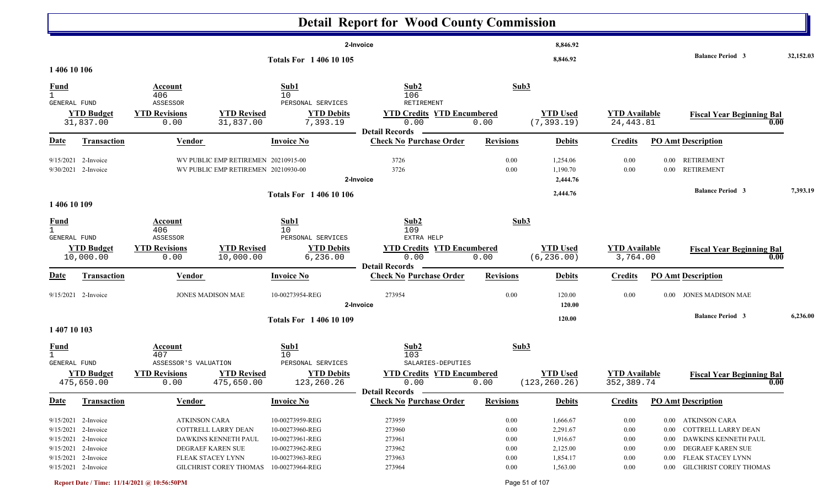|                                    |                                                                                          |                                                            |                                                                            |                                                                          | <b>Detail Report for Wood County Commission</b>                        |                                              |                                              |                                              |                                                                                                                            |           |
|------------------------------------|------------------------------------------------------------------------------------------|------------------------------------------------------------|----------------------------------------------------------------------------|--------------------------------------------------------------------------|------------------------------------------------------------------------|----------------------------------------------|----------------------------------------------|----------------------------------------------|----------------------------------------------------------------------------------------------------------------------------|-----------|
|                                    |                                                                                          |                                                            |                                                                            | <b>Totals For 1 406 10 105</b>                                           | 2-Invoice                                                              |                                              | 8,846.92<br>8,846.92                         |                                              | <b>Balance Period 3</b>                                                                                                    | 32,152.03 |
| 1 406 10 106                       |                                                                                          |                                                            |                                                                            |                                                                          |                                                                        |                                              |                                              |                                              |                                                                                                                            |           |
| <u>Fund</u><br>GENERAL FUND        |                                                                                          | Account<br>406<br>ASSESSOR                                 |                                                                            | Sub1<br>10 <sup>°</sup><br>PERSONAL SERVICES                             | Sub2<br>106<br>RETIREMENT                                              | Sub3                                         |                                              |                                              |                                                                                                                            |           |
|                                    | <b>YTD Budget</b><br>31,837.00                                                           | <b>YTD Revisions</b><br>0.00                               | <b>YTD Revised</b><br>31,837.00                                            | <b>YTD Debits</b><br>7,393.19                                            | <b>YTD Credits YTD Encumbered</b><br>0.00<br><b>Detail Records</b>     | 0.00                                         | <b>YTD Used</b><br>(7, 393.19)               | <b>YTD Available</b><br>24, 443.81           | <b>Fiscal Year Beginning Bal</b><br>0.00                                                                                   |           |
| <b>Date</b>                        | <b>Transaction</b>                                                                       | <b>Vendor</b>                                              |                                                                            | <b>Invoice No</b>                                                        | <b>Check No Purchase Order</b>                                         | <b>Revisions</b>                             | <b>Debits</b>                                | <b>Credits</b>                               | <b>PO Amt Description</b>                                                                                                  |           |
|                                    | 9/15/2021 2-Invoice<br>9/30/2021 2-Invoice                                               |                                                            | WV PUBLIC EMP RETIREMEN 20210915-00<br>WV PUBLIC EMP RETIREMEN 20210930-00 |                                                                          | 3726<br>3726<br>2-Invoice                                              | 0.00<br>0.00                                 | 1,254.06<br>1,190.70<br>2,444.76             | 0.00<br>$0.00\,$                             | 0.00 RETIREMENT<br>0.00 RETIREMENT                                                                                         |           |
| 1 406 10 109                       |                                                                                          |                                                            |                                                                            | <b>Totals For 140610106</b>                                              |                                                                        |                                              | 2,444.76                                     |                                              | <b>Balance Period 3</b>                                                                                                    | 7,393.19  |
| $\frac{Fund}{1}$<br>GENERAL FUND   | <b>YTD Budget</b><br>10,000.00                                                           | Account<br>406<br>ASSESSOR<br><b>YTD Revisions</b><br>0.00 | <b>YTD Revised</b><br>10,000.00                                            | Sub1<br>10<br>PERSONAL SERVICES<br><b>YTD Debits</b><br>6, 236.00        | Sub2<br>109<br>EXTRA HELP<br><b>YTD Credits YTD Encumbered</b><br>0.00 | Sub3<br>0.00                                 | <b>YTD Used</b><br>(6, 236.00)               | <b>YTD Available</b><br>3,764.00             | <b>Fiscal Year Beginning Bal</b><br>0.00                                                                                   |           |
| <b>Date</b>                        | <b>Transaction</b>                                                                       | <b>Vendor</b>                                              |                                                                            | <b>Invoice No</b>                                                        | <b>Detail Records</b><br><b>Check No Purchase Order</b>                | <b>Revisions</b>                             | <b>Debits</b>                                | <b>Credits</b>                               | <b>PO Amt Description</b>                                                                                                  |           |
|                                    | 9/15/2021 2-Invoice                                                                      | <b>JONES MADISON MAE</b>                                   |                                                                            | 10-00273954-REG                                                          | 273954<br>2-Invoice                                                    | $0.00\,$                                     | 120.00<br>120.00                             | $0.00\,$                                     | 0.00 JONES MADISON MAE                                                                                                     |           |
| 1 407 10 103                       |                                                                                          |                                                            |                                                                            | Totals For 1 406 10 109                                                  |                                                                        |                                              | 120.00                                       |                                              | <b>Balance Period 3</b>                                                                                                    | 6,236.00  |
| <u>Fund</u><br><b>GENERAL FUND</b> |                                                                                          | Account<br>407<br>ASSESSOR'S VALUATION                     |                                                                            | Sub1<br>10<br>PERSONAL SERVICES                                          | Sub2<br>103<br>SALARIES-DEPUTIES                                       | Sub3                                         |                                              |                                              |                                                                                                                            |           |
|                                    | <b>YTD Budget</b><br>475,650.00                                                          | <b>YTD Revisions</b><br>0.00                               | <b>YTD Revised</b><br>475,650.00                                           | <b>YTD Debits</b><br>123,260.26                                          | <b>YTD Credits YTD Encumbered</b><br>0.00<br><b>Detail Records</b> -   | 0.00                                         | <b>YTD Used</b><br>(123, 260.26)             | <b>YTD Available</b><br>352,389.74           | <b>Fiscal Year Beginning Bal</b><br>0.00                                                                                   |           |
| <u>Date</u>                        | <b>Transaction</b>                                                                       | <b>Vendor</b>                                              |                                                                            | <b>Invoice No</b>                                                        | <b>Check No Purchase Order</b>                                         | <b>Revisions</b>                             | <b>Debits</b>                                | <b>Credits</b>                               | <b>PO Amt Description</b>                                                                                                  |           |
|                                    | 9/15/2021 2-Invoice<br>9/15/2021 2-Invoice<br>9/15/2021 2-Invoice<br>9/15/2021 2-Invoice | ATKINSON CARA<br>COTTRELL LARRY DEAN<br>DEGRAEF KAREN SUE  | DAWKINS KENNETH PAUL                                                       | 10-00273959-REG<br>10-00273960-REG<br>10-00273961-REG<br>10-00273962-REG | 273959<br>273960<br>273961<br>273962                                   | $0.00\,$<br>$0.00\,$<br>$0.00\,$<br>$0.00\,$ | 1,666.67<br>2,291.67<br>1,916.67<br>2,125.00 | $0.00\,$<br>$0.00\,$<br>$0.00\,$<br>$0.00\,$ | 0.00 ATKINSON CARA<br>COTTRELL LARRY DEAN<br>$0.00\,$<br>DAWKINS KENNETH PAUL<br>$0.00\,$<br>DEGRAEF KAREN SUE<br>$0.00\,$ |           |
|                                    | 9/15/2021 2-Invoice<br>9/15/2021 2-Invoice                                               | FLEAK STACEY LYNN                                          | <b>GILCHRIST COREY THOMAS</b>                                              | 10-00273963-REG<br>10-00273964-REG                                       | 273963<br>273964                                                       | $0.00\,$<br>$0.00\,$                         | 1,854.17<br>1,563.00                         | $0.00\,$<br>$0.00\,$                         | 0.00 FLEAK STACEY LYNN<br>0.00 GILCHRIST COREY THOMAS                                                                      |           |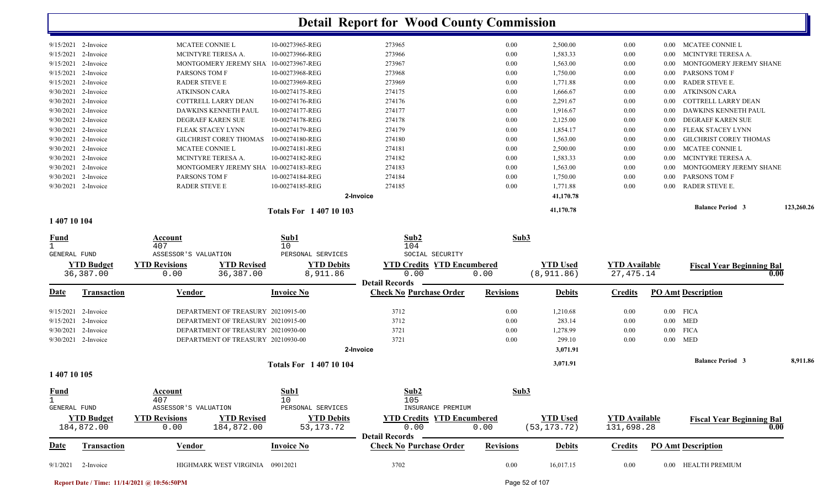|                        |                                                                                                                                                                                   |                 |        |                                          | 41,170.78 |      |       | <b>Balance Period 3</b>                                                                                   | 123,260.26 |
|------------------------|-----------------------------------------------------------------------------------------------------------------------------------------------------------------------------------|-----------------|--------|------------------------------------------|-----------|------|-------|-----------------------------------------------------------------------------------------------------------|------------|
|                        |                                                                                                                                                                                   |                 |        |                                          | 41,170.78 |      |       |                                                                                                           |            |
|                        | <b>RADER STEVE E</b>                                                                                                                                                              | 10-00274185-REG | 274185 | 0.00                                     | 1,771.88  | 0.00 | 0.00  | RADER STEVE E.                                                                                            |            |
| 2-Invoice              | PARSONS TOM F                                                                                                                                                                     | 10-00274184-REG | 274184 | 0.00                                     | 1,750.00  | 0.00 | 0.00  | PARSONS TOM F                                                                                             |            |
| 2-Invoice              | <b>MONTGOMERY JEREMY SHA</b>                                                                                                                                                      | 10-00274183-REG | 274183 | 0.00                                     | 1,563.00  | 0.00 | 0.00  | MONTGOMERY JEREMY SHANE                                                                                   |            |
| 2-Invoice              | MCINTYRE TERESA A.                                                                                                                                                                | 10-00274182-REG | 274182 | 0.00                                     | 1,583.33  | 0.00 | 0.00  | MCINTYRE TERESA A.                                                                                        |            |
| 2-Invoice              | <b>MCATEE CONNIE L</b>                                                                                                                                                            | 10-00274181-REG | 274181 | 0.00                                     | 2,500.00  | 0.00 | -0.00 | <b>MCATEE CONNIE L</b>                                                                                    |            |
| 2-Invoice              | <b>GILCHRIST COREY THOMAS</b>                                                                                                                                                     | 10-00274180-REG | 274180 | 0.00                                     | 1,563.00  | 0.00 | 0.00  | <b>GILCHRIST COREY THOMAS</b>                                                                             |            |
| 2-Invoice              | <b>FLEAK STACEY LYNN</b>                                                                                                                                                          | 10-00274179-REG | 274179 | 0.00                                     | 1,854.17  | 0.00 | 0.00  | FLEAK STACEY LYNN                                                                                         |            |
| 2-Invoice              | DEGRAEF KAREN SUE                                                                                                                                                                 | 10-00274178-REG | 274178 | 0.00                                     | 2,125.00  | 0.00 | -0.00 | DEGRAEF KAREN SUE                                                                                         |            |
| 2-Invoice              | DAWKINS KENNETH PAUL                                                                                                                                                              | 10-00274177-REG | 274177 | 0.00                                     | 1,916.67  | 0.00 | -0.00 | DAWKINS KENNETH PAUL                                                                                      |            |
| 2-Invoice              | COTTRELL LARRY DEAN                                                                                                                                                               | 10-00274176-REG | 274176 | 0.00                                     | 2,291.67  | 0.00 | -0.00 | COTTRELL LARRY DEAN                                                                                       |            |
| 2-Invoice              | <b>ATKINSON CARA</b>                                                                                                                                                              | 10-00274175-REG | 274175 | 0.00                                     | 1,666.67  | 0.00 | -0.00 | <b>ATKINSON CARA</b>                                                                                      |            |
| 2-Invoice              | <b>RADER STEVE E</b>                                                                                                                                                              | 10-00273969-REG | 273969 | 0.00                                     | 1,771.88  | 0.00 | -0.00 | <b>RADER STEVE E.</b>                                                                                     |            |
| 2-Invoice              | PARSONS TOM F                                                                                                                                                                     | 10-00273968-REG | 273968 | 0.00                                     | 1,750.00  | 0.00 | 0.00  | <b>PARSONS TOM F</b>                                                                                      |            |
| 2-Invoice              | MONTGOMERY JEREMY SHA                                                                                                                                                             | 10-00273967-REG | 273967 | 0.00                                     | 1,563.00  | 0.00 | -0.00 | MONTGOMERY JEREMY SHANE                                                                                   |            |
| 2-Invoice              | MCINTYRE TERESA A.                                                                                                                                                                | 10-00273966-REG | 273966 | 0.00                                     | 1,583.33  | 0.00 | -0.00 | MCINTYRE TERESA A.                                                                                        |            |
|                        |                                                                                                                                                                                   |                 |        |                                          |           |      |       | MCATEE CONNIE L                                                                                           |            |
| 9/30/2021<br>9/30/2021 | 9/15/2021<br>9/15/2021<br>9/15/2021<br>9/15/2021<br>9/30/2021<br>9/30/2021<br>9/30/2021<br>9/30/2021<br>9/30/2021<br>9/30/2021<br>9/30/2021<br>9/30/2021<br>$9/30/2021$ 2-Invoice |                 |        | 2-Invoice<br><b>Totals For 140710103</b> |           |      |       | 273965<br>2,500.00<br>0.00<br>$9/15/2021$ 2-Invoice<br>MCATEE CONNIE L<br>10-00273965-REG<br>0.00<br>0.00 |            |

#### **1 407 10 104**

| <b>Fund</b>                 |                                 | Account<br>407                         |                                    | Sub1<br>10                       | Sub2<br>104                                                        | Sub3             |                                  |                                    |      |                                  |          |
|-----------------------------|---------------------------------|----------------------------------------|------------------------------------|----------------------------------|--------------------------------------------------------------------|------------------|----------------------------------|------------------------------------|------|----------------------------------|----------|
| <b>GENERAL FUND</b>         |                                 | ASSESSOR'S VALUATION                   |                                    | PERSONAL SERVICES                | SOCIAL SECURITY                                                    |                  |                                  |                                    |      |                                  |          |
|                             | <b>YTD Budget</b><br>36,387.00  | <b>YTD Revisions</b><br>0.00           | <b>YTD Revised</b><br>36,387.00    | <b>YTD Debits</b><br>8,911.86    | <b>YTD Credits YTD Encumbered</b><br>0.00<br><b>Detail Records</b> | 0.00             | <b>YTD Used</b><br>(8, 911.86)   | <b>YTD</b> Available<br>27, 475.14 |      | <b>Fiscal Year Beginning Bal</b> | 0.00     |
| Date                        | <b>Transaction</b>              | Vendor                                 |                                    | <b>Invoice No</b>                | <b>Check No Purchase Order</b>                                     | <b>Revisions</b> | <b>Debits</b>                    | <b>Credits</b>                     |      | <b>PO Amt Description</b>        |          |
| 9/15/2021                   | 2-Invoice                       |                                        | DEPARTMENT OF TREASURY 20210915-00 |                                  | 3712                                                               | $0.00\,$         | 1,210.68                         | 0.00                               |      | $0.00$ FICA                      |          |
| 9/15/2021                   | 2-Invoice                       |                                        | DEPARTMENT OF TREASURY 20210915-00 |                                  | 3712                                                               | 0.00             | 283.14                           | 0.00                               | 0.00 | <b>MED</b>                       |          |
| 9/30/2021                   | 2-Invoice                       |                                        | DEPARTMENT OF TREASURY 20210930-00 |                                  | 3721                                                               | 0.00             | 1,278.99                         | 0.00                               |      | $0.00$ FICA                      |          |
| 9/30/2021                   | 2-Invoice                       |                                        | DEPARTMENT OF TREASURY 20210930-00 |                                  | 3721                                                               | 0.00             | 299.10                           | 0.00                               |      | $0.00$ MED                       |          |
|                             |                                 |                                        |                                    |                                  | 2-Invoice                                                          |                  | 3,071.91                         |                                    |      |                                  |          |
| 1 407 10 105                |                                 |                                        |                                    | <b>Totals For 140710104</b>      |                                                                    |                  | 3,071.91                         |                                    |      | <b>Balance Period 3</b>          | 8,911.86 |
| Fund<br><b>GENERAL FUND</b> |                                 | Account<br>407<br>ASSESSOR'S VALUATION |                                    | Sub1<br>10<br>PERSONAL SERVICES  | Sub2<br>105<br>INSURANCE PREMIUM                                   | Sub3             |                                  |                                    |      |                                  |          |
|                             | <b>YTD Budget</b><br>184,872.00 | <b>YTD Revisions</b><br>0.00           | <b>YTD Revised</b><br>184,872.00   | <b>YTD Debits</b><br>53, 173. 72 | <b>YTD Credits YTD Encumbered</b><br>0.00<br><b>Detail Records</b> | 0.00             | <b>YTD Used</b><br>(53, 173, 72) | <b>YTD</b> Available<br>131,698.28 |      | <b>Fiscal Year Beginning Bal</b> | 0.00     |
| Date                        | <b>Transaction</b>              | <b>Vendor</b>                          |                                    | <b>Invoice No</b>                | <b>Check No Purchase Order</b>                                     | <b>Revisions</b> | <b>Debits</b>                    | <b>Credits</b>                     |      | <b>PO Amt Description</b>        |          |
| 9/1/2021                    | 2-Invoice                       |                                        | HIGHMARK WEST VIRGINIA             | 09012021                         | 3702                                                               | 0.00             | 16,017.15                        | 0.00                               | 0.00 | HEALTH PREMIUM                   |          |

**Report Date / Time: 11/14/2021 @ 10:56:50PM** Page 52 of 107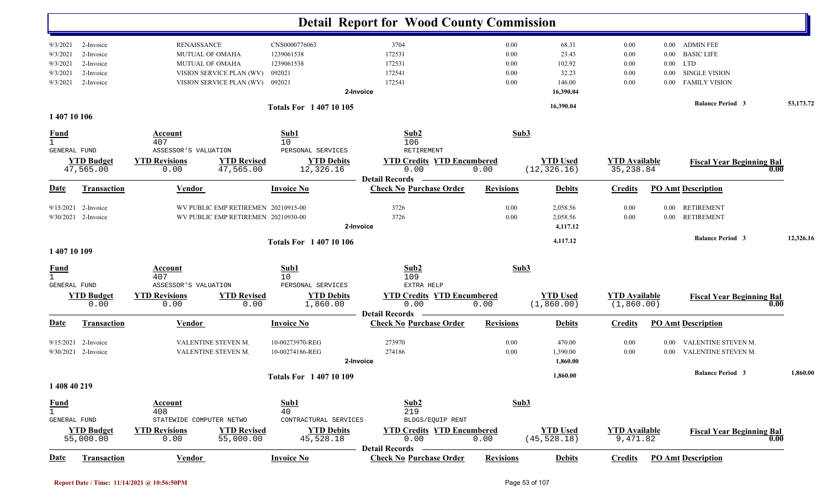|                                               |                          |                                                                            |                             | <b>Detail Report for Wood County Commission</b>         |                  |                      |                      |          |                                  |           |
|-----------------------------------------------|--------------------------|----------------------------------------------------------------------------|-----------------------------|---------------------------------------------------------|------------------|----------------------|----------------------|----------|----------------------------------|-----------|
| 9/3/2021<br>2-Invoice                         | <b>RENAISSANCE</b>       |                                                                            | CNS0000776063               | 3704                                                    | 0.00             | 68.31                | 0.00                 |          | 0.00 ADMIN FEE                   |           |
| 9/3/2021<br>2-Invoice                         | <b>MUTUAL OF OMAHA</b>   |                                                                            | 1239061538                  | 172531                                                  | 0.00             | 23.43                | 0.00                 | $0.00\,$ | <b>BASIC LIFE</b>                |           |
| 2-Invoice<br>9/3/2021                         | <b>MUTUAL OF OMAHA</b>   |                                                                            | 1239061538                  | 172531                                                  | 0.00             | 102.92               | 0.00                 | $0.00\,$ | LTD                              |           |
| 2-Invoice<br>9/3/2021                         |                          | VISION SERVICE PLAN (WV)                                                   | 092021                      | 172541                                                  | 0.00             | 32.23                | 0.00                 | 0.00     | <b>SINGLE VISION</b>             |           |
| 9/3/2021<br>2-Invoice                         |                          | VISION SERVICE PLAN (WV)                                                   | 092021                      | 172541                                                  | 0.00             | 146.00               | 0.00                 | $0.00\,$ | <b>FAMILY VISION</b>             |           |
|                                               |                          |                                                                            |                             | 2-Invoice                                               |                  | 16,390.04            |                      |          |                                  |           |
|                                               |                          |                                                                            | <b>Totals For 140710105</b> |                                                         |                  | 16,390.04            |                      |          | <b>Balance Period 3</b>          | 53,173.72 |
| 1 407 10 106                                  |                          |                                                                            |                             |                                                         |                  |                      |                      |          |                                  |           |
| <b>Fund</b>                                   | Account                  |                                                                            | Sub1                        | Sub2                                                    | Sub3             |                      |                      |          |                                  |           |
| $\mathbf{1}$                                  | 407                      |                                                                            | 10                          | 106                                                     |                  |                      |                      |          |                                  |           |
| <b>GENERAL FUND</b>                           | ASSESSOR'S VALUATION     |                                                                            | PERSONAL SERVICES           | RETIREMENT                                              |                  |                      |                      |          |                                  |           |
| <b>YTD Budget</b>                             | <b>YTD Revisions</b>     | <b>YTD Revised</b>                                                         | <b>YTD Debits</b>           | <b>YTD Credits YTD Encumbered</b>                       |                  | <b>YTD Used</b>      | <b>YTD Available</b> |          | <b>Fiscal Year Beginning Bal</b> |           |
| 47,565.00                                     | 0.00                     | 47,565.00                                                                  | 12,326.16                   | 0.00                                                    | 0.00             | (12, 326.16)         | 35, 238.84           |          | 0.00                             |           |
| <b>Date</b><br><b>Transaction</b>             | <b>Vendor</b>            |                                                                            | <b>Invoice No</b>           | <b>Detail Records</b><br><b>Check No Purchase Order</b> | <b>Revisions</b> | <b>Debits</b>        | <b>Credits</b>       |          | <b>PO Amt Description</b>        |           |
|                                               |                          |                                                                            |                             |                                                         |                  |                      |                      |          |                                  |           |
| 2-Invoice<br>9/15/2021<br>9/30/2021 2-Invoice |                          | WV PUBLIC EMP RETIREMEN 20210915-00<br>WV PUBLIC EMP RETIREMEN 20210930-00 |                             | 3726<br>3726                                            | 0.00<br>0.00     | 2,058.56<br>2,058.56 | 0.00                 | $0.00\,$ | RETIREMENT<br><b>RETIREMENT</b>  |           |
|                                               |                          |                                                                            |                             |                                                         |                  |                      | 0.00                 | $0.00\,$ |                                  |           |
|                                               |                          |                                                                            |                             | 2-Invoice                                               |                  | 4,117.12             |                      |          |                                  |           |
|                                               |                          |                                                                            | <b>Totals For 140710106</b> |                                                         |                  | 4,117.12             |                      |          | <b>Balance Period 3</b>          | 12,326.16 |
| 1 407 10 109                                  |                          |                                                                            |                             |                                                         |                  |                      |                      |          |                                  |           |
| $\frac{Fund}{1}$                              | Account                  |                                                                            | Sub1                        | Sub2                                                    | Sub3             |                      |                      |          |                                  |           |
|                                               | 407                      |                                                                            | 10                          | 109                                                     |                  |                      |                      |          |                                  |           |
| <b>GENERAL FUND</b>                           | ASSESSOR'S VALUATION     |                                                                            | PERSONAL SERVICES           | EXTRA HELP                                              |                  |                      |                      |          |                                  |           |
| <b>YTD Budget</b>                             | <b>YTD Revisions</b>     | <b>YTD Revised</b>                                                         | <b>YTD Debits</b>           | <b>YTD Credits YTD Encumbered</b>                       |                  | <b>YTD Used</b>      | <b>YTD</b> Available |          | <b>Fiscal Year Beginning Bal</b> |           |
| 0.00                                          | 0.00                     | 0.00                                                                       | 1,860.00                    | 0.00<br><b>Detail Records</b>                           | 0.00             | (1, 860.00)          | (1, 860.00)          |          | 0.00                             |           |
| Date<br><b>Transaction</b>                    | Vendor                   |                                                                            | <b>Invoice No</b>           | <b>Check No Purchase Order</b>                          | <b>Revisions</b> | <b>Debits</b>        | <b>Credits</b>       |          | <b>PO Amt Description</b>        |           |
| 9/15/2021<br>2-Invoice                        | VALENTINE STEVEN M.      |                                                                            | 10-00273970-REG             | 273970                                                  | 0.00             | 470.00               | 0.00                 | $0.00\,$ | VALENTINE STEVEN M.              |           |
| 9/30/2021 2-Invoice                           | VALENTINE STEVEN M.      |                                                                            | 10-00274186-REG             | 274186                                                  | 0.00             | 1,390.00             | 0.00                 | $0.00\,$ | VALENTINE STEVEN M.              |           |
|                                               |                          |                                                                            |                             | 2-Invoice                                               |                  | 1,860.00             |                      |          |                                  |           |
|                                               |                          |                                                                            | <b>Totals For 140710109</b> |                                                         |                  | 1,860.00             |                      |          | <b>Balance Period 3</b>          | 1,860.00  |
| 1 408 40 219                                  |                          |                                                                            |                             |                                                         |                  |                      |                      |          |                                  |           |
| <b>Fund</b>                                   | <b>Account</b>           |                                                                            | Sub1                        | Sub2                                                    | Sub3             |                      |                      |          |                                  |           |
| $\mathbf{1}$                                  | 408                      |                                                                            | 40                          | 219                                                     |                  |                      |                      |          |                                  |           |
| GENERAL FUND                                  | STATEWIDE COMPUTER NETWO |                                                                            | CONTRACTURAL SERVICES       | BLDGS/EQUIP RENT                                        |                  |                      |                      |          |                                  |           |
| <b>YTD Budget</b>                             | <b>YTD Revisions</b>     | <b>YTD Revised</b>                                                         | <b>YTD Debits</b>           | <b>YTD Credits YTD Encumbered</b>                       |                  | <b>YTD Used</b>      | <b>YTD Available</b> |          | <b>Fiscal Year Beginning Bal</b> |           |
| 55,000.00                                     | 0.00                     | 55,000.00                                                                  | 45,528.18                   | 0.00                                                    | 0.00             | (45, 528.18)         | 9,471.82             |          | 0.00                             |           |
|                                               |                          |                                                                            |                             | <b>Detail Records</b>                                   |                  |                      |                      |          |                                  |           |
| Transaction<br>Date                           | Vendor                   |                                                                            | <b>Invoice No</b>           | <b>Check No Purchase Order</b>                          | <b>Revisions</b> | <b>Debits</b>        | <b>Credits</b>       |          | <b>PO Amt Description</b>        |           |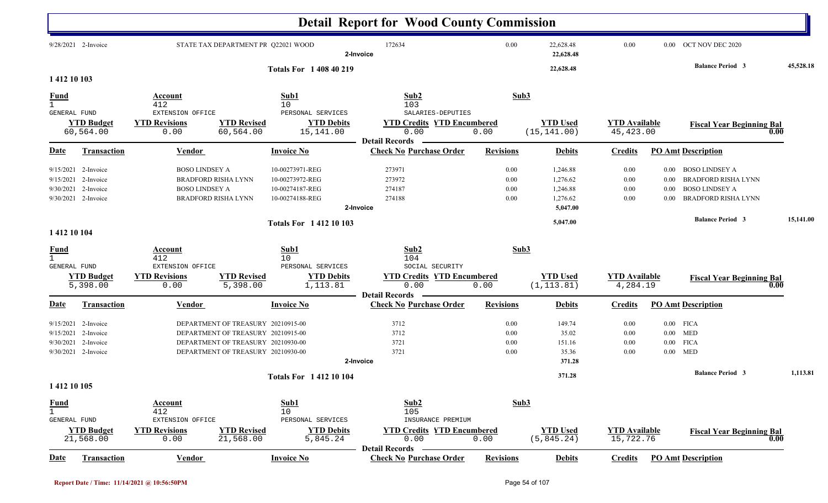|                                                                                                   |                                                                              |                                                                                                                                                      |                                                                          | <b>Detail Report for Wood County Commission</b>                             |                              |                                                          |                                    |                                  |                                                                                                            |           |
|---------------------------------------------------------------------------------------------------|------------------------------------------------------------------------------|------------------------------------------------------------------------------------------------------------------------------------------------------|--------------------------------------------------------------------------|-----------------------------------------------------------------------------|------------------------------|----------------------------------------------------------|------------------------------------|----------------------------------|------------------------------------------------------------------------------------------------------------|-----------|
| 9/28/2021 2-Invoice                                                                               |                                                                              | STATE TAX DEPARTMENT PR Q22021 WOOD                                                                                                                  |                                                                          | 172634<br>2-Invoice                                                         | 0.00                         | 22,628.48<br>22,628.48                                   | 0.00                               | $0.00\,$                         | OCT NOV DEC 2020                                                                                           |           |
| 1 412 10 103                                                                                      |                                                                              |                                                                                                                                                      | <b>Totals For 1 408 40 219</b>                                           |                                                                             |                              | 22,628.48                                                |                                    |                                  | <b>Balance Period 3</b>                                                                                    | 45,528.18 |
| <b>Fund</b><br><b>GENERAL FUND</b>                                                                | Account<br>412<br>EXTENSION OFFICE                                           |                                                                                                                                                      | Sub1<br>10<br>PERSONAL SERVICES                                          | Sub2<br>103<br>SALARIES-DEPUTIES                                            |                              | Sub3                                                     |                                    |                                  |                                                                                                            |           |
| <b>YTD Budget</b><br>60,564.00                                                                    | <b>YTD Revisions</b><br>0.00                                                 | <b>YTD Revised</b><br>60,564.00                                                                                                                      | <b>YTD Debits</b><br>15,141.00                                           | <b>YTD Credits YTD Encumbered</b><br>0.00<br><b>Detail Records</b>          | 0.00                         | <b>YTD Used</b><br>(15, 141.00)                          | <b>YTD</b> Available<br>45, 423.00 |                                  | <b>Fiscal Year Beginning Bal</b><br>0.00                                                                   |           |
| Date<br><b>Transaction</b>                                                                        | <b>Vendor</b>                                                                |                                                                                                                                                      | <b>Invoice No</b>                                                        | <b>Check No Purchase Order</b>                                              | <b>Revisions</b>             | <b>Debits</b>                                            | <b>Credits</b>                     |                                  | <b>PO Amt Description</b>                                                                                  |           |
| 2-Invoice<br>9/15/2021<br>2-Invoice<br>9/15/2021<br>9/30/2021<br>2-Invoice<br>9/30/2021 2-Invoice | <b>BOSO LINDSEY A</b><br><b>BOSO LINDSEY A</b><br><b>BRADFORD RISHA LYNN</b> | <b>BRADFORD RISHA LYNN</b>                                                                                                                           | 10-00273971-REG<br>10-00273972-REG<br>10-00274187-REG<br>10-00274188-REG | 273971<br>273972<br>274187<br>274188<br>2-Invoice                           | 0.00<br>0.00<br>0.00<br>0.00 | 1,246.88<br>1,276.62<br>1,246.88<br>1,276.62<br>5,047.00 | 0.00<br>0.00<br>0.00<br>0.00       | $0.00\,$<br>0.00<br>0.00<br>0.00 | <b>BOSO LINDSEY A</b><br><b>BRADFORD RISHA LYNN</b><br><b>BOSO LINDSEY A</b><br><b>BRADFORD RISHA LYNN</b> |           |
| 1 412 10 104                                                                                      |                                                                              |                                                                                                                                                      | <b>Totals For 141210103</b>                                              |                                                                             |                              | 5,047.00                                                 |                                    |                                  | <b>Balance Period 3</b>                                                                                    | 15,141.00 |
| <b>Fund</b><br>$\mathbf{1}$<br>GENERAL FUND<br><b>YTD</b> Budget<br>5,398.00                      | Account<br>412<br>EXTENSION OFFICE<br><b>YTD Revisions</b><br>0.00           | <b>YTD Revised</b><br>5,398.00                                                                                                                       | Sub1<br>10<br>PERSONAL SERVICES<br><b>YTD Debits</b><br>1,113.81         | Sub2<br>104<br>SOCIAL SECURITY<br><b>YTD Credits YTD Encumbered</b><br>0.00 | 0.00                         | Sub3<br><b>YTD Used</b><br>(1, 113.81)                   | <b>YTD Available</b><br>4,284.19   |                                  | <b>Fiscal Year Beginning Bal</b><br>$\mathbf{0.00}$                                                        |           |
| Date<br><b>Transaction</b>                                                                        | <b>Vendor</b>                                                                |                                                                                                                                                      | <b>Invoice No</b>                                                        | <b>Detail Records</b><br><b>Check No Purchase Order</b>                     | <b>Revisions</b>             | <b>Debits</b>                                            | <b>Credits</b>                     |                                  | <b>PO Amt Description</b>                                                                                  |           |
| 9/15/2021<br>2-Invoice<br>2-Invoice<br>9/15/2021<br>2-Invoice<br>9/30/2021<br>9/30/2021 2-Invoice |                                                                              | DEPARTMENT OF TREASURY 20210915-00<br>DEPARTMENT OF TREASURY 20210915-00<br>DEPARTMENT OF TREASURY 20210930-00<br>DEPARTMENT OF TREASURY 20210930-00 |                                                                          | 3712<br>3712<br>3721<br>3721<br>2-Invoice                                   | 0.00<br>0.00<br>0.00<br>0.00 | 149.74<br>35.02<br>151.16<br>35.36<br>371.28             | 0.00<br>0.00<br>0.00<br>0.00       | $0.00\,$                         | $0.00$ FICA<br>$0.00$ MED<br><b>FICA</b><br>$0.00$ MED                                                     |           |
| 1 412 10 105                                                                                      |                                                                              |                                                                                                                                                      | Totals For 1412 10 104                                                   |                                                                             |                              | 371.28                                                   |                                    |                                  | <b>Balance Period 3</b>                                                                                    | 1,113.81  |
| <u>Fund</u><br>$\mathbf{1}$<br><b>GENERAL FUND</b><br><b>YTD Budget</b>                           | Account<br>412<br>EXTENSION OFFICE<br><b>YTD Revisions</b>                   | <b>YTD Revised</b>                                                                                                                                   | Sub1<br>10<br>PERSONAL SERVICES<br><b>YTD Debits</b>                     | Sub2<br>105<br>INSURANCE PREMIUM<br><b>YTD Credits YTD Encumbered</b>       |                              | Sub3<br><b>YTD Used</b>                                  | <b>YTD Available</b>               |                                  |                                                                                                            |           |
| 21,568.00                                                                                         | 0.00                                                                         | 21,568.00                                                                                                                                            | 5,845.24                                                                 | 0.00<br><b>Detail Records</b>                                               | 0.00                         | (5, 845.24)                                              | 15,722.76                          |                                  | <b>Fiscal Year Beginning Bal</b><br>0.00                                                                   |           |
| Transaction<br>Date                                                                               | Vendor                                                                       |                                                                                                                                                      | <b>Invoice No</b>                                                        | <b>Check No Purchase Order</b>                                              | <b>Revisions</b>             | <b>Debits</b>                                            | <b>Credits</b>                     |                                  | <b>PO Amt Description</b>                                                                                  |           |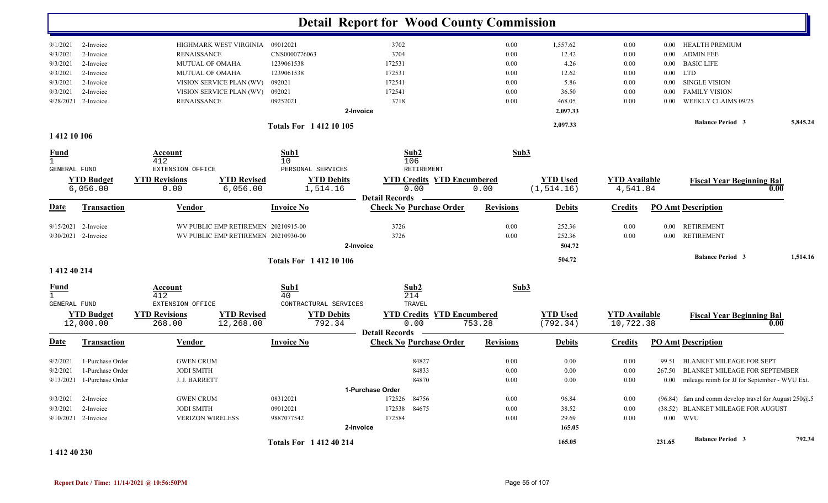|                             |                                |                                     |                                 |                             |                             | <b>Detail Report for Wood County Commission</b>         |                  |                             |                                   |          |                                                            |          |
|-----------------------------|--------------------------------|-------------------------------------|---------------------------------|-----------------------------|-----------------------------|---------------------------------------------------------|------------------|-----------------------------|-----------------------------------|----------|------------------------------------------------------------|----------|
| 9/1/2021                    | 2-Invoice                      | HIGHMARK WEST VIRGINIA              |                                 | 09012021                    |                             | 3702                                                    | 0.00             | 1,557.62                    | 0.00                              | $0.00\,$ | HEALTH PREMIUM                                             |          |
| 9/3/2021                    | 2-Invoice                      | <b>RENAISSANCE</b>                  |                                 | CNS0000776063               |                             | 3704                                                    | 0.00             | 12.42                       | 0.00                              | $0.00\,$ | <b>ADMIN FEE</b>                                           |          |
| 9/3/2021                    | 2-Invoice                      | MUTUAL OF OMAHA                     |                                 | 1239061538                  |                             | 172531                                                  | 0.00             | 4.26                        | 0.00                              | $0.00\,$ | <b>BASIC LIFE</b>                                          |          |
| 9/3/2021                    | 2-Invoice                      | MUTUAL OF OMAHA                     |                                 | 1239061538                  |                             | 172531                                                  | 0.00             | 12.62                       | 0.00                              | $0.00\,$ | <b>LTD</b>                                                 |          |
| 9/3/2021                    | 2-Invoice                      | VISION SERVICE PLAN (WV)            |                                 | 092021                      |                             | 172541                                                  | 0.00             | 5.86                        | 0.00                              | $0.00\,$ | SINGLE VISION                                              |          |
| 9/3/2021                    | 2-Invoice                      | VISION SERVICE PLAN (WV)            |                                 | 092021                      |                             | 172541                                                  | 0.00             | 36.50                       | 0.00                              | $0.00\,$ | <b>FAMILY VISION</b>                                       |          |
|                             | 9/28/2021 2-Invoice            | <b>RENAISSANCE</b>                  |                                 | 09252021                    |                             | 3718                                                    | 0.00             | 468.05                      | 0.00                              | 0.00     | WEEKLY CLAIMS 09/25                                        |          |
|                             |                                |                                     |                                 |                             | 2-Invoice                   |                                                         |                  | 2,097.33                    |                                   |          |                                                            |          |
|                             |                                |                                     |                                 | <b>Totals For 141210105</b> |                             |                                                         |                  | 2,097.33                    |                                   |          | <b>Balance Period 3</b>                                    | 5,845.24 |
| 1 412 10 106                |                                |                                     |                                 |                             |                             |                                                         |                  |                             |                                   |          |                                                            |          |
| <u>Fund</u>                 |                                | Account                             |                                 | Sub1                        |                             | Sub2                                                    | Sub3             |                             |                                   |          |                                                            |          |
| $\mathbf{1}$                |                                | 412                                 |                                 | 10                          |                             | 106                                                     |                  |                             |                                   |          |                                                            |          |
| GENERAL FUND                |                                | EXTENSION OFFICE                    |                                 | PERSONAL SERVICES           |                             | RETIREMENT                                              |                  |                             |                                   |          |                                                            |          |
|                             | <b>YTD Budget</b>              | <b>YTD Revisions</b>                | <b>YTD Revised</b>              |                             | <b>YTD Debits</b>           | <b>YTD Credits YTD Encumbered</b>                       |                  | <b>YTD Used</b>             | <b>YTD</b> Available              |          | <b>Fiscal Year Beginning Bal</b>                           |          |
|                             | 6,056.00                       | 0.00                                | 6,056.00                        | 1,514.16                    |                             | 0.00                                                    | 0.00             | (1, 514.16)                 | 4,541.84                          |          |                                                            | 0.00     |
| Date                        | Transaction                    | <b>Vendor</b>                       |                                 | <b>Invoice No</b>           |                             | <b>Detail Records</b><br><b>Check No Purchase Order</b> | <b>Revisions</b> | <b>Debits</b>               | <b>Credits</b>                    |          | <b>PO Amt Description</b>                                  |          |
|                             | $9/15/2021$ 2-Invoice          | WV PUBLIC EMP RETIREMEN 20210915-00 |                                 |                             |                             | 3726                                                    | 0.00             | 252.36                      | 0.00                              | $0.00\,$ | <b>RETIREMENT</b>                                          |          |
|                             | 9/30/2021 2-Invoice            | WV PUBLIC EMP RETIREMEN 20210930-00 |                                 |                             |                             | 3726                                                    | 0.00             | 252.36                      | 0.00                              | $0.00\,$ | <b>RETIREMENT</b>                                          |          |
|                             |                                |                                     |                                 |                             | 2-Invoice                   |                                                         |                  | 504.72                      |                                   |          |                                                            |          |
|                             |                                |                                     |                                 | <b>Totals For 141210106</b> |                             |                                                         |                  | 504.72                      |                                   |          | <b>Balance Period 3</b>                                    | 1,514.16 |
| 1 412 40 214                |                                |                                     |                                 |                             |                             |                                                         |                  |                             |                                   |          |                                                            |          |
| <u>Fund</u><br>$\mathbf{1}$ |                                | Account<br>412                      |                                 | Sub1<br>40                  |                             | Sub2<br>214                                             | Sub3             |                             |                                   |          |                                                            |          |
| GENERAL FUND                |                                | EXTENSION OFFICE                    |                                 | CONTRACTURAL SERVICES       |                             | TRAVEL                                                  |                  |                             |                                   |          |                                                            |          |
|                             | <b>YTD Budget</b><br>12,000.00 | <b>YTD Revisions</b><br>268.00      | <b>YTD Revised</b><br>12,268.00 |                             | <b>YTD Debits</b><br>792.34 | <b>YTD Credits YTD Encumbered</b><br>0.00               | 753.28           | <b>YTD Used</b><br>(792.34) | <b>YTD Available</b><br>10,722.38 |          | <b>Fiscal Year Beginning Bal</b>                           | 0.00     |
|                             |                                |                                     |                                 |                             |                             | <b>Detail Records</b>                                   |                  |                             |                                   |          |                                                            |          |
| <b>Date</b>                 | Transaction                    | Vendor                              |                                 | <b>Invoice No</b>           |                             | <b>Check No Purchase Order</b>                          | <b>Revisions</b> | <b>Debits</b>               | <b>Credits</b>                    |          | <b>PO Amt Description</b>                                  |          |
| 9/2/2021                    | 1-Purchase Order               | <b>GWEN CRUM</b>                    |                                 |                             |                             | 84827                                                   | 0.00             | 0.00                        | 0.00                              | 99.51    | <b>BLANKET MILEAGE FOR SEPT</b>                            |          |
| 9/2/2021                    | 1-Purchase Order               | <b>JODI SMITH</b>                   |                                 |                             |                             | 84833                                                   | 0.00             | 0.00                        | 0.00                              |          | 267.50 BLANKET MILEAGE FOR SEPTEMBER                       |          |
|                             | 9/13/2021 1-Purchase Order     | J. J. BARRETT                       |                                 |                             |                             | 84870                                                   | $0.00\,$         | $0.00\,$                    | $0.00\,$                          |          | 0.00 mileage reimb for JJ for September - WVU Ext.         |          |
|                             |                                |                                     |                                 |                             | 1-Purchase Order            |                                                         |                  |                             |                                   |          |                                                            |          |
|                             | $9/3/2021$ 2-Invoice           | <b>GWEN CRUM</b>                    |                                 | 08312021                    |                             | 172526 84756                                            | $0.00\,$         | 96.84                       | $0.00\,$                          |          | $(96.84)$ fam and comm develop travel for August 250 $@.5$ |          |
|                             | 9/3/2021 2-Invoice             | <b>JODI SMITH</b>                   |                                 | 09012021                    |                             | 172538 84675                                            | $0.00\,$         | 38.52                       | $0.00\,$                          |          | (38.52) BLANKET MILEAGE FOR AUGUST                         |          |
|                             | 9/10/2021 2-Invoice            | <b>VERIZON WIRELESS</b>             |                                 | 9887077542                  |                             | 172584                                                  | $0.00\,$         | 29.69                       | 0.00                              |          | $0.00$ WVU                                                 |          |
|                             |                                |                                     |                                 |                             | 2-Invoice                   |                                                         |                  | 165.05                      |                                   |          |                                                            |          |
|                             |                                |                                     |                                 | <b>Totals For 141240214</b> |                             |                                                         |                  | 165.05                      |                                   | 231.65   | <b>Balance Period 3</b>                                    | 792.34   |

**1 412 40 230**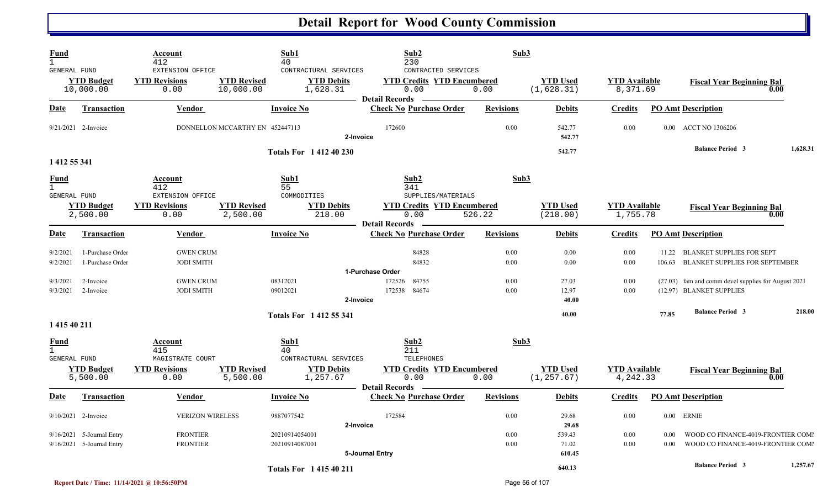| Fund<br>$\mathbf{1}$        |                                      | Account<br>412                                   |                                 | Sub1<br>40                                             | Sub <sub>2</sub><br>230                                                                   | Sub3             |                                |                                  |        |                                                                   |          |
|-----------------------------|--------------------------------------|--------------------------------------------------|---------------------------------|--------------------------------------------------------|-------------------------------------------------------------------------------------------|------------------|--------------------------------|----------------------------------|--------|-------------------------------------------------------------------|----------|
| GENERAL FUND                | <b>YTD Budget</b><br>10,000.00       | EXTENSION OFFICE<br><b>YTD Revisions</b><br>0.00 | <b>YTD Revised</b><br>10,000.00 | CONTRACTURAL SERVICES<br><b>YTD Debits</b><br>1,628.31 | CONTRACTED SERVICES<br><b>YTD Credits YTD Encumbered</b><br>0.00<br><b>Detail Records</b> | 0.00             | <b>YTD Used</b><br>(1,628.31)  | <b>YTD</b> Available<br>8,371.69 |        | <b>Fiscal Year Beginning Bal</b><br>0.00                          |          |
| Date                        | <b>Transaction</b>                   | Vendor                                           |                                 | <b>Invoice No</b>                                      | <b>Check No Purchase Order</b>                                                            | <b>Revisions</b> | <b>Debits</b>                  | <b>Credits</b>                   |        | <b>PO Amt Description</b>                                         |          |
|                             | 9/21/2021 2-Invoice                  |                                                  | DONNELLON MCCARTHY EN 452447113 | 2-Invoice                                              | 172600                                                                                    | 0.00             | 542.77<br>542.77               | 0.00                             |        | 0.00 ACCT NO 1306206                                              |          |
| 1 412 55 341                |                                      |                                                  |                                 | <b>Totals For 141240230</b>                            |                                                                                           |                  | 542.77                         |                                  |        | <b>Balance Period 3</b>                                           | 1,628.31 |
| <u>Fund</u><br>$\mathbf{1}$ |                                      | Account<br>412                                   |                                 | Sub1<br>55                                             | Sub2<br>341                                                                               | Sub3             |                                |                                  |        |                                                                   |          |
| GENERAL FUND                | <b>YTD Budget</b><br>2,500.00        | EXTENSION OFFICE<br><b>YTD Revisions</b><br>0.00 | <b>YTD Revised</b><br>2,500.00  | COMMODITIES<br><b>YTD Debits</b><br>218.00             | SUPPLIES/MATERIALS<br><b>YTD Credits YTD Encumbered</b><br>0.00                           | 526.22           | <b>YTD</b> Used<br>(218.00)    | <b>YTD</b> Available<br>1,755.78 |        | <b>Fiscal Year Beginning Bal</b><br>0.00                          |          |
| Date                        | <b>Transaction</b>                   | Vendor                                           |                                 | <b>Invoice No</b>                                      | <b>Detail Records</b><br><b>Check No Purchase Order</b>                                   | <b>Revisions</b> | <b>Debits</b>                  | <b>Credits</b>                   |        | <b>PO Amt Description</b>                                         |          |
| 9/2/2021<br>9/2/2021        | 1-Purchase Order<br>1-Purchase Order | <b>GWEN CRUM</b><br><b>JODI SMITH</b>            |                                 |                                                        | 84828<br>84832                                                                            | 0.00<br>0.00     | 0.00<br>0.00                   | 0.00<br>0.00                     | 106.63 | 11.22 BLANKET SUPPLIES FOR SEPT<br>BLANKET SUPPLIES FOR SEPTEMBER |          |
|                             |                                      |                                                  |                                 |                                                        | 1-Purchase Order                                                                          |                  |                                |                                  |        |                                                                   |          |
| 9/3/2021                    | 2-Invoice                            | <b>GWEN CRUM</b>                                 |                                 | 08312021                                               | 84755<br>172526                                                                           | 0.00             | 27.03                          | 0.00                             |        | (27.03) fam and comm devel supplies for August 2021               |          |
| 9/3/2021                    | 2-Invoice                            | <b>JODI SMITH</b>                                |                                 | 09012021                                               | 172538<br>84674                                                                           | 0.00             | 12.97                          | 0.00                             |        | (12.97) BLANKET SUPPLIES                                          |          |
|                             |                                      |                                                  |                                 | 2-Invoice                                              |                                                                                           |                  | 40.00                          |                                  |        |                                                                   |          |
| 1 415 40 211                |                                      |                                                  |                                 | <b>Totals For 141255341</b>                            |                                                                                           |                  | 40.00                          |                                  | 77.85  | <b>Balance Period 3</b>                                           | 218.00   |
| <u>Fund</u><br>$\mathbf{1}$ |                                      | Account<br>415                                   |                                 | Sub1<br>40                                             | Sub2<br>211                                                                               | Sub3             |                                |                                  |        |                                                                   |          |
| <b>GENERAL FUND</b>         | <b>YTD Budget</b><br>5,500.00        | MAGISTRATE COURT<br><b>YTD Revisions</b><br>0.00 | <b>YTD Revised</b><br>5,500.00  | CONTRACTURAL SERVICES<br><b>YTD Debits</b><br>1,257.67 | TELEPHONES<br><b>YTD Credits YTD Encumbered</b><br>0.00<br><b>Detail Records</b>          | 0.00             | <b>YTD Used</b><br>(1, 257.67) | <b>YTD</b> Available<br>4,242.33 |        | <b>Fiscal Year Beginning Bal</b><br>0.00                          |          |
| Date                        | Transaction                          | Vendor                                           |                                 | <b>Invoice No</b>                                      | <b>Check No Purchase Order</b>                                                            | <b>Revisions</b> | <b>Debits</b>                  | Credits                          |        | <b>PO Amt Description</b>                                         |          |
|                             | $9/10/2021$ 2-Invoice                | <b>VERIZON WIRELESS</b>                          |                                 | 9887077542<br>2-Invoice                                | 172584                                                                                    | 0.00             | 29.68<br>29.68                 | 0.00                             |        | $0.00$ ERNIE                                                      |          |
|                             | 9/16/2021 5-Journal Entry            | <b>FRONTIER</b>                                  |                                 | 20210914054001                                         |                                                                                           | 0.00             | 539.43                         | 0.00                             | 0.00   | WOOD CO FINANCE-4019-FRONTIER COMI                                |          |
|                             | 9/16/2021 5-Journal Entry            | <b>FRONTIER</b>                                  |                                 | 20210914087001                                         | 5-Journal Entry                                                                           | 0.00             | 71.02<br>610.45                | 0.00                             | 0.00   | WOOD CO FINANCE-4019-FRONTIER COMI                                |          |
|                             |                                      |                                                  |                                 | <b>Totals For 141540211</b>                            |                                                                                           |                  | 640.13                         |                                  |        | <b>Balance Period 3</b>                                           | 1,257.67 |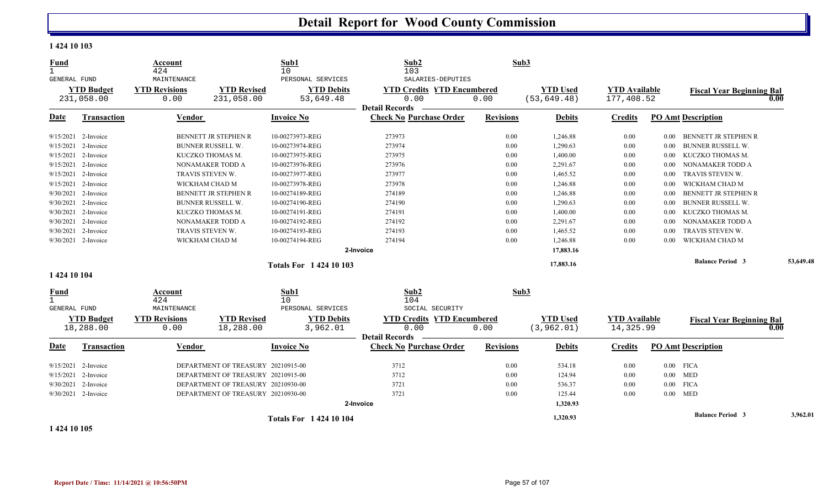#### **1 424 10 103**

| <b>Fund</b><br>$\mathbf{1}$<br><b>GENERAL FUND</b> |                                 | Account<br>424<br>MAINTENANCE |                                    | Sub1<br>10<br>PERSONAL SERVICES | Sub2<br>103<br>SALARIES-DEPUTIES                                   |                  | Sub3                            |                                    |                           |                                  |           |
|----------------------------------------------------|---------------------------------|-------------------------------|------------------------------------|---------------------------------|--------------------------------------------------------------------|------------------|---------------------------------|------------------------------------|---------------------------|----------------------------------|-----------|
|                                                    | <b>YTD Budget</b><br>231,058.00 | <b>YTD Revisions</b><br>0.00  | <b>YTD Revised</b><br>231,058.00   | <b>YTD Debits</b><br>53,649.48  | <b>YTD Credits YTD Encumbered</b><br>0.00<br><b>Detail Records</b> | 0.00             | <b>YTD Used</b><br>(53, 649.48) | <b>YTD Available</b><br>177,408.52 |                           | <b>Fiscal Year Beginning Bal</b> | 0.00      |
| <b>Date</b>                                        | <b>Transaction</b>              | Vendor                        |                                    | <b>Invoice No</b>               | <b>Check No Purchase Order</b>                                     | <b>Revisions</b> | <b>Debits</b>                   | <b>Credits</b>                     | <b>PO Amt Description</b> |                                  |           |
| 9/15/2021                                          | 2-Invoice                       |                               | BENNETT JR STEPHEN R               | 10-00273973-REG                 | 273973                                                             | 0.00             | 1,246.88                        | 0.00                               | $0.00\,$                  | BENNETT JR STEPHEN R             |           |
| 9/15/2021                                          | 2-Invoice                       |                               | <b>BUNNER RUSSELL W.</b>           | 10-00273974-REG                 | 273974                                                             | 0.00             | 1,290.63                        | 0.00                               | 0.00                      | <b>BUNNER RUSSELL W.</b>         |           |
| 9/15/2021                                          | 2-Invoice                       |                               | KUCZKO THOMAS M.                   | 10-00273975-REG                 | 273975                                                             | 0.00             | 1,400.00                        | 0.00                               | 0.00                      | KUCZKO THOMAS M.                 |           |
| 9/15/2021                                          | 2-Invoice                       |                               | NONAMAKER TODD A                   | 10-00273976-REG                 | 273976                                                             | 0.00             | 2,291.67                        | 0.00                               | 0.00                      | NONAMAKER TODD A                 |           |
| 9/15/2021                                          | 2-Invoice                       | TRAVIS STEVEN W.              |                                    | 10-00273977-REG                 | 273977                                                             | 0.00             | 1,465.52                        | 0.00                               | 0.00                      | TRAVIS STEVEN W.                 |           |
| 9/15/2021                                          | 2-Invoice                       |                               | WICKHAM CHAD M                     | 10-00273978-REG                 | 273978                                                             | 0.00             | 1,246.88                        | 0.00                               | 0.00                      | WICKHAM CHAD M                   |           |
| 9/30/2021                                          | 2-Invoice                       |                               | BENNETT JR STEPHEN R               | 10-00274189-REG                 | 274189                                                             | 0.00             | 1,246.88                        | 0.00                               | 0.00                      | BENNETT JR STEPHEN R             |           |
|                                                    | 9/30/2021 2-Invoice             |                               | <b>BUNNER RUSSELL W.</b>           | 10-00274190-REG                 | 274190                                                             | 0.00             | 1,290.63                        | 0.00                               | 0.00                      | <b>BUNNER RUSSELL W.</b>         |           |
|                                                    | $9/30/2021$ 2-Invoice           |                               | KUCZKO THOMAS M.                   | 10-00274191-REG                 | 274191                                                             | 0.00             | 1,400.00                        | 0.00                               | 0.00                      | KUCZKO THOMAS M.                 |           |
|                                                    | $9/30/2021$ 2-Invoice           |                               | NONAMAKER TODD A                   | 10-00274192-REG                 | 274192                                                             | 0.00             | 2,291.67                        | 0.00                               | 0.00                      | NONAMAKER TODD A                 |           |
|                                                    | 9/30/2021 2-Invoice             | TRAVIS STEVEN W.              |                                    | 10-00274193-REG                 | 274193                                                             | 0.00             | 1,465.52                        | 0.00                               | 0.00                      | TRAVIS STEVEN W.                 |           |
|                                                    | 9/30/2021 2-Invoice             |                               | WICKHAM CHAD M                     | 10-00274194-REG                 | 274194                                                             | 0.00             | 1,246.88                        | 0.00                               | 0.00                      | WICKHAM CHAD M                   |           |
|                                                    |                                 |                               |                                    |                                 | 2-Invoice                                                          |                  | 17,883.16                       |                                    |                           |                                  |           |
|                                                    |                                 |                               |                                    | <b>Totals For 142410103</b>     |                                                                    |                  | 17,883.16                       |                                    |                           | <b>Balance Period 3</b>          | 53,649.48 |
| 1 424 10 104                                       |                                 |                               |                                    |                                 |                                                                    |                  |                                 |                                    |                           |                                  |           |
| Fund                                               |                                 | Account<br>424                |                                    | Sub1<br>10                      | Sub2<br>104                                                        |                  | Sub3                            |                                    |                           |                                  |           |
| GENERAL FUND                                       |                                 | MAINTENANCE                   |                                    | PERSONAL SERVICES               | SOCIAL SECURITY                                                    |                  |                                 |                                    |                           |                                  |           |
|                                                    | <b>YTD Budget</b><br>18,288.00  | <b>YTD Revisions</b><br>0.00  | <b>YTD Revised</b><br>18,288.00    | <b>YTD Debits</b><br>3,962.01   | <b>YTD Credits YTD Encumbered</b><br>0.00<br><b>Detail Records</b> | 0.00             | <b>YTD Used</b><br>(3, 962.01)  | <b>YTD Available</b><br>14,325.99  |                           | <b>Fiscal Year Beginning Bal</b> | 0.00      |
| <b>Date</b>                                        | <b>Transaction</b>              | <b>Vendor</b>                 |                                    | <b>Invoice No</b>               | <b>Check No Purchase Order</b>                                     | <b>Revisions</b> | <b>Debits</b>                   | <b>Credits</b>                     | <b>PO Amt Description</b> |                                  |           |
|                                                    | $9/15/2021$ 2-Invoice           |                               | DEPARTMENT OF TREASURY 20210915-00 |                                 | 3712                                                               | 0.00             | 534.18                          | 0.00                               | $0.00$ FICA               |                                  |           |
|                                                    | 9/15/2021 2-Invoice             |                               | DEPARTMENT OF TREASURY 20210915-00 |                                 | 3712                                                               | 0.00             | 124.94                          | 0.00                               | $0.00$ MED                |                                  |           |
| 9/30/2021                                          | 2-Invoice                       |                               | DEPARTMENT OF TREASURY 20210930-00 |                                 | 3721                                                               | 0.00             | 536.37                          | 0.00                               | $0.00$ FICA               |                                  |           |
|                                                    | 9/30/2021 2-Invoice             |                               | DEPARTMENT OF TREASURY 20210930-00 |                                 | 3721                                                               | 0.00             | 125.44                          | 0.00                               | $0.00$ MED                |                                  |           |
|                                                    |                                 |                               |                                    |                                 | 2-Invoice                                                          |                  | 1,320.93                        |                                    |                           |                                  |           |
|                                                    |                                 |                               |                                    | <b>Totals For 142410104</b>     |                                                                    |                  | 1,320.93                        |                                    |                           | <b>Balance Period 3</b>          | 3,962.01  |

**1 424 10 105**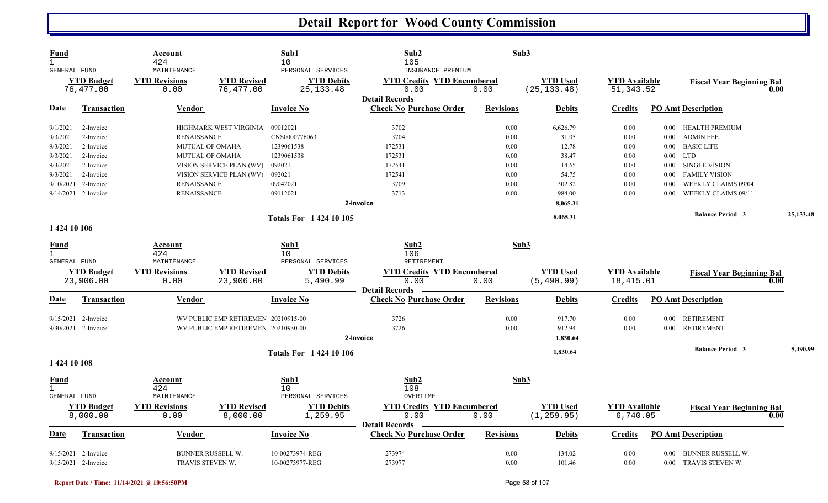| <b>Fund</b><br>$\mathbf{1}$<br>GENERAL FUND |                                | Account<br>424<br>MAINTENANCE |                                     | Sub1<br>10<br>PERSONAL SERVICES              | Sub2<br>105<br>INSURANCE PREMIUM                                   |                  | Sub3                            |                                    |          |                                          |           |
|---------------------------------------------|--------------------------------|-------------------------------|-------------------------------------|----------------------------------------------|--------------------------------------------------------------------|------------------|---------------------------------|------------------------------------|----------|------------------------------------------|-----------|
|                                             | <b>YTD Budget</b><br>76,477.00 | <b>YTD Revisions</b><br>0.00  | <b>YTD Revised</b><br>76,477.00     | <b>YTD Debits</b><br>25, 133. 48             | <b>YTD Credits YTD Encumbered</b><br>0.00<br><b>Detail Records</b> | 0.00             | <b>YTD Used</b><br>(25, 133.48) | <b>YTD Available</b><br>51, 343.52 |          | <b>Fiscal Year Beginning Bal</b><br>0.00 |           |
| <u>Date</u>                                 | <b>Transaction</b>             | <b>Vendor</b>                 |                                     | <b>Invoice No</b>                            | <b>Check No Purchase Order</b>                                     | <b>Revisions</b> | <b>Debits</b>                   | <b>Credits</b>                     |          | <b>PO Amt Description</b>                |           |
| 9/1/2021                                    | 2-Invoice                      |                               | HIGHMARK WEST VIRGINIA              | 09012021                                     | 3702                                                               | 0.00             | 6,626.79                        | 0.00                               | $0.00\,$ | <b>HEALTH PREMIUM</b>                    |           |
| 9/3/2021                                    | 2-Invoice                      | <b>RENAISSANCE</b>            |                                     | CNS0000776063                                | 3704                                                               | 0.00             | 31.05                           | 0.00                               | $0.00\,$ | <b>ADMIN FEE</b>                         |           |
| 9/3/2021                                    | 2-Invoice                      | MUTUAL OF OMAHA               |                                     | 1239061538                                   | 172531                                                             | 0.00             | 12.78                           | 0.00                               | 0.00     | <b>BASIC LIFE</b>                        |           |
| 9/3/2021                                    | 2-Invoice                      | <b>MUTUAL OF OMAHA</b>        |                                     | 1239061538                                   | 172531                                                             | 0.00             | 38.47                           | 0.00                               | $0.00\,$ | <b>LTD</b>                               |           |
| 9/3/2021                                    | 2-Invoice                      |                               | VISION SERVICE PLAN (WV)            | 092021                                       | 172541                                                             | 0.00             | 14.65                           | 0.00                               | $0.00\,$ | <b>SINGLE VISION</b>                     |           |
| 9/3/2021                                    | 2-Invoice                      |                               | VISION SERVICE PLAN (WV)            | 092021                                       | 172541                                                             | 0.00             | 54.75                           | 0.00                               | 0.00     | <b>FAMILY VISION</b>                     |           |
|                                             | 9/10/2021 2-Invoice            | <b>RENAISSANCE</b>            |                                     | 09042021                                     | 3709                                                               | 0.00             | 302.82                          | 0.00                               | 0.00     | WEEKLY CLAIMS 09/04                      |           |
|                                             | 9/14/2021 2-Invoice            | <b>RENAISSANCE</b>            |                                     | 09112021                                     | 3713                                                               | 0.00             | 984.00                          | 0.00                               | 0.00     | WEEKLY CLAIMS 09/11                      |           |
|                                             |                                |                               |                                     |                                              | 2-Invoice                                                          |                  | 8,065.31                        |                                    |          |                                          |           |
|                                             |                                |                               |                                     | <b>Totals For 142410105</b>                  |                                                                    |                  | 8,065.31                        |                                    |          | <b>Balance Period 3</b>                  | 25,133.48 |
| 1 424 10 106                                |                                |                               |                                     |                                              |                                                                    |                  |                                 |                                    |          |                                          |           |
| <u>Fund</u><br>$\mathbf{1}$<br>GENERAL FUND |                                | Account<br>424<br>MAINTENANCE |                                     | Sub1<br>10 <sup>°</sup><br>PERSONAL SERVICES | Sub2<br>106<br>RETIREMENT                                          |                  | Sub3                            |                                    |          |                                          |           |
|                                             |                                |                               |                                     |                                              |                                                                    |                  |                                 |                                    |          |                                          |           |
|                                             | <b>YTD Budget</b><br>23,906.00 | <b>YTD Revisions</b><br>0.00  | <b>YTD Revised</b><br>23,906.00     | <b>YTD Debits</b><br>5,490.99                | <b>YTD Credits YTD Encumbered</b><br>0.00                          | 0.00             | <b>YTD</b> Used<br>(5, 490.99)  | <b>YTD</b> Available<br>18,415.01  |          | <b>Fiscal Year Beginning Bal</b><br>0.00 |           |
|                                             |                                |                               |                                     |                                              | <b>Detail Records</b>                                              |                  |                                 |                                    |          |                                          |           |
| Date                                        | <b>Transaction</b>             | Vendor                        |                                     | <b>Invoice No</b>                            | <b>Check No Purchase Order</b>                                     | <b>Revisions</b> | <b>Debits</b>                   | <b>Credits</b>                     |          | <b>PO Amt Description</b>                |           |
|                                             | 9/15/2021 2-Invoice            |                               | WV PUBLIC EMP RETIREMEN 20210915-00 |                                              | 3726                                                               | 0.00             | 917.70                          | 0.00                               | $0.00\,$ | <b>RETIREMENT</b>                        |           |
|                                             | $9/30/2021$ 2-Invoice          |                               | WV PUBLIC EMP RETIREMEN 20210930-00 |                                              | 3726                                                               | 0.00             | 912.94                          | 0.00                               | 0.00     | <b>RETIREMENT</b>                        |           |
|                                             |                                |                               |                                     |                                              | 2-Invoice                                                          |                  | 1,830.64                        |                                    |          |                                          |           |
|                                             |                                |                               |                                     | <b>Totals For 142410106</b>                  |                                                                    |                  | 1,830.64                        |                                    |          | <b>Balance Period 3</b>                  | 5,490.99  |
| 1 424 10 108                                |                                |                               |                                     |                                              |                                                                    |                  |                                 |                                    |          |                                          |           |
| <b>Fund</b>                                 |                                | Account                       |                                     | Sub1                                         | Sub2                                                               |                  | Sub3                            |                                    |          |                                          |           |
| $\mathbf{1}$                                |                                | 424                           |                                     | 10                                           | 108                                                                |                  |                                 |                                    |          |                                          |           |
| <b>GENERAL FUND</b>                         |                                | MAINTENANCE                   |                                     | PERSONAL SERVICES                            | OVERTIME                                                           |                  |                                 |                                    |          |                                          |           |
|                                             | <b>YTD Budget</b>              | <b>YTD Revisions</b>          | <b>YTD Revised</b>                  | <b>YTD Debits</b>                            | <b>YTD Credits YTD Encumbered</b>                                  |                  | <b>YTD Used</b>                 | <b>YTD Available</b>               |          | <b>Fiscal Year Beginning Bal</b>         |           |
|                                             | 8,000.00                       | 0.00                          | 8,000.00                            | 1,259.95                                     | 0.00                                                               | 0.00             | (1, 259.95)                     | 6,740.05                           |          | 0.00                                     |           |
| Date                                        | Transaction                    | Vendor                        |                                     | <b>Invoice No</b>                            | <b>Detail Records</b><br><b>Check No Purchase Order</b>            | <b>Revisions</b> | <b>Debits</b>                   | <b>Credits</b>                     |          | <b>PO Amt Description</b>                |           |
|                                             | $9/15/2021$ 2-Invoice          | BUNNER RUSSELL W.             |                                     | 10-00273974-REG                              | 273974                                                             | 0.00             | 134.02                          | 0.00                               | 0.00     | BUNNER RUSSELL W.                        |           |
|                                             | 9/15/2021 2-Invoice            | TRAVIS STEVEN W.              |                                     | 10-00273977-REG                              | 273977                                                             | 0.00             | 101.46                          | 0.00                               |          | 0.00 TRAVIS STEVEN W.                    |           |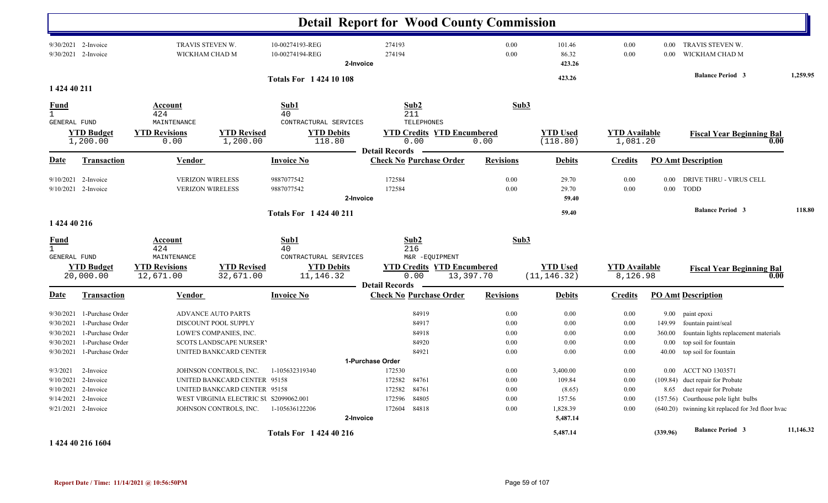|                             |                                            |                                                    |                                        |                                                           |                  | <b>Detail Report for Wood County Commission</b>             |                  |                                 |                                  |                  |                                                   |           |
|-----------------------------|--------------------------------------------|----------------------------------------------------|----------------------------------------|-----------------------------------------------------------|------------------|-------------------------------------------------------------|------------------|---------------------------------|----------------------------------|------------------|---------------------------------------------------|-----------|
|                             | 9/30/2021 2-Invoice<br>9/30/2021 2-Invoice | TRAVIS STEVEN W.<br>WICKHAM CHAD M                 |                                        | 10-00274193-REG<br>10-00274194-REG                        | 2-Invoice        | 274193<br>274194                                            | 0.00<br>0.00     | 101.46<br>86.32<br>423.26       | 0.00<br>0.00                     | $0.00\,$<br>0.00 | TRAVIS STEVEN W.<br>WICKHAM CHAD M                |           |
|                             |                                            |                                                    |                                        | <b>Totals For 142410108</b>                               |                  |                                                             |                  | 423.26                          |                                  |                  | <b>Balance Period 3</b>                           | 1,259.95  |
| 1 424 40 211                |                                            |                                                    |                                        |                                                           |                  |                                                             |                  |                                 |                                  |                  |                                                   |           |
| Fund<br>$\mathbf{1}$        |                                            | Account<br>424                                     |                                        | Sub1<br>40                                                |                  | Sub2<br>211                                                 | Sub3             |                                 |                                  |                  |                                                   |           |
| <b>GENERAL FUND</b>         | <b>YTD Budget</b><br>1,200.00              | MAINTENANCE<br><b>YTD Revisions</b><br>0.00        | <b>YTD Revised</b><br>1,200.00         | CONTRACTURAL SERVICES<br><b>YTD Debits</b><br>118.80      |                  | TELEPHONES<br><b>YTD Credits YTD Encumbered</b><br>0.00     | 0.00             | <b>YTD</b> Used<br>(118.80)     | <b>YTD</b> Available<br>1,081.20 |                  | <b>Fiscal Year Beginning Bal</b><br>0.00          |           |
|                             |                                            |                                                    |                                        |                                                           |                  | <b>Detail Records</b>                                       |                  |                                 |                                  |                  |                                                   |           |
| Date                        | Transaction                                | Vendor                                             |                                        | <b>Invoice No</b>                                         |                  | <b>Check No Purchase Order</b>                              | <b>Revisions</b> | <b>Debits</b>                   | <b>Credits</b>                   |                  | <b>PO Amt Description</b>                         |           |
| 9/10/2021                   | 2-Invoice<br>9/10/2021 2-Invoice           | <b>VERIZON WIRELESS</b><br><b>VERIZON WIRELESS</b> |                                        | 9887077542<br>9887077542                                  | 2-Invoice        | 172584<br>172584                                            | 0.00<br>0.00     | 29.70<br>29.70<br>59.40         | 0.00<br>0.00                     | 0.00<br>$0.00\,$ | DRIVE THRU - VIRUS CELL<br>TODD                   |           |
|                             |                                            |                                                    |                                        |                                                           |                  |                                                             |                  |                                 |                                  |                  | <b>Balance Period 3</b>                           | 118.80    |
| 1 424 40 216                |                                            |                                                    |                                        | <b>Totals For 142440211</b>                               |                  |                                                             |                  | 59.40                           |                                  |                  |                                                   |           |
| <u>Fund</u><br>$\mathbf{1}$ |                                            | Account<br>424                                     |                                        | Sub1<br>40                                                |                  | Sub2<br>216                                                 | Sub3             |                                 |                                  |                  |                                                   |           |
| <b>GENERAL FUND</b>         | <b>YTD Budget</b><br>20,000.00             | MAINTENANCE<br><b>YTD Revisions</b><br>12,671.00   | <b>YTD Revised</b><br>32,671.00        | CONTRACTURAL SERVICES<br><b>YTD Debits</b><br>11, 146. 32 |                  | M&R -EQUIPMENT<br><b>YTD Credits YTD Encumbered</b><br>0.00 | 13,397.70        | <b>YTD</b> Used<br>(11, 146.32) | <b>YTD</b> Available<br>8,126.98 |                  | <b>Fiscal Year Beginning Bal</b><br>0.00          |           |
| Date                        | <b>Transaction</b>                         | <b>Vendor</b>                                      |                                        | <b>Invoice No</b>                                         |                  | <b>Detail Records</b><br><b>Check No Purchase Order</b>     | <b>Revisions</b> | <b>Debits</b>                   | <b>Credits</b>                   |                  | <b>PO Amt Description</b>                         |           |
| 9/30/2021                   | 1-Purchase Order                           |                                                    | <b>ADVANCE AUTO PARTS</b>              |                                                           |                  | 84919                                                       | 0.00             | 0.00                            | $0.00\,$                         | 9.00             | paint epoxi                                       |           |
| 9/30/2021                   | 1-Purchase Order                           |                                                    | DISCOUNT POOL SUPPLY                   |                                                           |                  | 84917                                                       | 0.00             | 0.00                            | 0.00                             | 149.99           | fountain paint/seal                               |           |
| 9/30/2021                   | 1-Purchase Order                           |                                                    | LOWE'S COMPANIES, INC.                 |                                                           |                  | 84918                                                       | 0.00             | 0.00                            | 0.00                             | 360.00           | fountain lights replacement materials             |           |
| 9/30/2021                   | 1-Purchase Order                           |                                                    | <b>SCOTS LANDSCAPE NURSER'</b>         |                                                           |                  | 84920                                                       | 0.00             | 0.00                            | 0.00                             | $0.00\,$         | top soil for fountain                             |           |
| 9/30/2021                   | 1-Purchase Order                           |                                                    | UNITED BANKCARD CENTER                 |                                                           |                  | 84921                                                       | 0.00             | 0.00                            | 0.00                             | 40.00            | top soil for fountain                             |           |
|                             |                                            |                                                    |                                        |                                                           | 1-Purchase Order |                                                             |                  |                                 |                                  |                  |                                                   |           |
| 9/3/2021                    | 2-Invoice                                  |                                                    | JOHNSON CONTROLS, INC.                 | 1-105632319340                                            |                  | 172530                                                      | 0.00             | 3,400.00                        | 0.00                             | $0.00\,$         | <b>ACCT NO 1303571</b>                            |           |
| 9/10/2021                   | 2-Invoice                                  |                                                    | UNITED BANKCARD CENTER 95158           |                                                           |                  | 172582<br>84761                                             | 0.00             | 109.84                          | 0.00                             |                  | (109.84) duct repair for Probate                  |           |
| 9/10/2021                   | 2-Invoice                                  |                                                    | UNITED BANKCARD CENTER 95158           |                                                           |                  | 172582<br>84761                                             | 0.00             | (8.65)                          | 0.00                             |                  | 8.65 duct repair for Probate                      |           |
| 9/14/2021                   | 2-Invoice                                  |                                                    | WEST VIRGINIA ELECTRIC SU S2099062.001 |                                                           |                  | 172596<br>84805                                             | 0.00             | 157.56                          | 0.00                             | (157.56)         | Courthouse pole light bulbs                       |           |
| 9/21/2021                   | 2-Invoice                                  |                                                    | JOHNSON CONTROLS, INC.                 | 1-105636122206                                            | 2-Invoice        | 172604<br>84818                                             | 0.00             | 1,828.39<br>5,487.14            | 0.00                             |                  | (640.20) twinning kit replaced for 3rd floor hvac |           |
|                             |                                            |                                                    |                                        | <b>Totals For 142440216</b>                               |                  |                                                             |                  | 5,487.14                        |                                  | (339.96)         | <b>Balance Period 3</b>                           | 11,146.32 |

**1 424 40 216 1604**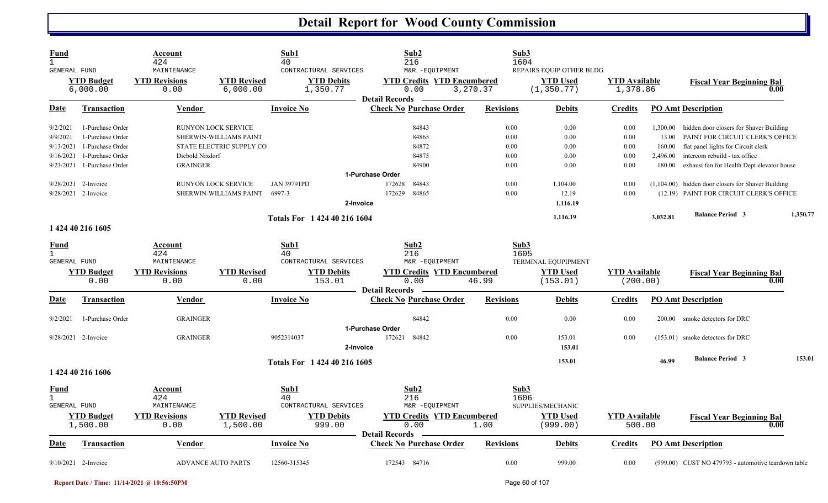| Fund<br><b>GENERAL FUND</b> |                               | Account<br>424<br>MAINTENANCE |                                | Sub1<br>40<br>CONTRACTURAL SERVICES | Sub2<br>216<br>M&R -EQUIPMENT                                      |                  | Sub3<br>1604<br>REPAIRS EQUIP OTHER BLDG |                                  |          |                                                      |          |
|-----------------------------|-------------------------------|-------------------------------|--------------------------------|-------------------------------------|--------------------------------------------------------------------|------------------|------------------------------------------|----------------------------------|----------|------------------------------------------------------|----------|
|                             | <b>YTD Budget</b><br>6,000.00 | <b>YTD Revisions</b><br>0.00  | <b>YTD Revised</b><br>6,000.00 | <b>YTD Debits</b><br>1,350.77       | <b>YTD Credits YTD Encumbered</b><br>0.00<br><b>Detail Records</b> | 3,270.37         | <b>YTD</b> Used<br>(1, 350.77)           | <b>YTD</b> Available<br>1,378.86 |          | <b>Fiscal Year Beginning Bal</b><br>0.00             |          |
| Date                        | Transaction                   | <b>Vendor</b>                 |                                | <b>Invoice No</b>                   | <b>Check No Purchase Order</b>                                     | <b>Revisions</b> | <b>Debits</b>                            | Credits                          |          | <b>PO Amt Description</b>                            |          |
| 9/2/2021                    | 1-Purchase Order              |                               | <b>RUNYON LOCK SERVICE</b>     |                                     | 84843                                                              | 0.00             | 0.00                                     | 0.00                             | 1,300.00 | hidden door closers for Shaver Building              |          |
| 9/9/2021                    | 1-Purchase Order              |                               | SHERWIN-WILLIAMS PAINT         |                                     | 84865                                                              | 0.00             | 0.00                                     | 0.00                             | 13.00    | PAINT FOR CIRCUIT CLERK'S OFFICE                     |          |
| 9/13/2021                   | 1-Purchase Order              |                               | STATE ELECTRIC SUPPLY CO       |                                     | 84872                                                              | 0.00             | 0.00                                     | 0.00                             | 160.00   | flat panel lights for Circuit clerk                  |          |
| 9/16/2021                   | 1-Purchase Order              | Diebold Nixdorf               |                                |                                     | 84875                                                              | 0.00             | 0.00                                     | 0.00                             | 2,496.00 | intercom rebuild - tax office                        |          |
| 9/23/2021                   | 1-Purchase Order              | <b>GRAINGER</b>               |                                |                                     | 84900                                                              | 0.00             | 0.00                                     | 0.00                             | 180.00   | exhaust fan for Health Dept elevator house           |          |
|                             |                               |                               |                                |                                     | 1-Purchase Order                                                   |                  |                                          |                                  |          |                                                      |          |
|                             | 9/28/2021 2-Invoice           |                               | <b>RUNYON LOCK SERVICE</b>     | <b>JAN 39791PD</b>                  | 84843<br>172628                                                    | 0.00             | 1,104.00                                 | 0.00                             |          | $(1,104.00)$ hidden door closers for Shaver Building |          |
|                             | 9/28/2021 2-Invoice           |                               | SHERWIN-WILLIAMS PAINT         | 6997-3                              | 84865<br>172629                                                    | 0.00             | 12.19                                    | 0.00                             |          | (12.19) PAINT FOR CIRCUIT CLERK'S OFFICE             |          |
|                             |                               |                               |                                |                                     | 2-Invoice                                                          |                  | 1.116.19                                 |                                  |          |                                                      |          |
|                             |                               |                               |                                | Totals For 1 424 40 216 1604        |                                                                    |                  | 1,116.19                                 |                                  | 3,032.81 | <b>Balance Period 3</b>                              | 1.350.77 |
|                             | 1 424 40 216 1605             |                               |                                |                                     |                                                                    |                  |                                          |                                  |          |                                                      |          |
| Fund                        |                               | Account                       |                                | Sub1                                | Sub2                                                               |                  | Sub3                                     |                                  |          |                                                      |          |
| $\mathbf{1}$                |                               | 424                           |                                | 40                                  | 216                                                                |                  | 1605                                     |                                  |          |                                                      |          |
| <b>GENERAL FUND</b>         |                               | MAINTENANCE                   |                                | CONTRACTURAL SERVICES               | M&R -EQUIPMENT                                                     |                  | TERMINAL EQUPIPMENT                      |                                  |          |                                                      |          |
|                             | <b>YTD Budget</b>             | <b>YTD Revisions</b>          | <b>YTD Revised</b>             | <b>YTD Debits</b>                   | <b>YTD Credits YTD Encumbered</b>                                  |                  | <b>YTD Used</b>                          | <b>YTD Available</b>             |          | <b>Fiscal Year Beginning Bal</b>                     |          |
|                             | 0.00                          | 0.00                          | 0.00                           | 153.01                              | 0.00                                                               | 46.99            | (153.01)                                 | (200.00)                         |          | 0.00                                                 |          |
|                             |                               |                               |                                |                                     | <b>Detail Records</b>                                              |                  |                                          |                                  |          |                                                      |          |
| Date                        | <b>Transaction</b>            | Vendor                        |                                | <b>Invoice No</b>                   | <b>Check No Purchase Order</b>                                     | <b>Revisions</b> | <b>Debits</b>                            | <u>Credits</u>                   |          | <b>PO_Amt</b> Description                            |          |
| 9/2/2021                    | 1-Purchase Order              | <b>GRAINGER</b>               |                                |                                     | 84842                                                              | 0.00             | 0.00                                     | 0.00                             | 200.00   | smoke detectors for DRC                              |          |
|                             |                               |                               |                                |                                     | 1-Purchase Order                                                   |                  |                                          |                                  |          |                                                      |          |
|                             | 9/28/2021 2-Invoice           | <b>GRAINGER</b>               |                                | 9052314037                          | 172621<br>84842<br>2-Invoice                                       | 0.00             | 153.01<br>153.01                         | 0.00                             |          | (153.01) smoke detectors for DRC                     |          |
|                             |                               |                               |                                | Totals For 1 424 40 216 1605        |                                                                    |                  | 153.01                                   |                                  | 46.99    | <b>Balance Period 3</b>                              | 153.01   |
|                             | 1 424 40 216 1606             |                               |                                |                                     |                                                                    |                  |                                          |                                  |          |                                                      |          |
| Fund                        |                               | Account                       |                                | Sub1                                | Sub2                                                               |                  | Sub3                                     |                                  |          |                                                      |          |
|                             |                               | 424                           |                                | 40                                  | 216                                                                |                  | 1606                                     |                                  |          |                                                      |          |
| GENERAL FUND                |                               | MAINTENANCE                   |                                | CONTRACTURAL SERVICES               | M&R -EQUIPMENT                                                     |                  | SUPPLIES/MECHANIC                        |                                  |          |                                                      |          |
|                             | <b>YTD Budget</b>             | <b>YTD Revisions</b>          | <b>YTD Revised</b>             | <b>YTD Debits</b>                   | <b>YTD Credits YTD Encumbered</b>                                  |                  | <b>YTD Used</b>                          | <b>YTD Available</b>             |          | <b>Fiscal Year Beginning Bal</b>                     |          |
|                             | 1,500.00                      | 0.00                          | 1,500.00                       | 999.00                              | 0.00<br><b>Detail Records</b>                                      | 1.00             | (999.00)                                 | 500.00                           |          | 0.00                                                 |          |
| Date                        | <u>Transaction</u>            | <b>Vendor</b>                 |                                | <b>Invoice No</b>                   | <u>Check No Purchase Order</u>                                     | <b>Revisions</b> | <b>Debits</b>                            | <b>Credits</b>                   |          | <b>PO Amt Description</b>                            |          |
|                             | $9/10/2021$ 2-Invoice         | <b>ADVANCE AUTO PARTS</b>     |                                | 12560-315345                        | 172543 84716                                                       | 0.00             | 999.00                                   | 0.00                             |          | (999.00) CUST NO 479793 - automotive teardown table  |          |

**Report Date / Time: 11/14/2021 @ 10:56:50PM** Page 60 of 107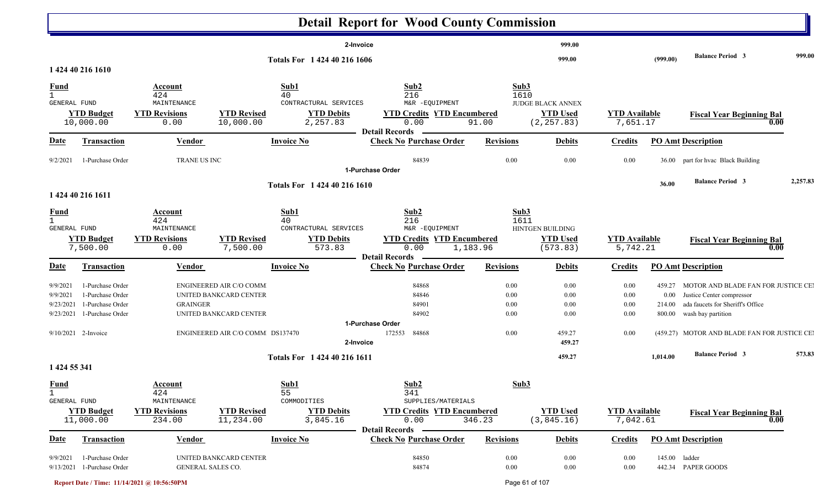|                                                    |                                                                                                     |                                                                        |                                                                                                                 |                                                                      | <b>Detail Report for Wood County Commission</b>                                                                 |                                      |                                                            |                                      |                                    |                                                                                                                                                                            |          |
|----------------------------------------------------|-----------------------------------------------------------------------------------------------------|------------------------------------------------------------------------|-----------------------------------------------------------------------------------------------------------------|----------------------------------------------------------------------|-----------------------------------------------------------------------------------------------------------------|--------------------------------------|------------------------------------------------------------|--------------------------------------|------------------------------------|----------------------------------------------------------------------------------------------------------------------------------------------------------------------------|----------|
|                                                    |                                                                                                     |                                                                        |                                                                                                                 | 2-Invoice                                                            |                                                                                                                 |                                      | 999.00                                                     |                                      |                                    |                                                                                                                                                                            |          |
|                                                    | 1 424 40 216 1610                                                                                   |                                                                        |                                                                                                                 | Totals For 1 424 40 216 1606                                         |                                                                                                                 |                                      | 999.00                                                     |                                      | (999.00)                           | <b>Balance Period 3</b>                                                                                                                                                    | 999.00   |
| <b>Fund</b><br>$\mathbf{1}$<br><b>GENERAL FUND</b> | <b>YTD Budget</b><br>10,000.00                                                                      | Account<br>424<br>MAINTENANCE<br><b>YTD Revisions</b><br>0.00          | <b>YTD Revised</b><br>10,000.00                                                                                 | Sub1<br>40<br>CONTRACTURAL SERVICES<br><b>YTD Debits</b><br>2,257.83 | Sub2<br>216<br>M&R -EQUIPMENT<br><b>YTD Credits YTD Encumbered</b><br>0.00<br><b>Detail Records</b>             | Sub3<br>1610<br>91.00                | <b>JUDGE BLACK ANNEX</b><br><b>YTD Used</b><br>(2, 257.83) | <b>YTD</b> Available<br>7,651.17     |                                    | <b>Fiscal Year Beginning Bal</b><br>0.00                                                                                                                                   |          |
| Date                                               | <b>Transaction</b>                                                                                  | <b>Vendor</b>                                                          |                                                                                                                 | <b>Invoice No</b>                                                    | <b>Check No Purchase Order</b>                                                                                  | <b>Revisions</b>                     | <b>Debits</b>                                              | <b>Credits</b>                       |                                    | <b>PO Amt Description</b>                                                                                                                                                  |          |
| 9/2/2021                                           | 1-Purchase Order                                                                                    | TRANE US INC                                                           |                                                                                                                 |                                                                      | 84839<br>1-Purchase Order                                                                                       | 0.00                                 | 0.00                                                       | 0.00                                 | 36.00                              | part for hvac Black Building                                                                                                                                               |          |
|                                                    | 1 424 40 216 1611                                                                                   |                                                                        |                                                                                                                 | Totals For 1 424 40 216 1610                                         |                                                                                                                 |                                      |                                                            |                                      | 36.00                              | <b>Balance Period 3</b>                                                                                                                                                    | 2,257.83 |
| <u>Fund</u><br>$\mathbf{1}$<br>GENERAL FUND        | Account<br>424<br>MAINTENANCE<br><b>YTD Revisions</b><br><b>YTD Budget</b><br>7,500.00<br>0.00      |                                                                        | <b>YTD Revised</b><br>7,500.00                                                                                  | Sub1<br>40<br>CONTRACTURAL SERVICES<br><b>YTD Debits</b><br>573.83   | Sub <sub>2</sub><br>216<br>M&R -EQUIPMENT<br><b>YTD Credits YTD Encumbered</b><br>0.00<br><b>Detail Records</b> | Sub3<br>1611<br>1,183.96             | HINTGEN BUILDING<br><b>YTD Used</b><br>(573.83)            | <b>YTD Available</b><br>5,742.21     |                                    | <b>Fiscal Year Beginning Bal</b><br>0.00                                                                                                                                   |          |
| Date                                               | <b>Transaction</b>                                                                                  | Vendor                                                                 |                                                                                                                 | <b>Invoice No</b>                                                    | <b>Check No Purchase Order</b>                                                                                  | <b>Revisions</b>                     | <b>Debits</b>                                              | <b>Credits</b>                       |                                    | <b>PO Amt Description</b>                                                                                                                                                  |          |
| 9/9/2021<br>9/9/2021<br>9/23/2021<br>9/23/2021     | 1-Purchase Order<br>1-Purchase Order<br>1-Purchase Order<br>1-Purchase Order<br>9/10/2021 2-Invoice | <b>GRAINGER</b>                                                        | ENGINEERED AIR C/O COMM<br>UNITED BANKCARD CENTER<br>UNITED BANKCARD CENTER<br>ENGINEERED AIR C/O COMM DS137470 |                                                                      | 84868<br>84846<br>84901<br>84902<br>1-Purchase Order<br>84868<br>172553                                         | 0.00<br>0.00<br>0.00<br>0.00<br>0.00 | 0.00<br>0.00<br>0.00<br>0.00<br>459.27                     | 0.00<br>0.00<br>0.00<br>0.00<br>0.00 | 459.27<br>0.00<br>214.00<br>800.00 | MOTOR AND BLADE FAN FOR JUSTICE CEI<br>Justice Center compressor<br>ada faucets for Sheriff's Office<br>wash bay partition<br>(459.27) MOTOR AND BLADE FAN FOR JUSTICE CEI |          |
|                                                    |                                                                                                     |                                                                        |                                                                                                                 | 2-Invoice                                                            |                                                                                                                 |                                      | 459.27                                                     |                                      |                                    |                                                                                                                                                                            |          |
| 1 424 55 341                                       |                                                                                                     |                                                                        |                                                                                                                 | Totals For 1 424 40 216 1611                                         |                                                                                                                 |                                      | 459.27                                                     |                                      | 1,014.00                           | <b>Balance Period 3</b>                                                                                                                                                    | 573.83   |
| <u>Fund</u><br>$\mathbf{1}$<br>GENERAL FUND        | <b>YTD Budget</b><br>11,000.00                                                                      | <u>Account</u><br>424<br>MAINTENANCE<br><b>YTD Revisions</b><br>234.00 | <b>YTD Revised</b><br>11,234.00                                                                                 | Sub1<br>55<br>COMMODITIES<br><b>YTD Debits</b><br>3,845.16           | Sub2<br>341<br>SUPPLIES/MATERIALS<br><b>YTD Credits YTD Encumbered</b><br>0.00                                  | Sub3<br>346.23                       | <b>YTD Used</b><br>(3,845.16)                              | <b>YTD Available</b><br>7,042.61     |                                    | <b>Fiscal Year Beginning Bal</b><br>$\boxed{0.00}$                                                                                                                         |          |
| <b>Date</b>                                        | <b>Transaction</b>                                                                                  | <b>Vendor</b>                                                          |                                                                                                                 | <b>Invoice No</b>                                                    | <b>Detail Records</b><br><b>Check No Purchase Order</b>                                                         | <b>Revisions</b>                     | <b>Debits</b>                                              | <b>Credits</b>                       |                                    | <b>PO Amt Description</b>                                                                                                                                                  |          |
| 9/9/2021                                           | 1-Purchase Order<br>9/13/2021 1-Purchase Order                                                      | GENERAL SALES CO.                                                      | UNITED BANKCARD CENTER                                                                                          |                                                                      | 84850<br>84874                                                                                                  | $0.00\,$<br>0.00                     | 0.00<br>0.00                                               | 0.00<br>$0.00\,$                     | 145.00 ladder                      | 442.34 PAPER GOODS                                                                                                                                                         |          |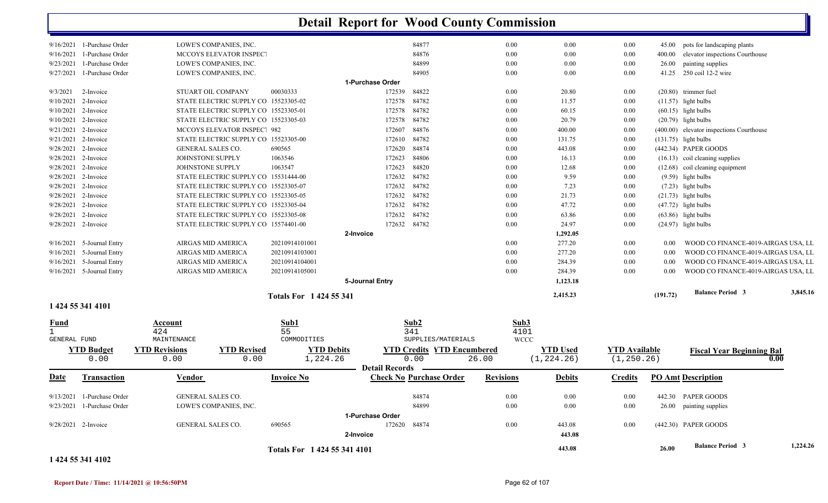|                              | 1 424 55 341 4102                                        |                                             |                                                                              | Totals For 1 424 55 341 4101  |                            |                                   |                     | 443.08          |                      | 26.00    | <b>Balance Period 3</b>                        |      | 1,224.26 |
|------------------------------|----------------------------------------------------------|---------------------------------------------|------------------------------------------------------------------------------|-------------------------------|----------------------------|-----------------------------------|---------------------|-----------------|----------------------|----------|------------------------------------------------|------|----------|
|                              |                                                          |                                             |                                                                              |                               | 2-Invoice                  |                                   |                     | 443.08          |                      |          |                                                |      |          |
|                              | 9/28/2021 2-Invoice                                      | GENERAL SALES CO.                           |                                                                              | 690565                        | 172620                     | 84874                             | 0.00                | 443.08          | 0.00                 |          | (442.30) PAPER GOODS                           |      |          |
|                              |                                                          |                                             |                                                                              |                               | 1-Purchase Order           |                                   |                     |                 |                      |          | 26.00 painting supplies                        |      |          |
|                              | 9/13/2021 1-Purchase Order<br>9/23/2021 1-Purchase Order | GENERAL SALES CO.<br>LOWE'S COMPANIES, INC. |                                                                              |                               |                            | 84874<br>84899                    | $0.00\,$<br>0.00    | 0.00<br>0.00    | 0.00<br>0.00         |          | 442.30 PAPER GOODS                             |      |          |
|                              |                                                          |                                             |                                                                              |                               |                            |                                   |                     |                 |                      |          |                                                |      |          |
| Date                         | <b>Transaction</b>                                       | Vendor                                      |                                                                              | <b>Invoice No</b>             | <b>Detail Records</b>      | <b>Check No Purchase Order</b>    | <b>Revisions</b>    | <b>Debits</b>   | <b>Credits</b>       |          | <b>PO Amt Description</b>                      |      |          |
|                              | 0.00                                                     | 0.00                                        | 0.00                                                                         | 1,224.26                      |                            | 0.00                              | 26.00               | (1, 224.26)     | (1, 250.26)          |          |                                                | 0.00 |          |
|                              | <b>YTD Budget</b>                                        | <b>YTD Revisions</b>                        | <b>YTD Revised</b>                                                           | <b>YTD Debits</b>             |                            | <b>YTD Credits YTD Encumbered</b> |                     | <b>YTD</b> Used | <b>YTD</b> Available |          | <b>Fiscal Year Beginning Bal</b>               |      |          |
| $\mathbf{1}$<br>GENERAL FUND |                                                          | 424<br>MAINTENANCE                          |                                                                              | 55<br>COMMODITIES             |                            | 341<br>SUPPLIES/MATERIALS         | 4101<br><b>WCCC</b> |                 |                      |          |                                                |      |          |
| <u>Fund</u>                  |                                                          | Account                                     |                                                                              | Sub1                          |                            | Sub <sub>2</sub>                  | Sub3                |                 |                      |          |                                                |      |          |
|                              | 1 424 55 341 4101                                        |                                             |                                                                              |                               |                            |                                   |                     |                 |                      |          |                                                |      |          |
|                              |                                                          |                                             |                                                                              | <b>Totals For 1424 55 341</b> |                            |                                   |                     | 2,415.23        |                      | (191.72) | <b>Balance Period 3</b>                        |      | 3,845.16 |
|                              |                                                          |                                             |                                                                              |                               | 5-Journal Entry            |                                   |                     | 1,123.18        |                      |          |                                                |      |          |
|                              | 9/16/2021 5-Journal Entry                                | AIRGAS MID AMERICA                          |                                                                              | 20210914105001                |                            |                                   | 0.00                | 284.39          | 0.00                 | 0.00     | WOOD CO FINANCE-4019-AIRGAS USA, LL            |      |          |
|                              | $9/16/2021$ 5-Journal Entry                              | AIRGAS MID AMERICA                          |                                                                              | 20210914104001                |                            |                                   | 0.00                | 284.39          | 0.00                 | 0.00     | WOOD CO FINANCE-4019-AIRGAS USA, LL            |      |          |
|                              | $9/16/2021$ 5-Journal Entry                              | AIRGAS MID AMERICA                          |                                                                              | 20210914103001                |                            |                                   | 0.00                | 277.20          | $0.00\,$             | 0.00     | WOOD CO FINANCE-4019-AIRGAS USA, LL            |      |          |
|                              | $9/16/2021$ 5-Journal Entry                              | AIRGAS MID AMERICA                          |                                                                              | 20210914101001                |                            |                                   | 0.00                | 277.20          | 0.00                 | 0.00     | WOOD CO FINANCE-4019-AIRGAS USA, LL            |      |          |
|                              |                                                          |                                             |                                                                              |                               | 2-Invoice                  |                                   |                     | 1,292.05        |                      |          |                                                |      |          |
|                              | 9/28/2021 2-Invoice<br>9/28/2021 2-Invoice               |                                             | STATE ELECTRIC SUPPLY CO 15523305-08<br>STATE ELECTRIC SUPPLY CO 15574401-00 |                               | 172632<br>172632 84782     | 84782                             | $0.00\,$<br>0.00    | 63.86<br>24.97  | 0.00<br>$0.00\,$     |          | $(63.86)$ light bulbs<br>$(24.97)$ light bulbs |      |          |
|                              | 9/28/2021 2-Invoice                                      |                                             | STATE ELECTRIC SUPPLY CO 15523305-04                                         |                               | 172632                     | 84782                             | 0.00                | 47.72           | $0.00\,$             |          | $(47.72)$ light bulbs                          |      |          |
|                              | 9/28/2021 2-Invoice                                      |                                             | STATE ELECTRIC SUPPLY CO 15523305-05                                         |                               | 172632                     | 84782                             | 0.00                | 21.73           | $0.00\,$             |          | $(21.73)$ light bulbs                          |      |          |
|                              | 9/28/2021 2-Invoice                                      |                                             | STATE ELECTRIC SUPPLY CO 15523305-07                                         |                               | 172632                     | 84782                             | 0.00                | 7.23            | 0.00                 |          | $(7.23)$ light bulbs                           |      |          |
|                              | 9/28/2021 2-Invoice                                      |                                             | STATE ELECTRIC SUPPLY CO 15531444-00                                         |                               | 172632                     | 84782                             | 0.00                | 9.59            | $0.00\,$             |          | $(9.59)$ light bulbs                           |      |          |
|                              | 9/28/2021 2-Invoice                                      | JOHNSTONE SUPPLY                            |                                                                              | 1063547                       | 172623                     | 84820                             | $0.00\,$            | 12.68           | $0.00\,$             |          | (12.68) coil cleaning equipment                |      |          |
|                              | 9/28/2021 2-Invoice                                      | JOHNSTONE SUPPLY                            |                                                                              | 1063546                       | 172623                     | 84806                             | 0.00                | 16.13           | 0.00                 |          | (16.13) coil cleaning supplies                 |      |          |
|                              | 9/28/2021 2-Invoice                                      | GENERAL SALES CO.                           |                                                                              | 690565                        | 172620                     | 84874                             | 0.00                | 443.08          | 0.00                 |          | (442.34) PAPER GOODS                           |      |          |
|                              | 9/21/2021 2-Invoice                                      |                                             | STATE ELECTRIC SUPPLY CO 15523305-00                                         |                               | 172610                     | 84782                             | 0.00                | 131.75          | 0.00                 |          | $(131.75)$ light bulbs                         |      |          |
|                              | 9/21/2021 2-Invoice                                      |                                             | MCCOYS ELEVATOR INSPEC. 982                                                  |                               | 172607                     | 84876                             | 0.00                | 400.00          | 0.00                 |          | (400.00) elevator inspections Courthouse       |      |          |
| 9/10/2021                    | 2-Invoice                                                |                                             | STATE ELECTRIC SUPPLY CO 15523305-03                                         |                               | 172578                     | 84782                             | 0.00                | 20.79           | $0.00\,$             |          | $(20.79)$ light bulbs                          |      |          |
|                              | $9/10/2021$ 2-Invoice                                    |                                             | STATE ELECTRIC SUPPLY CO 15523305-01                                         |                               | 172578                     | 84782                             | 0.00                | 60.15           | 0.00                 |          | $(60.15)$ light bulbs                          |      |          |
|                              | 9/10/2021 2-Invoice                                      |                                             | STATE ELECTRIC SUPPLY CO 15523305-02                                         |                               | 172578                     | 84782                             | 0.00                | 11.57           | $0.00\,$             |          | $(11.57)$ light bulbs                          |      |          |
| 9/3/2021                     | 2-Invoice                                                | STUART OIL COMPANY                          |                                                                              | 00030333                      | 1-Purchase Order<br>172539 | 84822                             | 0.00                | 20.80           | 0.00                 |          | (20.80) trimmer fuel                           |      |          |
| 9/27/2021                    | 1-Purchase Order                                         | LOWE'S COMPANIES, INC.                      |                                                                              |                               |                            | 84905                             | $0.00\,$            | 0.00            | $0.00\,$             | 41.25    | 250 coil 12-2 wire                             |      |          |
| 9/23/2021                    | 1-Purchase Order                                         | LOWE'S COMPANIES, INC.                      |                                                                              |                               |                            | 84899                             | 0.00                | 0.00            | 0.00                 | 26.00    | painting supplies                              |      |          |
| 9/16/2021                    |                                                          |                                             | <b>MCCOYS ELEVATOR INSPECT</b>                                               |                               |                            | 84876                             | 0.00                | 0.00            | $0.00\,$             | 400.00   | elevator inspections Courthouse                |      |          |
|                              | 1-Purchase Order                                         |                                             |                                                                              |                               |                            |                                   |                     |                 |                      |          |                                                |      |          |

### **Report Date / Time: 11/14/2021 @ 10:56:50PM** Page 62 of 107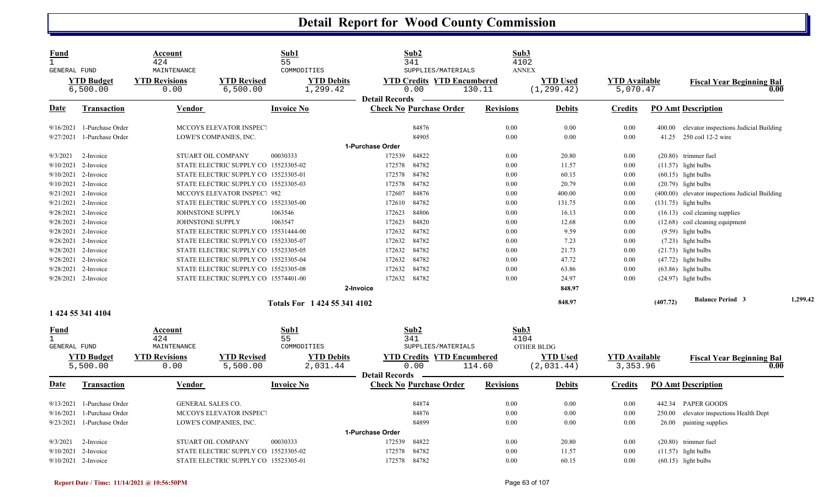| Fund<br>$\mathbf{1}$<br>GENERAL FUND        |                               | Account<br>424<br>MAINTENANCE |                                      | Sub1<br>55<br>COMMODITIES |                               |                       | Sub2<br>341<br>SUPPLIES/MATERIALS         |                  | Sub3<br>4102<br><b>ANNEX</b> |                                |                                  |          |                                                 |      |          |
|---------------------------------------------|-------------------------------|-------------------------------|--------------------------------------|---------------------------|-------------------------------|-----------------------|-------------------------------------------|------------------|------------------------------|--------------------------------|----------------------------------|----------|-------------------------------------------------|------|----------|
|                                             | <b>YTD Budget</b><br>6,500.00 | <b>YTD Revisions</b><br>0.00  | <b>YTD Revised</b><br>6,500.00       |                           | <b>YTD Debits</b><br>1,299.42 |                       | <b>YTD Credits YTD Encumbered</b><br>0.00 | 130.11           |                              | <b>YTD Used</b><br>(1, 299.42) | <b>YTD</b> Available<br>5,070.47 |          | <b>Fiscal Year Beginning Bal</b>                | 0.00 |          |
| Date                                        | <b>Transaction</b>            | <b>Vendor</b>                 |                                      | <b>Invoice No</b>         |                               | <b>Detail Records</b> | <b>Check No Purchase Order</b>            | <b>Revisions</b> |                              | <b>Debits</b>                  | <b>Credits</b>                   |          | <b>PO Amt Description</b>                       |      |          |
| 9/16/2021                                   | 1-Purchase Order              |                               | MCCOYS ELEVATOR INSPECT              |                           |                               |                       | 84876                                     |                  | 0.00                         | 0.00                           | 0.00                             | 400.00   | elevator inspections Judicial Building          |      |          |
| 9/27/2021                                   | 1-Purchase Order              |                               | LOWE'S COMPANIES, INC.               |                           |                               |                       | 84905                                     |                  | 0.00                         | 0.00                           | 0.00                             | 41.25    | 250 coil 12-2 wire                              |      |          |
|                                             |                               |                               |                                      |                           |                               | 1-Purchase Order      |                                           |                  |                              |                                |                                  |          |                                                 |      |          |
| 9/3/2021                                    | 2-Invoice                     |                               | STUART OIL COMPANY                   | 00030333                  |                               | 172539                | 84822                                     |                  | 0.00                         | 20.80                          | 0.00                             |          | (20.80) trimmer fuel                            |      |          |
| 9/10/2021                                   | 2-Invoice                     |                               | STATE ELECTRIC SUPPLY CO 15523305-02 |                           |                               | 172578                | 84782                                     |                  | 0.00                         | 11.57                          | 0.00                             |          | $(11.57)$ light bulbs                           |      |          |
| 9/10/2021                                   | 2-Invoice                     |                               | STATE ELECTRIC SUPPLY CO 15523305-01 |                           |                               | 172578                | 84782                                     |                  | 0.00                         | 60.15                          | 0.00                             |          | $(60.15)$ light bulbs                           |      |          |
| 9/10/2021                                   | 2-Invoice                     |                               | STATE ELECTRIC SUPPLY CO 15523305-03 |                           |                               | 172578                | 84782                                     |                  | 0.00                         | 20.79                          | 0.00                             |          | $(20.79)$ light bulbs                           |      |          |
| 9/21/2021                                   | 2-Invoice                     |                               | <b>MCCOYS ELEVATOR INSPEC': 982</b>  |                           |                               | 172607                | 84876                                     |                  | 0.00                         | 400.00                         | 0.00                             |          | (400.00) elevator inspections Judicial Building |      |          |
| 9/21/2021                                   | 2-Invoice                     |                               | STATE ELECTRIC SUPPLY CO 15523305-00 |                           |                               | 172610                | 84782                                     |                  | 0.00                         | 131.75                         | 0.00                             |          | $(131.75)$ light bulbs                          |      |          |
|                                             | 9/28/2021 2-Invoice           | JOHNSTONE SUPPLY              |                                      | 1063546                   |                               | 172623                | 84806                                     |                  | 0.00                         | 16.13                          | 0.00                             |          | $(16.13)$ coil cleaning supplies                |      |          |
| 9/28/2021                                   | 2-Invoice                     | JOHNSTONE SUPPLY              |                                      | 1063547                   |                               | 172623                | 84820                                     |                  | 0.00                         | 12.68                          | 0.00                             |          | $(12.68)$ coil cleaning equipment               |      |          |
| 9/28/2021                                   | 2-Invoice                     |                               | STATE ELECTRIC SUPPLY CO 15531444-00 |                           |                               | 172632                | 84782                                     |                  | 0.00                         | 9.59                           | 0.00                             |          | $(9.59)$ light bulbs                            |      |          |
|                                             | 9/28/2021 2-Invoice           |                               | STATE ELECTRIC SUPPLY CO 15523305-07 |                           |                               | 172632                | 84782                                     |                  | 0.00                         | 7.23                           | 0.00                             |          | $(7.23)$ light bulbs                            |      |          |
|                                             | 9/28/2021 2-Invoice           |                               | STATE ELECTRIC SUPPLY CO 15523305-05 |                           |                               | 172632                | 84782                                     |                  | 0.00                         | 21.73                          | 0.00                             |          | $(21.73)$ light bulbs                           |      |          |
| 9/28/2021                                   | 2-Invoice                     |                               | STATE ELECTRIC SUPPLY CO 15523305-04 |                           |                               | 172632                | 84782                                     |                  | 0.00                         | 47.72                          | 0.00                             |          | $(47.72)$ light bulbs                           |      |          |
|                                             | 9/28/2021 2-Invoice           |                               | STATE ELECTRIC SUPPLY CO 15523305-08 |                           |                               | 172632                | 84782                                     |                  | 0.00                         | 63.86                          | 0.00                             |          | $(63.86)$ light bulbs                           |      |          |
|                                             | 9/28/2021 2-Invoice           |                               | STATE ELECTRIC SUPPLY CO 15574401-00 |                           |                               | 172632                | 84782                                     |                  | 0.00                         | 24.97                          | 0.00                             |          | $(24.97)$ light bulbs                           |      |          |
|                                             |                               |                               |                                      |                           | 2-Invoice                     |                       |                                           |                  |                              | 848.97                         |                                  |          |                                                 |      |          |
|                                             |                               |                               |                                      |                           | Totals For 1 424 55 341 4102  |                       |                                           |                  |                              | 848.97                         |                                  | (407.72) | <b>Balance Period 3</b>                         |      | 1,299.42 |
|                                             | 1 424 55 341 4104             |                               |                                      |                           |                               |                       |                                           |                  |                              |                                |                                  |          |                                                 |      |          |
| Fund<br>$\mathbf{1}$<br><b>GENERAL FUND</b> |                               | Account<br>424<br>MAINTENANCE |                                      | Sub1<br>55<br>COMMODITIES |                               |                       | Sub2<br>341<br>SUPPLIES/MATERIALS         |                  | Sub3<br>4104                 | OTHER BLDG                     |                                  |          |                                                 |      |          |
|                                             | <b>YTD Budget</b>             | <b>YTD Revisions</b>          | <b>YTD Revised</b>                   |                           | <b>YTD Debits</b>             |                       | <b>YTD Credits YTD Encumbered</b>         |                  |                              | <b>YTD Used</b>                | <b>YTD</b> Available             |          | <b>Fiscal Year Beginning Bal</b>                |      |          |
|                                             | 5,500.00                      | 0.00                          | 5,500.00                             |                           | 2,031.44                      | <b>Detail Records</b> | 0.00                                      | 114.60           |                              | (2,031.44)                     | 3,353.96                         |          |                                                 | 0.00 |          |
| Date                                        | <b>Transaction</b>            | Vendor                        |                                      | <b>Invoice No</b>         |                               |                       | <b>Check No Purchase Order</b>            | <b>Revisions</b> |                              | <b>Debits</b>                  | <b>Credits</b>                   |          | <b>PO Amt Description</b>                       |      |          |
| 9/13/2021                                   | 1-Purchase Order              | GENERAL SALES CO.             |                                      |                           |                               |                       | 84874                                     |                  | 0.00                         | 0.00                           | 0.00                             |          | 442.34 PAPER GOODS                              |      |          |
| 9/16/2021                                   | 1-Purchase Order              |                               | MCCOYS ELEVATOR INSPECT              |                           |                               |                       | 84876                                     |                  | 0.00                         | 0.00                           | 0.00                             | 250.00   | elevator inspections Health Dept                |      |          |
| 9/23/2021                                   | 1-Purchase Order              |                               | LOWE'S COMPANIES, INC.               |                           |                               |                       | 84899                                     |                  | 0.00                         | 0.00                           | 0.00                             | 26.00    | painting supplies                               |      |          |
|                                             |                               |                               |                                      |                           |                               | 1-Purchase Order      |                                           |                  |                              |                                |                                  |          |                                                 |      |          |
| 9/3/2021                                    | 2-Invoice                     |                               | STUART OIL COMPANY                   | 00030333                  |                               | 172539                | 84822                                     |                  | 0.00                         | 20.80                          | 0.00                             |          | $(20.80)$ trimmer fuel                          |      |          |
| 9/10/2021                                   | 2-Invoice                     |                               | STATE ELECTRIC SUPPLY CO 15523305-02 |                           |                               | 172578                | 84782                                     |                  | 0.00                         | 11.57                          | 0.00                             |          | $(11.57)$ light bulbs                           |      |          |
|                                             | 9/10/2021 2-Invoice           |                               | STATE ELECTRIC SUPPLY CO 15523305-01 |                           |                               |                       | 172578 84782                              |                  | 0.00                         | 60.15                          | 0.00                             |          | $(60.15)$ light bulbs                           |      |          |
|                                             |                               |                               |                                      |                           |                               |                       |                                           |                  |                              |                                |                                  |          |                                                 |      |          |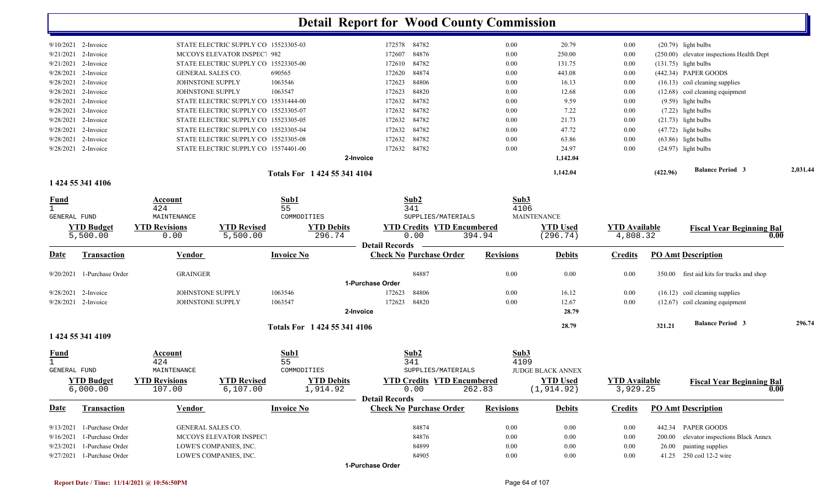|                       |                               |                              |                                      |                              | <b>Detail Report for Wood County Commission</b>         |                  |                             |                                  |          |                                           |          |
|-----------------------|-------------------------------|------------------------------|--------------------------------------|------------------------------|---------------------------------------------------------|------------------|-----------------------------|----------------------------------|----------|-------------------------------------------|----------|
| $9/10/2021$ 2-Invoice |                               |                              | STATE ELECTRIC SUPPLY CO 15523305-03 |                              | 172578 84782                                            | 0.00             | 20.79                       | 0.00                             |          | $(20.79)$ light bulbs                     |          |
| 9/21/2021             | 2-Invoice                     |                              | MCCOYS ELEVATOR INSPEC. 982          |                              | 84876<br>172607                                         | 0.00             | 250.00                      | 0.00                             |          | (250.00) elevator inspections Health Dept |          |
| $9/21/2021$ 2-Invoice |                               |                              | STATE ELECTRIC SUPPLY CO 15523305-00 |                              | 84782<br>172610                                         | 0.00             | 131.75                      | 0.00                             |          | $(131.75)$ light bulbs                    |          |
|                       | 9/28/2021 2-Invoice           | <b>GENERAL SALES CO.</b>     |                                      | 690565                       | 84874<br>172620                                         | 0.00             | 443.08                      | 0.00                             |          | (442.34) PAPER GOODS                      |          |
| 9/28/2021             | 2-Invoice                     | JOHNSTONE SUPPLY             |                                      | 1063546                      | 172623<br>84806                                         | 0.00             | 16.13                       | 0.00                             |          | (16.13) coil cleaning supplies            |          |
|                       | 9/28/2021 2-Invoice           | JOHNSTONE SUPPLY             |                                      | 1063547                      | 84820<br>172623                                         | 0.00             | 12.68                       | 0.00                             |          | (12.68) coil cleaning equipment           |          |
| 9/28/2021             | 2-Invoice                     |                              | STATE ELECTRIC SUPPLY CO 15531444-00 |                              | 84782<br>172632                                         | 0.00             | 9.59                        | 0.00                             |          | $(9.59)$ light bulbs                      |          |
| 9/28/2021             | 2-Invoice                     |                              | STATE ELECTRIC SUPPLY CO 15523305-07 |                              | 172632<br>84782                                         | 0.00             | 7.22                        | 0.00                             |          | (7.22) light bulbs                        |          |
| 9/28/2021             | 2-Invoice                     |                              | STATE ELECTRIC SUPPLY CO 15523305-05 |                              | 84782<br>172632                                         | 0.00             | 21.73                       | 0.00                             |          | $(21.73)$ light bulbs                     |          |
| 9/28/2021             | 2-Invoice                     |                              | STATE ELECTRIC SUPPLY CO 15523305-04 |                              | 84782<br>172632                                         | 0.00             | 47.72                       | 0.00                             |          | $(47.72)$ light bulbs                     |          |
| $9/28/2021$ 2-Invoice |                               |                              | STATE ELECTRIC SUPPLY CO 15523305-08 |                              | 84782<br>172632                                         | 0.00             | 63.86                       | 0.00                             |          | $(63.86)$ light bulbs                     |          |
| 9/28/2021 2-Invoice   |                               |                              | STATE ELECTRIC SUPPLY CO 15574401-00 |                              | 84782<br>172632                                         | 0.00             | 24.97                       | 0.00                             |          | $(24.97)$ light bulbs                     |          |
|                       |                               |                              |                                      |                              | 2-Invoice                                               |                  | 1,142.04                    |                                  |          |                                           |          |
|                       |                               |                              |                                      |                              |                                                         |                  |                             |                                  |          |                                           |          |
|                       | 1 424 55 341 4106             |                              |                                      | Totals For 1 424 55 341 4104 |                                                         |                  | 1,142.04                    |                                  | (422.96) | <b>Balance Period 3</b>                   | 2,031.44 |
| <u>Fund</u>           |                               | Account                      |                                      | Sub1                         | Sub2                                                    | Sub3             |                             |                                  |          |                                           |          |
| $\mathbf{1}$          |                               | 424                          |                                      | 55                           | 341                                                     | 4106             |                             |                                  |          |                                           |          |
| GENERAL FUND          |                               | MAINTENANCE                  |                                      | COMMODITIES                  | SUPPLIES/MATERIALS                                      |                  | MAINTENANCE                 |                                  |          |                                           |          |
|                       | <b>YTD Budget</b><br>5,500.00 | <b>YTD Revisions</b><br>0.00 | <b>YTD Revised</b><br>5,500.00       | <b>YTD Debits</b><br>296.74  | <b>YTD Credits YTD Encumbered</b><br>0.00               | 394.94           | <b>YTD Used</b><br>(296.74) | <b>YTD</b> Available<br>4,808.32 |          | <b>Fiscal Year Beginning Bal</b><br>0.00  |          |
| <u>Date</u>           | <b>Transaction</b>            | <b>Vendor</b>                |                                      | <b>Invoice No</b>            | <b>Detail Records</b><br><b>Check No Purchase Order</b> | <b>Revisions</b> | <b>Debits</b>               | <b>Credits</b>                   |          | <b>PO Amt Description</b>                 |          |
|                       | 9/20/2021 1-Purchase Order    | <b>GRAINGER</b>              |                                      |                              | 84887                                                   | 0.00             | 0.00                        | 0.00                             |          | 350.00 first aid kits for trucks and shop |          |
|                       |                               |                              |                                      |                              | 1-Purchase Order                                        |                  |                             |                                  |          |                                           |          |
| $9/28/2021$ 2-Invoice |                               | JOHNSTONE SUPPLY             |                                      | 1063546                      | 84806<br>172623                                         | 0.00             | 16.12                       | 0.00                             |          | $(16.12)$ coil cleaning supplies          |          |
| $9/28/2021$ 2-Invoice |                               | JOHNSTONE SUPPLY             |                                      | 1063547                      | 172623<br>84820                                         | 0.00             | 12.67                       | 0.00                             |          | (12.67) coil cleaning equipment           |          |
|                       |                               |                              |                                      |                              | 2-Invoice                                               |                  | 28.79                       |                                  |          |                                           |          |
|                       |                               |                              |                                      | Totals For 1 424 55 341 4106 |                                                         |                  | 28.79                       |                                  | 321.21   | <b>Balance Period 3</b>                   | 296.74   |
|                       | 1 424 55 341 4109             |                              |                                      |                              |                                                         |                  |                             |                                  |          |                                           |          |
| <b>Fund</b>           |                               | <b>Account</b>               |                                      | Sub1                         | Sub <sub>2</sub>                                        | Sub3             |                             |                                  |          |                                           |          |
|                       |                               | 424                          |                                      | 55                           | 341                                                     | 4109             |                             |                                  |          |                                           |          |
| GENERAL FUND          |                               | MAINTENANCE                  |                                      | COMMODITIES                  | SUPPLIES/MATERIALS                                      |                  | <b>JUDGE BLACK ANNEX</b>    |                                  |          |                                           |          |
|                       | <b>YTD Budget</b>             | <b>YTD Revisions</b>         | <b>YTD Revised</b>                   | <b>YTD Debits</b>            | <b>YTD Credits YTD Encumbered</b>                       |                  | <b>YTD Used</b>             | <b>YTD Available</b>             |          | <b>Fiscal Year Beginning Bal</b>          |          |
|                       | 6,000.00                      | 107.00                       | 6,107.00                             | 1,914.92                     | 0.00                                                    | 262.83           | (1, 914.92)                 | 3,929.25                         |          | 0.00                                      |          |
| <b>Date</b>           | <b>Transaction</b>            | Vendor                       |                                      | <b>Invoice No</b>            | Detail Records -<br><b>Check No Purchase Order</b>      | <b>Revisions</b> | <b>Debits</b>               | <b>Credits</b>                   |          | <b>PO Amt Description</b>                 |          |
|                       |                               |                              |                                      |                              |                                                         |                  |                             |                                  |          |                                           |          |
|                       | 9/13/2021 1-Purchase Order    | <b>GENERAL SALES CO.</b>     |                                      |                              | 84874                                                   | $0.00\,$         | $0.00\,$                    | $0.00\,$                         |          | 442.34 PAPER GOODS                        |          |
|                       | 9/16/2021 1-Purchase Order    |                              | MCCOYS ELEVATOR INSPECT              |                              | 84876                                                   | 0.00             | $0.00\,$                    | $0.00\,$                         | 200.00   | elevator inspections Black Annex          |          |
|                       | 9/23/2021 1-Purchase Order    |                              | LOWE'S COMPANIES, INC.               |                              | 84899                                                   | $0.00\,$         | $0.00\,$                    | $0.00\,$                         | 26.00    | painting supplies                         |          |
|                       | 9/27/2021 1-Purchase Order    |                              | LOWE'S COMPANIES, INC.               |                              | 84905<br>1-Purchase Order                               | $0.00\,$         | $0.00\,$                    | $0.00\,$                         |          | 41.25 250 coil 12-2 wire                  |          |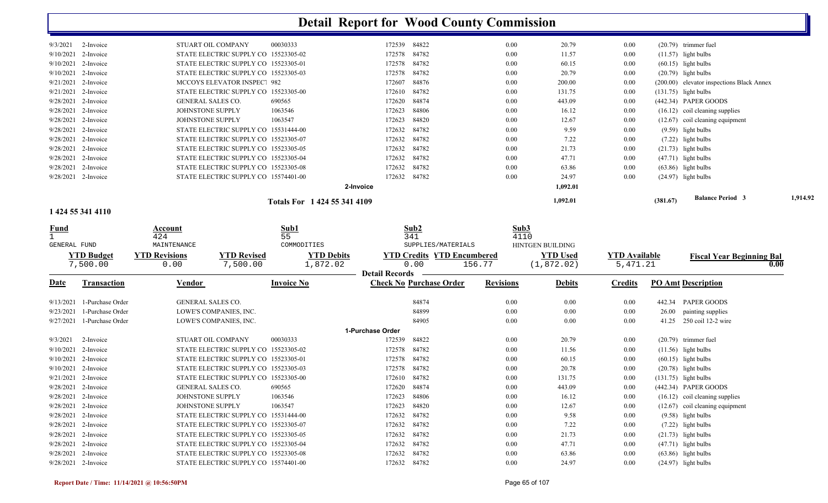|                       |           |                                      | Totals For 1424 55 341 4109 |        |              |      | 1,092.01 |      | (381.67) | <b>Balance Period 3</b>                   | 1,914.92 |
|-----------------------|-----------|--------------------------------------|-----------------------------|--------|--------------|------|----------|------|----------|-------------------------------------------|----------|
|                       |           | 2-Invoice                            |                             |        |              |      | 1,092.01 |      |          |                                           |          |
| 9/28/2021 2-Invoice   |           | STATE ELECTRIC SUPPLY CO 15574401-00 |                             | 172632 | 84782        | 0.00 | 24.97    | 0.00 |          | $(24.97)$ light bulbs                     |          |
| 9/28/2021 2-Invoice   |           | STATE ELECTRIC SUPPLY CO 15523305-08 |                             | 172632 | 84782        | 0.00 | 63.86    | 0.00 |          | $(63.86)$ light bulbs                     |          |
| 9/28/2021 2-Invoice   |           | STATE ELECTRIC SUPPLY CO 15523305-04 |                             | 172632 | 84782        | 0.00 | 47.71    | 0.00 |          | $(47.71)$ light bulbs                     |          |
| 9/28/2021 2-Invoice   |           | STATE ELECTRIC SUPPLY CO 15523305-05 |                             |        | 172632 84782 | 0.00 | 21.73    | 0.00 |          | $(21.73)$ light bulbs                     |          |
| 9/28/2021 2-Invoice   |           | STATE ELECTRIC SUPPLY CO 15523305-07 |                             | 172632 | 84782        | 0.00 | 7.22     | 0.00 |          | $(7.22)$ light bulbs                      |          |
| 9/28/2021 2-Invoice   |           | STATE ELECTRIC SUPPLY CO 15531444-00 |                             | 172632 | 84782        | 0.00 | 9.59     | 0.00 |          | $(9.59)$ light bulbs                      |          |
| $9/28/2021$ 2-Invoice |           | JOHNSTONE SUPPLY                     | 1063547                     | 172623 | 84820        | 0.00 | 12.67    | 0.00 |          | $(12.67)$ coil cleaning equipment         |          |
| 9/28/2021 2-Invoice   |           | <b>JOHNSTONE SUPPLY</b>              | 1063546                     | 172623 | 84806        | 0.00 | 16.12    | 0.00 |          | $(16.12)$ coil cleaning supplies          |          |
| 9/28/2021 2-Invoice   |           | <b>GENERAL SALES CO.</b>             | 690565                      |        | 172620 84874 | 0.00 | 443.09   | 0.00 |          | $(442.34)$ PAPER GOODS                    |          |
| $9/21/2021$ 2-Invoice |           | STATE ELECTRIC SUPPLY CO 15523305-00 |                             |        | 172610 84782 | 0.00 | 131.75   | 0.00 |          | $(131.75)$ light bulbs                    |          |
| $9/21/2021$ 2-Invoice |           | MCCOYS ELEVATOR INSPEC. 982          |                             | 172607 | 84876        | 0.00 | 200.00   | 0.00 |          | (200.00) elevator inspections Black Annex |          |
| $9/10/2021$ 2-Invoice |           | STATE ELECTRIC SUPPLY CO 15523305-03 |                             |        | 172578 84782 | 0.00 | 20.79    | 0.00 |          | $(20.79)$ light bulbs                     |          |
| $9/10/2021$ 2-Invoice |           | STATE ELECTRIC SUPPLY CO 15523305-01 |                             |        | 172578 84782 | 0.00 | 60.15    | 0.00 |          | $(60.15)$ light bulbs                     |          |
| $9/10/2021$ 2-Invoice |           | STATE ELECTRIC SUPPLY CO 15523305-02 |                             |        | 172578 84782 | 0.00 | 11.57    | 0.00 |          | $(11.57)$ light bulbs                     |          |
| 9/3/2021              | 2-Invoice | STUART OIL COMPANY                   | 00030333                    | 172539 | 84822        | 0.00 | 20.79    | 0.00 |          | $(20.79)$ trimmer fuel                    |          |
|                       |           |                                      |                             |        |              |      |          |      |          |                                           |          |

#### **1 424 55 341 4110**

| Fund                |                    | Account                  |                                      | Sub1              |                       | Sub2                              |                  | Sub3                    |                      |         |                                  |
|---------------------|--------------------|--------------------------|--------------------------------------|-------------------|-----------------------|-----------------------------------|------------------|-------------------------|----------------------|---------|----------------------------------|
|                     |                    | 424                      |                                      | 55                |                       | 341                               |                  | 4110                    |                      |         |                                  |
| <b>GENERAL FUND</b> |                    | MAINTENANCE              |                                      | COMMODITIES       |                       | SUPPLIES/MATERIALS                |                  | <b>HINTGEN BUILDING</b> |                      |         |                                  |
|                     | <b>YTD Budget</b>  | <b>YTD Revisions</b>     | <b>YTD Revised</b>                   | <b>YTD Debits</b> |                       | <b>YTD Credits YTD Encumbered</b> |                  | <b>YTD Used</b>         | <b>YTD</b> Available |         | <b>Fiscal Year Beginning Bal</b> |
|                     | 7,500.00           | 0.00                     | 7,500.00                             | 1,872.02          |                       | 0.00                              | 156.77           | (1,872.02)              | 5,471.21             |         | 0.00                             |
|                     |                    |                          |                                      |                   | <b>Detail Records</b> |                                   |                  |                         |                      |         |                                  |
| <b>Date</b>         | <b>Transaction</b> | <b>Vendor</b>            |                                      | <b>Invoice No</b> |                       | <b>Check No Purchase Order</b>    | <b>Revisions</b> | <b>Debits</b>           | <b>Credits</b>       |         | <b>PO Amt Description</b>        |
| 9/13/2021           | 1-Purchase Order   | <b>GENERAL SALES CO.</b> |                                      |                   |                       | 84874                             | 0.00             | $0.00\,$                | 0.00                 | 442.34  | PAPER GOODS                      |
| 9/23/2021           | 1-Purchase Order   |                          | LOWE'S COMPANIES, INC.               |                   |                       | 84899                             | 0.00             | $0.00\,$                | $0.00\,$             | 26.00   | painting supplies                |
| 9/27/2021           | 1-Purchase Order   |                          | LOWE'S COMPANIES, INC.               |                   |                       | 84905                             | 0.00             | $0.00\,$                | 0.00                 | 41.25   | 250 coil 12-2 wire               |
|                     |                    |                          |                                      |                   | 1-Purchase Order      |                                   |                  |                         |                      |         |                                  |
| 9/3/2021            | 2-Invoice          |                          | STUART OIL COMPANY                   | 00030333          | 172539                | 84822                             | 0.00             | 20.79                   | 0.00                 |         | $(20.79)$ trimmer fuel           |
| 9/10/2021           | 2-Invoice          |                          | STATE ELECTRIC SUPPLY CO 15523305-02 |                   | 172578                | 84782                             | 0.00             | 11.56                   | 0.00                 |         | $(11.56)$ light bulbs            |
| 9/10/2021           | 2-Invoice          |                          | STATE ELECTRIC SUPPLY CO 15523305-01 |                   | 172578                | 84782                             | 0.00             | 60.15                   | 0.00                 |         | $(60.15)$ light bulbs            |
| 9/10/2021           | 2-Invoice          |                          | STATE ELECTRIC SUPPLY CO 15523305-03 |                   | 172578                | 84782                             | 0.00             | 20.78                   | 0.00                 |         | $(20.78)$ light bulbs            |
| 9/21/2021           | 2-Invoice          |                          | STATE ELECTRIC SUPPLY CO 15523305-00 |                   | 172610                | 84782                             | 0.00             | 131.75                  | 0.00                 |         | $(131.75)$ light bulbs           |
| 9/28/2021           | 2-Invoice          | <b>GENERAL SALES CO.</b> |                                      | 690565            | 172620                | 84874                             | 0.00             | 443.09                  | 0.00                 |         | (442.34) PAPER GOODS             |
| 9/28/2021           | 2-Invoice          | <b>JOHNSTONE SUPPLY</b>  |                                      | 1063546           | 172623                | 84806                             | 0.00             | 16.12                   | 0.00                 |         | $(16.12)$ coil cleaning supplies |
| 9/28/2021           | 2-Invoice          | JOHNSTONE SUPPLY         |                                      | 1063547           | 172623                | 84820                             | 0.00             | 12.67                   | 0.00                 | (12.67) | coil cleaning equipment          |
| 9/28/2021           | 2-Invoice          |                          | STATE ELECTRIC SUPPLY CO 15531444-00 |                   | 172632                | 84782                             | 0.00             | 9.58                    | 0.00                 | (9.58)  | light bulbs                      |
| 9/28/2021           | 2-Invoice          |                          | STATE ELECTRIC SUPPLY CO 15523305-07 |                   | 172632                | 84782                             | 0.00             | 7.22                    | 0.00                 | (7.22)  | light bulbs                      |
| 9/28/2021           | 2-Invoice          |                          | STATE ELECTRIC SUPPLY CO 15523305-05 |                   | 172632                | 84782                             | 0.00             | 21.73                   | 0.00                 |         | $(21.73)$ light bulbs            |
| 9/28/2021           | 2-Invoice          |                          | STATE ELECTRIC SUPPLY CO 15523305-04 |                   | 172632                | 84782                             | 0.00             | 47.71                   | 0.00                 |         | $(47.71)$ light bulbs            |
| 9/28/2021           | 2-Invoice          |                          | STATE ELECTRIC SUPPLY CO 15523305-08 |                   | 172632                | 84782                             | 0.00             | 63.86                   | 0.00                 |         | $(63.86)$ light bulbs            |
| 9/28/2021 2-Invoice |                    |                          | STATE ELECTRIC SUPPLY CO 15574401-00 |                   | 172632                | 84782                             | 0.00             | 24.97                   | 0.00                 |         | $(24.97)$ light bulbs            |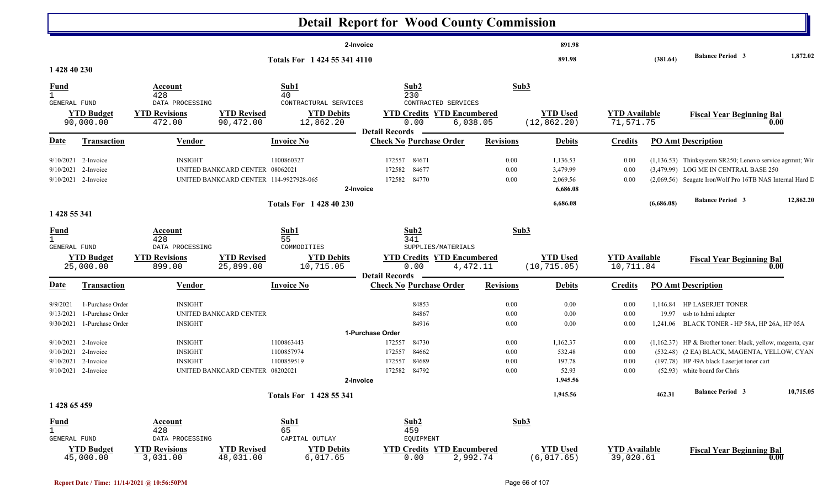|                              |                                |                                |                                        |                                | <b>Detail Report for Wood County Commission</b>         |                  |                                 |                                   |            |                                                             |           |
|------------------------------|--------------------------------|--------------------------------|----------------------------------------|--------------------------------|---------------------------------------------------------|------------------|---------------------------------|-----------------------------------|------------|-------------------------------------------------------------|-----------|
|                              |                                |                                |                                        |                                | 2-Invoice                                               |                  | 891.98                          |                                   |            |                                                             |           |
| 1 428 40 230                 |                                |                                |                                        | Totals For 1 424 55 341 4110   |                                                         |                  | 891.98                          |                                   | (381.64)   | <b>Balance Period 3</b>                                     | 1,872.02  |
| <u>Fund</u>                  |                                | Account                        |                                        | Sub1                           | Sub2                                                    | Sub3             |                                 |                                   |            |                                                             |           |
| $\mathbf{1}$<br>GENERAL FUND |                                | 428<br>DATA PROCESSING         |                                        | 40<br>CONTRACTURAL SERVICES    | 230<br>CONTRACTED SERVICES                              |                  |                                 |                                   |            |                                                             |           |
|                              | <b>YTD Budget</b><br>90,000.00 | <b>YTD Revisions</b><br>472.00 | <b>YTD Revised</b><br>90,472.00        | <b>YTD Debits</b><br>12,862.20 | <b>YTD Credits YTD Encumbered</b><br>0.00<br>6,038.05   |                  | <b>YTD Used</b><br>(12, 862.20) | <b>YTD Available</b><br>71,571.75 |            | <b>Fiscal Year Beginning Bal</b>                            | 0.00      |
| <u>Date</u>                  | <b>Transaction</b>             | <b>Vendor</b>                  |                                        | <b>Invoice No</b>              | <b>Detail Records</b><br><b>Check No Purchase Order</b> | <b>Revisions</b> | <b>Debits</b>                   | <b>Credits</b>                    |            | <b>PO Amt Description</b>                                   |           |
|                              |                                |                                |                                        |                                |                                                         |                  |                                 |                                   |            |                                                             |           |
| 9/10/2021                    | 2-Invoice                      | <b>INSIGHT</b>                 |                                        | 1100860327                     | 172557<br>84671                                         | 0.00             | 1,136.53                        | 0.00                              |            | (1,136.53) Thinksystem SR250; Lenovo service agrmnt; Win    |           |
| 9/10/2021                    | 2-Invoice                      |                                | UNITED BANKCARD CENTER 08062021        |                                | 84677<br>172582                                         | 0.00             | 3,479.99                        | 0.00                              |            | (3,479.99) LOG ME IN CENTRAL BASE 250                       |           |
|                              | 9/10/2021 2-Invoice            |                                | UNITED BANKCARD CENTER 114-9927928-065 |                                | 84770<br>172582<br>2-Invoice                            | 0.00             | 2,069.56<br>6,686.08            | 0.00                              |            | (2,069.56) Seagate IronWolf Pro 16TB NAS Internal Hard L    |           |
|                              |                                |                                |                                        | <b>Totals For 1 428 40 230</b> |                                                         |                  | 6,686.08                        |                                   | (6,686.08) | <b>Balance Period 3</b>                                     | 12,862.20 |
| 1 428 55 341                 |                                |                                |                                        |                                |                                                         |                  |                                 |                                   |            |                                                             |           |
| <b>Fund</b>                  |                                | <b>Account</b>                 |                                        | Sub1                           | Sub2                                                    | Sub <sub>3</sub> |                                 |                                   |            |                                                             |           |
| $\mathbf{1}$<br>GENERAL FUND |                                | 428<br>DATA PROCESSING         |                                        | 55<br>COMMODITIES              | 341<br>SUPPLIES/MATERIALS                               |                  |                                 |                                   |            |                                                             |           |
|                              | <b>YTD Budget</b>              | <b>YTD Revisions</b>           | <b>YTD Revised</b>                     | <b>YTD Debits</b>              | <b>YTD Credits YTD Encumbered</b>                       |                  | <b>YTD Used</b>                 | <b>YTD</b> Available              |            | <b>Fiscal Year Beginning Bal</b>                            |           |
|                              | 25,000.00                      | 899.00                         | 25,899.00                              | 10,715.05                      | 0.00<br>4,472.11                                        |                  | (10, 715.05)                    | 10,711.84                         |            |                                                             | 0.00      |
| Date                         | <b>Transaction</b>             | Vendor                         |                                        | <b>Invoice No</b>              | <b>Detail Records</b><br><b>Check No Purchase Order</b> | <b>Revisions</b> | <b>Debits</b>                   | <b>Credits</b>                    |            | <b>PO Amt Description</b>                                   |           |
| 9/9/2021                     | 1-Purchase Order               | <b>INSIGHT</b>                 |                                        |                                | 84853                                                   | 0.00             | $0.00\,$                        | 0.00                              |            | 1,146.84 HP LASERJET TONER                                  |           |
| 9/13/2021                    | 1-Purchase Order               |                                | UNITED BANKCARD CENTER                 |                                | 84867                                                   | 0.00             | $0.00\,$                        | 0.00                              | 19.97      | usb to hdmi adapter                                         |           |
| 9/30/2021                    | 1-Purchase Order               | <b>INSIGHT</b>                 |                                        |                                | 84916                                                   | 0.00             | $0.00\,$                        | 0.00                              |            | 1,241.06 BLACK TONER - HP 58A, HP 26A, HP 05A               |           |
|                              |                                |                                |                                        |                                | 1-Purchase Order                                        |                  |                                 |                                   |            |                                                             |           |
|                              | $9/10/2021$ 2-Invoice          | <b>INSIGHT</b>                 |                                        | 1100863443                     | 172557<br>84730                                         | 0.00             | 1,162.37                        | 0.00                              |            | (1,162.37) HP & Brother toner: black, yellow, magenta, cyar |           |
| 9/10/2021                    | 2-Invoice                      | <b>INSIGHT</b>                 |                                        | 1100857974                     | 84662<br>172557                                         | 0.00             | 532.48                          | 0.00                              |            | (532.48) (2 EA) BLACK, MAGENTA, YELLOW, CYAN                |           |
| 9/10/2021                    | 2-Invoice                      | <b>INSIGHT</b>                 |                                        | 1100859519                     | 84689<br>172557                                         | 0.00             | 197.78                          | 0.00                              |            | (197.78) HP 49A black Laserjet toner cart                   |           |
|                              | 9/10/2021 2-Invoice            |                                | UNITED BANKCARD CENTER 08202021        |                                | 84792<br>172582<br>2-Invoice                            | 0.00             | 52.93                           | 0.00                              |            | (52.93) white board for Chris                               |           |
|                              |                                |                                |                                        |                                |                                                         |                  | 1,945.56                        |                                   |            |                                                             |           |
| 1 428 65 459                 |                                |                                |                                        | Totals For 1428 55 341         |                                                         |                  | 1,945.56                        |                                   | 462.31     | <b>Balance Period 3</b>                                     | 10,715.05 |
|                              |                                |                                |                                        |                                |                                                         |                  |                                 |                                   |            |                                                             |           |
| <b>Fund</b>                  |                                | <b>Account</b>                 |                                        | Sub1                           | Sub2                                                    | Sub3             |                                 |                                   |            |                                                             |           |
| $\mathbf{1}$<br>GENERAL FUND |                                | 428<br>DATA PROCESSING         |                                        | 65<br>CAPITAL OUTLAY           | 459<br>EQUIPMENT                                        |                  |                                 |                                   |            |                                                             |           |
|                              | <b>YTD Budget</b>              | <b>YTD Revisions</b>           | <b>YTD Revised</b>                     | <b>YTD Debits</b>              | <b>YTD Credits YTD Encumbered</b>                       |                  | <b>YTD Used</b>                 | <b>YTD Available</b>              |            | <b>Fiscal Year Beginning Bal</b>                            |           |
|                              | 45,000.00                      | 3,031.00                       | 48,031.00                              | 6,017.65                       | 0.00<br>2,992.74                                        |                  | (6,017.65)                      | 39,020.61                         |            |                                                             | 0.00      |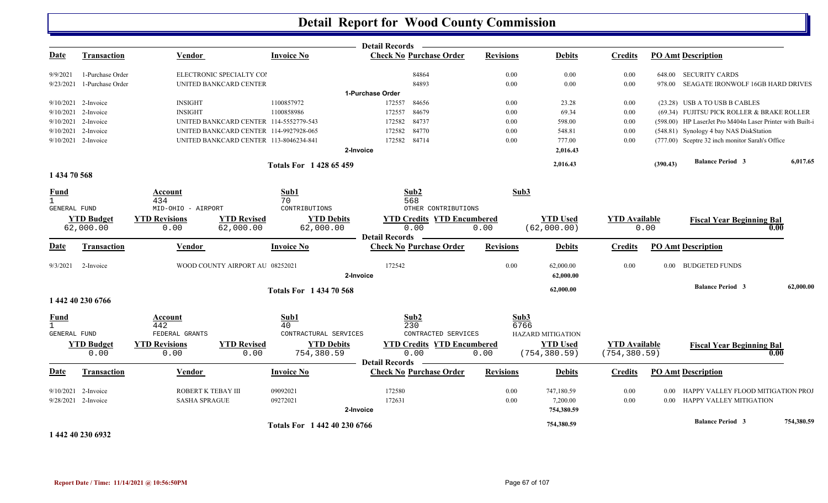|                     |                                  |                      |                                        |                                | <b>Detail Records</b>                                   |                  |                          |                      |          |                                                           |            |
|---------------------|----------------------------------|----------------------|----------------------------------------|--------------------------------|---------------------------------------------------------|------------------|--------------------------|----------------------|----------|-----------------------------------------------------------|------------|
| <b>Date</b>         | <b>Transaction</b>               | <b>Vendor</b>        |                                        | <b>Invoice No</b>              | <b>Check No Purchase Order</b>                          | <b>Revisions</b> | <b>Debits</b>            | <b>Credits</b>       |          | <b>PO Amt Description</b>                                 |            |
| 9/9/2021            | 1-Purchase Order                 |                      | ELECTRONIC SPECIALTY COI               |                                | 84864                                                   | 0.00             | 0.00                     | 0.00                 |          | 648.00 SECURITY CARDS                                     |            |
| 9/23/2021           | 1-Purchase Order                 |                      | UNITED BANKCARD CENTER                 |                                | 84893                                                   | 0.00             | 0.00                     | 0.00                 | 978.00   | SEAGATE IRONWOLF 16GB HARD DRIVES                         |            |
|                     |                                  |                      |                                        |                                | 1-Purchase Order                                        |                  |                          |                      |          |                                                           |            |
|                     | $9/10/2021$ 2-Invoice            | <b>INSIGHT</b>       |                                        | 1100857972                     | 172557<br>84656                                         | 0.00             | 23.28                    | 0.00                 |          | (23.28) USB A TO USB B CABLES                             |            |
|                     | 9/10/2021 2-Invoice              | <b>INSIGHT</b>       |                                        | 1100858986                     | 84679<br>172557                                         | 0.00             | 69.34                    | 0.00                 |          | (69.34) FUJITSU PICK ROLLER & BRAKE ROLLER                |            |
|                     | 9/10/2021 2-Invoice              |                      | UNITED BANKCARD CENTER 114-5552779-543 |                                | 84737<br>172582                                         | 0.00             | 598.00                   | 0.00                 |          | (598.00) HP LaserJet Pro M404n Laser Printer with Built-i |            |
|                     | 9/10/2021 2-Invoice              |                      | UNITED BANKCARD CENTER 114-9927928-065 |                                | 84770<br>172582                                         | 0.00             | 548.81                   | 0.00                 |          | (548.81) Synology 4 bay NAS DiskStation                   |            |
|                     | $9/10/2021$ 2-Invoice            |                      | UNITED BANKCARD CENTER 113-8046234-841 |                                | 84714<br>172582                                         | 0.00             | 777.00                   | 0.00                 |          | (777.00) Sceptre 32 inch monitor Sarah's Office           |            |
|                     |                                  |                      |                                        |                                | 2-Invoice                                               |                  | 2,016.43                 |                      |          |                                                           |            |
|                     |                                  |                      |                                        | <b>Totals For 142865459</b>    |                                                         |                  | 2,016.43                 |                      | (390.43) | <b>Balance Period 3</b>                                   | 6,017.65   |
| 1 434 70 568        |                                  |                      |                                        |                                |                                                         |                  |                          |                      |          |                                                           |            |
| <b>Fund</b>         |                                  | Account              |                                        | Sub1                           | Sub2                                                    | Sub3             |                          |                      |          |                                                           |            |
| $\mathbf{1}$        |                                  | 434                  |                                        | 70                             | 568                                                     |                  |                          |                      |          |                                                           |            |
| <b>GENERAL FUND</b> |                                  | MID-OHIO - AIRPORT   |                                        | CONTRIBUTIONS                  | OTHER CONTRIBUTIONS                                     |                  |                          |                      |          |                                                           |            |
|                     | <b>YTD Budget</b>                | <b>YTD Revisions</b> | <b>YTD Revised</b>                     | <b>YTD Debits</b>              | <b>YTD Credits YTD Encumbered</b>                       |                  | <b>YTD Used</b>          | <b>YTD Available</b> |          | <b>Fiscal Year Beginning Bal</b>                          |            |
|                     | 62,000.00                        | 0.00                 | 62,000.00                              | 62,000.00                      | 0.00                                                    | 0.00             | (62,000.00)              |                      | 0.00     |                                                           | 0.00       |
| Date                | <b>Transaction</b>               | Vendor               |                                        | <b>Invoice No</b>              | <b>Detail Records</b><br><b>Check No Purchase Order</b> | <b>Revisions</b> | <b>Debits</b>            | <b>Credits</b>       |          | <b>PO Amt Description</b>                                 |            |
|                     |                                  |                      |                                        |                                |                                                         |                  |                          |                      |          |                                                           |            |
| 9/3/2021            | 2-Invoice                        |                      | WOOD COUNTY AIRPORT AU 08252021        |                                | 172542                                                  | 0.00             | 62,000.00                | 0.00                 |          | 0.00 BUDGETED FUNDS                                       |            |
|                     |                                  |                      |                                        |                                | 2-Invoice                                               |                  | 62,000.00                |                      |          |                                                           |            |
|                     |                                  |                      |                                        | <b>Totals For 1 434 70 568</b> |                                                         |                  | 62,000.00                |                      |          | <b>Balance Period 3</b>                                   | 62,000.00  |
|                     | 1 442 40 230 6766                |                      |                                        |                                |                                                         |                  |                          |                      |          |                                                           |            |
| <b>Fund</b>         |                                  | Account              |                                        | Sub1                           | Sub2                                                    | Sub3             |                          |                      |          |                                                           |            |
| $\mathbf{1}$        |                                  | 442                  |                                        | 40                             | 230                                                     | 6766             |                          |                      |          |                                                           |            |
| GENERAL FUND        |                                  | FEDERAL GRANTS       |                                        | CONTRACTURAL SERVICES          | CONTRACTED SERVICES                                     |                  | <b>HAZARD MITIGATION</b> |                      |          |                                                           |            |
|                     | <b>YTD Budget</b>                | <b>YTD Revisions</b> | <b>YTD Revised</b>                     | <b>YTD Debits</b>              | <b>YTD Credits YTD Encumbered</b>                       |                  | <b>YTD Used</b>          | <b>YTD</b> Available |          | <b>Fiscal Year Beginning Bal</b>                          |            |
|                     | 0.00                             | 0.00                 | 0.00                                   | 754,380.59                     | 0.00                                                    | 0.00             | (754, 380.59)            | (754, 380.59)        |          |                                                           | 0.00       |
| Date                | <b>Transaction</b>               | Vendor               |                                        | <b>Invoice No</b>              | <b>Detail Records</b><br><b>Check No Purchase Order</b> | <b>Revisions</b> | <b>Debits</b>            | <b>Credits</b>       |          | <b>PO Amt Description</b>                                 |            |
|                     |                                  |                      |                                        |                                |                                                         |                  |                          |                      |          |                                                           |            |
| 9/10/2021           | 2-Invoice<br>9/28/2021 2-Invoice | ROBERT K TEBAY III   |                                        | 09092021<br>09272021           | 172580                                                  | 0.00<br>0.00     | 747,180.59               | 0.00                 | 0.00     | HAPPY VALLEY FLOOD MITIGATION PROJ                        |            |
|                     |                                  | <b>SASHA SPRAGUE</b> |                                        |                                | 172631<br>2-Invoice                                     |                  | 7,200.00<br>754,380.59   | 0.00                 | $0.00\,$ | HAPPY VALLEY MITIGATION                                   |            |
|                     |                                  |                      |                                        |                                |                                                         |                  |                          |                      |          |                                                           |            |
|                     |                                  |                      |                                        | Totals For 1 442 40 230 6766   |                                                         |                  | 754,380.59               |                      |          | <b>Balance Period 3</b>                                   | 754,380.59 |
|                     | 1 442 40 230 6932                |                      |                                        |                                |                                                         |                  |                          |                      |          |                                                           |            |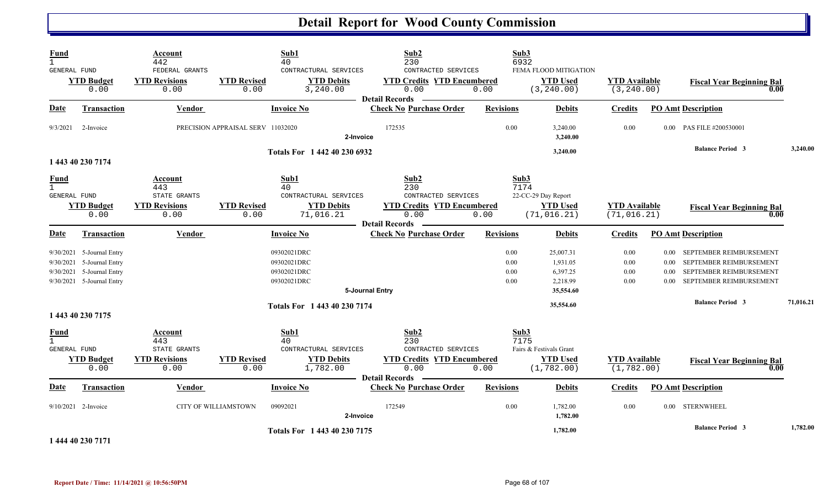| <b>Fund</b><br>$\mathbf{1}$                        |                                                                                                                  | Account<br>442                                                 |                                   | Sub1<br>40                                                            | Sub2<br>230                                                                                              |                              | Sub3<br>6932                                                              |                                      |                              |                                                                                                          |           |
|----------------------------------------------------|------------------------------------------------------------------------------------------------------------------|----------------------------------------------------------------|-----------------------------------|-----------------------------------------------------------------------|----------------------------------------------------------------------------------------------------------|------------------------------|---------------------------------------------------------------------------|--------------------------------------|------------------------------|----------------------------------------------------------------------------------------------------------|-----------|
| GENERAL FUND                                       | <b>YTD Budget</b><br>0.00                                                                                        | FEDERAL GRANTS<br><b>YTD Revisions</b><br>0.00                 | <b>YTD Revised</b><br>0.00        | CONTRACTURAL SERVICES<br><b>YTD Debits</b><br>3,240.00                | CONTRACTED SERVICES<br><b>YTD Credits YTD Encumbered</b><br>0.00<br><b>Detail Records</b>                | 0.00                         | FEMA FLOOD MITIGATION<br><b>YTD Used</b><br>(3, 240.00)                   | <b>YTD</b> Available<br>(3, 240.00)  |                              | <b>Fiscal Year Beginning Bal</b><br>0.00                                                                 |           |
| Date                                               | <b>Transaction</b>                                                                                               | Vendor                                                         |                                   | <b>Invoice No</b>                                                     | <b>Check No Purchase Order</b>                                                                           | <b>Revisions</b>             | <b>Debits</b>                                                             | <b>Credits</b>                       |                              | <b>PO Amt Description</b>                                                                                |           |
| 9/3/2021                                           | 2-Invoice                                                                                                        |                                                                | PRECISION APPRAISAL SERV 11032020 | 2-Invoice                                                             | 172535                                                                                                   | 0.00                         | 3,240.00<br>3,240.00                                                      | 0.00                                 |                              | 0.00 PAS FILE #200530001                                                                                 |           |
|                                                    | 1 443 40 230 7174                                                                                                |                                                                |                                   | Totals For 1 442 40 230 6932                                          |                                                                                                          |                              | 3,240.00                                                                  |                                      |                              | <b>Balance Period 3</b>                                                                                  | 3,240.00  |
| <b>Fund</b><br>$\mathbf{1}$<br><b>GENERAL FUND</b> | <b>YTD Budget</b><br>0.00                                                                                        | Account<br>443<br>STATE GRANTS<br><b>YTD Revisions</b><br>0.00 | <b>YTD Revised</b><br>0.00        | Sub1<br>40<br>CONTRACTURAL SERVICES<br><b>YTD Debits</b><br>71,016.21 | Sub2<br>230<br>CONTRACTED SERVICES<br><b>YTD Credits YTD Encumbered</b><br>0.00<br><b>Detail Records</b> | 0.00                         | Sub3<br>7174<br>22-CC-29 Day Report<br><b>YTD</b> Used<br>(71, 016.21)    | <b>YTD</b> Available<br>(71, 016.21) |                              | <b>Fiscal Year Beginning Bal</b><br>0.00                                                                 |           |
| <b>Date</b>                                        | <b>Transaction</b>                                                                                               | Vendor                                                         |                                   | <b>Invoice No</b>                                                     | <b>Check No Purchase Order</b>                                                                           | <b>Revisions</b>             | <b>Debits</b>                                                             | <b>Credits</b>                       |                              | <b>PO Amt Description</b>                                                                                |           |
|                                                    | 9/30/2021 5-Journal Entry<br>9/30/2021 5-Journal Entry<br>9/30/2021 5-Journal Entry<br>9/30/2021 5-Journal Entry |                                                                |                                   | 09302021DRC<br>09302021DRC<br>09302021DRC<br>09302021DRC              | 5-Journal Entry                                                                                          | 0.00<br>0.00<br>0.00<br>0.00 | 25,007.31<br>1,931.05<br>6,397.25<br>2,218.99<br>35,554.60                | 0.00<br>0.00<br>0.00<br>0.00         | 0.00<br>0.00<br>0.00<br>0.00 | SEPTEMBER REIMBURSEMENT<br>SEPTEMBER REIMBURSEMENT<br>SEPTEMBER REIMBURSEMENT<br>SEPTEMBER REIMBURSEMENT |           |
|                                                    | 1 443 40 230 7175                                                                                                |                                                                |                                   | Totals For 1 443 40 230 7174                                          |                                                                                                          |                              | 35,554.60                                                                 |                                      |                              | <b>Balance Period 3</b>                                                                                  | 71,016.21 |
| <b>Fund</b><br>$\mathbf{1}$<br>GENERAL FUND        | <b>YTD Budget</b><br>0.00                                                                                        | Account<br>443<br>STATE GRANTS<br><b>YTD Revisions</b><br>0.00 | <b>YTD</b> Revised<br>0.00        | Sub1<br>40<br>CONTRACTURAL SERVICES<br><b>YTD Debits</b><br>1,782.00  | Sub2<br>230<br>CONTRACTED SERVICES<br><b>YTD Credits YTD Encumbered</b><br>0.00                          | 0.00                         | Sub3<br>7175<br>Fairs & Festivals Grant<br><b>YTD Used</b><br>(1, 782.00) | <b>YTD Available</b><br>(1, 782.00)  |                              | <b>Fiscal Year Beginning Bal</b><br>0.00                                                                 |           |
| Date                                               | <b>Transaction</b>                                                                                               | Vendor                                                         |                                   | <b>Invoice No</b>                                                     | <b>Detail Records</b><br><b>Check No Purchase Order</b>                                                  | <b>Revisions</b>             | <b>Debits</b>                                                             | <b>Credits</b>                       |                              | <b>PO Amt Description</b>                                                                                |           |
|                                                    | 9/10/2021 2-Invoice                                                                                              |                                                                | CITY OF WILLIAMSTOWN              | 09092021<br>2-Invoice                                                 | 172549                                                                                                   | 0.00                         | 1,782.00<br>1,782.00                                                      | 0.00                                 | $0.00\,$                     | <b>STERNWHEEL</b>                                                                                        |           |
|                                                    | .                                                                                                                |                                                                |                                   | Totals For 1 443 40 230 7175                                          |                                                                                                          |                              | 1,782.00                                                                  |                                      |                              | <b>Balance Period 3</b>                                                                                  | 1,782.00  |

**1 444 40 230 7171**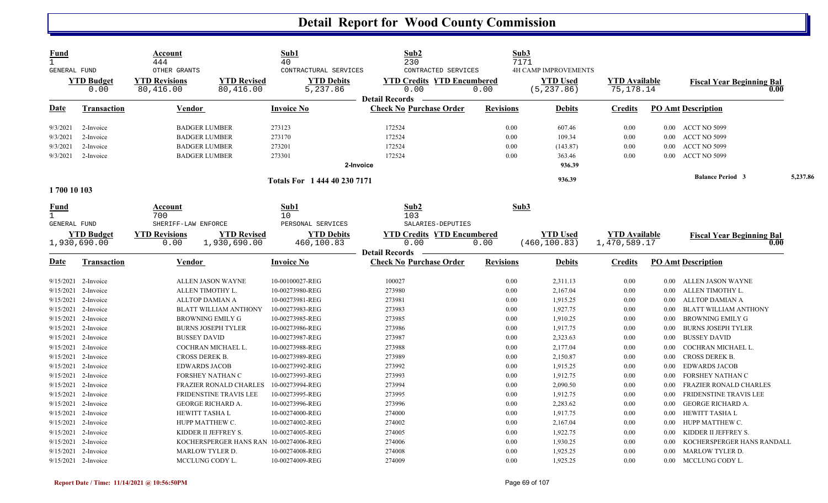| <b>Fund</b><br>$\mathbf{1}$<br><b>GENERAL FUND</b> |                           | Account<br>444<br>OTHER GRANTS        |                                 | Sub1<br>40<br>CONTRACTURAL SERVICES | Sub2<br>230<br>CONTRACTED SERVICES        |                  | Sub3<br>7171<br><b>4H CAMP IMPROVEMENTS</b> |                                   |          |                                          |          |
|----------------------------------------------------|---------------------------|---------------------------------------|---------------------------------|-------------------------------------|-------------------------------------------|------------------|---------------------------------------------|-----------------------------------|----------|------------------------------------------|----------|
|                                                    | <b>YTD</b> Budget<br>0.00 | <b>YTD Revisions</b><br>80,416.00     | <b>YTD Revised</b><br>80,416.00 | <b>YTD Debits</b><br>5,237.86       | <b>YTD Credits YTD Encumbered</b><br>0.00 | 0.00             | <b>YTD Used</b><br>(5, 237.86)              | <b>YTD</b> Available<br>75,178.14 |          | <b>Fiscal Year Beginning Bal</b><br>0.00 |          |
|                                                    |                           |                                       |                                 |                                     | <b>Detail Records</b>                     |                  |                                             |                                   |          |                                          |          |
| <u>Date</u>                                        | <b>Transaction</b>        | <b>Vendor</b>                         |                                 | <b>Invoice No</b>                   | <b>Check No Purchase Order</b>            | <b>Revisions</b> | <b>Debits</b>                               | <b>Credits</b>                    |          | <b>PO Amt Description</b>                |          |
| 9/3/2021                                           | 2-Invoice                 | <b>BADGER LUMBER</b>                  |                                 | 273123                              | 172524                                    | 0.00             | 607.46                                      | 0.00                              |          | 0.00 ACCT NO 5099                        |          |
| 9/3/2021                                           | 2-Invoice                 | <b>BADGER LUMBER</b>                  |                                 | 273170                              | 172524                                    | 0.00             | 109.34                                      | 0.00                              | $0.00\,$ | ACCT NO 5099                             |          |
| 9/3/2021                                           | 2-Invoice                 | <b>BADGER LUMBER</b>                  |                                 | 273201                              | 172524                                    | 0.00             | (143.87)                                    | 0.00                              | $0.00\,$ | ACCT NO 5099                             |          |
| 9/3/2021                                           | 2-Invoice                 | <b>BADGER LUMBER</b>                  |                                 | 273301                              | 172524                                    | 0.00             | 363.46                                      | 0.00                              | 0.00     | ACCT NO 5099                             |          |
|                                                    |                           |                                       |                                 |                                     | 2-Invoice                                 |                  | 936.39                                      |                                   |          |                                          |          |
|                                                    |                           |                                       |                                 | Totals For 1 444 40 230 7171        |                                           |                  | 936.39                                      |                                   |          | <b>Balance Period 3</b>                  | 5,237.86 |
| 1700 10 103                                        |                           |                                       |                                 |                                     |                                           |                  |                                             |                                   |          |                                          |          |
| <u>Fund</u><br>$\mathbf{1}$<br><b>GENERAL FUND</b> |                           | Account<br>700<br>SHERIFF-LAW ENFORCE |                                 | Sub1<br>10<br>PERSONAL SERVICES     | Sub2<br>103<br>SALARIES-DEPUTIES          |                  | Sub3                                        |                                   |          |                                          |          |
|                                                    | <b>YTD Budget</b>         | <b>YTD Revisions</b>                  | <b>YTD Revised</b>              | <b>YTD Debits</b>                   | <b>YTD Credits YTD Encumbered</b>         |                  | <b>YTD</b> Used                             | <b>YTD Available</b>              |          |                                          |          |
|                                                    | 1,930,690.00              | 0.00                                  | 1,930,690.00                    | 460,100.83                          | 0.00                                      | 0.00             | (460, 100.83)                               | 1,470,589.17                      |          | <b>Fiscal Year Beginning Bal</b><br>0.00 |          |
|                                                    |                           |                                       |                                 |                                     | <b>Detail Records</b>                     |                  |                                             |                                   |          |                                          |          |
| <b>Date</b>                                        | <b>Transaction</b>        | Vendor                                |                                 | <b>Invoice No</b>                   | <b>Check No Purchase Order</b>            | Revisions        | <b>Debits</b>                               | <b>Credits</b>                    |          | <b>PO Amt Description</b>                |          |
|                                                    | 9/15/2021 2-Invoice       | ALLEN JASON WAYNE                     |                                 | 10-00100027-REG                     | 100027                                    | 0.00             | 2,311.13                                    | 0.00                              | $0.00\,$ | ALLEN JASON WAYNE                        |          |
|                                                    | 9/15/2021 2-Invoice       | ALLEN TIMOTHY L.                      |                                 | 10-00273980-REG                     | 273980                                    | 0.00             | 2,167.04                                    | 0.00                              | $0.00\,$ | ALLEN TIMOTHY L.                         |          |
| 9/15/2021 2-Invoice                                |                           | ALLTOP DAMIAN A                       |                                 | 10-00273981-REG                     | 273981                                    | 0.00             | 1,915.25                                    | 0.00                              | $0.00\,$ | ALLTOP DAMIAN A                          |          |
|                                                    | 9/15/2021 2-Invoice       |                                       | <b>BLATT WILLIAM ANTHONY</b>    | 10-00273983-REG                     | 273983                                    | 0.00             | 1,927.75                                    | 0.00                              | 0.00     | <b>BLATT WILLIAM ANTHONY</b>             |          |
| 9/15/2021 2-Invoice                                |                           | <b>BROWNING EMILY G</b>               |                                 | 10-00273985-REG                     | 273985                                    | 0.00             | 1,910.25                                    | 0.00                              | $0.00\,$ | BROWNING EMILY G                         |          |
|                                                    | 9/15/2021 2-Invoice       | <b>BURNS JOSEPH TYLER</b>             |                                 | 10-00273986-REG                     | 273986                                    | 0.00             | 1,917.75                                    | 0.00                              | $0.00\,$ | <b>BURNS JOSEPH TYLER</b>                |          |
|                                                    | 9/15/2021 2-Invoice       | <b>BUSSEY DAVID</b>                   |                                 | 10-00273987-REG                     | 273987                                    | 0.00             | 2,323.63                                    | 0.00                              | 0.00     | <b>BUSSEY DAVID</b>                      |          |
| 9/15/2021 2-Invoice                                |                           | COCHRAN MICHAEL L.                    |                                 | 10-00273988-REG                     | 273988                                    | 0.00             | 2,177.04                                    | 0.00                              | 0.00     | COCHRAN MICHAEL L.                       |          |
| 9/15/2021 2-Invoice                                |                           | CROSS DEREK B.                        |                                 | 10-00273989-REG                     | 273989                                    | 0.00             | 2,150.87                                    | 0.00                              | 0.00     | <b>CROSS DEREK B.</b>                    |          |
|                                                    | 9/15/2021 2-Invoice       | <b>EDWARDS JACOB</b>                  |                                 | 10-00273992-REG                     | 273992                                    | 0.00             | 1,915.25                                    | 0.00                              | 0.00     | <b>EDWARDS JACOB</b>                     |          |
| $9/15/2021$ 2-Invoice                              |                           | FORSHEY NATHAN C                      |                                 | 10-00273993-REG                     | 273993                                    | 0.00             | 1,912.75                                    | 0.00                              | 0.00     | FORSHEY NATHAN C                         |          |
|                                                    | 9/15/2021 2-Invoice       |                                       | <b>FRAZIER RONALD CHARLES</b>   | 10-00273994-REG                     | 273994                                    | 0.00             | 2,090.50                                    | 0.00                              | 0.00     | <b>FRAZIER RONALD CHARLES</b>            |          |
|                                                    | 9/15/2021 2-Invoice       |                                       | FRIDENSTINE TRAVIS LEE          | 10-00273995-REG                     | 273995                                    | 0.00             | 1,912.75                                    | 0.00                              | 0.00     | <b>FRIDENSTINE TRAVIS LEE</b>            |          |
| 9/15/2021 2-Invoice                                |                           | <b>GEORGE RICHARD A.</b>              |                                 | 10-00273996-REG                     | 273996                                    | 0.00             | 2,283.62                                    | 0.00                              | 0.00     | <b>GEORGE RICHARD A.</b>                 |          |
|                                                    | 9/15/2021 2-Invoice       | HEWITT TASHA L                        |                                 | 10-00274000-REG                     | 274000                                    | 0.00             | 1,917.75                                    | 0.00                              | 0.00     | HEWITT TASHA L                           |          |
| 9/15/2021 2-Invoice                                |                           | HUPP MATTHEW C.                       |                                 | 10-00274002-REG                     | 274002                                    | 0.00             | 2,167.04                                    | 0.00                              | $0.00\,$ | HUPP MATTHEW C.                          |          |
| 9/15/2021                                          | 2-Invoice                 | KIDDER II JEFFREY S.                  |                                 | 10-00274005-REG                     | 274005                                    | 0.00             | 1,922.75                                    | 0.00                              | 0.00     | KIDDER II JEFFREY S.                     |          |
| 9/15/2021 2-Invoice                                |                           |                                       | KOCHERSPERGER HANS RAN          | 10-00274006-REG                     | 274006                                    | 0.00             | 1,930.25                                    | 0.00                              | 0.00     | KOCHERSPERGER HANS RANDALL               |          |
| 9/15/2021 2-Invoice                                |                           | MARLOW TYLER D.                       |                                 | 10-00274008-REG                     | 274008                                    | 0.00             | 1,925.25                                    | 0.00                              | $0.00\,$ | <b>MARLOW TYLER D.</b>                   |          |
| 9/15/2021 2-Invoice                                |                           | MCCLUNG CODY L.                       |                                 | 10-00274009-REG                     | 274009                                    | 0.00             | 1,925.25                                    | 0.00                              |          | 0.00 MCCLUNG CODY L.                     |          |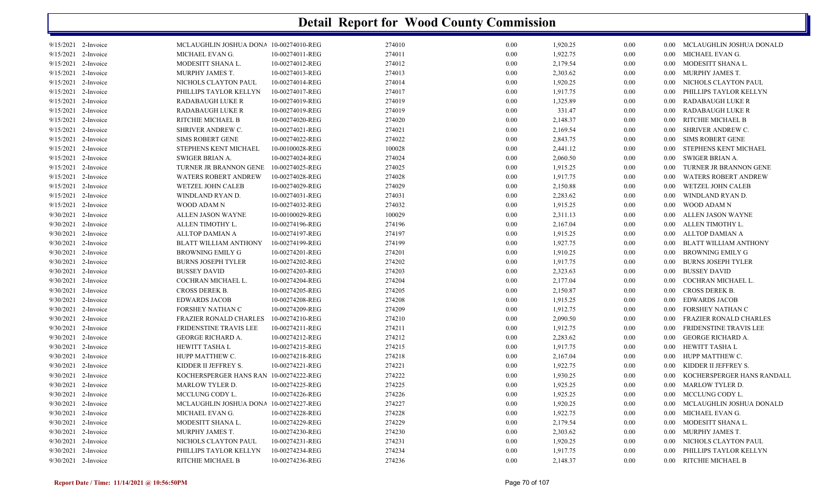| 9/15/2021 2-Invoice | MCLAUGHLIN JOSHUA DONA 10-00274010-REG |                 | 274010 | 0.00     | 1,920.25 | 0.00 |                   | 0.00 MCLAUGHLIN JOSHUA DONALD |
|---------------------|----------------------------------------|-----------------|--------|----------|----------|------|-------------------|-------------------------------|
| 9/15/2021 2-Invoice | MICHAEL EVAN G.                        | 10-00274011-REG | 274011 | 0.00     | 1,922.75 | 0.00 |                   | 0.00 MICHAEL EVAN G.          |
| 9/15/2021 2-Invoice | MODESITT SHANA L.                      | 10-00274012-REG | 274012 | $0.00\,$ | 2,179.54 | 0.00 |                   | 0.00 MODESITT SHANA L.        |
| 9/15/2021 2-Invoice | MURPHY JAMES T.                        | 10-00274013-REG | 274013 | 0.00     | 2,303.62 | 0.00 |                   | 0.00 MURPHY JAMES T.          |
| 9/15/2021 2-Invoice | NICHOLS CLAYTON PAUL                   | 10-00274014-REG | 274014 | 0.00     | 1,920.25 | 0.00 | $0.00\,$          | NICHOLS CLAYTON PAUL          |
| 9/15/2021 2-Invoice | PHILLIPS TAYLOR KELLYN                 | 10-00274017-REG | 274017 | 0.00     | 1,917.75 | 0.00 | $0.00\,$          | PHILLIPS TAYLOR KELLYN        |
| 9/15/2021 2-Invoice | RADABAUGH LUKE R                       | 10-00274019-REG | 274019 | $0.00\,$ | 1,325.89 | 0.00 |                   | 0.00 RADABAUGH LUKE R         |
| 9/15/2021 2-Invoice | RADABAUGH LUKE R                       | 10-00274019-REG | 274019 | $0.00\,$ | 331.47   | 0.00 | $0.00\,$          | RADABAUGH LUKE R              |
| 9/15/2021 2-Invoice | RITCHIE MICHAEL B                      | 10-00274020-REG | 274020 | 0.00     | 2,148.37 | 0.00 | 0.00 <sub>1</sub> | RITCHIE MICHAEL B             |
| 9/15/2021 2-Invoice | SHRIVER ANDREW C.                      | 10-00274021-REG | 274021 | 0.00     | 2,169.54 | 0.00 |                   | 0.00 SHRIVER ANDREW C.        |
| 9/15/2021 2-Invoice | <b>SIMS ROBERT GENE</b>                | 10-00274022-REG | 274022 | $0.00\,$ | 2,843.75 | 0.00 | $0.00\,$          | SIMS ROBERT GENE              |
| 9/15/2021 2-Invoice | STEPHENS KENT MICHAEL                  | 10-00100028-REG | 100028 | 0.00     | 2,441.12 | 0.00 |                   | 0.00 STEPHENS KENT MICHAEL    |
| 9/15/2021 2-Invoice | SWIGER BRIAN A.                        | 10-00274024-REG | 274024 | 0.00     | 2,060.50 | 0.00 |                   | 0.00 SWIGER BRIAN A.          |
| 9/15/2021 2-Invoice | TURNER JR BRANNON GENE 10-00274025-REG |                 | 274025 | 0.00     | 1,915.25 | 0.00 | $0.00 -$          | TURNER JR BRANNON GENE        |
| 9/15/2021 2-Invoice | <b>WATERS ROBERT ANDREW</b>            | 10-00274028-REG | 274028 | $0.00\,$ | 1,917.75 | 0.00 | $0.00\,$          | WATERS ROBERT ANDREW          |
| 9/15/2021 2-Invoice | WETZEL JOHN CALEB                      | 10-00274029-REG | 274029 | 0.00     | 2,150.88 | 0.00 | $0.00\,$          | WETZEL JOHN CALEB             |
| 9/15/2021 2-Invoice | WINDLAND RYAN D.                       | 10-00274031-REG | 274031 | 0.00     | 2,283.62 | 0.00 | 0.00              | WINDLAND RYAN D.              |
| 9/15/2021 2-Invoice | WOOD ADAM N                            | 10-00274032-REG | 274032 | 0.00     | 1,915.25 | 0.00 | $0.00\,$          | WOOD ADAM N                   |
| 9/30/2021 2-Invoice | ALLEN JASON WAYNE                      | 10-00100029-REG | 100029 | $0.00\,$ | 2,311.13 | 0.00 | $0.00\,$          | ALLEN JASON WAYNE             |
| 9/30/2021 2-Invoice | ALLEN TIMOTHY L.                       | 10-00274196-REG | 274196 | 0.00     | 2,167.04 | 0.00 | $0.00\,$          | ALLEN TIMOTHY L.              |
| 9/30/2021 2-Invoice | ALLTOP DAMIAN A                        | 10-00274197-REG | 274197 | 0.00     | 1,915.25 | 0.00 |                   | 0.00 ALLTOP DAMIAN A          |
| 9/30/2021 2-Invoice | BLATT WILLIAM ANTHONY                  | 10-00274199-REG | 274199 | 0.00     | 1,927.75 | 0.00 | $0.00\,$          | BLATT WILLIAM ANTHONY         |
| 9/30/2021 2-Invoice | <b>BROWNING EMILY G</b>                | 10-00274201-REG | 274201 | $0.00\,$ | 1,910.25 | 0.00 | $0.00\,$          | BROWNING EMILY G              |
| 9/30/2021 2-Invoice | <b>BURNS JOSEPH TYLER</b>              | 10-00274202-REG | 274202 | 0.00     | 1,917.75 | 0.00 | $0.00\,$          | BURNS JOSEPH TYLER            |
| 9/30/2021 2-Invoice | <b>BUSSEY DAVID</b>                    | 10-00274203-REG | 274203 | 0.00     | 2,323.63 | 0.00 | $0.00\,$          | <b>BUSSEY DAVID</b>           |
| 9/30/2021 2-Invoice | COCHRAN MICHAEL L.                     | 10-00274204-REG | 274204 | 0.00     | 2,177.04 | 0.00 | 0.00 <sub>1</sub> | COCHRAN MICHAEL L.            |
| 9/30/2021 2-Invoice | CROSS DEREK B.                         | 10-00274205-REG | 274205 | 0.00     | 2,150.87 | 0.00 |                   | 0.00 CROSS DEREK B.           |
| 9/30/2021 2-Invoice | <b>EDWARDS JACOB</b>                   | 10-00274208-REG | 274208 | $0.00\,$ | 1,915.25 | 0.00 | $0.00\,$          | <b>EDWARDS JACOB</b>          |
| 9/30/2021 2-Invoice | FORSHEY NATHAN C                       | 10-00274209-REG | 274209 | 0.00     | 1,912.75 | 0.00 | $0.00^{\circ}$    | FORSHEY NATHAN C              |
| 9/30/2021 2-Invoice | FRAZIER RONALD CHARLES                 | 10-00274210-REG | 274210 | 0.00     | 2,090.50 | 0.00 | $0.00\,$          | FRAZIER RONALD CHARLES        |
| 9/30/2021 2-Invoice | FRIDENSTINE TRAVIS LEE                 | 10-00274211-REG | 274211 | $0.00\,$ | 1,912.75 | 0.00 | 0.00              | FRIDENSTINE TRAVIS LEE        |
| 9/30/2021 2-Invoice | <b>GEORGE RICHARD A.</b>               | 10-00274212-REG | 274212 | 0.00     | 2,283.62 | 0.00 |                   | 0.00 GEORGE RICHARD A.        |
| 9/30/2021 2-Invoice | HEWITT TASHA L                         | 10-00274215-REG | 274215 | 0.00     | 1,917.75 | 0.00 |                   | 0.00 HEWITT TASHA L           |
| 9/30/2021 2-Invoice | HUPP MATTHEW C.                        | 10-00274218-REG | 274218 | 0.00     | 2,167.04 | 0.00 |                   | 0.00 HUPP MATTHEW C.          |
| 9/30/2021 2-Invoice | KIDDER II JEFFREY S.                   | 10-00274221-REG | 274221 | $0.00\,$ | 1,922.75 | 0.00 | $0.00\,$          | KIDDER II JEFFREY S.          |
| 9/30/2021 2-Invoice | KOCHERSPERGER HANS RAN 10-00274222-REG |                 | 274222 | 0.00     | 1,930.25 | 0.00 | $0.00\,$          | KOCHERSPERGER HANS RANDALL    |
| 9/30/2021 2-Invoice | MARLOW TYLER D.                        | 10-00274225-REG | 274225 | 0.00     | 1,925.25 | 0.00 |                   | 0.00 MARLOW TYLER D.          |
| 9/30/2021 2-Invoice | MCCLUNG CODY L.                        | 10-00274226-REG | 274226 | 0.00     | 1,925.25 | 0.00 |                   | 0.00 MCCLUNG CODY L.          |
| 9/30/2021 2-Invoice | MCLAUGHLIN JOSHUA DONA 10-00274227-REG |                 | 274227 | $0.00\,$ | 1,920.25 | 0.00 | 0.00 <sub>1</sub> | MCLAUGHLIN JOSHUA DONALD      |
| 9/30/2021 2-Invoice | MICHAEL EVAN G.                        | 10-00274228-REG | 274228 | 0.00     | 1,922.75 | 0.00 |                   | 0.00 MICHAEL EVAN G.          |
| 9/30/2021 2-Invoice | MODESITT SHANA L.                      | 10-00274229-REG | 274229 | $0.00\,$ | 2,179.54 | 0.00 |                   | 0.00 MODESITT SHANA L.        |
| 9/30/2021 2-Invoice | MURPHY JAMES T.                        | 10-00274230-REG | 274230 | 0.00     | 2,303.62 | 0.00 | $0.00\,$          | MURPHY JAMES T.               |
| 9/30/2021 2-Invoice | NICHOLS CLAYTON PAUL                   | 10-00274231-REG | 274231 | $0.00\,$ | 1,920.25 | 0.00 | $0.00\,$          | NICHOLS CLAYTON PAUL          |
| 9/30/2021 2-Invoice | PHILLIPS TAYLOR KELLYN                 | 10-00274234-REG | 274234 | 0.00     | 1,917.75 | 0.00 | $0.00\,$          | PHILLIPS TAYLOR KELLYN        |
| 9/30/2021 2-Invoice | RITCHIE MICHAEL B                      | 10-00274236-REG | 274236 | 0.00     | 2,148.37 | 0.00 |                   | 0.00 RITCHIE MICHAEL B        |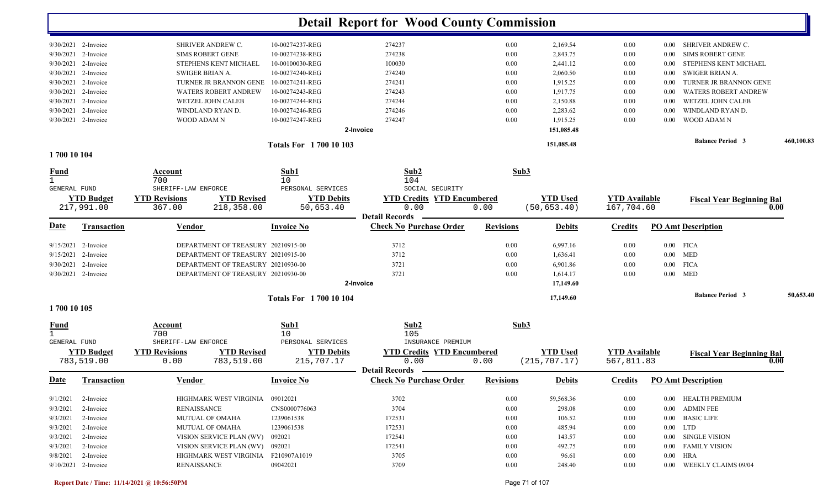|                             |                                 |                                                                    |                                | <b>Detail Report for Wood County Commission</b> |                  |                                 |                                    |                         |                                          |           |
|-----------------------------|---------------------------------|--------------------------------------------------------------------|--------------------------------|-------------------------------------------------|------------------|---------------------------------|------------------------------------|-------------------------|------------------------------------------|-----------|
|                             | 9/30/2021 2-Invoice             | SHRIVER ANDREW C.                                                  | 10-00274237-REG                | 274237                                          | 0.00             | 2,169.54                        | 0.00                               | $0.00\,$                | SHRIVER ANDREW C.                        |           |
| 9/30/2021                   | 2-Invoice                       | <b>SIMS ROBERT GENE</b>                                            | 10-00274238-REG                | 274238                                          | 0.00             | 2,843.75                        | 0.00                               | 0.00                    | <b>SIMS ROBERT GENE</b>                  |           |
| 9/30/2021                   | 2-Invoice                       | STEPHENS KENT MICHAEL                                              | 10-00100030-REG                | 100030                                          | 0.00             | 2,441.12                        | 0.00                               | 0.00                    | STEPHENS KENT MICHAEL                    |           |
| 9/30/2021                   | 2-Invoice                       | <b>SWIGER BRIAN A.</b>                                             | 10-00274240-REG                | 274240                                          | 0.00             | 2,060.50                        | 0.00                               | 0.00                    | SWIGER BRIAN A.                          |           |
| 9/30/2021                   | 2-Invoice                       | TURNER JR BRANNON GENE                                             | 10-00274241-REG                | 274241                                          | 0.00             | 1,915.25                        | 0.00                               | 0.00                    | TURNER JR BRANNON GENE                   |           |
| 9/30/2021                   | 2-Invoice                       | <b>WATERS ROBERT ANDREW</b>                                        | 10-00274243-REG                | 274243                                          | $0.00\,$         | 1,917.75                        | 0.00                               | 0.00                    | <b>WATERS ROBERT ANDREW</b>              |           |
| 9/30/2021                   | 2-Invoice                       | WETZEL JOHN CALEB                                                  | 10-00274244-REG                | 274244                                          | 0.00             | 2,150.88                        | 0.00                               | 0.00                    | WETZEL JOHN CALEB                        |           |
| 9/30/2021                   | 2-Invoice                       | WINDLAND RYAN D.                                                   | 10-00274246-REG                | 274246                                          | 0.00             | 2,283.62                        | 0.00                               | 0.00                    | WINDLAND RYAN D.                         |           |
| 2-Invoice<br>9/30/2021      |                                 | WOOD ADAM N                                                        | 10-00274247-REG                | 274247                                          | 0.00             | 1,915.25                        | 0.00                               | 0.00                    | <b>WOOD ADAM N</b>                       |           |
|                             |                                 |                                                                    |                                | 2-Invoice                                       |                  | 151,085.48                      |                                    |                         |                                          |           |
|                             |                                 | <b>Totals For 1700 10 103</b>                                      |                                |                                                 |                  |                                 |                                    | <b>Balance Period 3</b> | 460,100.83                               |           |
| 1700 10 104                 |                                 |                                                                    |                                |                                                 |                  |                                 |                                    |                         |                                          |           |
| <u>Fund</u>                 |                                 | Account<br>700                                                     | Sub1<br>10                     | Sub2<br>104                                     | Sub3             |                                 |                                    |                         |                                          |           |
| <b>GENERAL FUND</b>         |                                 | SHERIFF-LAW ENFORCE                                                | PERSONAL SERVICES              | SOCIAL SECURITY                                 |                  |                                 |                                    |                         |                                          |           |
|                             | <b>YTD Budget</b><br>217,991.00 | <b>YTD Revised</b><br><b>YTD Revisions</b><br>218,358.00<br>367.00 | <b>YTD Debits</b><br>50,653.40 | <b>YTD Credits YTD Encumbered</b><br>0.00       | 0.00             | <b>YTD</b> Used<br>(50, 653.40) | <b>YTD</b> Available<br>167,704.60 |                         | <b>Fiscal Year Beginning Bal</b><br>0.00 |           |
|                             |                                 |                                                                    |                                | <b>Detail Records</b>                           |                  |                                 |                                    |                         |                                          |           |
| Date                        | <b>Transaction</b>              | <b>Vendor</b>                                                      | <b>Invoice No</b>              | <b>Check No Purchase Order</b>                  | <b>Revisions</b> | <b>Debits</b>                   | <b>Credits</b>                     |                         | <b>PO Amt Description</b>                |           |
| 9/15/2021                   | 2-Invoice                       | DEPARTMENT OF TREASURY 20210915-00                                 |                                | 3712                                            | 0.00             | 6,997.16                        | 0.00                               |                         | $0.00$ FICA                              |           |
| 2-Invoice<br>9/15/2021      |                                 | DEPARTMENT OF TREASURY 20210915-00                                 |                                | 3712                                            | 0.00             | 1,636.41                        | 0.00                               |                         | $0.00$ MED                               |           |
| 9/30/2021                   | 2-Invoice                       | DEPARTMENT OF TREASURY 20210930-00                                 |                                | 3721                                            | 0.00             | 6,901.86                        | 0.00                               | $0.00\,$                | <b>FICA</b>                              |           |
|                             | 9/30/2021 2-Invoice             | DEPARTMENT OF TREASURY 20210930-00                                 |                                | 3721                                            | 0.00             | 1,614.17                        | 0.00                               | $0.00\,$                | <b>MED</b>                               |           |
|                             |                                 |                                                                    |                                | 2-Invoice                                       |                  | 17,149.60                       |                                    |                         |                                          |           |
|                             |                                 |                                                                    | <b>Totals For 170010104</b>    |                                                 |                  | 17,149.60                       |                                    |                         | <b>Balance Period 3</b>                  | 50,653.40 |
| 1700 10 105                 |                                 |                                                                    |                                |                                                 |                  |                                 |                                    |                         |                                          |           |
| <u>Fund</u><br>$\mathbf{1}$ |                                 | Account<br>700                                                     | Sub1<br>10                     | Sub2<br>105                                     | Sub3             |                                 |                                    |                         |                                          |           |
| <b>GENERAL FUND</b>         |                                 | SHERIFF-LAW ENFORCE                                                | PERSONAL SERVICES              | INSURANCE PREMIUM                               |                  |                                 |                                    |                         |                                          |           |
|                             | <b>YTD Budget</b>               | <b>YTD Revisions</b><br><b>YTD Revised</b>                         | <b>YTD Debits</b>              | <b>YTD Credits YTD Encumbered</b>               |                  | <b>YTD Used</b>                 | <b>YTD</b> Available               |                         | <b>Fiscal Year Beginning Bal</b>         |           |
|                             | 783,519.00                      | 0.00<br>783,519.00                                                 | 215,707.17                     | 0.00<br><b>Detail Records</b>                   | 0.00             | (215, 707.17)                   | 567,811.83                         |                         | 0.00                                     |           |
|                             | Date Transaction                | Vendor                                                             | <b>Invoice No</b>              | <b>Check No Purchase Order</b>                  | <b>Revisions</b> | <b>Debits</b>                   | <b>Credits</b>                     |                         | <b>PO Amt Description</b>                |           |
| 9/1/2021                    | 2-Invoice                       | HIGHMARK WEST VIRGINIA 09012021                                    |                                | 3702                                            | $0.00\,$         | 59,568.36                       | 0.00                               |                         | 0.00 HEALTH PREMIUM                      |           |
| 9/3/2021                    | 2-Invoice                       | <b>RENAISSANCE</b>                                                 | CNS0000776063                  | 3704                                            | $0.00\,$         | 298.08                          | $0.00\,$                           |                         | 0.00 ADMIN FEE                           |           |
| 9/3/2021                    | 2-Invoice                       | <b>MUTUAL OF OMAHA</b>                                             | 1239061538                     | 172531                                          | $0.00\,$         | 106.52                          | 0.00                               |                         | 0.00 BASIC LIFE                          |           |
| 9/3/2021                    | 2-Invoice                       | <b>MUTUAL OF OMAHA</b>                                             | 1239061538                     | 172531                                          | $0.00\,$         | 485.94                          | 0.00                               |                         | $0.00$ LTD                               |           |
| 9/3/2021                    | 2-Invoice                       | VISION SERVICE PLAN (WV) 092021                                    |                                | 172541                                          | $0.00\,$         | 143.57                          | 0.00                               |                         | 0.00 SINGLE VISION                       |           |
| 9/3/2021                    | 2-Invoice                       | VISION SERVICE PLAN (WV) 092021                                    |                                | 172541                                          | $0.00\,$         | 492.75                          | 0.00                               |                         | 0.00 FAMILY VISION                       |           |
| 9/8/2021                    | 2-Invoice                       | HIGHMARK WEST VIRGINIA F210907A1019                                |                                | 3705                                            | $0.00\,$         | 96.61                           | 0.00                               |                         | $0.00$ HRA                               |           |
|                             | 9/10/2021 2-Invoice             | <b>RENAISSANCE</b>                                                 | 09042021                       | 3709                                            | $0.00\,$         | 248.40                          | $0.00\,$                           |                         | 0.00 WEEKLY CLAIMS 09/04                 |           |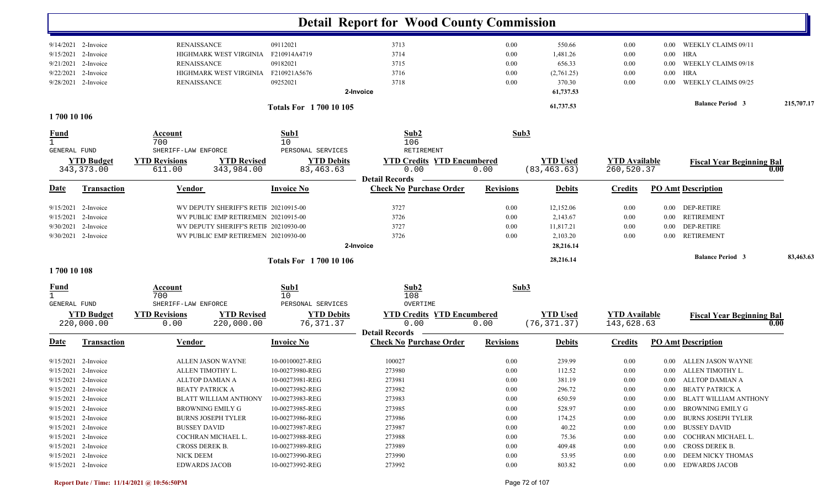|                   |                       |                                            |                               | <b>Detail Report for Wood County Commission</b>         |                  |                 |                      |          |                                  |            |
|-------------------|-----------------------|--------------------------------------------|-------------------------------|---------------------------------------------------------|------------------|-----------------|----------------------|----------|----------------------------------|------------|
|                   | 9/14/2021 2-Invoice   | <b>RENAISSANCE</b>                         | 09112021                      | 3713                                                    | 0.00             | 550.66          | 0.00                 | $0.00\,$ | WEEKLY CLAIMS 09/11              |            |
| 9/15/2021         | 2-Invoice             | HIGHMARK WEST VIRGINIA                     | F210914A4719                  | 3714                                                    | 0.00             | 1,481.26        | 0.00                 | $0.00\,$ | HRA                              |            |
| 9/21/2021         | 2-Invoice             | <b>RENAISSANCE</b>                         | 09182021                      | 3715                                                    | 0.00             | 656.33          | 0.00                 | 0.00     | WEEKLY CLAIMS 09/18              |            |
| 9/22/2021         | 2-Invoice             | HIGHMARK WEST VIRGINIA                     | F210921A5676                  | 3716                                                    | 0.00             | (2,761.25)      | 0.00                 | 0.00     | <b>HRA</b>                       |            |
|                   | 9/28/2021 2-Invoice   | <b>RENAISSANCE</b>                         | 09252021                      | 3718                                                    | 0.00             | 370.30          | 0.00                 | 0.00     | WEEKLY CLAIMS 09/25              |            |
|                   |                       |                                            |                               | 2-Invoice                                               |                  | 61,737.53       |                      |          |                                  |            |
|                   |                       |                                            | <b>Totals For 1700 10 105</b> |                                                         |                  | 61,737.53       |                      |          | <b>Balance Period 3</b>          | 215,707.17 |
| 1700 10 106       |                       |                                            |                               |                                                         |                  |                 |                      |          |                                  |            |
| <u>Fund</u>       |                       | Account<br>700                             | Sub1<br>10                    | Sub2<br>106                                             | Sub3             |                 |                      |          |                                  |            |
| GENERAL FUND      |                       | SHERIFF-LAW ENFORCE                        | PERSONAL SERVICES             | RETIREMENT                                              |                  |                 |                      |          |                                  |            |
|                   | <b>YTD Budget</b>     | <b>YTD Revisions</b><br><b>YTD Revised</b> | <b>YTD Debits</b>             | <b>YTD Credits YTD Encumbered</b>                       |                  | <b>YTD</b> Used | <b>YTD Available</b> |          | <b>Fiscal Year Beginning Bal</b> |            |
|                   | 343,373.00            | 343,984.00<br>611.00                       | 83,463.63                     | 0.00                                                    | 0.00             | (83, 463.63)    | 260,520.37           |          |                                  | 0.00       |
| Date              | <b>Transaction</b>    |                                            |                               | <b>Detail Records</b><br><b>Check No Purchase Order</b> |                  |                 |                      |          | <b>PO Amt Description</b>        |            |
|                   |                       | <u>Vendor</u>                              | <b>Invoice No</b>             |                                                         | <b>Revisions</b> | <b>Debits</b>   | <b>Credits</b>       |          |                                  |            |
| 9/15/2021         | 2-Invoice             | WV DEPUTY SHERIFF'S RETIF 20210915-00      |                               | 3727                                                    | 0.00             | 12,152.06       | 0.00                 |          | 0.00 DEP-RETIRE                  |            |
| 9/15/2021         | 2-Invoice             | WV PUBLIC EMP RETIREMEN 20210915-00        |                               | 3726                                                    | 0.00             | 2,143.67        | 0.00                 | $0.00\,$ | <b>RETIREMENT</b>                |            |
|                   | 9/30/2021 2-Invoice   | WV DEPUTY SHERIFF'S RETII 20210930-00      |                               | 3727                                                    | 0.00             | 11,817.21       | 0.00                 | $0.00\,$ | <b>DEP-RETIRE</b>                |            |
|                   | 9/30/2021 2-Invoice   | WV PUBLIC EMP RETIREMEN 20210930-00        |                               | 3726                                                    | 0.00             | 2,103.20        | 0.00                 | 0.00     | <b>RETIREMENT</b>                |            |
|                   |                       |                                            |                               | 2-Invoice                                               |                  | 28,216.14       |                      |          |                                  |            |
|                   |                       |                                            | <b>Totals For 1700 10 106</b> |                                                         |                  | 28,216.14       |                      |          | <b>Balance Period 3</b>          | 83,463.63  |
| 1700 10 108       |                       |                                            |                               |                                                         |                  |                 |                      |          |                                  |            |
| $\frac{Fund}{1}$  |                       | Account<br>700                             | Sub1<br>10                    | Sub2<br>108                                             | Sub3             |                 |                      |          |                                  |            |
| GENERAL FUND      |                       | SHERIFF-LAW ENFORCE                        | PERSONAL SERVICES             | OVERTIME                                                |                  |                 |                      |          |                                  |            |
| <b>YTD Budget</b> |                       | <b>YTD Revisions</b><br><b>YTD Revised</b> | <b>YTD Debits</b>             | <b>YTD Credits YTD Encumbered</b>                       |                  | <b>YTD</b> Used | <b>YTD</b> Available |          | <b>Fiscal Year Beginning Bal</b> |            |
|                   | 220,000.00            | 220,000.00<br>0.00                         | 76, 371.37                    | 0.00<br><b>Detail Records</b>                           | 0.00             | (76, 371.37)    | 143,628.63           |          |                                  | 0.00       |
| <u>Date</u>       | <b>Transaction</b>    | <b>Vendor</b>                              | <b>Invoice No</b>             | <b>Check No Purchase Order</b>                          | <b>Revisions</b> | <b>Debits</b>   | <b>Credits</b>       |          | <b>PO Amt Description</b>        |            |
|                   | $9/15/2021$ 2-Invoice | ALLEN JASON WAYNE                          | 10-00100027-REG               | 100027                                                  | 0.00             | 239.99          | 0.00                 | $0.00\,$ | ALLEN JASON WAYNE                |            |
|                   | 9/15/2021 2-Invoice   | ALLEN TIMOTHY L.                           | 10-00273980-REG               | 273980                                                  | 0.00             | 112.52          | 0.00                 |          | 0.00 ALLEN TIMOTHY L.            |            |
|                   | 9/15/2021 2-Invoice   | ALLTOP DAMIAN A                            | 10-00273981-REG               | 273981                                                  | 0.00             | 381.19          | 0.00                 |          | 0.00 ALLTOP DAMIAN A             |            |
|                   | $9/15/2021$ 2-Invoice | <b>BEATY PATRICK A</b>                     | 10-00273982-REG               | 273982                                                  | $0.00\,$         | 296.72          | 0.00                 |          | 0.00 BEATY PATRICK A             |            |
|                   | 9/15/2021 2-Invoice   | BLATT WILLIAM ANTHONY                      | 10-00273983-REG               | 273983                                                  | $0.00\,$         | 650.59          | 0.00                 | $0.00\,$ | BLATT WILLIAM ANTHONY            |            |
|                   | $9/15/2021$ 2-Invoice | BROWNING EMILY G                           | 10-00273985-REG               | 273985                                                  | $0.00\,$         | 528.97          | 0.00                 |          | 0.00 BROWNING EMILY G            |            |
|                   | $9/15/2021$ 2-Invoice | <b>BURNS JOSEPH TYLER</b>                  | 10-00273986-REG               | 273986                                                  | 0.00             | 174.25          | 0.00                 | $0.00\,$ | BURNS JOSEPH TYLER               |            |
|                   | 9/15/2021 2-Invoice   | <b>BUSSEY DAVID</b>                        | 10-00273987-REG               | 273987                                                  | 0.00             | 40.22           | 0.00                 | $0.00\,$ | <b>BUSSEY DAVID</b>              |            |
|                   | $9/15/2021$ 2-Invoice | COCHRAN MICHAEL L.                         | 10-00273988-REG               | 273988                                                  | 0.00             | 75.36           | 0.00                 |          | 0.00 COCHRAN MICHAEL L.          |            |
|                   | $9/15/2021$ 2-Invoice | CROSS DEREK B.                             | 10-00273989-REG               | 273989                                                  | 0.00             | 409.48          | 0.00                 |          | 0.00 CROSS DEREK B.              |            |
|                   | $9/15/2021$ 2-Invoice | NICK DEEM                                  | 10-00273990-REG               | 273990                                                  | 0.00             | 53.95           | $0.00\,$             |          | 0.00 DEEM NICKY THOMAS           |            |
|                   | 9/15/2021 2-Invoice   | <b>EDWARDS JACOB</b>                       | 10-00273992-REG               | 273992                                                  | 0.00             | 803.82          | $0.00\,$             |          | 0.00 EDWARDS JACOB               |            |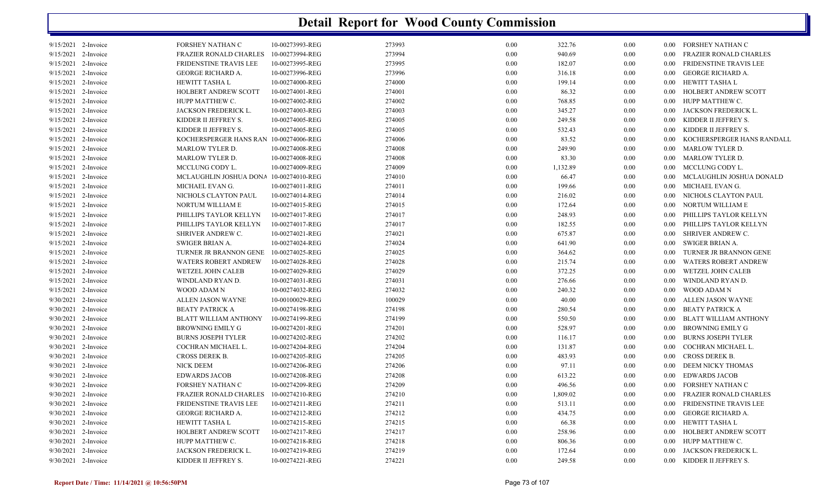| 9/15/2021 2-Invoice   | FORSHEY NATHAN C                       | 10-00273993-REG | 273993 | 0.00     | 322.76   | $0.00\,$ |                   | 0.00 FORSHEY NATHAN C        |
|-----------------------|----------------------------------------|-----------------|--------|----------|----------|----------|-------------------|------------------------------|
| 9/15/2021 2-Invoice   | FRAZIER RONALD CHARLES                 | 10-00273994-REG | 273994 | 0.00     | 940.69   | 0.00     | $0.00 -$          | FRAZIER RONALD CHARLES       |
| 9/15/2021 2-Invoice   | FRIDENSTINE TRAVIS LEE                 | 10-00273995-REG | 273995 | 0.00     | 182.07   | 0.00     | $0.00\,$          | FRIDENSTINE TRAVIS LEE       |
| $9/15/2021$ 2-Invoice | GEORGE RICHARD A.                      | 10-00273996-REG | 273996 | 0.00     | 316.18   | $0.00\,$ | $0.00\,$          | GEORGE RICHARD A.            |
| 9/15/2021 2-Invoice   | HEWITT TASHA L                         | 10-00274000-REG | 274000 | 0.00     | 199.14   | 0.00     | $0.00\,$          | HEWITT TASHA L               |
| 9/15/2021 2-Invoice   | HOLBERT ANDREW SCOTT                   | 10-00274001-REG | 274001 | $0.00\,$ | 86.32    | 0.00     | $0.00\,$          | HOLBERT ANDREW SCOTT         |
| 9/15/2021 2-Invoice   | HUPP MATTHEW C.                        | 10-00274002-REG | 274002 | 0.00     | 768.85   | 0.00     | $0.00\,$          | HUPP MATTHEW C.              |
| 9/15/2021 2-Invoice   | JACKSON FREDERICK L.                   | 10-00274003-REG | 274003 | 0.00     | 345.27   | 0.00     | $0.00\,$          | JACKSON FREDERICK L.         |
| 9/15/2021 2-Invoice   | KIDDER II JEFFREY S.                   | 10-00274005-REG | 274005 | 0.00     | 249.58   | 0.00     | $0.00\,$          | KIDDER II JEFFREY S.         |
| 9/15/2021 2-Invoice   | KIDDER II JEFFREY S.                   | 10-00274005-REG | 274005 | $0.00\,$ | 532.43   | 0.00     | $0.00\,$          | KIDDER II JEFFREY S.         |
| 9/15/2021 2-Invoice   | KOCHERSPERGER HANS RAN 10-00274006-REG |                 | 274006 | 0.00     | 83.52    | 0.00     | $0.00\,$          | KOCHERSPERGER HANS RANDALL   |
| 9/15/2021 2-Invoice   | <b>MARLOW TYLER D.</b>                 | 10-00274008-REG | 274008 | 0.00     | 249.90   | 0.00     | 0.00 <sub>1</sub> | MARLOW TYLER D.              |
| 9/15/2021 2-Invoice   | MARLOW TYLER D.                        | 10-00274008-REG | 274008 | $0.00\,$ | 83.30    | 0.00     | $0.00\,$          | MARLOW TYLER D.              |
| 9/15/2021 2-Invoice   | MCCLUNG CODY L.                        | 10-00274009-REG | 274009 | 0.00     | 1,132.89 | $0.00\,$ | $0.00\,$          | MCCLUNG CODY L.              |
| 9/15/2021 2-Invoice   | MCLAUGHLIN JOSHUA DONA 10-00274010-REG |                 | 274010 | 0.00     | 66.47    | 0.00     | 0.00 <sub>1</sub> | MCLAUGHLIN JOSHUA DONALD     |
| 9/15/2021 2-Invoice   | MICHAEL EVAN G.                        | 10-00274011-REG | 274011 | 0.00     | 199.66   | 0.00     | $0.00\,$          | MICHAEL EVAN G.              |
| 9/15/2021 2-Invoice   | NICHOLS CLAYTON PAUL                   | 10-00274014-REG | 274014 | 0.00     | 216.02   | 0.00     | $0.00\,$          | NICHOLS CLAYTON PAUL         |
| 9/15/2021 2-Invoice   | NORTUM WILLIAM E                       | 10-00274015-REG | 274015 | 0.00     | 172.64   | 0.00     | $0.00\,$          | NORTUM WILLIAM E             |
| 9/15/2021 2-Invoice   | PHILLIPS TAYLOR KELLYN                 | 10-00274017-REG | 274017 | 0.00     | 248.93   | 0.00     | $0.00 -$          | PHILLIPS TAYLOR KELLYN       |
| 9/15/2021 2-Invoice   | PHILLIPS TAYLOR KELLYN                 | 10-00274017-REG | 274017 | 0.00     | 182.55   | $0.00\,$ | $0.00\,$          | PHILLIPS TAYLOR KELLYN       |
| 9/15/2021 2-Invoice   | SHRIVER ANDREW C.                      | 10-00274021-REG | 274021 | 0.00     | 675.87   | 0.00     | $0.00\,$          | SHRIVER ANDREW C.            |
| 9/15/2021 2-Invoice   | SWIGER BRIAN A.                        | 10-00274024-REG | 274024 | 0.00     | 641.90   | 0.00     | $0.00\,$          | SWIGER BRIAN A.              |
| 9/15/2021 2-Invoice   | TURNER JR BRANNON GENE                 | 10-00274025-REG | 274025 | 0.00     | 364.62   | 0.00     | $0.00\,$          | TURNER JR BRANNON GENE       |
| 9/15/2021 2-Invoice   | <b>WATERS ROBERT ANDREW</b>            | 10-00274028-REG | 274028 | 0.00     | 215.74   | 0.00     | $0.00\,$          | <b>WATERS ROBERT ANDREW</b>  |
| 9/15/2021 2-Invoice   | WETZEL JOHN CALEB                      | 10-00274029-REG | 274029 | 0.00     | 372.25   | 0.00     | $0.00\,$          | WETZEL JOHN CALEB            |
| 9/15/2021 2-Invoice   | WINDLAND RYAN D.                       | 10-00274031-REG | 274031 | $0.00\,$ | 276.66   | 0.00     | $0.00\,$          | WINDLAND RYAN D.             |
| 9/15/2021 2-Invoice   | WOOD ADAM N                            | 10-00274032-REG | 274032 | 0.00     | 240.32   | 0.00     | $0.00\,$          | WOOD ADAM N                  |
| 9/30/2021 2-Invoice   | ALLEN JASON WAYNE                      | 10-00100029-REG | 100029 | 0.00     | 40.00    | 0.00     | $0.00\,$          | ALLEN JASON WAYNE            |
| 9/30/2021 2-Invoice   | <b>BEATY PATRICK A</b>                 | 10-00274198-REG | 274198 | 0.00     | 280.54   | 0.00     | $0.00\,$          | <b>BEATY PATRICK A</b>       |
| 9/30/2021 2-Invoice   | <b>BLATT WILLIAM ANTHONY</b>           | 10-00274199-REG | 274199 | 0.00     | 550.50   | 0.00     | $0.00\,$          | <b>BLATT WILLIAM ANTHONY</b> |
| 9/30/2021 2-Invoice   | <b>BROWNING EMILY G</b>                | 10-00274201-REG | 274201 | 0.00     | 528.97   | $0.00\,$ | $0.00\,$          | <b>BROWNING EMILY G</b>      |
| 9/30/2021 2-Invoice   | <b>BURNS JOSEPH TYLER</b>              | 10-00274202-REG | 274202 | 0.00     | 116.17   | 0.00     | $0.00\,$          | <b>BURNS JOSEPH TYLER</b>    |
| 9/30/2021 2-Invoice   | COCHRAN MICHAEL L.                     | 10-00274204-REG | 274204 | 0.00     | 131.87   | 0.00     | $0.00\,$          | COCHRAN MICHAEL L.           |
| 9/30/2021 2-Invoice   | <b>CROSS DEREK B.</b>                  | 10-00274205-REG | 274205 | 0.00     | 483.93   | $0.00\,$ | $0.00\,$          | <b>CROSS DEREK B.</b>        |
| 9/30/2021 2-Invoice   | NICK DEEM                              | 10-00274206-REG | 274206 | 0.00     | 97.11    | 0.00     | $0.00\,$          | DEEM NICKY THOMAS            |
| 9/30/2021 2-Invoice   | <b>EDWARDS JACOB</b>                   | 10-00274208-REG | 274208 | $0.00\,$ | 613.22   | 0.00     | $0.00\,$          | <b>EDWARDS JACOB</b>         |
| 9/30/2021 2-Invoice   | FORSHEY NATHAN C                       | 10-00274209-REG | 274209 | 0.00     | 496.56   | $0.00\,$ | $0.00\,$          | FORSHEY NATHAN C             |
| 9/30/2021 2-Invoice   | FRAZIER RONALD CHARLES                 | 10-00274210-REG | 274210 | 0.00     | 1,809.02 | 0.00     | $0.00\,$          | FRAZIER RONALD CHARLES       |
| 9/30/2021 2-Invoice   | FRIDENSTINE TRAVIS LEE                 | 10-00274211-REG | 274211 | $0.00\,$ | 513.11   | 0.00     | $0.00\,$          | FRIDENSTINE TRAVIS LEE       |
| 9/30/2021 2-Invoice   | GEORGE RICHARD A.                      | 10-00274212-REG | 274212 | 0.00     | 434.75   | 0.00     | $0.00\,$          | <b>GEORGE RICHARD A.</b>     |
| 9/30/2021 2-Invoice   | HEWITT TASHA L                         | 10-00274215-REG | 274215 | 0.00     | 66.38    | $0.00\,$ | $0.00\,$          | HEWITT TASHA L               |
| 9/30/2021 2-Invoice   | HOLBERT ANDREW SCOTT                   | 10-00274217-REG | 274217 | 0.00     | 258.96   | 0.00     | $0.00\,$          | HOLBERT ANDREW SCOTT         |
| 9/30/2021 2-Invoice   | HUPP MATTHEW C.                        | 10-00274218-REG | 274218 | 0.00     | 806.36   | $0.00\,$ | $0.00\,$          | HUPP MATTHEW C.              |
| 9/30/2021 2-Invoice   | JACKSON FREDERICK L.                   | 10-00274219-REG | 274219 | 0.00     | 172.64   | 0.00     | 0.00              | JACKSON FREDERICK L.         |
| 9/30/2021 2-Invoice   | KIDDER II JEFFREY S.                   | 10-00274221-REG | 274221 | 0.00     | 249.58   | 0.00     |                   | 0.00 KIDDER II JEFFREY S.    |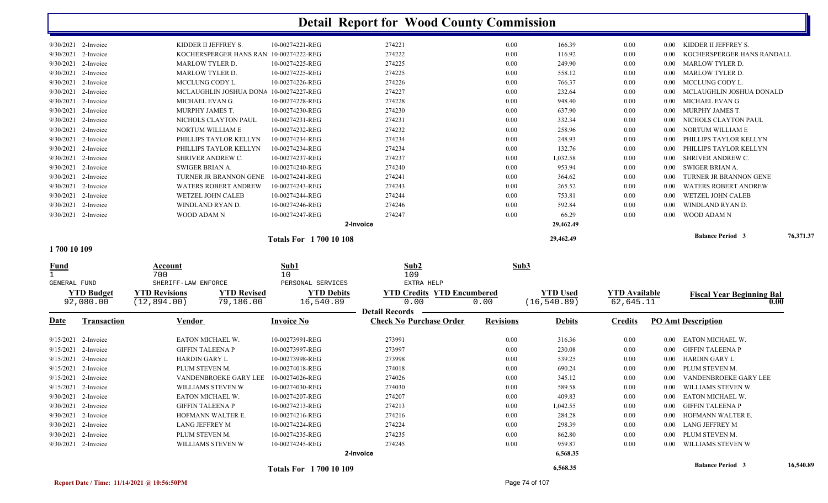| 1 700 10 100           |                             |                               |           |      |           |      |                   |                             |           |
|------------------------|-----------------------------|-------------------------------|-----------|------|-----------|------|-------------------|-----------------------------|-----------|
|                        |                             | <b>Totals For 1700 10 108</b> |           |      | 29,462.49 |      |                   | <b>Balance Period 3</b>     | 76,371.37 |
|                        |                             |                               | 2-Invoice |      | 29,462.49 |      |                   |                             |           |
| 9/30/2021 2-Invoice    | WOOD ADAM N                 | 10-00274247-REG               | 274247    | 0.00 | 66.29     | 0.00 | $0.00^{\circ}$    | WOOD ADAM N                 |           |
| 9/30/2021 2-Invoice    | WINDLAND RYAN D.            | 10-00274246-REG               | 274246    | 0.00 | 592.84    | 0.00 | $0.00\,$          | WINDLAND RYAN D.            |           |
| 9/30/2021<br>2-Invoice | WETZEL JOHN CALEB           | 10-00274244-REG               | 274244    | 0.00 | 753.81    | 0.00 | $0.00\,$          | WETZEL JOHN CALEB           |           |
| 9/30/2021<br>2-Invoice | <b>WATERS ROBERT ANDREW</b> | 10-00274243-REG               | 274243    | 0.00 | 265.52    | 0.00 | $0.00\,$          | <b>WATERS ROBERT ANDREW</b> |           |
| 9/30/2021 2-Invoice    | TURNER JR BRANNON GENE      | 10-00274241-REG               | 274241    | 0.00 | 364.62    | 0.00 | 0.00 <sub>1</sub> | TURNER JR BRANNON GENE      |           |
| 9/30/2021 2-Invoice    | SWIGER BRIAN A.             | 10-00274240-REG               | 274240    | 0.00 | 953.94    | 0.00 | $0.00^{\circ}$    | SWIGER BRIAN A.             |           |
| 9/30/2021<br>2-Invoice | <b>SHRIVER ANDREW C.</b>    | 10-00274237-REG               | 274237    | 0.00 | 1,032.58  | 0.00 | $0.00\,$          | SHRIVER ANDREW C.           |           |
| 9/30/2021 2-Invoice    | PHILLIPS TAYLOR KELLYN      | 10-00274234-REG               | 274234    | 0.00 | 132.76    | 0.00 | $0.00\,$          | PHILLIPS TAYLOR KELLYN      |           |
| 9/30/2021 2-Invoice    | PHILLIPS TAYLOR KELLYN      | 10-00274234-REG               | 274234    | 0.00 | 248.93    | 0.00 | $0.00 -$          | PHILLIPS TAYLOR KELLYN      |           |
| 9/30/2021 2-Invoice    | NORTUM WILLIAM E            | 10-00274232-REG               | 274232    | 0.00 | 258.96    | 0.00 |                   | 0.00 NORTUM WILLIAM E       |           |
| 9/30/2021 2-Invoice    | NICHOLS CLAYTON PAUL        | 10-00274231-REG               | 274231    | 0.00 | 332.34    | 0.00 | $0.00 -$          | NICHOLS CLAYTON PAUL        |           |
| 9/30/2021 2-Invoice    | MURPHY JAMES T.             | 10-00274230-REG               | 274230    | 0.00 | 637.90    | 0.00 | $0.00\,$          | MURPHY JAMES T.             |           |
| 9/30/2021 2-Invoice    | MICHAEL EVAN G.             | 10-00274228-REG               | 274228    | 0.00 | 948.40    | 0.00 |                   | 0.00 MICHAEL EVAN G.        |           |
| 9/30/2021 2-Invoice    | MCLAUGHLIN JOSHUA DONA      | 10-00274227-REG               | 274227    | 0.00 | 232.64    | 0.00 | $0.00 -$          | MCLAUGHLIN JOSHUA DONALD    |           |
| 9/30/2021 2-Invoice    | MCCLUNG CODY L.             | 10-00274226-REG               | 274226    | 0.00 | 766.37    | 0.00 |                   | 0.00 MCCLUNG CODY L.        |           |
| 9/30/2021 2-Invoice    | <b>MARLOW TYLER D.</b>      | 10-00274225-REG               | 274225    | 0.00 | 558.12    | 0.00 |                   | 0.00 MARLOW TYLER D.        |           |
| 9/30/2021 2-Invoice    | <b>MARLOW TYLER D.</b>      | 10-00274225-REG               | 274225    | 0.00 | 249.90    | 0.00 |                   | 0.00 MARLOW TYLER D.        |           |
| 9/30/2021 2-Invoice    | KOCHERSPERGER HANS RAN      | 10-00274222-REG               | 274222    | 0.00 | 116.92    | 0.00 | $0.00 -$          | KOCHERSPERGER HANS RANDALL  |           |
| 9/30/2021 2-Invoice    | KIDDER II JEFFREY S.        | 10-00274221-REG               | 274221    | 0.00 | 166.39    | 0.00 |                   | KIDDER II JEFFREY S.        |           |
|                        |                             |                               |           |      |           |      |                   |                             |           |

**1 700 10 109** 

| <b>Fund</b>         |                                | Account<br>700                       |                                 | Sub1<br>10                     | Sub2<br>109                                             | Sub3             |                                 |                                   |      |                                  |           |
|---------------------|--------------------------------|--------------------------------------|---------------------------------|--------------------------------|---------------------------------------------------------|------------------|---------------------------------|-----------------------------------|------|----------------------------------|-----------|
| <b>GENERAL FUND</b> |                                | SHERIFF-LAW ENFORCE                  |                                 | PERSONAL SERVICES              | EXTRA HELP                                              |                  |                                 |                                   |      |                                  |           |
|                     | <b>YTD Budget</b><br>92,080.00 | <b>YTD Revisions</b><br>(12, 894.00) | <b>YTD Revised</b><br>79,186.00 | <b>YTD Debits</b><br>16,540.89 | <b>YTD Credits YTD Encumbered</b><br>0.00               | 0.00             | <b>YTD Used</b><br>(16, 540.89) | <b>YTD</b> Available<br>62,645.11 |      | <b>Fiscal Year Beginning Bal</b> | 0.00      |
| Date                | Transaction                    | Vendor                               |                                 | <b>Invoice No</b>              | <b>Detail Records</b><br><b>Check No Purchase Order</b> | <b>Revisions</b> | <b>Debits</b>                   | Credits                           |      | <b>PO Amt Description</b>        |           |
| 9/15/2021           | 2-Invoice                      | EATON MICHAEL W.                     |                                 | 10-00273991-REG                | 273991                                                  | 0.00             | 316.36                          | 0.00                              | 0.00 | EATON MICHAEL W.                 |           |
| 9/15/2021           | 2-Invoice                      | <b>GIFFIN TALEENA P</b>              |                                 | 10-00273997-REG                | 273997                                                  | 0.00             | 230.08                          | 0.00                              | 0.00 | GIFFIN TALEENA P                 |           |
| 9/15/2021           | 2-Invoice                      | <b>HARDIN GARY L</b>                 |                                 | 10-00273998-REG                | 273998                                                  | 0.00             | 539.25                          | 0.00                              | 0.00 | <b>HARDIN GARY L</b>             |           |
| 9/15/2021           | 2-Invoice                      | PLUM STEVEN M.                       |                                 | 10-00274018-REG                | 274018                                                  | 0.00             | 690.24                          | 0.00                              | 0.00 | PLUM STEVEN M.                   |           |
| 9/15/2021           | 2-Invoice                      |                                      | VANDENBROEKE GARY LEE           | 10-00274026-REG                | 274026                                                  | 0.00             | 345.12                          | 0.00                              | 0.00 | VANDENBROEKE GARY LEE            |           |
| 9/15/2021           | 2-Invoice                      |                                      | WILLIAMS STEVEN W               | 10-00274030-REG                | 274030                                                  | 0.00             | 589.58                          | 0.00                              | 0.00 | WILLIAMS STEVEN W                |           |
| 9/30/2021           | 2-Invoice                      | EATON MICHAEL W.                     |                                 | 10-00274207-REG                | 274207                                                  | 0.00             | 409.83                          | 0.00                              | 0.00 | EATON MICHAEL W.                 |           |
| 9/30/2021           | 2-Invoice                      | <b>GIFFIN TALEENA P</b>              |                                 | 10-00274213-REG                | 274213                                                  | 0.00             | 1,042.55                        | 0.00                              | 0.00 | GIFFIN TALEENA P                 |           |
| 9/30/2021           | 2-Invoice                      |                                      | HOFMANN WALTER E.               | 10-00274216-REG                | 274216                                                  | 0.00             | 284.28                          | 0.00                              | 0.00 | HOFMANN WALTER E.                |           |
| 9/30/2021           | 2-Invoice                      | LANG JEFFREY M                       |                                 | 10-00274224-REG                | 274224                                                  | 0.00             | 298.39                          | 0.00                              | 0.00 | LANG JEFFREY M                   |           |
| 9/30/2021           | 2-Invoice                      | PLUM STEVEN M.                       |                                 | 10-00274235-REG                | 274235                                                  | 0.00             | 862.80                          | 0.00                              | 0.00 | PLUM STEVEN M.                   |           |
| 9/30/2021           | 2-Invoice                      |                                      | WILLIAMS STEVEN W               | 10-00274245-REG                | 274245                                                  | 0.00             | 959.87                          | 0.00                              | 0.00 | WILLIAMS STEVEN W                |           |
|                     |                                |                                      |                                 |                                | 2-Invoice                                               |                  | 6,568.35                        |                                   |      |                                  |           |
|                     |                                |                                      |                                 | <b>Totals For 1700 10 109</b>  |                                                         |                  | 6,568.35                        |                                   |      | <b>Balance Period 3</b>          | 16,540.89 |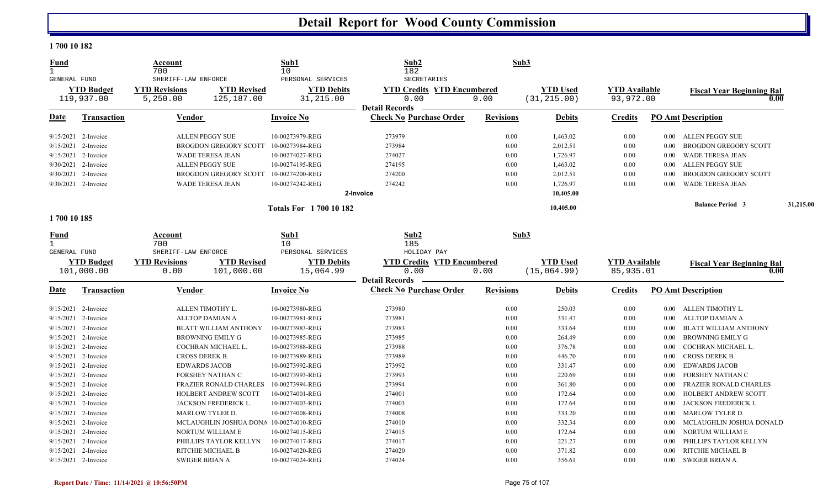#### **1 700 10 182**

| <b>Fund</b><br>$\mathbf{1}$                 |                       | Account<br>700<br>SHERIFF-LAW ENFORCE |                                        | Sub1<br>10                             | Sub2<br>182<br>SECRETARIES        | Sub3             |                 |                      |          |                                          |           |
|---------------------------------------------|-----------------------|---------------------------------------|----------------------------------------|----------------------------------------|-----------------------------------|------------------|-----------------|----------------------|----------|------------------------------------------|-----------|
| GENERAL FUND                                | <b>YTD Budget</b>     | <b>YTD Revisions</b>                  | <b>YTD Revised</b>                     | PERSONAL SERVICES<br><b>YTD Debits</b> | <b>YTD Credits YTD Encumbered</b> |                  | <b>YTD Used</b> | <b>YTD Available</b> |          |                                          |           |
|                                             | 119,937.00            | 5,250.00                              | 125,187.00                             | 31,215.00                              | 0.00                              | 0.00             | (31, 215.00)    | 93,972.00            |          | <b>Fiscal Year Beginning Bal</b><br>0.00 |           |
|                                             |                       |                                       |                                        |                                        | <b>Detail Records</b>             |                  |                 |                      |          |                                          |           |
| Date                                        | <b>Transaction</b>    | Vendor                                |                                        | <b>Invoice No</b>                      | <b>Check No Purchase Order</b>    | <b>Revisions</b> | <b>Debits</b>   | <b>Credits</b>       |          | <b>PO Amt Description</b>                |           |
|                                             | 9/15/2021 2-Invoice   | <b>ALLEN PEGGY SUE</b>                |                                        | 10-00273979-REG                        | 273979                            | 0.00             | 1,463.02        | 0.00                 |          | 0.00 ALLEN PEGGY SUE                     |           |
| 9/15/2021                                   | 2-Invoice             |                                       | <b>BROGDON GREGORY SCOTT</b>           | 10-00273984-REG                        | 273984                            | 0.00             | 2,012.51        | 0.00                 | 0.00     | <b>BROGDON GREGORY SCOTT</b>             |           |
| 9/15/2021                                   | 2-Invoice             | <b>WADE TERESA JEAN</b>               |                                        | 10-00274027-REG                        | 274027                            | 0.00             | 1,726.97        | 0.00                 | $0.00\,$ | <b>WADE TERESA JEAN</b>                  |           |
| 9/30/2021                                   | 2-Invoice             | <b>ALLEN PEGGY SUE</b>                |                                        | 10-00274195-REG                        | 274195                            | 0.00             | 1,463.02        | 0.00                 | 0.00     | <b>ALLEN PEGGY SUE</b>                   |           |
|                                             | 9/30/2021 2-Invoice   |                                       | <b>BROGDON GREGORY SCOTT</b>           | 10-00274200-REG                        | 274200                            | 0.00             | 2,012.51        | 0.00                 | 0.00     | <b>BROGDON GREGORY SCOTT</b>             |           |
|                                             | 9/30/2021 2-Invoice   | WADE TERESA JEAN                      |                                        | 10-00274242-REG                        | 274242                            | 0.00             | 1,726.97        | 0.00                 | $0.00\,$ | WADE TERESA JEAN                         |           |
|                                             |                       |                                       |                                        |                                        | 2-Invoice                         |                  | 10,405.00       |                      |          |                                          |           |
|                                             |                       |                                       |                                        | <b>Totals For 1700 10 182</b>          |                                   |                  | 10,405.00       |                      |          | <b>Balance Period 3</b>                  | 31,215.00 |
| 1700 10 185                                 |                       |                                       |                                        |                                        |                                   |                  |                 |                      |          |                                          |           |
| Fund<br>$\mathbf{1}$<br><b>GENERAL FUND</b> |                       | Account<br>700<br>SHERIFF-LAW ENFORCE |                                        | Sub1<br>10<br>PERSONAL SERVICES        | Sub2<br>185<br>HOLIDAY PAY        | Sub3             |                 |                      |          |                                          |           |
|                                             | <b>YTD Budget</b>     | <b>YTD Revisions</b>                  | <b>YTD Revised</b>                     | <b>YTD Debits</b>                      | <b>YTD Credits YTD Encumbered</b> |                  | <b>YTD Used</b> | <b>YTD Available</b> |          |                                          |           |
|                                             | 101,000.00            | 0.00                                  | 101,000.00                             | 15,064.99                              | 0.00                              | 0.00             | (15,064.99)     | 85,935.01            |          | <b>Fiscal Year Beginning Bal</b><br>0.00 |           |
|                                             |                       |                                       |                                        |                                        | <b>Detail Records</b>             |                  |                 |                      |          |                                          |           |
| <b>Date</b>                                 | Transaction           | <b>Vendor</b>                         |                                        | <b>Invoice No</b>                      | <b>Check No Purchase Order</b>    | <b>Revisions</b> | <b>Debits</b>   | <b>Credits</b>       |          | <b>PO Amt Description</b>                |           |
| 9/15/2021                                   | 2-Invoice             | ALLEN TIMOTHY L.                      |                                        | 10-00273980-REG                        | 273980                            | 0.00             | 250.03          | 0.00                 |          | 0.00 ALLEN TIMOTHY L.                    |           |
| 9/15/2021                                   | 2-Invoice             | <b>ALLTOP DAMIAN A</b>                |                                        | 10-00273981-REG                        | 273981                            | 0.00             | 331.47          | 0.00                 | $0.00\,$ | ALLTOP DAMIAN A                          |           |
| 9/15/2021                                   | 2-Invoice             |                                       | BLATT WILLIAM ANTHONY                  | 10-00273983-REG                        | 273983                            | 0.00             | 333.64          | 0.00                 | 0.00     | <b>BLATT WILLIAM ANTHONY</b>             |           |
|                                             | $9/15/2021$ 2-Invoice |                                       | <b>BROWNING EMILY G</b>                | 10-00273985-REG                        | 273985                            | 0.00             | 264.49          | 0.00                 | 0.00     | <b>BROWNING EMILY G</b>                  |           |
| 9/15/2021                                   | 2-Invoice             |                                       | COCHRAN MICHAEL L.                     | 10-00273988-REG                        | 273988                            | 0.00             | 376.78          | 0.00                 | 0.00     | COCHRAN MICHAEL L.                       |           |
| 9/15/2021                                   | 2-Invoice             | CROSS DEREK B.                        |                                        | 10-00273989-REG                        | 273989                            | 0.00             | 446.70          | 0.00                 | $0.00\,$ | CROSS DEREK B.                           |           |
| 9/15/2021                                   | 2-Invoice             | <b>EDWARDS JACOB</b>                  |                                        | 10-00273992-REG                        | 273992                            | 0.00             | 331.47          | 0.00                 | 0.00     | <b>EDWARDS JACOB</b>                     |           |
|                                             | 9/15/2021 2-Invoice   |                                       | FORSHEY NATHAN C                       | 10-00273993-REG                        | 273993                            | 0.00             | 220.69          | 0.00                 | 0.00     | FORSHEY NATHAN C                         |           |
| 9/15/2021                                   | 2-Invoice             |                                       | <b>FRAZIER RONALD CHARLES</b>          | 10-00273994-REG                        | 273994                            | 0.00             | 361.80          | 0.00                 | 0.00     | <b>FRAZIER RONALD CHARLES</b>            |           |
| 9/15/2021                                   | 2-Invoice             |                                       | HOLBERT ANDREW SCOTT                   | 10-00274001-REG                        | 274001                            | 0.00             | 172.64          | 0.00                 | 0.00     | <b>HOLBERT ANDREW SCOTT</b>              |           |
| 9/15/2021                                   | 2-Invoice             |                                       | JACKSON FREDERICK L.                   | 10-00274003-REG                        | 274003                            | 0.00             | 172.64          | 0.00                 | 0.00     | JACKSON FREDERICK L.                     |           |
|                                             | 9/15/2021 2-Invoice   | MARLOW TYLER D.                       |                                        | 10-00274008-REG                        | 274008                            | 0.00             | 333.20          | 0.00                 | $0.00\,$ | <b>MARLOW TYLER D.</b>                   |           |
| 9/15/2021                                   | 2-Invoice             |                                       | MCLAUGHLIN JOSHUA DONA 10-00274010-REG |                                        | 274010                            | 0.00             | 332.34          | 0.00                 | 0.00     | MCLAUGHLIN JOSHUA DONALD                 |           |
| 9/15/2021                                   | 2-Invoice             |                                       | NORTUM WILLIAM E                       | 10-00274015-REG                        | 274015                            | 0.00             | 172.64          | 0.00                 | $0.00\,$ | NORTUM WILLIAM E                         |           |
| 9/15/2021                                   | 2-Invoice             |                                       | PHILLIPS TAYLOR KELLYN                 | 10-00274017-REG                        | 274017                            | 0.00             | 221.27          | 0.00                 | 0.00     | PHILLIPS TAYLOR KELLYN                   |           |
|                                             | 9/15/2021 2-Invoice   | RITCHIE MICHAEL B                     |                                        | 10-00274020-REG                        | 274020                            | 0.00             | 371.82          | 0.00                 | 0.00     | RITCHIE MICHAEL B                        |           |
|                                             | 9/15/2021 2-Invoice   | <b>SWIGER BRIAN A.</b>                |                                        | 10-00274024-REG                        | 274024                            | 0.00             | 356.61          | 0.00                 |          | 0.00 SWIGER BRIAN A.                     |           |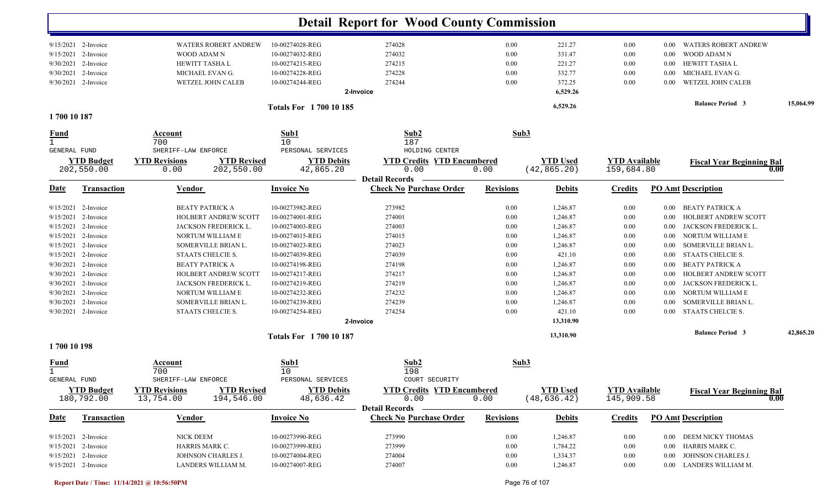|                             |                                 |                                                                       |                                    | <b>Detail Report for Wood County Commission</b>         |                  |                                 |                                    |          |                                          |           |
|-----------------------------|---------------------------------|-----------------------------------------------------------------------|------------------------------------|---------------------------------------------------------|------------------|---------------------------------|------------------------------------|----------|------------------------------------------|-----------|
|                             | 9/15/2021 2-Invoice             | <b>WATERS ROBERT ANDREW</b>                                           | 10-00274028-REG                    | 274028                                                  | 0.00             | 221.27                          | 0.00                               | 0.00     | <b>WATERS ROBERT ANDREW</b>              |           |
|                             | 9/15/2021 2-Invoice             | WOOD ADAM N                                                           | 10-00274032-REG                    | 274032                                                  | 0.00             | 331.47                          | 0.00                               | $0.00\,$ | WOOD ADAM N                              |           |
|                             | 9/30/2021 2-Invoice             | HEWITT TASHA L                                                        | 10-00274215-REG                    | 274215                                                  | 0.00             | 221.27                          | 0.00                               | $0.00\,$ | HEWITT TASHA L                           |           |
|                             | 9/30/2021 2-Invoice             | MICHAEL EVAN G.                                                       | 10-00274228-REG                    | 274228                                                  | 0.00             | 332.77                          | 0.00                               | $0.00\,$ | MICHAEL EVAN G.                          |           |
|                             | 9/30/2021 2-Invoice             | WETZEL JOHN CALEB                                                     | 10-00274244-REG                    | 274244                                                  | 0.00             | 372.25                          | 0.00                               | $0.00\,$ | WETZEL JOHN CALEB                        |           |
|                             |                                 |                                                                       |                                    | 2-Invoice                                               |                  | 6,529.26                        |                                    |          | <b>Balance Period 3</b>                  | 15,064.99 |
| 1700 10 187                 |                                 |                                                                       | <b>Totals For 170010185</b>        |                                                         |                  | 6,529.26                        |                                    |          |                                          |           |
|                             |                                 |                                                                       |                                    |                                                         |                  |                                 |                                    |          |                                          |           |
| <u>Fund</u><br>$\mathbf{1}$ |                                 | <b>Account</b><br>700                                                 | Sub1<br>10                         | Sub2<br>187                                             |                  | Sub3                            |                                    |          |                                          |           |
| <b>GENERAL FUND</b>         |                                 | SHERIFF-LAW ENFORCE                                                   | PERSONAL SERVICES                  | HOLDING CENTER                                          |                  |                                 |                                    |          |                                          |           |
|                             | <b>YTD Budget</b>               | <b>YTD Revisions</b><br><b>YTD Revised</b>                            | <b>YTD Debits</b>                  | <b>YTD Credits YTD Encumbered</b>                       |                  | <b>YTD Used</b>                 | <b>YTD Available</b>               |          | <b>Fiscal Year Beginning Bal</b>         |           |
|                             | 202,550.00                      | 202,550.00<br>0.00                                                    | 42,865.20                          | 0.00                                                    | 0.00             | (42, 865.20)                    | 159,684.80                         |          | 0.00                                     |           |
| Date                        | <b>Transaction</b>              | Vendor                                                                | <b>Invoice No</b>                  | <b>Detail Records</b><br><b>Check No Purchase Order</b> | <b>Revisions</b> | <b>Debits</b>                   | <b>Credits</b>                     |          | <b>PO Amt Description</b>                |           |
|                             |                                 |                                                                       |                                    |                                                         |                  |                                 |                                    |          |                                          |           |
|                             | $9/15/2021$ 2-Invoice           | <b>BEATY PATRICK A</b>                                                | 10-00273982-REG                    | 273982                                                  | 0.00             | 1,246.87                        | 0.00                               | $0.00\,$ | <b>BEATY PATRICK A</b>                   |           |
|                             | 9/15/2021 2-Invoice             | <b>HOLBERT ANDREW SCOTT</b>                                           | 10-00274001-REG<br>10-00274003-REG | 274001                                                  | 0.00             | 1,246.87                        | 0.00                               | $0.00\,$ | HOLBERT ANDREW SCOTT                     |           |
|                             | 9/15/2021 2-Invoice             | <b>JACKSON FREDERICK L.</b>                                           |                                    | 274003                                                  | 0.00             | 1,246.87                        | 0.00                               | $0.00\,$ | JACKSON FREDERICK L.                     |           |
|                             | 9/15/2021 2-Invoice             | NORTUM WILLIAM E                                                      | 10-00274015-REG                    | 274015                                                  | 0.00             | 1,246.87                        | 0.00                               | $0.00\,$ | NORTUM WILLIAM E                         |           |
|                             | $9/15/2021$ 2-Invoice           | SOMERVILLE BRIAN L.                                                   | 10-00274023-REG                    | 274023                                                  | 0.00             | 1,246.87                        | 0.00                               | $0.00\,$ | SOMERVILLE BRIAN L.                      |           |
|                             | $9/15/2021$ 2-Invoice           | STAATS CHELCIE S.                                                     | 10-00274039-REG                    | 274039                                                  | 0.00             | 421.10                          | $0.00\,$                           | $0.00\,$ | STAATS CHELCIE S.                        |           |
|                             | 9/30/2021 2-Invoice             | <b>BEATY PATRICK A</b>                                                | 10-00274198-REG                    | 274198                                                  | 0.00             | 1,246.87                        | 0.00                               | $0.00\,$ | <b>BEATY PATRICK A</b>                   |           |
|                             | $9/30/2021$ 2-Invoice           | <b>HOLBERT ANDREW SCOTT</b>                                           | 10-00274217-REG                    | 274217                                                  | 0.00             | 1,246.87                        | $0.00\,$                           | $0.00\,$ | HOLBERT ANDREW SCOTT                     |           |
| 9/30/2021                   | 2-Invoice                       | JACKSON FREDERICK L.                                                  | 10-00274219-REG                    | 274219                                                  | 0.00             | 1,246.87                        | 0.00                               | $0.00\,$ | JACKSON FREDERICK L.                     |           |
| 9/30/2021                   | 2-Invoice                       | NORTUM WILLIAM E                                                      | 10-00274232-REG                    | 274232                                                  | 0.00             | 1,246.87                        | 0.00                               | 0.00     | NORTUM WILLIAM E                         |           |
|                             | 9/30/2021 2-Invoice             | SOMERVILLE BRIAN L.                                                   | 10-00274239-REG                    | 274239                                                  | 0.00             | 1,246.87                        | 0.00                               | 0.00     | SOMERVILLE BRIAN L.                      |           |
|                             | 9/30/2021 2-Invoice             | STAATS CHELCIE S.                                                     | 10-00274254-REG                    | 274254<br>2-Invoice                                     | 0.00             | 421.10<br>13,310.90             | 0.00                               | $0.00\,$ | STAATS CHELCIE S.                        |           |
|                             |                                 |                                                                       | <b>Totals For 170010187</b>        |                                                         |                  | 13,310.90                       |                                    |          | <b>Balance Period 3</b>                  | 42,865.20 |
| 1700 10 198                 |                                 |                                                                       |                                    |                                                         |                  |                                 |                                    |          |                                          |           |
| <u>Fund</u><br>$\mathbf{1}$ |                                 | Account<br>700                                                        | Sub1<br>10                         | Sub2<br>198                                             |                  | Sub3                            |                                    |          |                                          |           |
| GENERAL FUND                |                                 | SHERIFF-LAW ENFORCE                                                   | PERSONAL SERVICES                  | COURT SECURITY                                          |                  |                                 |                                    |          |                                          |           |
|                             | <b>YTD Budget</b><br>180,792.00 | <b>YTD Revisions</b><br><b>YTD Revised</b><br>13,754.00<br>194,546.00 | <b>YTD Debits</b><br>48,636.42     | <b>YTD Credits YTD Encumbered</b><br>0.00               | 0.00             | <b>YTD Used</b><br>(48, 636.42) | <b>YTD Available</b><br>145,909.58 |          | <b>Fiscal Year Beginning Bal</b><br>0.00 |           |
|                             |                                 |                                                                       |                                    | Detail Records –                                        |                  |                                 |                                    |          |                                          |           |
| <u>Date</u>                 | <b>Transaction</b>              | <b>Vendor</b>                                                         | <b>Invoice No</b>                  | <b>Check No Purchase Order</b>                          | <b>Revisions</b> | <b>Debits</b>                   | <b>Credits</b>                     |          | <b>PO Amt Description</b>                |           |
|                             | 9/15/2021 2-Invoice             | NICK DEEM                                                             | 10-00273990-REG                    | 273990                                                  | 0.00             | 1,246.87                        | $0.00\,$                           |          | 0.00 DEEM NICKY THOMAS                   |           |
|                             | 9/15/2021 2-Invoice             | HARRIS MARK C.                                                        | 10-00273999-REG                    | 273999                                                  | 0.00             | 1,784.22                        | $0.00\,$                           |          | 0.00 HARRIS MARK C.                      |           |
|                             | 9/15/2021 2-Invoice             | JOHNSON CHARLES J.                                                    | 10-00274004-REG                    | 274004                                                  | 0.00             | 1,334.37                        | $0.00\,$                           |          | 0.00 JOHNSON CHARLES J.                  |           |
|                             | 9/15/2021 2-Invoice             | LANDERS WILLIAM M.                                                    | 10-00274007-REG                    | 274007                                                  | 0.00             | 1,246.87                        | 0.00                               |          | 0.00 LANDERS WILLIAM M.                  |           |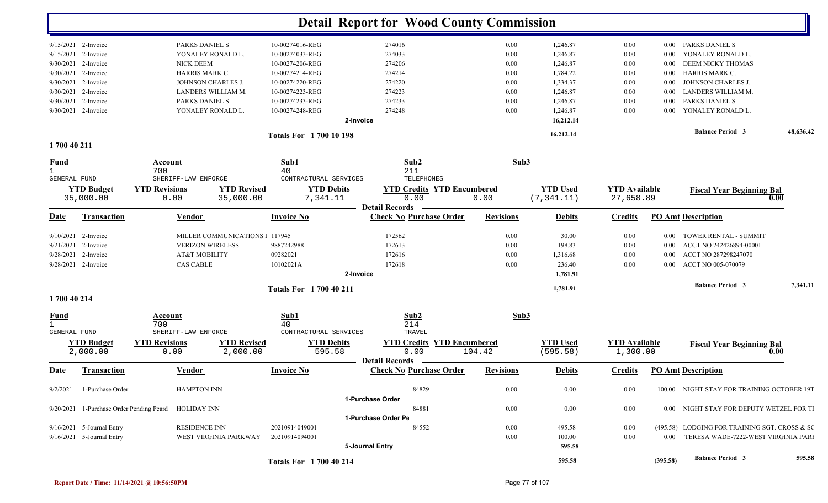|                             |                                |                                                      |                                 |                               |                               | <b>Detail Report for Wood County Commission</b>         |                                 |                  |                                |                                   |          |                                               |           |
|-----------------------------|--------------------------------|------------------------------------------------------|---------------------------------|-------------------------------|-------------------------------|---------------------------------------------------------|---------------------------------|------------------|--------------------------------|-----------------------------------|----------|-----------------------------------------------|-----------|
|                             | 9/15/2021 2-Invoice            | PARKS DANIEL S                                       |                                 | 10-00274016-REG               |                               | 274016                                                  |                                 | 0.00             | 1,246.87                       | 0.00                              | $0.00\,$ | PARKS DANIEL S                                |           |
|                             | 9/15/2021 2-Invoice            | YONALEY RONALD L.                                    |                                 | 10-00274033-REG               |                               | 274033                                                  |                                 | 0.00             | 1,246.87                       | 0.00                              | 0.00     | YONALEY RONALD L.                             |           |
| 9/30/2021                   | 2-Invoice                      | <b>NICK DEEM</b>                                     |                                 | 10-00274206-REG               |                               | 274206                                                  |                                 | 0.00             | 1,246.87                       | 0.00                              | 0.00     | DEEM NICKY THOMAS                             |           |
|                             | 9/30/2021 2-Invoice            | HARRIS MARK C.                                       |                                 | 10-00274214-REG               |                               | 274214                                                  |                                 | 0.00             | 1,784.22                       | 0.00                              | $0.00\,$ | HARRIS MARK C.                                |           |
|                             | 9/30/2021 2-Invoice            | JOHNSON CHARLES J.                                   |                                 | 10-00274220-REG               |                               | 274220                                                  |                                 | 0.00             | 1,334.37                       | 0.00                              | 0.00     | JOHNSON CHARLES J.                            |           |
|                             | 9/30/2021 2-Invoice            | LANDERS WILLIAM M.                                   |                                 | 10-00274223-REG               |                               | 274223                                                  |                                 | 0.00             | 1,246.87                       | 0.00                              | 0.00     | LANDERS WILLIAM M.                            |           |
| 9/30/2021                   | 2-Invoice                      | PARKS DANIEL S                                       |                                 | 10-00274233-REG               |                               | 274233                                                  |                                 | 0.00             | 1,246.87                       | 0.00                              | 0.00     | PARKS DANIEL S                                |           |
|                             | 9/30/2021 2-Invoice            | YONALEY RONALD L.                                    |                                 | 10-00274248-REG               |                               | 274248                                                  |                                 | 0.00             | 1,246.87                       | 0.00                              | 0.00     | YONALEY RONALD L                              |           |
|                             |                                |                                                      |                                 |                               | 2-Invoice                     |                                                         |                                 |                  | 16,212.14                      |                                   |          |                                               |           |
|                             |                                |                                                      |                                 | <b>Totals For 170010198</b>   |                               |                                                         |                                 |                  | 16,212.14                      |                                   |          | <b>Balance Period 3</b>                       | 48,636.42 |
| 1700 40 211                 |                                |                                                      |                                 |                               |                               |                                                         |                                 |                  |                                |                                   |          |                                               |           |
| <b>Fund</b><br>$\mathbf{1}$ |                                | Account<br>700                                       |                                 | Sub1<br>40                    |                               | Sub2<br>211                                             |                                 | Sub3             |                                |                                   |          |                                               |           |
| GENERAL FUND                |                                | SHERIFF-LAW ENFORCE                                  |                                 | CONTRACTURAL SERVICES         |                               | TELEPHONES                                              |                                 |                  |                                |                                   |          |                                               |           |
|                             | <b>YTD Budget</b><br>35,000.00 | <b>YTD Revisions</b><br>0.00                         | <b>YTD Revised</b><br>35,000.00 |                               | <b>YTD Debits</b><br>7,341.11 | <b>YTD Credits YTD Encumbered</b><br>0.00               | 0.00                            |                  | <b>YTD Used</b><br>(7, 341.11) | <b>YTD Available</b><br>27,658.89 |          | <b>Fiscal Year Beginning Bal</b><br>0.00      |           |
| Date                        | Transaction                    | <b>Vendor</b>                                        |                                 | <b>Invoice No</b>             |                               | <b>Detail Records</b><br><b>Check No Purchase Order</b> |                                 | <b>Revisions</b> | <b>Debits</b>                  | <b>Credits</b>                    |          | <b>PO Amt Description</b>                     |           |
|                             |                                |                                                      |                                 |                               |                               |                                                         |                                 |                  |                                |                                   |          |                                               |           |
|                             | $9/10/2021$ 2-Invoice          |                                                      | MILLER COMMUNICATIONS 1 117945  |                               |                               | 172562                                                  |                                 | 0.00             | 30.00                          | 0.00                              | $0.00\,$ | TOWER RENTAL - SUMMIT                         |           |
|                             | 9/21/2021 2-Invoice            | <b>VERIZON WIRELESS</b>                              |                                 | 9887242988                    |                               | 172613                                                  |                                 | 0.00             | 198.83                         | 0.00                              | $0.00\,$ | ACCT NO 242426894-00001                       |           |
|                             | 9/28/2021 2-Invoice            | AT&T MOBILITY                                        |                                 | 09282021                      |                               | 172616                                                  |                                 | 0.00             | 1,316.68                       | 0.00                              | $0.00\,$ | ACCT NO 287298247070                          |           |
|                             | 9/28/2021 2-Invoice            | <b>CAS CABLE</b>                                     |                                 | 10102021A                     |                               | 172618                                                  |                                 | 0.00             | 236.40                         | 0.00                              | 0.00     | ACCT NO 005-070079                            |           |
|                             |                                |                                                      |                                 |                               | 2-Invoice                     |                                                         |                                 |                  | 1,781.91                       |                                   |          |                                               |           |
|                             |                                |                                                      |                                 | <b>Totals For 1700 40 211</b> |                               |                                                         |                                 |                  | 1,781.91                       |                                   |          | <b>Balance Period 3</b>                       | 7,341.11  |
| 1700 40 214                 |                                |                                                      |                                 |                               |                               |                                                         |                                 |                  |                                |                                   |          |                                               |           |
| <u>Fund</u><br>$\mathbf{1}$ |                                | Account<br>700                                       |                                 | Sub1<br>40                    |                               | Sub2<br>214                                             |                                 | Sub3             |                                |                                   |          |                                               |           |
| GENERAL FUND                |                                | SHERIFF-LAW ENFORCE                                  |                                 | CONTRACTURAL SERVICES         |                               | TRAVEL                                                  |                                 |                  |                                |                                   |          |                                               |           |
|                             | <b>YTD Budget</b><br>2,000.00  | <b>YTD Revisions</b><br>0.00                         | <b>YTD Revised</b><br>2,000.00  |                               | <b>YTD Debits</b><br>595.58   | <b>YTD Credits</b><br>0.00                              | <b>YTD Encumbered</b><br>104.42 |                  | <b>YTD Used</b><br>(595.58)    | <b>YTD Available</b><br>1,300.00  |          | <b>Fiscal Year Beginning Bal</b><br>0.00      |           |
| Date                        | <b>Transaction</b>             | Vendor                                               |                                 | <b>Invoice No</b>             |                               | <b>Detail Records</b><br><b>Check No Purchase Order</b> |                                 | <b>Revisions</b> | <b>Debits</b>                  | <b>Credits</b>                    |          | <b>PO Amt Description</b>                     |           |
| 9/2/2021                    | 1-Purchase Order               | <b>HAMPTON INN</b>                                   |                                 |                               |                               | 84829                                                   |                                 | 0.00             | 0.00                           | 0.00                              |          | 100.00 NIGHT STAY FOR TRAINING OCTOBER 19T    |           |
|                             |                                |                                                      |                                 |                               |                               | 1-Purchase Order                                        |                                 |                  |                                |                                   |          |                                               |           |
|                             |                                | 9/20/2021 1-Purchase Order Pending Pcard HOLIDAY INN |                                 |                               |                               | 84881                                                   |                                 | $0.00\,$         | 0.00                           | $0.00\,$                          |          | 0.00 NIGHT STAY FOR DEPUTY WETZEL FOR TI      |           |
|                             |                                |                                                      |                                 |                               |                               | 1-Purchase Order Pe                                     |                                 |                  |                                |                                   |          |                                               |           |
|                             | 9/16/2021 5-Journal Entry      | RESIDENCE INN                                        |                                 | 20210914049001                |                               | 84552                                                   |                                 | $0.00\,$         | 495.58                         | 0.00                              |          | (495.58) LODGING FOR TRAINING SGT. CROSS & SC |           |
|                             | 9/16/2021 5-Journal Entry      |                                                      | WEST VIRGINIA PARKWAY           | 20210914094001                | 5-Journal Entry               |                                                         |                                 | $0.00\,$         | 100.00<br>595.58               | 0.00                              | $0.00\,$ | TERESA WADE-7222-WEST VIRGINIA PARI           |           |
|                             |                                |                                                      |                                 | <b>Totals For 1700 40 214</b> |                               |                                                         |                                 |                  | 595.58                         |                                   | (395.58) | <b>Balance Period 3</b>                       | 595.58    |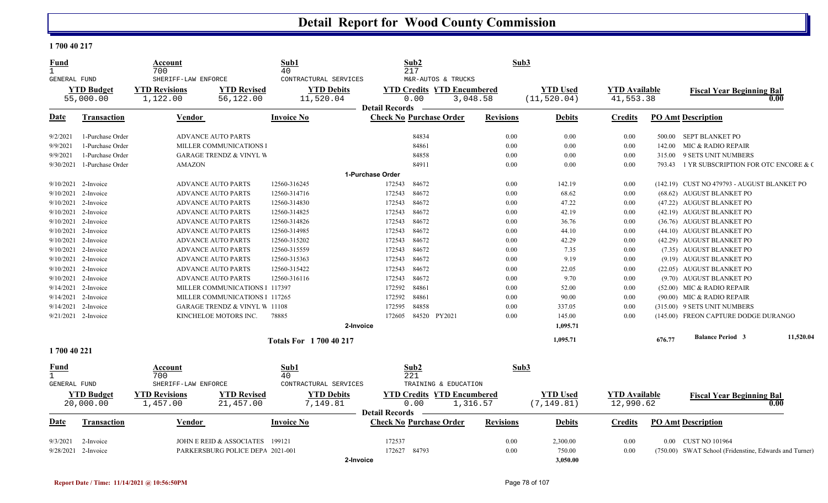#### **1 700 40 217**

| M&R-AUTOS & TRUCKS<br>GENERAL FUND<br>CONTRACTURAL SERVICES<br><b>YTD Budget</b><br><b>YTD Revisions</b><br><b>YTD Revised</b><br><b>YTD Debits</b><br><b>YTD Credits YTD Encumbered</b><br><b>YTD Used</b><br><b>YTD</b> Available<br><b>Fiscal Year Beginning Bal</b><br>56,122.00<br>11,520.04<br>(11, 520.04)<br>41,553.38<br>55,000.00<br>1,122.00<br>0.00<br>3,048.58<br>0.00<br><b>Detail Records</b><br><b>Check No Purchase Order</b><br><b>Revisions</b><br><b>PO Amt Description</b><br>Date<br>Transaction<br>Vendor<br><b>Invoice No</b><br><b>Debits</b><br>Credits<br>0.00<br>9/2/2021<br>1-Purchase Order<br><b>ADVANCE AUTO PARTS</b><br>84834<br>0.00<br>0.00<br>500.00 SEPT BLANKET PO<br>0.00<br>1-Purchase Order<br>MILLER COMMUNICATIONS I<br>84861<br>0.00<br>0.00<br>9/9/2021<br>142.00<br>MIC & RADIO REPAIR<br>0.00<br>9/9/2021<br>1-Purchase Order<br><b>GARAGE TRENDZ &amp; VINYL W</b><br>84858<br>0.00<br>0.00<br>9 SETS UNIT NUMBERS<br>315.00<br>1-Purchase Order<br>9/30/2021<br><b>AMAZON</b><br>84911<br>0.00<br>0.00<br>0.00<br>793.43<br>1-Purchase Order<br>84672<br>9/10/2021<br>2-Invoice<br><b>ADVANCE AUTO PARTS</b><br>12560-316245<br>172543<br>0.00<br>142.19<br>0.00<br>(142.19) CUST NO 479793 - AUGUST BLANKET PO<br>84672<br>9/10/2021<br>2-Invoice<br><b>ADVANCE AUTO PARTS</b><br>12560-314716<br>172543<br>0.00<br>68.62<br>0.00<br>(68.62) AUGUST BLANKET PO<br>9/10/2021<br>2-Invoice<br>12560-314830<br>172543<br>84672<br>0.00<br>47.22<br>(47.22) AUGUST BLANKET PO<br><b>ADVANCE AUTO PARTS</b><br>0.00<br>84672<br>42.19<br>9/10/2021<br>2-Invoice<br><b>ADVANCE AUTO PARTS</b><br>12560-314825<br>172543<br>0.00<br>0.00<br>(42.19) AUGUST BLANKET PO<br>9/10/2021<br>2-Invoice<br><b>ADVANCE AUTO PARTS</b><br>12560-314826<br>172543<br>84672<br>0.00<br>36.76<br>0.00<br>(36.76) AUGUST BLANKET PO<br>84672<br>2-Invoice<br>0.00<br>44.10<br>9/10/2021<br><b>ADVANCE AUTO PARTS</b><br>12560-314985<br>172543<br>0.00<br>(44.10) AUGUST BLANKET PO<br>84672<br>9/10/2021<br>2-Invoice<br><b>ADVANCE AUTO PARTS</b><br>12560-315202<br>172543<br>0.00<br>42.29<br>0.00<br>(42.29) AUGUST BLANKET PO<br>9/10/2021<br>2-Invoice<br>12560-315559<br>172543<br>84672<br>0.00<br>7.35<br>0.00<br>(7.35) AUGUST BLANKET PO<br><b>ADVANCE AUTO PARTS</b><br>12560-315363<br>172543<br>84672<br>0.00<br>9.19<br>9/10/2021<br>2-Invoice<br><b>ADVANCE AUTO PARTS</b><br>0.00<br>(9.19) AUGUST BLANKET PO<br>84672<br>9/10/2021<br>2-Invoice<br><b>ADVANCE AUTO PARTS</b><br>12560-315422<br>172543<br>0.00<br>22.05<br>0.00<br>(22.05) AUGUST BLANKET PO<br>84672<br>9/10/2021<br>2-Invoice<br><b>ADVANCE AUTO PARTS</b><br>12560-316116<br>172543<br>0.00<br>9.70<br>0.00<br>(9.70) AUGUST BLANKET PO<br>84861<br>52.00<br>9/14/2021<br>2-Invoice<br>MILLER COMMUNICATIONS 1 117397<br>172592<br>0.00<br>0.00<br>(52.00) MIC & RADIO REPAIR<br>84861<br>9/14/2021<br>2-Invoice<br>MILLER COMMUNICATIONS 1 117265<br>172592<br>0.00<br>90.00<br>0.00<br>$(90.00)$ MIC & RADIO REPAIR<br>84858<br>9/14/2021<br>2-Invoice<br><b>GARAGE TRENDZ &amp; VINYL W 11108</b><br>172595<br>0.00<br>337.05<br>0.00<br>(315.00) 9 SETS UNIT NUMBERS<br>84520 PY2021<br>0.00<br>$9/21/2021$ 2-Invoice<br>KINCHELOE MOTORS INC.<br>78885<br>172605<br>145.00<br>0.00<br>(145.00) FREON CAPTURE DODGE DURANGO<br>1,095.71<br>2-Invoice<br><b>Balance Period 3</b><br>676.77<br>1,095.71<br><b>Totals For 1 700 40 217</b><br>1700 40 221<br>Sub2<br>Sub3<br>Sub1<br>Account<br><u>Fund</u><br>700<br>40<br>221<br>$\mathbf{1}$<br><b>GENERAL FUND</b><br>SHERIFF-LAW ENFORCE<br>CONTRACTURAL SERVICES<br>TRAINING & EDUCATION<br><b>YTD Budget</b><br><b>YTD Revisions</b><br><b>YTD Revised</b><br><b>YTD Debits</b><br><b>YTD Credits YTD Encumbered</b><br><b>YTD Used</b><br><b>YTD</b> Available<br><b>Fiscal Year Beginning Bal</b><br>0.00<br>20,000.00<br>7,149.81<br>1,316.57<br>(7, 149.81)<br>12,990.62<br>1,457.00<br>21,457.00<br>0.00<br><b>Detail Records</b><br><b>Check No Purchase Order</b><br><b>Revisions</b><br><b>PO Amt Description</b><br>Date<br><b>Transaction</b><br>Vendor<br><b>Invoice No</b><br><b>Debits</b><br>Credits<br>JOHN E REID & ASSOCIATES<br>172537<br>0.00<br>2,300.00<br>0.00 CUST NO 101964<br>9/3/2021<br>2-Invoice<br>199121<br>0.00<br>172627<br>84793<br>0.00<br>750.00<br>9/28/2021<br>2-Invoice<br>PARKERSBURG POLICE DEPA 2021-001<br>0.00<br>(750.00) SWAT School (Fridenstine, Edwards and Turner)<br>3.050.00<br>2-Invoice | Fund<br>$\mathbf{1}$ | Account<br>700      | <u>Sub1</u><br>40 | Sub2<br>217 | Sub3 |  |  |  |
|--------------------------------------------------------------------------------------------------------------------------------------------------------------------------------------------------------------------------------------------------------------------------------------------------------------------------------------------------------------------------------------------------------------------------------------------------------------------------------------------------------------------------------------------------------------------------------------------------------------------------------------------------------------------------------------------------------------------------------------------------------------------------------------------------------------------------------------------------------------------------------------------------------------------------------------------------------------------------------------------------------------------------------------------------------------------------------------------------------------------------------------------------------------------------------------------------------------------------------------------------------------------------------------------------------------------------------------------------------------------------------------------------------------------------------------------------------------------------------------------------------------------------------------------------------------------------------------------------------------------------------------------------------------------------------------------------------------------------------------------------------------------------------------------------------------------------------------------------------------------------------------------------------------------------------------------------------------------------------------------------------------------------------------------------------------------------------------------------------------------------------------------------------------------------------------------------------------------------------------------------------------------------------------------------------------------------------------------------------------------------------------------------------------------------------------------------------------------------------------------------------------------------------------------------------------------------------------------------------------------------------------------------------------------------------------------------------------------------------------------------------------------------------------------------------------------------------------------------------------------------------------------------------------------------------------------------------------------------------------------------------------------------------------------------------------------------------------------------------------------------------------------------------------------------------------------------------------------------------------------------------------------------------------------------------------------------------------------------------------------------------------------------------------------------------------------------------------------------------------------------------------------------------------------------------------------------------------------------------------------------------------------------------------------------------------------------------------------------------------------------------------------------------------------------------------------------------------------------------------------------------------------------------------------------------------------------------------------------------------------------------------------------------------------------------------------------------------------------------------------------------------------------------------------------------------------------------------------------------------------------------------------------------------------------------------------------------------------------------------------------------------------------------------------------------------------------------------------------------------------------------------------------|----------------------|---------------------|-------------------|-------------|------|--|--|--|
| 1 YR SUBSCRIPTION FOR OTC ENCORE & C<br>11,520.04                                                                                                                                                                                                                                                                                                                                                                                                                                                                                                                                                                                                                                                                                                                                                                                                                                                                                                                                                                                                                                                                                                                                                                                                                                                                                                                                                                                                                                                                                                                                                                                                                                                                                                                                                                                                                                                                                                                                                                                                                                                                                                                                                                                                                                                                                                                                                                                                                                                                                                                                                                                                                                                                                                                                                                                                                                                                                                                                                                                                                                                                                                                                                                                                                                                                                                                                                                                                                                                                                                                                                                                                                                                                                                                                                                                                                                                                                                                                                                                                                                                                                                                                                                                                                                                                                                                                                                                                                                                                        |                      | SHERIFF-LAW ENFORCE |                   |             |      |  |  |  |
|                                                                                                                                                                                                                                                                                                                                                                                                                                                                                                                                                                                                                                                                                                                                                                                                                                                                                                                                                                                                                                                                                                                                                                                                                                                                                                                                                                                                                                                                                                                                                                                                                                                                                                                                                                                                                                                                                                                                                                                                                                                                                                                                                                                                                                                                                                                                                                                                                                                                                                                                                                                                                                                                                                                                                                                                                                                                                                                                                                                                                                                                                                                                                                                                                                                                                                                                                                                                                                                                                                                                                                                                                                                                                                                                                                                                                                                                                                                                                                                                                                                                                                                                                                                                                                                                                                                                                                                                                                                                                                                          |                      |                     |                   |             |      |  |  |  |
|                                                                                                                                                                                                                                                                                                                                                                                                                                                                                                                                                                                                                                                                                                                                                                                                                                                                                                                                                                                                                                                                                                                                                                                                                                                                                                                                                                                                                                                                                                                                                                                                                                                                                                                                                                                                                                                                                                                                                                                                                                                                                                                                                                                                                                                                                                                                                                                                                                                                                                                                                                                                                                                                                                                                                                                                                                                                                                                                                                                                                                                                                                                                                                                                                                                                                                                                                                                                                                                                                                                                                                                                                                                                                                                                                                                                                                                                                                                                                                                                                                                                                                                                                                                                                                                                                                                                                                                                                                                                                                                          |                      |                     |                   |             |      |  |  |  |
|                                                                                                                                                                                                                                                                                                                                                                                                                                                                                                                                                                                                                                                                                                                                                                                                                                                                                                                                                                                                                                                                                                                                                                                                                                                                                                                                                                                                                                                                                                                                                                                                                                                                                                                                                                                                                                                                                                                                                                                                                                                                                                                                                                                                                                                                                                                                                                                                                                                                                                                                                                                                                                                                                                                                                                                                                                                                                                                                                                                                                                                                                                                                                                                                                                                                                                                                                                                                                                                                                                                                                                                                                                                                                                                                                                                                                                                                                                                                                                                                                                                                                                                                                                                                                                                                                                                                                                                                                                                                                                                          |                      |                     |                   |             |      |  |  |  |
|                                                                                                                                                                                                                                                                                                                                                                                                                                                                                                                                                                                                                                                                                                                                                                                                                                                                                                                                                                                                                                                                                                                                                                                                                                                                                                                                                                                                                                                                                                                                                                                                                                                                                                                                                                                                                                                                                                                                                                                                                                                                                                                                                                                                                                                                                                                                                                                                                                                                                                                                                                                                                                                                                                                                                                                                                                                                                                                                                                                                                                                                                                                                                                                                                                                                                                                                                                                                                                                                                                                                                                                                                                                                                                                                                                                                                                                                                                                                                                                                                                                                                                                                                                                                                                                                                                                                                                                                                                                                                                                          |                      |                     |                   |             |      |  |  |  |
|                                                                                                                                                                                                                                                                                                                                                                                                                                                                                                                                                                                                                                                                                                                                                                                                                                                                                                                                                                                                                                                                                                                                                                                                                                                                                                                                                                                                                                                                                                                                                                                                                                                                                                                                                                                                                                                                                                                                                                                                                                                                                                                                                                                                                                                                                                                                                                                                                                                                                                                                                                                                                                                                                                                                                                                                                                                                                                                                                                                                                                                                                                                                                                                                                                                                                                                                                                                                                                                                                                                                                                                                                                                                                                                                                                                                                                                                                                                                                                                                                                                                                                                                                                                                                                                                                                                                                                                                                                                                                                                          |                      |                     |                   |             |      |  |  |  |
|                                                                                                                                                                                                                                                                                                                                                                                                                                                                                                                                                                                                                                                                                                                                                                                                                                                                                                                                                                                                                                                                                                                                                                                                                                                                                                                                                                                                                                                                                                                                                                                                                                                                                                                                                                                                                                                                                                                                                                                                                                                                                                                                                                                                                                                                                                                                                                                                                                                                                                                                                                                                                                                                                                                                                                                                                                                                                                                                                                                                                                                                                                                                                                                                                                                                                                                                                                                                                                                                                                                                                                                                                                                                                                                                                                                                                                                                                                                                                                                                                                                                                                                                                                                                                                                                                                                                                                                                                                                                                                                          |                      |                     |                   |             |      |  |  |  |
|                                                                                                                                                                                                                                                                                                                                                                                                                                                                                                                                                                                                                                                                                                                                                                                                                                                                                                                                                                                                                                                                                                                                                                                                                                                                                                                                                                                                                                                                                                                                                                                                                                                                                                                                                                                                                                                                                                                                                                                                                                                                                                                                                                                                                                                                                                                                                                                                                                                                                                                                                                                                                                                                                                                                                                                                                                                                                                                                                                                                                                                                                                                                                                                                                                                                                                                                                                                                                                                                                                                                                                                                                                                                                                                                                                                                                                                                                                                                                                                                                                                                                                                                                                                                                                                                                                                                                                                                                                                                                                                          |                      |                     |                   |             |      |  |  |  |
|                                                                                                                                                                                                                                                                                                                                                                                                                                                                                                                                                                                                                                                                                                                                                                                                                                                                                                                                                                                                                                                                                                                                                                                                                                                                                                                                                                                                                                                                                                                                                                                                                                                                                                                                                                                                                                                                                                                                                                                                                                                                                                                                                                                                                                                                                                                                                                                                                                                                                                                                                                                                                                                                                                                                                                                                                                                                                                                                                                                                                                                                                                                                                                                                                                                                                                                                                                                                                                                                                                                                                                                                                                                                                                                                                                                                                                                                                                                                                                                                                                                                                                                                                                                                                                                                                                                                                                                                                                                                                                                          |                      |                     |                   |             |      |  |  |  |
|                                                                                                                                                                                                                                                                                                                                                                                                                                                                                                                                                                                                                                                                                                                                                                                                                                                                                                                                                                                                                                                                                                                                                                                                                                                                                                                                                                                                                                                                                                                                                                                                                                                                                                                                                                                                                                                                                                                                                                                                                                                                                                                                                                                                                                                                                                                                                                                                                                                                                                                                                                                                                                                                                                                                                                                                                                                                                                                                                                                                                                                                                                                                                                                                                                                                                                                                                                                                                                                                                                                                                                                                                                                                                                                                                                                                                                                                                                                                                                                                                                                                                                                                                                                                                                                                                                                                                                                                                                                                                                                          |                      |                     |                   |             |      |  |  |  |
|                                                                                                                                                                                                                                                                                                                                                                                                                                                                                                                                                                                                                                                                                                                                                                                                                                                                                                                                                                                                                                                                                                                                                                                                                                                                                                                                                                                                                                                                                                                                                                                                                                                                                                                                                                                                                                                                                                                                                                                                                                                                                                                                                                                                                                                                                                                                                                                                                                                                                                                                                                                                                                                                                                                                                                                                                                                                                                                                                                                                                                                                                                                                                                                                                                                                                                                                                                                                                                                                                                                                                                                                                                                                                                                                                                                                                                                                                                                                                                                                                                                                                                                                                                                                                                                                                                                                                                                                                                                                                                                          |                      |                     |                   |             |      |  |  |  |
|                                                                                                                                                                                                                                                                                                                                                                                                                                                                                                                                                                                                                                                                                                                                                                                                                                                                                                                                                                                                                                                                                                                                                                                                                                                                                                                                                                                                                                                                                                                                                                                                                                                                                                                                                                                                                                                                                                                                                                                                                                                                                                                                                                                                                                                                                                                                                                                                                                                                                                                                                                                                                                                                                                                                                                                                                                                                                                                                                                                                                                                                                                                                                                                                                                                                                                                                                                                                                                                                                                                                                                                                                                                                                                                                                                                                                                                                                                                                                                                                                                                                                                                                                                                                                                                                                                                                                                                                                                                                                                                          |                      |                     |                   |             |      |  |  |  |
|                                                                                                                                                                                                                                                                                                                                                                                                                                                                                                                                                                                                                                                                                                                                                                                                                                                                                                                                                                                                                                                                                                                                                                                                                                                                                                                                                                                                                                                                                                                                                                                                                                                                                                                                                                                                                                                                                                                                                                                                                                                                                                                                                                                                                                                                                                                                                                                                                                                                                                                                                                                                                                                                                                                                                                                                                                                                                                                                                                                                                                                                                                                                                                                                                                                                                                                                                                                                                                                                                                                                                                                                                                                                                                                                                                                                                                                                                                                                                                                                                                                                                                                                                                                                                                                                                                                                                                                                                                                                                                                          |                      |                     |                   |             |      |  |  |  |
|                                                                                                                                                                                                                                                                                                                                                                                                                                                                                                                                                                                                                                                                                                                                                                                                                                                                                                                                                                                                                                                                                                                                                                                                                                                                                                                                                                                                                                                                                                                                                                                                                                                                                                                                                                                                                                                                                                                                                                                                                                                                                                                                                                                                                                                                                                                                                                                                                                                                                                                                                                                                                                                                                                                                                                                                                                                                                                                                                                                                                                                                                                                                                                                                                                                                                                                                                                                                                                                                                                                                                                                                                                                                                                                                                                                                                                                                                                                                                                                                                                                                                                                                                                                                                                                                                                                                                                                                                                                                                                                          |                      |                     |                   |             |      |  |  |  |
|                                                                                                                                                                                                                                                                                                                                                                                                                                                                                                                                                                                                                                                                                                                                                                                                                                                                                                                                                                                                                                                                                                                                                                                                                                                                                                                                                                                                                                                                                                                                                                                                                                                                                                                                                                                                                                                                                                                                                                                                                                                                                                                                                                                                                                                                                                                                                                                                                                                                                                                                                                                                                                                                                                                                                                                                                                                                                                                                                                                                                                                                                                                                                                                                                                                                                                                                                                                                                                                                                                                                                                                                                                                                                                                                                                                                                                                                                                                                                                                                                                                                                                                                                                                                                                                                                                                                                                                                                                                                                                                          |                      |                     |                   |             |      |  |  |  |
|                                                                                                                                                                                                                                                                                                                                                                                                                                                                                                                                                                                                                                                                                                                                                                                                                                                                                                                                                                                                                                                                                                                                                                                                                                                                                                                                                                                                                                                                                                                                                                                                                                                                                                                                                                                                                                                                                                                                                                                                                                                                                                                                                                                                                                                                                                                                                                                                                                                                                                                                                                                                                                                                                                                                                                                                                                                                                                                                                                                                                                                                                                                                                                                                                                                                                                                                                                                                                                                                                                                                                                                                                                                                                                                                                                                                                                                                                                                                                                                                                                                                                                                                                                                                                                                                                                                                                                                                                                                                                                                          |                      |                     |                   |             |      |  |  |  |
|                                                                                                                                                                                                                                                                                                                                                                                                                                                                                                                                                                                                                                                                                                                                                                                                                                                                                                                                                                                                                                                                                                                                                                                                                                                                                                                                                                                                                                                                                                                                                                                                                                                                                                                                                                                                                                                                                                                                                                                                                                                                                                                                                                                                                                                                                                                                                                                                                                                                                                                                                                                                                                                                                                                                                                                                                                                                                                                                                                                                                                                                                                                                                                                                                                                                                                                                                                                                                                                                                                                                                                                                                                                                                                                                                                                                                                                                                                                                                                                                                                                                                                                                                                                                                                                                                                                                                                                                                                                                                                                          |                      |                     |                   |             |      |  |  |  |
|                                                                                                                                                                                                                                                                                                                                                                                                                                                                                                                                                                                                                                                                                                                                                                                                                                                                                                                                                                                                                                                                                                                                                                                                                                                                                                                                                                                                                                                                                                                                                                                                                                                                                                                                                                                                                                                                                                                                                                                                                                                                                                                                                                                                                                                                                                                                                                                                                                                                                                                                                                                                                                                                                                                                                                                                                                                                                                                                                                                                                                                                                                                                                                                                                                                                                                                                                                                                                                                                                                                                                                                                                                                                                                                                                                                                                                                                                                                                                                                                                                                                                                                                                                                                                                                                                                                                                                                                                                                                                                                          |                      |                     |                   |             |      |  |  |  |
|                                                                                                                                                                                                                                                                                                                                                                                                                                                                                                                                                                                                                                                                                                                                                                                                                                                                                                                                                                                                                                                                                                                                                                                                                                                                                                                                                                                                                                                                                                                                                                                                                                                                                                                                                                                                                                                                                                                                                                                                                                                                                                                                                                                                                                                                                                                                                                                                                                                                                                                                                                                                                                                                                                                                                                                                                                                                                                                                                                                                                                                                                                                                                                                                                                                                                                                                                                                                                                                                                                                                                                                                                                                                                                                                                                                                                                                                                                                                                                                                                                                                                                                                                                                                                                                                                                                                                                                                                                                                                                                          |                      |                     |                   |             |      |  |  |  |
|                                                                                                                                                                                                                                                                                                                                                                                                                                                                                                                                                                                                                                                                                                                                                                                                                                                                                                                                                                                                                                                                                                                                                                                                                                                                                                                                                                                                                                                                                                                                                                                                                                                                                                                                                                                                                                                                                                                                                                                                                                                                                                                                                                                                                                                                                                                                                                                                                                                                                                                                                                                                                                                                                                                                                                                                                                                                                                                                                                                                                                                                                                                                                                                                                                                                                                                                                                                                                                                                                                                                                                                                                                                                                                                                                                                                                                                                                                                                                                                                                                                                                                                                                                                                                                                                                                                                                                                                                                                                                                                          |                      |                     |                   |             |      |  |  |  |
|                                                                                                                                                                                                                                                                                                                                                                                                                                                                                                                                                                                                                                                                                                                                                                                                                                                                                                                                                                                                                                                                                                                                                                                                                                                                                                                                                                                                                                                                                                                                                                                                                                                                                                                                                                                                                                                                                                                                                                                                                                                                                                                                                                                                                                                                                                                                                                                                                                                                                                                                                                                                                                                                                                                                                                                                                                                                                                                                                                                                                                                                                                                                                                                                                                                                                                                                                                                                                                                                                                                                                                                                                                                                                                                                                                                                                                                                                                                                                                                                                                                                                                                                                                                                                                                                                                                                                                                                                                                                                                                          |                      |                     |                   |             |      |  |  |  |
|                                                                                                                                                                                                                                                                                                                                                                                                                                                                                                                                                                                                                                                                                                                                                                                                                                                                                                                                                                                                                                                                                                                                                                                                                                                                                                                                                                                                                                                                                                                                                                                                                                                                                                                                                                                                                                                                                                                                                                                                                                                                                                                                                                                                                                                                                                                                                                                                                                                                                                                                                                                                                                                                                                                                                                                                                                                                                                                                                                                                                                                                                                                                                                                                                                                                                                                                                                                                                                                                                                                                                                                                                                                                                                                                                                                                                                                                                                                                                                                                                                                                                                                                                                                                                                                                                                                                                                                                                                                                                                                          |                      |                     |                   |             |      |  |  |  |
|                                                                                                                                                                                                                                                                                                                                                                                                                                                                                                                                                                                                                                                                                                                                                                                                                                                                                                                                                                                                                                                                                                                                                                                                                                                                                                                                                                                                                                                                                                                                                                                                                                                                                                                                                                                                                                                                                                                                                                                                                                                                                                                                                                                                                                                                                                                                                                                                                                                                                                                                                                                                                                                                                                                                                                                                                                                                                                                                                                                                                                                                                                                                                                                                                                                                                                                                                                                                                                                                                                                                                                                                                                                                                                                                                                                                                                                                                                                                                                                                                                                                                                                                                                                                                                                                                                                                                                                                                                                                                                                          |                      |                     |                   |             |      |  |  |  |
|                                                                                                                                                                                                                                                                                                                                                                                                                                                                                                                                                                                                                                                                                                                                                                                                                                                                                                                                                                                                                                                                                                                                                                                                                                                                                                                                                                                                                                                                                                                                                                                                                                                                                                                                                                                                                                                                                                                                                                                                                                                                                                                                                                                                                                                                                                                                                                                                                                                                                                                                                                                                                                                                                                                                                                                                                                                                                                                                                                                                                                                                                                                                                                                                                                                                                                                                                                                                                                                                                                                                                                                                                                                                                                                                                                                                                                                                                                                                                                                                                                                                                                                                                                                                                                                                                                                                                                                                                                                                                                                          |                      |                     |                   |             |      |  |  |  |
|                                                                                                                                                                                                                                                                                                                                                                                                                                                                                                                                                                                                                                                                                                                                                                                                                                                                                                                                                                                                                                                                                                                                                                                                                                                                                                                                                                                                                                                                                                                                                                                                                                                                                                                                                                                                                                                                                                                                                                                                                                                                                                                                                                                                                                                                                                                                                                                                                                                                                                                                                                                                                                                                                                                                                                                                                                                                                                                                                                                                                                                                                                                                                                                                                                                                                                                                                                                                                                                                                                                                                                                                                                                                                                                                                                                                                                                                                                                                                                                                                                                                                                                                                                                                                                                                                                                                                                                                                                                                                                                          |                      |                     |                   |             |      |  |  |  |
|                                                                                                                                                                                                                                                                                                                                                                                                                                                                                                                                                                                                                                                                                                                                                                                                                                                                                                                                                                                                                                                                                                                                                                                                                                                                                                                                                                                                                                                                                                                                                                                                                                                                                                                                                                                                                                                                                                                                                                                                                                                                                                                                                                                                                                                                                                                                                                                                                                                                                                                                                                                                                                                                                                                                                                                                                                                                                                                                                                                                                                                                                                                                                                                                                                                                                                                                                                                                                                                                                                                                                                                                                                                                                                                                                                                                                                                                                                                                                                                                                                                                                                                                                                                                                                                                                                                                                                                                                                                                                                                          |                      |                     |                   |             |      |  |  |  |
|                                                                                                                                                                                                                                                                                                                                                                                                                                                                                                                                                                                                                                                                                                                                                                                                                                                                                                                                                                                                                                                                                                                                                                                                                                                                                                                                                                                                                                                                                                                                                                                                                                                                                                                                                                                                                                                                                                                                                                                                                                                                                                                                                                                                                                                                                                                                                                                                                                                                                                                                                                                                                                                                                                                                                                                                                                                                                                                                                                                                                                                                                                                                                                                                                                                                                                                                                                                                                                                                                                                                                                                                                                                                                                                                                                                                                                                                                                                                                                                                                                                                                                                                                                                                                                                                                                                                                                                                                                                                                                                          |                      |                     |                   |             |      |  |  |  |
|                                                                                                                                                                                                                                                                                                                                                                                                                                                                                                                                                                                                                                                                                                                                                                                                                                                                                                                                                                                                                                                                                                                                                                                                                                                                                                                                                                                                                                                                                                                                                                                                                                                                                                                                                                                                                                                                                                                                                                                                                                                                                                                                                                                                                                                                                                                                                                                                                                                                                                                                                                                                                                                                                                                                                                                                                                                                                                                                                                                                                                                                                                                                                                                                                                                                                                                                                                                                                                                                                                                                                                                                                                                                                                                                                                                                                                                                                                                                                                                                                                                                                                                                                                                                                                                                                                                                                                                                                                                                                                                          |                      |                     |                   |             |      |  |  |  |
|                                                                                                                                                                                                                                                                                                                                                                                                                                                                                                                                                                                                                                                                                                                                                                                                                                                                                                                                                                                                                                                                                                                                                                                                                                                                                                                                                                                                                                                                                                                                                                                                                                                                                                                                                                                                                                                                                                                                                                                                                                                                                                                                                                                                                                                                                                                                                                                                                                                                                                                                                                                                                                                                                                                                                                                                                                                                                                                                                                                                                                                                                                                                                                                                                                                                                                                                                                                                                                                                                                                                                                                                                                                                                                                                                                                                                                                                                                                                                                                                                                                                                                                                                                                                                                                                                                                                                                                                                                                                                                                          |                      |                     |                   |             |      |  |  |  |
|                                                                                                                                                                                                                                                                                                                                                                                                                                                                                                                                                                                                                                                                                                                                                                                                                                                                                                                                                                                                                                                                                                                                                                                                                                                                                                                                                                                                                                                                                                                                                                                                                                                                                                                                                                                                                                                                                                                                                                                                                                                                                                                                                                                                                                                                                                                                                                                                                                                                                                                                                                                                                                                                                                                                                                                                                                                                                                                                                                                                                                                                                                                                                                                                                                                                                                                                                                                                                                                                                                                                                                                                                                                                                                                                                                                                                                                                                                                                                                                                                                                                                                                                                                                                                                                                                                                                                                                                                                                                                                                          |                      |                     |                   |             |      |  |  |  |
|                                                                                                                                                                                                                                                                                                                                                                                                                                                                                                                                                                                                                                                                                                                                                                                                                                                                                                                                                                                                                                                                                                                                                                                                                                                                                                                                                                                                                                                                                                                                                                                                                                                                                                                                                                                                                                                                                                                                                                                                                                                                                                                                                                                                                                                                                                                                                                                                                                                                                                                                                                                                                                                                                                                                                                                                                                                                                                                                                                                                                                                                                                                                                                                                                                                                                                                                                                                                                                                                                                                                                                                                                                                                                                                                                                                                                                                                                                                                                                                                                                                                                                                                                                                                                                                                                                                                                                                                                                                                                                                          |                      |                     |                   |             |      |  |  |  |
|                                                                                                                                                                                                                                                                                                                                                                                                                                                                                                                                                                                                                                                                                                                                                                                                                                                                                                                                                                                                                                                                                                                                                                                                                                                                                                                                                                                                                                                                                                                                                                                                                                                                                                                                                                                                                                                                                                                                                                                                                                                                                                                                                                                                                                                                                                                                                                                                                                                                                                                                                                                                                                                                                                                                                                                                                                                                                                                                                                                                                                                                                                                                                                                                                                                                                                                                                                                                                                                                                                                                                                                                                                                                                                                                                                                                                                                                                                                                                                                                                                                                                                                                                                                                                                                                                                                                                                                                                                                                                                                          |                      |                     |                   |             |      |  |  |  |
|                                                                                                                                                                                                                                                                                                                                                                                                                                                                                                                                                                                                                                                                                                                                                                                                                                                                                                                                                                                                                                                                                                                                                                                                                                                                                                                                                                                                                                                                                                                                                                                                                                                                                                                                                                                                                                                                                                                                                                                                                                                                                                                                                                                                                                                                                                                                                                                                                                                                                                                                                                                                                                                                                                                                                                                                                                                                                                                                                                                                                                                                                                                                                                                                                                                                                                                                                                                                                                                                                                                                                                                                                                                                                                                                                                                                                                                                                                                                                                                                                                                                                                                                                                                                                                                                                                                                                                                                                                                                                                                          |                      |                     |                   |             |      |  |  |  |
|                                                                                                                                                                                                                                                                                                                                                                                                                                                                                                                                                                                                                                                                                                                                                                                                                                                                                                                                                                                                                                                                                                                                                                                                                                                                                                                                                                                                                                                                                                                                                                                                                                                                                                                                                                                                                                                                                                                                                                                                                                                                                                                                                                                                                                                                                                                                                                                                                                                                                                                                                                                                                                                                                                                                                                                                                                                                                                                                                                                                                                                                                                                                                                                                                                                                                                                                                                                                                                                                                                                                                                                                                                                                                                                                                                                                                                                                                                                                                                                                                                                                                                                                                                                                                                                                                                                                                                                                                                                                                                                          |                      |                     |                   |             |      |  |  |  |
|                                                                                                                                                                                                                                                                                                                                                                                                                                                                                                                                                                                                                                                                                                                                                                                                                                                                                                                                                                                                                                                                                                                                                                                                                                                                                                                                                                                                                                                                                                                                                                                                                                                                                                                                                                                                                                                                                                                                                                                                                                                                                                                                                                                                                                                                                                                                                                                                                                                                                                                                                                                                                                                                                                                                                                                                                                                                                                                                                                                                                                                                                                                                                                                                                                                                                                                                                                                                                                                                                                                                                                                                                                                                                                                                                                                                                                                                                                                                                                                                                                                                                                                                                                                                                                                                                                                                                                                                                                                                                                                          |                      |                     |                   |             |      |  |  |  |
|                                                                                                                                                                                                                                                                                                                                                                                                                                                                                                                                                                                                                                                                                                                                                                                                                                                                                                                                                                                                                                                                                                                                                                                                                                                                                                                                                                                                                                                                                                                                                                                                                                                                                                                                                                                                                                                                                                                                                                                                                                                                                                                                                                                                                                                                                                                                                                                                                                                                                                                                                                                                                                                                                                                                                                                                                                                                                                                                                                                                                                                                                                                                                                                                                                                                                                                                                                                                                                                                                                                                                                                                                                                                                                                                                                                                                                                                                                                                                                                                                                                                                                                                                                                                                                                                                                                                                                                                                                                                                                                          |                      |                     |                   |             |      |  |  |  |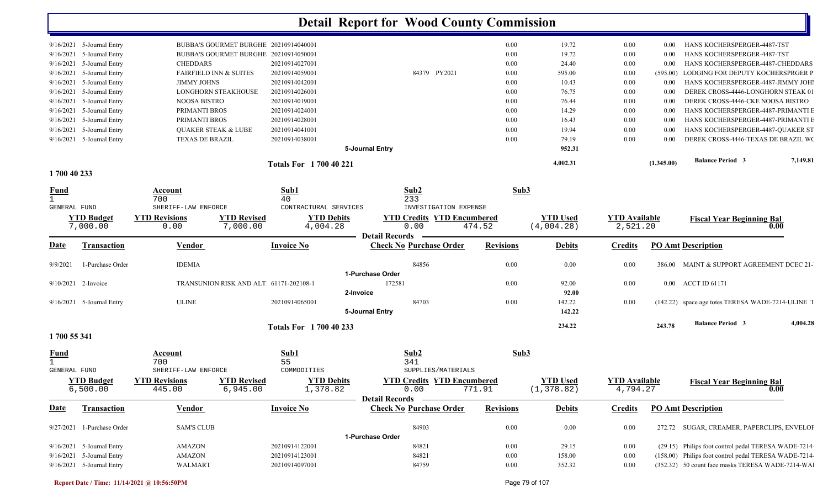| $9/16/2021$ 5-Journal Entry | BUBBA'S GOURMET BURGHE 20210914040001 |                                |                 |              | 0.00 | 19.72    | 0.00     | 0.00       | HANS KOCHERSPERGER-4487-TST                |
|-----------------------------|---------------------------------------|--------------------------------|-----------------|--------------|------|----------|----------|------------|--------------------------------------------|
| $9/16/2021$ 5-Journal Entry | BUBBA'S GOURMET BURGHE 20210914050001 |                                |                 |              | 0.00 | 19.72    | $0.00\,$ | 0.00       | <b>HANS KOCHERSPERGER-4487-TST</b>         |
| $9/16/2021$ 5-Journal Entry | <b>CHEDDARS</b>                       | 20210914027001                 |                 |              | 0.00 | 24.40    | 0.00     | 0.00       | HANS KOCHERSPERGER-4487-CHEDDARS           |
| $9/16/2021$ 5-Journal Entry | <b>FAIRFIELD INN &amp; SUITES</b>     | 20210914059001                 |                 | 84379 PY2021 | 0.00 | 595.00   | $0.00\,$ |            | (595.00) LODGING FOR DEPUTY KOCHERSPRGER P |
| $9/16/2021$ 5-Journal Entry | JIMMY JOHNS                           | 20210914042001                 |                 |              | 0.00 | 10.43    | 0.00     | 0.00       | HANS KOCHERSPERGER-4487-JIMMY JOHI         |
| $9/16/2021$ 5-Journal Entry | <b>LONGHORN STEAKHOUSE</b>            | 20210914026001                 |                 |              | 0.00 | 76.75    | 0.00     | 0.00       | DEREK CROSS-4446-LONGHORN STEAK 01         |
| $9/16/2021$ 5-Journal Entry | NOOSA BISTRO                          | 20210914019001                 |                 |              | 0.00 | 76.44    | $0.00\,$ | 0.00       | DEREK CROSS-4446-CKE NOOSA BISTRO          |
| $9/16/2021$ 5-Journal Entry | PRIMANTI BROS                         | 20210914024001                 |                 |              | 0.00 | 14.29    | 0.00     | 0.00       | HANS KOCHERSPERGER-4487-PRIMANTI E         |
| $9/16/2021$ 5-Journal Entry | PRIMANTI BROS                         | 20210914028001                 |                 |              | 0.00 | 16.43    | 0.00     | 0.00       | HANS KOCHERSPERGER-4487-PRIMANTI E         |
| $9/16/2021$ 5-Journal Entry | <b>OUAKER STEAK &amp; LUBE</b>        | 20210914041001                 |                 |              | 0.00 | 19.94    | $0.00\,$ | 0.00       | HANS KOCHERSPERGER-4487-OUAKER ST          |
| $9/16/2021$ 5-Journal Entry | <b>TEXAS DE BRAZIL</b>                | 20210914038001                 |                 |              | 0.00 | 79.19    | 0.00     | 0.00       | DEREK CROSS-4446-TEXAS DE BRAZIL WC        |
|                             |                                       |                                | 5-Journal Entry |              |      | 952.31   |          |            |                                            |
|                             |                                       | <b>Totals For 1 700 40 221</b> |                 |              |      | 4,002.31 |          | (1,345.00) | 7,149.81<br><b>Balance Period 3</b>        |

**1 700 40 233** 

| <b>Fund</b>  |                             | Account              |                                        | Sub1                           | Sub2                           |                                   | Sub3            |                      |                |                                  |                                                   |
|--------------|-----------------------------|----------------------|----------------------------------------|--------------------------------|--------------------------------|-----------------------------------|-----------------|----------------------|----------------|----------------------------------|---------------------------------------------------|
|              |                             | 700                  |                                        | 40                             | 233                            |                                   |                 |                      |                |                                  |                                                   |
| GENERAL FUND |                             | SHERIFF-LAW ENFORCE  |                                        | CONTRACTURAL SERVICES          |                                | INVESTIGATION EXPENSE             |                 |                      |                |                                  |                                                   |
|              | <b>YTD Budget</b>           | <b>YTD Revisions</b> | <b>YTD Revised</b>                     | <b>YTD Debits</b>              |                                | <b>YTD Credits YTD Encumbered</b> | <b>YTD</b> Used | <b>YTD</b> Available |                | <b>Fiscal Year Beginning Bal</b> |                                                   |
|              | 7,000.00                    | 0.00                 | 7,000.00                               | 4,004.28                       | 0.00                           | 474.52                            | (4,004.28)      | 2,521.20             |                |                                  | 0.00                                              |
|              |                             |                      |                                        |                                | <b>Detail Records</b>          |                                   |                 |                      |                |                                  |                                                   |
| <b>Date</b>  | <b>Transaction</b>          | <b>Vendor</b>        |                                        | <b>Invoice No</b>              | <b>Check No Purchase Order</b> | <b>Revisions</b>                  | <b>Debits</b>   | <b>Credits</b>       |                | <b>PO Amt Description</b>        |                                                   |
| 9/9/2021     | 1-Purchase Order            | <b>IDEMIA</b>        |                                        |                                | 84856                          | 0.00                              | 0.00            | 0.00                 | 386.00         |                                  | MAINT & SUPPORT AGREEMENT DCEC 21-                |
|              |                             |                      |                                        |                                | 1-Purchase Order               |                                   |                 |                      |                |                                  |                                                   |
|              | $9/10/2021$ 2-Invoice       |                      | TRANSUNION RISK AND ALT 61171-202108-1 |                                | 172581                         | 0.00                              | 92.00           | 0.00                 | $0.00^{\circ}$ | <b>ACCT ID 61171</b>             |                                                   |
|              |                             |                      |                                        |                                | 2-Invoice                      |                                   | 92.00           |                      |                |                                  |                                                   |
|              | $9/16/2021$ 5-Journal Entry | <b>ULINE</b>         |                                        | 20210914065001                 | 84703                          | 0.00                              | 142.22          | 0.00                 |                |                                  | (142.22) space age totes TERESA WADE-7214-ULINE T |
|              |                             |                      |                                        |                                | 5-Journal Entry                |                                   | 142.22          |                      |                |                                  |                                                   |
| 1.70055241   |                             |                      |                                        | <b>Totals For 1 700 40 233</b> |                                |                                   | 234.22          |                      | 243.78         | <b>Balance Period 3</b>          | 4,004.28                                          |
|              |                             |                      |                                        |                                |                                |                                   |                 |                      |                |                                  |                                                   |

| 1 700 55 341 |  |  |
|--------------|--|--|
|              |  |  |

| Fund         |                               | Account                        |                                | Sub1                          | Sub2                                      | Sub3             |                                |                                  |        |                                                      |
|--------------|-------------------------------|--------------------------------|--------------------------------|-------------------------------|-------------------------------------------|------------------|--------------------------------|----------------------------------|--------|------------------------------------------------------|
|              |                               | 700                            |                                | 55                            | 341                                       |                  |                                |                                  |        |                                                      |
| GENERAL FUND |                               | SHERIFF-LAW ENFORCE            |                                | COMMODITIES                   | SUPPLIES/MATERIALS                        |                  |                                |                                  |        |                                                      |
|              | <b>YTD Budget</b><br>6,500.00 | <b>YTD Revisions</b><br>445.00 | <b>YTD Revised</b><br>6,945.00 | <b>YTD Debits</b><br>1,378.82 | <b>YTD Credits YTD Encumbered</b><br>0.00 | 771.91           | <b>YTD Used</b><br>(1, 378.82) | <b>YTD Available</b><br>4,794.27 |        | <b>Fiscal Year Beginning Bal</b><br>0.00             |
|              |                               |                                |                                |                               | <b>Detail Records</b>                     |                  |                                |                                  |        |                                                      |
| <b>Date</b>  | Transaction                   | <u>Vendor</u>                  |                                | <b>Invoice No</b>             | <b>Check No Purchase Order</b>            | <b>Revisions</b> | <b>Debits</b>                  | <b>Credits</b>                   |        | <b>PO Amt Description</b>                            |
| 9/27/2021    | 1-Purchase Order              | <b>SAM'S CLUB</b>              |                                |                               | 84903                                     | 0.00             | 0.00                           | 0.00                             | 272.72 | SUGAR, CREAMER, PAPERCLIPS, ENVELOI                  |
|              |                               |                                |                                |                               | 1-Purchase Order                          |                  |                                |                                  |        |                                                      |
|              | $9/16/2021$ 5-Journal Entry   | AMAZON                         |                                | 20210914122001                | 84821                                     | 0.00             | 29.15                          | 0.00                             |        | (29.15) Philips foot control pedal TERESA WADE-7214  |
|              | $9/16/2021$ 5-Journal Entry   | AMAZON                         |                                | 20210914123001                | 84821                                     | 0.00             | 158.00                         | 0.00                             |        | (158.00) Philips foot control pedal TERESA WADE-7214 |
|              | $9/16/2021$ 5-Journal Entry   | WALMART                        |                                | 20210914097001                | 84759                                     | 0.00             | 352.32                         | 0.00                             |        | (352.32) 50 count face masks TERESA WADE-7214-WA     |
|              |                               |                                |                                |                               |                                           |                  |                                |                                  |        |                                                      |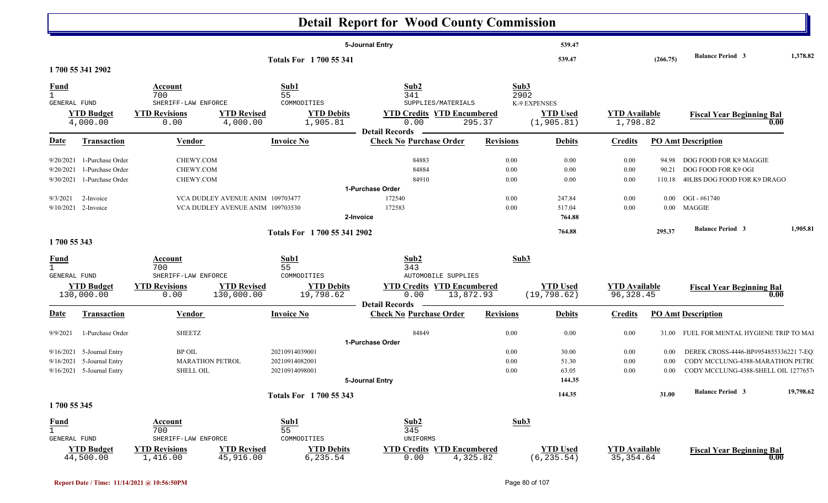|                                             |                                       |                                  |                                | <b>Detail Report for Wood County Commission</b>         |                  |                                 |                                    |          |                                                       |           |
|---------------------------------------------|---------------------------------------|----------------------------------|--------------------------------|---------------------------------------------------------|------------------|---------------------------------|------------------------------------|----------|-------------------------------------------------------|-----------|
|                                             |                                       |                                  |                                | 5-Journal Entry                                         |                  | 539.47                          |                                    |          |                                                       |           |
|                                             |                                       |                                  | Totals For 1700 55 341         |                                                         |                  | 539.47                          |                                    | (266.75) | <b>Balance Period 3</b>                               | 1,378.82  |
| 1700 55 341 2902                            |                                       |                                  |                                |                                                         |                  |                                 |                                    |          |                                                       |           |
| <b>Fund</b><br>$\mathbf{1}$<br>GENERAL FUND | Account<br>700<br>SHERIFF-LAW ENFORCE |                                  | Sub1<br>55<br>COMMODITIES      | Sub2<br>341<br>SUPPLIES/MATERIALS                       |                  | Sub3<br>2902<br>K-9 EXPENSES    |                                    |          |                                                       |           |
| <b>YTD Budget</b><br>4,000.00               | <b>YTD Revisions</b><br>0.00          | <b>YTD Revised</b><br>4,000.00   | <b>YTD Debits</b><br>1,905.81  | <b>YTD Credits YTD Encumbered</b><br>0.00               | 295.37           | <b>YTD Used</b><br>(1, 905.81)  | <b>YTD</b> Available<br>1,798.82   |          | <b>Fiscal Year Beginning Bal</b><br>0.00              |           |
| <b>Transaction</b><br>Date                  | <b>Vendor</b>                         |                                  | <b>Invoice No</b>              | <b>Detail Records</b><br><b>Check No Purchase Order</b> | <b>Revisions</b> | <b>Debits</b>                   | <b>Credits</b>                     |          | <b>PO Amt Description</b>                             |           |
| 9/20/2021 1-Purchase Order                  | CHEWY.COM                             |                                  |                                | 84883                                                   | 0.00             | 0.00                            | 0.00                               | 94.98    | DOG FOOD FOR K9 MAGGIE                                |           |
| 9/20/2021<br>1-Purchase Order               | CHEWY.COM                             |                                  |                                | 84884                                                   | 0.00             | 0.00                            | 0.00                               | 90.21    | DOG FOOD FOR K9 OGI                                   |           |
| 1-Purchase Order<br>9/30/2021               | CHEWY.COM                             |                                  |                                | 84910                                                   | 0.00             | 0.00                            | 0.00                               | 110.18   | 40LBS DOG FOOD FOR K9 DRAGO                           |           |
|                                             |                                       |                                  |                                | 1-Purchase Order                                        |                  |                                 |                                    |          |                                                       |           |
| 9/3/2021<br>2-Invoice                       |                                       | VCA DUDLEY AVENUE ANIM 109703477 |                                | 172540                                                  | 0.00             | 247.84                          | 0.00                               | $0.00\,$ | OGI - #61740                                          |           |
| $9/10/2021$ 2-Invoice                       |                                       | VCA DUDLEY AVENUE ANIM 109703530 |                                | 172583                                                  | 0.00             | 517.04                          | 0.00                               |          | 0.00 MAGGIE                                           |           |
|                                             |                                       |                                  |                                | 2-Invoice                                               |                  | 764.88                          |                                    |          |                                                       |           |
|                                             |                                       |                                  | Totals For 1700 55 341 2902    |                                                         |                  | 764.88                          |                                    | 295.37   | <b>Balance Period 3</b>                               | 1,905.81  |
| 1700 55 343                                 |                                       |                                  |                                |                                                         |                  |                                 |                                    |          |                                                       |           |
| <b>Fund</b><br>$\mathbf{1}$                 | Account<br>700                        |                                  | Sub1<br>55                     | Sub2<br>343                                             |                  | Sub3                            |                                    |          |                                                       |           |
| GENERAL FUND                                | SHERIFF-LAW ENFORCE                   |                                  | COMMODITIES                    | AUTOMOBILE SUPPLIES                                     |                  |                                 |                                    |          |                                                       |           |
| <b>YTD Budget</b><br>130,000.00             | <b>YTD Revisions</b><br>0.00          | <b>YTD Revised</b><br>130,000.00 | <b>YTD Debits</b><br>19,798.62 | <b>YTD Credits YTD Encumbered</b><br>0.00               | 13,872.93        | <b>YTD Used</b><br>(19, 798.62) | <b>YTD Available</b><br>96, 328.45 |          | <b>Fiscal Year Beginning Bal</b><br>0.00              |           |
| Transaction<br>Date                         | Vendor                                |                                  | <b>Invoice No</b>              | <b>Detail Records</b><br><b>Check No Purchase Order</b> | <b>Revisions</b> | <b>Debits</b>                   | <b>Credits</b>                     |          | <b>PO Amt Description</b>                             |           |
|                                             |                                       |                                  |                                |                                                         |                  |                                 |                                    |          |                                                       |           |
| 9/9/2021<br>1-Purchase Order                | <b>SHEETZ</b>                         |                                  |                                | 84849<br>1-Purchase Order                               | 0.00             | 0.00                            | 0.00                               |          | 31.00 FUEL FOR MENTAL HYGIENE TRIP TO MAI             |           |
| 9/16/2021 5-Journal Entry                   | <b>BP OIL</b>                         |                                  | 20210914039001                 |                                                         | $0.00\,$         | 30.00                           | $0.00\,$                           | 0.00     | DEREK CROSS-4446-BP#954855336221 7-EQ                 |           |
| 9/16/2021 5-Journal Entry                   | <b>MARATHON PETROL</b>                |                                  | 20210914082001                 |                                                         | 0.00             | 51.30                           | 0.00                               | 0.00     | CODY MCCLUNG-4388-MARATHON PETRO                      |           |
| 9/16/2021 5-Journal Entry                   | SHELL OIL                             |                                  | 20210914098001                 |                                                         | 0.00             | 63.05                           | 0.00                               | 0.00     | CODY MCCLUNG-4388-SHELL OIL 1277657                   |           |
|                                             |                                       |                                  |                                | 5-Journal Entry                                         |                  | 144.35                          |                                    |          |                                                       |           |
|                                             |                                       |                                  | Totals For 1700 55 343         |                                                         |                  | 144.35                          |                                    | 31.00    | <b>Balance Period 3</b>                               | 19,798.62 |
| 1700 55 345                                 |                                       |                                  |                                |                                                         |                  |                                 |                                    |          |                                                       |           |
|                                             | <b>Account</b>                        |                                  | Sub1                           | Sub2                                                    |                  | Sub3                            |                                    |          |                                                       |           |
| $\frac{Fund}{1}$                            | 700                                   |                                  | 55                             | 345                                                     |                  |                                 |                                    |          |                                                       |           |
| GENERAL FUND                                | SHERIFF-LAW ENFORCE                   |                                  | COMMODITIES                    | UNIFORMS                                                |                  |                                 |                                    |          |                                                       |           |
| <b>YTD Budget</b><br>44,500.00              | <b>YTD Revisions</b><br>1,416.00      | <b>YTD Revised</b><br>45,916.00  | <b>YTD Debits</b><br>6,235.54  | <b>YTD Credits YTD Encumbered</b><br>0.00               | 4,325.82         | <b>YTD Used</b><br>(6, 235.54)  | <b>YTD Available</b><br>35, 354.64 |          | <b>Fiscal Year Beginning Bal</b><br>$\overline{0.00}$ |           |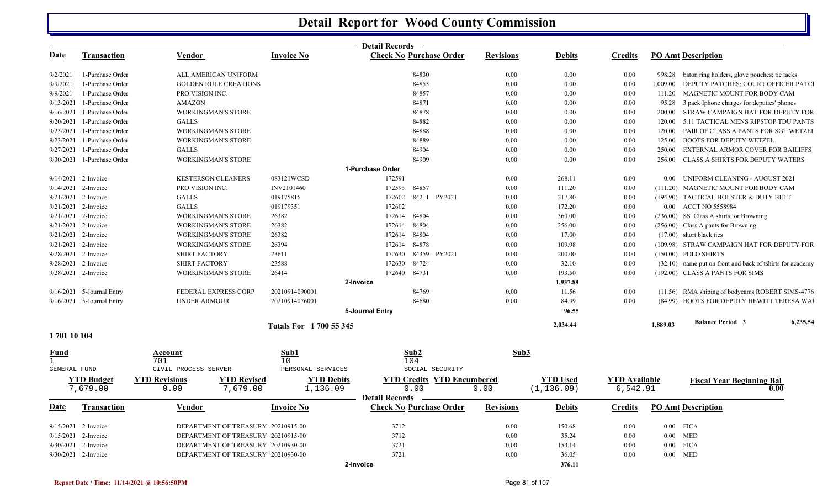|                     |                            |                                            |                                | <b>Detail Records</b>                                   |                  |                 |                      |                   |                                                           |
|---------------------|----------------------------|--------------------------------------------|--------------------------------|---------------------------------------------------------|------------------|-----------------|----------------------|-------------------|-----------------------------------------------------------|
| Date                | <b>Transaction</b>         | Vendor                                     | <b>Invoice No</b>              | <b>Check No Purchase Order</b>                          | <b>Revisions</b> | <b>Debits</b>   | <b>Credits</b>       |                   | <b>PO Amt Description</b>                                 |
| 9/2/2021            | 1-Purchase Order           | ALL AMERICAN UNIFORM                       |                                | 84830                                                   | $0.00\,$         | 0.00            | 0.00                 |                   | 998.28 baton ring holders, glove pouches; tie tacks       |
| 9/9/2021            | 1-Purchase Order           | <b>GOLDEN RULE CREATIONS</b>               |                                | 84855                                                   | 0.00             | 0.00            | 0.00                 | 1,009.00          | DEPUTY PATCHES; COURT OFFICER PATCI                       |
| 9/9/2021            | 1-Purchase Order           | PRO VISION INC.                            |                                | 84857                                                   | 0.00             | 0.00            | 0.00                 | 111.20            | MAGNETIC MOUNT FOR BODY CAM                               |
| 9/13/2021           | 1-Purchase Order           | <b>AMAZON</b>                              |                                | 84871                                                   | 0.00             | 0.00            | 0.00                 | 95.28             | 3 pack Iphone charges for deputies' phones                |
| 9/16/2021           | 1-Purchase Order           | <b>WORKINGMAN'S STORE</b>                  |                                | 84878                                                   | 0.00             | 0.00            | 0.00                 |                   | 200.00 STRAW CAMPAIGN HAT FOR DEPUTY FOR                  |
| 9/20/2021           | 1-Purchase Order           | <b>GALLS</b>                               |                                | 84882                                                   | 0.00             | 0.00            | 0.00                 | 120.00            | 5.11 TACTICAL MENS RIPSTOP TDU PANTS                      |
|                     | 9/23/2021 1-Purchase Order | <b>WORKINGMAN'S STORE</b>                  |                                | 84888                                                   | 0.00             | 0.00            | 0.00                 | 120.00            | PAIR OF CLASS A PANTS FOR SGT WETZEI                      |
|                     | 9/23/2021 1-Purchase Order | <b>WORKINGMAN'S STORE</b>                  |                                | 84889                                                   | 0.00             | 0.00            | 0.00                 | 125.00            | <b>BOOTS FOR DEPUTY WETZEL</b>                            |
|                     | 9/27/2021 1-Purchase Order | <b>GALLS</b>                               |                                | 84904                                                   | 0.00             | 0.00            | 0.00                 | 250.00            | EXTERNAL ARMOR COVER FOR BAILIFFS                         |
|                     | 9/30/2021 1-Purchase Order | <b>WORKINGMAN'S STORE</b>                  |                                | 84909                                                   | $0.00\,$         | 0.00            | 0.00                 | 256.00            | <b>CLASS A SHIRTS FOR DEPUTY WATERS</b>                   |
|                     |                            |                                            |                                | 1-Purchase Order                                        |                  |                 |                      |                   |                                                           |
|                     | 9/14/2021 2-Invoice        | <b>KESTERSON CLEANERS</b>                  | 083121WCSD                     | 172591                                                  | 0.00             | 268.11          | 0.00                 | 0.00 <sub>1</sub> | UNIFORM CLEANING - AUGUST 2021                            |
|                     | 9/14/2021 2-Invoice        | PRO VISION INC.                            | INV2101460                     | 84857<br>172593                                         | 0.00             | 111.20          | 0.00                 |                   | (111.20) MAGNETIC MOUNT FOR BODY CAM                      |
|                     | $9/21/2021$ 2-Invoice      | <b>GALLS</b>                               | 019175816                      | 172602<br>84211 PY2021                                  | $0.00\,$         | 217.80          | 0.00                 |                   | (194.90) TACTICAL HOLSTER & DUTY BELT                     |
|                     | 9/21/2021 2-Invoice        | <b>GALLS</b>                               | 019179351                      | 172602                                                  | 0.00             | 172.20          | 0.00                 |                   | 0.00 ACCT NO 5558984                                      |
|                     | 9/21/2021 2-Invoice        | <b>WORKINGMAN'S STORE</b>                  | 26382                          | 172614<br>84804                                         | 0.00             | 360.00          | 0.00                 |                   | (236.00) SS Class A shirts for Browning                   |
|                     | 9/21/2021 2-Invoice        | WORKINGMAN'S STORE                         | 26382                          | 84804<br>172614                                         | $0.00\,$         | 256.00          | 0.00                 |                   | (256.00) Class A pants for Browning                       |
|                     | 9/21/2021 2-Invoice        | <b>WORKINGMAN'S STORE</b>                  | 26382                          | 84804<br>172614                                         | 0.00             | 17.00           | 0.00                 |                   | $(17.00)$ short black ties                                |
|                     | 9/21/2021 2-Invoice        | <b>WORKINGMAN'S STORE</b>                  | 26394                          | 84878<br>172614                                         | 0.00             | 109.98          | 0.00                 |                   | (109.98) STRAW CAMPAIGN HAT FOR DEPUTY FOR                |
|                     | 9/28/2021 2-Invoice        | <b>SHIRT FACTORY</b>                       | 23611                          | 84359 PY2021<br>172630                                  | 0.00             | 200.00          | 0.00                 |                   | (150.00) POLO SHIRTS                                      |
|                     | 9/28/2021 2-Invoice        | <b>SHIRT FACTORY</b>                       | 23588                          | 84724<br>172630                                         | 0.00             | 32.10           | 0.00                 |                   | (32.10) name put on front and back of tshirts for academy |
|                     | 9/28/2021 2-Invoice        | WORKINGMAN'S STORE                         | 26414                          | 172640<br>84731                                         | $0.00\,$         | 193.50          | 0.00                 |                   | (192.00) CLASS A PANTS FOR SIMS                           |
|                     |                            |                                            |                                | 2-Invoice                                               |                  | 1,937.89        |                      |                   |                                                           |
|                     | 9/16/2021 5-Journal Entry  | FEDERAL EXPRESS CORP                       | 20210914090001                 | 84769                                                   | 0.00             | 11.56           | 0.00                 |                   | (11.56) RMA shiping of bodycams ROBERT SIMS-4776          |
|                     | 9/16/2021 5-Journal Entry  | UNDER ARMOUR                               | 20210914076001                 | 84680                                                   | $0.00\,$         | 84.99           | 0.00                 |                   | (84.99) BOOTS FOR DEPUTY HEWITT TERESA WAI                |
|                     |                            |                                            |                                | 5-Journal Entry                                         |                  | 96.55           |                      |                   |                                                           |
|                     |                            |                                            | <b>Totals For 1 700 55 345</b> |                                                         |                  | 2,034.44        |                      | 1,889.03          | 6,235.54<br><b>Balance Period 3</b>                       |
| 170110104           |                            |                                            |                                |                                                         |                  |                 |                      |                   |                                                           |
| <b>Fund</b><br>1    |                            | Account<br>701                             | Sub1<br>10                     | Sub2<br>104                                             | Sub3             |                 |                      |                   |                                                           |
| <b>GENERAL FUND</b> |                            | CIVIL PROCESS SERVER                       | PERSONAL SERVICES              | SOCIAL SECURITY                                         |                  |                 |                      |                   |                                                           |
|                     | <b>YTD Budget</b>          | <b>YTD Revisions</b><br><b>YTD Revised</b> | <b>YTD Debits</b>              | <b>YTD Credits YTD Encumbered</b>                       |                  | <b>YTD</b> Used | <b>YTD Available</b> |                   |                                                           |
|                     | 7,679.00                   | 0.00<br>7,679.00                           | 1,136.09                       | 0.00                                                    | 0.00             | (1, 136.09)     | 6,542.91             |                   | <b>Fiscal Year Beginning Bal</b><br>0.00                  |
| <u>Date</u>         | <b>Transaction</b>         | Vendor                                     | Invoice No                     | <b>Detail Records</b><br><b>Check No Purchase Order</b> | <b>Revisions</b> | <b>Debits</b>   | <b>Credits</b>       |                   | <b>PO Amt Description</b>                                 |
|                     |                            |                                            |                                |                                                         |                  |                 |                      |                   |                                                           |
|                     | $9/15/2021$ 2-Invoice      | DEPARTMENT OF TREASURY 20210915-00         |                                | 3712                                                    | $0.00\,$         | 150.68          | 0.00                 |                   | $0.00$ FICA                                               |
|                     | 9/15/2021 2-Invoice        | DEPARTMENT OF TREASURY 20210915-00         |                                | 3712                                                    | 0.00             | 35.24           | 0.00                 |                   | $0.00$ MED                                                |
|                     | 9/30/2021 2-Invoice        | DEPARTMENT OF TREASURY 20210930-00         |                                | 3721                                                    | 0.00             | 154.14          | 0.00                 | $0.00\,$          | <b>FICA</b>                                               |
|                     | 9/30/2021 2-Invoice        | DEPARTMENT OF TREASURY 20210930-00         |                                | 3721                                                    | 0.00             | 36.05           | 0.00                 |                   | $0.00$ MED                                                |
|                     |                            |                                            |                                | 2-Invoice                                               |                  | 376.11          |                      |                   |                                                           |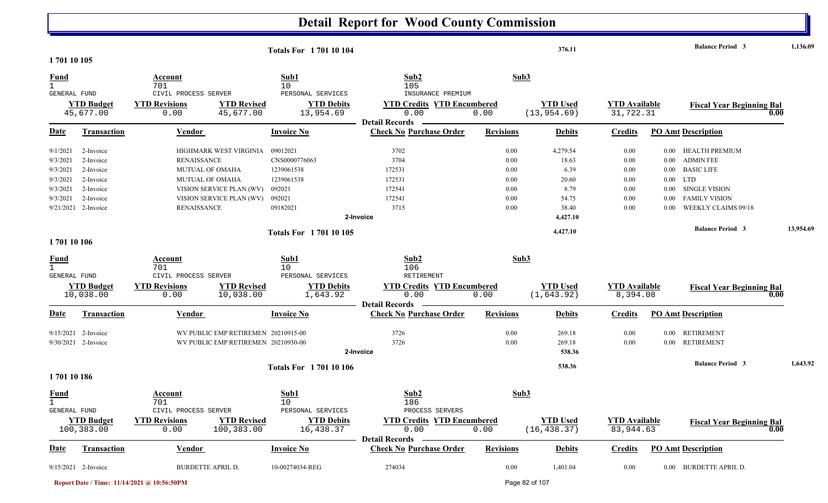| 1701 10 105                                                          |                                                                                                   |                                                                                                                                                                         | <b>Totals For 170110104</b>                                                           |                                                                                         |                                                      | 376.11                                                                   |                                                      | <b>Balance Period 3</b>                                                                                                                                                                                                                                    |      | 1,136.09  |
|----------------------------------------------------------------------|---------------------------------------------------------------------------------------------------|-------------------------------------------------------------------------------------------------------------------------------------------------------------------------|---------------------------------------------------------------------------------------|-----------------------------------------------------------------------------------------|------------------------------------------------------|--------------------------------------------------------------------------|------------------------------------------------------|------------------------------------------------------------------------------------------------------------------------------------------------------------------------------------------------------------------------------------------------------------|------|-----------|
| <b>Fund</b><br>$\mathbf{1}$                                          |                                                                                                   | Account<br>701                                                                                                                                                          | Sub1<br>10                                                                            | Sub2<br>105                                                                             | Sub3                                                 |                                                                          |                                                      |                                                                                                                                                                                                                                                            |      |           |
| <b>GENERAL FUND</b>                                                  | <b>YTD Budget</b><br>45,677.00                                                                    | CIVIL PROCESS SERVER<br><b>YTD Revisions</b><br><b>YTD Revised</b><br>45,677.00<br>0.00                                                                                 | PERSONAL SERVICES<br><b>YTD Debits</b><br>13,954.69                                   | INSURANCE PREMIUM<br><b>YTD Credits YTD Encumbered</b><br>0.00<br><b>Detail Records</b> | 0.00                                                 | <b>YTD Used</b><br>(13, 954.69)                                          | <b>YTD Available</b><br>31,722.31                    | <b>Fiscal Year Beginning Bal</b>                                                                                                                                                                                                                           | 0.00 |           |
| Date                                                                 | Transaction                                                                                       | Vendor                                                                                                                                                                  | <b>Invoice No</b>                                                                     | <b>Check No Purchase Order</b>                                                          | <b>Revisions</b>                                     | <b>Debits</b>                                                            | <b>Credits</b>                                       | <b>PO Amt Description</b>                                                                                                                                                                                                                                  |      |           |
| 9/1/2021<br>9/3/2021<br>9/3/2021<br>9/3/2021<br>9/3/2021<br>9/3/2021 | 2-Invoice<br>2-Invoice<br>2-Invoice<br>2-Invoice<br>2-Invoice<br>2-Invoice<br>9/21/2021 2-Invoice | HIGHMARK WEST VIRGINIA<br><b>RENAISSANCE</b><br><b>MUTUAL OF OMAHA</b><br>MUTUAL OF OMAHA<br>VISION SERVICE PLAN (WV)<br>VISION SERVICE PLAN (WV)<br><b>RENAISSANCE</b> | 09012021<br>CNS0000776063<br>1239061538<br>1239061538<br>092021<br>092021<br>09182021 | 3702<br>3704<br>172531<br>172531<br>172541<br>172541<br>3715<br>2-Invoice               | 0.00<br>0.00<br>0.00<br>0.00<br>0.00<br>0.00<br>0.00 | 4,279.54<br>18.63<br>6.39<br>20.60<br>8.79<br>54.75<br>38.40<br>4,427.10 | 0.00<br>0.00<br>0.00<br>0.00<br>0.00<br>0.00<br>0.00 | <b>HEALTH PREMIUM</b><br>$0.00\,$<br><b>ADMIN FEE</b><br>$0.00\,$<br><b>BASIC LIFE</b><br>$0.00\,$<br>$0.00\,$<br><b>LTD</b><br><b>SINGLE VISION</b><br>$0.00\,$<br><b>FAMILY VISION</b><br>0.00<br>WEEKLY CLAIMS 09/18<br>0.00<br><b>Balance Period 3</b> |      | 13,954.69 |
| 170110106                                                            |                                                                                                   |                                                                                                                                                                         | <b>Totals For 170110105</b>                                                           |                                                                                         |                                                      | 4,427.10                                                                 |                                                      |                                                                                                                                                                                                                                                            |      |           |
| <u>Fund</u><br>$\mathbf{1}$                                          |                                                                                                   | Account<br>701                                                                                                                                                          | Sub1<br>10                                                                            | Sub2<br>106                                                                             | Sub3                                                 |                                                                          |                                                      |                                                                                                                                                                                                                                                            |      |           |
| <b>GENERAL FUND</b>                                                  | <b>YTD Budget</b><br>10,038.00                                                                    | CIVIL PROCESS SERVER<br><b>YTD Revisions</b><br><b>YTD Revised</b><br>10,038.00<br>0.00                                                                                 | PERSONAL SERVICES<br><b>YTD Debits</b><br>1,643.92                                    | RETIREMENT<br><b>YTD Credits YTD Encumbered</b><br>0.00                                 | 0.00                                                 | <b>YTD Used</b><br>(1, 643.92)                                           | <b>YTD Available</b><br>8,394.08                     | <b>Fiscal Year Beginning Bal</b>                                                                                                                                                                                                                           | 0.00 |           |
| <u>Date</u>                                                          | <b>Transaction</b>                                                                                | <b>Vendor</b>                                                                                                                                                           | <b>Invoice No</b>                                                                     | <b>Detail Records</b><br><b>Check No Purchase Order</b>                                 | <b>Revisions</b>                                     | <b>Debits</b>                                                            | <b>Credits</b>                                       | <b>PO Amt Description</b>                                                                                                                                                                                                                                  |      |           |
|                                                                      | $9/15/2021$ 2-Invoice<br>9/30/2021 2-Invoice                                                      | WV PUBLIC EMP RETIREMEN 20210915-00<br>WV PUBLIC EMP RETIREMEN 20210930-00                                                                                              |                                                                                       | 3726<br>3726<br>2-Invoice                                                               | 0.00<br>0.00                                         | 269.18<br>269.18<br>538.36                                               | 0.00<br>$0.00\,$                                     | <b>RETIREMENT</b><br>0.00<br><b>RETIREMENT</b><br>$0.00\,$<br><b>Balance Period 3</b>                                                                                                                                                                      |      | 1,643.92  |
| 170110186                                                            |                                                                                                   |                                                                                                                                                                         | <b>Totals For 170110106</b>                                                           |                                                                                         |                                                      | 538.36                                                                   |                                                      |                                                                                                                                                                                                                                                            |      |           |
| <b>Fund</b><br>GENERAL FUND                                          |                                                                                                   | Account<br>701<br>CIVIL PROCESS SERVER                                                                                                                                  | Sub1<br>10<br>PERSONAL SERVICES                                                       | Sub2<br>186<br>PROCESS SERVERS                                                          | Sub3                                                 |                                                                          |                                                      |                                                                                                                                                                                                                                                            |      |           |
|                                                                      | <b>YTD Budget</b><br>100,383.00                                                                   | <b>YTD Revisions</b><br><b>YTD Revised</b><br>100,383.00<br>0.00                                                                                                        | <b>YTD Debits</b><br>16,438.37                                                        | <b>YTD Credits YTD Encumbered</b><br>0.00                                               | 0.00                                                 | <b>YTD Used</b><br>(16, 438.37)                                          | <b>YTD Available</b><br>83,944.63                    | <b>Fiscal Year Beginning Bal</b>                                                                                                                                                                                                                           | 0.00 |           |
| <u>Date</u>                                                          | <b>Transaction</b>                                                                                | <b>Vendor</b>                                                                                                                                                           | <b>Invoice No</b>                                                                     | Detail Records -<br><b>Check No Purchase Order</b>                                      | <b>Revisions</b>                                     | <b>Debits</b>                                                            | <b>Credits</b>                                       | <b>PO Amt Description</b>                                                                                                                                                                                                                                  |      |           |
|                                                                      | $9/15/2021$ 2-Invoice                                                                             | <b>BURDETTE APRIL D.</b>                                                                                                                                                | 10-00274034-REG                                                                       | 274034                                                                                  | $0.00\,$                                             | 1,401.04                                                                 | 0.00                                                 | 0.00 BURDETTE APRIL D.                                                                                                                                                                                                                                     |      |           |

**Report Date / Time: 11/14/2021 @ 10:56:50PM** Page 82 of 107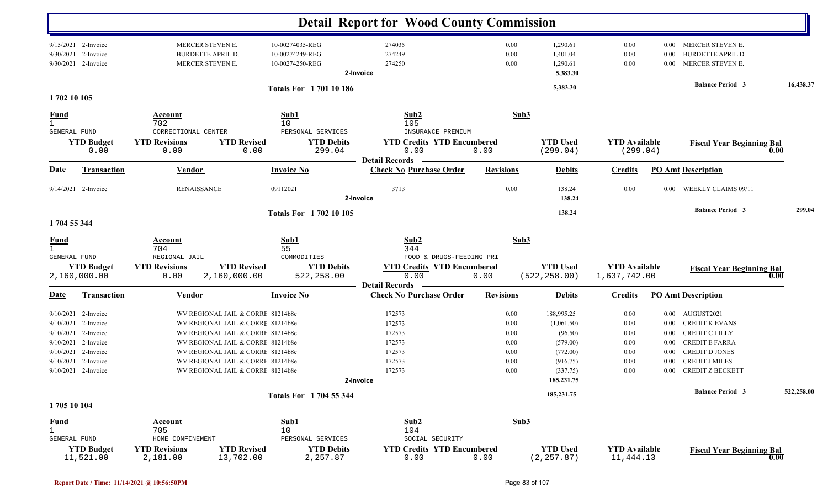|                                                    |                                                                                                                                                               |                                                                                                                                                                                                                                                                            |                                                                                | <b>Detail Report for Wood County Commission</b>                                         |                                                              |                                                                                                                   |                                                      |                                                                      |                                                                                                                                                                                             |            |
|----------------------------------------------------|---------------------------------------------------------------------------------------------------------------------------------------------------------------|----------------------------------------------------------------------------------------------------------------------------------------------------------------------------------------------------------------------------------------------------------------------------|--------------------------------------------------------------------------------|-----------------------------------------------------------------------------------------|--------------------------------------------------------------|-------------------------------------------------------------------------------------------------------------------|------------------------------------------------------|----------------------------------------------------------------------|---------------------------------------------------------------------------------------------------------------------------------------------------------------------------------------------|------------|
| 9/30/2021                                          | 9/15/2021 2-Invoice<br>2-Invoice<br>9/30/2021 2-Invoice                                                                                                       | MERCER STEVEN E.<br><b>BURDETTE APRIL D.</b><br>MERCER STEVEN E.                                                                                                                                                                                                           | 10-00274035-REG<br>10-00274249-REG<br>10-00274250-REG                          | 274035<br>274249<br>274250<br>2-Invoice                                                 | 0.00<br>0.00<br>0.00                                         | 1,290.61<br>1,401.04<br>1,290.61<br>5,383.30                                                                      | 0.00<br>0.00<br>0.00                                 | 0.00<br>$0.00\,$                                                     | 0.00 MERCER STEVEN E.<br><b>BURDETTE APRIL D.</b><br>MERCER STEVEN E.                                                                                                                       |            |
| 1702 10 105                                        |                                                                                                                                                               |                                                                                                                                                                                                                                                                            | <b>Totals For 170110186</b>                                                    |                                                                                         |                                                              | 5,383.30                                                                                                          |                                                      |                                                                      | <b>Balance Period 3</b>                                                                                                                                                                     | 16,438.37  |
| <b>Fund</b><br>$\mathbf{1}$<br><b>GENERAL FUND</b> |                                                                                                                                                               | Account<br>702<br>CORRECTIONAL CENTER                                                                                                                                                                                                                                      | Sub1<br>10<br>PERSONAL SERVICES                                                | Sub2<br>105<br>INSURANCE PREMIUM                                                        | Sub3                                                         |                                                                                                                   |                                                      |                                                                      |                                                                                                                                                                                             |            |
|                                                    | <b>YTD Budget</b><br>0.00                                                                                                                                     | <b>YTD Revisions</b><br>0.00                                                                                                                                                                                                                                               | <b>YTD Revised</b><br><b>YTD Debits</b><br>0.00<br>299.04                      | <b>YTD Credits YTD Encumbered</b><br>0.00<br><b>Detail Records</b>                      | 0.00                                                         | <b>YTD Used</b><br>(299.04)                                                                                       | <b>YTD</b> Available<br>(299.04)                     |                                                                      | <b>Fiscal Year Beginning Bal</b>                                                                                                                                                            | 0.00       |
| <u>Date</u>                                        | <b>Transaction</b>                                                                                                                                            | <b>Vendor</b>                                                                                                                                                                                                                                                              | <b>Invoice No</b>                                                              | <b>Check No Purchase Order</b>                                                          | <b>Revisions</b>                                             | <b>Debits</b>                                                                                                     | <b>Credits</b>                                       |                                                                      | <b>PO Amt Description</b>                                                                                                                                                                   |            |
|                                                    | 9/14/2021 2-Invoice                                                                                                                                           | <b>RENAISSANCE</b>                                                                                                                                                                                                                                                         | 09112021                                                                       | 3713<br>2-Invoice                                                                       | 0.00                                                         | 138.24<br>138.24                                                                                                  | 0.00                                                 | $0.00\,$                                                             | <b>WEEKLY CLAIMS 09/11</b>                                                                                                                                                                  |            |
|                                                    |                                                                                                                                                               |                                                                                                                                                                                                                                                                            | <b>Totals For 170210105</b>                                                    |                                                                                         |                                                              | 138.24                                                                                                            |                                                      |                                                                      | <b>Balance Period 3</b>                                                                                                                                                                     | 299.04     |
| 1704 55 344                                        |                                                                                                                                                               |                                                                                                                                                                                                                                                                            |                                                                                |                                                                                         |                                                              |                                                                                                                   |                                                      |                                                                      |                                                                                                                                                                                             |            |
| <u>Fund</u><br>$\mathbf{1}$<br>GENERAL FUND        |                                                                                                                                                               | Account<br>704<br>REGIONAL JAIL                                                                                                                                                                                                                                            | Sub1<br>55<br>COMMODITIES                                                      | Sub2<br>344<br>FOOD & DRUGS-FEEDING PRI                                                 | Sub3                                                         |                                                                                                                   |                                                      |                                                                      |                                                                                                                                                                                             |            |
|                                                    | <b>YTD Budget</b><br>2,160,000.00                                                                                                                             | <b>YTD Revisions</b><br>2,160,000.00<br>0.00                                                                                                                                                                                                                               | <b>YTD Revised</b><br><b>YTD Debits</b><br>522,258.00                          | <b>YTD Credits YTD Encumbered</b><br>0.00                                               | 0.00                                                         | <b>YTD Used</b><br>(522, 258.00)                                                                                  | <b>YTD</b> Available<br>1,637,742.00                 |                                                                      | <b>Fiscal Year Beginning Bal</b>                                                                                                                                                            | 0.00       |
| <u>Date</u>                                        | Transaction                                                                                                                                                   | <b>Vendor</b>                                                                                                                                                                                                                                                              | <b>Invoice No</b>                                                              | <b>Detail Records</b><br><b>Check No Purchase Order</b>                                 | <b>Revisions</b>                                             | <b>Debits</b>                                                                                                     | <b>Credits</b>                                       |                                                                      | <b>PO Amt Description</b>                                                                                                                                                                   |            |
| 1705 10 104<br><b>Fund</b>                         | 9/10/2021 2-Invoice<br>9/10/2021 2-Invoice<br>9/10/2021 2-Invoice<br>9/10/2021 2-Invoice<br>9/10/2021 2-Invoice<br>9/10/2021 2-Invoice<br>9/10/2021 2-Invoice | WV REGIONAL JAIL & CORRE 81214b8e<br>WV REGIONAL JAIL & CORRI 81214b8e<br>WV REGIONAL JAIL & CORRI 81214b8e<br>WV REGIONAL JAIL & CORRI 81214b8e<br>WV REGIONAL JAIL & CORRE 81214b8e<br>WV REGIONAL JAIL & CORRE 81214b8e<br>WV REGIONAL JAIL & CORRE 81214b8e<br>Account | Totals For 1704 55 344<br>Sub1                                                 | 172573<br>172573<br>172573<br>172573<br>172573<br>172573<br>172573<br>2-Invoice<br>Sub2 | 0.00<br>0.00<br>0.00<br>0.00<br>0.00<br>0.00<br>0.00<br>Sub3 | 188,995.25<br>(1,061.50)<br>(96.50)<br>(579.00)<br>(772.00)<br>(916.75)<br>(337.75)<br>185, 231. 75<br>185,231.75 | 0.00<br>0.00<br>0.00<br>0.00<br>0.00<br>0.00<br>0.00 | $0.00\,$<br>$0.00\,$<br>$0.00\,$<br>$0.00\,$<br>$0.00\,$<br>$0.00\,$ | 0.00 AUGUST2021<br><b>CREDIT K EVANS</b><br>CREDIT C LILLY<br><b>CREDIT E FARRA</b><br><b>CREDIT D JONES</b><br><b>CREDIT J MILES</b><br><b>CREDIT Z BECKETT</b><br><b>Balance Period 3</b> | 522,258.00 |
| $\mathbf{1}$<br>GENERAL FUND                       | <b>YTD Budget</b><br>11,521.00                                                                                                                                | 705<br>HOME CONFINEMENT<br><b>YTD Revisions</b><br>2,181.00<br>13,702.00                                                                                                                                                                                                   | 10<br>PERSONAL SERVICES<br><b>YTD Revised</b><br><b>YTD Debits</b><br>2,257.87 | 104<br>SOCIAL SECURITY<br><b>YTD Credits YTD Encumbered</b><br>0.00                     | 0.00                                                         | <b>YTD Used</b><br>(2, 257.87)                                                                                    | <b>YTD</b> Available<br>11, 444.13                   |                                                                      | <b>Fiscal Year Beginning Bal</b>                                                                                                                                                            | 0.00       |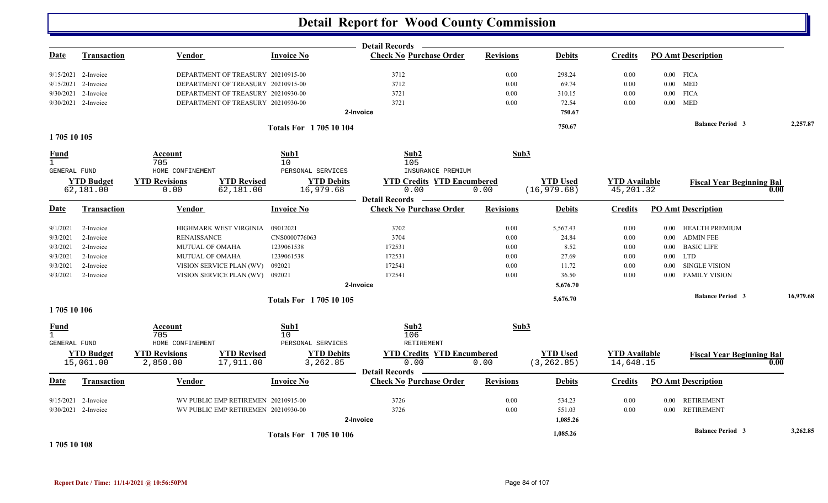|                     |                                |                                     |                                 |                               | <b>Detail Records</b>                                   |                  |                                |                                   |          |                                  |           |
|---------------------|--------------------------------|-------------------------------------|---------------------------------|-------------------------------|---------------------------------------------------------|------------------|--------------------------------|-----------------------------------|----------|----------------------------------|-----------|
| Date                | <b>Transaction</b>             | <b>Vendor</b>                       |                                 | <b>Invoice No</b>             | <b>Check No Purchase Order</b>                          | <b>Revisions</b> | <b>Debits</b>                  | <b>Credits</b>                    |          | <b>PO Amt Description</b>        |           |
|                     | 9/15/2021 2-Invoice            | DEPARTMENT OF TREASURY 20210915-00  |                                 |                               | 3712                                                    | 0.00             | 298.24                         | 0.00                              |          | $0.00$ FICA                      |           |
|                     | $9/15/2021$ 2-Invoice          | DEPARTMENT OF TREASURY 20210915-00  |                                 |                               | 3712                                                    | 0.00             | 69.74                          | $0.00\,$                          |          | $0.00$ MED                       |           |
|                     | 9/30/2021 2-Invoice            | DEPARTMENT OF TREASURY 20210930-00  |                                 |                               | 3721                                                    | 0.00             | 310.15                         | 0.00                              |          | $0.00$ FICA                      |           |
|                     | 9/30/2021 2-Invoice            | DEPARTMENT OF TREASURY 20210930-00  |                                 |                               | 3721                                                    | 0.00             | 72.54                          | 0.00                              | 0.00     | <b>MED</b>                       |           |
|                     |                                |                                     |                                 |                               | 2-Invoice                                               |                  | 750.67                         |                                   |          |                                  |           |
|                     |                                |                                     |                                 | <b>Totals For 170510104</b>   |                                                         |                  | 750.67                         |                                   |          | <b>Balance Period 3</b>          | 2,257.87  |
| 1705 10 105         |                                |                                     |                                 |                               |                                                         |                  |                                |                                   |          |                                  |           |
| <b>Fund</b>         |                                | Account                             |                                 | Sub1                          | Sub2                                                    | Sub3             |                                |                                   |          |                                  |           |
| $\mathbf{1}$        |                                | 705                                 |                                 | 10 <sup>°</sup>               | 105                                                     |                  |                                |                                   |          |                                  |           |
| <b>GENERAL FUND</b> |                                | HOME CONFINEMENT                    |                                 | PERSONAL SERVICES             | INSURANCE PREMIUM                                       |                  |                                |                                   |          |                                  |           |
|                     | <b>YTD Budget</b>              | <b>YTD Revisions</b>                | <b>YTD Revised</b>              | <b>YTD Debits</b>             | <b>YTD Credits YTD Encumbered</b>                       |                  | <b>YTD</b> Used                | <b>YTD</b> Available              |          | <b>Fiscal Year Beginning Bal</b> |           |
|                     | 62,181.00                      | 0.00                                | 62,181.00                       | 16,979.68                     | 0.00                                                    | 0.00             | (16, 979.68)                   | 45, 201.32                        |          |                                  | 0.00      |
| Date                | Transaction                    | Vendor                              |                                 | <b>Invoice No</b>             | <b>Detail Records</b><br><b>Check No Purchase Order</b> | <b>Revisions</b> | <b>Debits</b>                  | <b>Credits</b>                    |          | <b>PO Amt Description</b>        |           |
|                     |                                |                                     |                                 |                               |                                                         |                  |                                |                                   |          |                                  |           |
| 9/1/2021            | 2-Invoice                      | HIGHMARK WEST VIRGINIA              |                                 | 09012021                      | 3702                                                    | 0.00             | 5,567.43                       | 0.00                              | $0.00\,$ | HEALTH PREMIUM                   |           |
| 9/3/2021            | 2-Invoice                      | <b>RENAISSANCE</b>                  |                                 | CNS0000776063                 | 3704                                                    | 0.00             | 24.84                          | 0.00                              | $0.00\,$ | <b>ADMIN FEE</b>                 |           |
| 9/3/2021            | 2-Invoice                      | <b>MUTUAL OF OMAHA</b>              |                                 | 1239061538                    | 172531                                                  | 0.00             | 8.52                           | 0.00                              | $0.00\,$ | <b>BASIC LIFE</b>                |           |
| 9/3/2021            | 2-Invoice                      | MUTUAL OF OMAHA                     |                                 | 1239061538                    | 172531                                                  | 0.00             | 27.69                          | 0.00                              |          | $0.00$ LTD                       |           |
| 9/3/2021            | 2-Invoice                      | VISION SERVICE PLAN (WV)            |                                 | 092021                        | 172541                                                  | 0.00             | 11.72                          | 0.00                              | 0.00     | <b>SINGLE VISION</b>             |           |
| 9/3/2021            | 2-Invoice                      | VISION SERVICE PLAN (WV)            |                                 | 092021                        | 172541                                                  | 0.00             | 36.50                          | 0.00                              | 0.00     | <b>FAMILY VISION</b>             |           |
|                     |                                |                                     |                                 |                               | 2-Invoice                                               |                  | 5,676.70                       |                                   |          |                                  |           |
|                     |                                |                                     |                                 | <b>Totals For 170510105</b>   |                                                         |                  | 5,676.70                       |                                   |          | <b>Balance Period 3</b>          | 16,979.68 |
| 1705 10 106         |                                |                                     |                                 |                               |                                                         |                  |                                |                                   |          |                                  |           |
| <b>Fund</b>         |                                | Account                             |                                 | Sub1                          | Sub2                                                    | Sub3             |                                |                                   |          |                                  |           |
| $\mathbf{1}$        |                                | 705                                 |                                 | 10                            | 106                                                     |                  |                                |                                   |          |                                  |           |
| <b>GENERAL FUND</b> |                                | HOME CONFINEMENT                    |                                 | PERSONAL SERVICES             | <b>RETIREMENT</b>                                       |                  |                                |                                   |          |                                  |           |
|                     | <b>YTD Budget</b><br>15,061.00 | <b>YTD Revisions</b><br>2,850.00    | <b>YTD Revised</b><br>17,911.00 | <b>YTD Debits</b><br>3,262.85 | <b>YTD Credits YTD Encumbered</b><br>0.00               | 0.00             | <b>YTD</b> Used<br>(3, 262.85) | <b>YTD Available</b><br>14,648.15 |          | <b>Fiscal Year Beginning Bal</b> | 0.00      |
| <u>Date</u>         | Transaction                    | <b>Vendor</b>                       |                                 | <b>Invoice No</b>             | <b>Detail Records</b><br><b>Check No Purchase Order</b> | <b>Revisions</b> | <b>Debits</b>                  | <b>Credits</b>                    |          | <b>PO Amt Description</b>        |           |
|                     |                                |                                     |                                 |                               |                                                         |                  |                                |                                   |          |                                  |           |
|                     | 9/15/2021 2-Invoice            | WV PUBLIC EMP RETIREMEN 20210915-00 |                                 |                               | 3726                                                    | 0.00             | 534.23                         | 0.00                              |          | 0.00 RETIREMENT                  |           |
|                     | 9/30/2021 2-Invoice            | WV PUBLIC EMP RETIREMEN 20210930-00 |                                 |                               | 3726<br>2-Invoice                                       | 0.00             | 551.03<br>1,085.26             | 0.00                              |          | 0.00 RETIREMENT                  |           |
|                     |                                |                                     |                                 | <b>Totals For 170510106</b>   |                                                         |                  | 1,085.26                       |                                   |          | <b>Balance Period 3</b>          | 3,262.85  |
|                     |                                |                                     |                                 |                               |                                                         |                  |                                |                                   |          |                                  |           |

**1 705 10 108**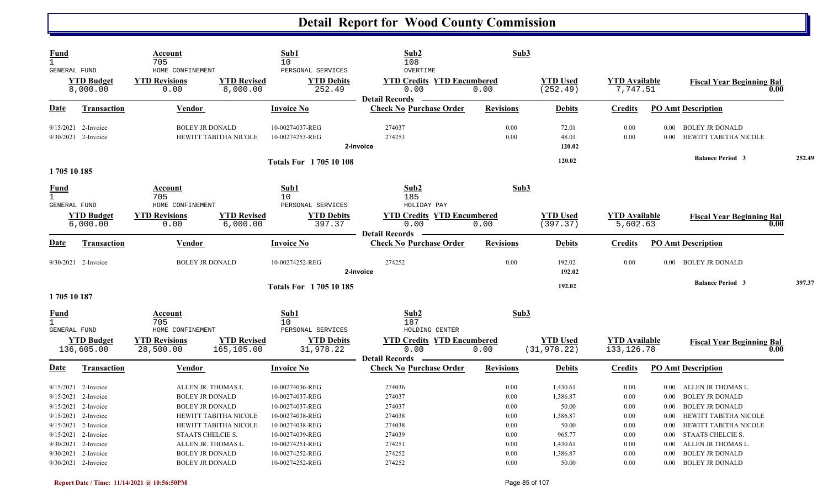| <b>Fund</b><br>$\mathbf{1}$<br>GENERAL FUND        |                                                                                                                   | Account<br>705<br>HOME CONFINEMENT                                    |                                                                       | Sub1<br>10<br>PERSONAL SERVICES                                                             | Sub2<br>108<br>OVERTIME                                            | Sub3                                 |                                                    |                                      |                                      |                                                                                                                               |        |
|----------------------------------------------------|-------------------------------------------------------------------------------------------------------------------|-----------------------------------------------------------------------|-----------------------------------------------------------------------|---------------------------------------------------------------------------------------------|--------------------------------------------------------------------|--------------------------------------|----------------------------------------------------|--------------------------------------|--------------------------------------|-------------------------------------------------------------------------------------------------------------------------------|--------|
|                                                    | <b>YTD Budget</b><br>8,000.00                                                                                     | <b>YTD Revisions</b><br>0.00                                          | <b>YTD Revised</b><br>8,000.00                                        | <b>YTD Debits</b><br>252.49                                                                 | <b>YTD Credits YTD Encumbered</b><br>0.00<br><b>Detail Records</b> | 0.00                                 | <b>YTD Used</b><br>(252.49)                        | <b>YTD Available</b><br>7,747.51     |                                      | <b>Fiscal Year Beginning Bal</b><br>0.00                                                                                      |        |
| Date                                               | <b>Transaction</b>                                                                                                | Vendor                                                                |                                                                       | <b>Invoice No</b>                                                                           | <b>Check No Purchase Order</b>                                     | <b>Revisions</b>                     | <b>Debits</b>                                      | <b>Credits</b>                       | <b>PO Amt Description</b>            |                                                                                                                               |        |
|                                                    | 9/15/2021 2-Invoice<br>$9/30/2021$ 2-Invoice                                                                      | <b>BOLEY JR DONALD</b>                                                | HEWITT TABITHA NICOLE                                                 | 10-00274037-REG<br>10-00274253-REG                                                          | 274037<br>274253<br>2-Invoice                                      | 0.00<br>0.00                         | 72.01<br>48.01<br>120.02                           | 0.00<br>0.00                         | 0.00                                 | 0.00 BOLEY JR DONALD<br>HEWITT TABITHA NICOLE                                                                                 |        |
| 1705 10 185                                        |                                                                                                                   |                                                                       |                                                                       | <b>Totals For 170510108</b>                                                                 |                                                                    |                                      | 120.02                                             |                                      |                                      | <b>Balance Period 3</b>                                                                                                       | 252.49 |
| <b>Fund</b><br>$\mathbf{1}$<br>GENERAL FUND        |                                                                                                                   | Account<br>705<br>HOME CONFINEMENT                                    |                                                                       | Sub1<br>10<br>PERSONAL SERVICES                                                             | Sub2<br>185<br>HOLIDAY PAY                                         | Sub3                                 |                                                    |                                      |                                      |                                                                                                                               |        |
|                                                    | <b>YTD Budget</b><br>6,000.00                                                                                     | <b>YTD Revisions</b><br>0.00                                          | <b>YTD Revised</b><br>6,000.00                                        | <b>YTD Debits</b><br>397.37                                                                 | <b>YTD Credits YTD Encumbered</b><br>0.00<br><b>Detail Records</b> | 0.00                                 | <b>YTD Used</b><br>(397.37)                        | <b>YTD</b> Available<br>5,602.63     |                                      | <b>Fiscal Year Beginning Bal</b><br>0.00                                                                                      |        |
| Date                                               | <b>Transaction</b>                                                                                                | <b>Vendor</b>                                                         |                                                                       | <b>Invoice No</b>                                                                           | <b>Check No Purchase Order</b>                                     | <b>Revisions</b>                     | <b>Debits</b>                                      | <b>Credits</b>                       | <b>PO Amt Description</b>            |                                                                                                                               |        |
|                                                    | 9/30/2021 2-Invoice                                                                                               | <b>BOLEY JR DONALD</b>                                                |                                                                       | 10-00274252-REG                                                                             | 274252<br>2-Invoice                                                | 0.00                                 | 192.02<br>192.02                                   | 0.00                                 |                                      | 0.00 BOLEY JR DONALD                                                                                                          |        |
| 1705 10 187                                        |                                                                                                                   |                                                                       |                                                                       | <b>Totals For 170510185</b>                                                                 |                                                                    |                                      | 192.02                                             |                                      |                                      | <b>Balance Period 3</b>                                                                                                       | 397.37 |
| <b>Fund</b><br>$\mathbf{1}$<br><b>GENERAL FUND</b> |                                                                                                                   | Account<br>705<br>HOME CONFINEMENT                                    |                                                                       | Sub1<br>10<br>PERSONAL SERVICES                                                             | Sub <sub>2</sub><br>187<br>HOLDING CENTER                          | Sub3                                 |                                                    |                                      |                                      |                                                                                                                               |        |
|                                                    | <b>YTD Budget</b><br>136,605.00                                                                                   | <b>YTD Revisions</b><br>28,500.00                                     | <b>YTD Revised</b><br>165,105.00                                      | <b>YTD Debits</b><br>31,978.22                                                              | <b>YTD Credits YTD Encumbered</b><br>0.00<br><b>Detail Records</b> | 0.00                                 | <b>YTD</b> Used<br>(31, 978.22)                    | <b>YTD</b> Available<br>133, 126.78  |                                      | <b>Fiscal Year Beginning Bal</b><br>0.00                                                                                      |        |
| D <u>ate</u>                                       | <b>Transaction</b>                                                                                                | Vendor                                                                |                                                                       | <b>Invoice No</b>                                                                           | <b>Check No Purchase Order</b>                                     | <b>Revisions</b>                     | <b>Debits</b>                                      | <b>Credits</b>                       | <b>PO Amt Description</b>            |                                                                                                                               |        |
|                                                    | $9/15/2021$ 2-Invoice<br>9/15/2021 2-Invoice<br>9/15/2021 2-Invoice<br>9/15/2021 2-Invoice<br>9/15/2021 2-Invoice | <b>BOLEY JR DONALD</b><br><b>BOLEY JR DONALD</b>                      | ALLEN JR. THOMAS L.<br>HEWITT TABITHA NICOLE<br>HEWITT TABITHA NICOLE | 10-00274036-REG<br>10-00274037-REG<br>10-00274037-REG<br>10-00274038-REG<br>10-00274038-REG | 274036<br>274037<br>274037<br>274038<br>274038                     | 0.00<br>0.00<br>0.00<br>0.00<br>0.00 | 1,430.61<br>1,386.87<br>50.00<br>1,386.87<br>50.00 | 0.00<br>0.00<br>0.00<br>0.00<br>0.00 | $0.00\,$<br>0.00<br>$0.00\,$<br>0.00 | 0.00 ALLEN JR THOMAS L.<br><b>BOLEY JR DONALD</b><br><b>BOLEY JR DONALD</b><br>HEWITT TABITHA NICOLE<br>HEWITT TABITHA NICOLE |        |
|                                                    | $9/15/2021$ 2-Invoice<br>9/30/2021 2-Invoice<br>9/30/2021 2-Invoice<br>$9/30/2021$ 2-Invoice                      | STAATS CHELCIE S.<br><b>BOLEY JR DONALD</b><br><b>BOLEY JR DONALD</b> | ALLEN JR. THOMAS L.                                                   | 10-00274039-REG<br>10-00274251-REG<br>10-00274252-REG<br>10-00274252-REG                    | 274039<br>274251<br>274252<br>274252                               | 0.00<br>0.00<br>0.00<br>0.00         | 965.77<br>1,430.61<br>1,386.87<br>50.00            | 0.00<br>0.00<br>0.00<br>0.00         | 0.00<br>$0.00\,$<br>0.00             | STAATS CHELCIE S.<br>ALLEN JR THOMAS L.<br><b>BOLEY JR DONALD</b><br>0.00 BOLEY JR DONALD                                     |        |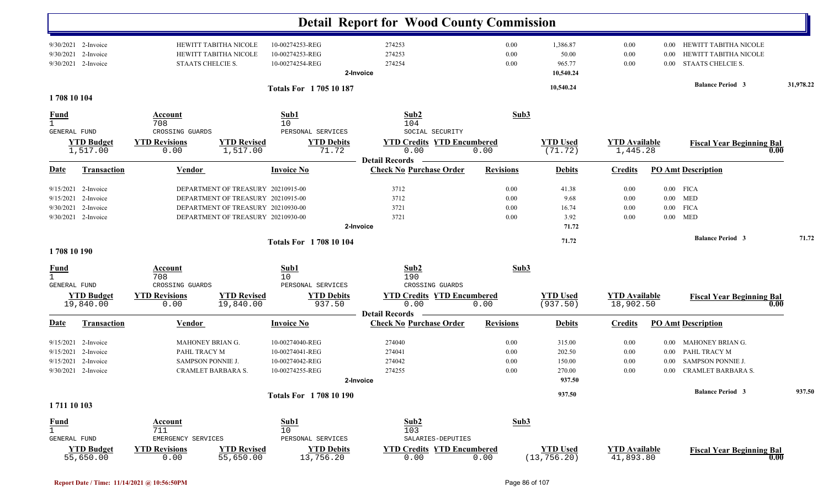|                                                                                                     |                                                                                    |                                                                                                                                                      |                                                                          | <b>Detail Report for Wood County Commission</b>                                       |                                      |                                                |                                   |                                      |                                                                                           |           |
|-----------------------------------------------------------------------------------------------------|------------------------------------------------------------------------------------|------------------------------------------------------------------------------------------------------------------------------------------------------|--------------------------------------------------------------------------|---------------------------------------------------------------------------------------|--------------------------------------|------------------------------------------------|-----------------------------------|--------------------------------------|-------------------------------------------------------------------------------------------|-----------|
| $9/30/2021$ 2-Invoice<br>9/30/2021<br>2-Invoice<br>9/30/2021<br>2-Invoice                           | HEWITT TABITHA NICOLE<br>HEWITT TABITHA NICOLE<br>STAATS CHELCIE S.                |                                                                                                                                                      | 10-00274253-REG<br>10-00274253-REG<br>10-00274254-REG                    | 274253<br>274253<br>274254<br>2-Invoice                                               | 0.00<br>0.00<br>0.00                 | 1,386.87<br>50.00<br>965.77<br>10,540.24       | 0.00<br>0.00<br>0.00              | 0.00<br>0.00<br>0.00                 | HEWITT TABITHA NICOLE<br>HEWITT TABITHA NICOLE<br>STAATS CHELCIE S.                       |           |
| 1708 10 104                                                                                         |                                                                                    |                                                                                                                                                      | <b>Totals For 170510187</b>                                              |                                                                                       |                                      | 10,540.24                                      |                                   |                                      | <b>Balance Period 3</b>                                                                   | 31,978.22 |
| <b>Fund</b>                                                                                         | <b>Account</b><br>708                                                              |                                                                                                                                                      | Sub1<br>10                                                               | Sub2<br>104                                                                           | Sub3                                 |                                                |                                   |                                      |                                                                                           |           |
| GENERAL FUND<br><b>YTD Budget</b><br>1,517.00                                                       | CROSSING GUARDS<br><b>YTD Revisions</b><br>0.00                                    | <b>YTD Revised</b><br>1,517.00                                                                                                                       | PERSONAL SERVICES<br><b>YTD Debits</b><br>71.72                          | SOCIAL SECURITY<br><b>YTD Credits YTD Encumbered</b><br>0.00<br><b>Detail Records</b> | 0.00                                 | <b>YTD Used</b><br>(71.72)                     | <b>YTD Available</b><br>1,445.28  |                                      | <b>Fiscal Year Beginning Bal</b><br>0.00                                                  |           |
| <b>Transaction</b><br><u>Date</u>                                                                   | <b>Vendor</b>                                                                      |                                                                                                                                                      | <b>Invoice No</b>                                                        | <b>Check No Purchase Order</b>                                                        | <b>Revisions</b>                     | <b>Debits</b>                                  | <b>Credits</b>                    |                                      | <b>PO Amt Description</b>                                                                 |           |
| 2-Invoice<br>9/15/2021<br>9/15/2021<br>2-Invoice<br>9/30/2021<br>2-Invoice<br>$9/30/2021$ 2-Invoice |                                                                                    | DEPARTMENT OF TREASURY 20210915-00<br>DEPARTMENT OF TREASURY 20210915-00<br>DEPARTMENT OF TREASURY 20210930-00<br>DEPARTMENT OF TREASURY 20210930-00 |                                                                          | 3712<br>3712<br>3721<br>3721<br>2-Invoice                                             | 0.00<br>0.00<br>0.00<br>0.00         | 41.38<br>9.68<br>16.74<br>3.92<br>71.72        | 0.00<br>0.00<br>0.00<br>0.00      | $0.00\,$<br>$0.00\,$                 | $0.00$ FICA<br>$0.00$ MED<br><b>FICA</b><br><b>MED</b>                                    |           |
|                                                                                                     |                                                                                    |                                                                                                                                                      | <b>Totals For 1708 10 104</b>                                            |                                                                                       |                                      | 71.72                                          |                                   |                                      | <b>Balance Period 3</b>                                                                   | 71.72     |
| 1708 10 190<br><u>Fund</u><br>GENERAL FUND                                                          | Account<br>708<br>CROSSING GUARDS                                                  |                                                                                                                                                      | Sub1<br>10<br>PERSONAL SERVICES                                          | Sub2<br>190<br>CROSSING GUARDS                                                        | Sub3                                 |                                                |                                   |                                      |                                                                                           |           |
| <b>YTD Budget</b><br>19,840.00                                                                      | <b>YTD Revisions</b><br>0.00                                                       | <b>YTD Revised</b><br>19,840.00                                                                                                                      | <b>YTD Debits</b><br>937.50                                              | <b>YTD Credits YTD Encumbered</b><br>0.00                                             | 0.00                                 | <b>YTD Used</b><br>(937.50)                    | <b>YTD Available</b><br>18,902.50 |                                      | <b>Fiscal Year Beginning Bal</b><br>0.00                                                  |           |
| <b>Transaction</b><br>Date                                                                          | <b>Vendor</b>                                                                      |                                                                                                                                                      | <b>Invoice No</b>                                                        | <b>Detail Records</b><br><b>Check No Purchase Order</b>                               | <b>Revisions</b>                     | <b>Debits</b>                                  | <b>Credits</b>                    |                                      | <b>PO Amt Description</b>                                                                 |           |
| $9/15/2021$ 2-Invoice<br>9/15/2021<br>2-Invoice<br>9/15/2021<br>2-Invoice<br>$9/30/2021$ 2-Invoice  | <b>MAHONEY BRIAN G.</b><br>PAHL TRACY M<br>SAMPSON PONNIE J.<br>CRAMLET BARBARA S. |                                                                                                                                                      | 10-00274040-REG<br>10-00274041-REG<br>10-00274042-REG<br>10-00274255-REG | 274040<br>274041<br>274042<br>274255<br>2-Invoice                                     | 0.00<br>0.00<br>$0.00\,$<br>$0.00\,$ | 315.00<br>202.50<br>150.00<br>270.00<br>937.50 | $0.00\,$<br>0.00<br>0.00<br>0.00  | $0.00\,$<br>$0.00\,$<br>0.00<br>0.00 | MAHONEY BRIAN G.<br>PAHL TRACY M<br><b>SAMPSON PONNIE J.</b><br><b>CRAMLET BARBARA S.</b> |           |
| 1711 10 103                                                                                         |                                                                                    |                                                                                                                                                      | <b>Totals For 1708 10 190</b>                                            |                                                                                       |                                      | 937.50                                         |                                   |                                      | <b>Balance Period 3</b>                                                                   | 937.50    |
| <b>Fund</b>                                                                                         | Account                                                                            |                                                                                                                                                      | Sub1                                                                     | Sub2                                                                                  | Sub3                                 |                                                |                                   |                                      |                                                                                           |           |
| $\mathbf{1}$<br>GENERAL FUND<br><b>YTD Budget</b><br>55,650.00                                      | 711<br>EMERGENCY SERVICES<br><b>YTD Revisions</b><br>0.00                          | <b>YTD Revised</b><br>55,650.00                                                                                                                      | 10<br>PERSONAL SERVICES<br><b>YTD Debits</b><br>13,756.20                | 103<br>SALARIES-DEPUTIES<br><b>YTD Credits YTD Encumbered</b><br>0.00                 | 0.00                                 | <b>YTD Used</b><br>(13, 756.20)                | <b>YTD Available</b><br>41,893.80 |                                      | <b>Fiscal Year Beginning Bal</b><br>0.00                                                  |           |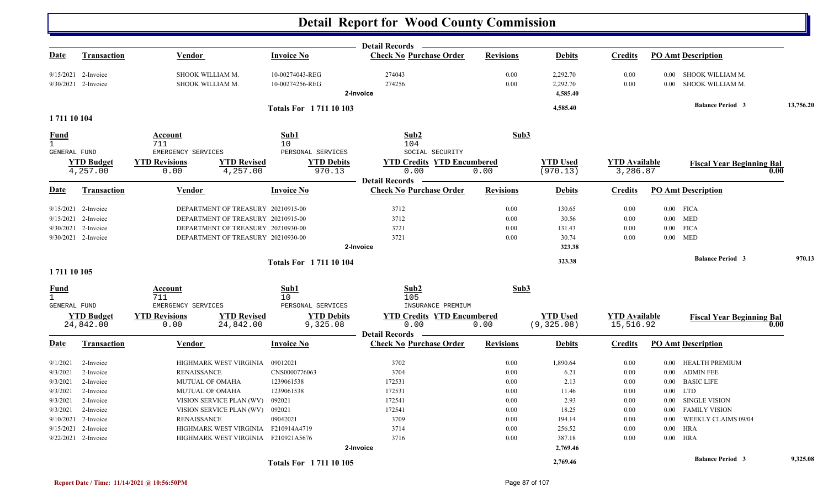| Date                                | <b>Transaction</b>            | Vendor                       |                                     | <b>Invoice No</b>           | <b>Detail Records</b><br><b>Check No Purchase Order</b> | <b>Revisions</b> | <b>Debits</b>               | <b>Credits</b>                   |          | <b>PO Amt Description</b>        |           |
|-------------------------------------|-------------------------------|------------------------------|-------------------------------------|-----------------------------|---------------------------------------------------------|------------------|-----------------------------|----------------------------------|----------|----------------------------------|-----------|
|                                     |                               |                              |                                     |                             |                                                         |                  |                             |                                  |          |                                  |           |
|                                     | 9/15/2021 2-Invoice           | SHOOK WILLIAM M.             |                                     | 10-00274043-REG             | 274043                                                  | 0.00             | 2,292.70                    | 0.00                             | $0.00\,$ | SHOOK WILLIAM M.                 |           |
|                                     | 9/30/2021 2-Invoice           | SHOOK WILLIAM M.             |                                     | 10-00274256-REG             | 274256                                                  | 0.00             | 2,292.70                    | 0.00                             | 0.00     | SHOOK WILLIAM M.                 |           |
|                                     |                               |                              |                                     |                             | 2-Invoice                                               |                  | 4,585.40                    |                                  |          |                                  |           |
|                                     |                               |                              |                                     | <b>Totals For 171110103</b> |                                                         |                  | 4,585.40                    |                                  |          | <b>Balance Period 3</b>          | 13,756.20 |
| 1711 10 104                         |                               |                              |                                     |                             |                                                         |                  |                             |                                  |          |                                  |           |
| Fund<br>$\mathbf{1}$                |                               | Account<br>711               |                                     | Sub1<br>10                  | Sub2<br>104                                             | Sub3             |                             |                                  |          |                                  |           |
| GENERAL FUND                        |                               | EMERGENCY SERVICES           |                                     | PERSONAL SERVICES           | SOCIAL SECURITY                                         |                  |                             |                                  |          |                                  |           |
|                                     | <b>YTD Budget</b><br>4,257.00 | <b>YTD Revisions</b><br>0.00 | <b>YTD Revised</b><br>4,257.00      | <b>YTD Debits</b><br>970.13 | <b>YTD Credits YTD Encumbered</b><br>0.00               | 0.00             | <b>YTD</b> Used<br>(970.13) | <b>YTD</b> Available<br>3,286.87 |          | <b>Fiscal Year Beginning Bal</b> | 0.00      |
|                                     |                               |                              |                                     |                             | <b>Detail Records</b>                                   |                  |                             |                                  |          |                                  |           |
| Date                                | <b>Transaction</b>            | <b>Vendor</b>                |                                     | <b>Invoice No</b>           | <b>Check No Purchase Order</b>                          | <b>Revisions</b> | <b>Debits</b>               | <b>Credits</b>                   |          | <b>PO Amt Description</b>        |           |
|                                     | 9/15/2021 2-Invoice           |                              | DEPARTMENT OF TREASURY 20210915-00  |                             | 3712                                                    | 0.00             | 130.65                      | 0.00                             |          | $0.00$ FICA                      |           |
|                                     | 9/15/2021 2-Invoice           |                              | DEPARTMENT OF TREASURY 20210915-00  |                             | 3712                                                    | 0.00             | 30.56                       | 0.00                             |          | $0.00$ MED                       |           |
|                                     | 9/30/2021 2-Invoice           |                              | DEPARTMENT OF TREASURY 20210930-00  |                             | 3721                                                    | 0.00             | 131.43                      | 0.00                             | $0.00\,$ | <b>FICA</b>                      |           |
|                                     | 9/30/2021 2-Invoice           |                              | DEPARTMENT OF TREASURY 20210930-00  |                             | 3721                                                    | 0.00             | 30.74                       | 0.00                             |          | $0.00$ MED                       |           |
|                                     |                               |                              |                                     |                             | 2-Invoice                                               |                  | 323.38                      |                                  |          |                                  |           |
|                                     |                               |                              |                                     | <b>Totals For 171110104</b> |                                                         |                  | 323.38                      |                                  |          | <b>Balance Period 3</b>          | 970.13    |
| 1711 10 105                         |                               |                              |                                     |                             |                                                         |                  |                             |                                  |          |                                  |           |
| <u>Fund</u>                         |                               | <b>Account</b>               |                                     | Sub1                        | Sub2                                                    | Sub3             |                             |                                  |          |                                  |           |
| $\mathbf{1}$<br><b>GENERAL FUND</b> |                               | 711<br>EMERGENCY SERVICES    |                                     | 10<br>PERSONAL SERVICES     | 105<br>INSURANCE PREMIUM                                |                  |                             |                                  |          |                                  |           |
|                                     | <b>YTD Budget</b>             | <b>YTD Revisions</b>         | <b>YTD Revised</b>                  | <b>YTD Debits</b>           | <b>YTD Credits YTD Encumbered</b>                       |                  | <b>YTD</b> Used             | <b>YTD</b> Available             |          |                                  |           |
|                                     | 24,842.00                     | 0.00                         | 24,842.00                           | 9,325.08                    | 0.00                                                    | 0.00             | (9, 325.08)                 | 15,516.92                        |          | <b>Fiscal Year Beginning Bal</b> | 0.00      |
| D <u>ate</u>                        | <b>Transaction</b>            | <b>Vendor</b>                |                                     | <b>Invoice No</b>           | <b>Detail Records</b><br><b>Check No Purchase Order</b> | <b>Revisions</b> | <b>Debits</b>               | <b>Credits</b>                   |          | <b>PO Amt Description</b>        |           |
| 9/1/2021                            | 2-Invoice                     | HIGHMARK WEST VIRGINIA       |                                     | 09012021                    | 3702                                                    | 0.00             | 1,890.64                    | 0.00                             | $0.00\,$ | HEALTH PREMIUM                   |           |
| 9/3/2021                            | 2-Invoice                     | <b>RENAISSANCE</b>           |                                     | CNS0000776063               | 3704                                                    | 0.00             | 6.21                        | 0.00                             | $0.00\,$ | <b>ADMIN FEE</b>                 |           |
| 9/3/2021                            | 2-Invoice                     | <b>MUTUAL OF OMAHA</b>       |                                     | 1239061538                  | 172531                                                  | 0.00             | 2.13                        | 0.00                             | $0.00\,$ | <b>BASIC LIFE</b>                |           |
| 9/3/2021                            | 2-Invoice                     | <b>MUTUAL OF OMAHA</b>       |                                     | 1239061538                  | 172531                                                  | 0.00             | 11.46                       | 0.00                             | $0.00\,$ | <b>LTD</b>                       |           |
| 9/3/2021                            | 2-Invoice                     | VISION SERVICE PLAN (WV)     |                                     | 092021                      | 172541                                                  | 0.00             | 2.93                        | 0.00                             | $0.00\,$ | SINGLE VISION                    |           |
| 9/3/2021                            | 2-Invoice                     | VISION SERVICE PLAN (WV)     |                                     | 092021                      | 172541                                                  | 0.00             | 18.25                       | 0.00                             | $0.00\,$ | <b>FAMILY VISION</b>             |           |
|                                     | 9/10/2021 2-Invoice           | <b>RENAISSANCE</b>           |                                     | 09042021                    | 3709                                                    | 0.00             | 194.14                      | 0.00                             | 0.00     | <b>WEEKLY CLAIMS 09/04</b>       |           |
|                                     | 9/15/2021 2-Invoice           |                              | HIGHMARK WEST VIRGINIA F210914A4719 |                             | 3714                                                    | 0.00             | 256.52                      | 0.00                             | 0.00     | HRA                              |           |
|                                     | 9/22/2021 2-Invoice           |                              | HIGHMARK WEST VIRGINIA F210921A5676 |                             | 3716                                                    | 0.00             | 387.18                      | 0.00                             | $0.00\,$ | <b>HRA</b>                       |           |
|                                     |                               |                              |                                     |                             | 2-Invoice                                               |                  | 2,769.46                    |                                  |          |                                  |           |
|                                     |                               |                              |                                     | Totals For 1711 10 105      |                                                         |                  | 2,769.46                    |                                  |          | <b>Balance Period 3</b>          | 9,325.08  |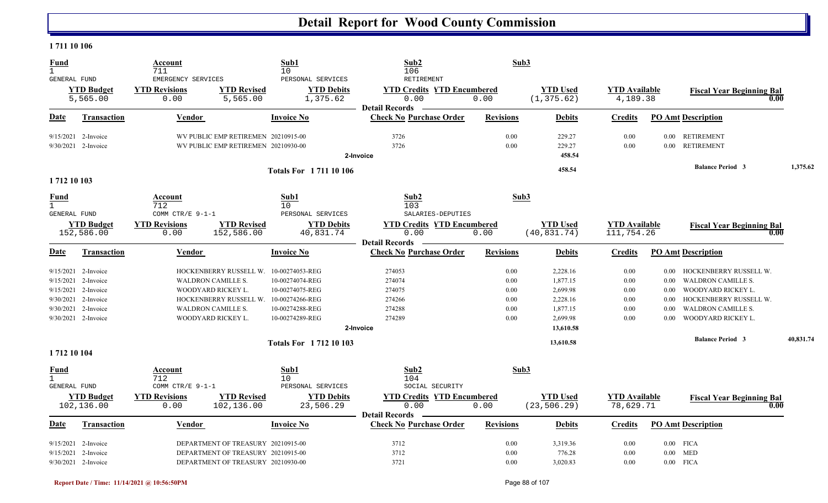#### **1 711 10 106**

| <b>Fund</b><br>$\mathbf{1}$                        |                                 | Account<br>711                                                   | Sub1<br>10                      | Sub2<br>106                                                        | Sub3             |                                 |                                    |          |                                          |           |
|----------------------------------------------------|---------------------------------|------------------------------------------------------------------|---------------------------------|--------------------------------------------------------------------|------------------|---------------------------------|------------------------------------|----------|------------------------------------------|-----------|
| GENERAL FUND                                       |                                 | EMERGENCY SERVICES                                               | PERSONAL SERVICES               | RETIREMENT                                                         |                  |                                 |                                    |          |                                          |           |
|                                                    | <b>YTD Budget</b>               | <b>YTD Revised</b><br><b>YTD Revisions</b>                       | <b>YTD Debits</b>               | <b>YTD Credits YTD Encumbered</b>                                  |                  | <b>YTD Used</b>                 | <b>YTD</b> Available               |          | <b>Fiscal Year Beginning Bal</b>         |           |
|                                                    | 5,565.00                        | 0.00<br>5,565.00                                                 | 1,375.62                        | 0.00                                                               | 0.00             | (1, 375.62)                     | 4,189.38                           |          | 0.00                                     |           |
| Date                                               | <b>Transaction</b>              | <b>Vendor</b>                                                    | <b>Invoice No</b>               | <b>Detail Records</b><br><b>Check No Purchase Order</b>            | <b>Revisions</b> | <b>Debits</b>                   | <b>Credits</b>                     |          | <b>PO Amt Description</b>                |           |
|                                                    | 9/15/2021 2-Invoice             | WV PUBLIC EMP RETIREMEN 20210915-00                              |                                 | 3726                                                               | 0.00             | 229.27                          | 0.00                               | $0.00\,$ | <b>RETIREMENT</b>                        |           |
|                                                    | 9/30/2021 2-Invoice             | WV PUBLIC EMP RETIREMEN 20210930-00                              |                                 | 3726<br>2-Invoice                                                  | 0.00             | 229.27<br>458.54                | 0.00                               | $0.00\,$ | <b>RETIREMENT</b>                        |           |
|                                                    |                                 |                                                                  | <b>Totals For 171110106</b>     |                                                                    |                  | 458.54                          |                                    |          | <b>Balance Period 3</b>                  | 1,375.62  |
| 1712 10 103                                        |                                 |                                                                  |                                 |                                                                    |                  |                                 |                                    |          |                                          |           |
| <b>Fund</b><br>$\mathbf{1}$                        |                                 | Account<br>712                                                   | Sub1<br>10                      | Sub2<br>103                                                        |                  | Sub3                            |                                    |          |                                          |           |
| <b>GENERAL FUND</b>                                |                                 | COMM CTR/E 9-1-1                                                 | PERSONAL SERVICES               | SALARIES-DEPUTIES                                                  |                  |                                 |                                    |          |                                          |           |
|                                                    | <b>YTD Budget</b><br>152,586.00 | <b>YTD Revisions</b><br><b>YTD Revised</b><br>152,586.00<br>0.00 | <b>YTD Debits</b><br>40,831.74  | <b>YTD Credits YTD Encumbered</b><br>0.00<br><b>Detail Records</b> | 0.00             | <b>YTD Used</b><br>(40, 831.74) | <b>YTD Available</b><br>111,754.26 |          | <b>Fiscal Year Beginning Bal</b><br>0.00 |           |
| Date                                               | <b>Transaction</b>              | <b>Vendor</b>                                                    | <b>Invoice No</b>               | <b>Check No Purchase Order</b>                                     | <b>Revisions</b> | <b>Debits</b>                   | <b>Credits</b>                     |          | <b>PO Amt Description</b>                |           |
| 9/15/2021                                          | 2-Invoice                       | HOCKENBERRY RUSSELL W. 10-00274053-REG                           |                                 | 274053                                                             | 0.00             | 2,228.16                        | 0.00                               | $0.00\,$ | HOCKENBERRY RUSSELL W.                   |           |
| 9/15/2021                                          | 2-Invoice                       | <b>WALDRON CAMILLE S.</b>                                        | 10-00274074-REG                 | 274074                                                             | 0.00             | 1,877.15                        | 0.00                               | 0.00     | <b>WALDRON CAMILLE S.</b>                |           |
|                                                    | 9/15/2021 2-Invoice             | WOODYARD RICKEY L.                                               | 10-00274075-REG                 | 274075                                                             | 0.00             | 2,699.98                        | 0.00                               | 0.00     | WOODYARD RICKEY L.                       |           |
| 9/30/2021                                          | 2-Invoice                       | HOCKENBERRY RUSSELL W. 10-00274266-REG                           |                                 | 274266                                                             | 0.00             | 2,228.16                        | 0.00                               | 0.00     | HOCKENBERRY RUSSELL W.                   |           |
| 9/30/2021                                          | 2-Invoice                       | <b>WALDRON CAMILLE S.</b>                                        | 10-00274288-REG                 | 274288                                                             | 0.00             | 1,877.15                        | 0.00                               | 0.00     | <b>WALDRON CAMILLE S.</b>                |           |
|                                                    | $9/30/2021$ 2-Invoice           | WOODYARD RICKEY L.                                               | 10-00274289-REG                 | 274289                                                             | 0.00             | 2,699.98                        | 0.00                               | 0.00     | WOODYARD RICKEY L.                       |           |
|                                                    |                                 |                                                                  |                                 | 2-Invoice                                                          |                  | 13,610.58                       |                                    |          |                                          |           |
|                                                    |                                 |                                                                  | <b>Totals For 171210103</b>     |                                                                    |                  | 13,610.58                       |                                    |          | <b>Balance Period 3</b>                  | 40,831.74 |
| 1712 10 104                                        |                                 |                                                                  |                                 |                                                                    |                  |                                 |                                    |          |                                          |           |
| <b>Fund</b><br>$\mathbf{1}$<br><b>GENERAL FUND</b> |                                 | Account<br>712<br>COMM CTR/E 9-1-1                               | Sub1<br>10<br>PERSONAL SERVICES | Sub2<br>104<br>SOCIAL SECURITY                                     |                  | Sub3                            |                                    |          |                                          |           |
|                                                    | <b>YTD Budget</b><br>102,136.00 | <b>YTD Revisions</b><br><b>YTD Revised</b><br>102,136.00<br>0.00 | <b>YTD Debits</b><br>23,506.29  | <b>YTD Credits YTD Encumbered</b><br>0.00                          | 0.00             | <b>YTD Used</b><br>(23, 506.29) | <b>YTD Available</b><br>78,629.71  |          | <b>Fiscal Year Beginning Bal</b><br>0.00 |           |
| <b>Date</b>                                        | <b>Transaction</b>              | Vendor                                                           | <b>Invoice No</b>               | <b>Detail Records</b><br><b>Check No Purchase Order</b>            | <b>Revisions</b> | <b>Debits</b>                   | <b>Credits</b>                     |          | <b>PO Amt Description</b>                |           |
|                                                    | 9/15/2021 2-Invoice             | DEPARTMENT OF TREASURY 20210915-00                               |                                 | 3712                                                               | 0.00             | 3,319.36                        | 0.00                               |          | $0.00$ FICA                              |           |
| 9/15/2021                                          | 2-Invoice                       | DEPARTMENT OF TREASURY 20210915-00                               |                                 | 3712                                                               | 0.00             | 776.28                          | 0.00                               |          | $0.00$ MED                               |           |
|                                                    | 9/30/2021 2-Invoice             | DEPARTMENT OF TREASURY 20210930-00                               |                                 | 3721                                                               | 0.00             | 3,020.83                        | 0.00                               |          | $0.00$ FICA                              |           |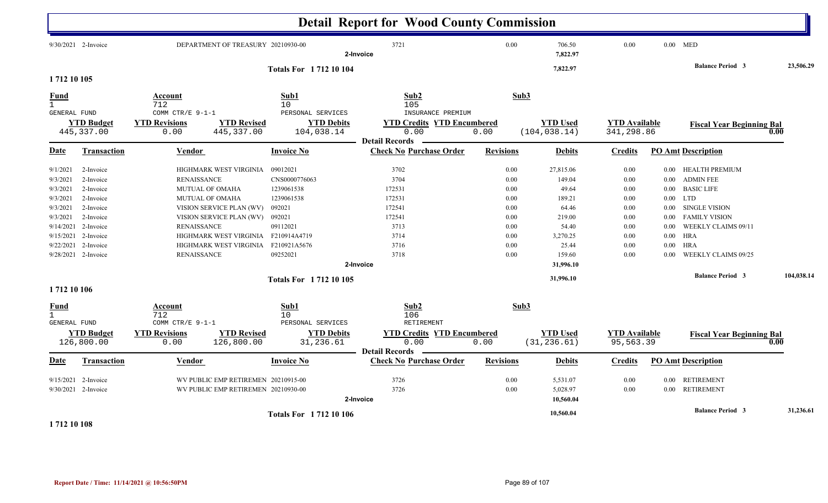|                                                                                                                                                                                                                                                                        |                                                                                                                                                                                                                  |                                                                                                                                                                                         | <b>Detail Report for Wood County Commission</b>                                                   |                                                                                      |                                                                                                                             |                                                                              |                                                                                                              |                                                                                                                                                                                                                     |            |
|------------------------------------------------------------------------------------------------------------------------------------------------------------------------------------------------------------------------------------------------------------------------|------------------------------------------------------------------------------------------------------------------------------------------------------------------------------------------------------------------|-----------------------------------------------------------------------------------------------------------------------------------------------------------------------------------------|---------------------------------------------------------------------------------------------------|--------------------------------------------------------------------------------------|-----------------------------------------------------------------------------------------------------------------------------|------------------------------------------------------------------------------|--------------------------------------------------------------------------------------------------------------|---------------------------------------------------------------------------------------------------------------------------------------------------------------------------------------------------------------------|------------|
| $9/30/2021$ 2-Invoice                                                                                                                                                                                                                                                  |                                                                                                                                                                                                                  | DEPARTMENT OF TREASURY 20210930-00                                                                                                                                                      | 3721<br>2-Invoice                                                                                 | 0.00                                                                                 | 706.50<br>7,822.97                                                                                                          | 0.00                                                                         |                                                                                                              | $0.00$ MED                                                                                                                                                                                                          |            |
| 1712 10 105                                                                                                                                                                                                                                                            |                                                                                                                                                                                                                  | <b>Totals For 171210104</b>                                                                                                                                                             |                                                                                                   |                                                                                      | 7,822.97                                                                                                                    |                                                                              |                                                                                                              | <b>Balance Period 3</b>                                                                                                                                                                                             | 23,506.29  |
| <b>Fund</b><br>$\mathbf{1}$                                                                                                                                                                                                                                            | Account<br>712                                                                                                                                                                                                   | Sub1<br>10 <sup>°</sup>                                                                                                                                                                 | Sub2<br>105                                                                                       | Sub3                                                                                 |                                                                                                                             |                                                                              |                                                                                                              |                                                                                                                                                                                                                     |            |
| <b>GENERAL FUND</b><br><b>YTD Budget</b><br>445, 337.00                                                                                                                                                                                                                | COMM CTR/E 9-1-1<br><b>YTD Revisions</b><br>0.00                                                                                                                                                                 | PERSONAL SERVICES<br><b>YTD Revised</b><br><b>YTD Debits</b><br>445, 337.00<br>104,038.14                                                                                               | INSURANCE PREMIUM<br><b>YTD Credits YTD Encumbered</b><br>0.00<br><b>Detail Records</b>           | 0.00                                                                                 | <b>YTD Used</b><br>(104, 038.14)                                                                                            | <b>YTD Available</b><br>341,298.86                                           |                                                                                                              | <b>Fiscal Year Beginning Bal</b>                                                                                                                                                                                    | 0.00       |
| Date<br><b>Transaction</b>                                                                                                                                                                                                                                             | Vendor                                                                                                                                                                                                           | Invoice No                                                                                                                                                                              | <b>Check No Purchase Order</b>                                                                    | <b>Revisions</b>                                                                     | <b>Debits</b>                                                                                                               | <b>Credits</b>                                                               |                                                                                                              | <b>PO Amt Description</b>                                                                                                                                                                                           |            |
| 2-Invoice<br>9/1/2021<br>9/3/2021<br>2-Invoice<br>9/3/2021<br>2-Invoice<br>9/3/2021<br>2-Invoice<br>9/3/2021<br>2-Invoice<br>2-Invoice<br>9/3/2021<br>9/14/2021<br>2-Invoice<br>9/15/2021<br>2-Invoice<br>2-Invoice<br>9/22/2021<br>9/28/2021 2-Invoice<br>1712 10 106 | HIGHMARK WEST VIRGINIA<br><b>RENAISSANCE</b><br>MUTUAL OF OMAHA<br>MUTUAL OF OMAHA<br>VISION SERVICE PLAN (WV)<br>VISION SERVICE PLAN (WV)<br><b>RENAISSANCE</b><br>HIGHMARK WEST VIRGINIA<br><b>RENAISSANCE</b> | 09012021<br>CNS0000776063<br>1239061538<br>1239061538<br>092021<br>092021<br>09112021<br>HIGHMARK WEST VIRGINIA F210914A4719<br>F210921A5676<br>09252021<br><b>Totals For 171210105</b> | 3702<br>3704<br>172531<br>172531<br>172541<br>172541<br>3713<br>3714<br>3716<br>3718<br>2-Invoice | $0.00\,$<br>0.00<br>0.00<br>0.00<br>0.00<br>0.00<br>0.00<br>0.00<br>$0.00\,$<br>0.00 | 27,815.06<br>149.04<br>49.64<br>189.21<br>64.46<br>219.00<br>54.40<br>3,270.25<br>25.44<br>159.60<br>31,996.10<br>31,996.10 | 0.00<br>0.00<br>0.00<br>0.00<br>0.00<br>0.00<br>0.00<br>0.00<br>0.00<br>0.00 | $0.00\,$<br>$0.00\,$<br>$0.00\,$<br>$0.00\,$<br>$0.00\,$<br>$0.00\,$<br>$0.00\,$<br>$0.00\,$<br>0.00<br>0.00 | HEALTH PREMIUM<br><b>ADMIN FEE</b><br><b>BASIC LIFE</b><br><b>LTD</b><br>SINGLE VISION<br><b>FAMILY VISION</b><br>WEEKLY CLAIMS 09/11<br><b>HRA</b><br><b>HRA</b><br>WEEKLY CLAIMS 09/25<br><b>Balance Period 3</b> | 104,038.14 |
| <b>Fund</b><br>$\mathbf{1}$<br><b>GENERAL FUND</b><br><b>YTD Budget</b><br>126,800.00                                                                                                                                                                                  | Account<br>712<br>COMM CTR/E 9-1-1<br><b>YTD Revisions</b><br>0.00                                                                                                                                               | Sub1<br>10<br>PERSONAL SERVICES<br><b>YTD Revised</b><br><b>YTD Debits</b><br>31,236.61<br>126,800.00                                                                                   | Sub2<br>106<br>RETIREMENT<br><b>YTD Credits YTD Encumbered</b><br>0.00                            | Sub3<br>0.00                                                                         | <b>YTD Used</b><br>(31, 236.61)                                                                                             | <b>YTD Available</b><br>95,563.39                                            |                                                                                                              | <b>Fiscal Year Beginning Bal</b>                                                                                                                                                                                    | 0.00       |
| Transaction<br><u>Date</u>                                                                                                                                                                                                                                             | <b>Vendor</b>                                                                                                                                                                                                    | Invoice No                                                                                                                                                                              | <b>Detail Records</b><br><b>Check No Purchase Order</b>                                           | <b>Revisions</b>                                                                     | <b>Debits</b>                                                                                                               | <b>Credits</b>                                                               |                                                                                                              | <b>PO Amt Description</b>                                                                                                                                                                                           |            |
| 9/15/2021<br>2-Invoice<br>9/30/2021 2-Invoice                                                                                                                                                                                                                          |                                                                                                                                                                                                                  | WV PUBLIC EMP RETIREMEN 20210915-00<br>WV PUBLIC EMP RETIREMEN 20210930-00                                                                                                              | 3726<br>3726<br>2-Invoice                                                                         | 0.00<br>0.00                                                                         | 5,531.07<br>5,028.97<br>10,560.04                                                                                           | 0.00<br>0.00                                                                 | $0.00\,$                                                                                                     | <b>RETIREMENT</b><br>0.00 RETIREMENT                                                                                                                                                                                |            |
| $\overline{a}$ $\overline{a}$ $\overline{a}$ $\overline{a}$ $\overline{a}$ $\overline{a}$ $\overline{a}$                                                                                                                                                               |                                                                                                                                                                                                                  | <b>Totals For 1712 10 106</b>                                                                                                                                                           |                                                                                                   |                                                                                      | 10,560.04                                                                                                                   |                                                                              |                                                                                                              | <b>Balance Period 3</b>                                                                                                                                                                                             | 31,236.61  |

**1 712 10 108**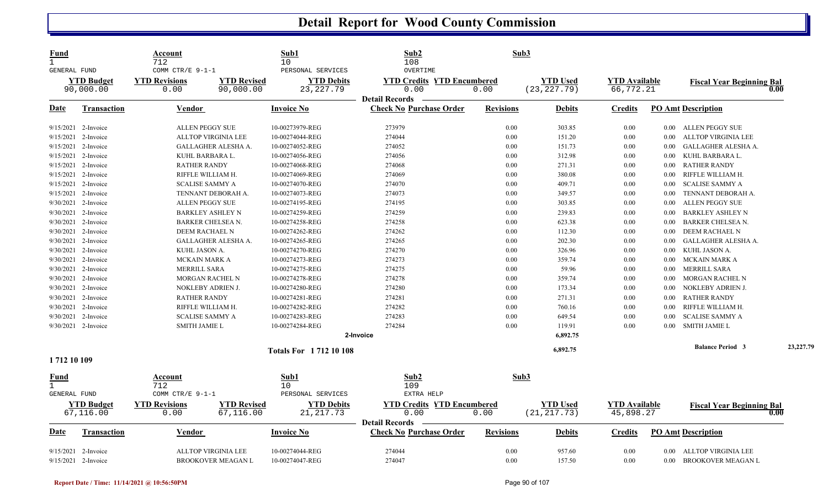| Fund<br>$\mathbf{1}$<br>GENERAL FUND               |                                | Account<br>712<br>COMM CTR/E 9-1-1 |                                 | Sub1<br>10<br>PERSONAL SERVICES  | Sub2<br>108<br>OVERTIME                                            |                  | Sub3                            |                                   |          |                                  |           |
|----------------------------------------------------|--------------------------------|------------------------------------|---------------------------------|----------------------------------|--------------------------------------------------------------------|------------------|---------------------------------|-----------------------------------|----------|----------------------------------|-----------|
|                                                    | <b>YTD Budget</b><br>90,000.00 | <b>YTD Revisions</b><br>0.00       | <b>YTD Revised</b><br>90,000.00 | <b>YTD Debits</b><br>23, 227. 79 | <b>YTD Credits YTD Encumbered</b><br>0.00                          | 0.00             | <b>YTD Used</b><br>(23, 227.79) | <b>YTD Available</b><br>66,772.21 |          | <b>Fiscal Year Beginning Bal</b> | 0.00      |
|                                                    |                                |                                    |                                 |                                  | <b>Detail Records</b>                                              |                  |                                 |                                   |          |                                  |           |
| Date                                               | <b>Transaction</b>             | <b>Vendor</b>                      |                                 | <b>Invoice No</b>                | <b>Check No Purchase Order</b>                                     | <b>Revisions</b> | <b>Debits</b>                   | <b>Credits</b>                    |          | <b>PO Amt Description</b>        |           |
|                                                    | 9/15/2021 2-Invoice            | ALLEN PEGGY SUE                    |                                 | 10-00273979-REG                  | 273979                                                             | 0.00             | 303.85                          | 0.00                              |          | 0.00 ALLEN PEGGY SUE             |           |
| 9/15/2021                                          | 2-Invoice                      | ALLTOP VIRGINIA LEE                |                                 | 10-00274044-REG                  | 274044                                                             | 0.00             | 151.20                          | 0.00                              | 0.00     | ALLTOP VIRGINIA LEE              |           |
| 9/15/2021                                          | 2-Invoice                      |                                    | GALLAGHER ALESHA A.             | 10-00274052-REG                  | 274052                                                             | 0.00             | 151.73                          | 0.00                              | 0.00     | GALLAGHER ALESHA A.              |           |
|                                                    | 9/15/2021 2-Invoice            | KUHL BARBARA L.                    |                                 | 10-00274056-REG                  | 274056                                                             | 0.00             | 312.98                          | 0.00                              | 0.00     | KUHL BARBARA L.                  |           |
| 9/15/2021                                          | 2-Invoice                      | <b>RATHER RANDY</b>                |                                 | 10-00274068-REG                  | 274068                                                             | 0.00             | 271.31                          | 0.00                              | 0.00     | <b>RATHER RANDY</b>              |           |
| 9/15/2021                                          | 2-Invoice                      | RIFFLE WILLIAM H.                  |                                 | 10-00274069-REG                  | 274069                                                             | 0.00             | 380.08                          | 0.00                              | $0.00\,$ | RIFFLE WILLIAM H.                |           |
|                                                    | $9/15/2021$ 2-Invoice          | <b>SCALISE SAMMY A</b>             |                                 | 10-00274070-REG                  | 274070                                                             | 0.00             | 409.71                          | 0.00                              | $0.00\,$ | <b>SCALISE SAMMY A</b>           |           |
| 9/15/2021                                          | 2-Invoice                      | TENNANT DEBORAH A.                 |                                 | 10-00274073-REG                  | 274073                                                             | 0.00             | 349.57                          | 0.00                              | 0.00     | TENNANT DEBORAH A.               |           |
| 9/30/2021                                          | 2-Invoice                      | <b>ALLEN PEGGY SUE</b>             |                                 | 10-00274195-REG                  | 274195                                                             | 0.00             | 303.85                          | 0.00                              | 0.00     | <b>ALLEN PEGGY SUE</b>           |           |
|                                                    | 9/30/2021 2-Invoice            | <b>BARKLEY ASHLEY N</b>            |                                 | 10-00274259-REG                  | 274259                                                             | 0.00             | 239.83                          | 0.00                              | 0.00     | <b>BARKLEY ASHLEY N</b>          |           |
| 9/30/2021                                          | 2-Invoice                      | <b>BARKER CHELSEA N.</b>           |                                 | 10-00274258-REG                  | 274258                                                             | 0.00             | 623.38                          | 0.00                              | 0.00     | BARKER CHELSEA N.                |           |
| 9/30/2021                                          | 2-Invoice                      | DEEM RACHAEL N                     |                                 | 10-00274262-REG                  | 274262                                                             | 0.00             | 112.30                          | 0.00                              | 0.00     | DEEM RACHAEL N                   |           |
|                                                    | 9/30/2021 2-Invoice            |                                    | <b>GALLAGHER ALESHA A.</b>      | 10-00274265-REG                  | 274265                                                             | 0.00             | 202.30                          | 0.00                              | 0.00     | <b>GALLAGHER ALESHA A.</b>       |           |
| 9/30/2021                                          | 2-Invoice                      | KUHL JASON A.                      |                                 | 10-00274270-REG                  | 274270                                                             | 0.00             | 326.96                          | 0.00                              | $0.00\,$ | KUHL JASON A.                    |           |
| 9/30/2021                                          | 2-Invoice                      | <b>MCKAIN MARK A</b>               |                                 | 10-00274273-REG                  | 274273                                                             | 0.00             | 359.74                          | 0.00                              | $0.00\,$ | MCKAIN MARK A                    |           |
|                                                    | 9/30/2021 2-Invoice            | <b>MERRILL SARA</b>                |                                 | 10-00274275-REG                  | 274275                                                             | 0.00             | 59.96                           | 0.00                              | $0.00\,$ | <b>MERRILL SARA</b>              |           |
| 9/30/2021                                          | 2-Invoice                      | MORGAN RACHEL N                    |                                 | 10-00274278-REG                  | 274278                                                             | 0.00             | 359.74                          | 0.00                              | $0.00\,$ | MORGAN RACHEL N                  |           |
| 9/30/2021                                          | 2-Invoice                      | NOKLEBY ADRIEN J.                  |                                 | 10-00274280-REG                  | 274280                                                             | 0.00             | 173.34                          | 0.00                              | 0.00     | NOKLEBY ADRIEN J.                |           |
|                                                    | 9/30/2021 2-Invoice            | <b>RATHER RANDY</b>                |                                 | 10-00274281-REG                  | 274281                                                             | 0.00             | 271.31                          | 0.00                              | $0.00\,$ | <b>RATHER RANDY</b>              |           |
|                                                    | 9/30/2021 2-Invoice            | RIFFLE WILLIAM H.                  |                                 | 10-00274282-REG                  | 274282                                                             | 0.00             | 760.16                          | 0.00                              | 0.00     | RIFFLE WILLIAM H.                |           |
| 9/30/2021                                          | 2-Invoice                      | <b>SCALISE SAMMY A</b>             |                                 | 10-00274283-REG                  | 274283                                                             | 0.00             | 649.54                          | 0.00                              | 0.00     | <b>SCALISE SAMMY A</b>           |           |
|                                                    | 9/30/2021 2-Invoice            | <b>SMITH JAMIE L</b>               |                                 | 10-00274284-REG                  | 274284                                                             | 0.00             | 119.91                          | 0.00                              | $0.00\,$ | <b>SMITH JAMIE L</b>             |           |
|                                                    |                                |                                    |                                 |                                  | 2-Invoice                                                          |                  | 6,892.75                        |                                   |          |                                  |           |
|                                                    |                                |                                    |                                 | <b>Totals For 171210108</b>      |                                                                    |                  | 6,892.75                        |                                   |          | <b>Balance Period 3</b>          | 23,227.79 |
| 1712 10 109                                        |                                |                                    |                                 |                                  |                                                                    |                  |                                 |                                   |          |                                  |           |
| <u>Fund</u><br>$\mathbf{1}$<br><b>GENERAL FUND</b> |                                | Account<br>712<br>COMM CTR/E 9-1-1 |                                 | Sub1<br>10<br>PERSONAL SERVICES  | Sub2<br>109<br>EXTRA HELP                                          |                  | Sub3                            |                                   |          |                                  |           |
|                                                    | <b>YTD Budget</b><br>67,116.00 | <b>YTD Revisions</b><br>0.00       | <b>YTD Revised</b><br>67,116.00 | <b>YTD Debits</b><br>21, 217.73  | <b>YTD Credits YTD Encumbered</b><br>0.00<br><b>Detail Records</b> | 0.00             | <b>YTD</b> Used<br>(21, 217.73) | <b>YTD Available</b><br>45,898.27 |          | <b>Fiscal Year Beginning Bal</b> | 0.00      |
| Date                                               | <b>Transaction</b>             | Vendor                             |                                 | <b>Invoice No</b>                | <b>Check No Purchase Order</b>                                     | <b>Revisions</b> | <b>Debits</b>                   | <b>Credits</b>                    |          | <b>PO Amt Description</b>        |           |
| 9/15/2021                                          | 2-Invoice                      | <b>ALLTOP VIRGINIA LEE</b>         |                                 | 10-00274044-REG                  | 274044                                                             | 0.00             | 957.60                          | 0.00                              | 0.00     | ALLTOP VIRGINIA LEE              |           |
|                                                    | 9/15/2021 2-Invoice            |                                    | <b>BROOKOVER MEAGAN L</b>       | 10-00274047-REG                  | 274047                                                             | 0.00             | 157.50                          | 0.00                              | $0.00\,$ | BROOKOVER MEAGAN L               |           |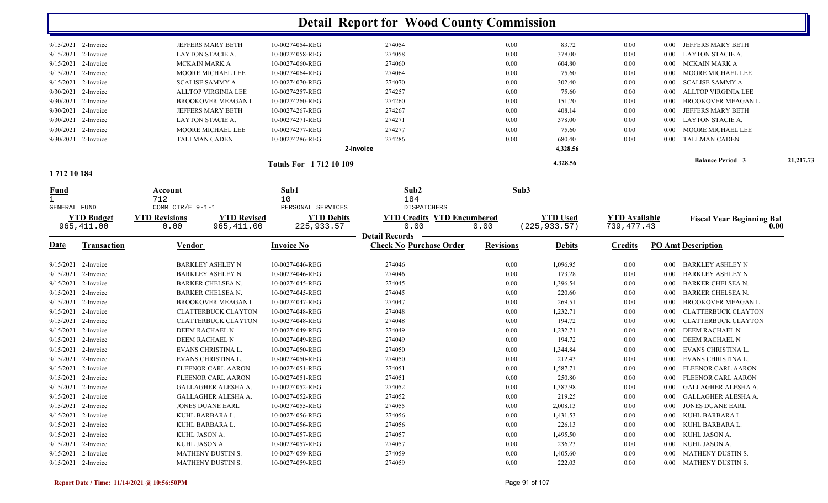|                            |                                            |                        | <b>Detail Report for Wood County Commission</b> |                  |                 |                      |          |                                  |           |
|----------------------------|--------------------------------------------|------------------------|-------------------------------------------------|------------------|-----------------|----------------------|----------|----------------------------------|-----------|
| 9/15/2021 2-Invoice        | JEFFERS MARY BETH                          | 10-00274054-REG        | 274054                                          | 0.00             | 83.72           | 0.00                 | $0.00\,$ | JEFFERS MARY BETH                |           |
| 9/15/2021 2-Invoice        | LAYTON STACIE A.                           | 10-00274058-REG        | 274058                                          | 0.00             | 378.00          | 0.00                 | $0.00\,$ | <b>LAYTON STACIE A.</b>          |           |
| 9/15/2021 2-Invoice        | <b>MCKAIN MARK A</b>                       | 10-00274060-REG        | 274060                                          | 0.00             | 604.80          | 0.00                 | $0.00\,$ | MCKAIN MARK A                    |           |
| 9/15/2021<br>2-Invoice     | MOORE MICHAEL LEE                          | 10-00274064-REG        | 274064                                          | 0.00             | 75.60           | 0.00                 | $0.00\,$ | MOORE MICHAEL LEE                |           |
| 2-Invoice<br>9/15/2021     | <b>SCALISE SAMMY A</b>                     | 10-00274070-REG        | 274070                                          | 0.00             | 302.40          | 0.00                 | $0.00\,$ | <b>SCALISE SAMMY A</b>           |           |
| 9/30/2021<br>2-Invoice     | ALLTOP VIRGINIA LEE                        | 10-00274257-REG        | 274257                                          | 0.00             | 75.60           | 0.00                 | $0.00\,$ | ALLTOP VIRGINIA LEE              |           |
| 9/30/2021<br>2-Invoice     | <b>BROOKOVER MEAGAN L</b>                  | 10-00274260-REG        | 274260                                          | 0.00             | 151.20          | 0.00                 | 0.00     | <b>BROOKOVER MEAGAN L</b>        |           |
| 9/30/2021<br>2-Invoice     | JEFFERS MARY BETH                          | 10-00274267-REG        | 274267                                          | 0.00             | 408.14          | 0.00                 | 0.00     | JEFFERS MARY BETH                |           |
| 9/30/2021 2-Invoice        | LAYTON STACIE A.                           | 10-00274271-REG        | 274271                                          | 0.00             | 378.00          | 0.00                 | $0.00\,$ | LAYTON STACIE A.                 |           |
| 9/30/2021 2-Invoice        | MOORE MICHAEL LEE                          | 10-00274277-REG        | 274277                                          | 0.00             | 75.60           | 0.00                 | $0.00\,$ | MOORE MICHAEL LEE                |           |
| 9/30/2021 2-Invoice        | <b>TALLMAN CADEN</b>                       | 10-00274286-REG        | 274286                                          | 0.00             | 680.40          | 0.00                 | $0.00\,$ | <b>TALLMAN CADEN</b>             |           |
|                            |                                            |                        | 2-Invoice                                       |                  | 4,328.56        |                      |          |                                  |           |
|                            |                                            | Totals For 1712 10 109 |                                                 |                  | 4,328.56        |                      |          | <b>Balance Period 3</b>          | 21,217.73 |
| 1712 10 184                |                                            |                        |                                                 |                  |                 |                      |          |                                  |           |
| <b>Fund</b>                | Account<br>712                             | Sub1<br>10             | Sub2<br>184                                     | Sub3             |                 |                      |          |                                  |           |
| <b>GENERAL FUND</b>        | COMM CTR/E 9-1-1                           | PERSONAL SERVICES      | DISPATCHERS                                     |                  |                 |                      |          |                                  |           |
| <b>YTD Budget</b>          | <b>YTD Revisions</b><br><b>YTD Revised</b> | <b>YTD Debits</b>      | <b>YTD Credits YTD Encumbered</b>               |                  | <b>YTD Used</b> | <b>YTD Available</b> |          | <b>Fiscal Year Beginning Bal</b> |           |
| 965, 411.00                | 965,411.00<br>0.00                         | 225, 933.57            | 0.00                                            | 0.00             | (225, 933.57)   | 739, 477. 43         |          | 0.00                             |           |
|                            |                                            |                        | <b>Detail Records</b>                           |                  |                 |                      |          |                                  |           |
| Date<br><b>Transaction</b> | Vendor                                     | <b>Invoice No</b>      | <b>Check No Purchase Order</b>                  | <b>Revisions</b> | <b>Debits</b>   | <b>Credits</b>       |          | <b>PO Amt Description</b>        |           |
| 9/15/2021<br>2-Invoice     | <b>BARKLEY ASHLEY N</b>                    | 10-00274046-REG        | 274046                                          | 0.00             | 1,096.95        | 0.00                 | $0.00\,$ | BARKLEY ASHLEY N                 |           |
| 2-Invoice<br>9/15/2021     | <b>BARKLEY ASHLEY N</b>                    | 10-00274046-REG        | 274046                                          | 0.00             | 173.28          | 0.00                 | 0.00     | <b>BARKLEY ASHLEY N</b>          |           |
| 9/15/2021 2-Invoice        | <b>BARKER CHELSEA N.</b>                   | 10-00274045-REG        | 274045                                          | 0.00             | 1,396.54        | 0.00                 | 0.00     | <b>BARKER CHELSEA N.</b>         |           |
| 9/15/2021 2-Invoice        | <b>BARKER CHELSEA N.</b>                   | 10-00274045-REG        | 274045                                          | 0.00             | 220.60          | 0.00                 | 0.00     | <b>BARKER CHELSEA N.</b>         |           |
| 9/15/2021 2-Invoice        | <b>BROOKOVER MEAGAN L</b>                  | 10-00274047-REG        | 274047                                          | 0.00             | 269.51          | 0.00                 | 0.00     | <b>BROOKOVER MEAGAN L</b>        |           |
| 9/15/2021 2-Invoice        | <b>CLATTERBUCK CLAYTON</b>                 | 10-00274048-REG        | 274048                                          | 0.00             | 1,232.71        | 0.00                 | $0.00\,$ | CLATTERBUCK CLAYTON              |           |
| 9/15/2021 2-Invoice        | <b>CLATTERBUCK CLAYTON</b>                 | 10-00274048-REG        | 274048                                          | 0.00             | 194.72          | 0.00                 | $0.00\,$ | CLATTERBUCK CLAYTON              |           |
| 9/15/2021 2-Invoice        | DEEM RACHAEL N                             | 10-00274049-REG        | 274049                                          | 0.00             | 1,232.71        | $0.00\,$             | $0.00\,$ | DEEM RACHAEL N                   |           |
| 9/15/2021 2-Invoice        | DEEM RACHAEL N                             | 10-00274049-REG        | 274049                                          | 0.00             | 194.72          | 0.00                 | $0.00\,$ | DEEM RACHAEL N                   |           |
| 9/15/2021 2-Invoice        | EVANS CHRISTINA L.                         | 10-00274050-REG        | 274050                                          | 0.00             | 1,344.84        | 0.00                 | $0.00\,$ | EVANS CHRISTINA L.               |           |
| 9/15/2021<br>2-Invoice     | EVANS CHRISTINA L.                         | 10-00274050-REG        | 274050                                          | 0.00             | 212.43          | 0.00                 | 0.00     | EVANS CHRISTINA L.               |           |
| 9/15/2021 2-Invoice        | <b>FLEENOR CARL AARON</b>                  | 10-00274051-REG        | 274051                                          | 0.00             | 1,587.71        | 0.00                 |          | 0.00 FLEENOR CARL AARON          |           |
| 9/15/2021 2-Invoice        | FLEENOR CARL AARON                         | 10-00274051-REG        | 274051                                          | $0.00\,$         | 250.80          | 0.00                 |          | 0.00 FLEENOR CARL AARON          |           |
| $9/15/2021$ 2-Invoice      | GALLAGHER ALESHA A.                        | 10-00274052-REG        | 274052                                          | 0.00             | 1,387.98        | 0.00                 |          | 0.00 GALLAGHER ALESHA A.         |           |
| $9/15/2021$ 2-Invoice      | GALLAGHER ALESHA A.                        | 10-00274052-REG        | 274052                                          | $0.00\,$         | 219.25          | 0.00                 |          | 0.00 GALLAGHER ALESHA A.         |           |
| 9/15/2021 2-Invoice        | <b>JONES DUANE EARL</b>                    | 10-00274055-REG        | 274055                                          | 0.00             | 2,008.13        | 0.00                 |          | 0.00 JONES DUANE EARL            |           |
| $9/15/2021$ 2-Invoice      | KUHL BARBARA L.                            | 10-00274056-REG        | 274056                                          | 0.00             | 1,431.53        | 0.00                 |          | 0.00 KUHL BARBARA L.             |           |
| $9/15/2021$ 2-Invoice      | KUHL BARBARA L.                            | 10-00274056-REG        | 274056                                          | 0.00             | 226.13          | 0.00                 |          | 0.00 KUHL BARBARA L.             |           |
| 9/15/2021 2-Invoice        | KUHL JASON A.                              | 10-00274057-REG        | 274057                                          | 0.00             | 1,495.50        | 0.00                 |          | 0.00 KUHL JASON A.               |           |
| 9/15/2021 2-Invoice        | KUHL JASON A.                              | 10-00274057-REG        | 274057                                          | 0.00             | 236.23          | $0.00\,$             |          | 0.00 KUHL JASON A.               |           |
| 9/15/2021 2-Invoice        | MATHENY DUSTIN S.                          | 10-00274059-REG        | 274059                                          | $0.00\,$         | 1,405.60        | $0.00\,$             |          | 0.00 MATHENY DUSTIN S.           |           |
| $9/15/2021$ 2-Invoice      | <b>MATHENY DUSTIN S.</b>                   | 10-00274059-REG        | 274059                                          | $0.00\,$         | 222.03          | $0.00\,$             |          | 0.00 MATHENY DUSTIN S.           |           |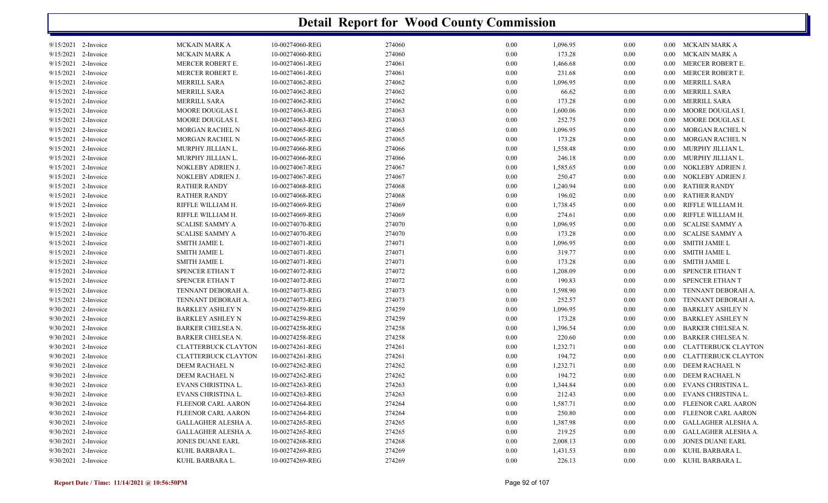|                     | <b>Detail Report for Wood County Commission</b> |                                       |                 |                  |          |                    |          |                   |                                       |  |  |
|---------------------|-------------------------------------------------|---------------------------------------|-----------------|------------------|----------|--------------------|----------|-------------------|---------------------------------------|--|--|
|                     | $9/15/2021$ 2-Invoice                           | MCKAIN MARK A                         | 10-00274060-REG | 274060           | 0.00     | 1,096.95           | 0.00     | $0.00\,$          | MCKAIN MARK A                         |  |  |
|                     | 9/15/2021 2-Invoice                             | MCKAIN MARK A                         | 10-00274060-REG | 274060           | 0.00     | 173.28             | $0.00\,$ | $0.00\,$          | MCKAIN MARK A                         |  |  |
|                     | 9/15/2021 2-Invoice                             | MERCER ROBERT E.                      | 10-00274061-REG | 274061           | 0.00     | 1,466.68           | 0.00     | $0.00\,$          | MERCER ROBERT E.                      |  |  |
| 9/15/2021           | 2-Invoice                                       | MERCER ROBERT E.                      | 10-00274061-REG | 274061           | 0.00     | 231.68             | 0.00     | 0.00              | MERCER ROBERT E.                      |  |  |
| 9/15/2021           | 2-Invoice                                       | MERRILL SARA                          | 10-00274062-REG | 274062           | 0.00     | 1,096.95           | 0.00     | 0.00              | MERRILL SARA                          |  |  |
|                     | 9/15/2021 2-Invoice                             | <b>MERRILL SARA</b>                   | 10-00274062-REG | 274062           | 0.00     | 66.62              | 0.00     | 0.00              | MERRILL SARA                          |  |  |
|                     | 9/15/2021 2-Invoice                             | <b>MERRILL SARA</b>                   | 10-00274062-REG | 274062           | 0.00     | 173.28             | 0.00     | 0.00              | MERRILL SARA                          |  |  |
|                     | 9/15/2021 2-Invoice                             | MOORE DOUGLAS I.                      | 10-00274063-REG | 274063           | 0.00     | 1,600.06           | $0.00\,$ | 0.00              | MOORE DOUGLAS I.                      |  |  |
|                     | 9/15/2021 2-Invoice                             | MOORE DOUGLAS I.                      | 10-00274063-REG | 274063           | 0.00     | 252.75             | $0.00\,$ | 0.00              | MOORE DOUGLAS I.                      |  |  |
| 9/15/2021           | 2-Invoice                                       | MORGAN RACHEL N                       | 10-00274065-REG | 274065           | 0.00     | 1,096.95           | 0.00     | 0.00              | MORGAN RACHEL N                       |  |  |
| 9/15/2021           | 2-Invoice                                       | MORGAN RACHEL N                       | 10-00274065-REG | 274065           | 0.00     | 173.28             | 0.00     | 0.00              | MORGAN RACHEL N                       |  |  |
| 9/15/2021           | 2-Invoice                                       | MURPHY JILLIAN L.                     | 10-00274066-REG | 274066           | 0.00     | 1,558.48           | 0.00     | $0.00\,$          | MURPHY JILLIAN L.                     |  |  |
| 9/15/2021           | 2-Invoice                                       | MURPHY JILLIAN L.                     | 10-00274066-REG | 274066           | 0.00     | 246.18             | 0.00     | 0.00              | MURPHY JILLIAN L.                     |  |  |
|                     | 9/15/2021 2-Invoice                             | NOKLEBY ADRIEN J.                     | 10-00274067-REG | 274067           | 0.00     | 1,585.65           | 0.00     | 0.00              | NOKLEBY ADRIEN J.                     |  |  |
| 9/15/2021           | 2-Invoice                                       | NOKLEBY ADRIEN J.                     | 10-00274067-REG | 274067           | 0.00     | 250.47             | 0.00     | 0.00              | NOKLEBY ADRIEN J.                     |  |  |
| 9/15/2021           | 2-Invoice                                       | <b>RATHER RANDY</b>                   | 10-00274068-REG | 274068           | 0.00     | 1,240.94           | 0.00     | 0.00              | <b>RATHER RANDY</b>                   |  |  |
|                     | 9/15/2021 2-Invoice                             | RATHER RANDY                          | 10-00274068-REG | 274068           | 0.00     | 196.02             | 0.00     | 0.00              | <b>RATHER RANDY</b>                   |  |  |
|                     | 9/15/2021 2-Invoice                             | RIFFLE WILLIAM H.                     | 10-00274069-REG | 274069           | 0.00     | 1,738.45           | 0.00     | 0.00              | RIFFLE WILLIAM H.                     |  |  |
|                     | 9/15/2021 2-Invoice                             | RIFFLE WILLIAM H.                     | 10-00274069-REG | 274069           | 0.00     | 274.61             | $0.00\,$ | 0.00              | RIFFLE WILLIAM H.                     |  |  |
|                     | 9/15/2021 2-Invoice                             | <b>SCALISE SAMMY A</b>                | 10-00274070-REG | 274070           | 0.00     | 1,096.95           | $0.00\,$ | 0.00              | <b>SCALISE SAMMY A</b>                |  |  |
|                     | 9/15/2021 2-Invoice                             | SCALISE SAMMY A                       | 10-00274070-REG | 274070           | 0.00     | 173.28             | $0.00\,$ | 0.00              | <b>SCALISE SAMMY A</b>                |  |  |
| 9/15/2021           | 2-Invoice                                       | SMITH JAMIE L                         | 10-00274071-REG | 274071           | 0.00     | 1,096.95           | $0.00\,$ | 0.00              | <b>SMITH JAMIE L</b>                  |  |  |
| 9/15/2021           | 2-Invoice                                       | <b>SMITH JAMIE L</b>                  | 10-00274071-REG | 274071           | 0.00     | 319.77             | $0.00\,$ | 0.00              | <b>SMITH JAMIE L</b>                  |  |  |
| 9/15/2021           | 2-Invoice                                       | <b>SMITH JAMIE L</b>                  | 10-00274071-REG | 274071           | 0.00     | 173.28             | 0.00     | $0.00\,$          | <b>SMITH JAMIE L</b>                  |  |  |
| 9/15/2021           | 2-Invoice                                       | SPENCER ETHAN T                       | 10-00274072-REG | 274072           | 0.00     | 1,208.09           | 0.00     | 0.00              | SPENCER ETHAN T                       |  |  |
| 9/15/2021           | 2-Invoice                                       | SPENCER ETHAN T                       | 10-00274072-REG | 274072           | 0.00     | 190.83             | 0.00     | $0.00\,$          | <b>SPENCER ETHAN T</b>                |  |  |
| 9/15/2021           | 2-Invoice                                       | TENNANT DEBORAH A.                    | 10-00274073-REG | 274073           | 0.00     | 1,598.90           | 0.00     | $0.00\,$          | TENNANT DEBORAH A.                    |  |  |
| 9/15/2021           | 2-Invoice                                       | TENNANT DEBORAH A.                    | 10-00274073-REG | 274073           | 0.00     | 252.57             | 0.00     | 0.00              | TENNANT DEBORAH A.                    |  |  |
|                     | 9/30/2021 2-Invoice                             | BARKLEY ASHLEY N                      | 10-00274259-REG | 274259           | 0.00     | 1,096.95           | 0.00     | $0.00\,$          | <b>BARKLEY ASHLEY N</b>               |  |  |
|                     | 9/30/2021 2-Invoice                             | <b>BARKLEY ASHLEY N</b>               | 10-00274259-REG | 274259           | 0.00     | 173.28             | 0.00     | $0.00\,$          | <b>BARKLEY ASHLEY N</b>               |  |  |
|                     | 9/30/2021 2-Invoice                             | BARKER CHELSEA N.                     | 10-00274258-REG | 274258           | 0.00     | 1,396.54           | 0.00     | 0.00              | <b>BARKER CHELSEA N.</b>              |  |  |
|                     | 9/30/2021 2-Invoice                             | <b>BARKER CHELSEA N.</b>              | 10-00274258-REG | 274258           | 0.00     | 220.60             | $0.00\,$ | 0.00              | <b>BARKER CHELSEA N.</b>              |  |  |
|                     | 9/30/2021 2-Invoice                             |                                       |                 |                  |          |                    |          |                   | <b>CLATTERBUCK CLAYTON</b>            |  |  |
|                     |                                                 | CLATTERBUCK CLAYTON                   | 10-00274261-REG | 274261           | 0.00     | 1,232.71<br>194.72 | $0.00\,$ | $0.00\,$          |                                       |  |  |
|                     | 9/30/2021 2-Invoice<br>9/30/2021 2-Invoice      | CLATTERBUCK CLAYTON<br>DEEM RACHAEL N | 10-00274261-REG | 274261<br>274262 | 0.00     |                    | 0.00     | 0.00              | CLATTERBUCK CLAYTON<br>DEEM RACHAEL N |  |  |
|                     |                                                 |                                       | 10-00274262-REG |                  | 0.00     | 1,232.71           | 0.00     | $0.00\,$          |                                       |  |  |
|                     | 9/30/2021 2-Invoice                             | DEEM RACHAEL N                        | 10-00274262-REG | 274262           | 0.00     | 194.72             | 0.00     | $0.00\,$          | DEEM RACHAEL N                        |  |  |
|                     | 9/30/2021 2-Invoice                             | EVANS CHRISTINA L.                    | 10-00274263-REG | 274263           | 0.00     | 1,344.84           | 0.00     | $0.00\,$          | EVANS CHRISTINA L.                    |  |  |
|                     | 9/30/2021 2-Invoice                             | EVANS CHRISTINA L.                    | 10-00274263-REG | 274263           | $0.00\,$ | 212.43             | 0.00     | $0.00\,$          | EVANS CHRISTINA L.                    |  |  |
|                     | 9/30/2021 2-Invoice                             | FLEENOR CARL AARON                    | 10-00274264-REG | 274264           | $0.00\,$ | 1,587.71           | 0.00     | $0.00\,$          | FLEENOR CARL AARON                    |  |  |
|                     | 9/30/2021 2-Invoice                             | FLEENOR CARL AARON                    | 10-00274264-REG | 274264           | $0.00\,$ | 250.80             | 0.00     | $0.00\,$          | FLEENOR CARL AARON                    |  |  |
|                     | 9/30/2021 2-Invoice                             | GALLAGHER ALESHA A.                   | 10-00274265-REG | 274265           | $0.00\,$ | 1,387.98           | 0.00     | 0.00 <sub>1</sub> | GALLAGHER ALESHA A.                   |  |  |
|                     | 9/30/2021 2-Invoice                             | GALLAGHER ALESHA A.                   | 10-00274265-REG | 274265           | $0.00\,$ | 219.25             | 0.00     | 0.00 <sub>1</sub> | GALLAGHER ALESHA A.                   |  |  |
|                     | 9/30/2021 2-Invoice                             | JONES DUANE EARL                      | 10-00274268-REG | 274268           | $0.00\,$ | 2,008.13           | 0.00     | $0.00\,$          | JONES DUANE EARL                      |  |  |
|                     | 9/30/2021 2-Invoice                             | KUHL BARBARA L.                       | 10-00274269-REG | 274269           | $0.00\,$ | 1,431.53           | $0.00\,$ | $0.00\,$          | KUHL BARBARA L.                       |  |  |
| 9/30/2021 2-Invoice |                                                 | KUHL BARBARA L.                       | 10-00274269-REG | 274269           | $0.00\,$ | 226.13             | $0.00\,$ |                   | 0.00 KUHL BARBARA L.                  |  |  |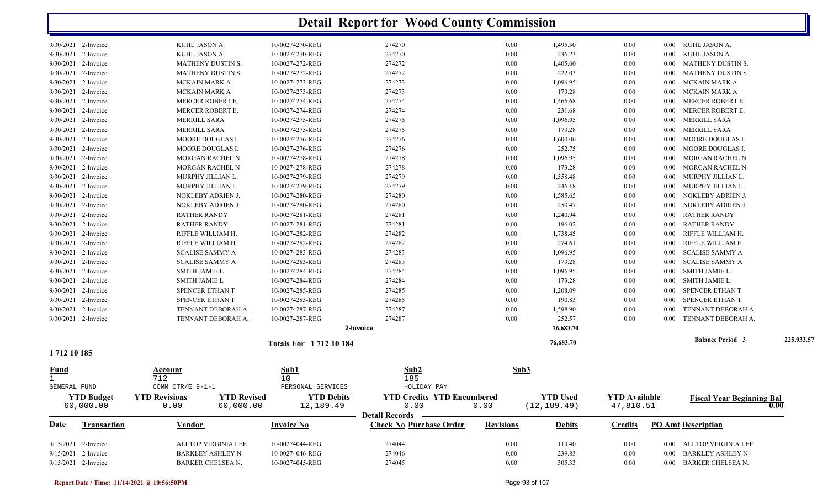|                     |                       |                          |                    |                             | <b>Detail Report for Wood County Commission</b> |      |                  |                 |                      |          |                                  |            |
|---------------------|-----------------------|--------------------------|--------------------|-----------------------------|-------------------------------------------------|------|------------------|-----------------|----------------------|----------|----------------------------------|------------|
|                     | $9/30/2021$ 2-Invoice | KUHL JASON A.            |                    | 10-00274270-REG             | 274270                                          |      | 0.00             | 1,495.50        | 0.00                 | $0.00\,$ | KUHL JASON A.                    |            |
| 9/30/2021 2-Invoice |                       | KUHL JASON A.            |                    | 10-00274270-REG             | 274270                                          |      | 0.00             | 236.23          | 0.00                 | 0.00     | KUHL JASON A.                    |            |
|                     | $9/30/2021$ 2-Invoice | <b>MATHENY DUSTIN S.</b> |                    | 10-00274272-REG             | 274272                                          |      | 0.00             | 1,405.60        | 0.00                 | 0.00     | MATHENY DUSTIN S.                |            |
| 9/30/2021 2-Invoice |                       | MATHENY DUSTIN S.        |                    | 10-00274272-REG             | 274272                                          |      | 0.00             | 222.03          | 0.00                 | 0.00     | MATHENY DUSTIN S.                |            |
|                     | $9/30/2021$ 2-Invoice | MCKAIN MARK A            |                    | 10-00274273-REG             | 274273                                          |      | 0.00             | 1,096.95        | $0.00\,$             | 0.00     | <b>MCKAIN MARK A</b>             |            |
|                     | $9/30/2021$ 2-Invoice | <b>MCKAIN MARK A</b>     |                    | 10-00274273-REG             | 274273                                          |      | 0.00             | 173.28          | $0.00\,$             | $0.00\,$ | MCKAIN MARK A                    |            |
|                     | $9/30/2021$ 2-Invoice | <b>MERCER ROBERT E.</b>  |                    | 10-00274274-REG             | 274274                                          |      | 0.00             | 1,466.68        | 0.00                 | 0.00     | MERCER ROBERT E.                 |            |
| 9/30/2021 2-Invoice |                       | MERCER ROBERT E.         |                    | 10-00274274-REG             | 274274                                          |      | 0.00             | 231.68          | 0.00                 | 0.00     | MERCER ROBERT E.                 |            |
| 9/30/2021           | 2-Invoice             | MERRILL SARA             |                    | 10-00274275-REG             | 274275                                          |      | 0.00             | 1,096.95        | $0.00\,$             | 0.00     | MERRILL SARA                     |            |
| 9/30/2021 2-Invoice |                       | <b>MERRILL SARA</b>      |                    | 10-00274275-REG             | 274275                                          |      | 0.00             | 173.28          | 0.00                 | 0.00     | MERRILL SARA                     |            |
|                     | $9/30/2021$ 2-Invoice | MOORE DOUGLAS I.         |                    | 10-00274276-REG             | 274276                                          |      | 0.00             | 1,600.06        | 0.00                 | 0.00     | MOORE DOUGLAS I.                 |            |
| 9/30/2021           | 2-Invoice             | MOORE DOUGLAS I.         |                    | 10-00274276-REG             | 274276                                          |      | 0.00             | 252.75          | 0.00                 | 0.00     | MOORE DOUGLAS I.                 |            |
| 9/30/2021           | 2-Invoice             | MORGAN RACHEL N          |                    | 10-00274278-REG             | 274278                                          |      | 0.00             | 1,096.95        | 0.00                 | 0.00     | MORGAN RACHEL N                  |            |
|                     | $9/30/2021$ 2-Invoice | MORGAN RACHEL N          |                    | 10-00274278-REG             | 274278                                          |      | 0.00             | 173.28          | 0.00                 | 0.00     | MORGAN RACHEL N                  |            |
|                     | $9/30/2021$ 2-Invoice | MURPHY JILLIAN L.        |                    | 10-00274279-REG             | 274279                                          |      | 0.00             | 1,558.48        | 0.00                 | 0.00     | MURPHY JILLIAN L.                |            |
| 9/30/2021 2-Invoice |                       | MURPHY JILLIAN L.        |                    | 10-00274279-REG             | 274279                                          |      | 0.00             | 246.18          | 0.00                 | 0.00     | MURPHY JILLIAN L.                |            |
|                     | $9/30/2021$ 2-Invoice | NOKLEBY ADRIEN J.        |                    | 10-00274280-REG             | 274280                                          |      | 0.00             | 1,585.65        | 0.00                 | 0.00     | NOKLEBY ADRIEN J.                |            |
|                     | 9/30/2021 2-Invoice   | NOKLEBY ADRIEN J.        |                    | 10-00274280-REG             | 274280                                          |      | 0.00             | 250.47          | $0.00\,$             | 0.00     | NOKLEBY ADRIEN J.                |            |
|                     | $9/30/2021$ 2-Invoice | <b>RATHER RANDY</b>      |                    | 10-00274281-REG             | 274281                                          |      | 0.00             | 1,240.94        | $0.00\,$             | 0.00     | <b>RATHER RANDY</b>              |            |
| 9/30/2021 2-Invoice |                       | <b>RATHER RANDY</b>      |                    | 10-00274281-REG             | 274281                                          |      | 0.00             | 196.02          | 0.00                 | 0.00     | <b>RATHER RANDY</b>              |            |
| 9/30/2021           | 2-Invoice             | RIFFLE WILLIAM H.        |                    | 10-00274282-REG             | 274282                                          |      | 0.00             | 1,738.45        | $0.00\,$             | 0.00     | RIFFLE WILLIAM H.                |            |
| 9/30/2021 2-Invoice |                       | RIFFLE WILLIAM H.        |                    | 10-00274282-REG             | 274282                                          |      | 0.00             | 274.61          | 0.00                 | 0.00     | RIFFLE WILLIAM H.                |            |
|                     | $9/30/2021$ 2-Invoice | <b>SCALISE SAMMY A</b>   |                    | 10-00274283-REG             | 274283                                          |      | 0.00             | 1,096.95        | 0.00                 | 0.00     | <b>SCALISE SAMMY A</b>           |            |
| 9/30/2021           | 2-Invoice             | <b>SCALISE SAMMY A</b>   |                    | 10-00274283-REG             | 274283                                          |      | 0.00             | 173.28          | 0.00                 | 0.00     | <b>SCALISE SAMMY A</b>           |            |
| 9/30/2021           | 2-Invoice             | <b>SMITH JAMIE L</b>     |                    | 10-00274284-REG             | 274284                                          |      | 0.00             | 1,096.95        | 0.00                 | 0.00     | <b>SMITH JAMIE L</b>             |            |
| 9/30/2021 2-Invoice |                       | <b>SMITH JAMIE L</b>     |                    | 10-00274284-REG             | 274284                                          |      | 0.00             | 173.28          | 0.00                 | 0.00     | <b>SMITH JAMIE L</b>             |            |
|                     | 9/30/2021 2-Invoice   | SPENCER ETHAN T          |                    | 10-00274285-REG             | 274285                                          |      | 0.00             | 1,208.09        | 0.00                 | 0.00     | SPENCER ETHAN T                  |            |
| 9/30/2021 2-Invoice |                       | SPENCER ETHAN T          |                    | 10-00274285-REG             | 274285                                          |      | 0.00             | 190.83          | 0.00                 | 0.00     | SPENCER ETHAN T                  |            |
| 9/30/2021 2-Invoice |                       | TENNANT DEBORAH A.       |                    | 10-00274287-REG             | 274287                                          |      | 0.00             | 1,598.90        | 0.00                 | 0.00     | TENNANT DEBORAH A.               |            |
|                     | $9/30/2021$ 2-Invoice | TENNANT DEBORAH A.       |                    | 10-00274287-REG             | 274287                                          |      | 0.00             | 252.57          | 0.00                 | 0.00     | TENNANT DEBORAH A.               |            |
|                     |                       |                          |                    |                             | 2-Invoice                                       |      |                  | 76,683.70       |                      |          |                                  |            |
| 1712 10 185         |                       |                          |                    | <b>Totals For 171210184</b> |                                                 |      |                  | 76,683.70       |                      |          | <b>Balance Period 3</b>          | 225,933.57 |
| Fund                |                       | Account                  |                    | Sub1                        | Sub2                                            |      | Sub3             |                 |                      |          |                                  |            |
|                     |                       | 712                      |                    | 10                          | 185                                             |      |                  |                 |                      |          |                                  |            |
| GENERAL FUND        |                       | COMM CTR/E 9-1-1         |                    | PERSONAL SERVICES           | HOLIDAY PAY                                     |      |                  |                 |                      |          |                                  |            |
|                     | <b>YTD Budget</b>     | <b>YTD Revisions</b>     | <b>YTD Revised</b> | <b>YTD Debits</b>           | <b>YTD Credits YTD Encumbered</b>               |      |                  | <b>YTD Used</b> | <b>YTD</b> Available |          | <b>Fiscal Year Beginning Bal</b> |            |
|                     | 60,000.00             | 0.00                     | 60,000.00          | 12,189.49                   | 0.00<br><b>Detail Records</b>                   | 0.00 |                  | (12, 189.49)    | 47,810.51            |          |                                  | 0.00       |
| <u>Date</u>         | <b>Transaction</b>    | Vendor                   |                    | <b>Invoice No</b>           | <b>Check No Purchase Order</b>                  |      | <b>Revisions</b> | <b>Debits</b>   | <b>Credits</b>       |          | <b>PO Amt Description</b>        |            |
|                     | 9/15/2021 2-Invoice   | ALLTOP VIRGINIA LEE      |                    | 10-00274044-REG             | 274044                                          |      | 0.00             | 113.40          | $0.00\,$             |          | 0.00 ALLTOP VIRGINIA LEE         |            |
|                     | 9/15/2021 2-Invoice   | <b>BARKLEY ASHLEY N</b>  |                    | 10-00274046-REG             | 274046                                          |      | 0.00             | 239.83          | 0.00                 | $0.00\,$ | <b>BARKLEY ASHLEY N</b>          |            |
| 9/15/2021 2-Invoice |                       | BARKER CHELSEA N.        |                    | 10-00274045-REG             | 274045                                          |      | 0.00             | 305.33          | $0.00\,$             |          | 0.00 BARKER CHELSEA N.           |            |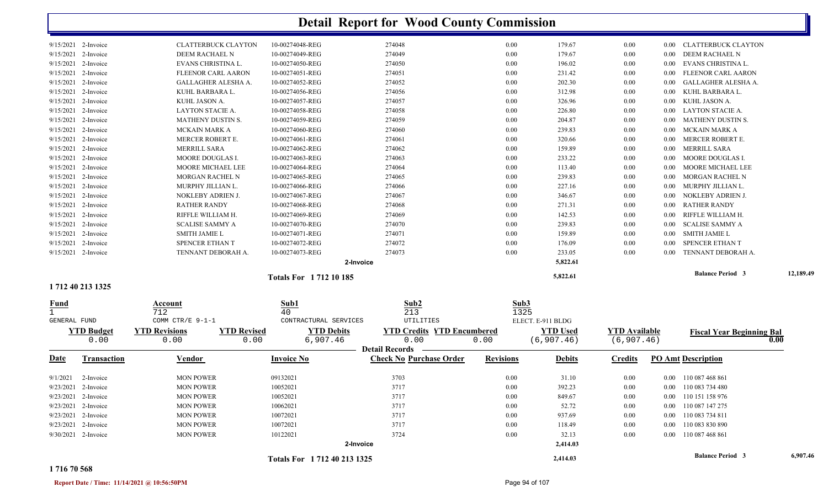|                       | 1 712 40 213 1325 |                            |                             |        |      |          |          |          |                          |           |
|-----------------------|-------------------|----------------------------|-----------------------------|--------|------|----------|----------|----------|--------------------------|-----------|
|                       |                   |                            | <b>Totals For 171210185</b> |        |      | 5,822.61 |          |          | <b>Balance Period 3</b>  | 12,189.49 |
|                       |                   |                            | 2-Invoice                   |        |      | 5,822.61 |          |          |                          |           |
| 9/15/2021 2-Invoice   |                   | TENNANT DEBORAH A.         | 10-00274073-REG             | 274073 | 0.00 | 233.05   | $0.00\,$ | 0.00     | TENNANT DEBORAH A.       |           |
| 9/15/2021 2-Invoice   |                   | SPENCER ETHAN T            | 10-00274072-REG             | 274072 | 0.00 | 176.09   | $0.00\,$ | $0.00\,$ | SPENCER ETHAN T          |           |
| 9/15/2021 2-Invoice   |                   | <b>SMITH JAMIE L</b>       | 10-00274071-REG             | 274071 | 0.00 | 159.89   | $0.00\,$ | $0.00\,$ | SMITH JAMIE L            |           |
| 9/15/2021 2-Invoice   |                   | <b>SCALISE SAMMY A</b>     | 10-00274070-REG             | 274070 | 0.00 | 239.83   | $0.00\,$ | $0.00\,$ | SCALISE SAMMY A          |           |
| 9/15/2021 2-Invoice   |                   | RIFFLE WILLIAM H.          | 10-00274069-REG             | 274069 | 0.00 | 142.53   | $0.00\,$ | $0.00\,$ | RIFFLE WILLIAM H.        |           |
| 9/15/2021 2-Invoice   |                   | <b>RATHER RANDY</b>        | 10-00274068-REG             | 274068 | 0.00 | 271.31   | 0.00     | 0.00     | <b>RATHER RANDY</b>      |           |
| 9/15/2021 2-Invoice   |                   | NOKLEBY ADRIEN J.          | 10-00274067-REG             | 274067 | 0.00 | 346.67   | 0.00     | $0.00\,$ | NOKLEBY ADRIEN J.        |           |
| 9/15/2021 2-Invoice   |                   | MURPHY JILLIAN L.          | 10-00274066-REG             | 274066 | 0.00 | 227.16   | 0.00     | 0.00     | MURPHY JILLIAN L.        |           |
| 9/15/2021 2-Invoice   |                   | <b>MORGAN RACHEL N</b>     | 10-00274065-REG             | 274065 | 0.00 | 239.83   | $0.00\,$ | $0.00\,$ | MORGAN RACHEL N          |           |
| 9/15/2021 2-Invoice   |                   | <b>MOORE MICHAEL LEE</b>   | 10-00274064-REG             | 274064 | 0.00 | 113.40   | $0.00\,$ | $0.00\,$ | MOORE MICHAEL LEE        |           |
| 9/15/2021 2-Invoice   |                   | <b>MOORE DOUGLAS I.</b>    | 10-00274063-REG             | 274063 | 0.00 | 233.22   | 0.00     | 0.00     | MOORE DOUGLAS I.         |           |
| 9/15/2021 2-Invoice   |                   | <b>MERRILL SARA</b>        | 10-00274062-REG             | 274062 | 0.00 | 159.89   | $0.00\,$ | $0.00\,$ | MERRILL SARA             |           |
| 9/15/2021 2-Invoice   |                   | <b>MERCER ROBERT E.</b>    | 10-00274061-REG             | 274061 | 0.00 | 320.66   | $0.00\,$ | 0.00     | MERCER ROBERT E.         |           |
| 9/15/2021 2-Invoice   |                   | <b>MCKAIN MARK A</b>       | 10-00274060-REG             | 274060 | 0.00 | 239.83   | $0.00\,$ | $0.00\,$ | MCKAIN MARK A            |           |
| 9/15/2021 2-Invoice   |                   | <b>MATHENY DUSTIN S.</b>   | 10-00274059-REG             | 274059 | 0.00 | 204.87   | $0.00\,$ | $0.00\,$ | MATHENY DUSTIN S.        |           |
| 9/15/2021 2-Invoice   |                   | LAYTON STACIE A.           | 10-00274058-REG             | 274058 | 0.00 | 226.80   | 0.00     | 0.00     | LAYTON STACIE A.         |           |
| 9/15/2021 2-Invoice   |                   | KUHL JASON A.              | 10-00274057-REG             | 274057 | 0.00 | 326.96   | $0.00\,$ | $0.00\,$ | KUHL JASON A.            |           |
| 9/15/2021 2-Invoice   |                   | KUHL BARBARA L.            | 10-00274056-REG             | 274056 | 0.00 | 312.98   | $0.00\,$ | 0.00     | KUHL BARBARA L.          |           |
| 9/15/2021 2-Invoice   |                   | GALLAGHER ALESHA A.        | 10-00274052-REG             | 274052 | 0.00 | 202.30   | 0.00     | 0.00     | GALLAGHER ALESHA A.      |           |
| 9/15/2021 2-Invoice   |                   | FLEENOR CARL AARON         | 10-00274051-REG             | 274051 | 0.00 | 231.42   | $0.00\,$ |          | 0.00 FLEENOR CARL AARON  |           |
| 9/15/2021 2-Invoice   |                   | EVANS CHRISTINA L.         | 10-00274050-REG             | 274050 | 0.00 | 196.02   | 0.00     | 0.00     | EVANS CHRISTINA L.       |           |
| $9/15/2021$ 2-Invoice |                   | DEEM RACHAEL N             | 10-00274049-REG             | 274049 | 0.00 | 179.67   | $0.00\,$ |          | 0.00 DEEM RACHAEL N      |           |
| $9/15/2021$ 2-Invoice |                   | <b>CLATTERBUCK CLAYTON</b> | 10-00274048-REG             | 274048 | 0.00 | 179.67   | 0.00     |          | 0.00 CLATTERBUCK CLAYTON |           |
|                       |                   |                            |                             |        |      |          |          |          |                          |           |

1 7122 2 2 2 2  $\sqrt{40}$  2  $\sqrt{213}$  2  $\sqrt{1325}$ **Fund Account Sub1 Sub2 Sub3** GENERAL FUND COMM CTR/E 9-1-1 CONTRACTURAL SERVICES UTILITIES 0.00 0.00 $\overline{0.00}$  6,907.46  $\overline{0.00}$  0.00  $\overline{0.00}$  (6,907.46) (6,907.46) **YTD Budget YTD Revisions YTD Revised YTD Debits YTD Encumbered<u>YTD Used</u><br>**  $\frac{YTD \text{ Available}}{(6,907.46)}$  **Fiscal Year Beginning Bal 0.00** ELECT. E-911 BLDG**Date Vendor Invoice NoTransaction Purchase Order Revisions Debits Credits PO Amt Description Detail Records Construction Vendor Check Invoice No** 9/1/2021 2-Invoice 2-Invoice 09132021 0.00 MON POWER 3703 31.10 0.00 0.00 110 087 468 861 9/23/2021 2-Invoice 1 2-Invoice 1000 MON POWER 10052021 10052021 3717 3717 0.00 392.23 0.00 0.00 0.00 110 083 734 480 9/23/2021 2-Invoice 1 2-Invoice 1000 MON POWER 10052021 10052021 3717 3717 0.00 849.67 0.00 0.00 0.00 110 151 158 976 9/23/2021 2-Invoice 1 2-Invoice 1000 MON POWER 10062021 10062021 3717 1000 0.00 52.72 0.00 0.00 0.00 110 087 147 275 9/23/2021 2-Invoice 10072021 0.00 MON POWER 3717 937.69 0.00 0.00 110 083 734 811 9/23/2021 2-Invoice 1 2-Invoice 10072021 10072021 3717 0.00 118.49 0.00 0.00 0.00 110 083 830 890 9/30/2021 2-Invoice 1 2-Invoice 101087 1000 MON POWER 10122021 10.00 3724 3724 3724 0.00 32.13 0.00 0.00 0.00 110 087 468 861 **2-Invoice 2,414.03 2,414.03 Balance Period 6,907.46 <sup>3</sup> Totals For 1 712 40 213 1325**

#### **1 716 70 568**

**Report Date / Time: 11/14/2021 @ 10:56:50PM** Page 94 of 107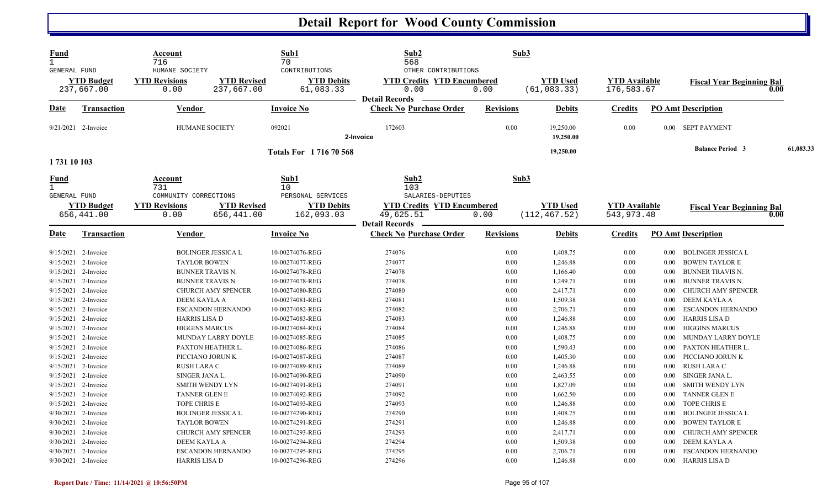| <b>Fund</b><br>$\mathbf{1}$<br><b>GENERAL FUND</b> |                                  | Account<br>716<br>HUMANE SOCIETY               |                                  | Sub1<br>70<br>CONTRIBUTIONS        | Sub2<br>568<br>OTHER CONTRIBUTIONS                                      | Sub3             |                                  |                                      |              |                                               |           |
|----------------------------------------------------|----------------------------------|------------------------------------------------|----------------------------------|------------------------------------|-------------------------------------------------------------------------|------------------|----------------------------------|--------------------------------------|--------------|-----------------------------------------------|-----------|
|                                                    | <b>YTD Budget</b><br>237,667.00  | <b>YTD Revisions</b><br>0.00                   | <b>YTD Revised</b><br>237,667.00 | <b>YTD Debits</b><br>61,083.33     | <b>YTD Credits YTD Encumbered</b><br>0.00<br><b>Detail Records</b>      | 0.00             | <b>YTD Used</b><br>(61, 083.33)  | <b>YTD Available</b><br>176,583.67   |              | <b>Fiscal Year Beginning Bal</b>              | 0.00      |
| Date                                               | <u>Transaction</u>               | <b>Vendor</b>                                  |                                  | <b>Invoice No</b>                  | <b>Check No Purchase Order</b>                                          | <b>Revisions</b> | <b>Debits</b>                    | <b>Credits</b>                       |              | <b>PO Amt Description</b>                     |           |
|                                                    | 9/21/2021 2-Invoice              | <b>HUMANE SOCIETY</b>                          |                                  | 092021                             | 172603<br>2-Invoice                                                     | 0.00             | 19,250.00<br>19,250.00           | 0.00                                 |              | 0.00 SEPT PAYMENT                             |           |
| 1731 10 103                                        |                                  |                                                |                                  | <b>Totals For 171670568</b>        |                                                                         |                  | 19,250.00                        |                                      |              | <b>Balance Period 3</b>                       | 61,083.33 |
| <b>Fund</b><br>$\mathbf{1}$<br>GENERAL FUND        |                                  | <b>Account</b><br>731<br>COMMUNITY CORRECTIONS |                                  | Sub1<br>10<br>PERSONAL SERVICES    | Sub2<br>103<br>SALARIES-DEPUTIES                                        | Sub3             |                                  |                                      |              |                                               |           |
|                                                    | <b>YTD Budget</b><br>656,441.00  | <b>YTD Revisions</b><br>0.00                   | <b>YTD Revised</b><br>656,441.00 | <b>YTD Debits</b><br>162,093.03    | <b>YTD Credits YTD Encumbered</b><br>49,625.51<br><b>Detail Records</b> | 0.00             | <b>YTD Used</b><br>(112, 467.52) | <b>YTD</b> Available<br>543, 973. 48 |              | <b>Fiscal Year Beginning Bal</b>              | 0.00      |
| Date                                               | Transaction                      | Vendor                                         |                                  | <b>Invoice No</b>                  | <b>Check No Purchase Order</b>                                          | <b>Revisions</b> | <b>Debits</b>                    | <b>Credits</b>                       |              | <b>PO Amt Description</b>                     |           |
|                                                    | 9/15/2021 2-Invoice              |                                                | <b>BOLINGER JESSICA L</b>        | 10-00274076-REG                    | 274076                                                                  | 0.00             | 1,408.75                         | 0.00                                 | 0.00         | <b>BOLINGER JESSICA L</b>                     |           |
|                                                    | 9/15/2021 2-Invoice              | <b>TAYLOR BOWEN</b>                            |                                  | 10-00274077-REG                    | 274077                                                                  | 0.00             | 1,246.88                         | 0.00                                 | 0.00         | <b>BOWEN TAYLOR E</b>                         |           |
|                                                    | $9/15/2021$ 2-Invoice            | BUNNER TRAVIS N.                               |                                  | 10-00274078-REG                    | 274078                                                                  | 0.00             | 1,166.40                         | 0.00                                 | $0.00\,$     | <b>BUNNER TRAVIS N.</b>                       |           |
|                                                    | 9/15/2021 2-Invoice              | <b>BUNNER TRAVIS N.</b>                        |                                  | 10-00274078-REG                    | 274078                                                                  | 0.00             | 1,249.71                         | 0.00                                 | 0.00         | <b>BUNNER TRAVIS N.</b>                       |           |
|                                                    | 9/15/2021 2-Invoice              |                                                | <b>CHURCH AMY SPENCER</b>        | 10-00274080-REG                    | 274080                                                                  | 0.00             | 2,417.71                         | 0.00                                 | 0.00         | CHURCH AMY SPENCER                            |           |
|                                                    | 9/15/2021 2-Invoice              | DEEM KAYLA A                                   |                                  | 10-00274081-REG                    | 274081                                                                  | 0.00             | 1,509.38                         | 0.00                                 | $0.00\,$     | DEEM KAYLA A                                  |           |
|                                                    | $9/15/2021$ 2-Invoice            |                                                | <b>ESCANDON HERNANDO</b>         | 10-00274082-REG                    | 274082                                                                  | 0.00<br>0.00     | 2,706.71                         | 0.00                                 | $0.00\,$     | <b>ESCANDON HERNANDO</b>                      |           |
| 9/15/2021                                          | 2-Invoice<br>9/15/2021 2-Invoice | <b>HARRIS LISA D</b><br><b>HIGGINS MARCUS</b>  |                                  | 10-00274083-REG<br>10-00274084-REG | 274083<br>274084                                                        | 0.00             | 1,246.88<br>1,246.88             | 0.00<br>0.00                         | 0.00<br>0.00 | <b>HARRIS LISA D</b><br><b>HIGGINS MARCUS</b> |           |
|                                                    | $9/15/2021$ 2-Invoice            |                                                | MUNDAY LARRY DOYLE               | 10-00274085-REG                    | 274085                                                                  | 0.00             | 1,408.75                         | 0.00                                 | 0.00         | MUNDAY LARRY DOYLE                            |           |
|                                                    | 9/15/2021 2-Invoice              | PAXTON HEATHER L.                              |                                  | 10-00274086-REG                    | 274086                                                                  | 0.00             | 1,590.43                         | 0.00                                 | 0.00         | PAXTON HEATHER L.                             |           |
|                                                    | 9/15/2021 2-Invoice              | PICCIANO JORUN K                               |                                  | 10-00274087-REG                    | 274087                                                                  | 0.00             | 1,405.30                         | 0.00                                 | 0.00         | PICCIANO JORUN K                              |           |
|                                                    | 9/15/2021 2-Invoice              | <b>RUSH LARA C</b>                             |                                  | 10-00274089-REG                    | 274089                                                                  | 0.00             | 1,246.88                         | 0.00                                 | 0.00         | RUSH LARA C                                   |           |
| 9/15/2021                                          | 2-Invoice                        | SINGER JANA L.                                 |                                  | 10-00274090-REG                    | 274090                                                                  | 0.00             | 2,463.55                         | 0.00                                 | $0.00\,$     | SINGER JANA L.                                |           |
|                                                    | 9/15/2021 2-Invoice              | SMITH WENDY LYN                                |                                  | 10-00274091-REG                    | 274091                                                                  | 0.00             | 1,827.09                         | 0.00                                 | 0.00         | SMITH WENDY LYN                               |           |
|                                                    | 9/15/2021 2-Invoice              | <b>TANNER GLEN E</b>                           |                                  | 10-00274092-REG                    | 274092                                                                  | 0.00             | 1,662.50                         | 0.00                                 | 0.00         | <b>TANNER GLEN E</b>                          |           |
| 9/15/2021                                          | 2-Invoice                        | TOPE CHRIS E                                   |                                  | 10-00274093-REG                    | 274093                                                                  | 0.00             | 1,246.88                         | 0.00                                 | 0.00         | TOPE CHRIS E                                  |           |
|                                                    | $9/30/2021$ 2-Invoice            |                                                | <b>BOLINGER JESSICA L</b>        | 10-00274290-REG                    | 274290                                                                  | 0.00             | 1,408.75                         | 0.00                                 | 0.00         | <b>BOLINGER JESSICA L</b>                     |           |
|                                                    | 9/30/2021 2-Invoice              | <b>TAYLOR BOWEN</b>                            |                                  | 10-00274291-REG                    | 274291                                                                  | 0.00             | 1,246.88                         | 0.00                                 | 0.00         | <b>BOWEN TAYLOR E</b>                         |           |
| 9/30/2021                                          | 2-Invoice                        |                                                | <b>CHURCH AMY SPENCER</b>        | 10-00274293-REG                    | 274293                                                                  | 0.00             | 2,417.71                         | 0.00                                 | 0.00         | CHURCH AMY SPENCER                            |           |
|                                                    | 9/30/2021 2-Invoice              | DEEM KAYLA A                                   |                                  | 10-00274294-REG                    | 274294                                                                  | 0.00             | 1,509.38                         | 0.00                                 | 0.00         | DEEM KAYLA A                                  |           |
|                                                    | 9/30/2021 2-Invoice              |                                                | ESCANDON HERNANDO                | 10-00274295-REG                    | 274295                                                                  | 0.00             | 2,706.71                         | 0.00                                 | 0.00         | <b>ESCANDON HERNANDO</b>                      |           |
|                                                    | 9/30/2021 2-Invoice              | <b>HARRIS LISA D</b>                           |                                  | 10-00274296-REG                    | 274296                                                                  | 0.00             | 1,246.88                         | 0.00                                 |              | 0.00 HARRIS LISA D                            |           |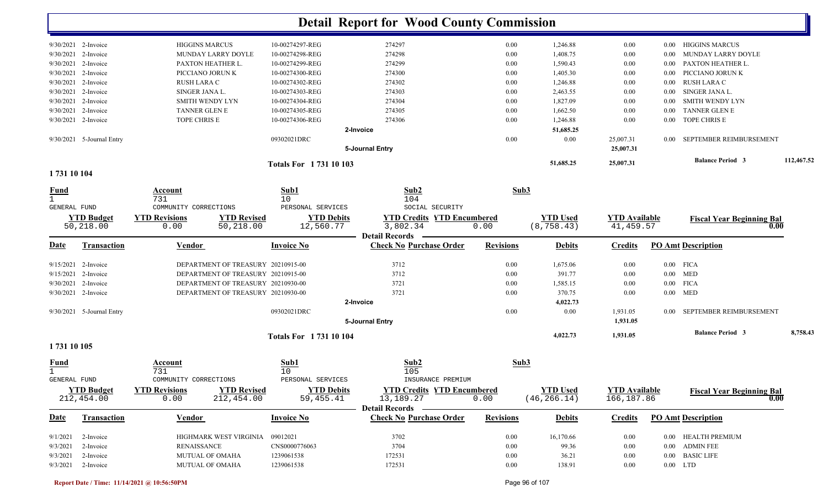|                       |                           |                                            |                             | <b>Detail Report for Wood County Commission</b> |                  |                 |                      |          |                                  |            |
|-----------------------|---------------------------|--------------------------------------------|-----------------------------|-------------------------------------------------|------------------|-----------------|----------------------|----------|----------------------------------|------------|
|                       | 9/30/2021 2-Invoice       | <b>HIGGINS MARCUS</b>                      | 10-00274297-REG             | 274297                                          | 0.00             | 1,246.88        | 0.00                 | 0.00     | <b>HIGGINS MARCUS</b>            |            |
|                       | 9/30/2021 2-Invoice       | MUNDAY LARRY DOYLE                         | 10-00274298-REG             | 274298                                          | 0.00             | 1,408.75        | 0.00                 | 0.00     | MUNDAY LARRY DOYLE               |            |
|                       | 9/30/2021 2-Invoice       | PAXTON HEATHER L.                          | 10-00274299-REG             | 274299                                          | 0.00             | 1,590.43        | 0.00                 | 0.00     | PAXTON HEATHER L                 |            |
|                       | 9/30/2021 2-Invoice       | PICCIANO JORUN K                           | 10-00274300-REG             | 274300                                          | 0.00             | 1,405.30        | 0.00                 | 0.00     | PICCIANO JORUN K                 |            |
|                       | 9/30/2021 2-Invoice       | RUSH LARA C                                | 10-00274302-REG             | 274302                                          | 0.00             | 1,246.88        | 0.00                 | $0.00\,$ | RUSH LARA C                      |            |
|                       | 9/30/2021 2-Invoice       | SINGER JANA L.                             | 10-00274303-REG             | 274303                                          | 0.00             | 2,463.55        | 0.00                 | $0.00\,$ | SINGER JANA L.                   |            |
|                       | 9/30/2021 2-Invoice       | <b>SMITH WENDY LYN</b>                     | 10-00274304-REG             | 274304                                          | 0.00             | 1,827.09        | 0.00                 | 0.00     | <b>SMITH WENDY LYN</b>           |            |
|                       | 9/30/2021 2-Invoice       | TANNER GLEN E                              | 10-00274305-REG             | 274305                                          | 0.00             | 1,662.50        | 0.00                 | 0.00     | <b>TANNER GLEN E</b>             |            |
|                       | 9/30/2021 2-Invoice       | TOPE CHRIS E                               | 10-00274306-REG             | 274306                                          | 0.00             | 1,246.88        | 0.00                 | $0.00\,$ | TOPE CHRIS E                     |            |
|                       |                           |                                            |                             | 2-Invoice                                       |                  | 51,685.25       |                      |          |                                  |            |
|                       | 9/30/2021 5-Journal Entry |                                            | 09302021DRC                 |                                                 | 0.00             | 0.00            | 25,007.31            | $0.00\,$ | SEPTEMBER REIMBURSEMENT          |            |
|                       |                           |                                            |                             | 5-Journal Entry                                 |                  |                 | 25,007.31            |          |                                  |            |
|                       |                           |                                            | <b>Totals For 173110103</b> |                                                 |                  | 51,685.25       | 25,007.31            |          | <b>Balance Period 3</b>          | 112,467.52 |
| 1731 10 104           |                           |                                            |                             |                                                 |                  |                 |                      |          |                                  |            |
| $rac{\text{Fund}}{1}$ |                           | Account                                    | Sub1                        | Sub2                                            | Sub3             |                 |                      |          |                                  |            |
| <b>GENERAL FUND</b>   |                           | 731<br>COMMUNITY CORRECTIONS               | 10<br>PERSONAL SERVICES     | 104<br>SOCIAL SECURITY                          |                  |                 |                      |          |                                  |            |
|                       | <b>YTD Budget</b>         | <b>YTD Revisions</b><br><b>YTD Revised</b> | <b>YTD Debits</b>           | <b>YTD Credits YTD Encumbered</b>               |                  | <b>YTD Used</b> | <b>YTD</b> Available |          |                                  |            |
|                       | 50,218.00                 | 50,218.00<br>0.00                          | 12,560.77                   | 3,802.34<br><b>Detail Records</b>               | 0.00             | (8, 758.43)     | 41, 459.57           |          | <b>Fiscal Year Beginning Bal</b> | 0.00       |
| <u>Date</u>           | <b>Transaction</b>        | Vendor                                     | <b>Invoice No</b>           | <b>Check No Purchase Order</b>                  | <b>Revisions</b> | <b>Debits</b>   | <b>Credits</b>       |          | <b>PO Amt Description</b>        |            |
|                       |                           |                                            |                             |                                                 |                  |                 |                      |          |                                  |            |
|                       | $9/15/2021$ 2-Invoice     | DEPARTMENT OF TREASURY 20210915-00         |                             | 3712                                            | 0.00             | 1,675.06        | 0.00                 |          | $0.00$ FICA                      |            |
|                       | 9/15/2021 2-Invoice       | DEPARTMENT OF TREASURY 20210915-00         |                             | 3712                                            | 0.00             | 391.77          | 0.00                 |          | $0.00$ MED                       |            |
|                       | $9/30/2021$ 2-Invoice     | DEPARTMENT OF TREASURY 20210930-00         |                             | 3721                                            | 0.00             | 1,585.15        | 0.00                 |          | $0.00$ FICA                      |            |
|                       | 9/30/2021 2-Invoice       | DEPARTMENT OF TREASURY 20210930-00         |                             | 3721                                            | 0.00             | 370.75          | 0.00                 |          | $0.00$ MED                       |            |
|                       |                           |                                            |                             | 2-Invoice                                       |                  | 4,022.73        |                      |          |                                  |            |
|                       | 9/30/2021 5-Journal Entry |                                            | 09302021DRC                 | 5-Journal Entry                                 | 0.00             | 0.00            | 1,931.05<br>1,931.05 | $0.00\,$ | SEPTEMBER REIMBURSEMENT          |            |
|                       |                           |                                            | <b>Totals For 173110104</b> |                                                 |                  | 4,022.73        | 1,931.05             |          | <b>Balance Period 3</b>          | 8,758.43   |
| 1731 10 105           |                           |                                            |                             |                                                 |                  |                 |                      |          |                                  |            |
| <u>Fund</u>           |                           | Account                                    | Sub1                        | Sub2                                            | Sub3             |                 |                      |          |                                  |            |
| GENERAL FUND          |                           | 731<br>COMMUNITY CORRECTIONS               | 10<br>PERSONAL SERVICES     | 105<br>INSURANCE PREMIUM                        |                  |                 |                      |          |                                  |            |
|                       | <b>YTD Budget</b>         | <b>YTD Revisions</b><br><b>YTD Revised</b> | <b>YTD Debits</b>           | <b>YTD Credits YTD Encumbered</b>               |                  | <b>YTD Used</b> | <b>YTD</b> Available |          |                                  |            |
|                       | 212,454.00                | 212,454.00<br>0.00                         | 59,455.41                   | 13,189.27                                       | 0.00             | (46, 266.14)    | 166,187.86           |          | <b>Fiscal Year Beginning Bal</b> | 0.00       |
|                       |                           |                                            |                             | Detail Records ————                             |                  |                 |                      |          |                                  |            |
| <u>Date</u>           | <b>Transaction</b>        | <b>Vendor</b>                              | <b>Invoice No</b>           | <b>Check No Purchase Order</b>                  | <b>Revisions</b> | <b>Debits</b>   | <b>Credits</b>       |          | <b>PO Amt Description</b>        |            |
|                       | $9/1/2021$ 2-Invoice      | HIGHMARK WEST VIRGINIA                     | 09012021                    | 3702                                            | 0.00             | 16,170.66       | $0.00\,$             |          | 0.00 HEALTH PREMIUM              |            |
|                       | $9/3/2021$ 2-Invoice      | <b>RENAISSANCE</b>                         | CNS0000776063               | 3704                                            | 0.00             | 99.36           | 0.00                 |          | 0.00 ADMIN FEE                   |            |
|                       | $9/3/2021$ 2-Invoice      | MUTUAL OF OMAHA                            | 1239061538                  | 172531                                          | 0.00             | 36.21           | $0.00\,$             |          | 0.00 BASIC LIFE                  |            |
|                       | 9/3/2021 2-Invoice        | MUTUAL OF OMAHA                            | 1239061538                  | 172531                                          | 0.00             | 138.91          | 0.00                 |          | $0.00$ LTD                       |            |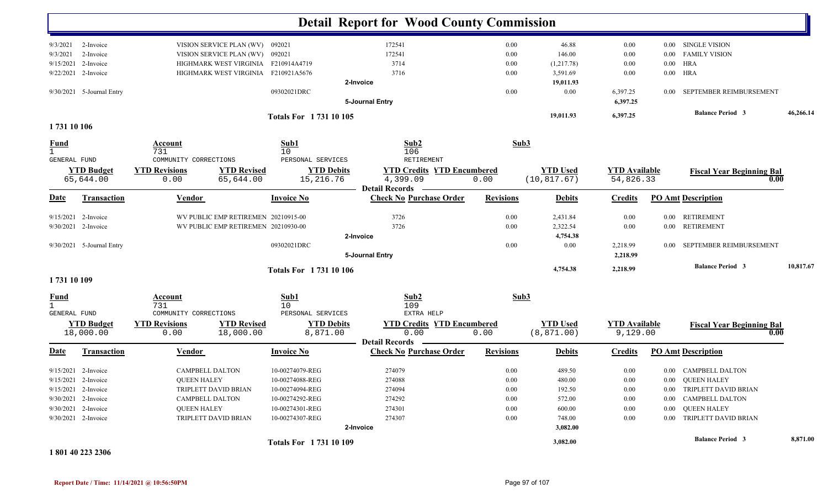|                                    |                           |                                         |                                     |                                 | <b>Detail Report for Wood County Commission</b> |                  |                 |                      |          |                                  |           |
|------------------------------------|---------------------------|-----------------------------------------|-------------------------------------|---------------------------------|-------------------------------------------------|------------------|-----------------|----------------------|----------|----------------------------------|-----------|
| 9/3/2021                           | 2-Invoice                 |                                         | VISION SERVICE PLAN (WV) 092021     |                                 | 172541                                          | 0.00             | 46.88           | 0.00                 | $0.00\,$ | <b>SINGLE VISION</b>             |           |
| 9/3/2021                           | 2-Invoice                 |                                         | VISION SERVICE PLAN (WV) 092021     |                                 | 172541                                          | 0.00             | 146.00          | 0.00                 | 0.00     | <b>FAMILY VISION</b>             |           |
| 9/15/2021                          | 2-Invoice                 |                                         | HIGHMARK WEST VIRGINIA              | F210914A4719                    | 3714                                            | 0.00             | (1,217.78)      | 0.00                 | $0.00\,$ | <b>HRA</b>                       |           |
|                                    | 9/22/2021 2-Invoice       |                                         | HIGHMARK WEST VIRGINIA              | F210921A5676                    | 3716                                            | 0.00             | 3,591.69        | 0.00                 |          | $0.00$ HRA                       |           |
|                                    |                           |                                         |                                     |                                 | 2-Invoice                                       |                  | 19,011.93       |                      |          |                                  |           |
|                                    | 9/30/2021 5-Journal Entry |                                         |                                     | 09302021DRC                     |                                                 | 0.00             | 0.00            | 6,397.25             | 0.00     | SEPTEMBER REIMBURSEMENT          |           |
|                                    |                           |                                         |                                     |                                 | 5-Journal Entry                                 |                  |                 | 6,397.25             |          |                                  |           |
|                                    |                           |                                         |                                     | <b>Totals For 173110105</b>     |                                                 |                  | 19,011.93       | 6,397.25             |          | <b>Balance Period 3</b>          | 46,266.14 |
| 1731 10 106                        |                           |                                         |                                     |                                 |                                                 |                  |                 |                      |          |                                  |           |
| <b>Fund</b><br><b>GENERAL FUND</b> |                           | Account<br>731<br>COMMUNITY CORRECTIONS |                                     | Sub1<br>10<br>PERSONAL SERVICES | Sub2<br>106<br>RETIREMENT                       |                  | Sub3            |                      |          |                                  |           |
|                                    | <b>YTD Budget</b>         | <b>YTD Revisions</b>                    | <b>YTD Revised</b>                  | <b>YTD Debits</b>               | <b>YTD Credits YTD Encumbered</b>               |                  | <b>YTD Used</b> | <b>YTD Available</b> |          |                                  |           |
|                                    | 65,644.00                 | 0.00                                    | 65,644.00                           | 15,216.76                       | 4,399.09                                        | 0.00             | (10, 817.67)    | 54,826.33            |          | <b>Fiscal Year Beginning Bal</b> | 0.00      |
|                                    |                           |                                         |                                     |                                 | <b>Detail Records</b>                           |                  |                 |                      |          |                                  |           |
| <u>Date</u>                        | <b>Transaction</b>        | <b>Vendor</b>                           |                                     | <b>Invoice No</b>               | <b>Check No Purchase Order</b>                  | <b>Revisions</b> | <b>Debits</b>   | <b>Credits</b>       |          | <b>PO Amt Description</b>        |           |
|                                    | 9/15/2021 2-Invoice       |                                         | WV PUBLIC EMP RETIREMEN 20210915-00 |                                 | 3726                                            | 0.00             | 2,431.84        | 0.00                 |          | 0.00 RETIREMENT                  |           |
|                                    | 9/30/2021 2-Invoice       |                                         | WV PUBLIC EMP RETIREMEN 20210930-00 |                                 | 3726                                            | 0.00             | 2,322.54        | 0.00                 | $0.00\,$ | <b>RETIREMENT</b>                |           |
|                                    |                           |                                         |                                     |                                 | 2-Invoice                                       |                  | 4,754.38        |                      |          |                                  |           |
|                                    | 9/30/2021 5-Journal Entry |                                         |                                     | 09302021DRC                     |                                                 | 0.00             | 0.00            | 2,218.99             | $0.00\,$ | SEPTEMBER REIMBURSEMENT          |           |
|                                    |                           |                                         |                                     |                                 | 5-Journal Entry                                 |                  |                 | 2,218.99             |          |                                  |           |
|                                    |                           |                                         |                                     | <b>Totals For 173110106</b>     |                                                 |                  | 4,754.38        | 2,218.99             |          | <b>Balance Period 3</b>          | 10,817.67 |
| 1731 10 109                        |                           |                                         |                                     |                                 |                                                 |                  |                 |                      |          |                                  |           |
| <u>Fund</u>                        |                           | Account                                 |                                     | Sub1                            | Sub2                                            |                  | Sub3            |                      |          |                                  |           |
| $\mathbf{1}$                       |                           | 731                                     |                                     | 10                              | 109                                             |                  |                 |                      |          |                                  |           |
| GENERAL FUND                       |                           | COMMUNITY CORRECTIONS                   |                                     | PERSONAL SERVICES               | EXTRA HELP                                      |                  |                 |                      |          |                                  |           |
|                                    | <b>YTD Budget</b>         | <b>YTD Revisions</b>                    | <b>YTD Revised</b>                  | <b>YTD Debits</b>               | <b>YTD Credits YTD Encumbered</b>               |                  | <b>YTD</b> Used | <b>YTD</b> Available |          | <b>Fiscal Year Beginning Bal</b> |           |
|                                    | 18,000.00                 | 0.00                                    | 18,000.00                           | 8,871.00                        | 0.00<br><b>Detail Records</b>                   | 0.00             | (8, 871.00)     | 9,129.00             |          |                                  | 0.00      |
| <u>Date</u>                        | <b>Transaction</b>        | <b>Vendor</b>                           |                                     | <b>Invoice No</b>               | <b>Check No Purchase Order</b>                  | <b>Revisions</b> | <b>Debits</b>   | <b>Credits</b>       |          | <b>PO Amt Description</b>        |           |
|                                    | $9/15/2021$ 2-Invoice     |                                         | CAMPBELL DALTON                     | 10-00274079-REG                 | 274079                                          | 0.00             | 489.50          | 0.00                 |          | 0.00 CAMPBELL DALTON             |           |
|                                    | 9/15/2021 2-Invoice       | <b>QUEEN HALEY</b>                      |                                     | 10-00274088-REG                 | 274088                                          | $0.00\,$         | 480.00          | $0.00\,$             |          | 0.00 QUEEN HALEY                 |           |
|                                    | $9/15/2021$ 2-Invoice     |                                         | TRIPLETT DAVID BRIAN                | 10-00274094-REG                 | 274094                                          | 0.00             | 192.50          | 0.00                 |          | 0.00 TRIPLETT DAVID BRIAN        |           |
|                                    | 9/30/2021 2-Invoice       |                                         | <b>CAMPBELL DALTON</b>              | 10-00274292-REG                 | 274292                                          | $0.00\,$         | 572.00          | 0.00                 |          | 0.00 CAMPBELL DALTON             |           |
|                                    | 9/30/2021 2-Invoice       | <b>QUEEN HALEY</b>                      |                                     | 10-00274301-REG                 | 274301                                          | $0.00\,$         | 600.00          | 0.00                 |          | 0.00 QUEEN HALEY                 |           |
|                                    | 9/30/2021 2-Invoice       |                                         | TRIPLETT DAVID BRIAN                | 10-00274307-REG                 | 274307                                          | 0.00             | 748.00          | 0.00                 |          | 0.00 TRIPLETT DAVID BRIAN        |           |
|                                    |                           |                                         |                                     |                                 | 2-Invoice                                       |                  | 3,082.00        |                      |          |                                  |           |
|                                    |                           |                                         |                                     | Totals For 1731 10 109          |                                                 |                  | 3,082.00        |                      |          | <b>Balance Period 3</b>          | 8,871.00  |

**1 801 40 223 2306**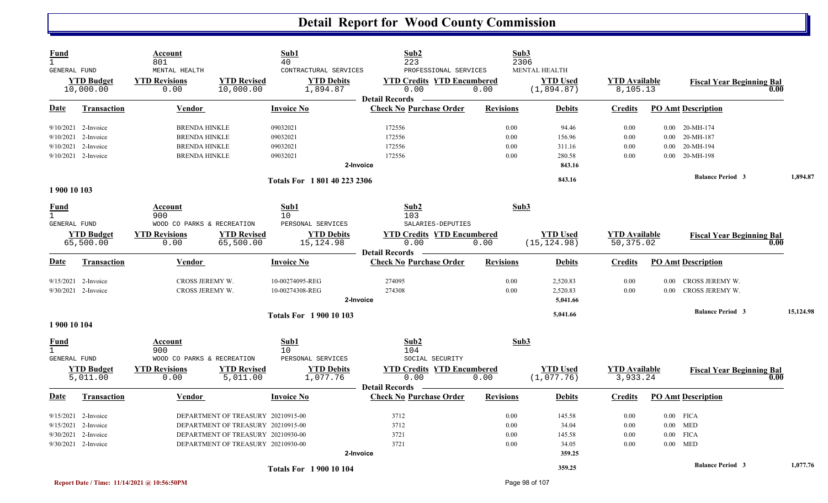| <u>Fund</u><br>$\mathbf{1}$<br><b>GENERAL FUND</b> |                                | Account<br>801<br>MENTAL HEALTH                            |                                    | Sub1<br>40<br>CONTRACTURAL SERVICES                  | Sub2<br>223<br>PROFESSIONAL SERVICES                                                    |                  | Sub3<br>2306<br>MENTAL HEALTH   |                                   |          |                                  |           |
|----------------------------------------------------|--------------------------------|------------------------------------------------------------|------------------------------------|------------------------------------------------------|-----------------------------------------------------------------------------------------|------------------|---------------------------------|-----------------------------------|----------|----------------------------------|-----------|
|                                                    | <b>YTD Budget</b><br>10,000.00 | <b>YTD Revisions</b><br>0.00                               | <b>YTD Revised</b><br>10,000.00    | <b>YTD Debits</b><br>1,894.87                        | <b>YTD Credits YTD Encumbered</b><br>0.00                                               | 0.00             | <b>YTD Used</b><br>(1,894.87)   | <b>YTD</b> Available<br>8,105.13  |          | <b>Fiscal Year Beginning Bal</b> | 0.00      |
| Date                                               | <b>Transaction</b>             | <b>Vendor</b>                                              |                                    | <b>Invoice No</b>                                    | <b>Detail Records</b><br><b>Check No Purchase Order</b>                                 | <b>Revisions</b> | <b>Debits</b>                   | <b>Credits</b>                    |          | <b>PO Amt Description</b>        |           |
|                                                    | $9/10/2021$ 2-Invoice          | <b>BRENDA HINKLE</b>                                       |                                    | 09032021                                             | 172556                                                                                  | 0.00             | 94.46                           | $0.00\,$                          |          | $0.00$ 20-MH-174                 |           |
|                                                    | 9/10/2021 2-Invoice            | <b>BRENDA HINKLE</b>                                       |                                    | 09032021                                             | 172556                                                                                  | 0.00             | 156.96                          | 0.00                              | 0.00     | 20-MH-187                        |           |
|                                                    | 9/10/2021 2-Invoice            | <b>BRENDA HINKLE</b>                                       |                                    | 09032021                                             | 172556                                                                                  | 0.00             | 311.16                          | 0.00                              |          | $0.00$ 20-MH-194                 |           |
|                                                    | 9/10/2021 2-Invoice            | <b>BRENDA HINKLE</b>                                       |                                    | 09032021                                             | 172556                                                                                  | 0.00             | 280.58                          | 0.00                              |          | $0.00$ 20-MH-198                 |           |
|                                                    |                                |                                                            |                                    |                                                      | 2-Invoice                                                                               |                  | 843.16                          |                                   |          |                                  |           |
|                                                    |                                |                                                            |                                    | Totals For 1801 40 223 2306                          |                                                                                         |                  | 843.16                          |                                   |          | <b>Balance Period 3</b>          | 1,894.87  |
| 1 900 10 103                                       |                                |                                                            |                                    |                                                      |                                                                                         |                  |                                 |                                   |          |                                  |           |
| <u>Fund</u><br>$\mathbf{1}$                        |                                | Account<br>900                                             |                                    | Sub1<br>10                                           | Sub2<br>103                                                                             |                  | Sub3                            |                                   |          |                                  |           |
| <b>GENERAL FUND</b>                                | <b>YTD Budget</b><br>65,500.00 | WOOD CO PARKS & RECREATION<br><b>YTD Revisions</b><br>0.00 | <b>YTD Revised</b><br>65,500.00    | PERSONAL SERVICES<br><b>YTD Debits</b><br>15, 124.98 | SALARIES-DEPUTIES<br><b>YTD Credits YTD Encumbered</b><br>0.00<br><b>Detail Records</b> | 0.00             | <b>YTD</b> Used<br>(15, 124.98) | <b>YTD</b> Available<br>50,375.02 |          | <b>Fiscal Year Beginning Bal</b> | 0.00      |
| Date                                               | <b>Transaction</b>             | <b>Vendor</b>                                              |                                    | <b>Invoice No</b>                                    | <b>Check No Purchase Order</b>                                                          | <b>Revisions</b> | <b>Debits</b>                   | <b>Credits</b>                    |          | <b>PO Amt Description</b>        |           |
|                                                    | $9/15/2021$ 2-Invoice          | CROSS JEREMY W.                                            |                                    | 10-00274095-REG                                      | 274095                                                                                  | 0.00             | 2,520.83                        | 0.00                              | 0.00     | CROSS JEREMY W.                  |           |
|                                                    | 9/30/2021 2-Invoice            | CROSS JEREMY W.                                            |                                    | 10-00274308-REG                                      | 274308                                                                                  | 0.00             | 2,520.83                        | 0.00                              | 0.00     | CROSS JEREMY W.                  |           |
|                                                    |                                |                                                            |                                    |                                                      | 2-Invoice                                                                               |                  | 5,041.66                        |                                   |          |                                  |           |
|                                                    |                                |                                                            |                                    | <b>Totals For 1 900 10 103</b>                       |                                                                                         |                  | 5,041.66                        |                                   |          | <b>Balance Period 3</b>          | 15,124.98 |
| 1 900 10 104                                       |                                |                                                            |                                    |                                                      |                                                                                         |                  |                                 |                                   |          |                                  |           |
| <u>Fund</u><br>$\mathbf{1}$<br><b>GENERAL FUND</b> |                                | Account<br>900<br>WOOD CO PARKS & RECREATION               |                                    | Sub1<br>10<br>PERSONAL SERVICES                      | Sub2<br>104<br>SOCIAL SECURITY                                                          |                  | Sub3                            |                                   |          |                                  |           |
|                                                    | <b>YTD Budget</b><br>5,011.00  | <b>YTD Revisions</b><br>0.00                               | <b>YTD Revised</b><br>5,011.00     | <b>YTD Debits</b><br>1,077.76                        | <b>YTD Credits YTD Encumbered</b><br>0.00                                               | 0.00             | <b>YTD Used</b><br>(1,077.76)   | <b>YTD Available</b><br>3,933.24  |          | <b>Fiscal Year Beginning Bal</b> | 0.00      |
| Date                                               | <b>Transaction</b>             | <b>Vendor</b>                                              |                                    | <b>Invoice No</b>                                    | <b>Detail Records</b><br><b>Check No Purchase Order</b>                                 | <b>Revisions</b> | <b>Debits</b>                   | <b>Credits</b>                    |          | <b>PO Amt Description</b>        |           |
|                                                    | 9/15/2021 2-Invoice            |                                                            | DEPARTMENT OF TREASURY 20210915-00 |                                                      | 3712                                                                                    | 0.00             | 145.58                          | 0.00                              |          | $0.00$ FICA                      |           |
|                                                    | 9/15/2021 2-Invoice            |                                                            | DEPARTMENT OF TREASURY 20210915-00 |                                                      | 3712                                                                                    | 0.00             | 34.04                           | 0.00                              |          | $0.00$ MED                       |           |
|                                                    | 9/30/2021 2-Invoice            |                                                            | DEPARTMENT OF TREASURY 20210930-00 |                                                      | 3721                                                                                    | 0.00             | 145.58                          | 0.00                              | $0.00\,$ | <b>FICA</b>                      |           |
|                                                    | $9/30/2021$ 2-Invoice          |                                                            | DEPARTMENT OF TREASURY 20210930-00 |                                                      | 3721                                                                                    | 0.00             | 34.05                           | 0.00                              |          | $0.00$ MED                       |           |
|                                                    |                                |                                                            |                                    |                                                      | 2-Invoice                                                                               |                  | 359.25                          |                                   |          |                                  |           |
|                                                    |                                |                                                            |                                    | <b>Totals For 190010104</b>                          |                                                                                         |                  | 359.25                          |                                   |          | <b>Balance Period 3</b>          | 1,077.76  |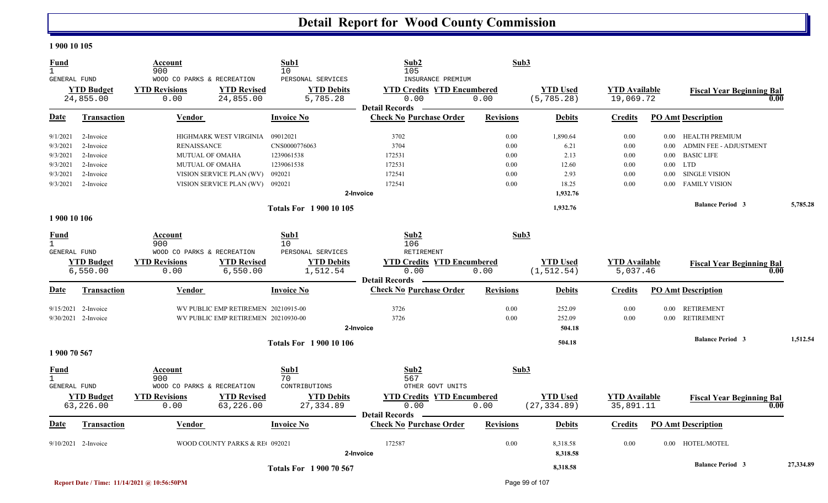#### **1 900 10 105**

| <b>Fund</b><br>$\mathbf{1}$<br><b>GENERAL FUND</b> |                       | Account<br>900<br>WOOD CO PARKS & RECREATION |                                     | Sub1<br>10<br>PERSONAL SERVICES | Sub2<br>105<br>INSURANCE PREMIUM  | Sub3             |                 |                      |                   |                                  |           |
|----------------------------------------------------|-----------------------|----------------------------------------------|-------------------------------------|---------------------------------|-----------------------------------|------------------|-----------------|----------------------|-------------------|----------------------------------|-----------|
|                                                    | <b>YTD Budget</b>     | <b>YTD Revisions</b>                         | <b>YTD Revised</b>                  | <b>YTD Debits</b>               | <b>YTD Credits YTD Encumbered</b> |                  | <b>YTD Used</b> | <b>YTD</b> Available |                   | <b>Fiscal Year Beginning Bal</b> |           |
|                                                    | 24,855.00             | 0.00                                         | 24,855.00                           | 5,785.28                        | 0.00                              | 0.00             | (5, 785.28)     | 19,069.72            |                   | 0.00                             |           |
|                                                    |                       |                                              |                                     |                                 | <b>Detail Records</b>             |                  |                 |                      |                   |                                  |           |
| Date                                               | Transaction           | Vendor                                       |                                     | <b>Invoice No</b>               | <b>Check No Purchase Order</b>    | <b>Revisions</b> | <b>Debits</b>   | <b>Credits</b>       |                   | <b>PO Amt Description</b>        |           |
| 9/1/2021                                           | 2-Invoice             |                                              | HIGHMARK WEST VIRGINIA              | 09012021                        | 3702                              | 0.00             | 1,890.64        | 0.00                 |                   | 0.00 HEALTH PREMIUM              |           |
| 9/3/2021                                           | 2-Invoice             | <b>RENAISSANCE</b>                           |                                     | CNS0000776063                   | 3704                              | 0.00             | 6.21            | 0.00                 | 0.00              | <b>ADMIN FEE - ADJUSTMENT</b>    |           |
| 9/3/2021                                           | 2-Invoice             | <b>MUTUAL OF OMAHA</b>                       |                                     | 1239061538                      | 172531                            | 0.00             | 2.13            | 0.00                 | $0.00\,$          | <b>BASIC LIFE</b>                |           |
| 9/3/2021                                           | 2-Invoice             | MUTUAL OF OMAHA                              |                                     | 1239061538                      | 172531                            | 0.00             | 12.60           | 0.00                 |                   | $0.00$ LTD                       |           |
| 9/3/2021                                           | 2-Invoice             |                                              | VISION SERVICE PLAN (WV)            | 092021                          | 172541                            | 0.00             | 2.93            | 0.00                 | $0.00\,$          | <b>SINGLE VISION</b>             |           |
| 9/3/2021                                           | 2-Invoice             |                                              | VISION SERVICE PLAN (WV) 092021     |                                 | 172541                            | 0.00             | 18.25           | 0.00                 | 0.00 <sub>1</sub> | <b>FAMILY VISION</b>             |           |
|                                                    |                       |                                              |                                     |                                 | 2-Invoice                         |                  | 1,932.76        |                      |                   |                                  |           |
|                                                    |                       |                                              |                                     | <b>Totals For 190010105</b>     |                                   |                  | 1,932.76        |                      |                   | <b>Balance Period 3</b>          | 5,785.28  |
| 1 900 10 106                                       |                       |                                              |                                     |                                 |                                   |                  |                 |                      |                   |                                  |           |
| Fund                                               |                       | Account                                      |                                     | Sub1                            | Sub <sub>2</sub>                  | Sub3             |                 |                      |                   |                                  |           |
| $\mathbf{1}$                                       |                       | 900                                          |                                     | 10                              | 106                               |                  |                 |                      |                   |                                  |           |
| GENERAL FUND                                       |                       | WOOD CO PARKS & RECREATION                   |                                     | PERSONAL SERVICES               | <b>RETIREMENT</b>                 |                  |                 |                      |                   |                                  |           |
|                                                    | <b>YTD Budget</b>     | <b>YTD Revisions</b>                         | <b>YTD Revised</b>                  | <b>YTD Debits</b>               | <b>YTD Credits YTD Encumbered</b> |                  | <b>YTD Used</b> | <b>YTD Available</b> |                   | <b>Fiscal Year Beginning Bal</b> |           |
|                                                    | 6,550.00              | 0.00                                         | 6,550.00                            | 1,512.54                        | 0.00                              | 0.00             | (1, 512.54)     | 5,037.46             |                   | 0.00                             |           |
|                                                    |                       |                                              |                                     |                                 | <b>Detail Records</b>             |                  |                 |                      |                   |                                  |           |
| <b>Date</b>                                        | <b>Transaction</b>    | Vendor                                       |                                     | <b>Invoice No</b>               | <b>Check No Purchase Order</b>    | <b>Revisions</b> | <b>Debits</b>   | <b>Credits</b>       |                   | <b>PO Amt Description</b>        |           |
|                                                    | $9/15/2021$ 2-Invoice |                                              | WV PUBLIC EMP RETIREMEN 20210915-00 |                                 | 3726                              | 0.00             | 252.09          | 0.00                 |                   | 0.00 RETIREMENT                  |           |
|                                                    | 9/30/2021 2-Invoice   |                                              | WV PUBLIC EMP RETIREMEN 20210930-00 |                                 | 3726                              | 0.00             | 252.09          | 0.00                 | 0.00              | <b>RETIREMENT</b>                |           |
|                                                    |                       |                                              |                                     |                                 | 2-Invoice                         |                  | 504.18          |                      |                   |                                  |           |
|                                                    |                       |                                              |                                     | <b>Totals For 1 900 10 106</b>  |                                   |                  | 504.18          |                      |                   | <b>Balance Period 3</b>          | 1,512.54  |
| 1 900 70 567                                       |                       |                                              |                                     |                                 |                                   |                  |                 |                      |                   |                                  |           |
| Fund                                               |                       | Account                                      |                                     | Sub1                            | Sub2                              | Sub3             |                 |                      |                   |                                  |           |
| $\mathbf{1}$                                       |                       | 900                                          |                                     | 70                              | 567                               |                  |                 |                      |                   |                                  |           |
| GENERAL FUND                                       |                       | WOOD CO PARKS & RECREATION                   |                                     | CONTRIBUTIONS                   | OTHER GOVT UNITS                  |                  |                 |                      |                   |                                  |           |
|                                                    | <b>YTD Budget</b>     | <b>YTD Revisions</b>                         | <b>YTD Revised</b>                  | <b>YTD Debits</b>               | <b>YTD Credits YTD Encumbered</b> |                  | <b>YTD Used</b> | <b>YTD</b> Available |                   | <b>Fiscal Year Beginning Bal</b> |           |
|                                                    | 63,226.00             | 0.00                                         | 63,226.00                           | 27,334.89                       | 0.00                              | 0.00             | (27, 334.89)    | 35,891.11            |                   | 0.00                             |           |
|                                                    |                       |                                              |                                     |                                 | <b>Detail Records</b>             |                  |                 |                      |                   |                                  |           |
| Date                                               | <b>Transaction</b>    | Vendor                                       |                                     | <b>Invoice No</b>               | <b>Check No Purchase Order</b>    | <b>Revisions</b> | <b>Debits</b>   | <b>Credits</b>       |                   | <b>PO Amt Description</b>        |           |
|                                                    | $9/10/2021$ 2-Invoice |                                              | WOOD COUNTY PARKS & RE 092021       |                                 | 172587                            | 0.00             | 8,318.58        | 0.00                 |                   | 0.00 HOTEL/MOTEL                 |           |
|                                                    |                       |                                              |                                     |                                 | 2-Invoice                         |                  | 8,318.58        |                      |                   |                                  |           |
|                                                    |                       |                                              |                                     | <b>Totals For 1900 70 567</b>   |                                   |                  | 8,318.58        |                      |                   | <b>Balance Period 3</b>          | 27,334.89 |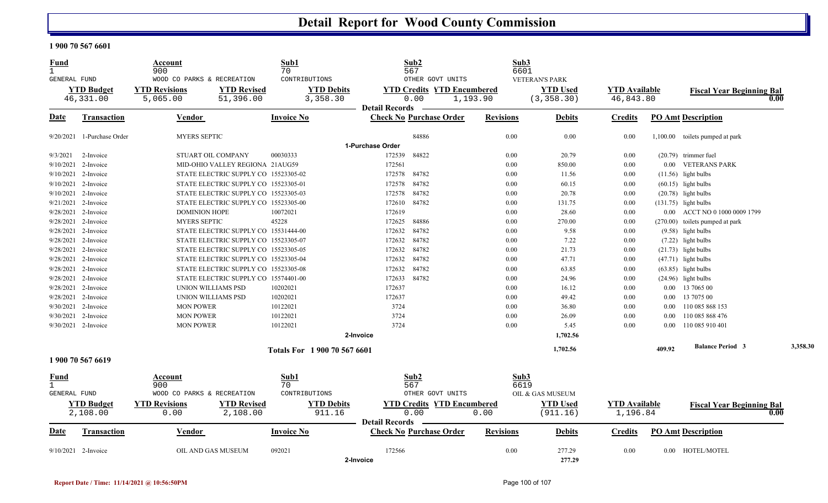#### **1 900 70 567 6601**

| <b>Fund</b><br>$\mathbf{1}$  |                     | Account<br>900                    |                                      | Sub1<br>70          |                              | Sub2<br>567           |                                   | Sub3             | 6601                  |                      |          |                                  |          |
|------------------------------|---------------------|-----------------------------------|--------------------------------------|---------------------|------------------------------|-----------------------|-----------------------------------|------------------|-----------------------|----------------------|----------|----------------------------------|----------|
| <b>GENERAL FUND</b>          |                     | WOOD CO PARKS & RECREATION        |                                      | CONTRIBUTIONS       |                              |                       | OTHER GOVT UNITS                  |                  | <b>VETERAN'S PARK</b> |                      |          |                                  |          |
|                              | <b>YTD Budget</b>   | <b>YTD Revisions</b>              | <b>YTD Revised</b>                   |                     | <b>YTD Debits</b>            |                       | <b>YTD Credits YTD Encumbered</b> |                  | <b>YTD Used</b>       | <b>YTD Available</b> |          | <b>Fiscal Year Beginning Bal</b> |          |
|                              | 46,331.00           | 5,065.00                          | 51,396.00                            |                     | 3,358.30                     |                       | 0.00                              | 1,193.90         | (3, 358.30)           | 46,843.80            |          |                                  | 0.00     |
|                              |                     |                                   |                                      |                     |                              | <b>Detail Records</b> |                                   |                  |                       |                      |          |                                  |          |
| Date                         | Transaction         | Vendor                            |                                      | <b>Invoice No</b>   |                              |                       | <b>Check No Purchase Order</b>    | <b>Revisions</b> | <b>Debits</b>         | <b>Credits</b>       |          | <b>PO Amt Description</b>        |          |
| 9/20/2021                    | 1-Purchase Order    | <b>MYERS SEPTIC</b>               |                                      |                     |                              |                       | 84886                             | 0.00             | 0.00                  | 0.00                 |          | 1,100.00 toilets pumped at park  |          |
|                              |                     |                                   |                                      |                     | 1-Purchase Order             |                       |                                   |                  |                       |                      |          |                                  |          |
| 9/3/2021                     | 2-Invoice           | STUART OIL COMPANY                |                                      | 00030333            |                              | 172539                | 84822                             | 0.00             | 20.79                 | 0.00                 |          | $(20.79)$ trimmer fuel           |          |
| 9/10/2021                    | 2-Invoice           |                                   | MID-OHIO VALLEY REGIONA 21AUG59      |                     |                              | 172561                |                                   | 0.00             | 850.00                | 0.00                 |          | 0.00 VETERANS PARK               |          |
|                              | 9/10/2021 2-Invoice |                                   | STATE ELECTRIC SUPPLY CO 15523305-02 |                     |                              | 172578                | 84782                             | 0.00             | 11.56                 | 0.00                 |          | $(11.56)$ light bulbs            |          |
| 9/10/2021                    | 2-Invoice           |                                   | STATE ELECTRIC SUPPLY CO 15523305-01 |                     |                              | 172578                | 84782                             | 0.00             | 60.15                 | 0.00                 |          | $(60.15)$ light bulbs            |          |
| 9/10/2021                    | 2-Invoice           |                                   | STATE ELECTRIC SUPPLY CO 15523305-03 |                     |                              | 172578                | 84782                             | 0.00             | 20.78                 | 0.00                 |          | $(20.78)$ light bulbs            |          |
| 9/21/2021                    | 2-Invoice           |                                   | STATE ELECTRIC SUPPLY CO 15523305-00 |                     |                              | 172610                | 84782                             | 0.00             | 131.75                | 0.00                 |          | $(131.75)$ light bulbs           |          |
|                              | 9/28/2021 2-Invoice | <b>DOMINION HOPE</b>              |                                      | 10072021            |                              | 172619                |                                   | 0.00             | 28.60                 | 0.00                 |          | 0.00 ACCT NO 0 1000 0009 1799    |          |
| 9/28/2021                    | 2-Invoice           | <b>MYERS SEPTIC</b>               |                                      | 45228               |                              | 172625                | 84886                             | 0.00             | 270.00                | 0.00                 |          | (270.00) toilets pumped at park  |          |
| 9/28/2021                    | 2-Invoice           |                                   | STATE ELECTRIC SUPPLY CO 15531444-00 |                     |                              | 172632                | 84782                             | 0.00             | 9.58                  | 0.00                 |          | $(9.58)$ light bulbs             |          |
| 9/28/2021                    | 2-Invoice           |                                   | STATE ELECTRIC SUPPLY CO 15523305-07 |                     |                              | 172632                | 84782                             | 0.00             | 7.22                  | 0.00                 |          | $(7.22)$ light bulbs             |          |
|                              | 9/28/2021 2-Invoice |                                   | STATE ELECTRIC SUPPLY CO 15523305-05 |                     |                              | 172632                | 84782                             | 0.00             | 21.73                 | 0.00                 |          | $(21.73)$ light bulbs            |          |
| 9/28/2021                    | 2-Invoice           |                                   | STATE ELECTRIC SUPPLY CO 15523305-04 |                     |                              | 172632                | 84782                             | 0.00             | 47.71                 | 0.00                 |          | $(47.71)$ light bulbs            |          |
| 9/28/2021                    | 2-Invoice           |                                   | STATE ELECTRIC SUPPLY CO 15523305-08 |                     |                              | 172632                | 84782                             | 0.00             | 63.85                 | 0.00                 |          | $(63.85)$ light bulbs            |          |
| 9/28/2021                    | 2-Invoice           |                                   | STATE ELECTRIC SUPPLY CO 15574401-00 |                     |                              | 172633                | 84782                             | 0.00             | 24.96                 | 0.00                 |          | $(24.96)$ light bulbs            |          |
|                              | 9/28/2021 2-Invoice | UNION WILLIAMS PSD                |                                      | 10202021            |                              | 172637                |                                   | 0.00             | 16.12                 | 0.00                 |          | 0.00 13 7065 00                  |          |
| 9/28/2021                    | 2-Invoice           | UNION WILLIAMS PSD                |                                      | 10202021            |                              | 172637                |                                   | 0.00             | 49.42                 | 0.00                 |          | 0.00 13 7075 00                  |          |
| 9/30/2021                    | 2-Invoice           | <b>MON POWER</b>                  |                                      | 10122021            |                              | 3724                  |                                   | 0.00             | 36.80                 | 0.00                 | $0.00\,$ | 110 085 868 153                  |          |
|                              | 9/30/2021 2-Invoice | <b>MON POWER</b>                  |                                      | 10122021            |                              | 3724                  |                                   | 0.00             | 26.09                 | 0.00                 | $0.00\,$ | 110 085 868 476                  |          |
|                              | 9/30/2021 2-Invoice | <b>MON POWER</b>                  |                                      | 10122021            |                              | 3724                  |                                   | 0.00             | 5.45                  | 0.00                 |          | 0.00 110 085 910 401             |          |
|                              |                     |                                   |                                      |                     | 2-Invoice                    |                       |                                   |                  | 1,702.56              |                      |          |                                  |          |
|                              |                     |                                   |                                      |                     | Totals For 1 900 70 567 6601 |                       |                                   |                  | 1,702.56              |                      | 409.92   | <b>Balance Period 3</b>          | 3,358.30 |
|                              | 1 900 70 567 6619   |                                   |                                      |                     |                              |                       |                                   |                  |                       |                      |          |                                  |          |
| Fund                         |                     | Account                           |                                      | Sub1                |                              | Sub2                  |                                   |                  | Sub3                  |                      |          |                                  |          |
| $\mathbf{1}$<br>GENERAL FUND |                     | 900<br>WOOD CO PARKS & RECREATION |                                      | 70<br>CONTRIBUTIONS |                              | 567                   | OTHER GOVT UNITS                  |                  | 6619                  |                      |          |                                  |          |
|                              |                     |                                   |                                      |                     |                              |                       |                                   |                  | OIL & GAS MUSEUM      |                      |          |                                  |          |
|                              | <b>YTD Budget</b>   | <b>YTD Revisions</b>              | <b>YTD Revised</b>                   |                     | <b>YTD Debits</b>            |                       | <b>YTD Credits YTD Encumbered</b> |                  | <b>YTD Used</b>       | <b>YTD</b> Available |          | <b>Fiscal Year Beginning Bal</b> |          |
|                              | 2,108.00            | 0.00                              | 2,108.00                             |                     | 911.16                       | <b>Detail Records</b> | 0.00                              | 0.00             | (911.16)              | 1,196.84             |          |                                  | 0.00     |
| <b>Date</b>                  | <b>Transaction</b>  | Vendor                            |                                      | <b>Invoice No</b>   |                              |                       | <b>Check No Purchase Order</b>    | <b>Revisions</b> | <b>Debits</b>         | <b>Credits</b>       |          | <b>PO Amt Description</b>        |          |
|                              | 9/10/2021 2-Invoice | OIL AND GAS MUSEUM                |                                      | 092021              |                              | 172566                |                                   | 0.00             | 277.29                | 0.00                 |          | 0.00 HOTEL/MOTEL                 |          |
|                              |                     |                                   |                                      |                     | 2-Invoice                    |                       |                                   |                  | 277.29                |                      |          |                                  |          |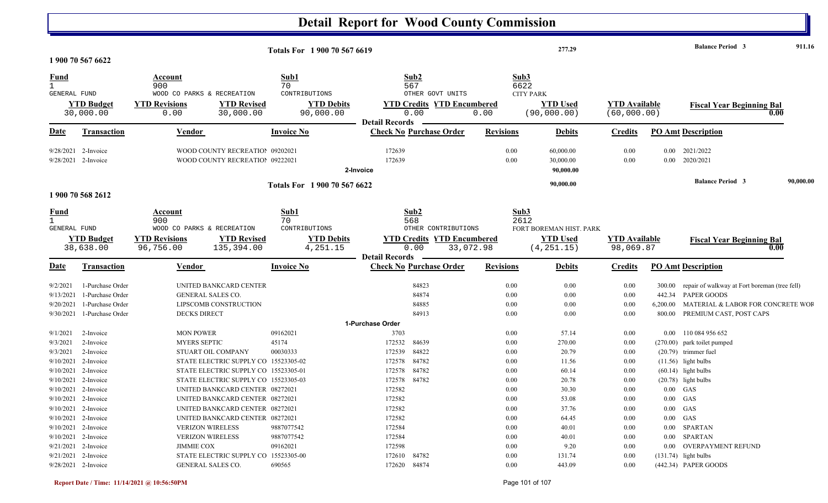|                                     |                                              |                                                                         |                              |                        | <b>Detail Report for Wood County Commission</b> |                  |                  |                         |                      |          |                                               |           |
|-------------------------------------|----------------------------------------------|-------------------------------------------------------------------------|------------------------------|------------------------|-------------------------------------------------|------------------|------------------|-------------------------|----------------------|----------|-----------------------------------------------|-----------|
|                                     | 1 900 70 567 6622                            |                                                                         | Totals For 1 900 70 567 6619 |                        |                                                 |                  |                  | 277.29                  |                      |          | <b>Balance Period 3</b>                       | 911.16    |
|                                     |                                              |                                                                         |                              |                        |                                                 |                  |                  |                         |                      |          |                                               |           |
| <b>Fund</b>                         |                                              | Account<br>900                                                          | Sub1<br>70                   |                        | Sub2<br>567                                     |                  | Sub3<br>6622     |                         |                      |          |                                               |           |
| <b>GENERAL FUND</b>                 |                                              | WOOD CO PARKS & RECREATION                                              | CONTRIBUTIONS                |                        | OTHER GOVT UNITS                                |                  | <b>CITY PARK</b> |                         |                      |          |                                               |           |
|                                     | <b>YTD Budget</b>                            | <b>YTD Revisions</b><br><b>YTD Revised</b>                              | <b>YTD Debits</b>            |                        | <b>YTD Credits YTD Encumbered</b>               |                  |                  | <b>YTD Used</b>         | <b>YTD</b> Available |          | <b>Fiscal Year Beginning Bal</b>              |           |
|                                     | 30,000.00                                    | 30,000.00<br>0.00                                                       | 90,000.00                    |                        | 0.00                                            | 0.00             |                  | (90,000.00)             | (60,000.00)          |          | 0.00                                          |           |
| <u>Date</u>                         | <b>Transaction</b>                           | <b>Vendor</b>                                                           | <b>Invoice No</b>            | <b>Detail Records</b>  | <b>Check No Purchase Order</b>                  | <b>Revisions</b> |                  | <b>Debits</b>           | <b>Credits</b>       |          | <b>PO Amt Description</b>                     |           |
|                                     |                                              |                                                                         |                              |                        |                                                 |                  |                  |                         |                      |          |                                               |           |
| 9/28/2021                           | 2-Invoice                                    | WOOD COUNTY RECREATIOI 09202021                                         |                              | 172639                 |                                                 |                  | 0.00             | 60,000.00               | 0.00                 | $0.00\,$ | 2021/2022                                     |           |
|                                     | 9/28/2021 2-Invoice                          | WOOD COUNTY RECREATIOI 09222021                                         |                              | 172639                 |                                                 |                  | 0.00             | 30,000.00               | 0.00                 | $0.00\,$ | 2020/2021                                     |           |
|                                     |                                              |                                                                         |                              | 2-Invoice              |                                                 |                  |                  | 90,000.00               |                      |          |                                               |           |
|                                     |                                              |                                                                         | Totals For 1 900 70 567 6622 |                        |                                                 |                  |                  | 90,000.00               |                      |          | <b>Balance Period 3</b>                       | 90,000.00 |
|                                     | 1 900 70 568 2612                            |                                                                         |                              |                        |                                                 |                  |                  |                         |                      |          |                                               |           |
| <u>Fund</u>                         |                                              | <b>Account</b>                                                          | Sub1                         |                        | Sub2                                            |                  | Sub3             |                         |                      |          |                                               |           |
| $\mathbf{1}$<br><b>GENERAL FUND</b> |                                              | 900<br>WOOD CO PARKS & RECREATION                                       | 70<br>CONTRIBUTIONS          |                        | 568<br>OTHER CONTRIBUTIONS                      |                  | 2612             | FORT BOREMAN HIST. PARK |                      |          |                                               |           |
|                                     | <b>YTD Budget</b>                            | <b>YTD Revisions</b><br><b>YTD Revised</b>                              | <b>YTD Debits</b>            |                        | <b>YTD Credits YTD Encumbered</b>               |                  |                  | <b>YTD Used</b>         | <b>YTD</b> Available |          | <b>Fiscal Year Beginning Bal</b>              |           |
|                                     | 38,638.00                                    | 96,756.00<br>135,394.00                                                 | 4,251.15                     |                        | 0.00                                            | 33,072.98        |                  | (4, 251.15)             | 98,069.87            |          | 0.00                                          |           |
|                                     |                                              |                                                                         |                              | <b>Detail Records</b>  |                                                 |                  |                  |                         |                      |          |                                               |           |
| <u>Date</u>                         | <b>Transaction</b>                           | Vendor                                                                  | <b>Invoice No</b>            |                        | <b>Check No Purchase Order</b>                  | <b>Revisions</b> |                  | <b>Debits</b>           | <b>Credits</b>       |          | <b>PO Amt Description</b>                     |           |
| 9/2/2021                            | 1-Purchase Order                             | UNITED BANKCARD CENTER                                                  |                              |                        | 84823                                           |                  | 0.00             | 0.00                    | 0.00                 | 300.00   | repair of walkway at Fort boreman (tree fell) |           |
| 9/13/2021                           | 1-Purchase Order                             | <b>GENERAL SALES CO.</b>                                                |                              |                        | 84874                                           |                  | 0.00             | 0.00                    | 0.00                 | 442.34   | PAPER GOODS                                   |           |
| 9/20/2021                           | 1-Purchase Order                             | LIPSCOMB CONSTRUCTION                                                   |                              |                        | 84885                                           |                  | 0.00             | 0.00                    | 0.00                 | 6,200.00 | MATERIAL & LABOR FOR CONCRETE WOF             |           |
| 9/30/2021                           | 1-Purchase Order                             | <b>DECKS DIRECT</b>                                                     |                              |                        | 84913                                           |                  | 0.00             | 0.00                    | 0.00                 | 800.00   | PREMIUM CAST, POST CAPS                       |           |
|                                     |                                              |                                                                         |                              | 1-Purchase Order       |                                                 |                  |                  |                         |                      |          |                                               |           |
| 9/1/2021                            | 2-Invoice                                    | <b>MON POWER</b>                                                        | 09162021                     | 3703                   |                                                 |                  | 0.00             | 57.14                   | 0.00                 |          | 0.00 110 084 956 652                          |           |
| 9/3/2021                            | 2-Invoice                                    | <b>MYERS SEPTIC</b>                                                     | 45174                        | 172532                 | 84639                                           |                  | 0.00             | 270.00                  | 0.00                 |          | (270.00) park toilet pumped                   |           |
| 9/3/2021                            | 2-Invoice                                    | STUART OIL COMPANY                                                      | 00030333                     | 172539                 | 84822                                           |                  | 0.00             | 20.79                   | 0.00                 |          | $(20.79)$ trimmer fuel                        |           |
|                                     | $9/10/2021$ 2-Invoice                        | STATE ELECTRIC SUPPLY CO 15523305-02                                    |                              | 172578                 | 84782                                           |                  | 0.00             | 11.56                   | 0.00                 |          | $(11.56)$ light bulbs                         |           |
|                                     | 9/10/2021 2-Invoice                          | STATE ELECTRIC SUPPLY CO 15523305-01                                    |                              | 172578                 | 84782                                           |                  | 0.00<br>0.00     | 60.14                   | 0.00<br>0.00         |          | $(60.14)$ light bulbs                         |           |
|                                     | 9/10/2021 2-Invoice<br>$9/10/2021$ 2-Invoice | STATE ELECTRIC SUPPLY CO 15523305-03<br>UNITED BANKCARD CENTER 08272021 |                              | 172578 84782<br>172582 |                                                 |                  | 0.00             | 20.78<br>30.30          | 0.00                 |          | (20.78) light bulbs<br>$0.00$ GAS             |           |
|                                     | $9/10/2021$ 2-Invoice                        | UNITED BANKCARD CENTER 08272021                                         |                              | 172582                 |                                                 |                  | 0.00             | 53.08                   | 0.00                 |          | $0.00$ GAS                                    |           |
|                                     | $9/10/2021$ 2-Invoice                        | UNITED BANKCARD CENTER 08272021                                         |                              | 172582                 |                                                 |                  | 0.00             | 37.76                   | 0.00                 |          | $0.00$ GAS                                    |           |
|                                     | $9/10/2021$ 2-Invoice                        | UNITED BANKCARD CENTER 08272021                                         |                              | 172582                 |                                                 |                  | 0.00             | 64.45                   | $0.00\,$             |          | $0.00$ GAS                                    |           |
|                                     | $9/10/2021$ 2-Invoice                        | <b>VERIZON WIRELESS</b>                                                 | 9887077542                   | 172584                 |                                                 |                  | 0.00             | 40.01                   | $0.00\,$             |          | 0.00 SPARTAN                                  |           |
|                                     | $9/10/2021$ 2-Invoice                        | <b>VERIZON WIRELESS</b>                                                 | 9887077542                   | 172584                 |                                                 |                  | 0.00             | 40.01                   | 0.00                 |          | 0.00 SPARTAN                                  |           |
|                                     | $9/21/2021$ 2-Invoice                        | JIMMIE COX                                                              | 09162021                     | 172598                 |                                                 |                  | 0.00             | 9.20                    | 0.00                 |          | 0.00 OVERPAYMENT REFUND                       |           |
|                                     | 9/21/2021 2-Invoice                          | STATE ELECTRIC SUPPLY CO 15523305-00                                    |                              | 172610 84782           |                                                 |                  | $0.00\,$         | 131.74                  | 0.00                 |          | $(131.74)$ light bulbs                        |           |
|                                     | 9/28/2021 2-Invoice                          | GENERAL SALES CO.                                                       | 690565                       | 172620 84874           |                                                 |                  | $0.00\,$         | 443.09                  | 0.00                 |          | (442.34) PAPER GOODS                          |           |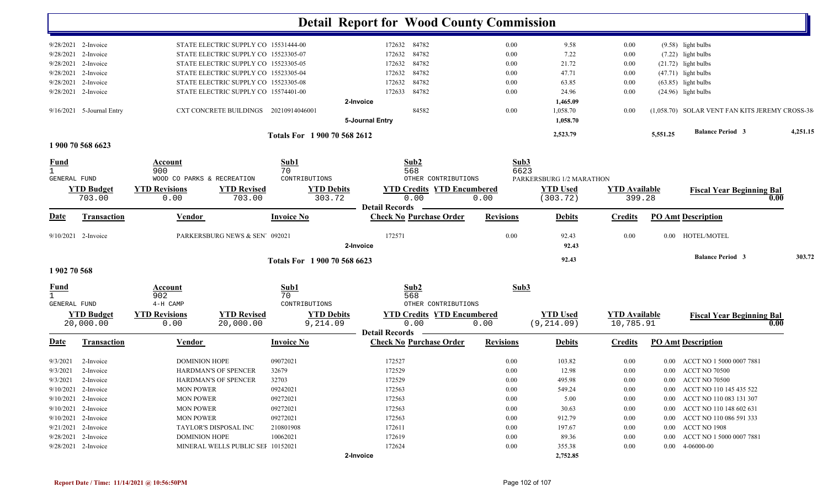|              |                           |                            |                                       |                              | <b>Detail Report for Wood County Commission</b> |                                   |                  |                          |                      |          |                                                |          |
|--------------|---------------------------|----------------------------|---------------------------------------|------------------------------|-------------------------------------------------|-----------------------------------|------------------|--------------------------|----------------------|----------|------------------------------------------------|----------|
|              | $9/28/2021$ 2-Invoice     |                            | STATE ELECTRIC SUPPLY CO 15531444-00  |                              |                                                 | 172632 84782                      | 0.00             | 9.58                     | 0.00                 |          | $(9.58)$ light bulbs                           |          |
|              | 9/28/2021 2-Invoice       |                            | STATE ELECTRIC SUPPLY CO 15523305-07  |                              | 172632                                          | 84782                             | 0.00             | 7.22                     | 0.00                 |          | $(7.22)$ light bulbs                           |          |
|              | 9/28/2021 2-Invoice       |                            | STATE ELECTRIC SUPPLY CO 15523305-05  |                              | 172632                                          | 84782                             | 0.00             | 21.72                    | 0.00                 |          | $(21.72)$ light bulbs                          |          |
|              | 9/28/2021 2-Invoice       |                            | STATE ELECTRIC SUPPLY CO 15523305-04  |                              | 172632                                          | 84782                             | 0.00             | 47.71                    | 0.00                 |          | $(47.71)$ light bulbs                          |          |
|              | 9/28/2021 2-Invoice       |                            | STATE ELECTRIC SUPPLY CO 15523305-08  |                              | 172632                                          | 84782                             | 0.00             | 63.85                    | 0.00                 |          | $(63.85)$ light bulbs                          |          |
|              | 9/28/2021 2-Invoice       |                            | STATE ELECTRIC SUPPLY CO 15574401-00  |                              | 172633                                          | 84782                             | 0.00             | 24.96                    | 0.00                 |          | $(24.96)$ light bulbs                          |          |
|              |                           |                            |                                       |                              | 2-Invoice                                       |                                   |                  | 1,465.09                 |                      |          |                                                |          |
|              | 9/16/2021 5-Journal Entry |                            | CXT CONCRETE BUILDINGS 20210914046001 |                              |                                                 | 84582                             | 0.00             | 1,058.70                 | 0.00                 |          | (1,058.70) SOLAR VENT FAN KITS JEREMY CROSS-38 |          |
|              |                           |                            |                                       |                              | 5-Journal Entry                                 |                                   |                  | 1,058.70                 |                      |          |                                                |          |
|              |                           |                            |                                       | Totals For 1 900 70 568 2612 |                                                 |                                   |                  | 2,523.79                 |                      | 5,551.25 | <b>Balance Period 3</b>                        | 4,251.15 |
|              | 1 900 70 568 6623         |                            |                                       |                              |                                                 |                                   |                  |                          |                      |          |                                                |          |
| <b>Fund</b>  |                           | Account                    |                                       | Sub1                         |                                                 | Sub2                              | Sub3             |                          |                      |          |                                                |          |
| $\mathbf{1}$ |                           | 900                        |                                       | 70                           |                                                 | 568                               | 6623             |                          |                      |          |                                                |          |
| GENERAL FUND |                           | WOOD CO PARKS & RECREATION |                                       | CONTRIBUTIONS                |                                                 | OTHER CONTRIBUTIONS               |                  | PARKERSBURG 1/2 MARATHON |                      |          |                                                |          |
|              | <b>YTD Budget</b>         | <b>YTD Revisions</b>       | <b>YTD Revised</b>                    | <b>YTD Debits</b>            |                                                 | <b>YTD Credits YTD Encumbered</b> |                  | <b>YTD Used</b>          | <b>YTD</b> Available |          | <b>Fiscal Year Beginning Bal</b>               |          |
|              | 703.00                    | 0.00                       | 703.00                                | 303.72                       |                                                 | 0.00                              | 0.00             | (303.72)                 | 399.28               |          |                                                | 0.00     |
|              |                           |                            |                                       |                              | <b>Detail Records</b>                           |                                   |                  |                          |                      |          |                                                |          |
| Date         | <b>Transaction</b>        | <b>Vendor</b>              |                                       | <b>Invoice No</b>            |                                                 | <b>Check No Purchase Order</b>    | <b>Revisions</b> | <b>Debits</b>            | <b>Credits</b>       |          | <b>PO Amt Description</b>                      |          |
|              | $9/10/2021$ 2-Invoice     |                            | PARKERSBURG NEWS & SEN 092021         |                              | 172571                                          |                                   | 0.00             | 92.43                    | 0.00                 |          | 0.00 HOTEL/MOTEL                               |          |
|              |                           |                            |                                       |                              | 2-Invoice                                       |                                   |                  | 92.43                    |                      |          |                                                |          |
|              |                           |                            |                                       | Totals For 1 900 70 568 6623 |                                                 |                                   |                  | 92.43                    |                      |          | <b>Balance Period 3</b>                        | 303.72   |
| 1902 70 568  |                           |                            |                                       |                              |                                                 |                                   |                  |                          |                      |          |                                                |          |
| <b>Fund</b>  |                           | Account                    |                                       | Sub1                         |                                                 | Sub2                              | Sub3             |                          |                      |          |                                                |          |
|              |                           | 902                        |                                       | 70                           |                                                 | 568                               |                  |                          |                      |          |                                                |          |
| GENERAL FUND |                           | 4-H CAMP                   |                                       | CONTRIBUTIONS                |                                                 | OTHER CONTRIBUTIONS               |                  |                          |                      |          |                                                |          |
|              | <b>YTD Budget</b>         | <b>YTD Revisions</b>       | <b>YTD Revised</b>                    | <b>YTD Debits</b>            |                                                 | <b>YTD Credits YTD Encumbered</b> |                  | <b>YTD Used</b>          | <b>YTD Available</b> |          | <b>Fiscal Year Beginning Bal</b>               |          |
|              | 20,000.00                 | 0.00                       | 20,000.00                             | 9,214.09                     | <b>Detail Records</b>                           | 0.00                              | 0.00             | (9, 214.09)              | 10,785.91            |          |                                                | 0.00     |
| Date         | <b>Transaction</b>        | <u>Vendor</u>              |                                       | <b>Invoice No</b>            |                                                 | <b>Check No Purchase Order</b>    | <b>Revisions</b> | <b>Debits</b>            | <b>Credits</b>       |          | <b>PO Amt Description</b>                      |          |
| 9/3/2021     | 2-Invoice                 | <b>DOMINION HOPE</b>       |                                       | 09072021                     | 172527                                          |                                   | 0.00             | 103.82                   | 0.00                 | $0.00 -$ | ACCT NO 1 5000 0007 7881                       |          |
| 9/3/2021     | 2-Invoice                 |                            | <b>HARDMAN'S OF SPENCER</b>           | 32679                        | 172529                                          |                                   | 0.00             | 12.98                    | 0.00                 |          | 0.00 ACCT NO 70500                             |          |
|              | 9/3/2021 2-Invoice        |                            | HARDMAN'S OF SPENCER                  | 32703                        | 172529                                          |                                   | 0.00             | 495.98                   | 0.00                 |          | 0.00 ACCT NO 70500                             |          |
|              | $9/10/2021$ 2-Invoice     | <b>MON POWER</b>           |                                       | 09242021                     | 172563                                          |                                   | 0.00             | 549.24                   | 0.00                 |          | 0.00 ACCT NO 110 145 435 522                   |          |
|              | $9/10/2021$ 2-Invoice     | <b>MON POWER</b>           |                                       | 09272021                     | 172563                                          |                                   | 0.00             | 5.00                     | 0.00                 |          | 0.00 ACCT NO 110 083 131 307                   |          |
|              | $9/10/2021$ 2-Invoice     | <b>MON POWER</b>           |                                       | 09272021                     | 172563                                          |                                   | 0.00             | 30.63                    | 0.00                 |          | 0.00 ACCT NO 110 148 602 631                   |          |
|              | $9/10/2021$ 2-Invoice     | <b>MON POWER</b>           |                                       | 09272021                     | 172563                                          |                                   | 0.00             | 912.79                   | 0.00                 |          | 0.00 ACCT NO 110 086 591 333                   |          |
|              | 9/21/2021 2-Invoice       |                            | TAYLOR'S DISPOSAL INC                 | 210801908                    | 172611                                          |                                   | 0.00             | 197.67                   | 0.00                 |          | 0.00 ACCT NO 1908                              |          |
|              | $9/28/2021$ 2-Invoice     | <b>DOMINION HOPE</b>       |                                       | 10062021                     | 172619                                          |                                   | 0.00             | 89.36                    | $0.00\,$             |          | 0.00 ACCT NO 1 5000 0007 7881                  |          |
|              | 9/28/2021 2-Invoice       |                            | MINERAL WELLS PUBLIC SEI 10152021     |                              | 172624                                          |                                   | 0.00             | 355.38                   | 0.00                 |          | $0.00 \quad 4\n-06000\n-00$                    |          |
|              |                           |                            |                                       |                              | 2-Invoice                                       |                                   |                  | 2,752.85                 |                      |          |                                                |          |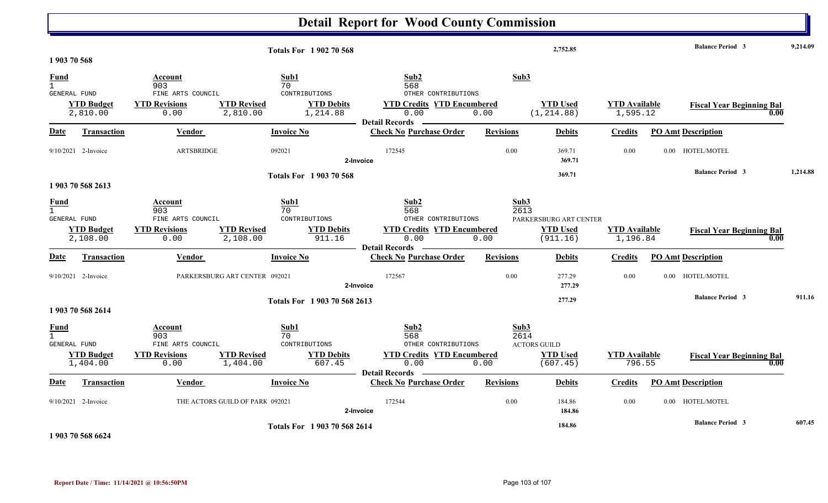#### **Detail Report for Wood County Commission 2,752.85 Balance Period 9,214.09 <sup>3</sup> Totals For 1 902 70 568 1 903 70 568** 1 903 70 568 **Fund Account Sub1 Sub2 Sub3** GENERAL FUND FINE ARTS COUNCIL CONTRIBUTIONS OTHER CONTRIBUTIONS 2,810.00 0.00 2,810.00 1,214.88 0.00 0.00 1,595.12 (1,214.88) **YTD Budget YTD Revisions YTD Revised YTD Debits YTD Credits YTD Encumbered<u>TD Used</u> <b>YTD Available Fiscal Year Beginning Bal 1,595.12 CO Date Vendor Invoice NoTransaction Purchase Order Revisions Debits Credits PO Amt Description Detail Records**Vendor **Invoice No** 9/10/2021 2-Invoice 2-Invoice 092021 ARTSBRIDGE 172545 0.00 369.71 0.00 0.00 HOTEL/MOTEL **2-Invoice 369.71 369.71 Balance Period 1,214.88 <sup>3</sup> Totals For 1 903 70 568 1 903 70 568 2613**1 903 70 568 2613 **Fund Account Sub1 Sub2 Sub3** GENERAL FUND FINE ARTS COUNCIL CONTRIBUTIONS OTHER CONTRIBUTIONS 2,108.00 0.00 2,108.00 911.16 0.00 0.00 1,196.84 (911.16) **YTD Budget YTD Revisions YTD Revised YTD Debits YTD Credits YTD Encumbered<u>TD Used</u> <b>YTD Available Fiscal Year Beginning Bal 0.00 (911.16) 1**, 196.84 **F** PARKERSBURG ART CENTER **Date Vendor Invoice NoTransaction Purchase Order Revisions Debits Credits PO Amt Description Detail RecordsConstruction Vendor Channel Invoice No** 9/10/2021 2-Invoice 1 2-Invoice **PARKERSBURG ART CENTER** 092021 172567 0.00 277.29 0.00 0.00 HOTEL/MOTEL **2-Invoice 277.29 277.29 Balance Period 911.16 <sup>3</sup> Totals For 1 903 70 568 26131 903 70 568 2614** 1 903 70 568 2614 **Fund Account Sub1 Sub2 Sub3** GENERAL FUND FINE ARTS COUNCIL CONTRIBUTIONS OTHER CONTRIBUTIONS1,404.00 0.00 1,404.00 607.45 0.00 0.00 796.55 (607.45) **YTD Budget YTD Revisions YTD Revised YTD Debits YTD Credits YTD Encumbered<u>TD Used</u> <b>YTD Available Fiscal Year Beginning Bal 0.00** (607.45) **10.00 10.00** ACTORS GUILD **Date Vendor Invoice NoTransaction Purchase Order Revisions Debits Credits PO Amt Description Detail RecordsConstruction Vendor Channel Invoice No** 9/10/2021 2-Invoice 1 2-Invoice THE ACTORS GUILD OF PARK 092021 172544 0.00 184.86 0.00 0.00 HOTEL/MOTEL **2-Invoice 184.86 184.86 Balance Period 607.45 <sup>3</sup> Totals For 1 903 70 568 2614**

**1 903 70 568 6624**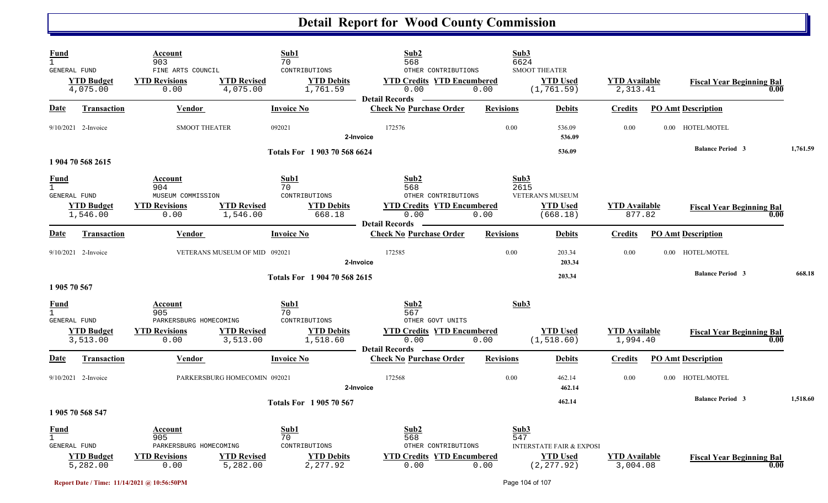| Fund<br>$\mathbf{1}$<br>GENERAL FUND        | <b>YTD Budget</b><br>4,075.00 | Account<br>903<br>FINE ARTS COUNCIL<br><b>YTD Revisions</b><br>0.00      | <b>YTD Revised</b><br>4,075.00 | Sub1<br>70<br>CONTRIBUTIONS<br><b>YTD Debits</b><br>1,761.59 | Sub2<br>568<br>OTHER CONTRIBUTIONS<br><b>YTD Credits YTD Encumbered</b><br>0.00<br><b>Detail Records</b> | Sub3<br>6624<br>0.00 | <b>SMOOT THEATER</b><br><b>YTD Used</b><br>(1, 761.59)                | <b>YTD Available</b><br>2,313.41 | <b>Fiscal Year Beginning Bal</b><br>0.00 |          |
|---------------------------------------------|-------------------------------|--------------------------------------------------------------------------|--------------------------------|--------------------------------------------------------------|----------------------------------------------------------------------------------------------------------|----------------------|-----------------------------------------------------------------------|----------------------------------|------------------------------------------|----------|
| Date                                        | <b>Transaction</b>            | Vendor                                                                   |                                | <b>Invoice No</b>                                            | <b>Check No Purchase Order</b>                                                                           | <b>Revisions</b>     | <b>Debits</b>                                                         | Credits                          | <b>PO Amt Description</b>                |          |
|                                             | 9/10/2021 2-Invoice           | <b>SMOOT THEATER</b>                                                     |                                | 092021                                                       | 172576<br>2-Invoice                                                                                      | 0.00                 | 536.09<br>536.09                                                      | 0.00                             | 0.00 HOTEL/MOTEL                         |          |
|                                             | 1 904 70 568 2615             |                                                                          |                                | Totals For 1903 70 568 6624                                  |                                                                                                          |                      | 536.09                                                                |                                  | <b>Balance Period 3</b>                  | 1,761.59 |
| <u>Fund</u><br>$\mathbf{1}$<br>GENERAL FUND | <b>YTD Budget</b><br>1,546.00 | Account<br>904<br>MUSEUM COMMISSION<br><b>YTD Revisions</b><br>0.00      | <b>YTD Revised</b><br>1,546.00 | Sub1<br>70<br>CONTRIBUTIONS<br><b>YTD Debits</b><br>668.18   | Sub2<br>568<br>OTHER CONTRIBUTIONS<br><b>YTD Credits YTD Encumbered</b><br>0.00<br>Detail Records –      | Sub3<br>2615<br>0.00 | VETERAN'S MUSEUM<br><b>YTD</b> Used<br>(668.18)                       | <b>YTD</b> Available<br>877.82   | <b>Fiscal Year Beginning Bal</b><br>0.00 |          |
| Date                                        | Transaction                   | Vendor                                                                   |                                | <b>Invoice No</b>                                            | <b>Check No Purchase Order</b>                                                                           | <b>Revisions</b>     | <b>Debits</b>                                                         | <b>Credits</b>                   | <b>PO Amt Description</b>                |          |
|                                             | $9/10/2021$ 2-Invoice         |                                                                          | VETERANS MUSEUM OF MID 092021  |                                                              | 172585<br>2-Invoice                                                                                      | 0.00                 | 203.34<br>203.34                                                      | 0.00                             | 0.00 HOTEL/MOTEL                         |          |
| 1 905 70 567                                |                               |                                                                          |                                | Totals For 1904 70 568 2615                                  |                                                                                                          |                      | 203.34                                                                |                                  | <b>Balance Period 3</b>                  | 668.18   |
| Fund<br><b>GENERAL FUND</b>                 |                               | Account<br>905<br>PARKERSBURG HOMECOMING                                 |                                | Sub1<br>70<br>CONTRIBUTIONS                                  | Sub2<br>567<br>OTHER GOVT UNITS                                                                          | Sub3                 |                                                                       |                                  |                                          |          |
|                                             | <b>YTD Budget</b><br>3,513.00 | <b>YTD Revisions</b><br>0.00                                             | <b>YTD Revised</b><br>3,513.00 | <b>YTD Debits</b><br>1,518.60                                | <b>YTD Credits YTD Encumbered</b><br>0.00<br><b>Detail Records</b> —                                     | 0.00                 | <b>YTD Used</b><br>(1, 518.60)                                        | <b>YTD</b> Available<br>1,994.40 | <b>Fiscal Year Beginning Bal</b><br>0.00 |          |
| Date                                        | <b>Transaction</b>            | Vendor                                                                   |                                | <b>Invoice No</b>                                            | <b>Check No Purchase Order</b>                                                                           | <b>Revisions</b>     | <b>Debits</b>                                                         | <b>Credits</b>                   | <b>PO Amt Description</b>                |          |
|                                             | $9/10/2021$ 2-Invoice         |                                                                          | PARKERSBURG HOMECOMIN 092021   |                                                              | 172568<br>2-Invoice                                                                                      | 0.00                 | 462.14<br>462.14                                                      | 0.00                             | 0.00 HOTEL/MOTEL                         |          |
|                                             | 1 905 70 568 547              |                                                                          |                                | <b>Totals For 1905 70 567</b>                                |                                                                                                          |                      | 462.14                                                                |                                  | <b>Balance Period 3</b>                  | 1,518.60 |
| <b>Fund</b><br>$\mathbf{1}$<br>GENERAL FUND | <b>YTD Budget</b><br>5,282.00 | Account<br>905<br>PARKERSBURG HOMECOMING<br><b>YTD Revisions</b><br>0.00 | <b>YTD Revised</b><br>5,282.00 | Sub1<br>70<br>CONTRIBUTIONS<br><b>YTD Debits</b><br>2,277.92 | Sub2<br>568<br>OTHER CONTRIBUTIONS<br><b>YTD Credits YTD Encumbered</b><br>0.00                          | Sub3<br>547<br>0.00  | <b>INTERSTATE FAIR &amp; EXPOSI</b><br><b>YTD Used</b><br>(2, 277.92) | <b>YTD</b> Available<br>3,004.08 | <b>Fiscal Year Beginning Bal</b><br>0.00 |          |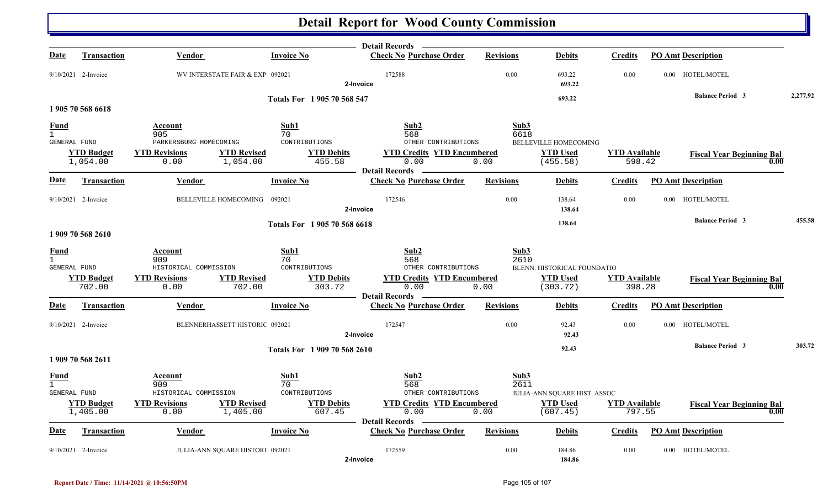|                                                      |                               |                                          |                                                               | Detail Records –                                                   |                  |                              |                                |                                  |          |
|------------------------------------------------------|-------------------------------|------------------------------------------|---------------------------------------------------------------|--------------------------------------------------------------------|------------------|------------------------------|--------------------------------|----------------------------------|----------|
| Date                                                 | <b>Transaction</b>            | <b>Vendor</b>                            | <b>Invoice No</b>                                             | <b>Check No Purchase Order</b>                                     | <b>Revisions</b> | <b>Debits</b>                | <b>Credits</b>                 | <b>PO Amt Description</b>        |          |
|                                                      | 9/10/2021 2-Invoice           |                                          | WV INTERSTATE FAIR & EXP 092021                               | 172588<br>2-Invoice                                                | 0.00             | 693.22<br>693.22             | 0.00                           | 0.00 HOTEL/MOTEL                 |          |
|                                                      |                               |                                          | Totals For 1 905 70 568 547                                   |                                                                    |                  | 693.22                       |                                | <b>Balance Period 3</b>          | 2,277.92 |
|                                                      | 1 905 70 568 6618             |                                          |                                                               |                                                                    |                  |                              |                                |                                  |          |
| <b>Fund</b><br>$\overline{1}$<br><b>GENERAL FUND</b> |                               | Account<br>905<br>PARKERSBURG HOMECOMING | Sub1<br>70<br>CONTRIBUTIONS                                   | Sub <sub>2</sub><br>568<br>OTHER CONTRIBUTIONS                     | Sub3<br>6618     | <b>BELLEVILLE HOMECOMING</b> |                                |                                  |          |
|                                                      | <b>YTD Budget</b><br>1,054.00 | <b>YTD Revisions</b><br>0.00             | <b>YTD Debits</b><br><b>YTD Revised</b><br>1,054.00<br>455.58 | <b>YTD Credits YTD Encumbered</b><br>0.00<br><b>Detail Records</b> | 0.00             | <b>YTD Used</b><br>(455.58)  | <b>YTD Available</b><br>598.42 | <b>Fiscal Year Beginning Bal</b> | 0.00     |
| Date                                                 | <b>Transaction</b>            | <b>Vendor</b>                            | <b>Invoice No</b>                                             | <b>Check No Purchase Order</b>                                     | <b>Revisions</b> | <b>Debits</b>                | <b>Credits</b>                 | <b>PO Amt Description</b>        |          |
|                                                      | $9/10/2021$ 2-Invoice         | BELLEVILLE HOMECOMING                    | 092021                                                        | 172546<br>2-Invoice                                                | 0.00             | 138.64<br>138.64             | 0.00                           | 0.00 HOTEL/MOTEL                 |          |
|                                                      | 1 909 70 568 2610             |                                          | Totals For 1 905 70 568 6618                                  |                                                                    |                  | 138.64                       |                                | <b>Balance Period 3</b>          | 455.58   |
| <b>Fund</b><br>$\mathbf{1}$<br>GENERAL FUND          |                               | Account<br>909<br>HISTORICAL COMMISSION  | Sub1<br>70<br>CONTRIBUTIONS                                   | Sub2<br>568<br>OTHER CONTRIBUTIONS                                 | Sub3<br>2610     | BLENN. HISTORICAL FOUNDATIO  |                                |                                  |          |
|                                                      | <b>YTD Budget</b><br>702.00   | <b>YTD Revisions</b><br>0.00             | <b>YTD Debits</b><br><b>YTD Revised</b><br>702.00<br>303.72   | <b>YTD Credits YTD Encumbered</b><br>0.00<br><b>Detail Records</b> | 0.00             | <b>YTD Used</b><br>(303.72)  | <b>YTD Available</b><br>398.28 | <b>Fiscal Year Beginning Bal</b> | 0.00     |
| Date                                                 | <b>Transaction</b>            | <b>Vendor</b>                            | <b>Invoice No</b>                                             | <b>Check No Purchase Order</b>                                     | <b>Revisions</b> | <b>Debits</b>                | <b>Credits</b>                 | <b>PO Amt Description</b>        |          |
|                                                      | $9/10/2021$ 2-Invoice         |                                          | BLENNERHASSETT HISTORIC 092021                                | 172547<br>2-Invoice                                                | 0.00             | 92.43<br>92.43               | 0.00                           | 0.00 HOTEL/MOTEL                 |          |
|                                                      | 1 909 70 568 2611             |                                          | Totals For 1 909 70 568 2610                                  |                                                                    |                  | 92.43                        |                                | <b>Balance Period 3</b>          | 303.72   |
| <b>Fund</b><br>$\mathbf{1}$<br>GENERAL FUND          |                               | Account<br>909<br>HISTORICAL COMMISSION  | Sub1<br>70<br>CONTRIBUTIONS                                   | Sub2<br>568<br>OTHER CONTRIBUTIONS                                 | Sub3<br>2611     | JULIA-ANN SQUARE HIST. ASSOC |                                |                                  |          |
|                                                      | <b>YTD Budget</b><br>1,405.00 | <b>YTD Revisions</b><br>0.00             | <b>YTD Revised</b><br><b>YTD Debits</b><br>607.45<br>1,405.00 | <b>YTD Credits YTD Encumbered</b><br>0.00<br><b>Detail Records</b> | 0.00             | <b>YTD Used</b><br>(607.45)  | <b>YTD Available</b><br>797.55 | <b>Fiscal Year Beginning Bal</b> | 0.00     |
| Date                                                 | <b>Transaction</b>            | <b>Vendor</b>                            | <b>Invoice No</b>                                             | <b>Check No Purchase Order</b>                                     | <b>Revisions</b> | <b>Debits</b>                | Credits                        | <b>PO Amt Description</b>        |          |
|                                                      | $9/10/2021$ 2-Invoice         |                                          | JULIA-ANN SQUARE HISTORI 092021                               | 172559<br>2-Invoice                                                | 0.00             | 184.86<br>184.86             | 0.00                           | 0.00 HOTEL/MOTEL                 |          |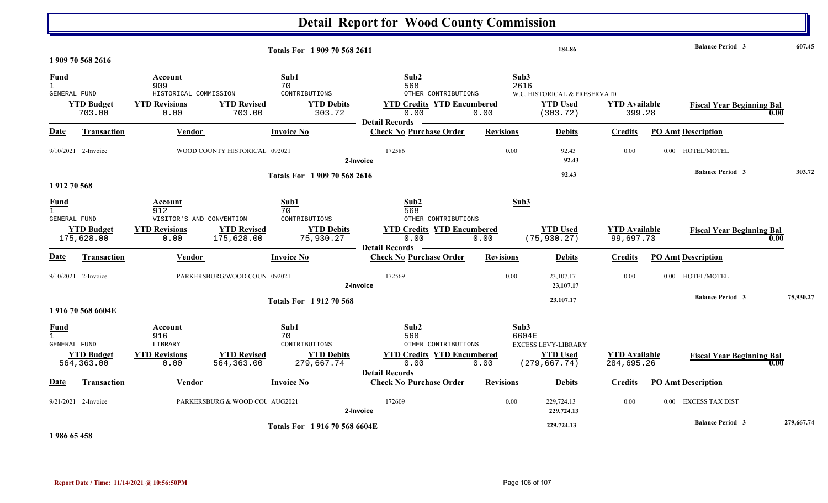| <b>Detail Report for Wood County Commission</b>    |                                  |                                                                         |                                  |                                                                |                                                                                                          |                          |                                                                         |                                    |      |                                  |      |            |
|----------------------------------------------------|----------------------------------|-------------------------------------------------------------------------|----------------------------------|----------------------------------------------------------------|----------------------------------------------------------------------------------------------------------|--------------------------|-------------------------------------------------------------------------|------------------------------------|------|----------------------------------|------|------------|
| Totals For 1909 70 568 2611<br>1 909 70 568 2616   |                                  |                                                                         |                                  |                                                                |                                                                                                          |                          | 184.86                                                                  |                                    |      | <b>Balance Period 3</b>          |      | 607.45     |
| <b>Fund</b><br>$\mathbf{1}$<br><b>GENERAL FUND</b> | <b>YTD Budget</b><br>703.00      | Account<br>909<br>HISTORICAL COMMISSION<br><b>YTD Revisions</b><br>0.00 | <b>YTD Revised</b><br>703.00     | Sub1<br>70<br>CONTRIBUTIONS<br><b>YTD Debits</b><br>303.72     | Sub2<br>568<br>OTHER CONTRIBUTIONS<br><b>YTD Credits YTD Encumbered</b><br>0.00<br><b>Detail Records</b> | Sub3<br>2616<br>0.00     | W.C. HISTORICAL & PRESERVATI<br><b>YTD Used</b><br>(303.72)             | <b>YTD</b> Available<br>399.28     |      | <b>Fiscal Year Beginning Bal</b> | 0.00 |            |
| <b>Date</b>                                        | Transaction                      | Vendor                                                                  |                                  | <b>Invoice No</b>                                              | <b>Check No Purchase Order</b>                                                                           | <b>Revisions</b>         | <b>Debits</b>                                                           | <b>Credits</b>                     |      | <b>PO Amt Description</b>        |      |            |
|                                                    | $9/10/2021$ 2-Invoice            |                                                                         | WOOD COUNTY HISTORICAL 092021    |                                                                | 172586<br>2-Invoice                                                                                      | 0.00                     | 92.43<br>92.43                                                          | 0.00                               | 0.00 | HOTEL/MOTEL                      |      |            |
| 1912 70 568                                        |                                  |                                                                         |                                  | Totals For 1909 70 568 2616                                    |                                                                                                          |                          | 92.43                                                                   |                                    |      | <b>Balance Period 3</b>          |      | 303.72     |
| Fund<br>GENERAL FUND                               | <b>YTD Budget</b>                | Account<br>912<br>VISITOR'S AND CONVENTION<br><b>YTD Revisions</b>      | <b>YTD Revised</b>               | Sub1<br>70<br>CONTRIBUTIONS<br><b>YTD Debits</b>               | Sub2<br>568<br>OTHER CONTRIBUTIONS<br><b>YTD Credits YTD Encumbered</b>                                  | Sub3                     | <b>YTD Used</b>                                                         | <b>YTD</b> Available               |      | <b>Fiscal Year Beginning Bal</b> |      |            |
| Date                                               | 175,628.00<br><b>Transaction</b> | 0.00<br>Vendor                                                          | 175,628.00                       | 75,930.27<br><b>Invoice No</b>                                 | 0.00<br><b>Detail Records</b><br><b>Check No Purchase Order</b>                                          | 0.00<br><b>Revisions</b> | (75, 930.27)<br><b>Debits</b>                                           | 99,697.73<br><b>Credits</b>        |      | <b>PO Amt Description</b>        | 0.00 |            |
|                                                    | $9/10/2021$ 2-Invoice            |                                                                         | PARKERSBURG/WOOD COUN 092021     |                                                                | 172569<br>2-Invoice                                                                                      | 0.00                     | 23,107.17<br>23,107.17                                                  | 0.00                               |      | 0.00 HOTEL/MOTEL                 |      |            |
|                                                    | 1916705686604E                   |                                                                         |                                  | <b>Totals For 191270568</b>                                    |                                                                                                          |                          | 23,107.17                                                               |                                    |      | <b>Balance Period 3</b>          |      | 75,930.27  |
| <u>Fund</u><br>$\mathbf{1}$<br>GENERAL FUND        | <b>YTD Budget</b><br>564, 363.00 | Account<br>916<br>LIBRARY<br><b>YTD Revisions</b><br>0.00               | <b>YTD Revised</b><br>564,363.00 | Sub1<br>70<br>CONTRIBUTIONS<br><b>YTD Debits</b><br>279,667.74 | Sub2<br>568<br>OTHER CONTRIBUTIONS<br><b>YTD Credits YTD Encumbered</b><br>0.00<br><b>Detail Records</b> | Sub3<br>0.00             | 6604E<br><b>EXCESS LEVY-LIBRARY</b><br><b>YTD Used</b><br>(279, 667.74) | <b>YTD Available</b><br>284,695.26 |      | <b>Fiscal Year Beginning Bal</b> | 0.00 |            |
| Date                                               | <b>Transaction</b>               | <b>Vendor</b>                                                           |                                  | <b>Invoice No</b>                                              | <b>Check No Purchase Order</b>                                                                           | <b>Revisions</b>         | <b>Debits</b>                                                           | <b>Credits</b>                     |      | <b>PO Amt Description</b>        |      |            |
|                                                    | $9/21/2021$ 2-Invoice            |                                                                         | PARKERSBURG & WOOD COU AUG2021   |                                                                | 172609<br>2-Invoice                                                                                      | 0.00                     | 229,724.13<br>229,724.13                                                | 0.00                               | 0.00 | EXCESS TAX DIST                  |      |            |
|                                                    |                                  |                                                                         |                                  | Totals For 1916 70 568 6604E                                   |                                                                                                          |                          | 229,724.13                                                              |                                    |      | <b>Balance Period 3</b>          |      | 279,667.74 |

**1 986 65 458**